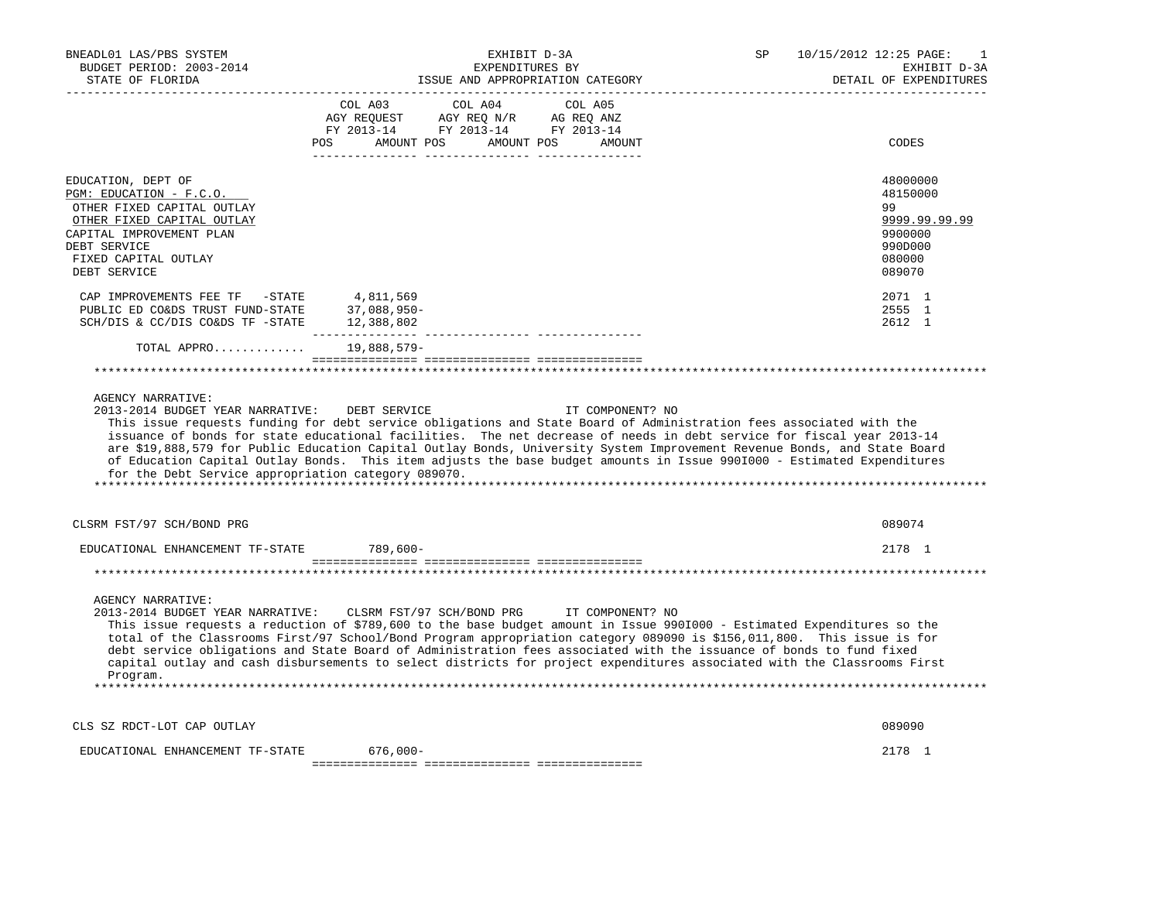| BNEADL01 LAS/PBS SYSTEM<br>BUDGET PERIOD: 2003-2014<br>STATE OF FLORIDA                                                                                                       | EXHIBIT D-3A<br>EXPENDITURES BY<br>ISSUE AND APPROPRIATION CATEGORY                                                                                                                                                                                                                                                                                                                                                                                                                                                                                                                | SP | 10/15/2012 12:25 PAGE:<br>1<br>EXHIBIT D-3A<br>DETAIL OF EXPENDITURES       |
|-------------------------------------------------------------------------------------------------------------------------------------------------------------------------------|------------------------------------------------------------------------------------------------------------------------------------------------------------------------------------------------------------------------------------------------------------------------------------------------------------------------------------------------------------------------------------------------------------------------------------------------------------------------------------------------------------------------------------------------------------------------------------|----|-----------------------------------------------------------------------------|
|                                                                                                                                                                               | COL A03<br>COL A04<br>COL A05<br>POS<br>AMOUNT POS AMOUNT POS<br>AMOUNT                                                                                                                                                                                                                                                                                                                                                                                                                                                                                                            |    | CODES                                                                       |
| EDUCATION, DEPT OF<br>PGM: EDUCATION - F.C.O.<br>OTHER FIXED CAPITAL OUTLAY<br>OTHER FIXED CAPITAL OUTLAY<br>CAPITAL IMPROVEMENT PLAN<br>DEBT SERVICE<br>FIXED CAPITAL OUTLAY |                                                                                                                                                                                                                                                                                                                                                                                                                                                                                                                                                                                    |    | 48000000<br>48150000<br>99<br>9999.99.99.99<br>9900000<br>990D000<br>080000 |
| DEBT SERVICE<br>CAP IMPROVEMENTS FEE TF -STATE<br>PUBLIC ED CO&DS TRUST FUND-STATE<br>SCH/DIS & CC/DIS CO&DS TF -STATE                                                        | 4,811,569<br>37,088,950-<br>12,388,802                                                                                                                                                                                                                                                                                                                                                                                                                                                                                                                                             |    | 089070<br>2071 1<br>2555 1<br>2612 1                                        |
| TOTAL APPRO                                                                                                                                                                   | 19,888,579-                                                                                                                                                                                                                                                                                                                                                                                                                                                                                                                                                                        |    |                                                                             |
|                                                                                                                                                                               |                                                                                                                                                                                                                                                                                                                                                                                                                                                                                                                                                                                    |    |                                                                             |
| <b>AGENCY NARRATIVE:</b><br>2013-2014 BUDGET YEAR NARRATIVE:<br>for the Debt Service appropriation category 089070.                                                           | DEBT SERVICE<br>IT COMPONENT? NO<br>This issue requests funding for debt service obligations and State Board of Administration fees associated with the<br>issuance of bonds for state educational facilities. The net decrease of needs in debt service for fiscal year 2013-14<br>are \$19,888,579 for Public Education Capital Outlay Bonds, University System Improvement Revenue Bonds, and State Board<br>of Education Capital Outlay Bonds. This item adjusts the base budget amounts in Issue 9901000 - Estimated Expenditures                                             |    |                                                                             |
| CLSRM FST/97 SCH/BOND PRG                                                                                                                                                     |                                                                                                                                                                                                                                                                                                                                                                                                                                                                                                                                                                                    |    | 089074                                                                      |
| EDUCATIONAL ENHANCEMENT TF-STATE                                                                                                                                              | $789.600 -$                                                                                                                                                                                                                                                                                                                                                                                                                                                                                                                                                                        |    | 2178 1                                                                      |
|                                                                                                                                                                               |                                                                                                                                                                                                                                                                                                                                                                                                                                                                                                                                                                                    |    |                                                                             |
| <b>AGENCY NARRATIVE:</b><br>Program.                                                                                                                                          | 2013-2014 BUDGET YEAR NARRATIVE: CLSRM FST/97 SCH/BOND PRG IT COMPONENT? NO<br>This issue requests a reduction of \$789,600 to the base budget amount in Issue 990I000 - Estimated Expenditures so the<br>total of the Classrooms First/97 School/Bond Program appropriation category 089090 is \$156,011,800. This issue is for<br>debt service obligations and State Board of Administration fees associated with the issuance of bonds to fund fixed<br>capital outlay and cash disbursements to select districts for project expenditures associated with the Classrooms First |    |                                                                             |
| CLS SZ RDCT-LOT CAP OUTLAY                                                                                                                                                    |                                                                                                                                                                                                                                                                                                                                                                                                                                                                                                                                                                                    |    | 089090                                                                      |
| EDUCATIONAL ENHANCEMENT TF-STATE                                                                                                                                              | 676,000-                                                                                                                                                                                                                                                                                                                                                                                                                                                                                                                                                                           |    | 2178 1                                                                      |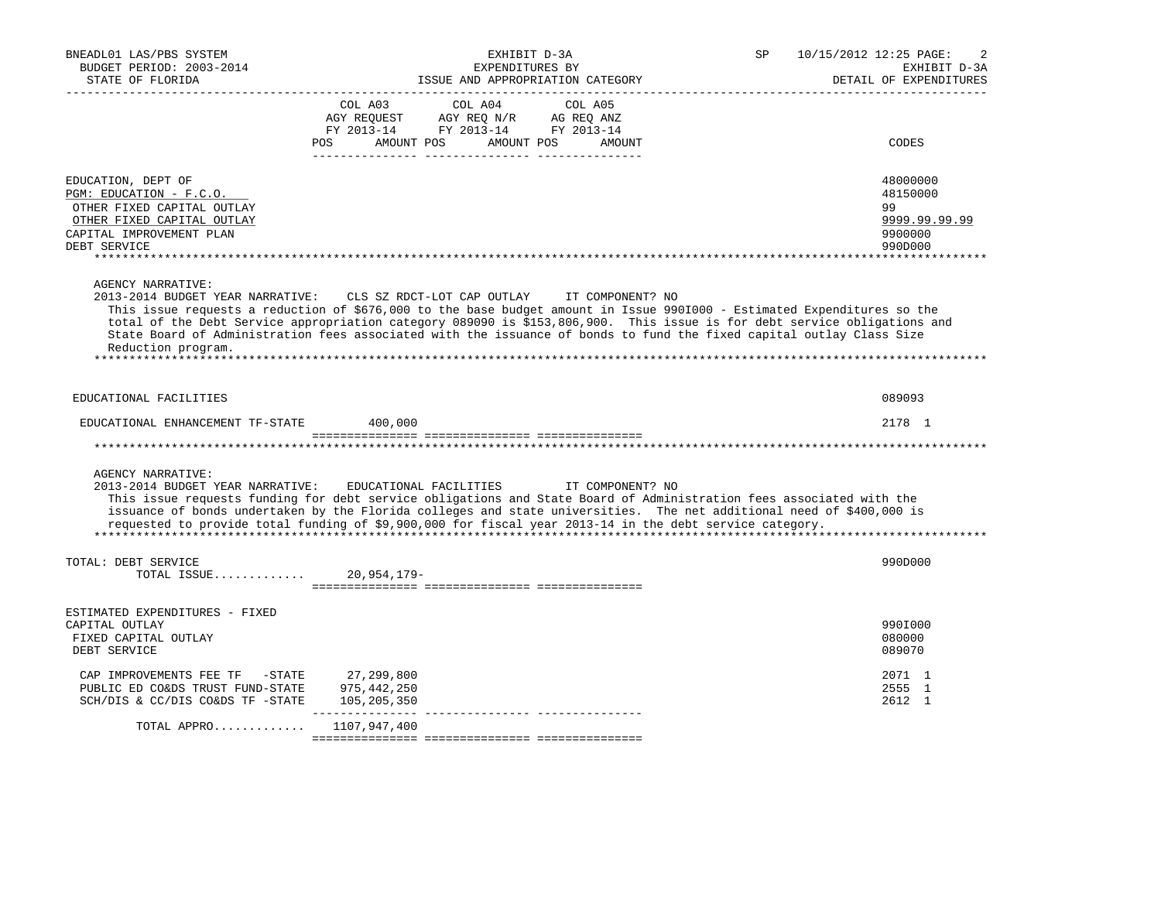| BNEADL01 LAS/PBS SYSTEM<br>BUDGET PERIOD: 2003-2014<br>STATE OF FLORIDA                                                                               | EXHIBIT D-3A<br>EXPENDITURES BY<br>ISSUE AND APPROPRIATION CATEGORY                                                                                                                                                                                                                                                                                                                                                                                            | 10/15/2012 12:25 PAGE:<br>SP<br>2<br>EXHIBIT D-3A<br>DETAIL OF EXPENDITURES |
|-------------------------------------------------------------------------------------------------------------------------------------------------------|----------------------------------------------------------------------------------------------------------------------------------------------------------------------------------------------------------------------------------------------------------------------------------------------------------------------------------------------------------------------------------------------------------------------------------------------------------------|-----------------------------------------------------------------------------|
|                                                                                                                                                       | COL A03<br>COL A04<br>COL A05<br>AGY REQUEST AGY REQ N/R<br>AG REQ ANZ<br>FY 2013-14 FY 2013-14 FY 2013-14<br>AMOUNT POS<br>AMOUNT POS<br><b>POS</b><br>AMOUNT                                                                                                                                                                                                                                                                                                 | CODES                                                                       |
|                                                                                                                                                       |                                                                                                                                                                                                                                                                                                                                                                                                                                                                |                                                                             |
| EDUCATION, DEPT OF<br>PGM: EDUCATION - F.C.O.<br>OTHER FIXED CAPITAL OUTLAY<br>OTHER FIXED CAPITAL OUTLAY<br>CAPITAL IMPROVEMENT PLAN<br>DEBT SERVICE |                                                                                                                                                                                                                                                                                                                                                                                                                                                                | 48000000<br>48150000<br>99<br>9999.99.99.99<br>9900000<br>990D000           |
|                                                                                                                                                       |                                                                                                                                                                                                                                                                                                                                                                                                                                                                |                                                                             |
| <b>AGENCY NARRATIVE:</b><br>Reduction program.                                                                                                        | 2013-2014 BUDGET YEAR NARRATIVE: CLS SZ RDCT-LOT CAP OUTLAY<br>IT COMPONENT? NO<br>This issue requests a reduction of \$676,000 to the base budget amount in Issue 990I000 - Estimated Expenditures so the<br>total of the Debt Service appropriation category 089090 is \$153,806,900. This issue is for debt service obligations and<br>State Board of Administration fees associated with the issuance of bonds to fund the fixed capital outlay Class Size |                                                                             |
| EDUCATIONAL FACILITIES                                                                                                                                |                                                                                                                                                                                                                                                                                                                                                                                                                                                                | 089093                                                                      |
| EDUCATIONAL ENHANCEMENT TF-STATE                                                                                                                      | 400,000                                                                                                                                                                                                                                                                                                                                                                                                                                                        | 2178 1                                                                      |
|                                                                                                                                                       |                                                                                                                                                                                                                                                                                                                                                                                                                                                                |                                                                             |
| <b>AGENCY NARRATIVE:</b><br>2013-2014 BUDGET YEAR NARRATIVE:                                                                                          | EDUCATIONAL FACILITIES<br>IT COMPONENT? NO<br>This issue requests funding for debt service obligations and State Board of Administration fees associated with the<br>issuance of bonds undertaken by the Florida colleges and state universities. The net additional need of \$400,000 is<br>requested to provide total funding of \$9,900,000 for fiscal year 2013-14 in the debt service category.                                                           |                                                                             |
| TOTAL: DEBT SERVICE<br>TOTAL ISSUE                                                                                                                    | 20,954,179-                                                                                                                                                                                                                                                                                                                                                                                                                                                    | 990D000                                                                     |
|                                                                                                                                                       |                                                                                                                                                                                                                                                                                                                                                                                                                                                                |                                                                             |
| ESTIMATED EXPENDITURES - FIXED<br>CAPITAL OUTLAY<br>FIXED CAPITAL OUTLAY<br>DEBT SERVICE                                                              |                                                                                                                                                                                                                                                                                                                                                                                                                                                                | 990I000<br>080000<br>089070                                                 |
| CAP IMPROVEMENTS FEE TF -STATE<br>PUBLIC ED CO&DS TRUST FUND-STATE<br>SCH/DIS & CC/DIS CO&DS TF -STATE                                                | 27,299,800<br>975,442,250<br>105,205,350<br>________________                                                                                                                                                                                                                                                                                                                                                                                                   | 2071 1<br>2555 1<br>2612 1                                                  |
| TOTAL APPRO                                                                                                                                           | 1107,947,400                                                                                                                                                                                                                                                                                                                                                                                                                                                   |                                                                             |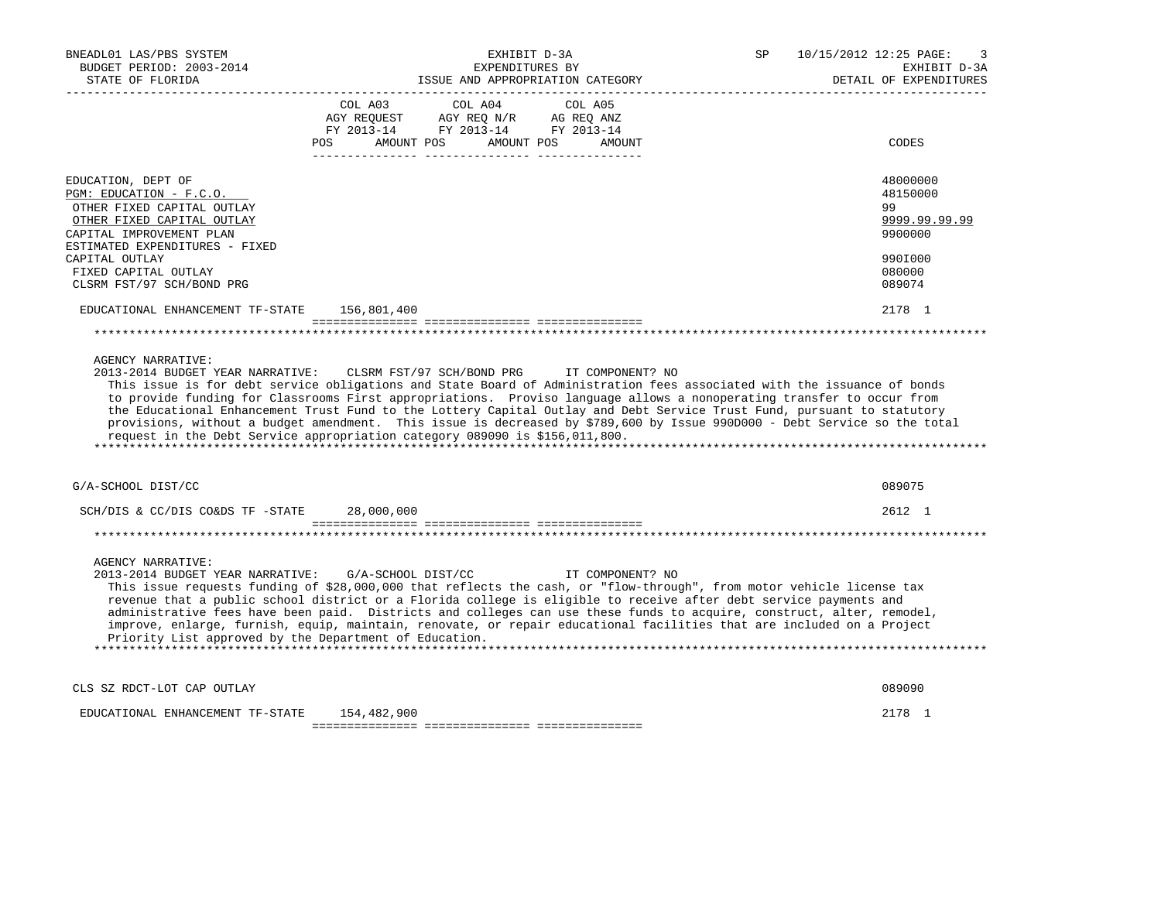| BNEADL01 LAS/PBS SYSTEM<br>BUDGET PERIOD: 2003-2014<br>STATE OF FLORIDA                                                                                                                   | EXHIBIT D-3A<br>EXPENDITURES BY<br>ISSUE AND APPROPRIATION CATEGORY                                                                                                                                                                                                                                                                                                                                                                                                                                                                                                                                                                   | 10/15/2012 12:25 PAGE:<br>SP.<br>3<br>EXHIBIT D-3A<br>DETAIL OF EXPENDITURES |
|-------------------------------------------------------------------------------------------------------------------------------------------------------------------------------------------|---------------------------------------------------------------------------------------------------------------------------------------------------------------------------------------------------------------------------------------------------------------------------------------------------------------------------------------------------------------------------------------------------------------------------------------------------------------------------------------------------------------------------------------------------------------------------------------------------------------------------------------|------------------------------------------------------------------------------|
|                                                                                                                                                                                           | COL A04<br>COL A05<br>COL A03<br>AGY REOUEST<br>AGY REQ N/R AG REQ ANZ<br>FY 2013-14 FY 2013-14 FY 2013-14<br><b>POS</b><br>AMOUNT POS<br>AMOUNT POS<br>AMOUNT                                                                                                                                                                                                                                                                                                                                                                                                                                                                        | CODES                                                                        |
| EDUCATION, DEPT OF<br>PGM: EDUCATION - F.C.O.<br>OTHER FIXED CAPITAL OUTLAY<br>OTHER FIXED CAPITAL OUTLAY<br>CAPITAL IMPROVEMENT PLAN<br>ESTIMATED EXPENDITURES - FIXED<br>CAPITAL OUTLAY |                                                                                                                                                                                                                                                                                                                                                                                                                                                                                                                                                                                                                                       | 48000000<br>48150000<br>99<br>9999.99.99.99<br>9900000<br>990I000            |
| FIXED CAPITAL OUTLAY<br>CLSRM FST/97 SCH/BOND PRG                                                                                                                                         |                                                                                                                                                                                                                                                                                                                                                                                                                                                                                                                                                                                                                                       | 080000<br>089074                                                             |
| EDUCATIONAL ENHANCEMENT TF-STATE                                                                                                                                                          | 156,801,400                                                                                                                                                                                                                                                                                                                                                                                                                                                                                                                                                                                                                           | 2178 1                                                                       |
| <b>AGENCY NARRATIVE:</b><br>2013-2014 BUDGET YEAR NARRATIVE:                                                                                                                              | CLSRM FST/97 SCH/BOND PRG IT COMPONENT? NO<br>This issue is for debt service obligations and State Board of Administration fees associated with the issuance of bonds<br>to provide funding for Classrooms First appropriations. Proviso language allows a nonoperating transfer to occur from<br>the Educational Enhancement Trust Fund to the Lottery Capital Outlay and Debt Service Trust Fund, pursuant to statutory<br>provisions, without a budget amendment. This issue is decreased by \$789,600 by Issue 990D000 - Debt Service so the total<br>request in the Debt Service appropriation category 089090 is \$156,011,800. |                                                                              |
| G/A-SCHOOL DIST/CC                                                                                                                                                                        |                                                                                                                                                                                                                                                                                                                                                                                                                                                                                                                                                                                                                                       | 089075                                                                       |
| SCH/DIS & CC/DIS CO&DS TF -STATE                                                                                                                                                          | 28,000,000                                                                                                                                                                                                                                                                                                                                                                                                                                                                                                                                                                                                                            | $2612 \quad 1$                                                               |
| <b>AGENCY NARRATIVE:</b><br>2013-2014 BUDGET YEAR NARRATIVE:<br>Priority List approved by the Department of Education.                                                                    | G/A-SCHOOL DIST/CC<br>IT COMPONENT? NO<br>This issue requests funding of \$28,000,000 that reflects the cash, or "flow-through", from motor vehicle license tax<br>revenue that a public school district or a Florida college is eligible to receive after debt service payments and<br>administrative fees have been paid. Districts and colleges can use these funds to acquire, construct, alter, remodel,<br>improve, enlarge, furnish, equip, maintain, renovate, or repair educational facilities that are included on a Project                                                                                                |                                                                              |
| CLS SZ RDCT-LOT CAP OUTLAY                                                                                                                                                                |                                                                                                                                                                                                                                                                                                                                                                                                                                                                                                                                                                                                                                       | 089090                                                                       |
| EDUCATIONAL ENHANCEMENT TF-STATE                                                                                                                                                          | 154,482,900                                                                                                                                                                                                                                                                                                                                                                                                                                                                                                                                                                                                                           | 2178 1                                                                       |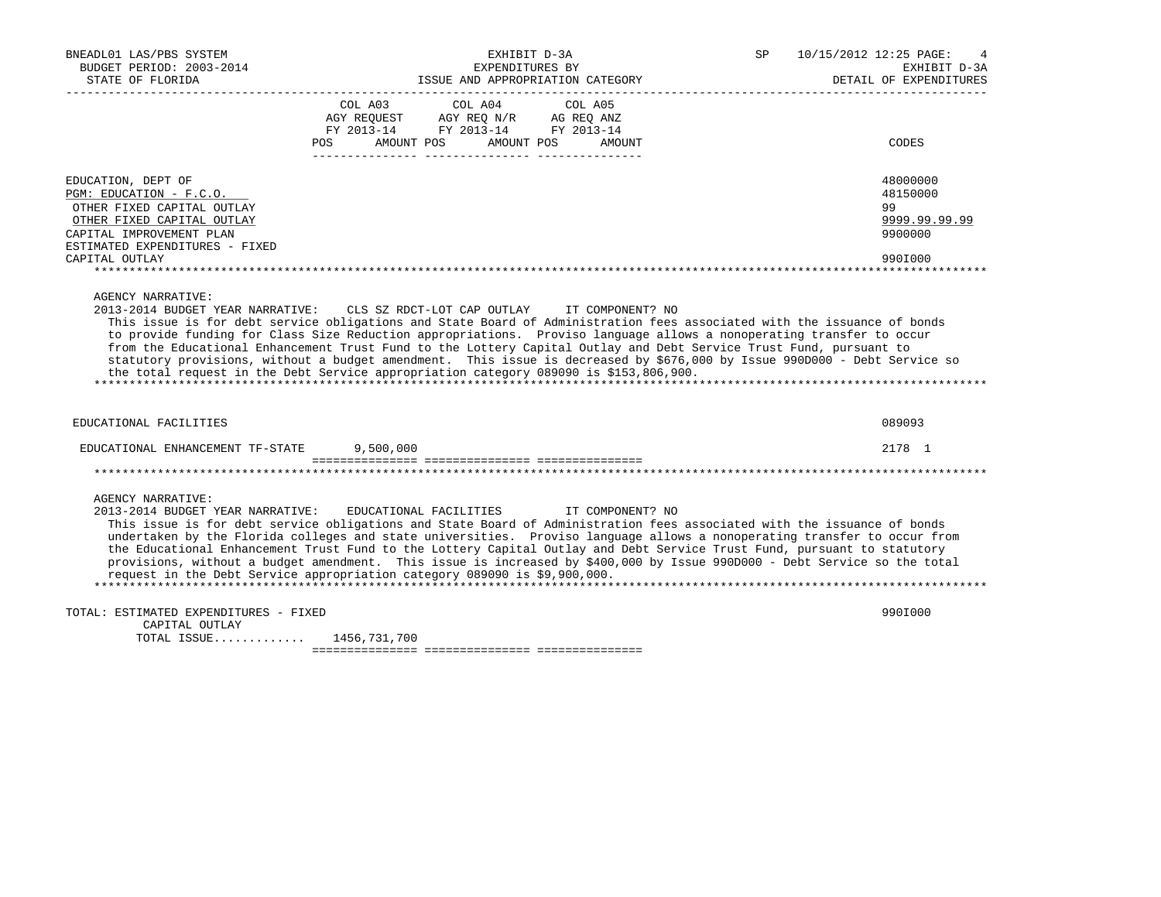| BNEADL01 LAS/PBS SYSTEM<br>BUDGET PERIOD: 2003-2014<br>STATE OF FLORIDA               | EXHIBIT D-3A<br>EXPENDITURES BY<br>ISSUE AND APPROPRIATION CATEGORY                                                                                                                                                                                                                                                                                                                                         | <b>SP</b><br>10/15/2012 12:25 PAGE:<br>EXHIBIT D-3A<br>DETAIL OF EXPENDITURES                                                                                                                                                                         |
|---------------------------------------------------------------------------------------|-------------------------------------------------------------------------------------------------------------------------------------------------------------------------------------------------------------------------------------------------------------------------------------------------------------------------------------------------------------------------------------------------------------|-------------------------------------------------------------------------------------------------------------------------------------------------------------------------------------------------------------------------------------------------------|
|                                                                                       | COL A03 COL A04<br>COL A05<br>AGY REQUEST AGY REQ N/R AG REQ ANZ<br>FY 2013-14 FY 2013-14 FY 2013-14<br>POS AMOUNT POS AMOUNT POS<br>AMOUNT                                                                                                                                                                                                                                                                 | CODES                                                                                                                                                                                                                                                 |
|                                                                                       |                                                                                                                                                                                                                                                                                                                                                                                                             |                                                                                                                                                                                                                                                       |
| EDUCATION, DEPT OF<br>PGM: EDUCATION - F.C.O.                                         |                                                                                                                                                                                                                                                                                                                                                                                                             | 48000000<br>48150000                                                                                                                                                                                                                                  |
| OTHER FIXED CAPITAL OUTLAY<br>OTHER FIXED CAPITAL OUTLAY<br>CAPITAL IMPROVEMENT PLAN  |                                                                                                                                                                                                                                                                                                                                                                                                             | 99<br>9999.99.99.99<br>9900000                                                                                                                                                                                                                        |
| ESTIMATED EXPENDITURES - FIXED<br>CAPITAL OUTLAY                                      |                                                                                                                                                                                                                                                                                                                                                                                                             | 990I000                                                                                                                                                                                                                                               |
| EDUCATIONAL FACILITIES                                                                | to provide funding for Class Size Reduction appropriations. Proviso language allows a nonoperating transfer to occur<br>from the Educational Enhancement Trust Fund to the Lottery Capital Outlay and Debt Service Trust Fund, pursuant to<br>the total request in the Debt Service appropriation category 089090 is \$153,806,900.                                                                         | statutory provisions, without a budget amendment. This issue is decreased by \$676,000 by Issue 990D000 - Debt Service so<br>089093                                                                                                                   |
| EDUCATIONAL ENHANCEMENT TF-STATE 9,500,000                                            |                                                                                                                                                                                                                                                                                                                                                                                                             | 2178 1                                                                                                                                                                                                                                                |
|                                                                                       |                                                                                                                                                                                                                                                                                                                                                                                                             |                                                                                                                                                                                                                                                       |
| <b>AGENCY NARRATIVE:</b>                                                              | 2013-2014 BUDGET YEAR NARRATIVE: EDUCATIONAL FACILITIES IT COMPONENT? NO<br>This issue is for debt service obligations and State Board of Administration fees associated with the issuance of bonds<br>the Educational Enhancement Trust Fund to the Lottery Capital Outlay and Debt Service Trust Fund, pursuant to statutory<br>request in the Debt Service appropriation category 089090 is \$9,900,000. | undertaken by the Florida colleges and state universities. Proviso language allows a nonoperating transfer to occur from<br>provisions, without a budget amendment. This issue is increased by \$400,000 by Issue 990D000 - Debt Service so the total |
| TOTAL: ESTIMATED EXPENDITURES - FIXED<br>CAPITAL OUTLAY<br>TOTAL ISSUE 1456, 731, 700 |                                                                                                                                                                                                                                                                                                                                                                                                             | 990I000                                                                                                                                                                                                                                               |
|                                                                                       |                                                                                                                                                                                                                                                                                                                                                                                                             |                                                                                                                                                                                                                                                       |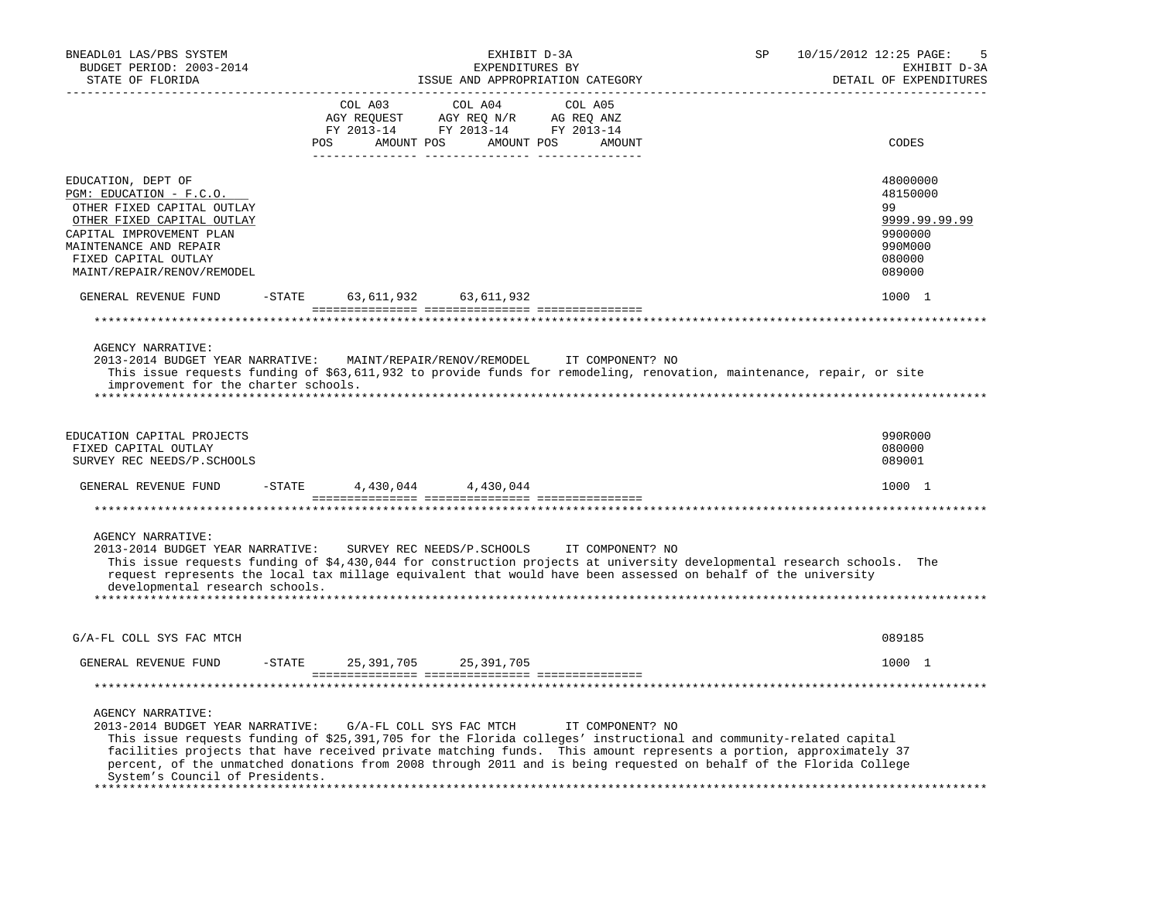| BNEADL01 LAS/PBS SYSTEM<br>BUDGET PERIOD: 2003-2014<br>STATE OF FLORIDA                                                                                                                                                                                                                                                                                                                                                                                         |                        | EXHIBIT D-3A<br>EXPENDITURES BY<br>ISSUE AND APPROPRIATION CATEGORY                                                                                                                                                                                                                                                        |                      | SP | 10/15/2012 12:25 PAGE:<br>5<br>EXHIBIT D-3A<br>DETAIL OF EXPENDITURES                 |
|-----------------------------------------------------------------------------------------------------------------------------------------------------------------------------------------------------------------------------------------------------------------------------------------------------------------------------------------------------------------------------------------------------------------------------------------------------------------|------------------------|----------------------------------------------------------------------------------------------------------------------------------------------------------------------------------------------------------------------------------------------------------------------------------------------------------------------------|----------------------|----|---------------------------------------------------------------------------------------|
|                                                                                                                                                                                                                                                                                                                                                                                                                                                                 | COL A03                | COL A04<br>$\begin{tabular}{lllllllll} \bf AGY \,\, &\bf REQUEST \,\, &\bf AGY \,\, &\bf REQ \,\, &\bf N/R \,\, &\bf AG \,\, &\bf REQ \,\, &\bf ANZ \,\, \\ \bf FY \,\, &\bf 2013-14 \,\, &\bf FY \,\, &\bf 2013-14 \,\, &\bf FY \,\, &\bf 2013-14 \end{tabular}$<br>POS AMOUNT POS AMOUNT POS AMOUNT<br>--------- ------- | COL A05<br>--------- |    | CODES                                                                                 |
| EDUCATION, DEPT OF<br>PGM: EDUCATION - F.C.O.<br>OTHER FIXED CAPITAL OUTLAY<br>OTHER FIXED CAPITAL OUTLAY<br>CAPITAL IMPROVEMENT PLAN<br>MAINTENANCE AND REPAIR<br>FIXED CAPITAL OUTLAY<br>MAINT/REPAIR/RENOV/REMODEL                                                                                                                                                                                                                                           |                        |                                                                                                                                                                                                                                                                                                                            |                      |    | 48000000<br>48150000<br>99<br>9999.99.99.99<br>9900000<br>990M000<br>080000<br>089000 |
| GENERAL REVENUE FUND                                                                                                                                                                                                                                                                                                                                                                                                                                            | $-$ STATE              | 63, 611, 932 63, 611, 932                                                                                                                                                                                                                                                                                                  |                      |    | 1000 1                                                                                |
|                                                                                                                                                                                                                                                                                                                                                                                                                                                                 |                        |                                                                                                                                                                                                                                                                                                                            |                      |    |                                                                                       |
| <b>AGENCY NARRATIVE:</b><br>2013-2014 BUDGET YEAR NARRATIVE:<br>This issue requests funding of \$63,611,932 to provide funds for remodeling, renovation, maintenance, repair, or site<br>improvement for the charter schools.                                                                                                                                                                                                                                   |                        | MAINT/REPAIR/RENOV/REMODEL                                                                                                                                                                                                                                                                                                 | IT COMPONENT? NO     |    |                                                                                       |
| EDUCATION CAPITAL PROJECTS<br>FIXED CAPITAL OUTLAY<br>SURVEY REC NEEDS/P.SCHOOLS                                                                                                                                                                                                                                                                                                                                                                                |                        |                                                                                                                                                                                                                                                                                                                            |                      |    | 990R000<br>080000<br>089001                                                           |
| GENERAL REVENUE FUND                                                                                                                                                                                                                                                                                                                                                                                                                                            | $-$ STATE<br>4,430,044 | 4,430,044                                                                                                                                                                                                                                                                                                                  |                      |    | 1000 1                                                                                |
|                                                                                                                                                                                                                                                                                                                                                                                                                                                                 |                        |                                                                                                                                                                                                                                                                                                                            |                      |    |                                                                                       |
| <b>AGENCY NARRATIVE:</b><br>2013-2014 BUDGET YEAR NARRATIVE:<br>This issue requests funding of \$4,430,044 for construction projects at university developmental research schools. The<br>request represents the local tax millage equivalent that would have been assessed on behalf of the university<br>developmental research schools.                                                                                                                      |                        | SURVEY REC NEEDS/P. SCHOOLS                                                                                                                                                                                                                                                                                                | IT COMPONENT? NO     |    |                                                                                       |
| G/A-FL COLL SYS FAC MTCH                                                                                                                                                                                                                                                                                                                                                                                                                                        |                        |                                                                                                                                                                                                                                                                                                                            |                      |    | 089185                                                                                |
| GENERAL REVENUE FUND                                                                                                                                                                                                                                                                                                                                                                                                                                            | -STATE<br>25,391,705   | 25,391,705                                                                                                                                                                                                                                                                                                                 |                      |    | 1000 1                                                                                |
|                                                                                                                                                                                                                                                                                                                                                                                                                                                                 |                        |                                                                                                                                                                                                                                                                                                                            |                      |    |                                                                                       |
| <b>AGENCY NARRATIVE:</b><br>2013-2014 BUDGET YEAR NARRATIVE:<br>This issue requests funding of \$25,391,705 for the Florida colleges' instructional and community-related capital<br>facilities projects that have received private matching funds. This amount represents a portion, approximately 37<br>percent, of the unmatched donations from 2008 through 2011 and is being requested on behalf of the Florida College<br>System's Council of Presidents. |                        | G/A-FL COLL SYS FAC MTCH                                                                                                                                                                                                                                                                                                   | IT COMPONENT? NO     |    |                                                                                       |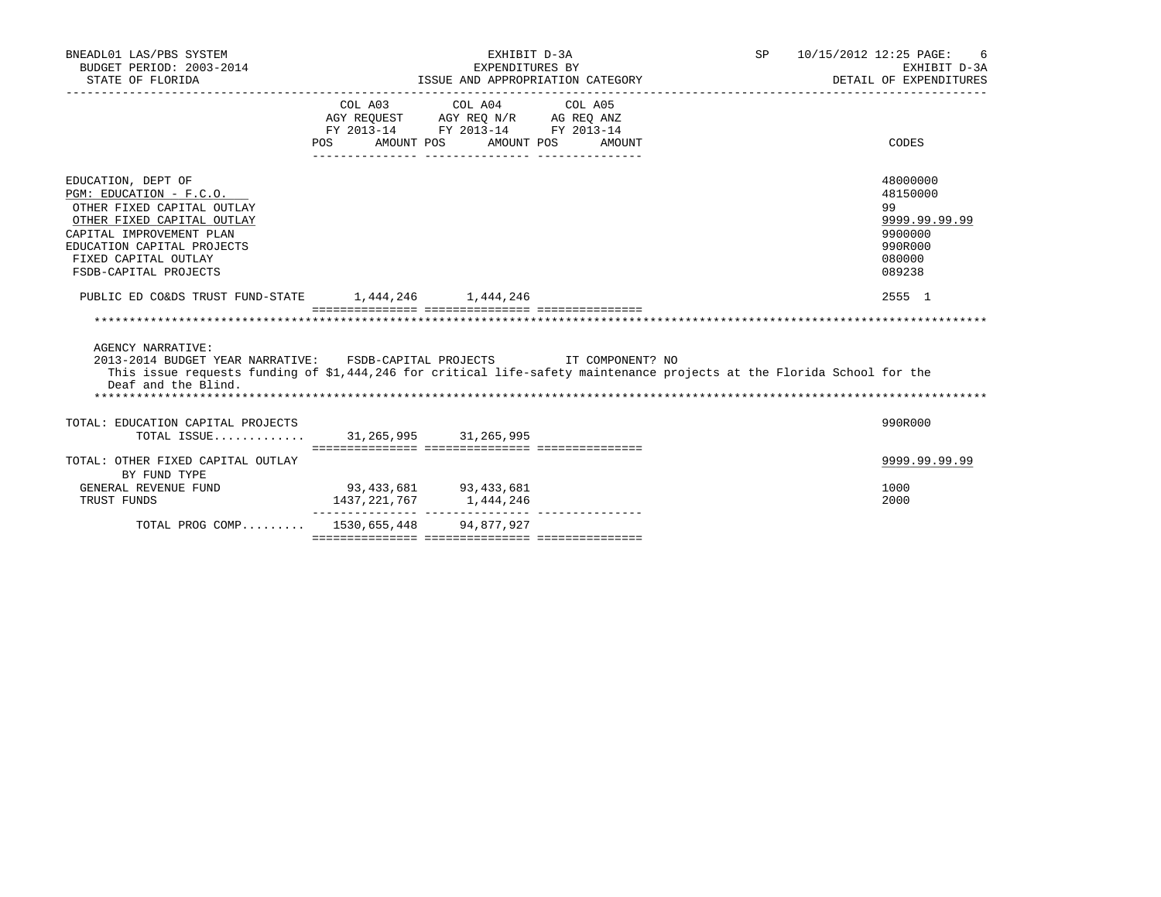| BNEADL01 LAS/PBS SYSTEM<br>BUDGET PERIOD: 2003-2014<br>STATE OF FLORIDA                                                                                                                                                             |                       | EXHIBIT D-3A<br>EXPENDITURES BY<br>ISSUE AND APPROPRIATION CATEGORY                                             |                  | SP 10/15/2012 12:25 PAGE:<br>6<br>EXHIBIT D-3A<br>DETAIL OF EXPENDITURES              |
|-------------------------------------------------------------------------------------------------------------------------------------------------------------------------------------------------------------------------------------|-----------------------|-----------------------------------------------------------------------------------------------------------------|------------------|---------------------------------------------------------------------------------------|
|                                                                                                                                                                                                                                     | POS<br>AMOUNT POS     | COL A03 COL A04 COL A05<br>AGY REQUEST AGY REQ N/R AG REQ ANZ<br>FY 2013-14 FY 2013-14 FY 2013-14<br>AMOUNT POS | AMOUNT           | CODES                                                                                 |
| EDUCATION, DEPT OF<br>PGM: EDUCATION - F.C.O.<br>OTHER FIXED CAPITAL OUTLAY<br>OTHER FIXED CAPITAL OUTLAY<br>CAPITAL IMPROVEMENT PLAN<br>EDUCATION CAPITAL PROJECTS<br>FIXED CAPITAL OUTLAY<br>FSDB-CAPITAL PROJECTS                |                       |                                                                                                                 |                  | 48000000<br>48150000<br>99<br>9999.99.99.99<br>9900000<br>990R000<br>080000<br>089238 |
| PUBLIC ED CO&DS TRUST FUND-STATE 1,444,246 1,444,246                                                                                                                                                                                |                       |                                                                                                                 |                  | 2555 1                                                                                |
|                                                                                                                                                                                                                                     |                       |                                                                                                                 |                  |                                                                                       |
| <b>AGENCY NARRATIVE:</b><br>2013-2014 BUDGET YEAR NARRATIVE: FSDB-CAPITAL PROJECTS<br>This issue requests funding of \$1,444,246 for critical life-safety maintenance projects at the Florida School for the<br>Deaf and the Blind. |                       |                                                                                                                 | IT COMPONENT? NO |                                                                                       |
| TOTAL: EDUCATION CAPITAL PROJECTS<br>TOTAL ISSUE                                                                                                                                                                                    |                       | 31, 265, 995 31, 265, 995                                                                                       |                  | 990R000                                                                               |
| TOTAL: OTHER FIXED CAPITAL OUTLAY<br>BY FUND TYPE                                                                                                                                                                                   |                       |                                                                                                                 |                  | 9999.99.99.99                                                                         |
| GENERAL REVENUE FUND<br>TRUST FUNDS                                                                                                                                                                                                 | 93,433,681 93,433,681 | 1437, 221, 767 1, 444, 246                                                                                      |                  | 1000<br>2000                                                                          |
| TOTAL PROG COMP 1530,655,448 94,877,927                                                                                                                                                                                             |                       |                                                                                                                 |                  |                                                                                       |
|                                                                                                                                                                                                                                     |                       |                                                                                                                 |                  |                                                                                       |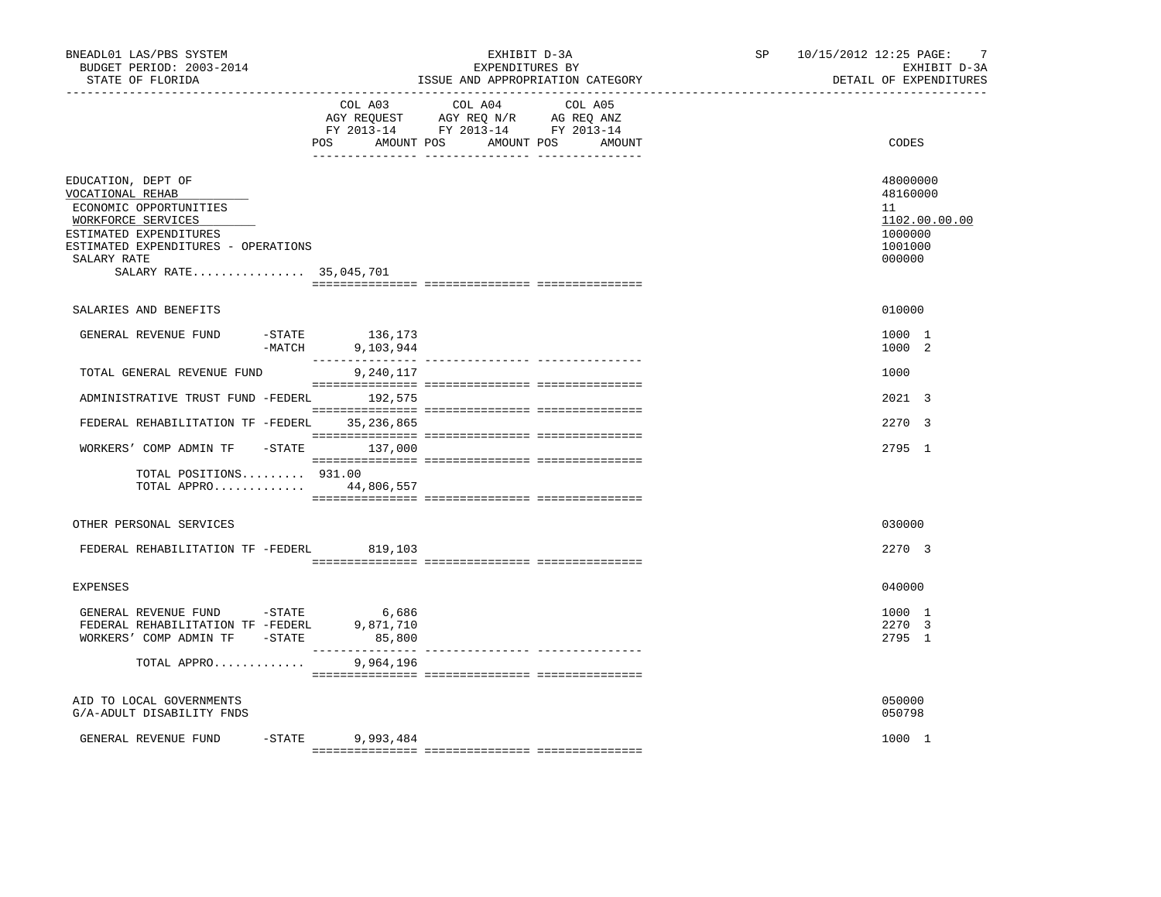| BNEADL01 LAS/PBS SYSTEM<br>BUDGET PERIOD: 2003-2014<br>STATE OF FLORIDA                                                                                                                          |                                                                                                                                                                                                                                                                                                                                                                                                                                                                                                                        | EXHIBIT D-3A<br>EXPENDITURES BY<br>ISSUE AND APPROPRIATION CATEGORY                                                               | SP <sub>2</sub> | $\overline{7}$<br>10/15/2012 12:25 PAGE:<br>EXHIBIT D-3A<br>DETAIL OF EXPENDITURES |  |
|--------------------------------------------------------------------------------------------------------------------------------------------------------------------------------------------------|------------------------------------------------------------------------------------------------------------------------------------------------------------------------------------------------------------------------------------------------------------------------------------------------------------------------------------------------------------------------------------------------------------------------------------------------------------------------------------------------------------------------|-----------------------------------------------------------------------------------------------------------------------------------|-----------------|------------------------------------------------------------------------------------|--|
|                                                                                                                                                                                                  | POS                                                                                                                                                                                                                                                                                                                                                                                                                                                                                                                    | COL A03 COL A04 COL A05<br>AGY REQUEST AGY REQ N/R AG REQ ANZ<br>FY 2013-14 FY 2013-14 FY 2013-14<br>AMOUNT POS AMOUNT POS AMOUNT |                 | CODES                                                                              |  |
| EDUCATION, DEPT OF<br>VOCATIONAL REHAB<br>ECONOMIC OPPORTUNITIES<br>WORKFORCE SERVICES<br>ESTIMATED EXPENDITURES<br>ESTIMATED EXPENDITURES - OPERATIONS<br>SALARY RATE<br>SALARY RATE 35,045,701 |                                                                                                                                                                                                                                                                                                                                                                                                                                                                                                                        |                                                                                                                                   |                 | 48000000<br>48160000<br>11<br>1102.00.00.00<br>1000000<br>1001000<br>000000        |  |
| SALARIES AND BENEFITS                                                                                                                                                                            |                                                                                                                                                                                                                                                                                                                                                                                                                                                                                                                        |                                                                                                                                   |                 | 010000                                                                             |  |
| GENERAL REVENUE FUND                                                                                                                                                                             | STATE 136,173–<br>MATCH 9,103,944–<br>9,103,944                                                                                                                                                                                                                                                                                                                                                                                                                                                                        |                                                                                                                                   |                 | 1000 1<br>1000 2                                                                   |  |
| TOTAL GENERAL REVENUE FUND                                                                                                                                                                       | 9,240,117                                                                                                                                                                                                                                                                                                                                                                                                                                                                                                              |                                                                                                                                   |                 | 1000                                                                               |  |
| ADMINISTRATIVE TRUST FUND -FEDERL 192,575                                                                                                                                                        |                                                                                                                                                                                                                                                                                                                                                                                                                                                                                                                        |                                                                                                                                   |                 | 2021 3                                                                             |  |
| FEDERAL REHABILITATION TF -FEDERL 35,236,865                                                                                                                                                     |                                                                                                                                                                                                                                                                                                                                                                                                                                                                                                                        |                                                                                                                                   |                 | 2270 3                                                                             |  |
| WORKERS' COMP ADMIN TF                                                                                                                                                                           | $-STATE$ 137,000                                                                                                                                                                                                                                                                                                                                                                                                                                                                                                       |                                                                                                                                   |                 | 2795 1                                                                             |  |
| TOTAL POSITIONS $931.00$<br>TOTAL APPRO 44,806,557                                                                                                                                               |                                                                                                                                                                                                                                                                                                                                                                                                                                                                                                                        |                                                                                                                                   |                 |                                                                                    |  |
| OTHER PERSONAL SERVICES                                                                                                                                                                          |                                                                                                                                                                                                                                                                                                                                                                                                                                                                                                                        |                                                                                                                                   |                 | 030000                                                                             |  |
| FEDERAL REHABILITATION TF -FEDERL 819,103                                                                                                                                                        |                                                                                                                                                                                                                                                                                                                                                                                                                                                                                                                        |                                                                                                                                   |                 | 2270 3                                                                             |  |
| <b>EXPENSES</b>                                                                                                                                                                                  |                                                                                                                                                                                                                                                                                                                                                                                                                                                                                                                        |                                                                                                                                   |                 | 040000                                                                             |  |
| GENERAL REVENUE FUND -STATE<br>FEDERAL REHABILITATION TF -FEDERL<br>WORKERS' COMP ADMIN TF - STATE                                                                                               | 6,686<br>9,871,710<br>85,800<br>$\begin{array}{cccccccccc} \multicolumn{2}{c}{} & \multicolumn{2}{c}{} & \multicolumn{2}{c}{} & \multicolumn{2}{c}{} & \multicolumn{2}{c}{} & \multicolumn{2}{c}{} & \multicolumn{2}{c}{} & \multicolumn{2}{c}{} & \multicolumn{2}{c}{} & \multicolumn{2}{c}{} & \multicolumn{2}{c}{} & \multicolumn{2}{c}{} & \multicolumn{2}{c}{} & \multicolumn{2}{c}{} & \multicolumn{2}{c}{} & \multicolumn{2}{c}{} & \multicolumn{2}{c}{} & \multicolumn{2}{c}{} & \multicolumn{2}{c}{} & \mult$ |                                                                                                                                   |                 | 1000 1<br>2270 3<br>2795 1                                                         |  |
| TOTAL APPRO                                                                                                                                                                                      | 9,964,196                                                                                                                                                                                                                                                                                                                                                                                                                                                                                                              |                                                                                                                                   |                 |                                                                                    |  |
| AID TO LOCAL GOVERNMENTS<br>G/A-ADULT DISABILITY FNDS                                                                                                                                            |                                                                                                                                                                                                                                                                                                                                                                                                                                                                                                                        |                                                                                                                                   |                 | 050000<br>050798                                                                   |  |
| GENERAL REVENUE FUND                                                                                                                                                                             | $-STATE$ 9,993,484                                                                                                                                                                                                                                                                                                                                                                                                                                                                                                     |                                                                                                                                   |                 | 1000 1                                                                             |  |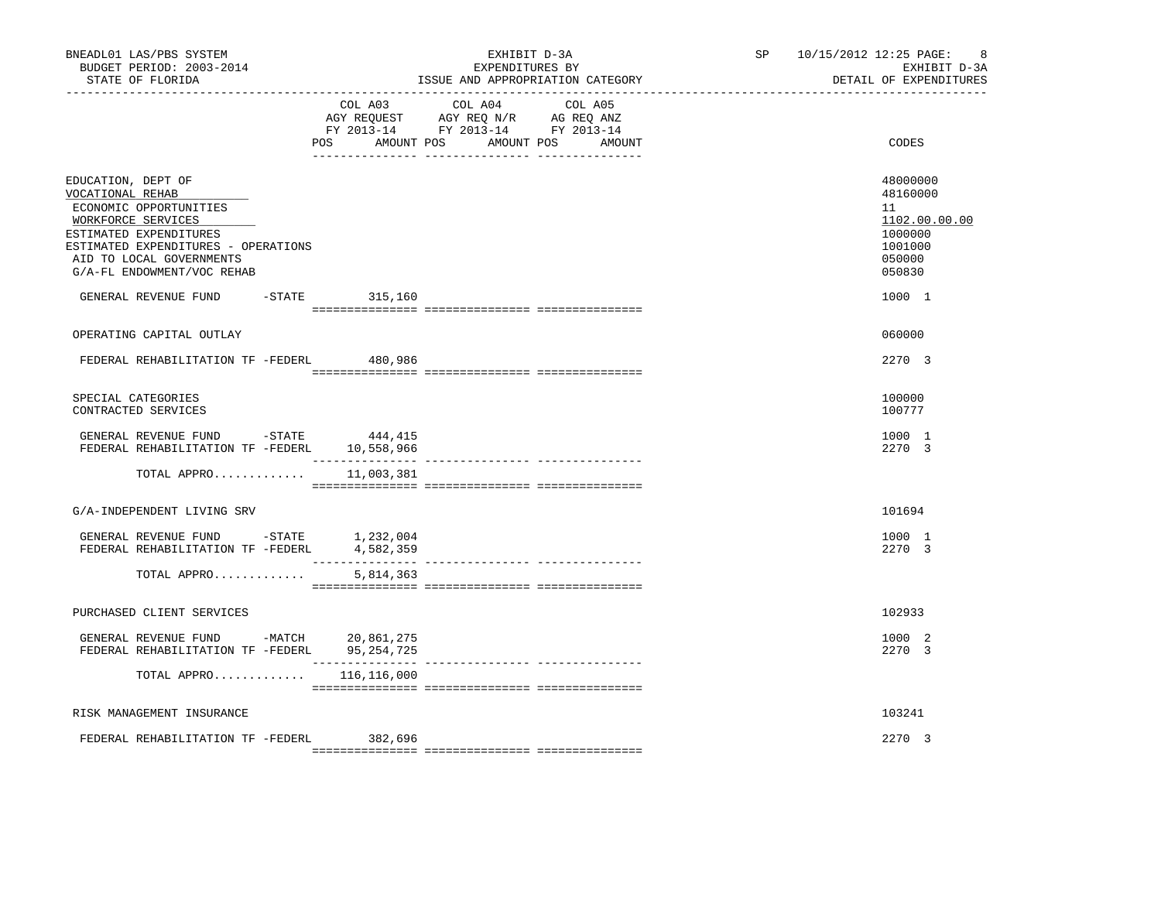| BNEADL01 LAS/PBS SYSTEM<br>BUDGET PERIOD: 2003-2014<br>STATE OF FLORIDA                                                 |                                             | EXHIBIT D-3A<br>EXPENDITURES BY<br>ISSUE AND APPROPRIATION CATEGORY                                                              | SP 10/15/2012 12:25 PAGE:<br>-8<br>EXHIBIT D-3A<br>DETAIL OF EXPENDITURES |
|-------------------------------------------------------------------------------------------------------------------------|---------------------------------------------|----------------------------------------------------------------------------------------------------------------------------------|---------------------------------------------------------------------------|
|                                                                                                                         | COL A03                                     | COL A04<br>COL A05<br>AGY REQUEST AGY REQ N/R AG REQ ANZ<br>FY 2013-14 FY 2013-14 FY 2013-14<br>POS AMOUNT POS AMOUNT POS AMOUNT | CODES                                                                     |
| EDUCATION, DEPT OF<br>VOCATIONAL REHAB<br>ECONOMIC OPPORTUNITIES<br>WORKFORCE SERVICES                                  |                                             |                                                                                                                                  | 48000000<br>48160000<br>11<br>1102.00.00.00                               |
| ESTIMATED EXPENDITURES<br>ESTIMATED EXPENDITURES - OPERATIONS<br>AID TO LOCAL GOVERNMENTS<br>G/A-FL ENDOWMENT/VOC REHAB |                                             |                                                                                                                                  | 1000000<br>1001000<br>050000<br>050830                                    |
| GENERAL REVENUE FUND                                                                                                    | $-$ STATE 315,160                           |                                                                                                                                  | 1000 1                                                                    |
| OPERATING CAPITAL OUTLAY                                                                                                |                                             |                                                                                                                                  | 060000                                                                    |
| FEDERAL REHABILITATION TF -FEDERL                                                                                       | 480,986                                     |                                                                                                                                  | 2270 3                                                                    |
| SPECIAL CATEGORIES<br>CONTRACTED SERVICES                                                                               |                                             |                                                                                                                                  | 100000<br>100777                                                          |
| GENERAL REVENUE FUND -STATE<br>FEDERAL REHABILITATION TF -FEDERL 10,558,966                                             | 444,415                                     |                                                                                                                                  | 1000 1<br>2270 3                                                          |
| TOTAL APPRO                                                                                                             | 11,003,381                                  |                                                                                                                                  |                                                                           |
| G/A-INDEPENDENT LIVING SRV                                                                                              |                                             |                                                                                                                                  | 101694                                                                    |
| GENERAL REVENUE FUND -STATE 1,232,004<br>FEDERAL REHABILITATION TF -FEDERL                                              | 4,582,359                                   |                                                                                                                                  | 1000 1<br>2270 3                                                          |
| TOTAL APPRO                                                                                                             | 5,814,363                                   |                                                                                                                                  |                                                                           |
| PURCHASED CLIENT SERVICES                                                                                               |                                             |                                                                                                                                  | 102933                                                                    |
| GENERAL REVENUE FUND -MATCH 20,861,275<br>FEDERAL REHABILITATION TF -FEDERL 95,254,725                                  |                                             |                                                                                                                                  | 1000 2<br>2270 3                                                          |
|                                                                                                                         | ______________<br>TOTAL APPRO $116,116,000$ |                                                                                                                                  |                                                                           |
| RISK MANAGEMENT INSURANCE                                                                                               |                                             |                                                                                                                                  | 103241                                                                    |
| FEDERAL REHABILITATION TF -FEDERL                                                                                       | 382,696                                     |                                                                                                                                  | 2.270 3                                                                   |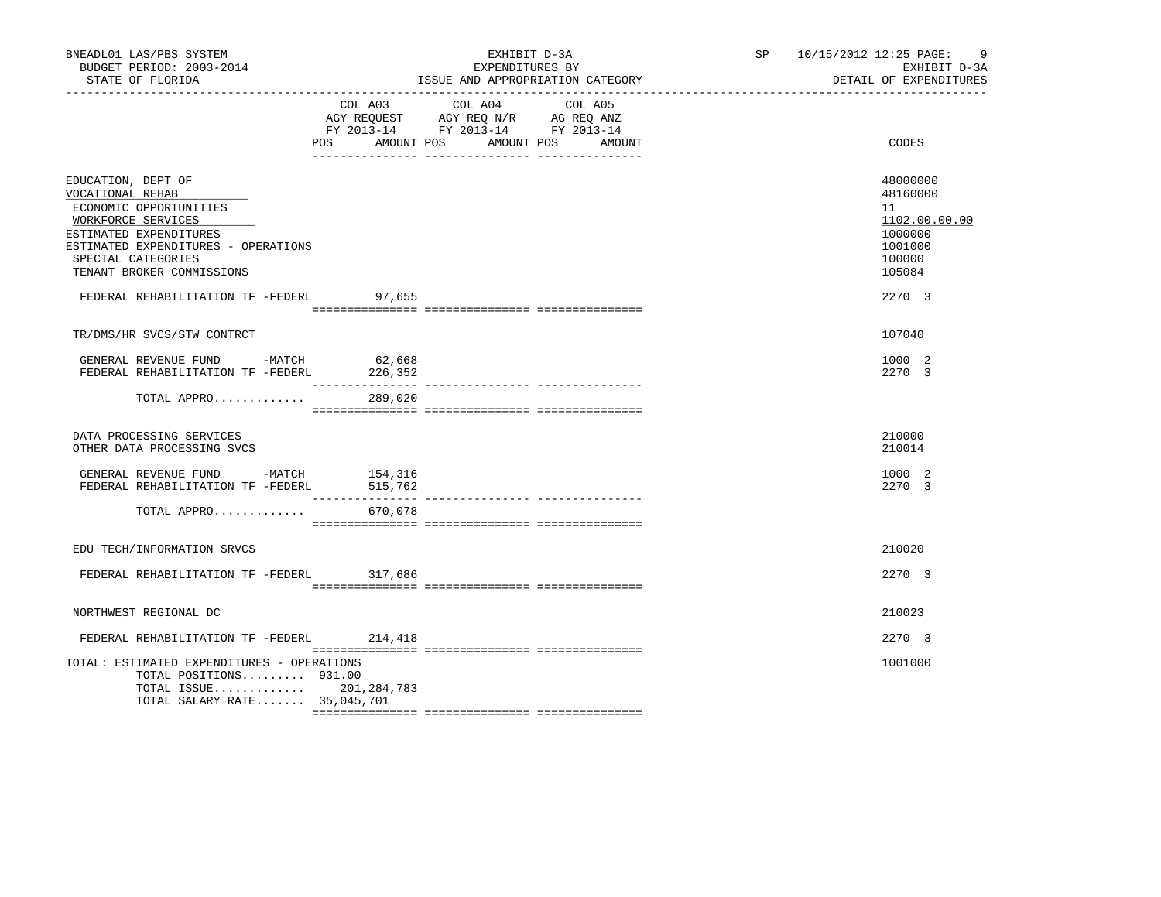| BNEADL01 LAS/PBS SYSTEM<br>BUDGET PERIOD: 2003-2014<br>STATE OF FLORIDA                                                                                                                                                                                |                              | EXHIBIT D-3A<br>EXPENDITURES BY<br>ISSUE AND APPROPRIATION CATEGORY                                                                      | SP 10/15/2012 12:25 PAGE:<br>-9<br>EXHIBIT D-3A<br>DETAIL OF EXPENDITURES                       |
|--------------------------------------------------------------------------------------------------------------------------------------------------------------------------------------------------------------------------------------------------------|------------------------------|------------------------------------------------------------------------------------------------------------------------------------------|-------------------------------------------------------------------------------------------------|
|                                                                                                                                                                                                                                                        |                              | COL A03 COL A04 COL A05<br>AGY REQUEST AGY REQ N/R AG REQ ANZ<br>FY 2013-14 FY 2013-14 FY 2013-14<br>POS AMOUNT POS AMOUNT POS<br>AMOUNT | CODES                                                                                           |
| EDUCATION, DEPT OF<br>VOCATIONAL REHAB<br>ECONOMIC OPPORTUNITIES<br>WORKFORCE SERVICES<br>ESTIMATED EXPENDITURES<br>ESTIMATED EXPENDITURES - OPERATIONS<br>SPECIAL CATEGORIES<br>TENANT BROKER COMMISSIONS<br>FEDERAL REHABILITATION TF -FEDERL 97,655 |                              |                                                                                                                                          | 48000000<br>48160000<br>11<br>1102.00.00.00<br>1000000<br>1001000<br>100000<br>105084<br>2270 3 |
| TR/DMS/HR SVCS/STW CONTRCT<br>GENERAL REVENUE FUND -MATCH<br>FEDERAL REHABILITATION TF -FEDERL<br>TOTAL APPRO                                                                                                                                          | 62,668<br>226,352<br>289,020 |                                                                                                                                          | 107040<br>1000 2<br>2270 3                                                                      |
| DATA PROCESSING SERVICES<br>OTHER DATA PROCESSING SVCS                                                                                                                                                                                                 |                              |                                                                                                                                          | 210000<br>210014                                                                                |
| GENERAL REVENUE FUND -MATCH 154,316<br>FEDERAL REHABILITATION TF -FEDERL<br>TOTAL APPRO                                                                                                                                                                | 515,762<br>670,078           |                                                                                                                                          | 1000 2<br>2270 3                                                                                |
| EDU TECH/INFORMATION SRVCS<br>FEDERAL REHABILITATION TF -FEDERL 317,686                                                                                                                                                                                |                              |                                                                                                                                          | 210020<br>2270 3                                                                                |
| NORTHWEST REGIONAL DC<br>FEDERAL REHABILITATION TF -FEDERL 214,418                                                                                                                                                                                     |                              |                                                                                                                                          | 210023<br>2270 3                                                                                |
| TOTAL: ESTIMATED EXPENDITURES - OPERATIONS<br>TOTAL POSITIONS 931.00<br>TOTAL SALARY RATE 35,045,701                                                                                                                                                   | TOTAL ISSUE 201,284,783      |                                                                                                                                          | 1001000                                                                                         |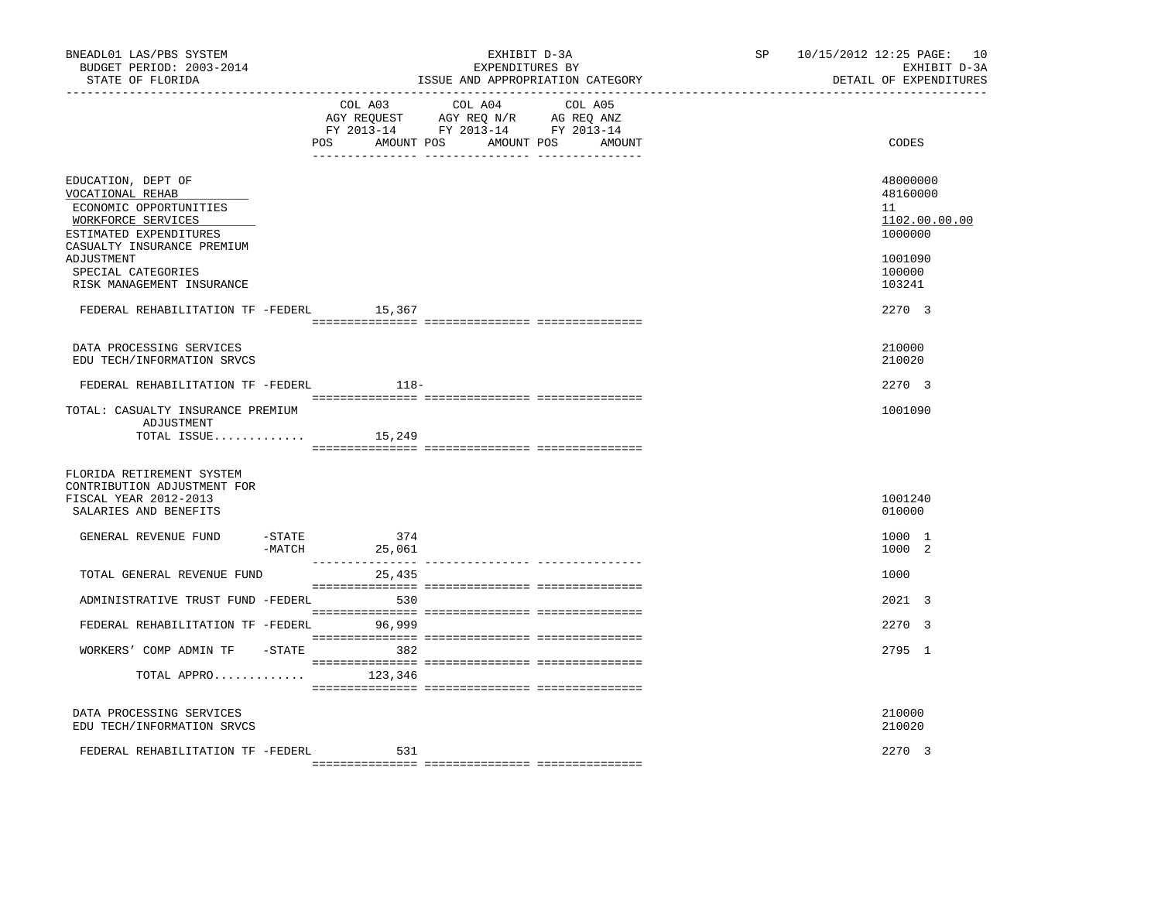| BNEADL01 LAS/PBS SYSTEM<br>BUDGET PERIOD: 2003-2014<br>STATE OF FLORIDA<br>-------------------                                                               |                  |                           | EXHIBIT D-3A<br>EXPENDITURES BY<br>ISSUE AND APPROPRIATION CATEGORY                                                              | SP <sub>2</sub> | 10/15/2012 12:25 PAGE: 10<br>EXHIBIT D-3A<br>DETAIL OF EXPENDITURES |
|--------------------------------------------------------------------------------------------------------------------------------------------------------------|------------------|---------------------------|----------------------------------------------------------------------------------------------------------------------------------|-----------------|---------------------------------------------------------------------|
|                                                                                                                                                              |                  | COL A03                   | COL A04<br>COL A05<br>AGY REQUEST AGY REQ N/R AG REQ ANZ<br>FY 2013-14 FY 2013-14 FY 2013-14<br>POS AMOUNT POS AMOUNT POS AMOUNT |                 | CODES                                                               |
| EDUCATION, DEPT OF<br>VOCATIONAL REHAB<br>ECONOMIC OPPORTUNITIES<br>WORKFORCE SERVICES<br>ESTIMATED EXPENDITURES<br>CASUALTY INSURANCE PREMIUM<br>ADJUSTMENT |                  |                           |                                                                                                                                  |                 | 48000000<br>48160000<br>11<br>1102.00.00.00<br>1000000<br>1001090   |
| SPECIAL CATEGORIES<br>RISK MANAGEMENT INSURANCE                                                                                                              |                  |                           |                                                                                                                                  |                 | 100000<br>103241                                                    |
| FEDERAL REHABILITATION TF -FEDERL 15,367                                                                                                                     |                  |                           |                                                                                                                                  |                 | 2.270 3                                                             |
| DATA PROCESSING SERVICES<br>EDU TECH/INFORMATION SRVCS                                                                                                       |                  |                           |                                                                                                                                  |                 | 210000<br>210020                                                    |
| FEDERAL REHABILITATION TF -FEDERL                                                                                                                            |                  | 118-                      |                                                                                                                                  |                 | 2270 3                                                              |
| TOTAL: CASUALTY INSURANCE PREMIUM<br>ADJUSTMENT<br>TOTAL ISSUE                                                                                               |                  | 15,249                    |                                                                                                                                  |                 | 1001090                                                             |
| FLORIDA RETIREMENT SYSTEM<br>CONTRIBUTION ADJUSTMENT FOR<br>FISCAL YEAR 2012-2013<br>SALARIES AND BENEFITS                                                   |                  |                           |                                                                                                                                  |                 | 1001240<br>010000                                                   |
| GENERAL REVENUE FUND                                                                                                                                         | -STATE<br>-MATCH | 374<br>25,061             |                                                                                                                                  |                 | 1000 1<br>1000 2                                                    |
| TOTAL GENERAL REVENUE FUND                                                                                                                                   |                  | ---------------<br>25,435 |                                                                                                                                  |                 | 1000                                                                |
| ADMINISTRATIVE TRUST FUND -FEDERL                                                                                                                            |                  | 530                       |                                                                                                                                  |                 | 2021 3                                                              |
| FEDERAL REHABILITATION TF -FEDERL 96,999                                                                                                                     |                  |                           |                                                                                                                                  |                 | 2270 3                                                              |
| WORKERS' COMP ADMIN TF -STATE 382                                                                                                                            |                  |                           |                                                                                                                                  |                 | 2795 1                                                              |
| TOTAL APPRO                                                                                                                                                  |                  | 123,346                   |                                                                                                                                  |                 |                                                                     |
| DATA PROCESSING SERVICES<br>EDU TECH/INFORMATION SRVCS                                                                                                       |                  |                           |                                                                                                                                  |                 | 210000<br>210020                                                    |
| FEDERAL REHABILITATION TF -FEDERL                                                                                                                            |                  | 531                       |                                                                                                                                  |                 | 2270 3                                                              |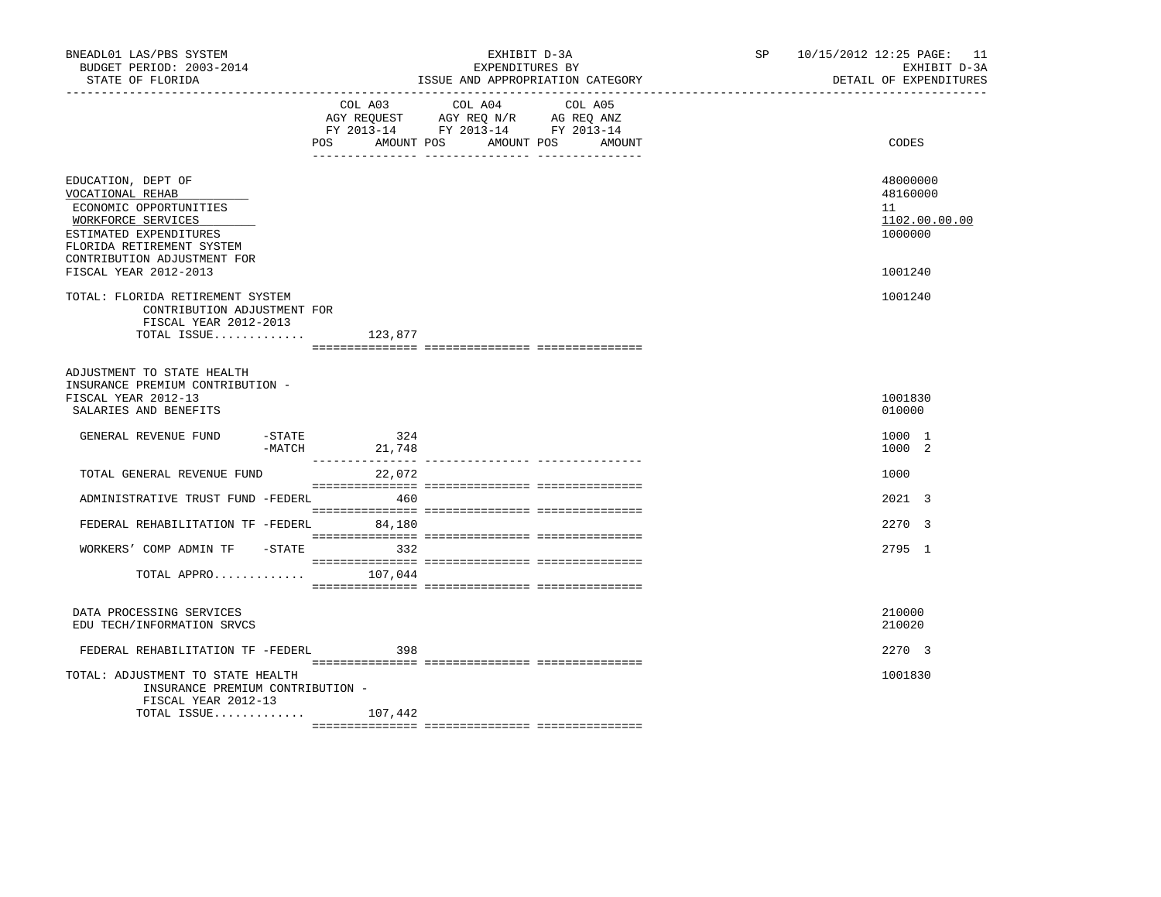| BNEADL01 LAS/PBS SYSTEM<br>BUDGET PERIOD: 2003-2014<br>STATE OF FLORIDA                                                                                                      | __________________________________                                                                                  | EXHIBIT D-3A<br>EXPENDITURES BY<br>ISSUE AND APPROPRIATION CATEGORY | SP 10/15/2012 12:25 PAGE: 11<br>EXHIBIT D-3A<br>DETAIL OF EXPENDITURES |
|------------------------------------------------------------------------------------------------------------------------------------------------------------------------------|---------------------------------------------------------------------------------------------------------------------|---------------------------------------------------------------------|------------------------------------------------------------------------|
|                                                                                                                                                                              | COL A03 COL A04 COL A05<br>AGY REQUEST AGY REQ N/R AG REQ ANZ<br>FY 2013-14 FY 2013-14 FY 2013-14<br>POS AMOUNT POS | AMOUNT POS<br>AMOUNT                                                | CODES                                                                  |
| EDUCATION, DEPT OF<br>VOCATIONAL REHAB<br>ECONOMIC OPPORTUNITIES<br>WORKFORCE SERVICES<br>ESTIMATED EXPENDITURES<br>FLORIDA RETIREMENT SYSTEM<br>CONTRIBUTION ADJUSTMENT FOR |                                                                                                                     |                                                                     | 48000000<br>48160000<br>11<br>1102.00.00.00<br>1000000                 |
| FISCAL YEAR 2012-2013<br>TOTAL: FLORIDA RETIREMENT SYSTEM<br>CONTRIBUTION ADJUSTMENT FOR<br>FISCAL YEAR 2012-2013<br>TOTAL ISSUE                                             | 123,877                                                                                                             |                                                                     | 1001240<br>1001240                                                     |
| ADJUSTMENT TO STATE HEALTH<br>INSURANCE PREMIUM CONTRIBUTION -<br>FISCAL YEAR 2012-13<br>SALARIES AND BENEFITS                                                               |                                                                                                                     |                                                                     | 1001830<br>010000                                                      |
| GENERAL REVENUE FUND<br>-MATCH                                                                                                                                               | $-STATE$ 324<br>21,748                                                                                              |                                                                     | 1000 1<br>1000 2                                                       |
| TOTAL GENERAL REVENUE FUND                                                                                                                                                   | _________________<br>22,072                                                                                         | ______________________________________                              | 1000                                                                   |
| ADMINISTRATIVE TRUST FUND -FEDERL                                                                                                                                            | 460                                                                                                                 |                                                                     | 2021 3                                                                 |
| FEDERAL REHABILITATION TF -FEDERL 84,180                                                                                                                                     |                                                                                                                     |                                                                     | 2.270 3                                                                |
| WORKERS' COMP ADMIN TF -STATE 332                                                                                                                                            |                                                                                                                     |                                                                     | 2795 1                                                                 |
| TOTAL APPRO $107,044$                                                                                                                                                        |                                                                                                                     |                                                                     |                                                                        |
| DATA PROCESSING SERVICES<br>EDU TECH/INFORMATION SRVCS                                                                                                                       |                                                                                                                     |                                                                     | 210000<br>210020                                                       |
| FEDERAL REHABILITATION TF -FEDERL                                                                                                                                            | 398                                                                                                                 |                                                                     | 2270 3                                                                 |
| TOTAL: ADJUSTMENT TO STATE HEALTH<br>INSURANCE PREMIUM CONTRIBUTION -<br>FISCAL YEAR 2012-13<br>TOTAL ISSUE                                                                  | 107,442                                                                                                             |                                                                     | 1001830                                                                |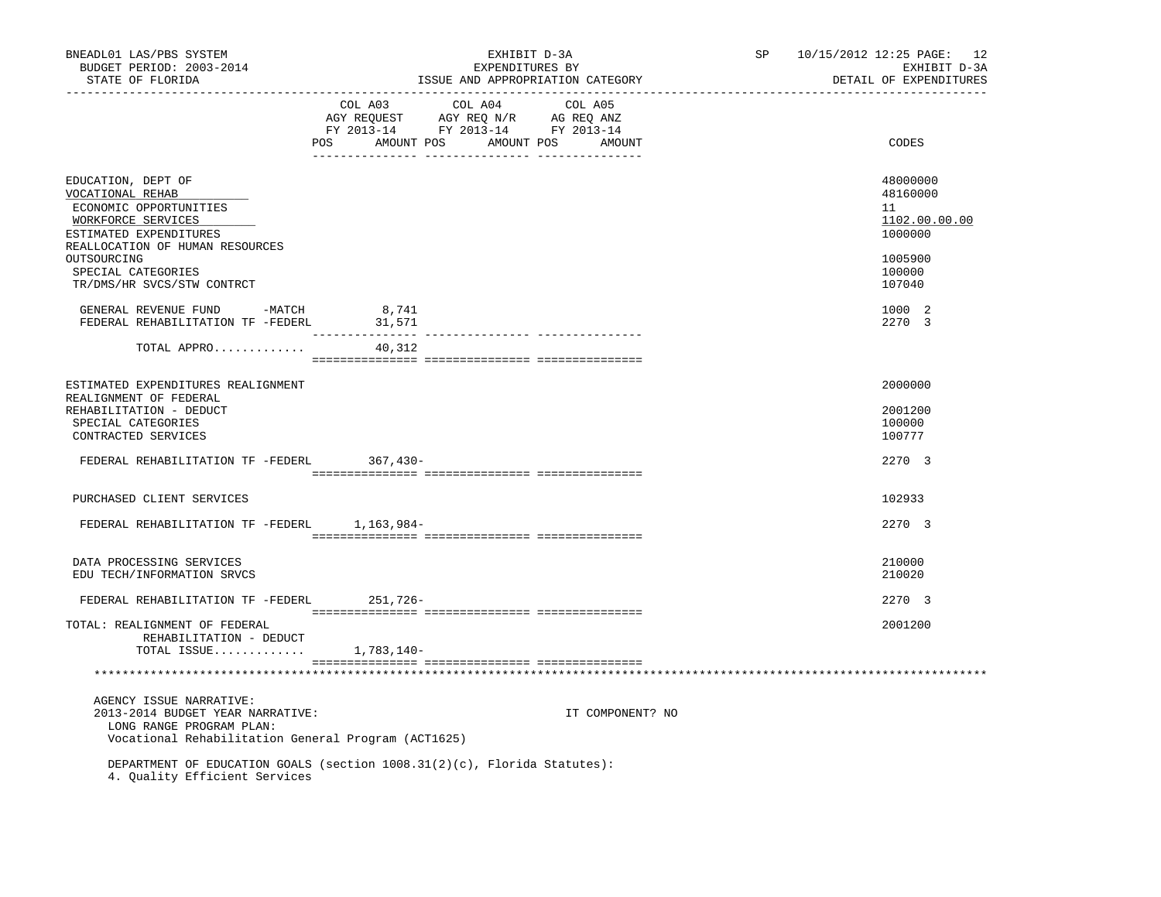| BNEADL01 LAS/PBS SYSTEM<br>BUDGET PERIOD: 2003-2014<br>STATE OF FLORIDA<br>----------------                                                         |                                      | EXHIBIT D-3A<br>EXPENDITURES BY<br>ISSUE AND APPROPRIATION CATEGORY                                 | SP and the set of the set of the set of the set of the set of the set of the set of the set of the set of the set of the set of the set of the set of the set of the set of the set of the set of the set of the set of the se | 10/15/2012 12:25 PAGE: 12<br>EXHIBIT D-3A<br>DETAIL OF EXPENDITURES |
|-----------------------------------------------------------------------------------------------------------------------------------------------------|--------------------------------------|-----------------------------------------------------------------------------------------------------|--------------------------------------------------------------------------------------------------------------------------------------------------------------------------------------------------------------------------------|---------------------------------------------------------------------|
|                                                                                                                                                     | COL A03<br>POS AMOUNT POS AMOUNT POS | COL A04 COL A05<br>AGY REQUEST AGY REQ N/R AG REQ ANZ<br>FY 2013-14 FY 2013-14 FY 2013-14<br>AMOUNT |                                                                                                                                                                                                                                | CODES                                                               |
| EDUCATION, DEPT OF<br>VOCATIONAL REHAB<br>ECONOMIC OPPORTUNITIES<br>WORKFORCE SERVICES<br>ESTIMATED EXPENDITURES<br>REALLOCATION OF HUMAN RESOURCES |                                      |                                                                                                     |                                                                                                                                                                                                                                | 48000000<br>48160000<br>11<br>1102.00.00.00<br>1000000              |
| OUTSOURCING<br>SPECIAL CATEGORIES<br>TR/DMS/HR SVCS/STW CONTRCT                                                                                     |                                      |                                                                                                     |                                                                                                                                                                                                                                | 1005900<br>100000<br>107040                                         |
| GENERAL REVENUE FUND -MATCH<br>FEDERAL REHABILITATION TF -FEDERL                                                                                    | 8,741<br>31,571                      |                                                                                                     |                                                                                                                                                                                                                                | 1000 2<br>2270 3                                                    |
| TOTAL APPRO                                                                                                                                         | 40,312                               |                                                                                                     |                                                                                                                                                                                                                                |                                                                     |
| ESTIMATED EXPENDITURES REALIGNMENT<br>REALIGNMENT OF FEDERAL<br>REHABILITATION - DEDUCT<br>SPECIAL CATEGORIES                                       |                                      |                                                                                                     |                                                                                                                                                                                                                                | 2000000<br>2001200<br>100000                                        |
| CONTRACTED SERVICES<br>FEDERAL REHABILITATION TF -FEDERL 367,430-                                                                                   |                                      |                                                                                                     |                                                                                                                                                                                                                                | 100777<br>2270 3                                                    |
| PURCHASED CLIENT SERVICES                                                                                                                           |                                      |                                                                                                     |                                                                                                                                                                                                                                | 102933                                                              |
| FEDERAL REHABILITATION TF -FEDERL 1,163,984-                                                                                                        |                                      |                                                                                                     |                                                                                                                                                                                                                                | 2270 3                                                              |
| DATA PROCESSING SERVICES<br>EDU TECH/INFORMATION SRVCS                                                                                              |                                      |                                                                                                     |                                                                                                                                                                                                                                | 210000<br>210020                                                    |
| FEDERAL REHABILITATION TF -FEDERL 251,726-                                                                                                          |                                      |                                                                                                     |                                                                                                                                                                                                                                | 2270 3                                                              |
| TOTAL: REALIGNMENT OF FEDERAL<br>REHABILITATION - DEDUCT<br>TOTAL ISSUE $1,783,140-$                                                                |                                      |                                                                                                     |                                                                                                                                                                                                                                | 2001200                                                             |
|                                                                                                                                                     |                                      |                                                                                                     |                                                                                                                                                                                                                                |                                                                     |
| AGENCY ISSUE NARRATIVE:<br>2013-2014 BUDGET YEAR NARRATIVE:<br>LONG RANGE PROGRAM PLAN:<br>Vocational Rehabilitation General Program (ACT1625)      |                                      | IT COMPONENT? NO                                                                                    |                                                                                                                                                                                                                                |                                                                     |
| DEPARTMENT OF EDUCATION GOALS (section 1008.31(2)(c), Florida Statutes):<br>4. Quality Efficient Services                                           |                                      |                                                                                                     |                                                                                                                                                                                                                                |                                                                     |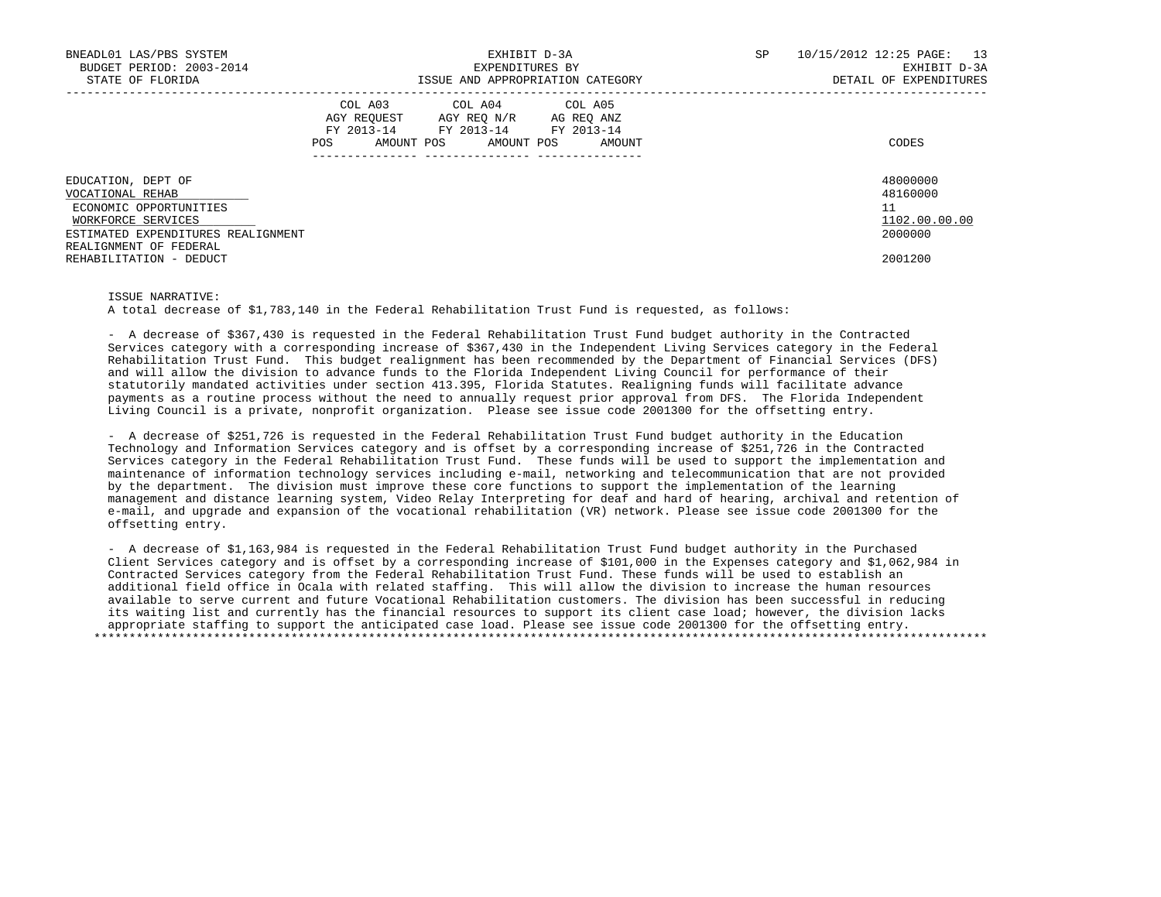| BNEADL01 LAS/PBS SYSTEM<br>BUDGET PERIOD: 2003-2014<br>STATE OF FLORIDA                                                      | EXHIBIT D-3A<br>EXPENDITURES BY<br>ISSUE AND APPROPRIATION CATEGORY                                                                                  | SP<br>10/15/2012 12:25 PAGE:<br>13<br>EXHIBIT D-3A<br>DETAIL OF EXPENDITURES |
|------------------------------------------------------------------------------------------------------------------------------|------------------------------------------------------------------------------------------------------------------------------------------------------|------------------------------------------------------------------------------|
|                                                                                                                              | COL A03 COL A04 COL A05<br>AGY REOUEST<br>AGY REO N/R<br>AG REO ANZ<br>FY 2013-14 FY 2013-14 FY 2013-14<br>AMOUNT POS<br>AMOUNT POS<br>POS<br>AMOUNT | CODES                                                                        |
| EDUCATION, DEPT OF<br>VOCATIONAL REHAB<br>ECONOMIC OPPORTUNITIES<br>WORKFORCE SERVICES<br>ESTIMATED EXPENDITURES REALIGNMENT |                                                                                                                                                      | 48000000<br>48160000<br>11<br>1102.00.00.00<br>2000000                       |
| REALIGNMENT OF FEDERAL<br>REHABILITATION - DEDUCT                                                                            |                                                                                                                                                      | 2001200                                                                      |

## ISSUE NARRATIVE:

A total decrease of \$1,783,140 in the Federal Rehabilitation Trust Fund is requested, as follows:

 - A decrease of \$367,430 is requested in the Federal Rehabilitation Trust Fund budget authority in the Contracted Services category with a corresponding increase of \$367,430 in the Independent Living Services category in the Federal Rehabilitation Trust Fund. This budget realignment has been recommended by the Department of Financial Services (DFS) and will allow the division to advance funds to the Florida Independent Living Council for performance of their statutorily mandated activities under section 413.395, Florida Statutes. Realigning funds will facilitate advance payments as a routine process without the need to annually request prior approval from DFS. The Florida Independent Living Council is a private, nonprofit organization. Please see issue code 2001300 for the offsetting entry.

 - A decrease of \$251,726 is requested in the Federal Rehabilitation Trust Fund budget authority in the Education Technology and Information Services category and is offset by a corresponding increase of \$251,726 in the Contracted Services category in the Federal Rehabilitation Trust Fund. These funds will be used to support the implementation and maintenance of information technology services including e-mail, networking and telecommunication that are not provided by the department. The division must improve these core functions to support the implementation of the learning management and distance learning system, Video Relay Interpreting for deaf and hard of hearing, archival and retention of e-mail, and upgrade and expansion of the vocational rehabilitation (VR) network. Please see issue code 2001300 for the offsetting entry.

 - A decrease of \$1,163,984 is requested in the Federal Rehabilitation Trust Fund budget authority in the Purchased Client Services category and is offset by a corresponding increase of \$101,000 in the Expenses category and \$1,062,984 in Contracted Services category from the Federal Rehabilitation Trust Fund. These funds will be used to establish an additional field office in Ocala with related staffing. This will allow the division to increase the human resources available to serve current and future Vocational Rehabilitation customers. The division has been successful in reducing its waiting list and currently has the financial resources to support its client case load; however, the division lacks appropriate staffing to support the anticipated case load. Please see issue code 2001300 for the offsetting entry. \*\*\*\*\*\*\*\*\*\*\*\*\*\*\*\*\*\*\*\*\*\*\*\*\*\*\*\*\*\*\*\*\*\*\*\*\*\*\*\*\*\*\*\*\*\*\*\*\*\*\*\*\*\*\*\*\*\*\*\*\*\*\*\*\*\*\*\*\*\*\*\*\*\*\*\*\*\*\*\*\*\*\*\*\*\*\*\*\*\*\*\*\*\*\*\*\*\*\*\*\*\*\*\*\*\*\*\*\*\*\*\*\*\*\*\*\*\*\*\*\*\*\*\*\*\*\*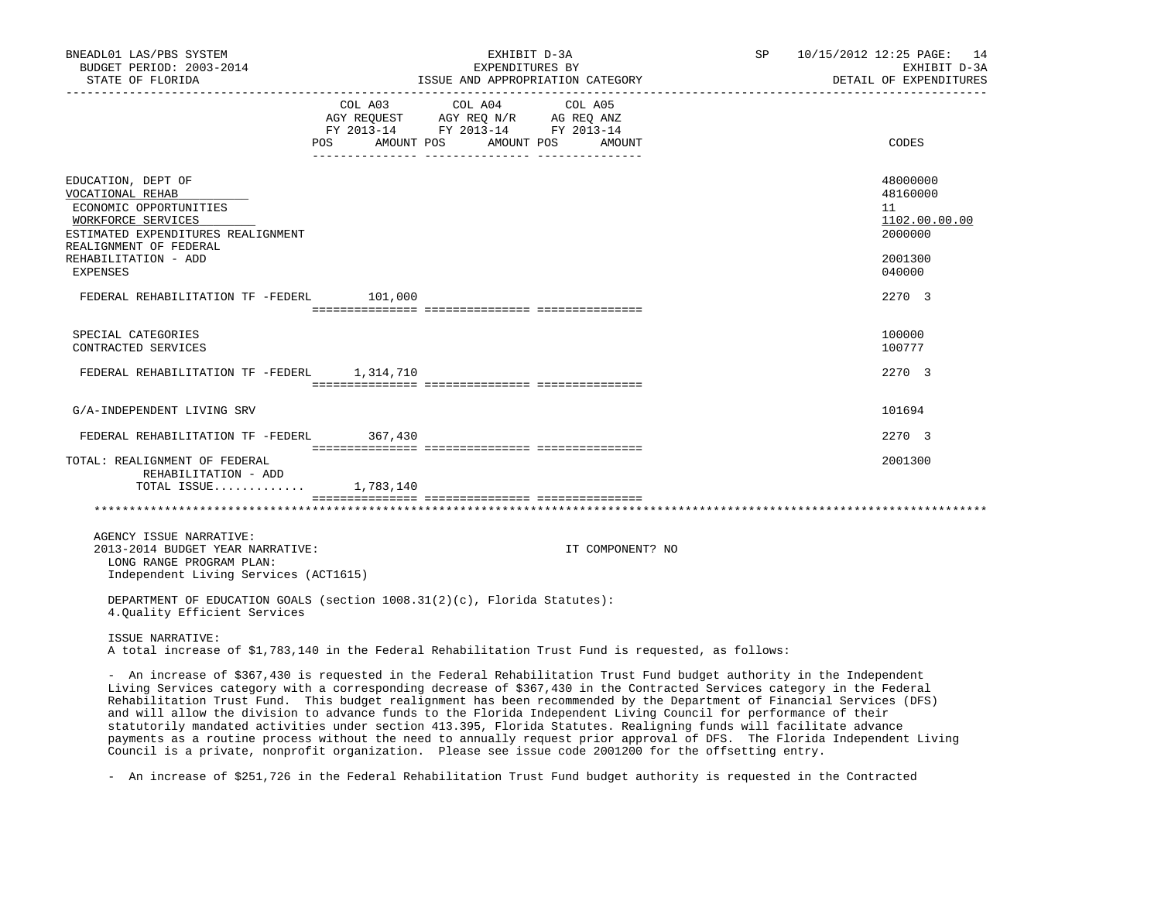| BNEADL01 LAS/PBS SYSTEM<br>BUDGET PERIOD: 2003-2014<br>STATE OF FLORIDA                                                                                                                                                                                                                                                                                                                                                                                                                                                                                                                                                                                                                                                                                                                                                                              |                                                                                                                               | EXHIBIT D-3A<br>EXPENDITURES BY<br>ISSUE AND APPROPRIATION CATEGORY | SP               | 10/15/2012 12:25 PAGE: 14<br>EXHIBIT D-3A<br>DETAIL OF EXPENDITURES |                                                        |
|------------------------------------------------------------------------------------------------------------------------------------------------------------------------------------------------------------------------------------------------------------------------------------------------------------------------------------------------------------------------------------------------------------------------------------------------------------------------------------------------------------------------------------------------------------------------------------------------------------------------------------------------------------------------------------------------------------------------------------------------------------------------------------------------------------------------------------------------------|-------------------------------------------------------------------------------------------------------------------------------|---------------------------------------------------------------------|------------------|---------------------------------------------------------------------|--------------------------------------------------------|
|                                                                                                                                                                                                                                                                                                                                                                                                                                                                                                                                                                                                                                                                                                                                                                                                                                                      | AGY REQUEST AGY REQ N/R AG REQ ANZ<br>FY 2013-14 FY 2013-14 FY 2013-14<br>POS AMOUNT POS AMOUNT POS AMOUNT<br>_________ _____ | COL A03 COL A04                                                     | COL A05          |                                                                     | CODES                                                  |
| EDUCATION, DEPT OF<br>VOCATIONAL REHAB<br>ECONOMIC OPPORTUNITIES<br>WORKFORCE SERVICES<br>ESTIMATED EXPENDITURES REALIGNMENT<br>REALIGNMENT OF FEDERAL                                                                                                                                                                                                                                                                                                                                                                                                                                                                                                                                                                                                                                                                                               |                                                                                                                               |                                                                     |                  |                                                                     | 48000000<br>48160000<br>11<br>1102.00.00.00<br>2000000 |
| REHABILITATION - ADD<br><b>EXPENSES</b>                                                                                                                                                                                                                                                                                                                                                                                                                                                                                                                                                                                                                                                                                                                                                                                                              |                                                                                                                               |                                                                     |                  |                                                                     | 2001300<br>040000                                      |
| FEDERAL REHABILITATION TF -FEDERL 101,000                                                                                                                                                                                                                                                                                                                                                                                                                                                                                                                                                                                                                                                                                                                                                                                                            |                                                                                                                               |                                                                     |                  |                                                                     | 2270 3                                                 |
| SPECIAL CATEGORIES<br>CONTRACTED SERVICES                                                                                                                                                                                                                                                                                                                                                                                                                                                                                                                                                                                                                                                                                                                                                                                                            |                                                                                                                               |                                                                     |                  |                                                                     | 100000<br>100777                                       |
| FEDERAL REHABILITATION TF -FEDERL 1,314,710                                                                                                                                                                                                                                                                                                                                                                                                                                                                                                                                                                                                                                                                                                                                                                                                          |                                                                                                                               |                                                                     |                  |                                                                     | 2270 3                                                 |
| G/A-INDEPENDENT LIVING SRV                                                                                                                                                                                                                                                                                                                                                                                                                                                                                                                                                                                                                                                                                                                                                                                                                           |                                                                                                                               |                                                                     |                  |                                                                     | 101694                                                 |
| FEDERAL REHABILITATION TF -FEDERL 367,430                                                                                                                                                                                                                                                                                                                                                                                                                                                                                                                                                                                                                                                                                                                                                                                                            |                                                                                                                               |                                                                     |                  |                                                                     | 2270 3                                                 |
| TOTAL: REALIGNMENT OF FEDERAL<br>REHABILITATION - ADD<br>TOTAL ISSUE 1,783,140                                                                                                                                                                                                                                                                                                                                                                                                                                                                                                                                                                                                                                                                                                                                                                       |                                                                                                                               |                                                                     |                  |                                                                     | 2001300                                                |
|                                                                                                                                                                                                                                                                                                                                                                                                                                                                                                                                                                                                                                                                                                                                                                                                                                                      |                                                                                                                               |                                                                     |                  |                                                                     |                                                        |
| AGENCY ISSUE NARRATIVE:<br>2013-2014 BUDGET YEAR NARRATIVE:<br>LONG RANGE PROGRAM PLAN:<br>Independent Living Services (ACT1615)                                                                                                                                                                                                                                                                                                                                                                                                                                                                                                                                                                                                                                                                                                                     |                                                                                                                               |                                                                     | IT COMPONENT? NO |                                                                     |                                                        |
| DEPARTMENT OF EDUCATION GOALS (section $1008.31(2)(c)$ , Florida Statutes):<br>4.Quality Efficient Services                                                                                                                                                                                                                                                                                                                                                                                                                                                                                                                                                                                                                                                                                                                                          |                                                                                                                               |                                                                     |                  |                                                                     |                                                        |
| ISSUE NARRATIVE:<br>A total increase of \$1,783,140 in the Federal Rehabilitation Trust Fund is requested, as follows:                                                                                                                                                                                                                                                                                                                                                                                                                                                                                                                                                                                                                                                                                                                               |                                                                                                                               |                                                                     |                  |                                                                     |                                                        |
| - An increase of \$367,430 is requested in the Federal Rehabilitation Trust Fund budget authority in the Independent<br>Living Services category with a corresponding decrease of \$367,430 in the Contracted Services category in the Federal<br>Rehabilitation Trust Fund. This budget realignment has been recommended by the Department of Financial Services (DFS)<br>and will allow the division to advance funds to the Florida Independent Living Council for performance of their<br>statutorily mandated activities under section 413.395, Florida Statutes. Realigning funds will facilitate advance<br>payments as a routine process without the need to annually request prior approval of DFS. The Florida Independent Living<br>Council is a private, nonprofit organization. Please see issue code 2001200 for the offsetting entry. |                                                                                                                               |                                                                     |                  |                                                                     |                                                        |

- An increase of \$251,726 in the Federal Rehabilitation Trust Fund budget authority is requested in the Contracted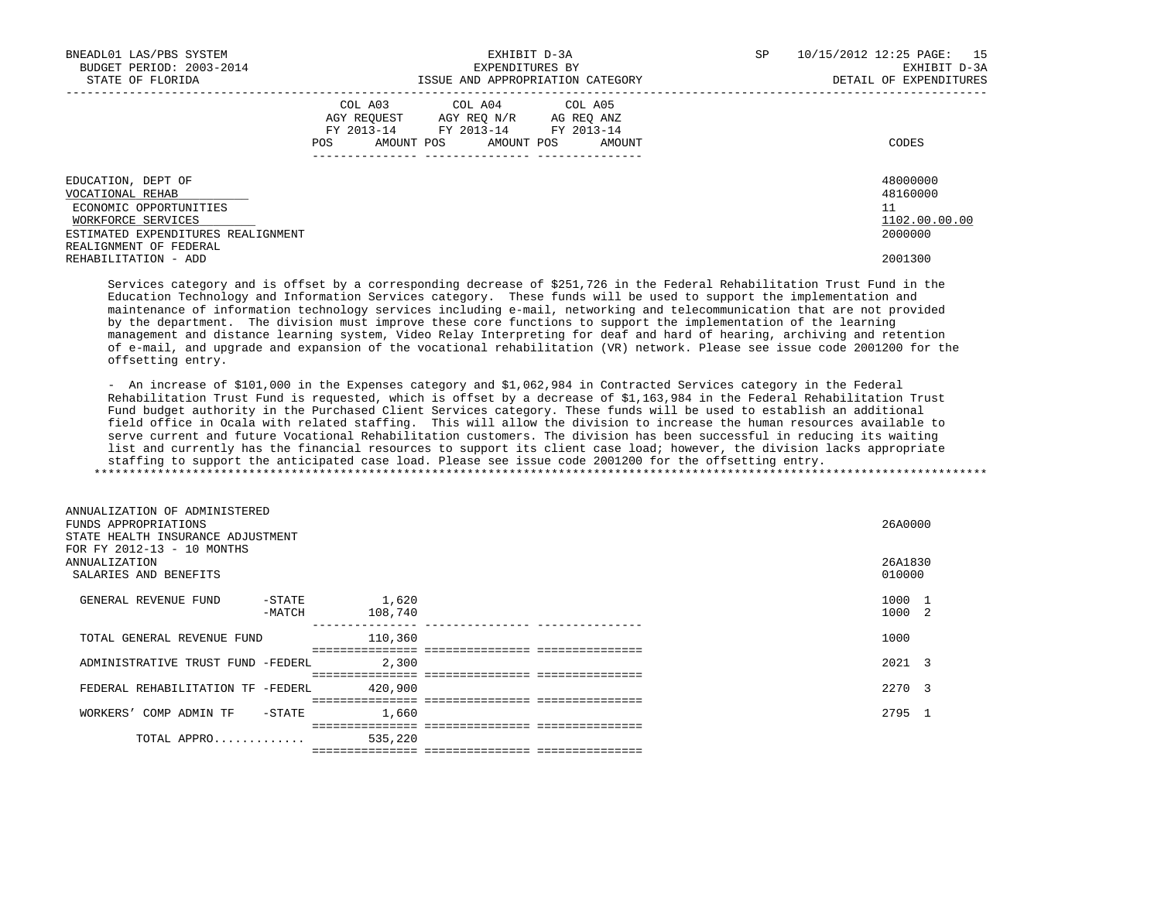| BNEADL01 LAS/PBS SYSTEM            | EXHIBIT D-3A                              | 15<br>SP<br>10/15/2012 12:25 PAGE: |
|------------------------------------|-------------------------------------------|------------------------------------|
| BUDGET PERIOD: 2003-2014           | EXPENDITURES BY                           | EXHIBIT D-3A                       |
| STATE OF FLORIDA                   | ISSUE AND APPROPRIATION CATEGORY          | DETAIL OF EXPENDITURES             |
|                                    | COL A03 COL A04 COL A05                   |                                    |
|                                    | AGY REOUEST<br>AGY REO N/R<br>AG REO ANZ  |                                    |
|                                    | FY 2013-14<br>FY 2013-14 FY 2013-14       |                                    |
|                                    | AMOUNT POS<br>POS<br>AMOUNT POS<br>AMOUNT | CODES                              |
|                                    |                                           |                                    |
| EDUCATION, DEPT OF                 |                                           | 48000000                           |
| VOCATIONAL REHAB                   |                                           | 48160000                           |
| ECONOMIC OPPORTUNITIES             |                                           | 11                                 |
| WORKFORCE SERVICES                 |                                           | 1102.00.00.00                      |
| ESTIMATED EXPENDITURES REALIGNMENT |                                           | 2000000                            |
| REALIGNMENT OF FEDERAL             |                                           |                                    |
| REHABILITATION - ADD               |                                           | 2001300                            |

 Services category and is offset by a corresponding decrease of \$251,726 in the Federal Rehabilitation Trust Fund in the Education Technology and Information Services category. These funds will be used to support the implementation and maintenance of information technology services including e-mail, networking and telecommunication that are not provided by the department. The division must improve these core functions to support the implementation of the learning management and distance learning system, Video Relay Interpreting for deaf and hard of hearing, archiving and retention of e-mail, and upgrade and expansion of the vocational rehabilitation (VR) network. Please see issue code 2001200 for the offsetting entry.

 - An increase of \$101,000 in the Expenses category and \$1,062,984 in Contracted Services category in the Federal Rehabilitation Trust Fund is requested, which is offset by a decrease of \$1,163,984 in the Federal Rehabilitation Trust Fund budget authority in the Purchased Client Services category. These funds will be used to establish an additional field office in Ocala with related staffing. This will allow the division to increase the human resources available to serve current and future Vocational Rehabilitation customers. The division has been successful in reducing its waiting list and currently has the financial resources to support its client case load; however, the division lacks appropriate staffing to support the anticipated case load. Please see issue code 2001200 for the offsetting entry. \*\*\*\*\*\*\*\*\*\*\*\*\*\*\*\*\*\*\*\*\*\*\*\*\*\*\*\*\*\*\*\*\*\*\*\*\*\*\*\*\*\*\*\*\*\*\*\*\*\*\*\*\*\*\*\*\*\*\*\*\*\*\*\*\*\*\*\*\*\*\*\*\*\*\*\*\*\*\*\*\*\*\*\*\*\*\*\*\*\*\*\*\*\*\*\*\*\*\*\*\*\*\*\*\*\*\*\*\*\*\*\*\*\*\*\*\*\*\*\*\*\*\*\*\*\*\*

| ANNUALIZATION OF ADMINISTERED          |         |                                           |  |
|----------------------------------------|---------|-------------------------------------------|--|
| FUNDS APPROPRIATIONS                   |         | 26A0000                                   |  |
| STATE HEALTH INSURANCE ADJUSTMENT      |         |                                           |  |
| FOR FY 2012-13 - 10 MONTHS             |         |                                           |  |
| <b>ANNUALIZATION</b>                   |         | 26A1830                                   |  |
| SALARIES AND BENEFITS                  |         | 010000                                    |  |
|                                        |         |                                           |  |
| GENERAL REVENUE FUND<br>-STATE         | 1,620   | 1000                                      |  |
| -MATCH                                 | 108,740 | 1000<br>-2                                |  |
|                                        |         |                                           |  |
| TOTAL GENERAL REVENUE FUND             | 110,360 | 1000                                      |  |
|                                        |         |                                           |  |
| ADMINISTRATIVE TRUST FUND -FEDERL      | 2,300   | 2021 3<br>=============================== |  |
| FEDERAL REHABILITATION TF -FEDERL      | 420,900 | 2270 3                                    |  |
|                                        |         |                                           |  |
| $-$ STATE<br>WORKERS'<br>COMP ADMIN TF | 1,660   | 2795                                      |  |
|                                        |         |                                           |  |
| TOTAL APPRO                            | 535,220 |                                           |  |
|                                        |         |                                           |  |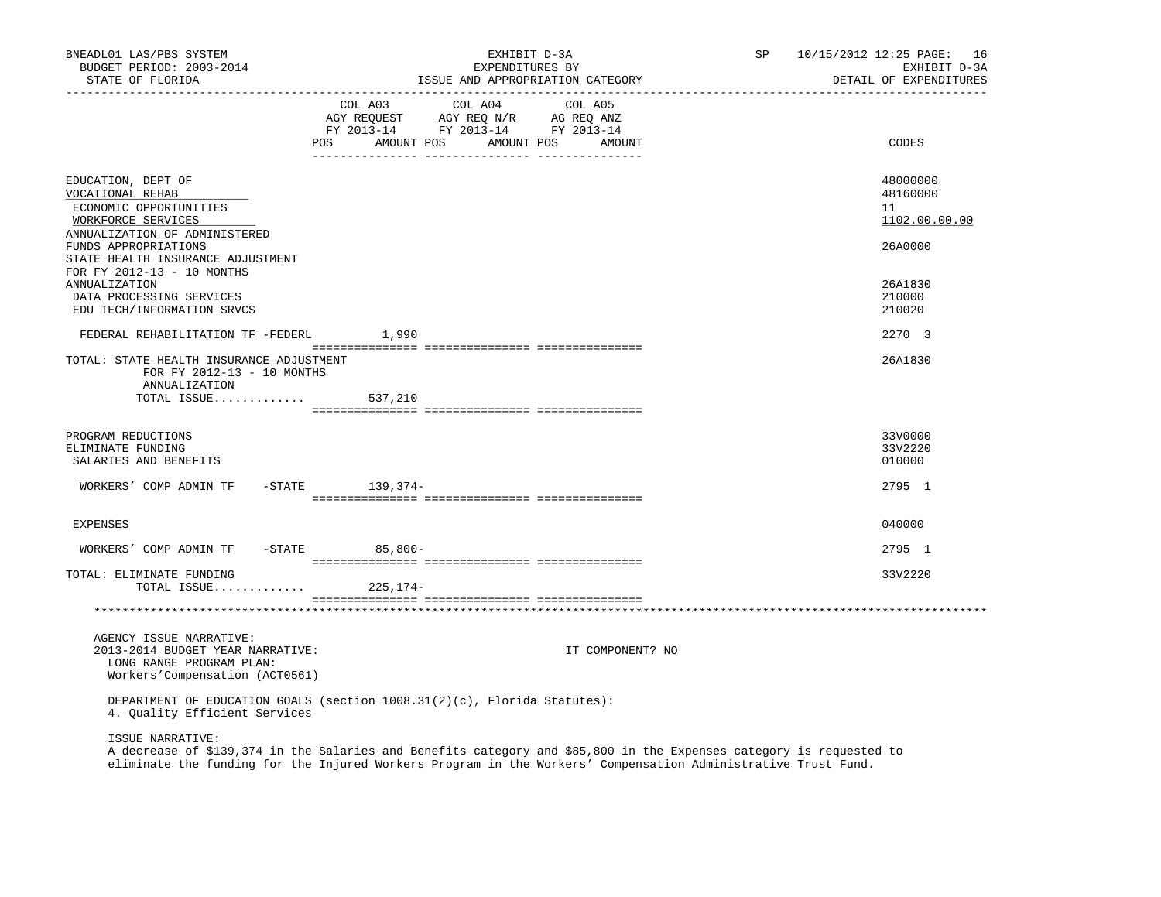| BNEADL01 LAS/PBS SYSTEM<br>BUDGET PERIOD: 2003-2014<br>STATE OF FLORIDA                                                                 | EXHIBIT D-3A<br>EXPENDITURES BY<br>ISSUE AND APPROPRIATION CATEGORY |                                                                                                                                                                                                                                                                               |  |         |         | SP               | 10/15/2012 12:25 PAGE: 16<br>EXHIBIT D-3A<br>DETAIL OF EXPENDITURES |                              |
|-----------------------------------------------------------------------------------------------------------------------------------------|---------------------------------------------------------------------|-------------------------------------------------------------------------------------------------------------------------------------------------------------------------------------------------------------------------------------------------------------------------------|--|---------|---------|------------------|---------------------------------------------------------------------|------------------------------|
|                                                                                                                                         |                                                                     | COL A03<br>COLORS COLORS COLORS AGRICULATION AND MANY REQUEST AGY REQ AND AGRICULATION AND MANY AGRICULATION AND MANY AGRICULATION AND A SALE AND A SALE AND A SALE AND A SALE AND A SALE AND A SALE AND A SALE AND A SALE AND A SALE AND<br>POS AMOUNT POS AMOUNT POS AMOUNT |  | COL A04 | COL A05 |                  |                                                                     | CODES                        |
|                                                                                                                                         |                                                                     |                                                                                                                                                                                                                                                                               |  |         |         |                  |                                                                     |                              |
| EDUCATION, DEPT OF<br>VOCATIONAL REHAB                                                                                                  |                                                                     |                                                                                                                                                                                                                                                                               |  |         |         |                  |                                                                     | 48000000<br>48160000         |
| ECONOMIC OPPORTUNITIES<br>WORKFORCE SERVICES                                                                                            |                                                                     |                                                                                                                                                                                                                                                                               |  |         |         |                  |                                                                     | 11<br>1102.00.00.00          |
| ANNUALIZATION OF ADMINISTERED<br>FUNDS APPROPRIATIONS<br>STATE HEALTH INSURANCE ADJUSTMENT                                              |                                                                     |                                                                                                                                                                                                                                                                               |  |         |         |                  |                                                                     | 26A0000                      |
| FOR FY 2012-13 - 10 MONTHS<br><b>ANNUALIZATION</b>                                                                                      |                                                                     |                                                                                                                                                                                                                                                                               |  |         |         |                  |                                                                     | 26A1830                      |
| DATA PROCESSING SERVICES<br>EDU TECH/INFORMATION SRVCS                                                                                  |                                                                     |                                                                                                                                                                                                                                                                               |  |         |         |                  |                                                                     | 210000<br>210020             |
| FEDERAL REHABILITATION TF -FEDERL 1,990                                                                                                 |                                                                     |                                                                                                                                                                                                                                                                               |  |         |         |                  |                                                                     | 2270 3                       |
| TOTAL: STATE HEALTH INSURANCE ADJUSTMENT<br>FOR FY 2012-13 - 10 MONTHS<br>ANNUALIZATION<br>TOTAL ISSUE $537,210$                        |                                                                     |                                                                                                                                                                                                                                                                               |  |         |         |                  |                                                                     | 26A1830                      |
|                                                                                                                                         |                                                                     |                                                                                                                                                                                                                                                                               |  |         |         |                  |                                                                     |                              |
| PROGRAM REDUCTIONS<br>ELIMINATE FUNDING<br>SALARIES AND BENEFITS                                                                        |                                                                     |                                                                                                                                                                                                                                                                               |  |         |         |                  |                                                                     | 33V0000<br>33V2220<br>010000 |
| WORKERS' COMP ADMIN TF -STATE 139,374-                                                                                                  |                                                                     |                                                                                                                                                                                                                                                                               |  |         |         |                  |                                                                     | 2795 1                       |
| <b>EXPENSES</b>                                                                                                                         |                                                                     |                                                                                                                                                                                                                                                                               |  |         |         |                  |                                                                     | 040000                       |
| WORKERS' COMP ADMIN TF -STATE 65,800-                                                                                                   |                                                                     |                                                                                                                                                                                                                                                                               |  |         |         |                  |                                                                     | 2795 1                       |
| TOTAL: ELIMINATE FUNDING<br>TOTAL ISSUE $225,174-$                                                                                      |                                                                     |                                                                                                                                                                                                                                                                               |  |         |         |                  |                                                                     | 33V2220                      |
|                                                                                                                                         |                                                                     |                                                                                                                                                                                                                                                                               |  |         |         |                  |                                                                     |                              |
| AGENCY ISSUE NARRATIVE:<br>2013-2014 BUDGET YEAR NARRATIVE:<br>LONG RANGE PROGRAM PLAN:<br>Workers'Compensation (ACT0561)               |                                                                     |                                                                                                                                                                                                                                                                               |  |         |         | IT COMPONENT? NO |                                                                     |                              |
| DEPARTMENT OF EDUCATION GOALS (section 1008.31(2)(c), Florida Statutes):<br>4. Quality Efficient Services                               |                                                                     |                                                                                                                                                                                                                                                                               |  |         |         |                  |                                                                     |                              |
| ISSUE NARRATIVE:<br>A decrease of \$139,374 in the Salaries and Benefits category and \$85,800 in the Expenses category is requested to |                                                                     |                                                                                                                                                                                                                                                                               |  |         |         |                  |                                                                     |                              |

eliminate the funding for the Injured Workers Program in the Workers' Compensation Administrative Trust Fund.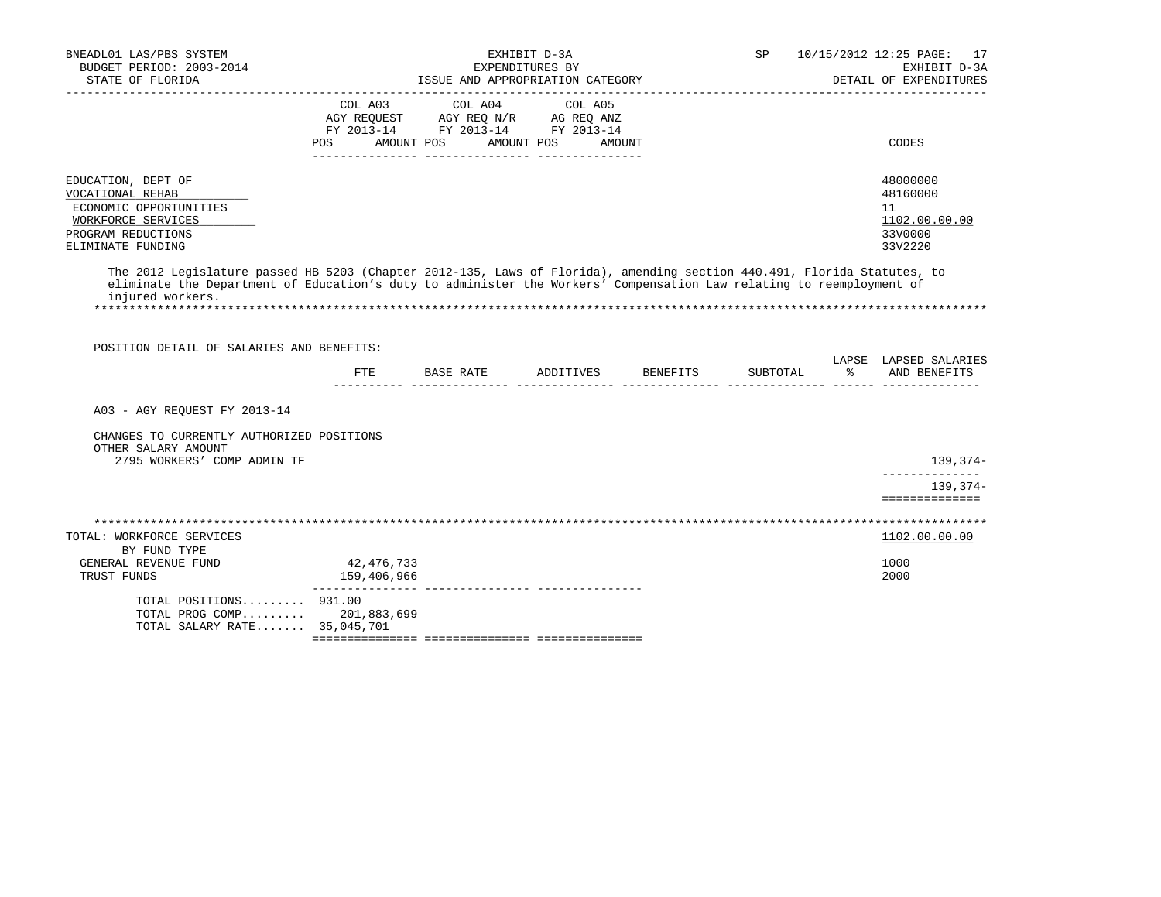| BUDGET PERIOD: 2003-2014<br>STATE OF FLORIDA                                                                                                                                                                                                                        |                                      | ISSUE AND APPROPRIATION CATEGORY                                                                                                                            | EXHIBIT D-3A<br>EXPENDITURES BY |        | SP       | 10/15/2012 12:25 PAGE: 17<br>EXHIBIT D-3A<br>DETAIL OF EXPENDITURES |
|---------------------------------------------------------------------------------------------------------------------------------------------------------------------------------------------------------------------------------------------------------------------|--------------------------------------|-------------------------------------------------------------------------------------------------------------------------------------------------------------|---------------------------------|--------|----------|---------------------------------------------------------------------|
|                                                                                                                                                                                                                                                                     | COL A03<br>POS AMOUNT POS AMOUNT POS | COL A04<br>$\begin{tabular}{lllllll} AGY & \texttt{REQUEST} & \texttt{AGY REQ N/R} & \texttt{AG REQ ANZ} \end{tabular}$<br>FY 2013-14 FY 2013-14 FY 2013-14 | COL A05                         | AMOUNT |          | CODES                                                               |
| EDUCATION, DEPT OF<br>VOCATIONAL REHAB<br>ECONOMIC OPPORTUNITIES<br>WORKFORCE SERVICES<br>PROGRAM REDUCTIONS<br>ELIMINATE FUNDING                                                                                                                                   |                                      |                                                                                                                                                             |                                 |        |          | 48000000<br>48160000<br>11<br>1102.00.00.00<br>33V0000<br>33V2220   |
| The 2012 Legislature passed HB 5203 (Chapter 2012-135, Laws of Florida), amending section 440.491, Florida Statutes, to<br>eliminate the Department of Education's duty to administer the Workers' Compensation Law relating to reemployment of<br>injured workers. |                                      |                                                                                                                                                             |                                 |        |          |                                                                     |
|                                                                                                                                                                                                                                                                     |                                      |                                                                                                                                                             |                                 |        |          |                                                                     |
| POSITION DETAIL OF SALARIES AND BENEFITS:                                                                                                                                                                                                                           |                                      | FTE BASE RATE ADDITIVES BENEFITS                                                                                                                            |                                 |        | SUBTOTAL | LAPSE LAPSED SALARIES<br>% AND BENEFITS                             |
| A03 - AGY REQUEST FY 2013-14                                                                                                                                                                                                                                        |                                      |                                                                                                                                                             |                                 |        |          |                                                                     |
| CHANGES TO CURRENTLY AUTHORIZED POSITIONS<br>OTHER SALARY AMOUNT<br>2795 WORKERS' COMP ADMIN TF                                                                                                                                                                     |                                      |                                                                                                                                                             |                                 |        |          | 139,374-                                                            |
|                                                                                                                                                                                                                                                                     |                                      |                                                                                                                                                             |                                 |        |          | ______________<br>139,374-<br>==============                        |
|                                                                                                                                                                                                                                                                     |                                      |                                                                                                                                                             |                                 |        |          |                                                                     |
| TOTAL: WORKFORCE SERVICES<br>BY FUND TYPE                                                                                                                                                                                                                           |                                      |                                                                                                                                                             |                                 |        |          | 1102.00.00.00                                                       |
| GENERAL REVENUE FUND<br>TRUST FUNDS                                                                                                                                                                                                                                 | 42,476,733<br>159,406,966            |                                                                                                                                                             |                                 |        |          | 1000<br>2000                                                        |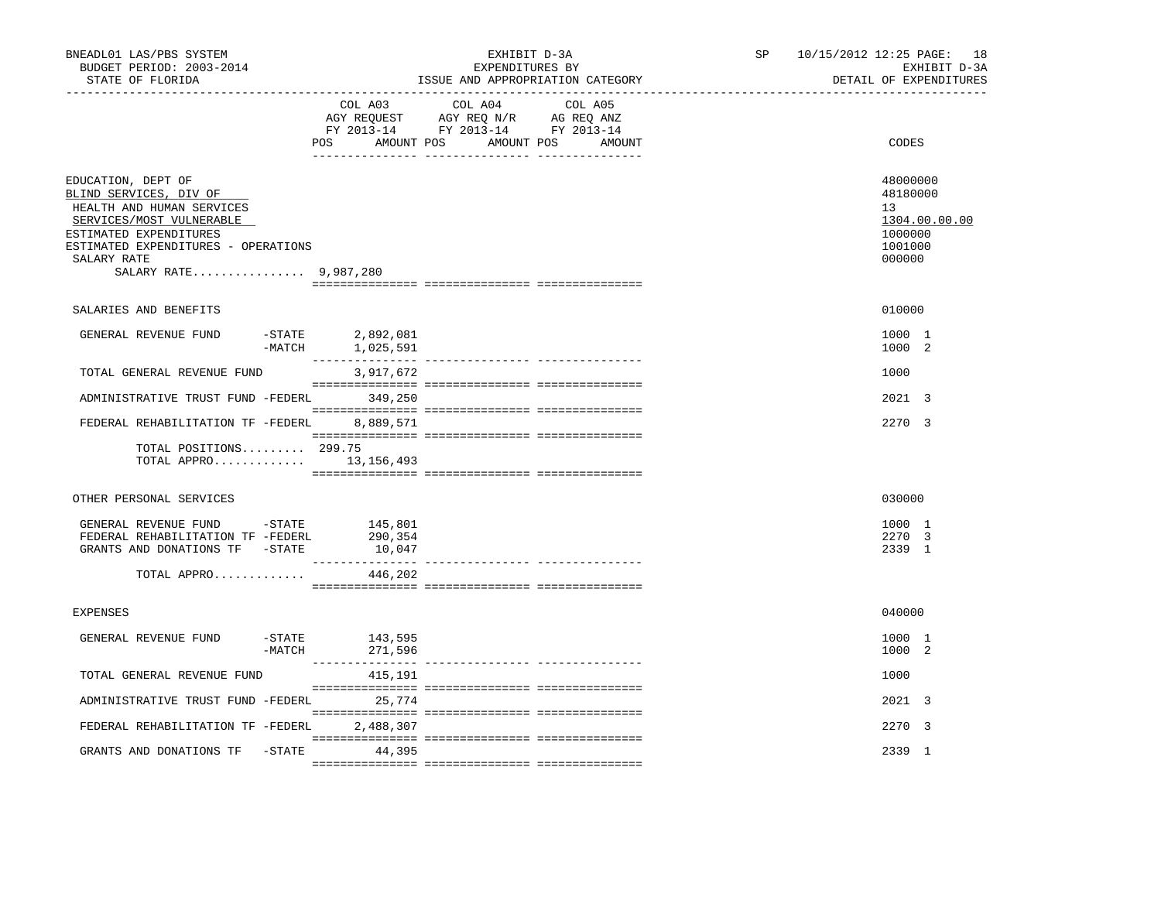| BNEADL01 LAS/PBS SYSTEM<br>BUDGET PERIOD: 2003-2014<br>STATE OF FLORIDA                                                                                                                                        |                                                 | EXHIBIT D-3A<br>EXPENDITURES BY<br>ISSUE AND APPROPRIATION CATEGORY                                                                   | SP and the set of the set of the set of the set of the set of the set of the set of the set of the set of the set of the set of the set of the set of the set of the set of the set of the set of the set of the set of the se | 10/15/2012 12:25 PAGE: 18<br>EXHIBIT D-3A<br>DETAIL OF EXPENDITURES                      |
|----------------------------------------------------------------------------------------------------------------------------------------------------------------------------------------------------------------|-------------------------------------------------|---------------------------------------------------------------------------------------------------------------------------------------|--------------------------------------------------------------------------------------------------------------------------------------------------------------------------------------------------------------------------------|------------------------------------------------------------------------------------------|
|                                                                                                                                                                                                                |                                                 | COL A03 COL A04 COL A05<br>AGY REQUEST AGY REQ N/R AG REQ ANZ<br>FY 2013-14 FY 2013-14 FY 2013-14<br>POS AMOUNT POS AMOUNT POS AMOUNT |                                                                                                                                                                                                                                | CODES                                                                                    |
| EDUCATION, DEPT OF<br>BLIND SERVICES, DIV OF<br>HEALTH AND HUMAN SERVICES<br>SERVICES/MOST VULNERABLE<br>ESTIMATED EXPENDITURES<br>ESTIMATED EXPENDITURES - OPERATIONS<br>SALARY RATE<br>SALARY RATE 9,987,280 |                                                 |                                                                                                                                       |                                                                                                                                                                                                                                | 48000000<br>48180000<br>13 <sup>°</sup><br>1304.00.00.00<br>1000000<br>1001000<br>000000 |
| SALARIES AND BENEFITS                                                                                                                                                                                          |                                                 |                                                                                                                                       |                                                                                                                                                                                                                                | 010000                                                                                   |
| GENERAL REVENUE FUND                                                                                                                                                                                           | $-$ STATE<br>2,892,081<br>$-MATCH$<br>1,025,591 |                                                                                                                                       |                                                                                                                                                                                                                                | 1000 1<br>1000 2                                                                         |
| TOTAL GENERAL REVENUE FUND                                                                                                                                                                                     | 3,917,672                                       |                                                                                                                                       |                                                                                                                                                                                                                                | 1000                                                                                     |
| ADMINISTRATIVE TRUST FUND -FEDERL 349,250                                                                                                                                                                      |                                                 |                                                                                                                                       |                                                                                                                                                                                                                                | 2021 3                                                                                   |
| FEDERAL REHABILITATION TF -FEDERL 8,889,571                                                                                                                                                                    |                                                 |                                                                                                                                       |                                                                                                                                                                                                                                | 2270 3                                                                                   |
| TOTAL POSITIONS 299.75<br>TOTAL APPRO 13,156,493                                                                                                                                                               |                                                 |                                                                                                                                       |                                                                                                                                                                                                                                |                                                                                          |
| OTHER PERSONAL SERVICES                                                                                                                                                                                        |                                                 |                                                                                                                                       |                                                                                                                                                                                                                                | 030000                                                                                   |
| GENERAL REVENUE FUND - STATE<br>FEDERAL REHABILITATION TF -FEDERL<br>GRANTS AND DONATIONS TF -STATE                                                                                                            | 145,801<br>290,354<br>10,047<br>_______________ |                                                                                                                                       |                                                                                                                                                                                                                                | 1000 1<br>2270 3<br>2339 1                                                               |
| TOTAL APPRO                                                                                                                                                                                                    | 446,202                                         |                                                                                                                                       |                                                                                                                                                                                                                                |                                                                                          |
| <b>EXPENSES</b>                                                                                                                                                                                                |                                                 |                                                                                                                                       |                                                                                                                                                                                                                                | 040000                                                                                   |
| GENERAL REVENUE FUND<br>-STATE<br>-MATCH                                                                                                                                                                       | 143,595<br>271,596                              |                                                                                                                                       |                                                                                                                                                                                                                                | 1000 1<br>1000 2                                                                         |
| TOTAL GENERAL REVENUE FUND                                                                                                                                                                                     | 415,191                                         |                                                                                                                                       |                                                                                                                                                                                                                                | 1000                                                                                     |
| ADMINISTRATIVE TRUST FUND -FEDERL                                                                                                                                                                              | 25,774                                          |                                                                                                                                       |                                                                                                                                                                                                                                | 2021 3                                                                                   |
| FEDERAL REHABILITATION TF -FEDERL                                                                                                                                                                              | 2,488,307                                       |                                                                                                                                       |                                                                                                                                                                                                                                | 2270 3                                                                                   |
| GRANTS AND DONATIONS TF -STATE 44,395                                                                                                                                                                          |                                                 |                                                                                                                                       |                                                                                                                                                                                                                                | 2339 1                                                                                   |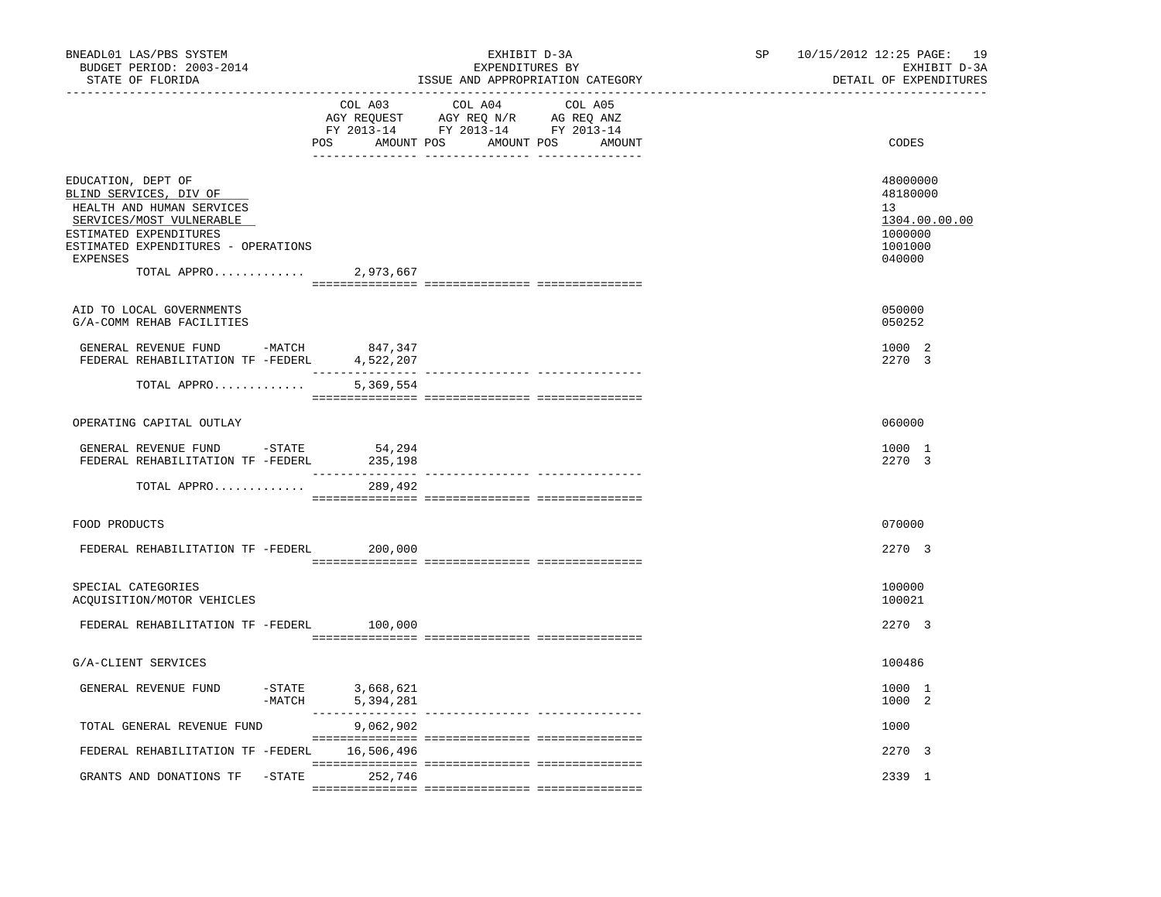| BNEADL01 LAS/PBS SYSTEM<br>BUDGET PERIOD: 2003-2014<br>STATE OF FLORIDA                                                                                                                                            |                                            | EXHIBIT D-3A<br>EXPENDITURES BY<br>ISSUE AND APPROPRIATION CATEGORY                                                              | SP | 10/15/2012 12:25 PAGE: 19<br>EXHIBIT D-3A<br>DETAIL OF EXPENDITURES         |
|--------------------------------------------------------------------------------------------------------------------------------------------------------------------------------------------------------------------|--------------------------------------------|----------------------------------------------------------------------------------------------------------------------------------|----|-----------------------------------------------------------------------------|
|                                                                                                                                                                                                                    | COL A03                                    | COL A04<br>COL A05<br>AGY REQUEST AGY REQ N/R AG REQ ANZ<br>FY 2013-14 FY 2013-14 FY 2013-14<br>POS AMOUNT POS AMOUNT POS AMOUNT |    | CODES                                                                       |
| EDUCATION, DEPT OF<br>BLIND SERVICES, DIV OF<br>HEALTH AND HUMAN SERVICES<br>SERVICES/MOST VULNERABLE<br>ESTIMATED EXPENDITURES<br>ESTIMATED EXPENDITURES - OPERATIONS<br><b>EXPENSES</b><br>TOTAL APPRO 2,973,667 |                                            |                                                                                                                                  |    | 48000000<br>48180000<br>13<br>1304.00.00.00<br>1000000<br>1001000<br>040000 |
| AID TO LOCAL GOVERNMENTS<br>G/A-COMM REHAB FACILITIES                                                                                                                                                              |                                            |                                                                                                                                  |    | 050000<br>050252                                                            |
| GENERAL REVENUE FUND -MATCH<br>FEDERAL REHABILITATION TF -FEDERL                                                                                                                                                   | 847,347<br>4,522,207                       |                                                                                                                                  |    | 1000 2<br>2270 3                                                            |
| TOTAL APPRO                                                                                                                                                                                                        | 5,369,554                                  |                                                                                                                                  |    |                                                                             |
| OPERATING CAPITAL OUTLAY                                                                                                                                                                                           |                                            |                                                                                                                                  |    | 060000                                                                      |
| GENERAL REVENUE FUND -STATE<br>FEDERAL REHABILITATION TF -FEDERL                                                                                                                                                   | 54,294<br>235,198                          |                                                                                                                                  |    | 1000 1<br>2270 3                                                            |
| TOTAL APPRO                                                                                                                                                                                                        | 289,492                                    |                                                                                                                                  |    |                                                                             |
| FOOD PRODUCTS                                                                                                                                                                                                      |                                            |                                                                                                                                  |    | 070000                                                                      |
| FEDERAL REHABILITATION TF -FEDERL 200,000                                                                                                                                                                          |                                            |                                                                                                                                  |    | 2270 3                                                                      |
| SPECIAL CATEGORIES<br>ACQUISITION/MOTOR VEHICLES                                                                                                                                                                   |                                            |                                                                                                                                  |    | 100000<br>100021                                                            |
| FEDERAL REHABILITATION TF -FEDERL                                                                                                                                                                                  | 100,000                                    |                                                                                                                                  |    | 2270 3                                                                      |
| G/A-CLIENT SERVICES                                                                                                                                                                                                |                                            |                                                                                                                                  |    | 100486                                                                      |
| GENERAL REVENUE FUND                                                                                                                                                                                               | -STATE<br>-MATCH<br>3,668,621<br>5,394,281 |                                                                                                                                  |    | 1000 1<br>1000 2                                                            |
| TOTAL GENERAL REVENUE FUND                                                                                                                                                                                         | 9,062,902                                  |                                                                                                                                  |    | 1000                                                                        |
| FEDERAL REHABILITATION TF -FEDERL 16,506,496                                                                                                                                                                       |                                            |                                                                                                                                  |    | 2270 3                                                                      |
| GRANTS AND DONATIONS TF - STATE 252,746                                                                                                                                                                            |                                            |                                                                                                                                  |    | 2339 1                                                                      |
|                                                                                                                                                                                                                    |                                            |                                                                                                                                  |    |                                                                             |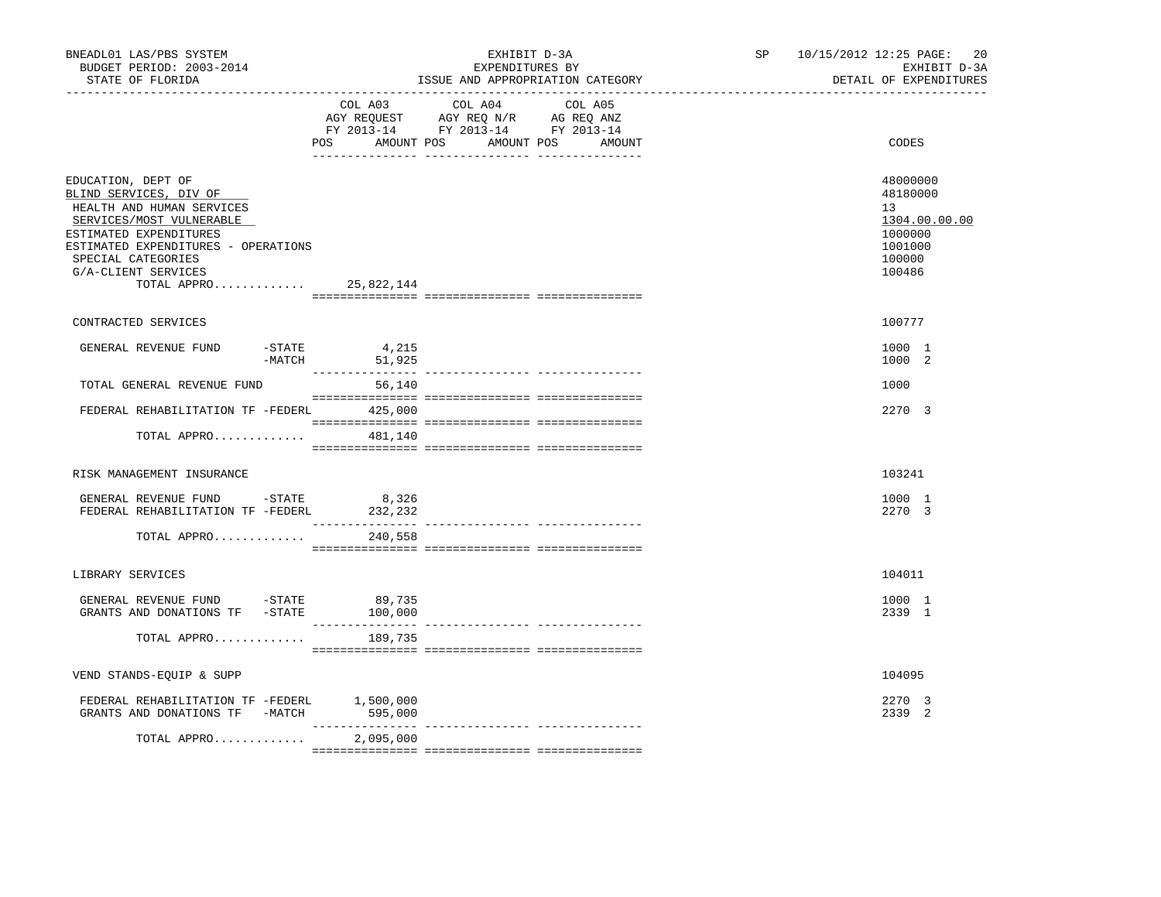| BNEADL01 LAS/PBS SYSTEM<br>BUDGET PERIOD: 2003-2014<br>STATE OF FLORIDA<br>__________________                                                                                                                                                 |                            | EXHIBIT D-3A<br>EXPENDITURES BY<br>ISSUE AND APPROPRIATION CATEGORY                                                                   | SP 10/15/2012 12:25 PAGE:<br>20<br>EXHIBIT D-3A<br>DETAIL OF EXPENDITURES                          |
|-----------------------------------------------------------------------------------------------------------------------------------------------------------------------------------------------------------------------------------------------|----------------------------|---------------------------------------------------------------------------------------------------------------------------------------|----------------------------------------------------------------------------------------------------|
|                                                                                                                                                                                                                                               |                            | COL A03 COL A04 COL A05<br>AGY REQUEST AGY REQ N/R AG REQ ANZ<br>FY 2013-14 FY 2013-14 FY 2013-14<br>POS AMOUNT POS AMOUNT POS AMOUNT | CODES                                                                                              |
| EDUCATION, DEPT OF<br>BLIND SERVICES, DIV OF<br>HEALTH AND HUMAN SERVICES<br>SERVICES/MOST VULNERABLE<br>ESTIMATED EXPENDITURES<br>ESTIMATED EXPENDITURES - OPERATIONS<br>SPECIAL CATEGORIES<br>G/A-CLIENT SERVICES<br>TOTAL APPRO 25,822,144 |                            |                                                                                                                                       | 48000000<br>48180000<br>13 <sup>°</sup><br>1304.00.00.00<br>1000000<br>1001000<br>100000<br>100486 |
| CONTRACTED SERVICES                                                                                                                                                                                                                           |                            |                                                                                                                                       | 100777                                                                                             |
| GENERAL REVENUE FUND<br>$-MATCH$                                                                                                                                                                                                              | $-$ STATE 4, 215<br>51,925 |                                                                                                                                       | 1000 1<br>1000 2                                                                                   |
| TOTAL GENERAL REVENUE FUND                                                                                                                                                                                                                    | 56,140                     |                                                                                                                                       | 1000                                                                                               |
| FEDERAL REHABILITATION TF -FEDERL 425,000                                                                                                                                                                                                     |                            |                                                                                                                                       | 2270 3                                                                                             |
| TOTAL APPRO $481,140$                                                                                                                                                                                                                         |                            |                                                                                                                                       |                                                                                                    |
| RISK MANAGEMENT INSURANCE                                                                                                                                                                                                                     |                            |                                                                                                                                       | 103241                                                                                             |
| GENERAL REVENUE FUND - STATE<br>FEDERAL REHABILITATION TF -FEDERL                                                                                                                                                                             | 8,326<br>232,232           |                                                                                                                                       | 1000 1<br>2270 3                                                                                   |
| TOTAL APPRO                                                                                                                                                                                                                                   | 240,558                    |                                                                                                                                       |                                                                                                    |
| LIBRARY SERVICES                                                                                                                                                                                                                              |                            |                                                                                                                                       | 104011                                                                                             |
| GENERAL REVENUE FUND - STATE<br>GRANTS AND DONATIONS TF -STATE 100,000                                                                                                                                                                        | 89,735                     |                                                                                                                                       | 1000 1<br>2339 1                                                                                   |
| TOTAL APPRO                                                                                                                                                                                                                                   | 189,735                    |                                                                                                                                       |                                                                                                    |
| VEND STANDS-EQUIP & SUPP                                                                                                                                                                                                                      |                            |                                                                                                                                       | 104095                                                                                             |
| FEDERAL REHABILITATION TF -FEDERL 1,500,000<br>GRANTS AND DONATIONS TF -MATCH                                                                                                                                                                 | 595,000                    |                                                                                                                                       | 2270 3<br>2339 2                                                                                   |
| TOTAL APPRO                                                                                                                                                                                                                                   | 2,095,000                  |                                                                                                                                       |                                                                                                    |
|                                                                                                                                                                                                                                               |                            |                                                                                                                                       |                                                                                                    |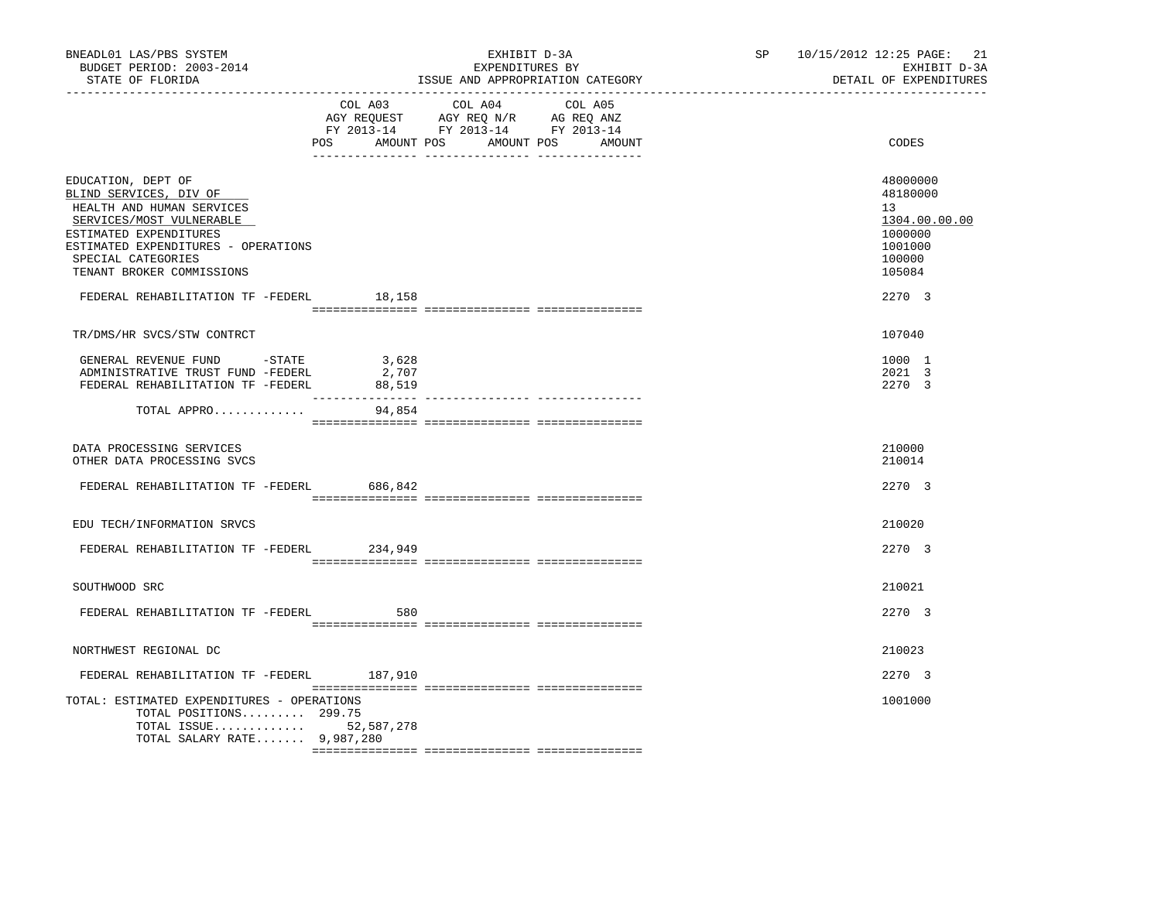| BNEADL01 LAS/PBS SYSTEM<br>BUDGET PERIOD: 2003-2014<br>STATE OF FLORIDA                                                                                                                                                                                               |                          | EXHIBIT D-3A<br>EXPENDITURES BY<br>ISSUE AND APPROPRIATION CATEGORY                                                                      | SP 10/15/2012 12:25 PAGE: 21<br>EXHIBIT D-3A<br>DETAIL OF EXPENDITURES                          |
|-----------------------------------------------------------------------------------------------------------------------------------------------------------------------------------------------------------------------------------------------------------------------|--------------------------|------------------------------------------------------------------------------------------------------------------------------------------|-------------------------------------------------------------------------------------------------|
|                                                                                                                                                                                                                                                                       |                          | COL A03 COL A04<br>COL A05<br>AGY REQUEST AGY REQ N/R AG REQ ANZ<br>FY 2013-14 FY 2013-14 FY 2013-14<br>POS AMOUNT POS AMOUNT POS AMOUNT | CODES                                                                                           |
| EDUCATION, DEPT OF<br>BLIND SERVICES, DIV OF<br>HEALTH AND HUMAN SERVICES<br>SERVICES/MOST VULNERABLE<br>ESTIMATED EXPENDITURES<br>ESTIMATED EXPENDITURES - OPERATIONS<br>SPECIAL CATEGORIES<br>TENANT BROKER COMMISSIONS<br>FEDERAL REHABILITATION TF -FEDERL 18,158 |                          |                                                                                                                                          | 48000000<br>48180000<br>13<br>1304.00.00.00<br>1000000<br>1001000<br>100000<br>105084<br>2270 3 |
| TR/DMS/HR SVCS/STW CONTRCT                                                                                                                                                                                                                                            |                          |                                                                                                                                          | 107040                                                                                          |
| GENERAL REVENUE FUND - STATE<br>ADMINISTRATIVE TRUST FUND -FEDERL<br>FEDERAL REHABILITATION TF -FEDERL                                                                                                                                                                | 3,628<br>2,707<br>88,519 |                                                                                                                                          | 1000 1<br>2021 3<br>2270 3                                                                      |
| TOTAL APPRO                                                                                                                                                                                                                                                           | 94,854                   |                                                                                                                                          |                                                                                                 |
| DATA PROCESSING SERVICES<br>OTHER DATA PROCESSING SVCS                                                                                                                                                                                                                |                          |                                                                                                                                          | 210000<br>210014                                                                                |
| FEDERAL REHABILITATION TF -FEDERL 686,842                                                                                                                                                                                                                             |                          |                                                                                                                                          | 2270 3                                                                                          |
| EDU TECH/INFORMATION SRVCS                                                                                                                                                                                                                                            |                          |                                                                                                                                          | 210020                                                                                          |
| FEDERAL REHABILITATION TF -FEDERL 234,949                                                                                                                                                                                                                             |                          |                                                                                                                                          | 2270 3                                                                                          |
| SOUTHWOOD SRC                                                                                                                                                                                                                                                         |                          |                                                                                                                                          | 210021                                                                                          |
| FEDERAL REHABILITATION TF -FEDERL                                                                                                                                                                                                                                     | 580                      |                                                                                                                                          | 2270 3                                                                                          |
| NORTHWEST REGIONAL DC                                                                                                                                                                                                                                                 |                          |                                                                                                                                          | 210023                                                                                          |
| FEDERAL REHABILITATION TF -FEDERL 187,910                                                                                                                                                                                                                             |                          |                                                                                                                                          | 2270 3                                                                                          |
| TOTAL: ESTIMATED EXPENDITURES - OPERATIONS<br>TOTAL POSITIONS 299.75<br>TOTAL SALARY RATE 9,987,280                                                                                                                                                                   | TOTAL ISSUE $52,587,278$ |                                                                                                                                          | 1001000                                                                                         |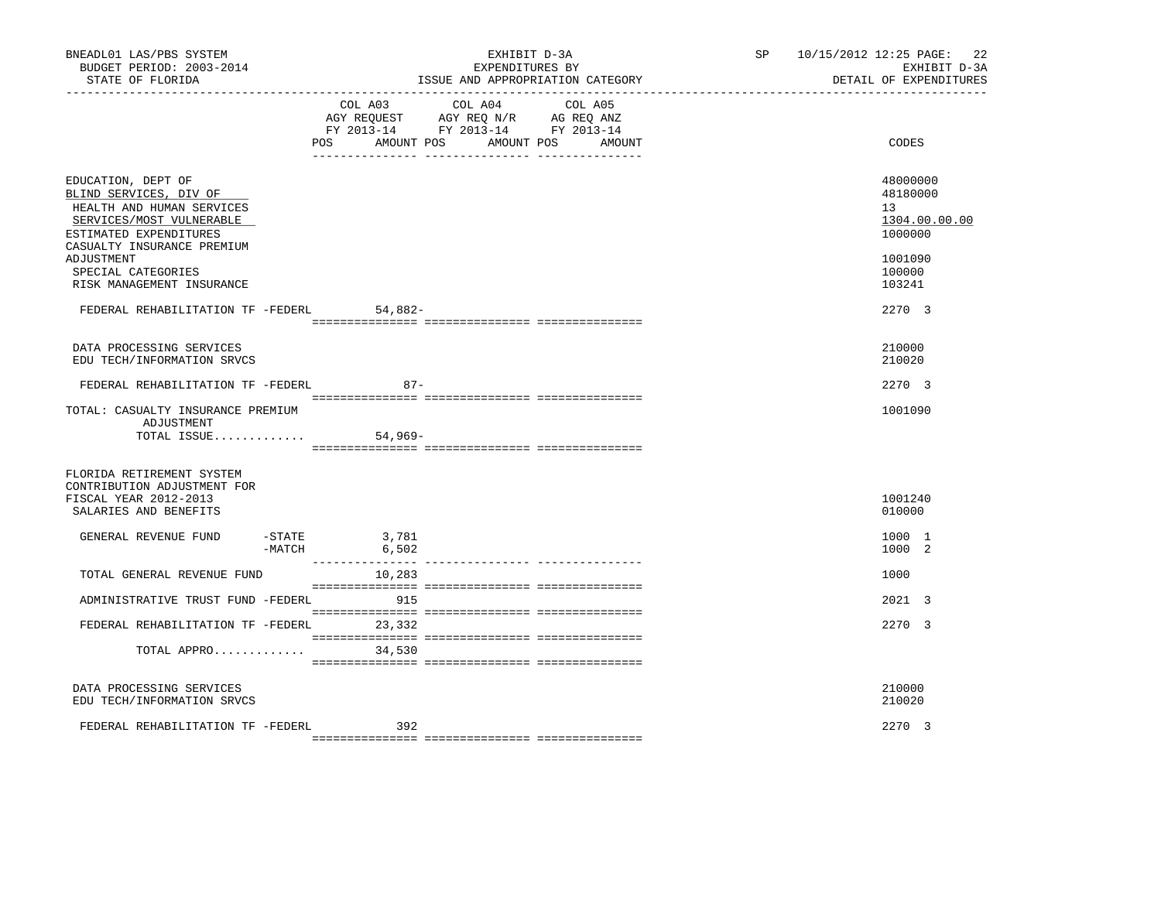| BNEADL01 LAS/PBS SYSTEM<br>BUDGET PERIOD: 2003-2014<br>STATE OF FLORIDA                                                                                       |                                                       | EXHIBIT D-3A<br>EXPENDITURES BY<br>ISSUE AND APPROPRIATION CATEGORY                                                       | SP 10/15/2012 12:25 PAGE: 22<br>EXHIBIT D-3A<br>DETAIL OF EXPENDITURES |
|---------------------------------------------------------------------------------------------------------------------------------------------------------------|-------------------------------------------------------|---------------------------------------------------------------------------------------------------------------------------|------------------------------------------------------------------------|
|                                                                                                                                                               | POS<br>AMOUNT POS                                     | COL A03 COL A04 COL A05<br>AGY REQUEST AGY REQ N/R AG REQ ANZ<br>FY 2013-14 FY 2013-14 FY 2013-14<br>AMOUNT POS<br>AMOUNT | CODES                                                                  |
| EDUCATION, DEPT OF<br>BLIND SERVICES, DIV OF<br>HEALTH AND HUMAN SERVICES<br>SERVICES/MOST VULNERABLE<br>ESTIMATED EXPENDITURES<br>CASUALTY INSURANCE PREMIUM |                                                       |                                                                                                                           | 48000000<br>48180000<br>13<br>1304.00.00.00<br>1000000                 |
| ADJUSTMENT<br>SPECIAL CATEGORIES<br>RISK MANAGEMENT INSURANCE                                                                                                 |                                                       |                                                                                                                           | 1001090<br>100000<br>103241                                            |
| FEDERAL REHABILITATION TF -FEDERL 54,882-                                                                                                                     |                                                       |                                                                                                                           | 2270 3                                                                 |
| DATA PROCESSING SERVICES<br>EDU TECH/INFORMATION SRVCS                                                                                                        |                                                       |                                                                                                                           | 210000<br>210020                                                       |
| FEDERAL REHABILITATION TF -FEDERL                                                                                                                             | $87 -$                                                |                                                                                                                           | 2270 3                                                                 |
| TOTAL: CASUALTY INSURANCE PREMIUM<br>ADJUSTMENT<br>TOTAL ISSUE                                                                                                | $54,969-$                                             |                                                                                                                           | 1001090                                                                |
| FLORIDA RETIREMENT SYSTEM<br>CONTRIBUTION ADJUSTMENT FOR<br>FISCAL YEAR 2012-2013<br>SALARIES AND BENEFITS                                                    |                                                       |                                                                                                                           | 1001240<br>010000                                                      |
| GENERAL REVENUE FUND                                                                                                                                          | $-STATE$ 3,781<br>-MATCH<br>6,502<br>________________ |                                                                                                                           | 1000 1<br>1000 2                                                       |
| TOTAL GENERAL REVENUE FUND                                                                                                                                    | 10,283                                                |                                                                                                                           | 1000                                                                   |
| ADMINISTRATIVE TRUST FUND -FEDERL 915                                                                                                                         |                                                       |                                                                                                                           | 2021 3                                                                 |
| FEDERAL REHABILITATION TF -FEDERL 23,332                                                                                                                      |                                                       |                                                                                                                           | 2270 3                                                                 |
| TOTAL APPRO                                                                                                                                                   | 34,530                                                |                                                                                                                           |                                                                        |
| DATA PROCESSING SERVICES<br>EDU TECH/INFORMATION SRVCS                                                                                                        |                                                       |                                                                                                                           | 210000<br>210020                                                       |
| FEDERAL REHABILITATION TF -FEDERL                                                                                                                             | 392                                                   |                                                                                                                           | 2270 3                                                                 |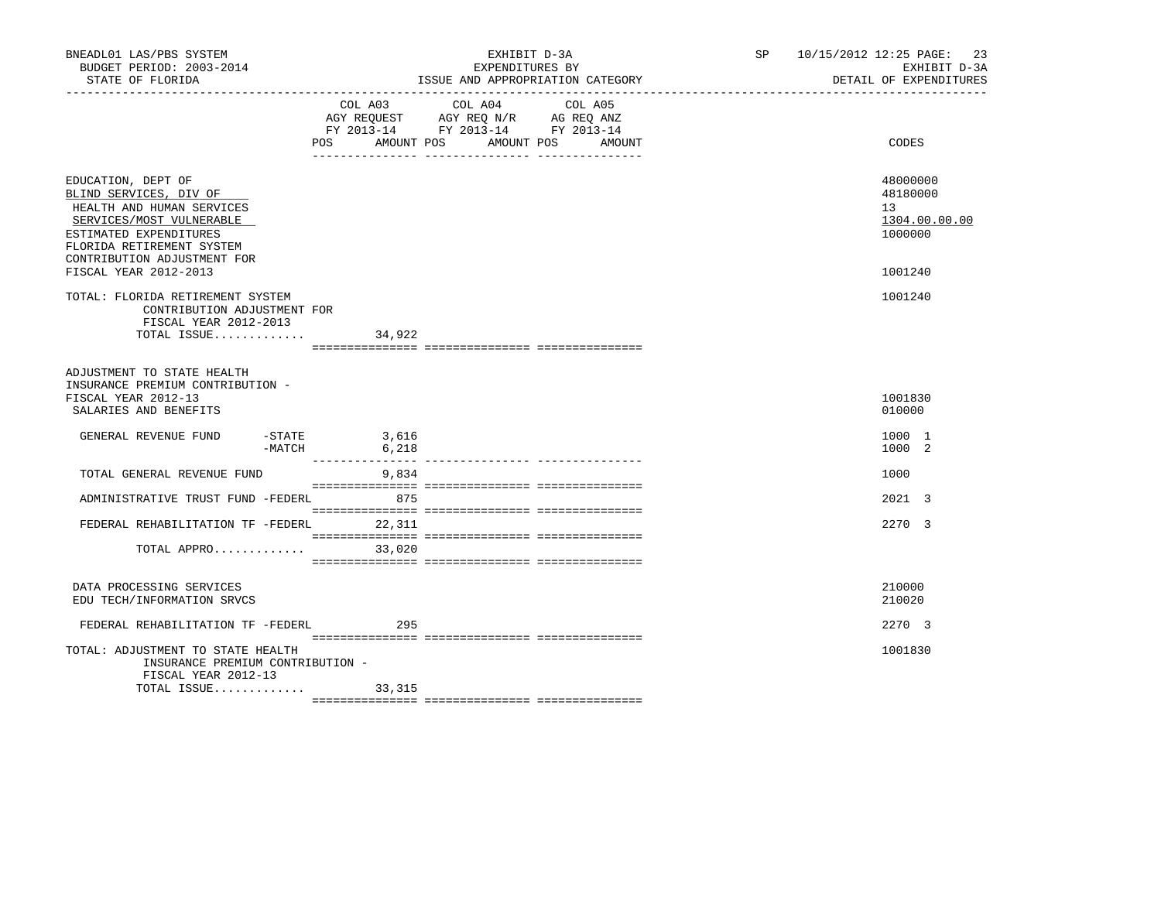| BNEADL01 LAS/PBS SYSTEM<br>BUDGET PERIOD: 2003-2014<br>STATE OF FLORIDA                                                                                                                     |                                        | EXHIBIT D-3A<br>EXPENDITURES BY<br>ISSUE AND APPROPRIATION CATEGORY                                                                                    | SP | 10/15/2012 12:25 PAGE: 23<br>EXHIBIT D-3A<br>DETAIL OF EXPENDITURES |
|---------------------------------------------------------------------------------------------------------------------------------------------------------------------------------------------|----------------------------------------|--------------------------------------------------------------------------------------------------------------------------------------------------------|----|---------------------------------------------------------------------|
|                                                                                                                                                                                             | COL A03<br>POS<br>AMOUNT POS           | COL A04<br>COL A05<br>AGY REQUEST AGY REQ N/R AG REQ ANZ<br>FY 2013-14 FY 2013-14 FY 2013-14<br>AMOUNT POS<br>AMOUNT<br>__ ________________ __________ |    | CODES                                                               |
| EDUCATION, DEPT OF<br>BLIND SERVICES, DIV OF<br>HEALTH AND HUMAN SERVICES<br>SERVICES/MOST VULNERABLE<br>ESTIMATED EXPENDITURES<br>FLORIDA RETIREMENT SYSTEM<br>CONTRIBUTION ADJUSTMENT FOR |                                        |                                                                                                                                                        |    | 48000000<br>48180000<br>13 <sup>°</sup><br>1304.00.00.00<br>1000000 |
| FISCAL YEAR 2012-2013                                                                                                                                                                       |                                        |                                                                                                                                                        |    | 1001240                                                             |
| TOTAL: FLORIDA RETIREMENT SYSTEM<br>CONTRIBUTION ADJUSTMENT FOR<br>FISCAL YEAR 2012-2013                                                                                                    |                                        |                                                                                                                                                        |    | 1001240                                                             |
| TOTAL ISSUE $34,922$                                                                                                                                                                        |                                        |                                                                                                                                                        |    |                                                                     |
| ADJUSTMENT TO STATE HEALTH<br>INSURANCE PREMIUM CONTRIBUTION -<br>FISCAL YEAR 2012-13<br>SALARIES AND BENEFITS<br>GENERAL REVENUE FUND                                                      | $-STATE$<br>3,616<br>$-MATCH$<br>6,218 |                                                                                                                                                        |    | 1001830<br>010000<br>1000 1<br>1000 2                               |
|                                                                                                                                                                                             | ________________                       |                                                                                                                                                        |    |                                                                     |
| TOTAL GENERAL REVENUE FUND                                                                                                                                                                  | 9,834                                  |                                                                                                                                                        |    | 1000                                                                |
| ADMINISTRATIVE TRUST FUND -FEDERL                                                                                                                                                           | 875                                    |                                                                                                                                                        |    | $2021 \quad 3$                                                      |
| FEDERAL REHABILITATION TF -FEDERL 22,311                                                                                                                                                    |                                        |                                                                                                                                                        |    | 2270 3                                                              |
| TOTAL APPRO                                                                                                                                                                                 | 33,020                                 |                                                                                                                                                        |    |                                                                     |
| DATA PROCESSING SERVICES<br>EDU TECH/INFORMATION SRVCS                                                                                                                                      |                                        |                                                                                                                                                        |    | 210000<br>210020                                                    |
| FEDERAL REHABILITATION TF -FEDERL                                                                                                                                                           | 295                                    |                                                                                                                                                        |    | 2270 3                                                              |
| TOTAL: ADJUSTMENT TO STATE HEALTH<br>INSURANCE PREMIUM CONTRIBUTION -<br>FISCAL YEAR 2012-13                                                                                                |                                        |                                                                                                                                                        |    | 1001830                                                             |
| TOTAL ISSUE                                                                                                                                                                                 | 33,315                                 |                                                                                                                                                        |    |                                                                     |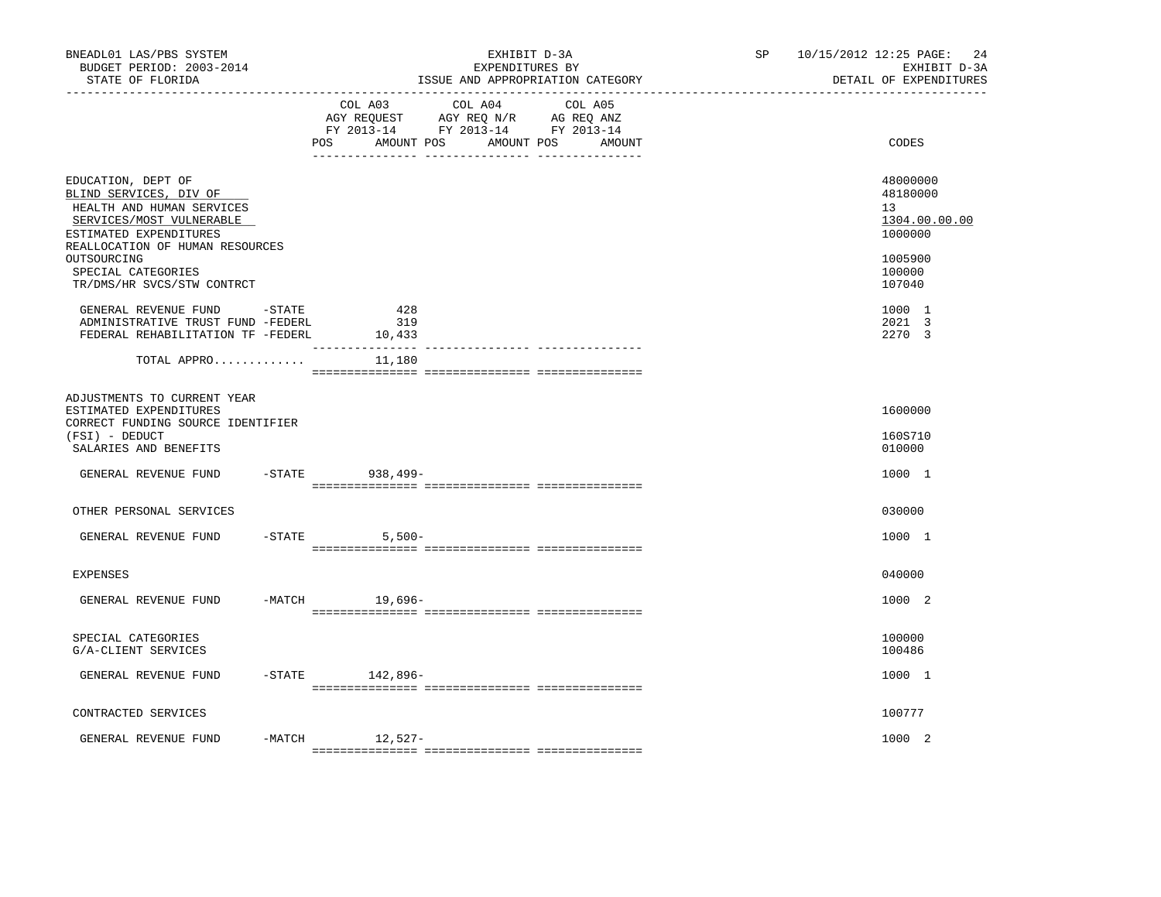| BNEADL01 LAS/PBS SYSTEM<br>BUDGET PERIOD: 2003-2014<br>STATE OF FLORIDA                                                               |           |                      | EXHIBIT D-3A<br>EXPENDITURES BY                                                                                 | ISSUE AND APPROPRIATION CATEGORY | SP | 10/15/2012 12:25 PAGE:<br>24<br>EXHIBIT D-3A<br>DETAIL OF EXPENDITURES |
|---------------------------------------------------------------------------------------------------------------------------------------|-----------|----------------------|-----------------------------------------------------------------------------------------------------------------|----------------------------------|----|------------------------------------------------------------------------|
|                                                                                                                                       |           | POS<br>AMOUNT POS    | COL A03 COL A04 COL A05<br>AGY REQUEST AGY REQ N/R AG REQ ANZ<br>FY 2013-14 FY 2013-14 FY 2013-14<br>AMOUNT POS | AMOUNT                           |    | CODES                                                                  |
| EDUCATION, DEPT OF<br>BLIND SERVICES, DIV OF<br>HEALTH AND HUMAN SERVICES<br>SERVICES/MOST VULNERABLE                                 |           |                      |                                                                                                                 |                                  |    | 48000000<br>48180000<br>13<br>1304.00.00.00                            |
| ESTIMATED EXPENDITURES<br>REALLOCATION OF HUMAN RESOURCES<br>OUTSOURCING<br>SPECIAL CATEGORIES<br>TR/DMS/HR SVCS/STW CONTRCT          |           |                      |                                                                                                                 |                                  |    | 1000000<br>1005900<br>100000<br>107040                                 |
| GENERAL REVENUE FUND -STATE<br>ADMINISTRATIVE TRUST FUND -FEDERL<br>FEDERAL REHABILITATION TF -FEDERL                                 |           | 428<br>319<br>10,433 |                                                                                                                 |                                  |    | 1000 1<br>2021 3<br>2270 3                                             |
| TOTAL APPRO                                                                                                                           |           | 11,180               |                                                                                                                 |                                  |    |                                                                        |
| ADJUSTMENTS TO CURRENT YEAR<br>ESTIMATED EXPENDITURES<br>CORRECT FUNDING SOURCE IDENTIFIER<br>(FSI) - DEDUCT<br>SALARIES AND BENEFITS |           |                      |                                                                                                                 |                                  |    | 1600000<br>160S710<br>010000                                           |
| GENERAL REVENUE FUND                                                                                                                  |           | -STATE 938,499-      |                                                                                                                 |                                  |    | 1000 1                                                                 |
| OTHER PERSONAL SERVICES                                                                                                               |           |                      |                                                                                                                 |                                  |    | 030000                                                                 |
| GENERAL REVENUE FUND                                                                                                                  | $-$ STATE | $5,500-$             |                                                                                                                 |                                  |    | 1000 1                                                                 |
| <b>EXPENSES</b>                                                                                                                       |           |                      |                                                                                                                 |                                  |    | 040000                                                                 |
| GENERAL REVENUE FUND                                                                                                                  |           | $-MATCH$<br>19,696-  |                                                                                                                 |                                  |    | 1000 2                                                                 |
| SPECIAL CATEGORIES<br>G/A-CLIENT SERVICES                                                                                             |           |                      |                                                                                                                 |                                  |    | 100000<br>100486                                                       |
| GENERAL REVENUE FUND                                                                                                                  |           | $-$ STATE $142,896-$ |                                                                                                                 |                                  |    | 1000 1                                                                 |
| CONTRACTED SERVICES                                                                                                                   |           |                      |                                                                                                                 |                                  |    | 100777                                                                 |
| GENERAL REVENUE FUND                                                                                                                  |           | $-MATCH$ 12,527-     |                                                                                                                 |                                  |    | 1000 2                                                                 |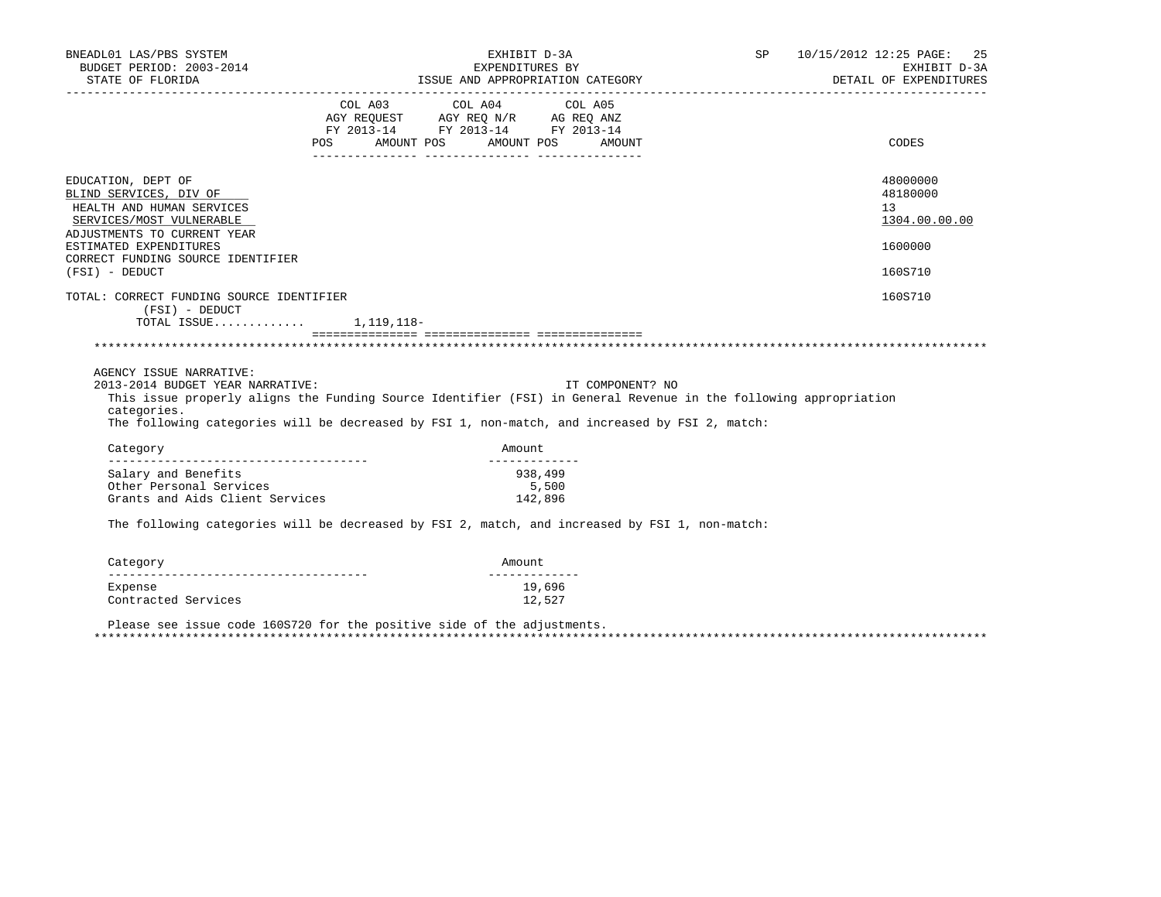| BNEADL01 LAS/PBS SYSTEM<br>BUDGET PERIOD: 2003-2014<br>STATE OF FLORIDA                                                                                                                                                                                                                          | EXHIBIT D-3A                                                                                                                          | EXPENDITURES BY<br>ISSUE AND APPROPRIATION CATEGORY | SP 10/15/2012 12:25 PAGE: 25<br>EXHIBIT D-3A<br>DETAIL OF EXPENDITURES |
|--------------------------------------------------------------------------------------------------------------------------------------------------------------------------------------------------------------------------------------------------------------------------------------------------|---------------------------------------------------------------------------------------------------------------------------------------|-----------------------------------------------------|------------------------------------------------------------------------|
|                                                                                                                                                                                                                                                                                                  | COL A03 COL A04 COL A05<br>AGY REQUEST AGY REQ N/R AG REQ ANZ<br>FY 2013-14 FY 2013-14 FY 2013-14<br>POS AMOUNT POS AMOUNT POS AMOUNT |                                                     | CODES                                                                  |
| EDUCATION, DEPT OF<br>BLIND SERVICES, DIV OF<br>HEALTH AND HUMAN SERVICES<br>SERVICES/MOST VULNERABLE<br>ADJUSTMENTS TO CURRENT YEAR<br>ESTIMATED EXPENDITURES<br>CORRECT FUNDING SOURCE IDENTIFIER<br>(FSI) - DEDUCT                                                                            |                                                                                                                                       |                                                     | 48000000<br>48180000<br>13<br>1304.00.00.00<br>1600000<br>160S710      |
| TOTAL: CORRECT FUNDING SOURCE IDENTIFIER<br>(FSI) - DEDUCT<br>TOTAL ISSUE $1,119,118-$                                                                                                                                                                                                           |                                                                                                                                       |                                                     | 160S710                                                                |
| AGENCY ISSUE NARRATIVE:<br>2013-2014 BUDGET YEAR NARRATIVE:<br>This issue properly aligns the Funding Source Identifier (FSI) in General Revenue in the following appropriation<br>categories.<br>The following categories will be decreased by FSI 1, non-match, and increased by FSI 2, match: |                                                                                                                                       | IT COMPONENT? NO                                    |                                                                        |
| Category                                                                                                                                                                                                                                                                                         | Amount<br>______________                                                                                                              |                                                     |                                                                        |
| Salary and Benefits<br>Other Personal Services<br>Grants and Aids Client Services<br>The following categories will be decreased by FSI 2, match, and increased by FSI 1, non-match:                                                                                                              | 938,499<br>142,896                                                                                                                    | 5,500                                               |                                                                        |
| Category                                                                                                                                                                                                                                                                                         | Amount                                                                                                                                |                                                     |                                                                        |
|                                                                                                                                                                                                                                                                                                  |                                                                                                                                       |                                                     |                                                                        |

Expense 19,696<br>Contracted Services 12,527 Contracted Services

 Please see issue code 160S720 for the positive side of the adjustments. \*\*\*\*\*\*\*\*\*\*\*\*\*\*\*\*\*\*\*\*\*\*\*\*\*\*\*\*\*\*\*\*\*\*\*\*\*\*\*\*\*\*\*\*\*\*\*\*\*\*\*\*\*\*\*\*\*\*\*\*\*\*\*\*\*\*\*\*\*\*\*\*\*\*\*\*\*\*\*\*\*\*\*\*\*\*\*\*\*\*\*\*\*\*\*\*\*\*\*\*\*\*\*\*\*\*\*\*\*\*\*\*\*\*\*\*\*\*\*\*\*\*\*\*\*\*\*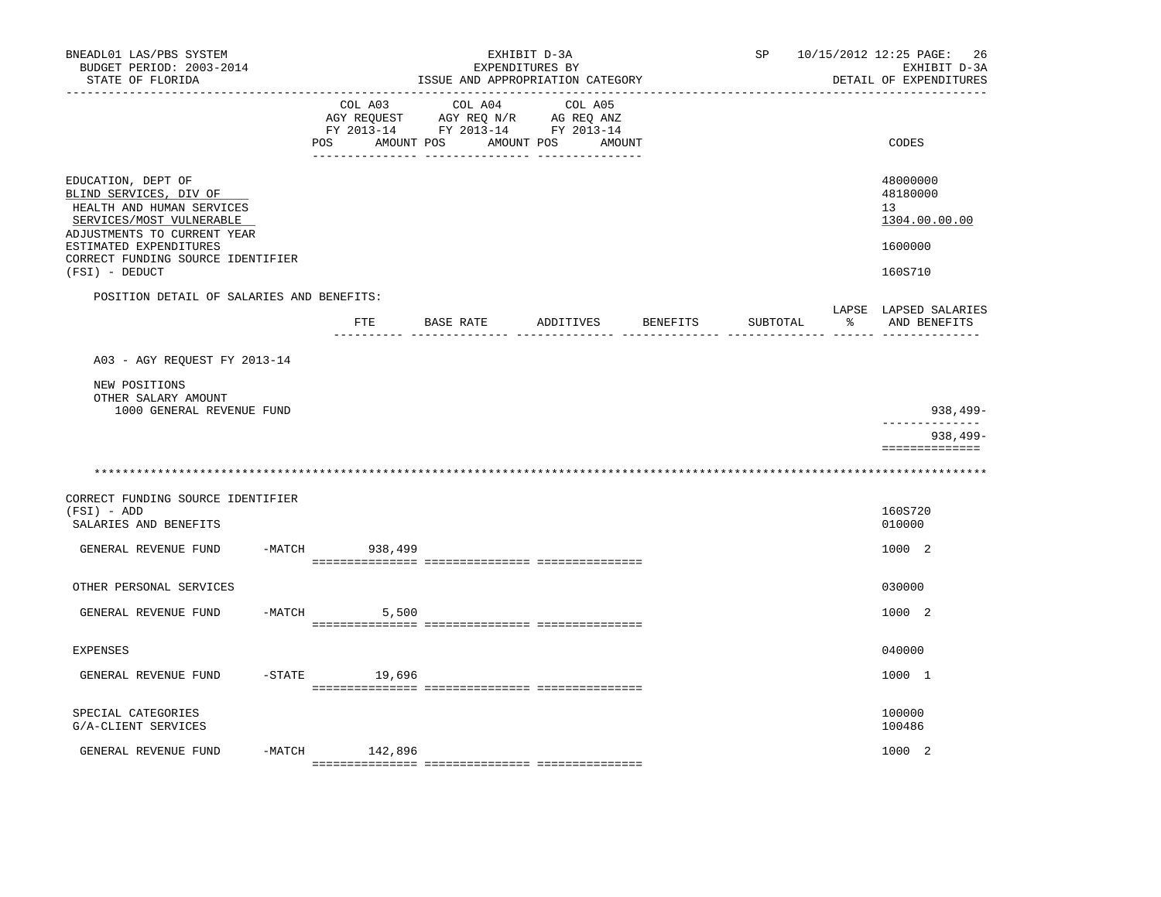| BNEADL01 LAS/PBS SYSTEM<br>BUDGET PERIOD: 2003-2014<br>STATE OF FLORIDA<br>----------------                                                                                                                           |          |                              | EXHIBIT D-3A<br>EXPENDITURES BY<br>ISSUE AND APPROPRIATION CATEGORY                             |                   |          | SP       |    | 10/15/2012 12:25 PAGE:<br>26<br>EXHIBIT D-3A<br>DETAIL OF EXPENDITURES |
|-----------------------------------------------------------------------------------------------------------------------------------------------------------------------------------------------------------------------|----------|------------------------------|-------------------------------------------------------------------------------------------------|-------------------|----------|----------|----|------------------------------------------------------------------------|
|                                                                                                                                                                                                                       |          | COL A03<br>POS<br>AMOUNT POS | COL A04<br>AGY REQUEST AGY REQ N/R AG REQ ANZ<br>FY 2013-14 FY 2013-14 FY 2013-14<br>AMOUNT POS | COL A05<br>AMOUNT |          |          |    | CODES                                                                  |
| EDUCATION, DEPT OF<br>BLIND SERVICES, DIV OF<br>HEALTH AND HUMAN SERVICES<br>SERVICES/MOST VULNERABLE<br>ADJUSTMENTS TO CURRENT YEAR<br>ESTIMATED EXPENDITURES<br>CORRECT FUNDING SOURCE IDENTIFIER<br>(FSI) - DEDUCT |          |                              |                                                                                                 |                   |          |          |    | 48000000<br>48180000<br>13<br>1304.00.00.00<br>1600000<br>160S710      |
| POSITION DETAIL OF SALARIES AND BENEFITS:                                                                                                                                                                             |          |                              |                                                                                                 |                   |          |          |    | LAPSE LAPSED SALARIES                                                  |
|                                                                                                                                                                                                                       |          |                              | FTE BASE RATE ADDITIVES                                                                         |                   | BENEFITS | SUBTOTAL | နွ | AND BENEFITS                                                           |
| A03 - AGY REQUEST FY 2013-14                                                                                                                                                                                          |          |                              |                                                                                                 |                   |          |          |    |                                                                        |
| NEW POSITIONS<br>OTHER SALARY AMOUNT<br>1000 GENERAL REVENUE FUND                                                                                                                                                     |          |                              |                                                                                                 |                   |          |          |    | $938,499-$                                                             |
|                                                                                                                                                                                                                       |          |                              |                                                                                                 |                   |          |          |    | ______________<br>$938,499-$<br>==============                         |
|                                                                                                                                                                                                                       |          |                              |                                                                                                 |                   |          |          |    |                                                                        |
| CORRECT FUNDING SOURCE IDENTIFIER<br>$(FSI) - ADD$<br>SALARIES AND BENEFITS                                                                                                                                           |          |                              |                                                                                                 |                   |          |          |    | 160S720<br>010000                                                      |
| GENERAL REVENUE FUND                                                                                                                                                                                                  | $-MATCH$ | 938,499                      |                                                                                                 |                   |          |          |    | 1000 2                                                                 |
| OTHER PERSONAL SERVICES                                                                                                                                                                                               |          |                              |                                                                                                 |                   |          |          |    | 030000                                                                 |
| GENERAL REVENUE FUND                                                                                                                                                                                                  |          | $-MATCH$<br>5,500            |                                                                                                 |                   |          |          |    | 1000 2                                                                 |
| <b>EXPENSES</b>                                                                                                                                                                                                       |          |                              |                                                                                                 |                   |          |          |    | 040000                                                                 |
| GENERAL REVENUE FUND                                                                                                                                                                                                  | $-STATE$ | 19,696                       |                                                                                                 |                   |          |          |    | 1000 1                                                                 |
| SPECIAL CATEGORIES<br>G/A-CLIENT SERVICES                                                                                                                                                                             |          |                              |                                                                                                 |                   |          |          |    | 100000<br>100486                                                       |
| GENERAL REVENUE FUND                                                                                                                                                                                                  | -MATCH   | 142,896                      |                                                                                                 |                   |          |          |    | 1000 2                                                                 |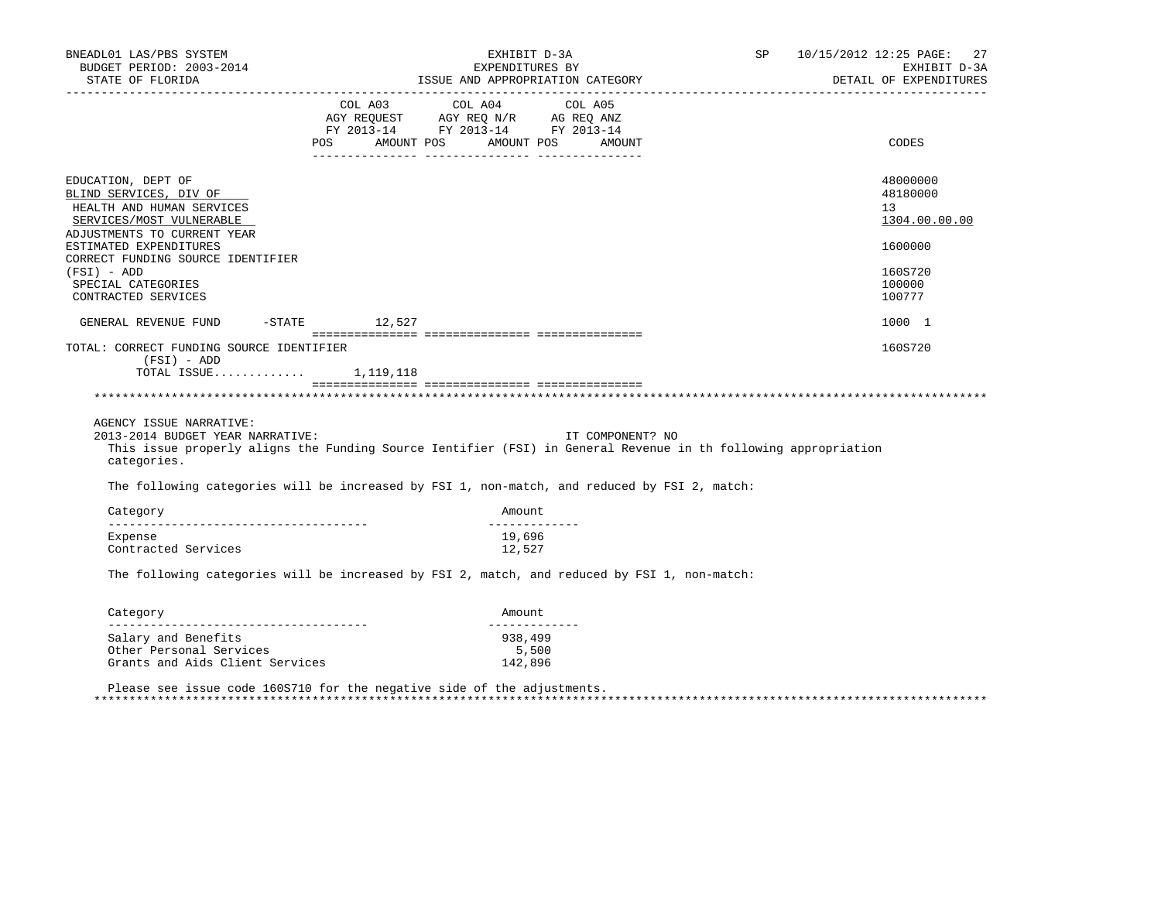| BNEADL01 LAS/PBS SYSTEM<br>BUDGET PERIOD: 2003-2014<br>STATE OF FLORIDA                                                                                                                                                                                                                      |                                  | EXHIBIT D-3A<br>EXPENDITURES BY   | ISSUE AND APPROPRIATION CATEGORY | SP | 10/15/2012 12:25 PAGE: 27<br>EXHIBIT D-3A<br>DETAIL OF EXPENDITURES |
|----------------------------------------------------------------------------------------------------------------------------------------------------------------------------------------------------------------------------------------------------------------------------------------------|----------------------------------|-----------------------------------|----------------------------------|----|---------------------------------------------------------------------|
|                                                                                                                                                                                                                                                                                              |                                  |                                   |                                  |    |                                                                     |
|                                                                                                                                                                                                                                                                                              | POS AMOUNT POS AMOUNT POS AMOUNT |                                   |                                  |    | CODES                                                               |
| EDUCATION, DEPT OF<br>BLIND SERVICES, DIV OF<br>HEALTH AND HUMAN SERVICES<br>SERVICES/MOST VULNERABLE<br>ADJUSTMENTS TO CURRENT YEAR                                                                                                                                                         |                                  |                                   |                                  |    | 48000000<br>48180000<br>13<br>1304.00.00.00                         |
| ESTIMATED EXPENDITURES                                                                                                                                                                                                                                                                       |                                  |                                   |                                  |    | 1600000                                                             |
| CORRECT FUNDING SOURCE IDENTIFIER<br>$(FSI) - ADD$<br>SPECIAL CATEGORIES<br>CONTRACTED SERVICES                                                                                                                                                                                              |                                  |                                   |                                  |    | 160S720<br>100000<br>100777                                         |
| GENERAL REVENUE FUND -STATE 12,527                                                                                                                                                                                                                                                           |                                  |                                   |                                  |    | 1000 1                                                              |
| TOTAL: CORRECT FUNDING SOURCE IDENTIFIER<br>(FSI) - ADD<br>TOTAL ISSUE $1,119,118$                                                                                                                                                                                                           |                                  |                                   |                                  |    | 160S720                                                             |
|                                                                                                                                                                                                                                                                                              |                                  |                                   |                                  |    |                                                                     |
| AGENCY ISSUE NARRATIVE:<br>2013-2014 BUDGET YEAR NARRATIVE:<br>This issue properly aligns the Funding Source Ientifier (FSI) in General Revenue in th following appropriation<br>categories.<br>The following categories will be increased by FSI 1, non-match, and reduced by FSI 2, match: |                                  |                                   | IT COMPONENT? NO                 |    |                                                                     |
| Category                                                                                                                                                                                                                                                                                     |                                  | Amount                            |                                  |    |                                                                     |
| --------------------------------------<br>Expense<br>Contracted Services                                                                                                                                                                                                                     |                                  | _____________<br>19,696<br>12,527 |                                  |    |                                                                     |
| The following categories will be increased by FSI 2, match, and reduced by FSI 1, non-match:                                                                                                                                                                                                 |                                  |                                   |                                  |    |                                                                     |
| Category                                                                                                                                                                                                                                                                                     |                                  | Amount                            |                                  |    |                                                                     |
| Salary and Benefits<br>Other Personal Services<br>Grants and Aids Client Services                                                                                                                                                                                                            |                                  | 938,499<br>5,500<br>142,896       |                                  |    |                                                                     |

 Please see issue code 160S710 for the negative side of the adjustments. \*\*\*\*\*\*\*\*\*\*\*\*\*\*\*\*\*\*\*\*\*\*\*\*\*\*\*\*\*\*\*\*\*\*\*\*\*\*\*\*\*\*\*\*\*\*\*\*\*\*\*\*\*\*\*\*\*\*\*\*\*\*\*\*\*\*\*\*\*\*\*\*\*\*\*\*\*\*\*\*\*\*\*\*\*\*\*\*\*\*\*\*\*\*\*\*\*\*\*\*\*\*\*\*\*\*\*\*\*\*\*\*\*\*\*\*\*\*\*\*\*\*\*\*\*\*\*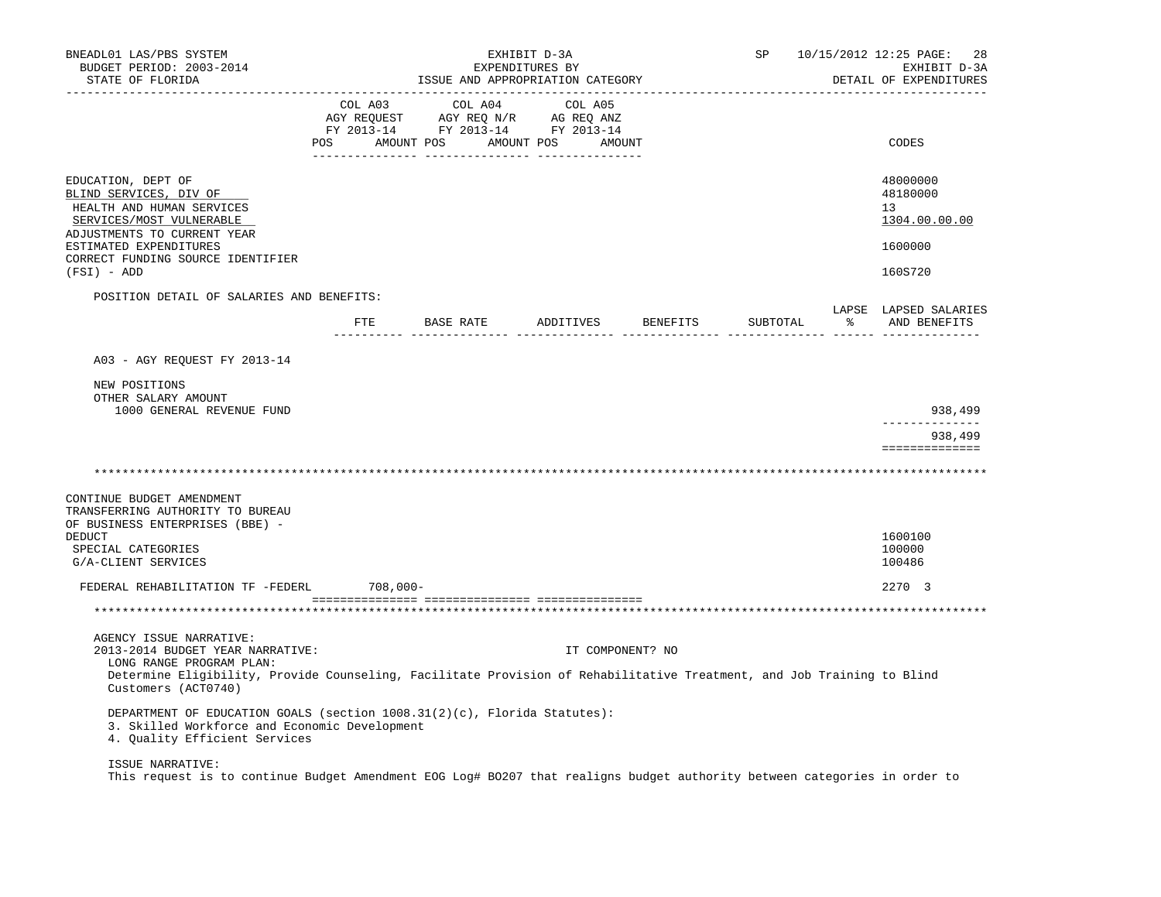| BNEADL01 LAS/PBS SYSTEM<br>BUDGET PERIOD: 2003-2014<br>STATE OF FLORIDA                                                                                                                                                                  |     |                                                                                                                                                                                     |           | EXHIBIT D-3A<br>EXPENDITURES BY | ISSUE AND APPROPRIATION CATEGORY |                  |                 | SP       |   | 10/15/2012 12:25 PAGE:<br>28<br>EXHIBIT D-3A<br>DETAIL OF EXPENDITURES |
|------------------------------------------------------------------------------------------------------------------------------------------------------------------------------------------------------------------------------------------|-----|-------------------------------------------------------------------------------------------------------------------------------------------------------------------------------------|-----------|---------------------------------|----------------------------------|------------------|-----------------|----------|---|------------------------------------------------------------------------|
|                                                                                                                                                                                                                                          | POS | $\begin{tabular}{lcccc} CDL A03 & CDL A04 & CDL A05 \\ AGY REQUEST & AGY REQ N/R & AG REQ ANZ \\ FY & 2013-14 & FY & 2013-14 & FY & 2013-14 \end{tabular}$<br>AMOUNT POS AMOUNT POS |           |                                 |                                  | AMOUNT           |                 |          |   | CODES                                                                  |
| EDUCATION, DEPT OF<br>BLIND SERVICES, DIV OF<br>HEALTH AND HUMAN SERVICES<br>SERVICES/MOST VULNERABLE<br>ADJUSTMENTS TO CURRENT YEAR<br>ESTIMATED EXPENDITURES<br>CORRECT FUNDING SOURCE IDENTIFIER<br>(FSI) - ADD                       |     |                                                                                                                                                                                     |           |                                 |                                  |                  |                 |          |   | 48000000<br>48180000<br>13<br>1304.00.00.00<br>1600000<br>160S720      |
| POSITION DETAIL OF SALARIES AND BENEFITS:                                                                                                                                                                                                |     | FTE                                                                                                                                                                                 | BASE RATE |                                 | ADDITIVES                        |                  | <b>BENEFITS</b> | SUBTOTAL | ႜ | LAPSE LAPSED SALARIES<br>AND BENEFITS                                  |
| NEW POSITIONS<br>OTHER SALARY AMOUNT<br>1000 GENERAL REVENUE FUND                                                                                                                                                                        |     |                                                                                                                                                                                     |           |                                 |                                  |                  |                 |          |   | 938,499<br>______________<br>938,499<br>==============                 |
| CONTINUE BUDGET AMENDMENT<br>TRANSFERRING AUTHORITY TO BUREAU<br>OF BUSINESS ENTERPRISES (BBE) -<br>DEDUCT<br>SPECIAL CATEGORIES<br>G/A-CLIENT SERVICES<br>FEDERAL REHABILITATION TF -FEDERL                                             |     | $708,000-$                                                                                                                                                                          |           |                                 |                                  |                  |                 |          |   | 1600100<br>100000<br>100486<br>2270 3                                  |
|                                                                                                                                                                                                                                          |     |                                                                                                                                                                                     |           |                                 |                                  |                  |                 |          |   |                                                                        |
| AGENCY ISSUE NARRATIVE:<br>2013-2014 BUDGET YEAR NARRATIVE:<br>LONG RANGE PROGRAM PLAN:<br>Determine Eligibility, Provide Counseling, Facilitate Provision of Rehabilitative Treatment, and Job Training to Blind<br>Customers (ACT0740) |     |                                                                                                                                                                                     |           |                                 |                                  | IT COMPONENT? NO |                 |          |   |                                                                        |
| DEPARTMENT OF EDUCATION GOALS (section 1008.31(2)(c), Florida Statutes):<br>3. Skilled Workforce and Economic Development<br>4. Quality Efficient Services                                                                               |     |                                                                                                                                                                                     |           |                                 |                                  |                  |                 |          |   |                                                                        |
| ISSUE NARRATIVE:                                                                                                                                                                                                                         |     |                                                                                                                                                                                     |           |                                 |                                  |                  |                 |          |   |                                                                        |

This request is to continue Budget Amendment EOG Log# BO207 that realigns budget authority between categories in order to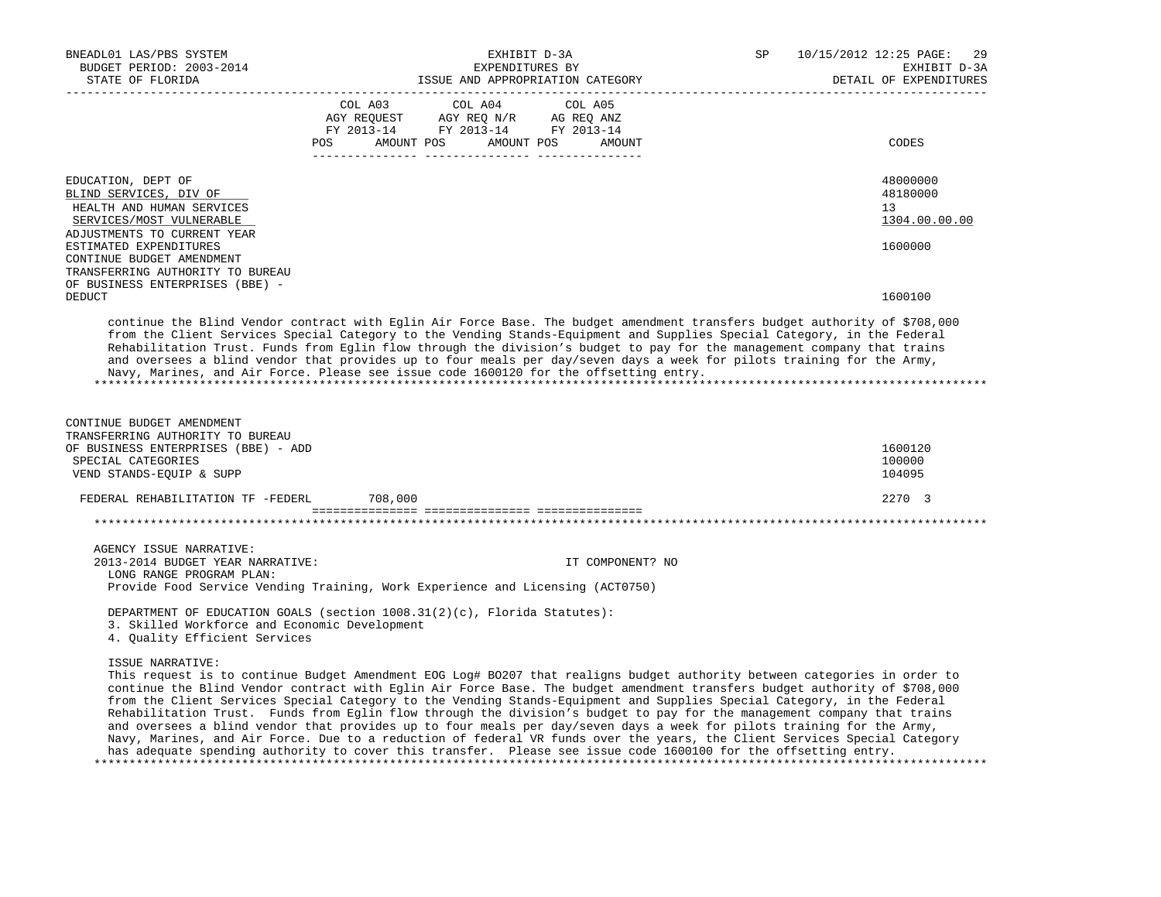| BNEADL01 LAS/PBS SYSTEM                                                                                                                                                                                                                                                                                                                                                                                                                                                                                                                                                                                                                                                                                                                                                                                                                                                                                     |                                                                        |                                  | EXHIBIT D-3A |         |                  | SP | 10/15/2012 12:25 PAGE:<br>29 |
|-------------------------------------------------------------------------------------------------------------------------------------------------------------------------------------------------------------------------------------------------------------------------------------------------------------------------------------------------------------------------------------------------------------------------------------------------------------------------------------------------------------------------------------------------------------------------------------------------------------------------------------------------------------------------------------------------------------------------------------------------------------------------------------------------------------------------------------------------------------------------------------------------------------|------------------------------------------------------------------------|----------------------------------|--------------|---------|------------------|----|------------------------------|
| BUDGET PERIOD: 2003-2014                                                                                                                                                                                                                                                                                                                                                                                                                                                                                                                                                                                                                                                                                                                                                                                                                                                                                    | EXPENDITURES BY                                                        |                                  |              |         |                  |    | EXHIBIT D-3A                 |
| STATE OF FLORIDA                                                                                                                                                                                                                                                                                                                                                                                                                                                                                                                                                                                                                                                                                                                                                                                                                                                                                            |                                                                        | ISSUE AND APPROPRIATION CATEGORY |              |         |                  |    | DETAIL OF EXPENDITURES       |
|                                                                                                                                                                                                                                                                                                                                                                                                                                                                                                                                                                                                                                                                                                                                                                                                                                                                                                             |                                                                        | ------------                     |              |         |                  |    |                              |
|                                                                                                                                                                                                                                                                                                                                                                                                                                                                                                                                                                                                                                                                                                                                                                                                                                                                                                             | COL A03 COL A04                                                        |                                  |              | COL A05 |                  |    |                              |
|                                                                                                                                                                                                                                                                                                                                                                                                                                                                                                                                                                                                                                                                                                                                                                                                                                                                                                             | AGY REQUEST AGY REQ N/R AG REQ ANZ<br>FY 2013-14 FY 2013-14 FY 2013-14 |                                  |              |         |                  |    |                              |
|                                                                                                                                                                                                                                                                                                                                                                                                                                                                                                                                                                                                                                                                                                                                                                                                                                                                                                             | <b>POS</b>                                                             | AMOUNT POS AMOUNT POS            |              |         | AMOUNT           |    | CODES                        |
|                                                                                                                                                                                                                                                                                                                                                                                                                                                                                                                                                                                                                                                                                                                                                                                                                                                                                                             |                                                                        |                                  |              |         |                  |    |                              |
|                                                                                                                                                                                                                                                                                                                                                                                                                                                                                                                                                                                                                                                                                                                                                                                                                                                                                                             |                                                                        |                                  |              |         |                  |    |                              |
| EDUCATION, DEPT OF                                                                                                                                                                                                                                                                                                                                                                                                                                                                                                                                                                                                                                                                                                                                                                                                                                                                                          |                                                                        |                                  |              |         |                  |    | 48000000                     |
| BLIND SERVICES, DIV OF                                                                                                                                                                                                                                                                                                                                                                                                                                                                                                                                                                                                                                                                                                                                                                                                                                                                                      |                                                                        |                                  |              |         |                  |    | 48180000                     |
| HEALTH AND HUMAN SERVICES                                                                                                                                                                                                                                                                                                                                                                                                                                                                                                                                                                                                                                                                                                                                                                                                                                                                                   |                                                                        |                                  |              |         |                  |    | 13                           |
| SERVICES/MOST VULNERABLE                                                                                                                                                                                                                                                                                                                                                                                                                                                                                                                                                                                                                                                                                                                                                                                                                                                                                    |                                                                        |                                  |              |         |                  |    | 1304.00.00.00                |
| ADJUSTMENTS TO CURRENT YEAR                                                                                                                                                                                                                                                                                                                                                                                                                                                                                                                                                                                                                                                                                                                                                                                                                                                                                 |                                                                        |                                  |              |         |                  |    |                              |
| ESTIMATED EXPENDITURES                                                                                                                                                                                                                                                                                                                                                                                                                                                                                                                                                                                                                                                                                                                                                                                                                                                                                      |                                                                        |                                  |              |         |                  |    | 1600000                      |
| CONTINUE BUDGET AMENDMENT                                                                                                                                                                                                                                                                                                                                                                                                                                                                                                                                                                                                                                                                                                                                                                                                                                                                                   |                                                                        |                                  |              |         |                  |    |                              |
| TRANSFERRING AUTHORITY TO BUREAU                                                                                                                                                                                                                                                                                                                                                                                                                                                                                                                                                                                                                                                                                                                                                                                                                                                                            |                                                                        |                                  |              |         |                  |    |                              |
| OF BUSINESS ENTERPRISES (BBE) -                                                                                                                                                                                                                                                                                                                                                                                                                                                                                                                                                                                                                                                                                                                                                                                                                                                                             |                                                                        |                                  |              |         |                  |    |                              |
| <b>DEDUCT</b>                                                                                                                                                                                                                                                                                                                                                                                                                                                                                                                                                                                                                                                                                                                                                                                                                                                                                               |                                                                        |                                  |              |         |                  |    | 1600100                      |
| continue the Blind Vendor contract with Eglin Air Force Base. The budget amendment transfers budget authority of \$708,000<br>from the Client Services Special Category to the Vending Stands-Equipment and Supplies Special Category, in the Federal<br>Rehabilitation Trust. Funds from Eglin flow through the division's budget to pay for the management company that trains<br>and oversees a blind vendor that provides up to four meals per day/seven days a week for pilots training for the Army,<br>Navy, Marines, and Air Force. Please see issue code 1600120 for the offsetting entry.                                                                                                                                                                                                                                                                                                         |                                                                        |                                  |              |         |                  |    |                              |
| CONTINUE BUDGET AMENDMENT<br>TRANSFERRING AUTHORITY TO BUREAU<br>OF BUSINESS ENTERPRISES (BBE) - ADD<br>SPECIAL CATEGORIES<br>VEND STANDS-EQUIP & SUPP                                                                                                                                                                                                                                                                                                                                                                                                                                                                                                                                                                                                                                                                                                                                                      |                                                                        |                                  |              |         |                  |    | 1600120<br>100000<br>104095  |
| FEDERAL REHABILITATION TF -FEDERL 708,000                                                                                                                                                                                                                                                                                                                                                                                                                                                                                                                                                                                                                                                                                                                                                                                                                                                                   |                                                                        |                                  |              |         |                  |    | 2270 3                       |
|                                                                                                                                                                                                                                                                                                                                                                                                                                                                                                                                                                                                                                                                                                                                                                                                                                                                                                             |                                                                        |                                  |              |         |                  |    |                              |
|                                                                                                                                                                                                                                                                                                                                                                                                                                                                                                                                                                                                                                                                                                                                                                                                                                                                                                             |                                                                        |                                  |              |         |                  |    |                              |
|                                                                                                                                                                                                                                                                                                                                                                                                                                                                                                                                                                                                                                                                                                                                                                                                                                                                                                             |                                                                        |                                  |              |         |                  |    |                              |
| AGENCY ISSUE NARRATIVE:                                                                                                                                                                                                                                                                                                                                                                                                                                                                                                                                                                                                                                                                                                                                                                                                                                                                                     |                                                                        |                                  |              |         |                  |    |                              |
| 2013-2014 BUDGET YEAR NARRATIVE:                                                                                                                                                                                                                                                                                                                                                                                                                                                                                                                                                                                                                                                                                                                                                                                                                                                                            |                                                                        |                                  |              |         | IT COMPONENT? NO |    |                              |
| LONG RANGE PROGRAM PLAN:<br>Provide Food Service Vending Training, Work Experience and Licensing (ACT0750)                                                                                                                                                                                                                                                                                                                                                                                                                                                                                                                                                                                                                                                                                                                                                                                                  |                                                                        |                                  |              |         |                  |    |                              |
|                                                                                                                                                                                                                                                                                                                                                                                                                                                                                                                                                                                                                                                                                                                                                                                                                                                                                                             |                                                                        |                                  |              |         |                  |    |                              |
| DEPARTMENT OF EDUCATION GOALS (section 1008.31(2)(c), Florida Statutes):<br>3. Skilled Workforce and Economic Development<br>4. Quality Efficient Services                                                                                                                                                                                                                                                                                                                                                                                                                                                                                                                                                                                                                                                                                                                                                  |                                                                        |                                  |              |         |                  |    |                              |
| ISSUE NARRATIVE:<br>This request is to continue Budget Amendment EOG Log# B0207 that realigns budget authority between categories in order to<br>continue the Blind Vendor contract with Eglin Air Force Base. The budget amendment transfers budget authority of \$708,000<br>from the Client Services Special Category to the Vending Stands-Equipment and Supplies Special Category, in the Federal<br>Rehabilitation Trust. Funds from Eglin flow through the division's budget to pay for the management company that trains<br>and oversees a blind vendor that provides up to four meals per day/seven days a week for pilots training for the Army,<br>Navy, Marines, and Air Force. Due to a reduction of federal VR funds over the years, the Client Services Special Category<br>has adequate spending authority to cover this transfer. Please see issue code 1600100 for the offsetting entry. |                                                                        |                                  |              |         |                  |    |                              |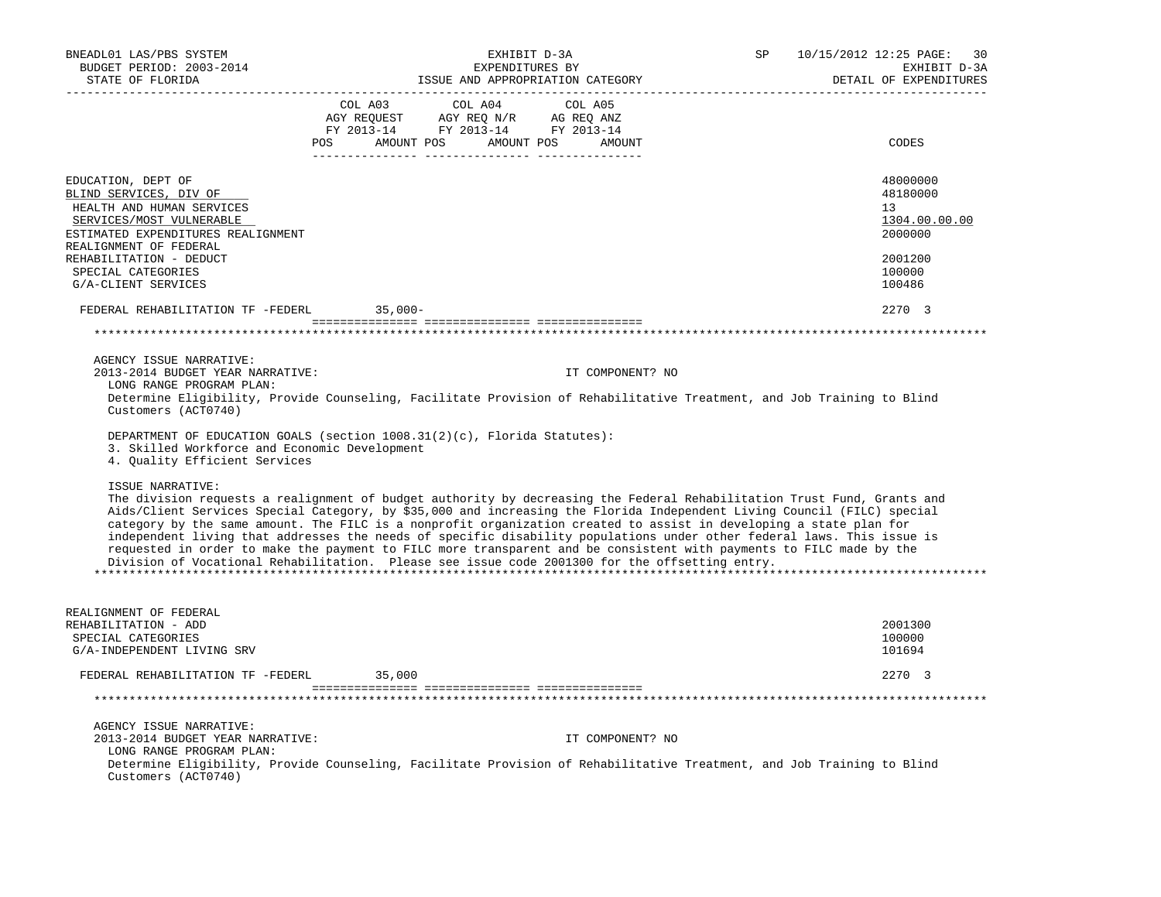| BNEADL01 LAS/PBS SYSTEM                                                                                                                                                                                                                      |                                  | EXHIBIT D-3A                                                                                  |                                  | SP | 10/15/2012 12:25 PAGE:<br>30 |
|----------------------------------------------------------------------------------------------------------------------------------------------------------------------------------------------------------------------------------------------|----------------------------------|-----------------------------------------------------------------------------------------------|----------------------------------|----|------------------------------|
| BUDGET PERIOD: 2003-2014                                                                                                                                                                                                                     |                                  | EXPENDITURES BY                                                                               |                                  |    | EXHIBIT D-3A                 |
| STATE OF FLORIDA                                                                                                                                                                                                                             |                                  | ----------------                                                                              | ISSUE AND APPROPRIATION CATEGORY |    | DETAIL OF EXPENDITURES       |
|                                                                                                                                                                                                                                              |                                  | COL A03 COL A04                                                                               | COL A05                          |    |                              |
|                                                                                                                                                                                                                                              |                                  | AGY REQUEST      AGY REQ N/R      AG REQ ANZ<br>FY 2013-14        FY 2013-14       FY 2013-14 |                                  |    |                              |
|                                                                                                                                                                                                                                              |                                  |                                                                                               |                                  |    |                              |
|                                                                                                                                                                                                                                              | POS AMOUNT POS AMOUNT POS AMOUNT |                                                                                               |                                  |    | CODES                        |
|                                                                                                                                                                                                                                              |                                  |                                                                                               |                                  |    |                              |
| EDUCATION, DEPT OF                                                                                                                                                                                                                           |                                  |                                                                                               |                                  |    | 48000000                     |
| BLIND SERVICES, DIV OF                                                                                                                                                                                                                       |                                  |                                                                                               |                                  |    | 48180000                     |
| HEALTH AND HUMAN SERVICES<br>SERVICES/MOST VULNERABLE                                                                                                                                                                                        |                                  |                                                                                               |                                  |    | 13<br>1304.00.00.00          |
| ESTIMATED EXPENDITURES REALIGNMENT                                                                                                                                                                                                           |                                  |                                                                                               |                                  |    | 2000000                      |
| REALIGNMENT OF FEDERAL                                                                                                                                                                                                                       |                                  |                                                                                               |                                  |    |                              |
| REHABILITATION - DEDUCT                                                                                                                                                                                                                      |                                  |                                                                                               |                                  |    | 2001200                      |
| SPECIAL CATEGORIES                                                                                                                                                                                                                           |                                  |                                                                                               |                                  |    | 100000                       |
| G/A-CLIENT SERVICES                                                                                                                                                                                                                          |                                  |                                                                                               |                                  |    | 100486                       |
| FEDERAL REHABILITATION TF -FEDERL 35,000-                                                                                                                                                                                                    |                                  |                                                                                               |                                  |    | 2270 3                       |
|                                                                                                                                                                                                                                              |                                  |                                                                                               |                                  |    |                              |
|                                                                                                                                                                                                                                              |                                  |                                                                                               |                                  |    |                              |
| AGENCY ISSUE NARRATIVE:                                                                                                                                                                                                                      |                                  |                                                                                               |                                  |    |                              |
| 2013-2014 BUDGET YEAR NARRATIVE:                                                                                                                                                                                                             |                                  |                                                                                               | IT COMPONENT? NO                 |    |                              |
| LONG RANGE PROGRAM PLAN:                                                                                                                                                                                                                     |                                  |                                                                                               |                                  |    |                              |
| Determine Eligibility, Provide Counseling, Facilitate Provision of Rehabilitative Treatment, and Job Training to Blind                                                                                                                       |                                  |                                                                                               |                                  |    |                              |
| Customers (ACT0740)                                                                                                                                                                                                                          |                                  |                                                                                               |                                  |    |                              |
| DEPARTMENT OF EDUCATION GOALS (section $1008.31(2)(c)$ , Florida Statutes):                                                                                                                                                                  |                                  |                                                                                               |                                  |    |                              |
| 3. Skilled Workforce and Economic Development                                                                                                                                                                                                |                                  |                                                                                               |                                  |    |                              |
| 4. Quality Efficient Services                                                                                                                                                                                                                |                                  |                                                                                               |                                  |    |                              |
|                                                                                                                                                                                                                                              |                                  |                                                                                               |                                  |    |                              |
| ISSUE NARRATIVE:                                                                                                                                                                                                                             |                                  |                                                                                               |                                  |    |                              |
| The division requests a realignment of budget authority by decreasing the Federal Rehabilitation Trust Fund, Grants and                                                                                                                      |                                  |                                                                                               |                                  |    |                              |
| Aids/Client Services Special Category, by \$35,000 and increasing the Florida Independent Living Council (FILC) special                                                                                                                      |                                  |                                                                                               |                                  |    |                              |
| category by the same amount. The FILC is a nonprofit organization created to assist in developing a state plan for<br>independent living that addresses the needs of specific disability populations under other federal laws. This issue is |                                  |                                                                                               |                                  |    |                              |
| requested in order to make the payment to FILC more transparent and be consistent with payments to FILC made by the                                                                                                                          |                                  |                                                                                               |                                  |    |                              |
| Division of Vocational Rehabilitation. Please see issue code 2001300 for the offsetting entry.                                                                                                                                               |                                  |                                                                                               |                                  |    |                              |
|                                                                                                                                                                                                                                              |                                  |                                                                                               |                                  |    |                              |
|                                                                                                                                                                                                                                              |                                  |                                                                                               |                                  |    |                              |
| REALIGNMENT OF FEDERAL                                                                                                                                                                                                                       |                                  |                                                                                               |                                  |    |                              |
| REHABILITATION - ADD                                                                                                                                                                                                                         |                                  |                                                                                               |                                  |    | 2001300                      |
| SPECIAL CATEGORIES                                                                                                                                                                                                                           |                                  |                                                                                               |                                  |    | 100000                       |
| G/A-INDEPENDENT LIVING SRV                                                                                                                                                                                                                   |                                  |                                                                                               |                                  |    | 101694                       |
| FEDERAL REHABILITATION TF -FEDERL                                                                                                                                                                                                            | 35,000                           |                                                                                               |                                  |    | 2270 3                       |
|                                                                                                                                                                                                                                              |                                  |                                                                                               |                                  |    |                              |
|                                                                                                                                                                                                                                              |                                  |                                                                                               |                                  |    |                              |
| AGENCY ISSUE NARRATIVE:                                                                                                                                                                                                                      |                                  |                                                                                               |                                  |    |                              |
| 2013-2014 BUDGET YEAR NARRATIVE:                                                                                                                                                                                                             |                                  |                                                                                               | IT COMPONENT? NO                 |    |                              |
| LONG RANGE PROGRAM PLAN:                                                                                                                                                                                                                     |                                  |                                                                                               |                                  |    |                              |
| Determine Eligibility, Provide Counseling, Facilitate Provision of Rehabilitative Treatment, and Job Training to Blind<br>Customers (ACT0740)                                                                                                |                                  |                                                                                               |                                  |    |                              |
|                                                                                                                                                                                                                                              |                                  |                                                                                               |                                  |    |                              |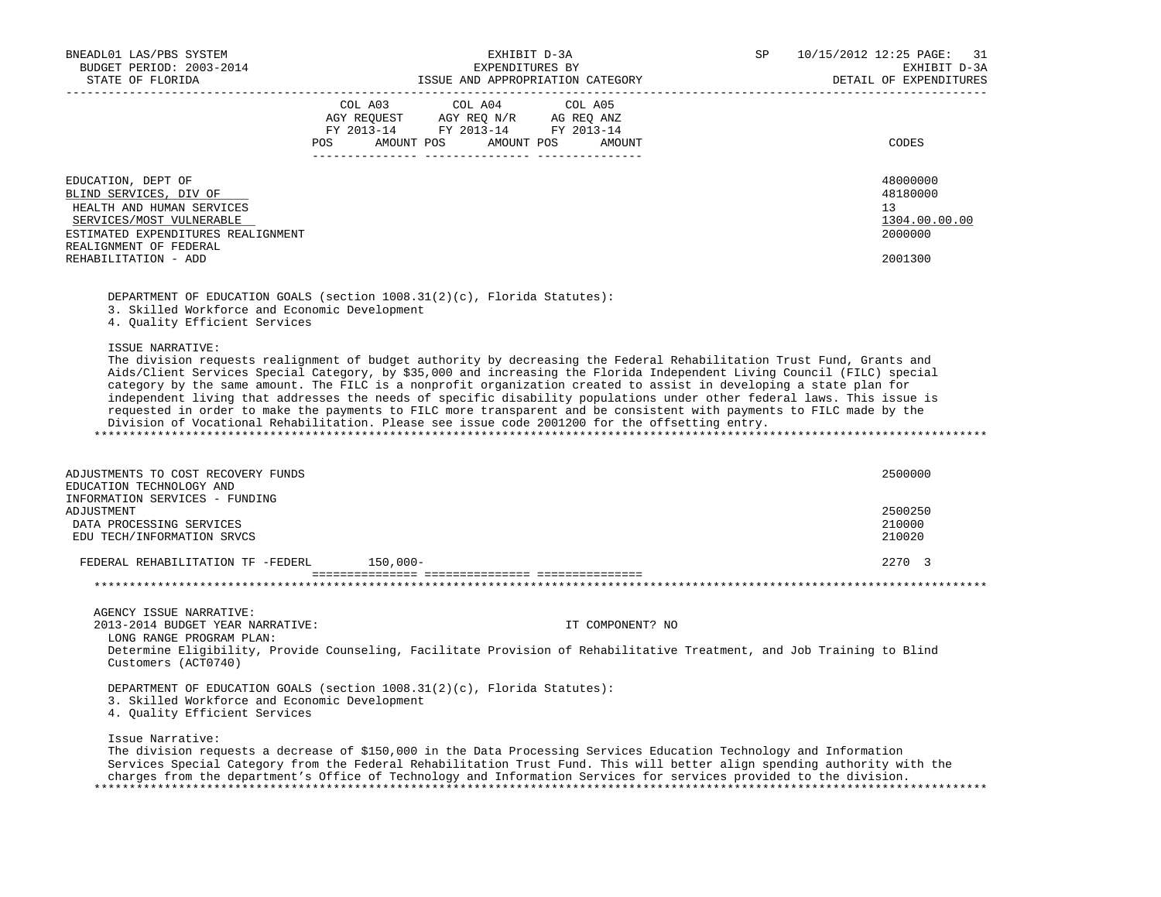| BNEADL01 LAS/PBS SYSTEM                                                                                                                                                                                                                        |                                                                        |                                  | EXHIBIT D-3A    |                  | 10/15/2012 12:25 PAGE: 31<br>SP |                        |  |  |
|------------------------------------------------------------------------------------------------------------------------------------------------------------------------------------------------------------------------------------------------|------------------------------------------------------------------------|----------------------------------|-----------------|------------------|---------------------------------|------------------------|--|--|
| BUDGET PERIOD: 2003-2014                                                                                                                                                                                                                       |                                                                        |                                  | EXPENDITURES BY |                  |                                 | EXHIBIT D-3A           |  |  |
| STATE OF FLORIDA                                                                                                                                                                                                                               |                                                                        | ISSUE AND APPROPRIATION CATEGORY |                 |                  |                                 | DETAIL OF EXPENDITURES |  |  |
|                                                                                                                                                                                                                                                |                                                                        | COL A03 COL A04                  | COL A05         |                  |                                 |                        |  |  |
|                                                                                                                                                                                                                                                | AGY REQUEST AGY REQ N/R AG REQ ANZ<br>FY 2013-14 FY 2013-14 FY 2013-14 |                                  |                 |                  |                                 |                        |  |  |
|                                                                                                                                                                                                                                                |                                                                        |                                  |                 |                  |                                 |                        |  |  |
|                                                                                                                                                                                                                                                | POS AMOUNT POS AMOUNT POS AMOUNT                                       |                                  |                 |                  |                                 | CODES                  |  |  |
|                                                                                                                                                                                                                                                |                                                                        |                                  |                 |                  |                                 |                        |  |  |
| EDUCATION, DEPT OF                                                                                                                                                                                                                             |                                                                        |                                  |                 |                  |                                 | 48000000               |  |  |
| BLIND SERVICES, DIV OF                                                                                                                                                                                                                         |                                                                        |                                  |                 |                  |                                 | 48180000<br>13         |  |  |
| HEALTH AND HUMAN SERVICES<br>SERVICES/MOST VULNERABLE                                                                                                                                                                                          |                                                                        |                                  |                 |                  |                                 | 1304.00.00.00          |  |  |
| ESTIMATED EXPENDITURES REALIGNMENT                                                                                                                                                                                                             |                                                                        |                                  |                 |                  |                                 | 2000000                |  |  |
| REALIGNMENT OF FEDERAL                                                                                                                                                                                                                         |                                                                        |                                  |                 |                  |                                 |                        |  |  |
| REHABILITATION - ADD                                                                                                                                                                                                                           |                                                                        |                                  |                 |                  |                                 | 2001300                |  |  |
|                                                                                                                                                                                                                                                |                                                                        |                                  |                 |                  |                                 |                        |  |  |
| DEPARTMENT OF EDUCATION GOALS (section 1008.31(2)(c), Florida Statutes):                                                                                                                                                                       |                                                                        |                                  |                 |                  |                                 |                        |  |  |
| 3. Skilled Workforce and Economic Development                                                                                                                                                                                                  |                                                                        |                                  |                 |                  |                                 |                        |  |  |
| 4. Quality Efficient Services                                                                                                                                                                                                                  |                                                                        |                                  |                 |                  |                                 |                        |  |  |
| ISSUE NARRATIVE:                                                                                                                                                                                                                               |                                                                        |                                  |                 |                  |                                 |                        |  |  |
| The division requests realignment of budget authority by decreasing the Federal Rehabilitation Trust Fund, Grants and                                                                                                                          |                                                                        |                                  |                 |                  |                                 |                        |  |  |
| Aids/Client Services Special Category, by \$35,000 and increasing the Florida Independent Living Council (FILC) special                                                                                                                        |                                                                        |                                  |                 |                  |                                 |                        |  |  |
| category by the same amount. The FILC is a nonprofit organization created to assist in developing a state plan for                                                                                                                             |                                                                        |                                  |                 |                  |                                 |                        |  |  |
| independent living that addresses the needs of specific disability populations under other federal laws. This issue is                                                                                                                         |                                                                        |                                  |                 |                  |                                 |                        |  |  |
| requested in order to make the payments to FILC more transparent and be consistent with payments to FILC made by the<br>Division of Vocational Rehabilitation. Please see issue code 2001200 for the offsetting entry.                         |                                                                        |                                  |                 |                  |                                 |                        |  |  |
|                                                                                                                                                                                                                                                |                                                                        |                                  |                 |                  |                                 |                        |  |  |
|                                                                                                                                                                                                                                                |                                                                        |                                  |                 |                  |                                 |                        |  |  |
| ADJUSTMENTS TO COST RECOVERY FUNDS                                                                                                                                                                                                             |                                                                        |                                  |                 |                  |                                 | 2500000                |  |  |
| EDUCATION TECHNOLOGY AND                                                                                                                                                                                                                       |                                                                        |                                  |                 |                  |                                 |                        |  |  |
| INFORMATION SERVICES - FUNDING                                                                                                                                                                                                                 |                                                                        |                                  |                 |                  |                                 |                        |  |  |
| ADJUSTMENT                                                                                                                                                                                                                                     |                                                                        |                                  |                 |                  |                                 | 2500250                |  |  |
| DATA PROCESSING SERVICES                                                                                                                                                                                                                       |                                                                        |                                  |                 |                  |                                 | 210000                 |  |  |
| EDU TECH/INFORMATION SRVCS                                                                                                                                                                                                                     |                                                                        |                                  |                 |                  |                                 | 210020                 |  |  |
| FEDERAL REHABILITATION TF -FEDERL 150,000-                                                                                                                                                                                                     |                                                                        |                                  |                 |                  |                                 | 2270 3                 |  |  |
|                                                                                                                                                                                                                                                |                                                                        |                                  |                 |                  |                                 |                        |  |  |
|                                                                                                                                                                                                                                                |                                                                        |                                  |                 |                  |                                 |                        |  |  |
| AGENCY ISSUE NARRATIVE:                                                                                                                                                                                                                        |                                                                        |                                  |                 |                  |                                 |                        |  |  |
| 2013-2014 BUDGET YEAR NARRATIVE:                                                                                                                                                                                                               |                                                                        |                                  |                 | IT COMPONENT? NO |                                 |                        |  |  |
| LONG RANGE PROGRAM PLAN:<br>Determine Eligibility, Provide Counseling, Facilitate Provision of Rehabilitative Treatment, and Job Training to Blind                                                                                             |                                                                        |                                  |                 |                  |                                 |                        |  |  |
| Customers (ACT0740)                                                                                                                                                                                                                            |                                                                        |                                  |                 |                  |                                 |                        |  |  |
|                                                                                                                                                                                                                                                |                                                                        |                                  |                 |                  |                                 |                        |  |  |
| DEPARTMENT OF EDUCATION GOALS (section 1008.31(2)(c), Florida Statutes):<br>3. Skilled Workforce and Economic Development                                                                                                                      |                                                                        |                                  |                 |                  |                                 |                        |  |  |
| 4. Quality Efficient Services                                                                                                                                                                                                                  |                                                                        |                                  |                 |                  |                                 |                        |  |  |
|                                                                                                                                                                                                                                                |                                                                        |                                  |                 |                  |                                 |                        |  |  |
| Issue Narrative:                                                                                                                                                                                                                               |                                                                        |                                  |                 |                  |                                 |                        |  |  |
| The division requests a decrease of \$150,000 in the Data Processing Services Education Technology and Information                                                                                                                             |                                                                        |                                  |                 |                  |                                 |                        |  |  |
| Services Special Category from the Federal Rehabilitation Trust Fund. This will better align spending authority with the<br>charges from the department's Office of Technology and Information Services for services provided to the division. |                                                                        |                                  |                 |                  |                                 |                        |  |  |
|                                                                                                                                                                                                                                                |                                                                        |                                  |                 |                  |                                 |                        |  |  |
|                                                                                                                                                                                                                                                |                                                                        |                                  |                 |                  |                                 |                        |  |  |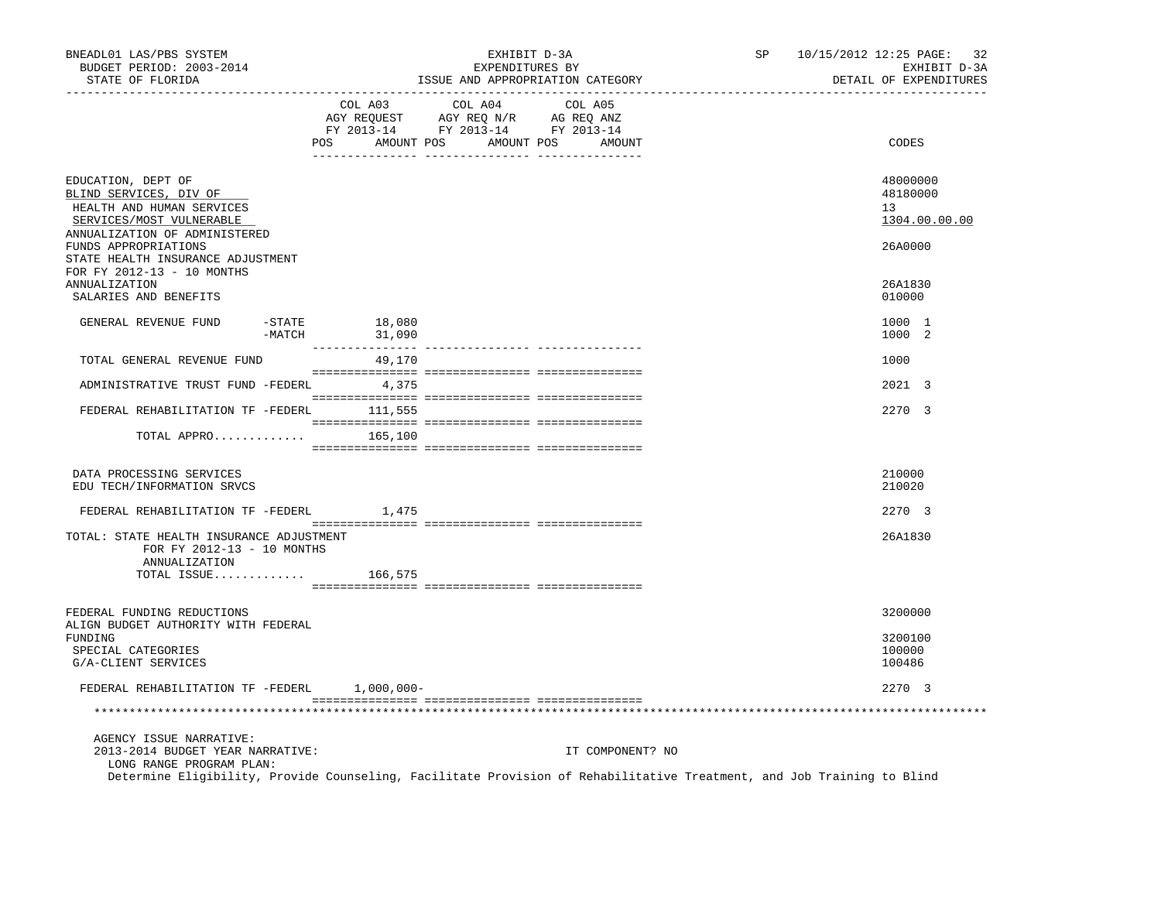| BNEADL01 LAS/PBS SYSTEM<br>BUDGET PERIOD: 2003-2014<br>STATE OF FLORIDA                                                                |                       |                  | EXHIBIT D-3A<br>EXPENDITURES BY                                                                                                                                                                                                                                                                                                                                                    | ISSUE AND APPROPRIATION CATEGORY | SP                                                                                                                     | 10/15/2012 12:25 PAGE: 32<br>EXHIBIT D-3A<br>DETAIL OF EXPENDITURES |
|----------------------------------------------------------------------------------------------------------------------------------------|-----------------------|------------------|------------------------------------------------------------------------------------------------------------------------------------------------------------------------------------------------------------------------------------------------------------------------------------------------------------------------------------------------------------------------------------|----------------------------------|------------------------------------------------------------------------------------------------------------------------|---------------------------------------------------------------------|
|                                                                                                                                        |                       | COL A03          | COL A04<br>$\begin{array}{ccccccccc} \text{COL} & \text{AUI} & \text{CUL} & \text{AUI} & \text{CUL} & \text{AUI} \\ \text{AGY} & \text{REQUEST} & \text{AGY} & \text{REQ} & \text{N}/\text{R} & \text{AG} & \text{EEQ} & \text{ANZ} \\ \text{FY} & 2013\text{--}14 & \text{FY} & 2013\text{--}14 & \text{FY} & 2013\text{--}14 \\ \end{array}$<br>POS AMOUNT POS AMOUNT POS AMOUNT | COL A05                          |                                                                                                                        | CODES                                                               |
| EDUCATION, DEPT OF<br>BLIND SERVICES, DIV OF<br>HEALTH AND HUMAN SERVICES<br>SERVICES/MOST VULNERABLE<br>ANNUALIZATION OF ADMINISTERED |                       |                  |                                                                                                                                                                                                                                                                                                                                                                                    |                                  |                                                                                                                        | 48000000<br>48180000<br>13<br>1304.00.00.00                         |
| FUNDS APPROPRIATIONS<br>STATE HEALTH INSURANCE ADJUSTMENT<br>FOR FY 2012-13 - 10 MONTHS                                                |                       |                  |                                                                                                                                                                                                                                                                                                                                                                                    |                                  |                                                                                                                        | 26A0000                                                             |
| ANNUALIZATION<br>SALARIES AND BENEFITS                                                                                                 |                       |                  |                                                                                                                                                                                                                                                                                                                                                                                    |                                  |                                                                                                                        | 26A1830<br>010000                                                   |
| GENERAL REVENUE FUND                                                                                                                   | $-$ STATE<br>$-MATCH$ | 18,080<br>31,090 |                                                                                                                                                                                                                                                                                                                                                                                    |                                  |                                                                                                                        | 1000 1<br>1000 2                                                    |
| TOTAL GENERAL REVENUE FUND                                                                                                             |                       | 49,170           |                                                                                                                                                                                                                                                                                                                                                                                    |                                  |                                                                                                                        | 1000                                                                |
| ADMINISTRATIVE TRUST FUND -FEDERL 4,375                                                                                                |                       |                  |                                                                                                                                                                                                                                                                                                                                                                                    |                                  |                                                                                                                        | 2021 3                                                              |
| FEDERAL REHABILITATION TF -FEDERL 111,555                                                                                              |                       |                  |                                                                                                                                                                                                                                                                                                                                                                                    |                                  |                                                                                                                        | 2270 3                                                              |
| TOTAL APPRO $165,100$                                                                                                                  |                       |                  |                                                                                                                                                                                                                                                                                                                                                                                    |                                  |                                                                                                                        |                                                                     |
| DATA PROCESSING SERVICES<br>EDU TECH/INFORMATION SRVCS                                                                                 |                       |                  |                                                                                                                                                                                                                                                                                                                                                                                    |                                  |                                                                                                                        | 210000<br>210020                                                    |
| FEDERAL REHABILITATION TF -FEDERL 1,475                                                                                                |                       |                  |                                                                                                                                                                                                                                                                                                                                                                                    |                                  |                                                                                                                        | 2270 3                                                              |
| TOTAL: STATE HEALTH INSURANCE ADJUSTMENT<br>FOR FY 2012-13 - 10 MONTHS<br>ANNUALIZATION                                                |                       |                  |                                                                                                                                                                                                                                                                                                                                                                                    |                                  |                                                                                                                        | 26A1830                                                             |
| TOTAL ISSUE $166,575$                                                                                                                  |                       |                  |                                                                                                                                                                                                                                                                                                                                                                                    |                                  |                                                                                                                        |                                                                     |
| FEDERAL FUNDING REDUCTIONS<br>ALIGN BUDGET AUTHORITY WITH FEDERAL                                                                      |                       |                  |                                                                                                                                                                                                                                                                                                                                                                                    |                                  |                                                                                                                        | 3200000                                                             |
| FUNDING<br>SPECIAL CATEGORIES<br>G/A-CLIENT SERVICES                                                                                   |                       |                  |                                                                                                                                                                                                                                                                                                                                                                                    |                                  |                                                                                                                        | 3200100<br>100000<br>100486                                         |
| FEDERAL REHABILITATION TF -FEDERL 1,000,000-                                                                                           |                       |                  |                                                                                                                                                                                                                                                                                                                                                                                    |                                  |                                                                                                                        | 2270 3                                                              |
|                                                                                                                                        |                       |                  |                                                                                                                                                                                                                                                                                                                                                                                    |                                  |                                                                                                                        |                                                                     |
| AGENCY ISSUE NARRATIVE:<br>2013-2014 BUDGET YEAR NARRATIVE:<br>LONG RANGE PROGRAM PLAN:                                                |                       |                  |                                                                                                                                                                                                                                                                                                                                                                                    | IT COMPONENT? NO                 |                                                                                                                        |                                                                     |
|                                                                                                                                        |                       |                  |                                                                                                                                                                                                                                                                                                                                                                                    |                                  | Determine Eligibility, Provide Counseling, Facilitate Provision of Rehabilitative Treatment, and Job Training to Blind |                                                                     |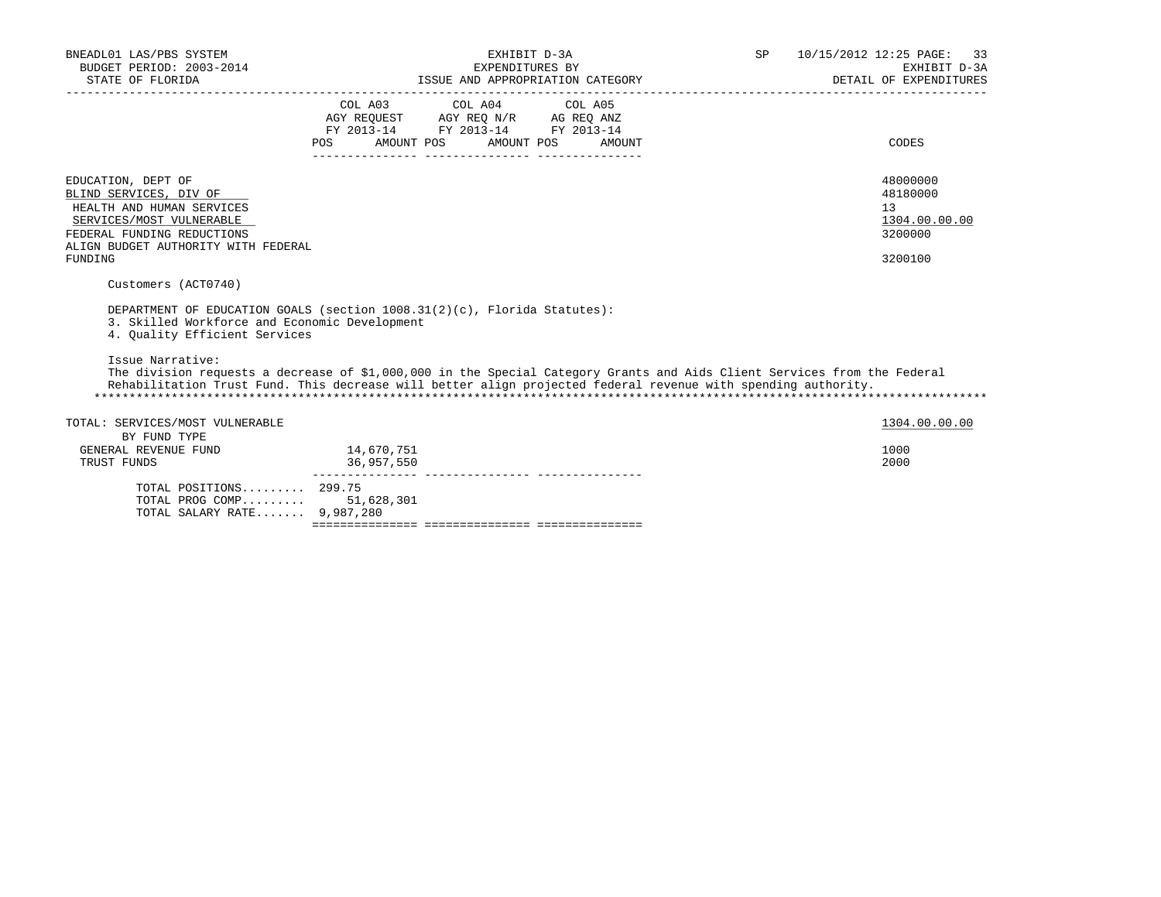| BNEADL01 LAS/PBS SYSTEM<br>BUDGET PERIOD: 2003-2014<br>STATE OF FLORIDA                                                                                                                                                                                                                                                                                                                                                                            |                      | EXHIBIT D-3A<br>EXPENDITURES BY                                                                   | ISSUE AND APPROPRIATION CATEGORY | SP and the set of the set of the set of the set of the set of the set of the set of the set of the set of the set of the set of the set of the set of the set of the set of the set of the set of the set of the set of the se | 10/15/2012 12:25 PAGE: 33<br>EXHIBIT D-3A<br>DETAIL OF EXPENDITURES |
|----------------------------------------------------------------------------------------------------------------------------------------------------------------------------------------------------------------------------------------------------------------------------------------------------------------------------------------------------------------------------------------------------------------------------------------------------|----------------------|---------------------------------------------------------------------------------------------------|----------------------------------|--------------------------------------------------------------------------------------------------------------------------------------------------------------------------------------------------------------------------------|---------------------------------------------------------------------|
|                                                                                                                                                                                                                                                                                                                                                                                                                                                    | AMOUNT POS<br>POS DO | COL A03 COL A04 COL A05<br>AGY REQUEST AGY REQ N/R AG REQ ANZ<br>FY 2013-14 FY 2013-14 FY 2013-14 | AMOUNT POS<br>AMOUNT             |                                                                                                                                                                                                                                | CODES                                                               |
| EDUCATION, DEPT OF<br>BLIND SERVICES, DIV OF<br>HEALTH AND HUMAN SERVICES<br>SERVICES/MOST VULNERABLE<br>FEDERAL FUNDING REDUCTIONS<br>ALIGN BUDGET AUTHORITY WITH FEDERAL<br>FUNDING                                                                                                                                                                                                                                                              |                      |                                                                                                   |                                  |                                                                                                                                                                                                                                | 48000000<br>48180000<br>13<br>1304.00.00.00<br>3200000<br>3200100   |
| Customers (ACT0740)<br>DEPARTMENT OF EDUCATION GOALS (section 1008.31(2)(c), Florida Statutes):<br>3. Skilled Workforce and Economic Development<br>4. Ouality Efficient Services<br>Issue Narrative:<br>The division requests a decrease of \$1,000,000 in the Special Category Grants and Aids Client Services from the Federal<br>Rehabilitation Trust Fund. This decrease will better align projected federal revenue with spending authority. |                      |                                                                                                   |                                  |                                                                                                                                                                                                                                |                                                                     |
| TOTAL: SERVICES/MOST VULNERABLE<br>BY FUND TYPE                                                                                                                                                                                                                                                                                                                                                                                                    | 14,670,751           |                                                                                                   |                                  |                                                                                                                                                                                                                                | 1304.00.00.00<br>1000                                               |
| GENERAL REVENUE FUND<br>TRUST FUNDS                                                                                                                                                                                                                                                                                                                                                                                                                | 36,957,550           |                                                                                                   |                                  |                                                                                                                                                                                                                                | 2000                                                                |
| TOTAL POSITIONS 299.75<br>TOTAL PROG COMP 51,628,301<br>TOTAL SALARY RATE 9,987,280                                                                                                                                                                                                                                                                                                                                                                |                      |                                                                                                   |                                  |                                                                                                                                                                                                                                |                                                                     |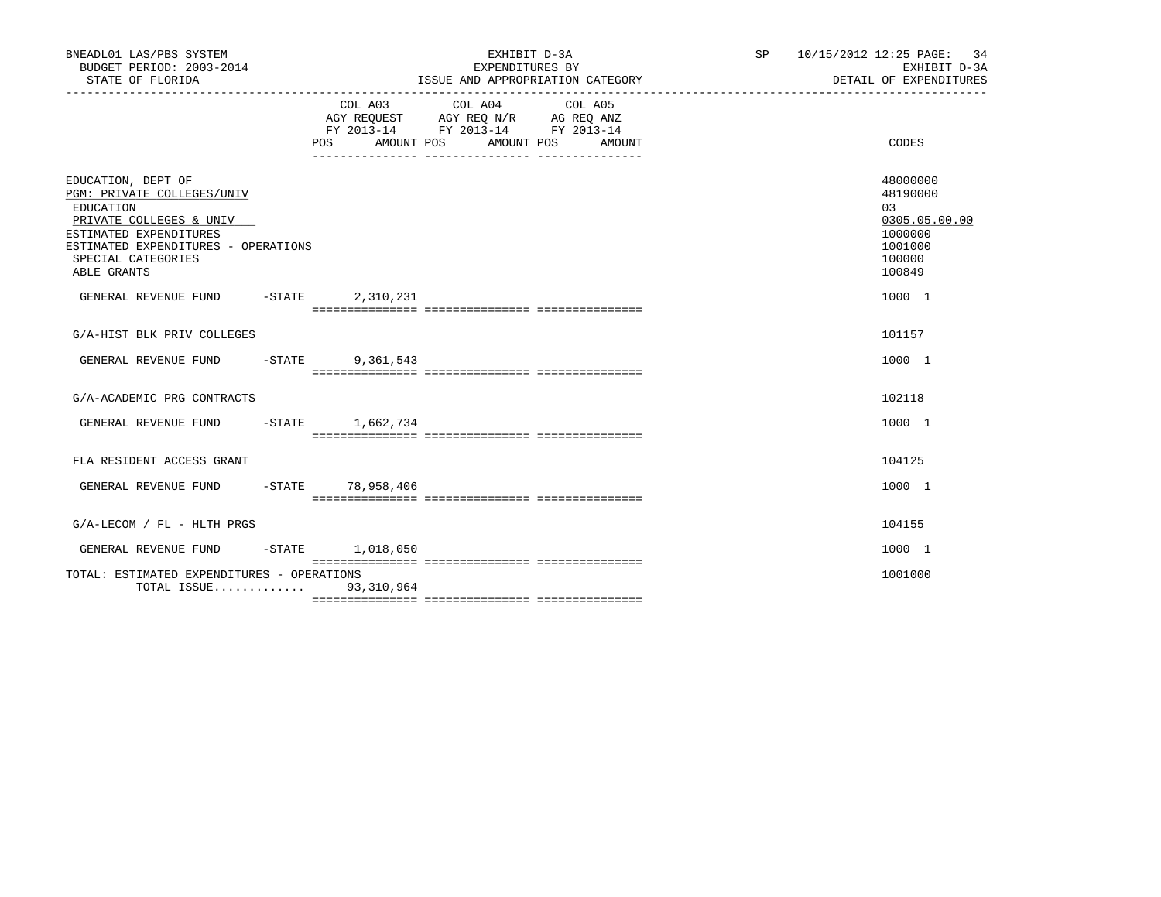|     |                                                                                 |                                                                                                                                                                                                            |            |                                               |                                                                                                                                       | EXHIBIT D-3A<br>DETAIL OF EXPENDITURES                                                |
|-----|---------------------------------------------------------------------------------|------------------------------------------------------------------------------------------------------------------------------------------------------------------------------------------------------------|------------|-----------------------------------------------|---------------------------------------------------------------------------------------------------------------------------------------|---------------------------------------------------------------------------------------|
| POS |                                                                                 |                                                                                                                                                                                                            |            | AMOUNT                                        |                                                                                                                                       | CODES                                                                                 |
|     |                                                                                 |                                                                                                                                                                                                            |            |                                               |                                                                                                                                       | 48000000<br>48190000<br>03<br>0305.05.00.00<br>1000000<br>1001000<br>100000<br>100849 |
|     |                                                                                 |                                                                                                                                                                                                            |            |                                               |                                                                                                                                       | 1000 1                                                                                |
|     |                                                                                 |                                                                                                                                                                                                            |            |                                               |                                                                                                                                       | 101157                                                                                |
|     |                                                                                 |                                                                                                                                                                                                            |            |                                               |                                                                                                                                       | 1000 1                                                                                |
|     |                                                                                 |                                                                                                                                                                                                            |            |                                               |                                                                                                                                       | 102118                                                                                |
|     |                                                                                 |                                                                                                                                                                                                            |            |                                               |                                                                                                                                       | 1000 1                                                                                |
|     |                                                                                 |                                                                                                                                                                                                            |            |                                               |                                                                                                                                       | 104125                                                                                |
|     |                                                                                 |                                                                                                                                                                                                            |            |                                               |                                                                                                                                       | 1000 1                                                                                |
|     |                                                                                 |                                                                                                                                                                                                            |            |                                               |                                                                                                                                       | 104155                                                                                |
|     |                                                                                 |                                                                                                                                                                                                            |            |                                               |                                                                                                                                       | 1000 1                                                                                |
|     |                                                                                 |                                                                                                                                                                                                            |            |                                               |                                                                                                                                       | 1001000                                                                               |
|     | ESTIMATED EXPENDITURES - OPERATIONS<br>GENERAL REVENUE FUND -STATE<br>$-$ STATE | 2,310,231<br>9,361,543<br>GENERAL REVENUE FUND -STATE 1,662,734<br>GENERAL REVENUE FUND -STATE 78,958,406<br>$-$ STATE $1,018,050$<br>TOTAL: ESTIMATED EXPENDITURES - OPERATIONS<br>TOTAL ISSUE 93,310,964 | AMOUNT POS | EXHIBIT D-3A<br>EXPENDITURES BY<br>AMOUNT POS | ISSUE AND APPROPRIATION CATEGORY<br>COL A03 COL A04 COL A05<br>AGY REQUEST AGY REQ N/R AG REQ ANZ<br>FY 2013-14 FY 2013-14 FY 2013-14 | SP 10/15/2012 12:25 PAGE: 34                                                          |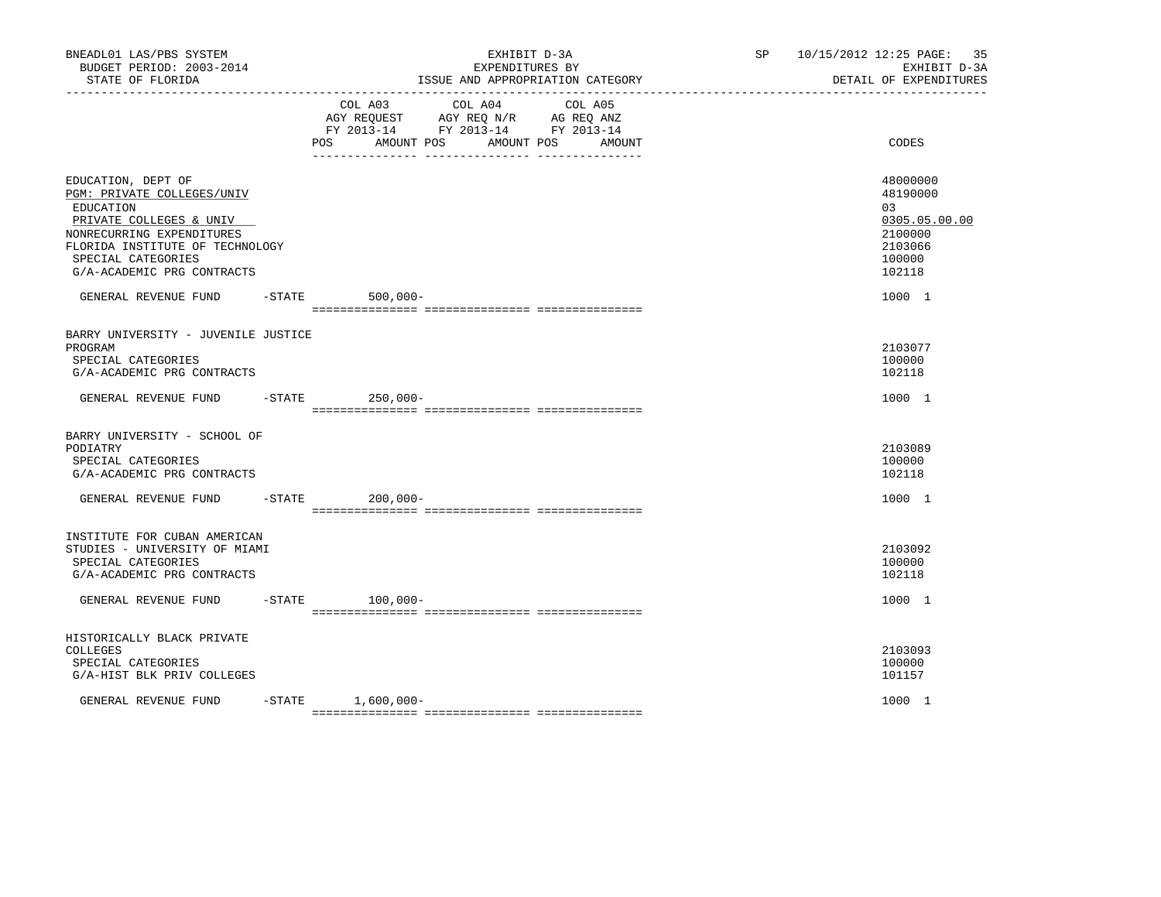| BNEADL01 LAS/PBS SYSTEM<br>BUDGET PERIOD: 2003-2014<br>STATE OF FLORIDA<br>------------------                                                                                                                |        | EXHIBIT D-3A<br>EXPENDITURES BY<br>ISSUE AND APPROPRIATION CATEGORY                                                                                         | SP <sub>2</sub> | 10/15/2012 12:25 PAGE: 35<br>EXHIBIT D-3A<br>DETAIL OF EXPENDITURES                   |
|--------------------------------------------------------------------------------------------------------------------------------------------------------------------------------------------------------------|--------|-------------------------------------------------------------------------------------------------------------------------------------------------------------|-----------------|---------------------------------------------------------------------------------------|
|                                                                                                                                                                                                              |        | COL A04<br>COL A03<br>COL A05<br>AGY REQUEST AGY REQ N/R AG REQ ANZ<br>FY 2013-14 FY 2013-14 FY 2013-14<br><b>POS</b><br>AMOUNT POS<br>AMOUNT POS<br>AMOUNT |                 | CODES                                                                                 |
| EDUCATION, DEPT OF<br>PGM: PRIVATE COLLEGES/UNIV<br>EDUCATION<br>PRIVATE COLLEGES & UNIV<br>NONRECURRING EXPENDITURES<br>FLORIDA INSTITUTE OF TECHNOLOGY<br>SPECIAL CATEGORIES<br>G/A-ACADEMIC PRG CONTRACTS |        |                                                                                                                                                             |                 | 48000000<br>48190000<br>03<br>0305.05.00.00<br>2100000<br>2103066<br>100000<br>102118 |
| GENERAL REVENUE FUND                                                                                                                                                                                         | -STATE | $500,000 -$                                                                                                                                                 |                 | 1000 1                                                                                |
| BARRY UNIVERSITY - JUVENILE JUSTICE<br>PROGRAM<br>SPECIAL CATEGORIES<br>G/A-ACADEMIC PRG CONTRACTS                                                                                                           |        |                                                                                                                                                             |                 | 2103077<br>100000<br>102118                                                           |
| GENERAL REVENUE FUND                                                                                                                                                                                         |        | $-$ STATE 250,000-                                                                                                                                          |                 | 1000 1                                                                                |
| BARRY UNIVERSITY - SCHOOL OF<br>PODIATRY<br>SPECIAL CATEGORIES<br>G/A-ACADEMIC PRG CONTRACTS                                                                                                                 |        |                                                                                                                                                             |                 | 2103089<br>100000<br>102118                                                           |
| GENERAL REVENUE FUND                                                                                                                                                                                         |        | $-STATE$<br>$200,000 -$                                                                                                                                     |                 | 1000 1                                                                                |
| INSTITUTE FOR CUBAN AMERICAN<br>STUDIES - UNIVERSITY OF MIAMI<br>SPECIAL CATEGORIES<br>G/A-ACADEMIC PRG CONTRACTS                                                                                            |        |                                                                                                                                                             |                 | 2103092<br>100000<br>102118                                                           |
| GENERAL REVENUE FUND                                                                                                                                                                                         |        | $-$ STATE<br>$100,000 -$                                                                                                                                    |                 | 1000 1                                                                                |
| HISTORICALLY BLACK PRIVATE<br>COLLEGES<br>SPECIAL CATEGORIES<br>G/A-HIST BLK PRIV COLLEGES                                                                                                                   |        |                                                                                                                                                             |                 | 2103093<br>100000<br>101157                                                           |
| GENERAL REVENUE FUND                                                                                                                                                                                         |        | $-$ STATE $1,600,000-$                                                                                                                                      |                 | 1000 1                                                                                |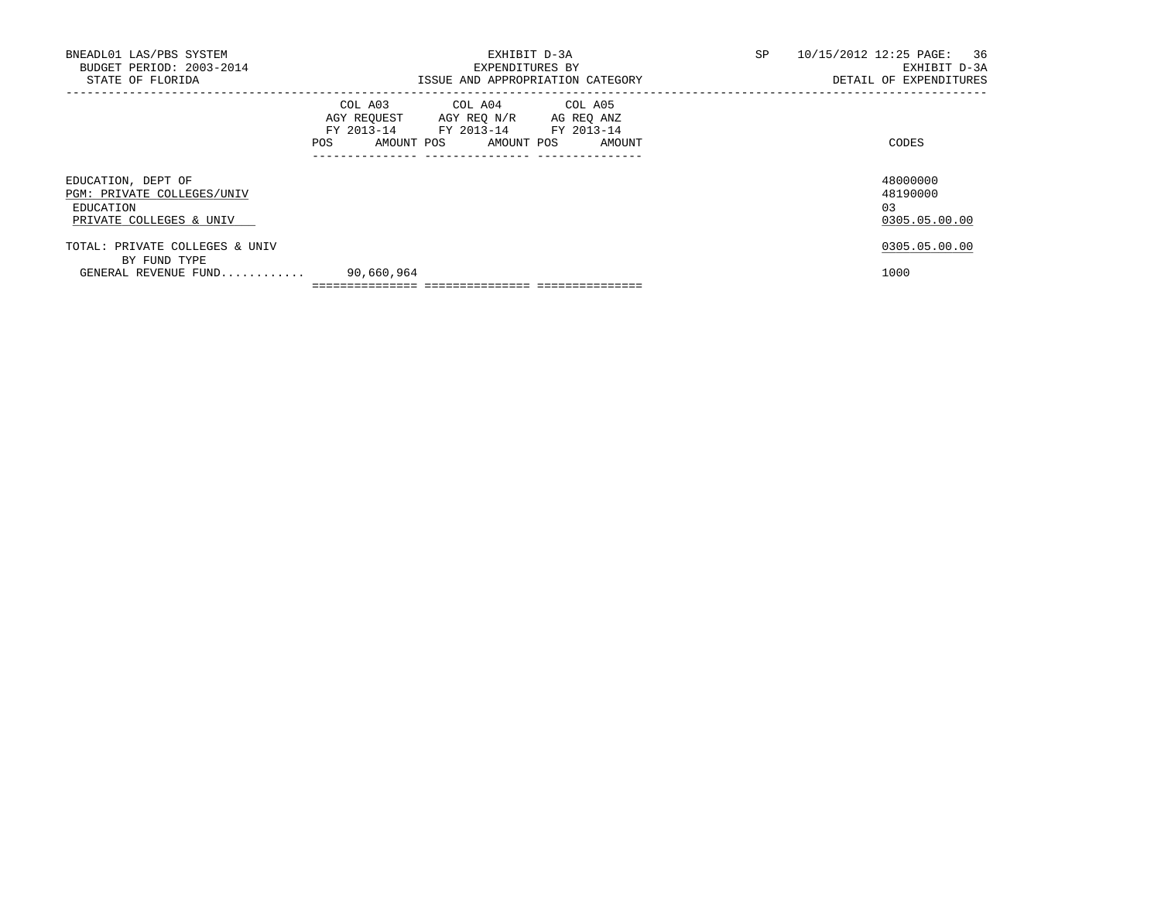| TOTAL: PRIVATE COLLEGES & UNIV |                                  |                                    |        |                        | 0305.05.00.00             |  |
|--------------------------------|----------------------------------|------------------------------------|--------|------------------------|---------------------------|--|
|                                |                                  |                                    |        |                        |                           |  |
| PRIVATE COLLEGES & UNIV        |                                  |                                    |        |                        | 0305.05.00.00             |  |
| EDUCATION                      |                                  |                                    |        |                        | 03                        |  |
| PGM: PRIVATE COLLEGES/UNIV     |                                  |                                    |        |                        | 48190000                  |  |
| EDUCATION, DEPT OF             |                                  |                                    |        |                        | 48000000                  |  |
|                                |                                  |                                    |        |                        |                           |  |
|                                | POS FOR                          | AMOUNT POS AMOUNT POS              | AMOUNT |                        | CODES                     |  |
|                                |                                  | FY 2013-14 FY 2013-14 FY 2013-14   |        |                        |                           |  |
|                                |                                  | AGY REOUEST AGY REO N/R AG REO ANZ |        |                        |                           |  |
|                                |                                  | COL A03 COL A04 COL A05            |        |                        |                           |  |
| STATE OF FLORIDA               | ISSUE AND APPROPRIATION CATEGORY |                                    |        | DETAIL OF EXPENDITURES |                           |  |
| BUDGET PERIOD: 2003-2014       | EXPENDITURES BY                  |                                    |        | EXHIBIT D-3A           |                           |  |
| BNEADL01 LAS/PBS SYSTEM        | EXHIBIT D-3A                     |                                    |        | SP                     | 10/15/2012 12:25 PAGE: 36 |  |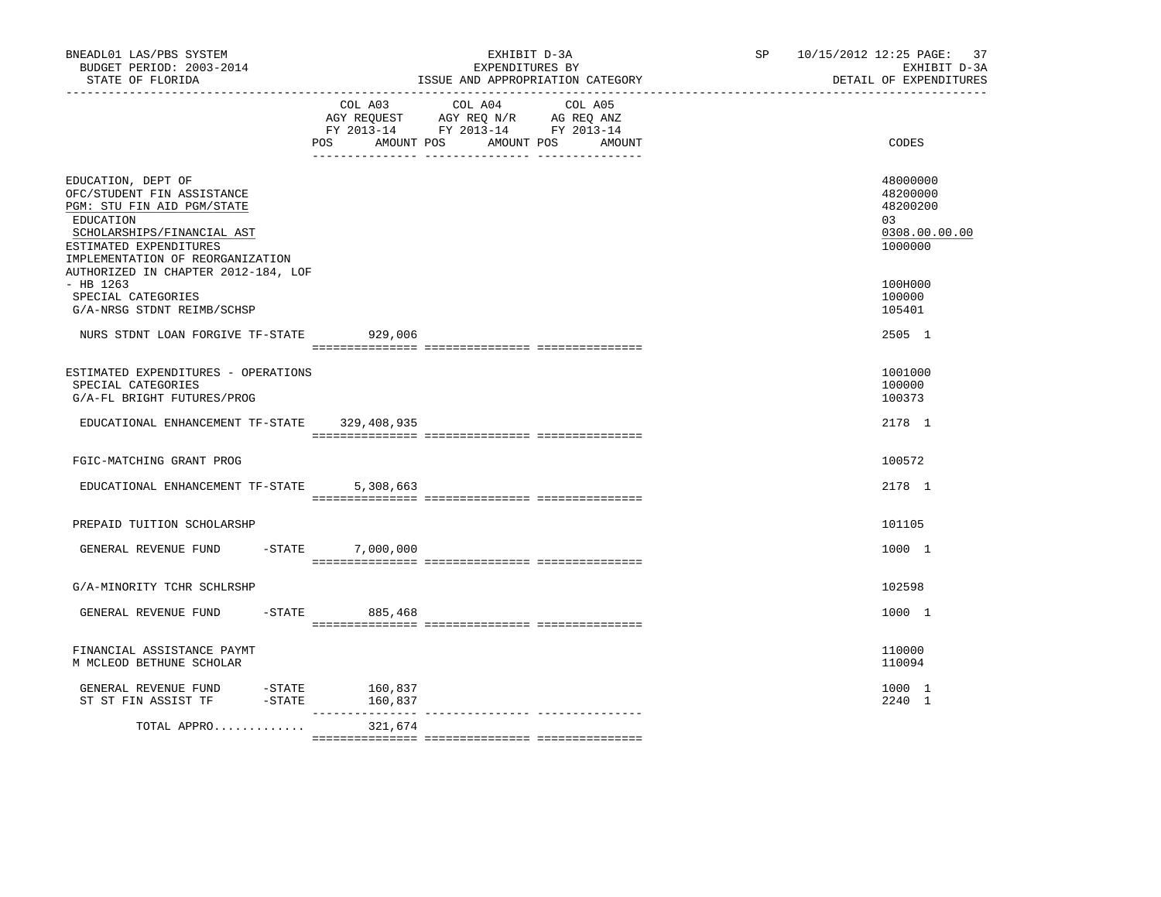| BNEADL01 LAS/PBS SYSTEM<br>BUDGET PERIOD: 2003-2014<br>STATE OF FLORIDA<br>-------------------                                                                                          |                           | EXHIBIT D-3A<br>EXPENDITURES BY<br>ISSUE AND APPROPRIATION CATEGORY                                                       | SP <sub>2</sub> | 37<br>10/15/2012 12:25 PAGE:<br>EXHIBIT D-3A<br>DETAIL OF EXPENDITURES |
|-----------------------------------------------------------------------------------------------------------------------------------------------------------------------------------------|---------------------------|---------------------------------------------------------------------------------------------------------------------------|-----------------|------------------------------------------------------------------------|
|                                                                                                                                                                                         | POS<br>AMOUNT POS         | COL A03 COL A04 COL A05<br>AGY REQUEST AGY REQ N/R AG REQ ANZ<br>FY 2013-14 FY 2013-14 FY 2013-14<br>AMOUNT POS<br>AMOUNT |                 | CODES                                                                  |
| EDUCATION, DEPT OF<br>OFC/STUDENT FIN ASSISTANCE<br>PGM: STU FIN AID PGM/STATE<br>EDUCATION<br>SCHOLARSHIPS/FINANCIAL AST<br>ESTIMATED EXPENDITURES<br>IMPLEMENTATION OF REORGANIZATION |                           |                                                                                                                           |                 | 48000000<br>48200000<br>48200200<br>03<br>0308.00.00.00<br>1000000     |
| AUTHORIZED IN CHAPTER 2012-184, LOF<br>$-$ HB 1263<br>SPECIAL CATEGORIES<br>G/A-NRSG STDNT REIMB/SCHSP                                                                                  |                           |                                                                                                                           |                 | 100H000<br>100000<br>105401                                            |
| NURS STDNT LOAN FORGIVE TF-STATE                                                                                                                                                        | 929,006                   |                                                                                                                           |                 | 2505 1                                                                 |
| ESTIMATED EXPENDITURES - OPERATIONS<br>SPECIAL CATEGORIES<br>G/A-FL BRIGHT FUTURES/PROG                                                                                                 |                           |                                                                                                                           |                 | 1001000<br>100000<br>100373                                            |
| EDUCATIONAL ENHANCEMENT TF-STATE 329,408,935                                                                                                                                            |                           |                                                                                                                           |                 | 2178 1                                                                 |
| FGIC-MATCHING GRANT PROG                                                                                                                                                                |                           |                                                                                                                           |                 | 100572                                                                 |
| EDUCATIONAL ENHANCEMENT TF-STATE                                                                                                                                                        | 5,308,663                 |                                                                                                                           |                 | 2178 1                                                                 |
| PREPAID TUITION SCHOLARSHP                                                                                                                                                              |                           |                                                                                                                           |                 | 101105                                                                 |
| GENERAL REVENUE FUND<br>$-$ STATE                                                                                                                                                       | 7,000,000                 |                                                                                                                           |                 | 1000 1                                                                 |
| G/A-MINORITY TCHR SCHLRSHP                                                                                                                                                              |                           |                                                                                                                           |                 | 102598                                                                 |
| $-$ STATE<br>GENERAL REVENUE FUND                                                                                                                                                       | 885,468                   |                                                                                                                           |                 | 1000 1                                                                 |
| FINANCIAL ASSISTANCE PAYMT<br>M MCLEOD BETHUNE SCHOLAR                                                                                                                                  |                           |                                                                                                                           |                 | 110000<br>110094                                                       |
| GENERAL REVENUE FUND<br>$ STATE$<br>ST ST FIN ASSIST TF                                                                                                                                 | 160,837<br>-STATE 160,837 |                                                                                                                           |                 | 1000 1<br>2240 1                                                       |
| TOTAL APPRO                                                                                                                                                                             | 321,674                   |                                                                                                                           |                 |                                                                        |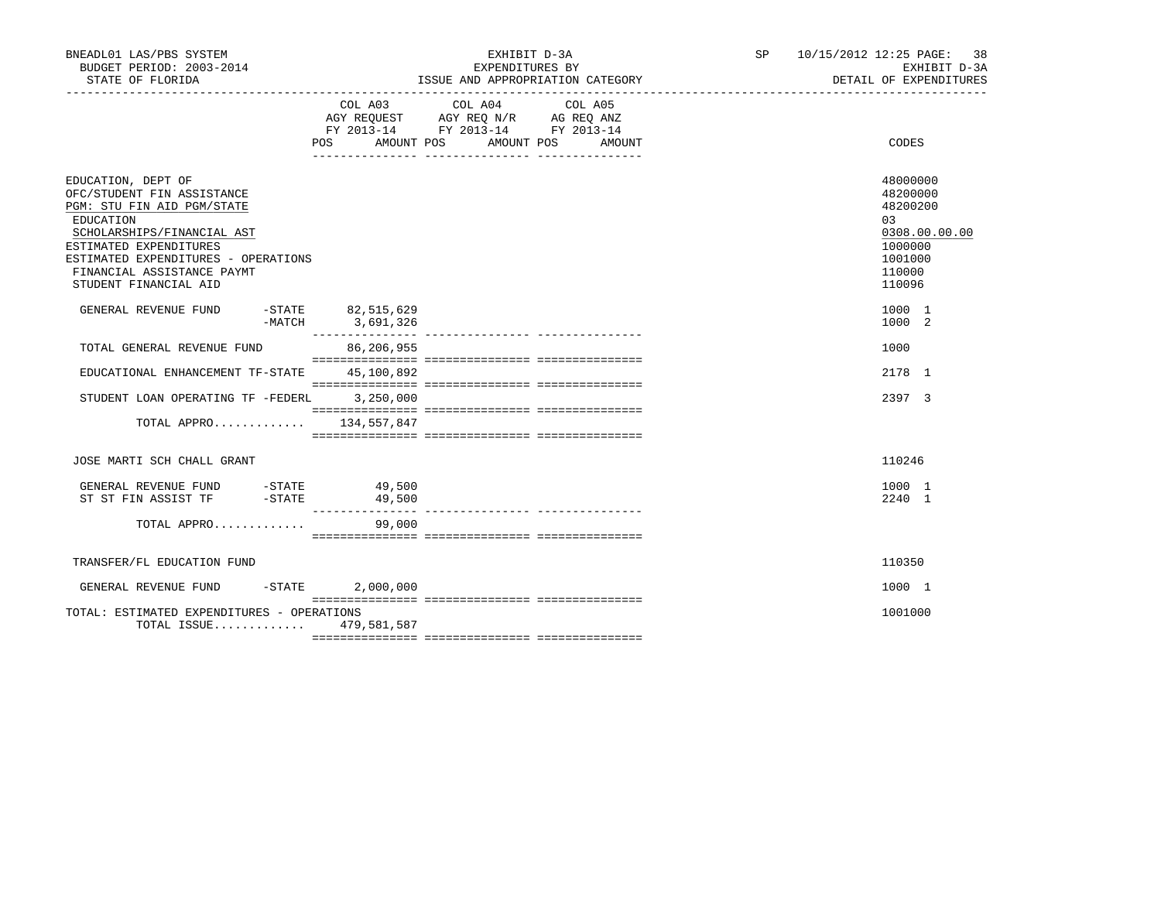| BNEADL01 LAS/PBS SYSTEM<br>BUDGET PERIOD: 2003-2014<br>STATE OF FLORIDA                                                                                                                                                                           |                  | EXHIBIT D-3A<br>EXPENDITURES BY<br>ISSUE AND APPROPRIATION CATEGORY                                                              | SP 10/15/2012 12:25 PAGE: 38<br>EXHIBIT D-3A<br>DETAIL OF EXPENDITURES                            |
|---------------------------------------------------------------------------------------------------------------------------------------------------------------------------------------------------------------------------------------------------|------------------|----------------------------------------------------------------------------------------------------------------------------------|---------------------------------------------------------------------------------------------------|
|                                                                                                                                                                                                                                                   | COL A03          | COL A04<br>COL A05<br>AGY REQUEST AGY REQ N/R AG REQ ANZ<br>FY 2013-14 FY 2013-14 FY 2013-14<br>POS AMOUNT POS AMOUNT POS AMOUNT | CODES                                                                                             |
| EDUCATION, DEPT OF<br>OFC/STUDENT FIN ASSISTANCE<br>PGM: STU FIN AID PGM/STATE<br>EDUCATION<br>SCHOLARSHIPS/FINANCIAL AST<br>ESTIMATED EXPENDITURES<br>ESTIMATED EXPENDITURES - OPERATIONS<br>FINANCIAL ASSISTANCE PAYMT<br>STUDENT FINANCIAL AID |                  |                                                                                                                                  | 48000000<br>48200000<br>48200200<br>03<br>0308.00.00.00<br>1000000<br>1001000<br>110000<br>110096 |
| GENERAL REVENUE FUND -STATE 82,515,629                                                                                                                                                                                                            | -MATCH 3,691,326 |                                                                                                                                  | 1000 1<br>1000 2                                                                                  |
| TOTAL GENERAL REVENUE FUND                                                                                                                                                                                                                        | 86,206,955       |                                                                                                                                  | 1000                                                                                              |
| EDUCATIONAL ENHANCEMENT TF-STATE 45,100,892                                                                                                                                                                                                       |                  |                                                                                                                                  | 2178 1                                                                                            |
| STUDENT LOAN OPERATING TF -FEDERL 3,250,000                                                                                                                                                                                                       |                  |                                                                                                                                  | 2397 3                                                                                            |
| TOTAL APPRO 134,557,847                                                                                                                                                                                                                           |                  |                                                                                                                                  |                                                                                                   |
| JOSE MARTI SCH CHALL GRANT                                                                                                                                                                                                                        |                  |                                                                                                                                  | 110246                                                                                            |
| GENERAL REVENUE FUND -STATE 49,500<br>ST ST FIN ASSIST TF -STATE                                                                                                                                                                                  | 49,500           |                                                                                                                                  | 1000 1<br>2240 1                                                                                  |
| TOTAL APPRO                                                                                                                                                                                                                                       | 99,000           |                                                                                                                                  |                                                                                                   |
| TRANSFER/FL EDUCATION FUND                                                                                                                                                                                                                        |                  |                                                                                                                                  | 110350                                                                                            |
| GENERAL REVENUE FUND -STATE                                                                                                                                                                                                                       | 2,000,000        |                                                                                                                                  | 1000 1                                                                                            |
| TOTAL: ESTIMATED EXPENDITURES - OPERATIONS<br>TOTAL ISSUE 479,581,587                                                                                                                                                                             |                  |                                                                                                                                  | 1001000                                                                                           |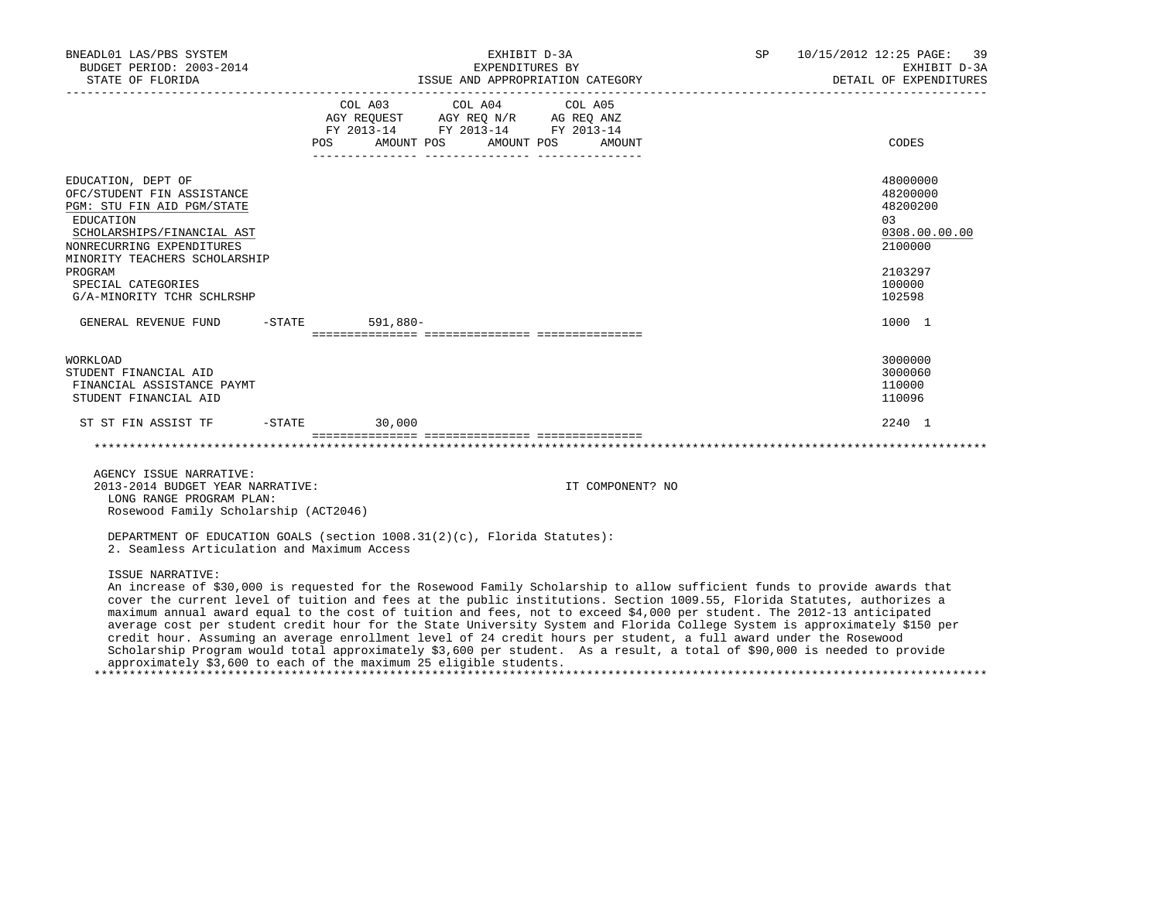| BNEADL01 LAS/PBS SYSTEM<br>BUDGET PERIOD: 2003-2014                                                                                                                                                                                                    | EXHIBIT D-3A<br>EXPENDITURES BY                                                                                                                                                                                                                                                                                                                                                | 10/15/2012 12:25 PAGE: 39<br>SP<br>EXHIBIT D-3A                                                    |
|--------------------------------------------------------------------------------------------------------------------------------------------------------------------------------------------------------------------------------------------------------|--------------------------------------------------------------------------------------------------------------------------------------------------------------------------------------------------------------------------------------------------------------------------------------------------------------------------------------------------------------------------------|----------------------------------------------------------------------------------------------------|
|                                                                                                                                                                                                                                                        |                                                                                                                                                                                                                                                                                                                                                                                | DETAIL OF EXPENDITURES                                                                             |
|                                                                                                                                                                                                                                                        | COL A03 COL A04<br>COL A05<br>AGY REQUEST AGY REQ N/R AG REQ ANZ<br>FY 2013-14 FY 2013-14 FY 2013-14<br>AMOUNT POS<br>AMOUNT POS<br>POS<br>AMOUNT                                                                                                                                                                                                                              | CODES                                                                                              |
| EDUCATION, DEPT OF<br>OFC/STUDENT FIN ASSISTANCE<br>PGM: STU FIN AID PGM/STATE<br>EDUCATION<br>SCHOLARSHIPS/FINANCIAL AST<br>NONRECURRING EXPENDITURES<br>MINORITY TEACHERS SCHOLARSHIP<br>PROGRAM<br>SPECIAL CATEGORIES<br>G/A-MINORITY TCHR SCHLRSHP |                                                                                                                                                                                                                                                                                                                                                                                | 48000000<br>48200000<br>48200200<br>0.3<br>0308.00.00.00<br>2100000<br>2103297<br>100000<br>102598 |
| GENERAL REVENUE FUND                                                                                                                                                                                                                                   | 591,880-<br>$-$ STATE                                                                                                                                                                                                                                                                                                                                                          | 1000 1                                                                                             |
| WORKLOAD<br>STUDENT FINANCIAL AID<br>FINANCIAL ASSISTANCE PAYMT<br>STUDENT FINANCIAL AID                                                                                                                                                               |                                                                                                                                                                                                                                                                                                                                                                                | 3000000<br>3000060<br>110000<br>110096                                                             |
| ST ST FIN ASSIST TF -STATE 30,000                                                                                                                                                                                                                      |                                                                                                                                                                                                                                                                                                                                                                                | 2240 1                                                                                             |
|                                                                                                                                                                                                                                                        |                                                                                                                                                                                                                                                                                                                                                                                |                                                                                                    |
| AGENCY ISSUE NARRATIVE:<br>2013-2014 BUDGET YEAR NARRATIVE:<br>LONG RANGE PROGRAM PLAN:<br>Rosewood Family Scholarship (ACT2046)                                                                                                                       | IT COMPONENT? NO                                                                                                                                                                                                                                                                                                                                                               |                                                                                                    |
| 2. Seamless Articulation and Maximum Access                                                                                                                                                                                                            | DEPARTMENT OF EDUCATION GOALS (section 1008.31(2)(c), Florida Statutes):                                                                                                                                                                                                                                                                                                       |                                                                                                    |
| ISSUE NARRATIVE:                                                                                                                                                                                                                                       | An increase of \$30,000 is requested for the Rosewood Family Scholarship to allow sufficient funds to provide awards that<br>cover the current level of tuition and fees at the public institutions. Section 1009.55, Florida Statutes, authorizes a<br>maximum annual award equal to the cost of tuition and fees, not to exceed \$4,000 per student. The 2012-13 anticipated |                                                                                                    |

 average cost per student credit hour for the State University System and Florida College System is approximately \$150 per credit hour. Assuming an average enrollment level of 24 credit hours per student, a full award under the Rosewood Scholarship Program would total approximately \$3,600 per student. As a result, a total of \$90,000 is needed to provide approximately \$3,600 to each of the maximum 25 eligible students.

\*\*\*\*\*\*\*\*\*\*\*\*\*\*\*\*\*\*\*\*\*\*\*\*\*\*\*\*\*\*\*\*\*\*\*\*\*\*\*\*\*\*\*\*\*\*\*\*\*\*\*\*\*\*\*\*\*\*\*\*\*\*\*\*\*\*\*\*\*\*\*\*\*\*\*\*\*\*\*\*\*\*\*\*\*\*\*\*\*\*\*\*\*\*\*\*\*\*\*\*\*\*\*\*\*\*\*\*\*\*\*\*\*\*\*\*\*\*\*\*\*\*\*\*\*\*\*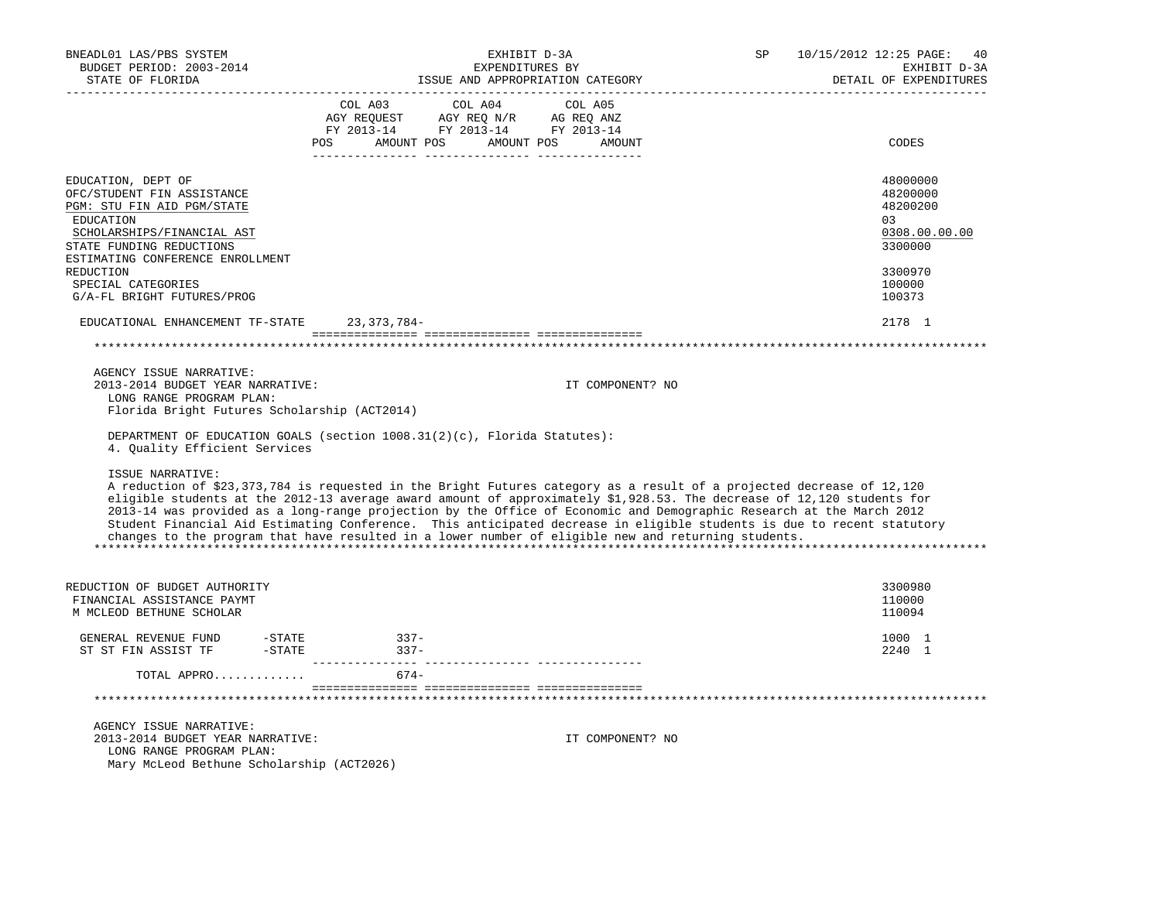| BNEADL01 LAS/PBS SYSTEM<br>BUDGET PERIOD: 2003-2014<br>STATE OF FLORIDA                                                                                                                   | EXHIBIT D-3A<br>EXPENDITURES BY<br>ISSUE AND APPROPRIATION CATEGORY                                                                                                                                                                                                                                                                                                                                                                                                                                                                                                                                      | SP<br>10/15/2012 12:25 PAGE:<br>40<br>EXHIBIT D-3A<br>DETAIL OF EXPENDITURES |
|-------------------------------------------------------------------------------------------------------------------------------------------------------------------------------------------|----------------------------------------------------------------------------------------------------------------------------------------------------------------------------------------------------------------------------------------------------------------------------------------------------------------------------------------------------------------------------------------------------------------------------------------------------------------------------------------------------------------------------------------------------------------------------------------------------------|------------------------------------------------------------------------------|
|                                                                                                                                                                                           | $\begin{tabular}{lcccc} COL A03 & COL A04 & COL A05 \\ AGY REQUEST & AGY REQ N/R & AG REQ ANZ \\ FY & 2013-14 & FY & 2013-14 & FY & 2013-14 \end{tabular}$<br>POS AMOUNT POS AMOUNT POS AMOUNT                                                                                                                                                                                                                                                                                                                                                                                                           | CODES                                                                        |
| EDUCATION, DEPT OF<br>OFC/STUDENT FIN ASSISTANCE<br>PGM: STU FIN AID PGM/STATE<br>EDUCATION<br>SCHOLARSHIPS/FINANCIAL AST<br>STATE FUNDING REDUCTIONS<br>ESTIMATING CONFERENCE ENROLLMENT |                                                                                                                                                                                                                                                                                                                                                                                                                                                                                                                                                                                                          | 48000000<br>48200000<br>48200200<br>03<br>0308.00.00.00<br>3300000           |
| REDUCTION<br>SPECIAL CATEGORIES<br>G/A-FL BRIGHT FUTURES/PROG                                                                                                                             |                                                                                                                                                                                                                                                                                                                                                                                                                                                                                                                                                                                                          | 3300970<br>100000<br>100373                                                  |
| EDUCATIONAL ENHANCEMENT TF-STATE 23,373,784-                                                                                                                                              |                                                                                                                                                                                                                                                                                                                                                                                                                                                                                                                                                                                                          | 2178 1                                                                       |
|                                                                                                                                                                                           |                                                                                                                                                                                                                                                                                                                                                                                                                                                                                                                                                                                                          |                                                                              |
| AGENCY ISSUE NARRATIVE:<br>2013-2014 BUDGET YEAR NARRATIVE:<br>LONG RANGE PROGRAM PLAN:<br>Florida Bright Futures Scholarship (ACT2014)                                                   | IT COMPONENT? NO                                                                                                                                                                                                                                                                                                                                                                                                                                                                                                                                                                                         |                                                                              |
| 4. Quality Efficient Services                                                                                                                                                             | DEPARTMENT OF EDUCATION GOALS (section 1008.31(2)(c), Florida Statutes):                                                                                                                                                                                                                                                                                                                                                                                                                                                                                                                                 |                                                                              |
| ISSUE NARRATIVE:                                                                                                                                                                          | A reduction of \$23,373,784 is requested in the Bright Futures category as a result of a projected decrease of 12,120<br>eligible students at the 2012-13 average award amount of approximately \$1,928.53. The decrease of 12,120 students for<br>2013-14 was provided as a long-range projection by the Office of Economic and Demographic Research at the March 2012<br>Student Financial Aid Estimating Conference. This anticipated decrease in eligible students is due to recent statutory<br>changes to the program that have resulted in a lower number of eligible new and returning students. |                                                                              |
| REDUCTION OF BUDGET AUTHORITY<br>FINANCIAL ASSISTANCE PAYMT<br>M MCLEOD BETHUNE SCHOLAR                                                                                                   |                                                                                                                                                                                                                                                                                                                                                                                                                                                                                                                                                                                                          | 3300980<br>110000<br>110094                                                  |
| GENERAL REVENUE FUND<br>$-$ STATE<br>ST ST FIN ASSIST TF - STATE                                                                                                                          | $337-$<br>$337-$                                                                                                                                                                                                                                                                                                                                                                                                                                                                                                                                                                                         | 1000 1<br>2240 1                                                             |
| TOTAL APPRO                                                                                                                                                                               | $674-$                                                                                                                                                                                                                                                                                                                                                                                                                                                                                                                                                                                                   |                                                                              |
|                                                                                                                                                                                           |                                                                                                                                                                                                                                                                                                                                                                                                                                                                                                                                                                                                          |                                                                              |
| AGENCY ISSUE NARRATIVE:<br>2013-2014 BUDGET YEAR NARRATIVE:<br>LONG RANGE PROGRAM PLAN:<br>Mary McLeod Bethune Scholarship (ACT2026)                                                      | IT COMPONENT? NO                                                                                                                                                                                                                                                                                                                                                                                                                                                                                                                                                                                         |                                                                              |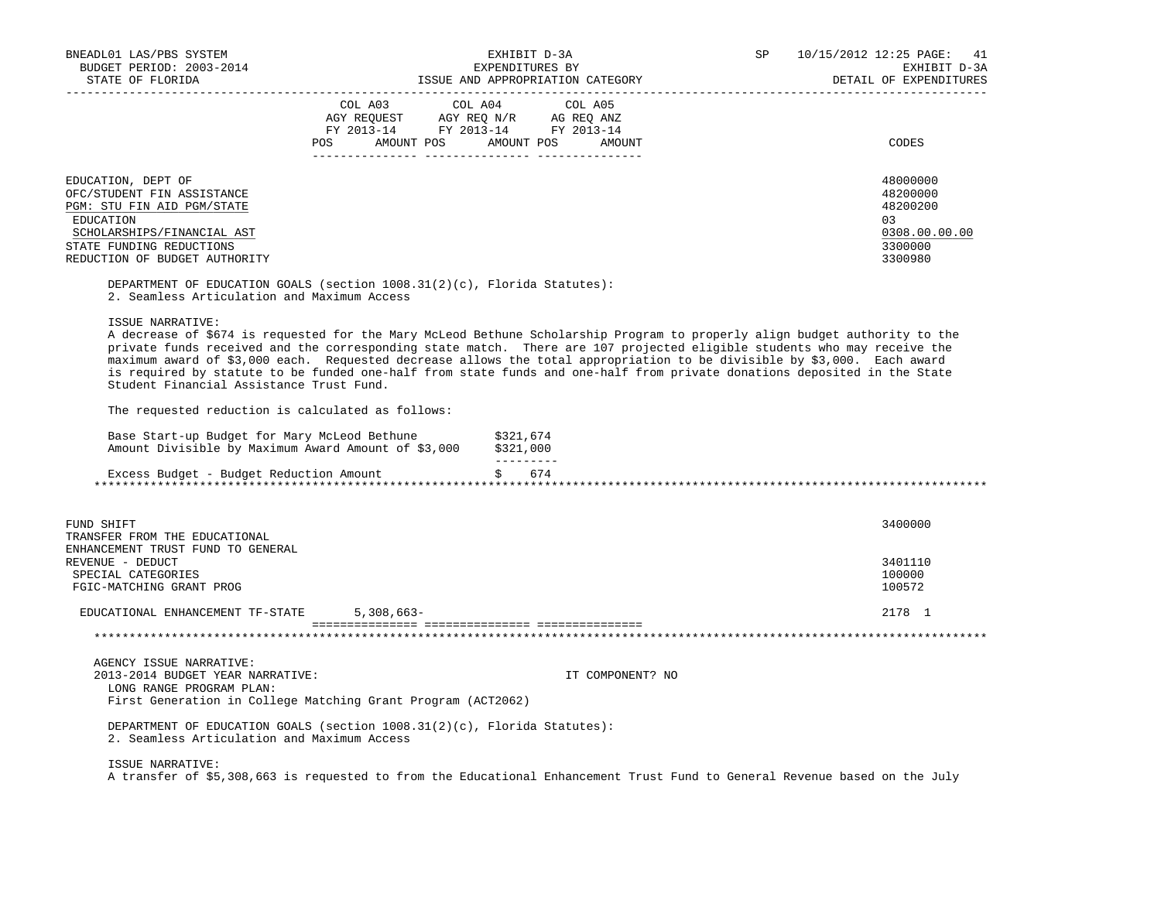| BNEADL01 LAS/PBS SYSTEM                                                                                                                                              |                                                                        |                         | EXHIBIT D-3A                     | SP | 10/15/2012 12:25 PAGE:<br>41 |
|----------------------------------------------------------------------------------------------------------------------------------------------------------------------|------------------------------------------------------------------------|-------------------------|----------------------------------|----|------------------------------|
| BUDGET PERIOD: 2003-2014                                                                                                                                             |                                                                        | EXPENDITURES BY         |                                  |    | EXHIBIT D-3A                 |
| STATE OF FLORIDA                                                                                                                                                     |                                                                        |                         | ISSUE AND APPROPRIATION CATEGORY |    | DETAIL OF EXPENDITURES       |
|                                                                                                                                                                      | COL A03 COL A04                                                        |                         | COL A05                          |    |                              |
|                                                                                                                                                                      |                                                                        |                         |                                  |    |                              |
|                                                                                                                                                                      | AGY REQUEST AGY REQ N/R AG REQ ANZ<br>FY 2013-14 FY 2013-14 FY 2013-14 |                         |                                  |    |                              |
|                                                                                                                                                                      | POS AMOUNT POS AMOUNT POS AMOUNT                                       |                         |                                  |    | CODES                        |
|                                                                                                                                                                      |                                                                        |                         |                                  |    |                              |
| EDUCATION, DEPT OF                                                                                                                                                   |                                                                        |                         |                                  |    | 48000000                     |
| OFC/STUDENT FIN ASSISTANCE                                                                                                                                           |                                                                        |                         |                                  |    | 48200000                     |
| PGM: STU FIN AID PGM/STATE                                                                                                                                           |                                                                        |                         |                                  |    | 48200200                     |
| EDUCATION                                                                                                                                                            |                                                                        |                         |                                  |    | 03                           |
| SCHOLARSHIPS/FINANCIAL AST                                                                                                                                           |                                                                        |                         |                                  |    | 0308.00.00.00                |
| STATE FUNDING REDUCTIONS                                                                                                                                             |                                                                        |                         |                                  |    | 3300000                      |
| REDUCTION OF BUDGET AUTHORITY                                                                                                                                        |                                                                        |                         |                                  |    | 3300980                      |
| DEPARTMENT OF EDUCATION GOALS (section $1008.31(2)(c)$ , Florida Statutes):                                                                                          |                                                                        |                         |                                  |    |                              |
| 2. Seamless Articulation and Maximum Access                                                                                                                          |                                                                        |                         |                                  |    |                              |
| ISSUE NARRATIVE:                                                                                                                                                     |                                                                        |                         |                                  |    |                              |
| A decrease of \$674 is requested for the Mary McLeod Bethune Scholarship Program to properly align budget authority to the                                           |                                                                        |                         |                                  |    |                              |
| private funds received and the corresponding state match. There are 107 projected eligible students who may receive the                                              |                                                                        |                         |                                  |    |                              |
| maximum award of \$3,000 each. Requested decrease allows the total appropriation to be divisible by \$3,000. Each award                                              |                                                                        |                         |                                  |    |                              |
| is required by statute to be funded one-half from state funds and one-half from private donations deposited in the State<br>Student Financial Assistance Trust Fund. |                                                                        |                         |                                  |    |                              |
| The requested reduction is calculated as follows:                                                                                                                    |                                                                        |                         |                                  |    |                              |
|                                                                                                                                                                      |                                                                        |                         |                                  |    |                              |
| Base Start-up Budget for Mary McLeod Bethune<br>Amount Divisible by Maximum Award Amount of \$3,000 \$321,000                                                        |                                                                        | \$321,674<br>__________ |                                  |    |                              |
| Excess Budget - Budget Reduction Amount                                                                                                                              |                                                                        | \$ 674                  |                                  |    |                              |
|                                                                                                                                                                      |                                                                        |                         |                                  |    |                              |
|                                                                                                                                                                      |                                                                        |                         |                                  |    |                              |
| FUND SHIFT                                                                                                                                                           |                                                                        |                         |                                  |    | 3400000                      |
| TRANSFER FROM THE EDUCATIONAL                                                                                                                                        |                                                                        |                         |                                  |    |                              |
| ENHANCEMENT TRUST FUND TO GENERAL                                                                                                                                    |                                                                        |                         |                                  |    |                              |
| REVENUE - DEDUCT                                                                                                                                                     |                                                                        |                         |                                  |    | 3401110                      |
| SPECIAL CATEGORIES                                                                                                                                                   |                                                                        |                         |                                  |    | 100000                       |
| FGIC-MATCHING GRANT PROG                                                                                                                                             |                                                                        |                         |                                  |    | 100572                       |
| EDUCATIONAL ENHANCEMENT TF-STATE 5,308,663-                                                                                                                          |                                                                        |                         |                                  |    | 2178 1                       |
|                                                                                                                                                                      |                                                                        |                         |                                  |    |                              |
| AGENCY ISSUE NARRATIVE:                                                                                                                                              |                                                                        |                         |                                  |    |                              |
| 2013-2014 BUDGET YEAR NARRATIVE:                                                                                                                                     |                                                                        |                         | IT COMPONENT? NO                 |    |                              |
| LONG RANGE PROGRAM PLAN:                                                                                                                                             |                                                                        |                         |                                  |    |                              |
| First Generation in College Matching Grant Program (ACT2062)                                                                                                         |                                                                        |                         |                                  |    |                              |
|                                                                                                                                                                      |                                                                        |                         |                                  |    |                              |
| DEPARTMENT OF EDUCATION GOALS (section $1008.31(2)(c)$ , Florida Statutes):                                                                                          |                                                                        |                         |                                  |    |                              |
| 2. Seamless Articulation and Maximum Access                                                                                                                          |                                                                        |                         |                                  |    |                              |
| ISSUE NARRATIVE:                                                                                                                                                     |                                                                        |                         |                                  |    |                              |
| A transfer of \$5,308,663 is requested to from the Educational Enhancement Trust Fund to General Revenue based on the July                                           |                                                                        |                         |                                  |    |                              |
|                                                                                                                                                                      |                                                                        |                         |                                  |    |                              |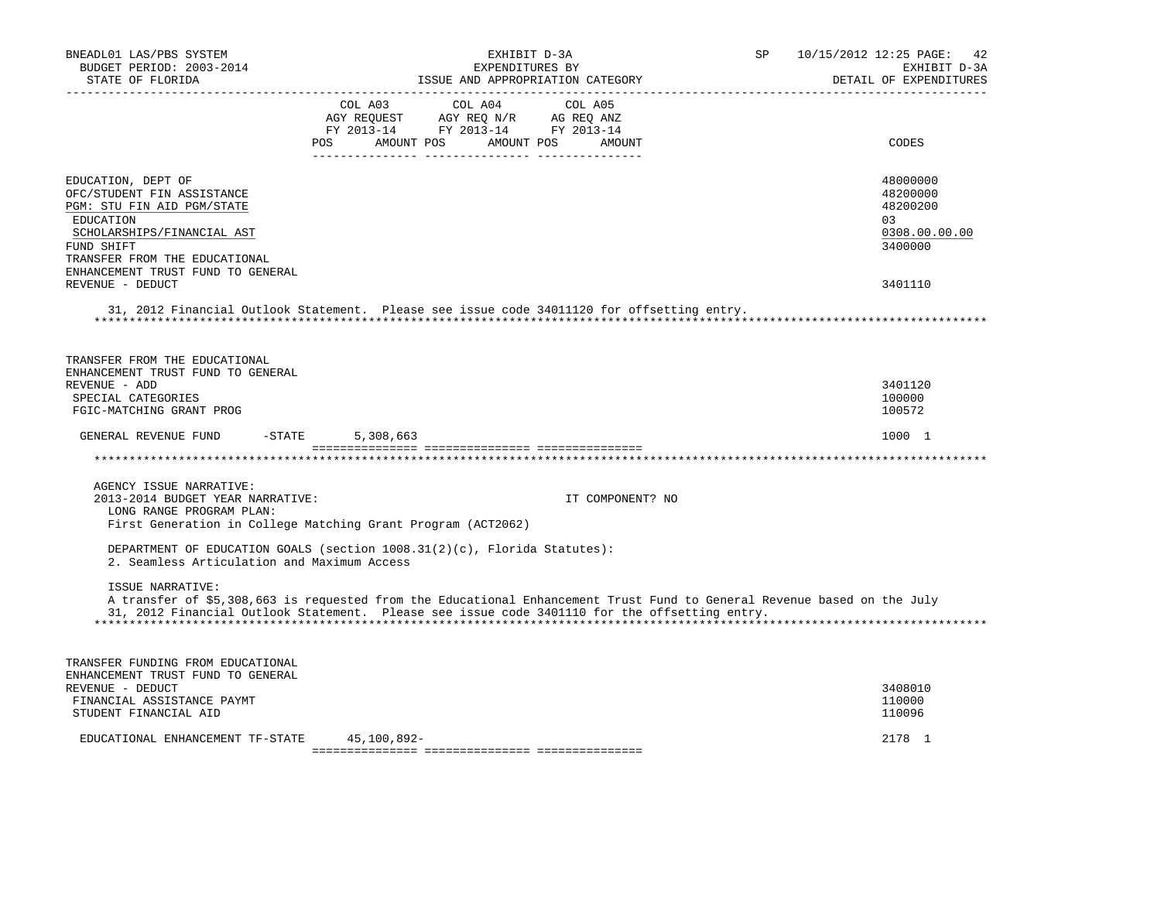| BNEADL01 LAS/PBS SYSTEM<br>BUDGET PERIOD: 2003-2014<br>STATE OF FLORIDA                                                                                                  | EXHIBIT D-3A<br>EXPENDITURES BY<br>ISSUE AND APPROPRIATION CATEGORY                                                                                                                                                      |                  | SP | 10/15/2012 12:25 PAGE:<br>-42<br>EXHIBIT D-3A<br>DETAIL OF EXPENDITURES |
|--------------------------------------------------------------------------------------------------------------------------------------------------------------------------|--------------------------------------------------------------------------------------------------------------------------------------------------------------------------------------------------------------------------|------------------|----|-------------------------------------------------------------------------|
|                                                                                                                                                                          | COL A03 COL A04                                                                                                                                                                                                          | COL A05          |    |                                                                         |
|                                                                                                                                                                          | POS<br>AMOUNT POS<br>AMOUNT POS                                                                                                                                                                                          | AMOUNT           |    | CODES                                                                   |
| EDUCATION, DEPT OF<br>OFC/STUDENT FIN ASSISTANCE<br>PGM: STU FIN AID PGM/STATE<br>EDUCATION<br>SCHOLARSHIPS/FINANCIAL AST<br>FUND SHIFT<br>TRANSFER FROM THE EDUCATIONAL |                                                                                                                                                                                                                          |                  |    | 48000000<br>48200000<br>48200200<br>0.3<br>0308.00.00.00<br>3400000     |
| ENHANCEMENT TRUST FUND TO GENERAL<br>REVENUE - DEDUCT                                                                                                                    |                                                                                                                                                                                                                          |                  |    | 3401110                                                                 |
|                                                                                                                                                                          | 31, 2012 Financial Outlook Statement. Please see issue code 34011120 for offsetting entry.                                                                                                                               |                  |    |                                                                         |
| TRANSFER FROM THE EDUCATIONAL                                                                                                                                            |                                                                                                                                                                                                                          |                  |    |                                                                         |
| ENHANCEMENT TRUST FUND TO GENERAL<br>REVENUE - ADD                                                                                                                       |                                                                                                                                                                                                                          |                  |    | 3401120                                                                 |
| SPECIAL CATEGORIES                                                                                                                                                       |                                                                                                                                                                                                                          |                  |    | 100000                                                                  |
| FGIC-MATCHING GRANT PROG                                                                                                                                                 |                                                                                                                                                                                                                          |                  |    | 100572                                                                  |
| $-STATE$<br>GENERAL REVENUE FUND                                                                                                                                         | 5,308,663                                                                                                                                                                                                                |                  |    | 1000 1                                                                  |
|                                                                                                                                                                          |                                                                                                                                                                                                                          |                  |    |                                                                         |
| AGENCY ISSUE NARRATIVE:                                                                                                                                                  |                                                                                                                                                                                                                          |                  |    |                                                                         |
| 2013-2014 BUDGET YEAR NARRATIVE:                                                                                                                                         |                                                                                                                                                                                                                          | IT COMPONENT? NO |    |                                                                         |
| LONG RANGE PROGRAM PLAN:                                                                                                                                                 |                                                                                                                                                                                                                          |                  |    |                                                                         |
|                                                                                                                                                                          | First Generation in College Matching Grant Program (ACT2062)                                                                                                                                                             |                  |    |                                                                         |
| 2. Seamless Articulation and Maximum Access                                                                                                                              | DEPARTMENT OF EDUCATION GOALS (section 1008.31(2)(c), Florida Statutes):                                                                                                                                                 |                  |    |                                                                         |
| ISSUE NARRATIVE:                                                                                                                                                         | A transfer of \$5,308,663 is requested from the Educational Enhancement Trust Fund to General Revenue based on the July<br>31, 2012 Financial Outlook Statement. Please see issue code 3401110 for the offsetting entry. |                  |    |                                                                         |
| TRANSFER FUNDING FROM EDUCATIONAL                                                                                                                                        |                                                                                                                                                                                                                          |                  |    |                                                                         |
| ENHANCEMENT TRUST FUND TO GENERAL                                                                                                                                        |                                                                                                                                                                                                                          |                  |    |                                                                         |
| REVENUE - DEDUCT                                                                                                                                                         |                                                                                                                                                                                                                          |                  |    | 3408010                                                                 |
| FINANCIAL ASSISTANCE PAYMT                                                                                                                                               |                                                                                                                                                                                                                          |                  |    | 110000                                                                  |
| STUDENT FINANCIAL AID                                                                                                                                                    |                                                                                                                                                                                                                          |                  |    | 110096                                                                  |
| EDUCATIONAL ENHANCEMENT TF-STATE                                                                                                                                         | 45,100,892-                                                                                                                                                                                                              |                  |    | 2178 1                                                                  |
|                                                                                                                                                                          |                                                                                                                                                                                                                          |                  |    |                                                                         |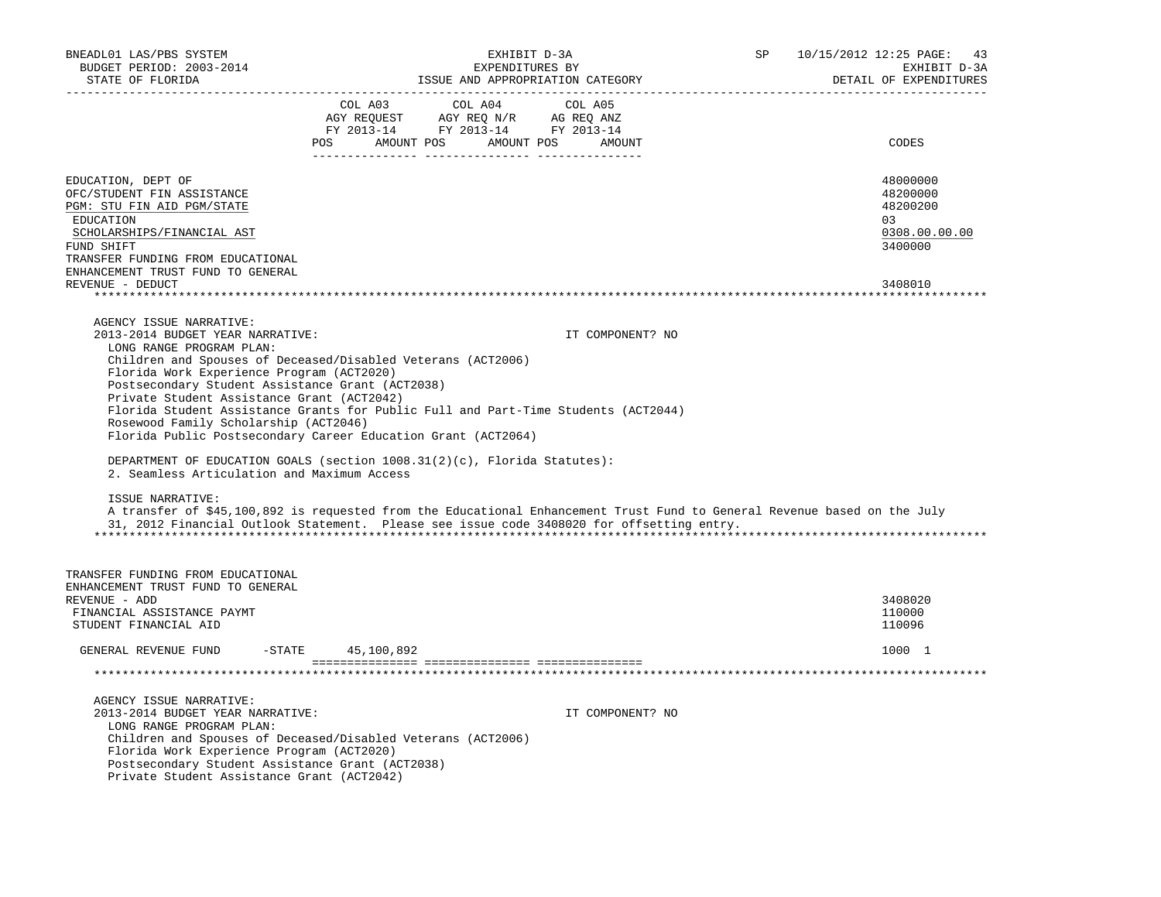| BNEADL01 LAS/PBS SYSTEM<br>BUDGET PERIOD: 2003-2014                                                                                                                                                                                                                                                                                                | EXHIBIT D-3A<br>EXPENDITURES BY                                                                                                                                                                                                                                                                                                                                                                                                                 | SP | 10/15/2012 12:25 PAGE: 43<br>EXHIBIT D-3A                                     |
|----------------------------------------------------------------------------------------------------------------------------------------------------------------------------------------------------------------------------------------------------------------------------------------------------------------------------------------------------|-------------------------------------------------------------------------------------------------------------------------------------------------------------------------------------------------------------------------------------------------------------------------------------------------------------------------------------------------------------------------------------------------------------------------------------------------|----|-------------------------------------------------------------------------------|
| STATE OF FLORIDA<br>---------------------                                                                                                                                                                                                                                                                                                          | ISSUE AND APPROPRIATION CATEGORY                                                                                                                                                                                                                                                                                                                                                                                                                |    | DETAIL OF EXPENDITURES<br>________________________                            |
|                                                                                                                                                                                                                                                                                                                                                    | $\begin{tabular}{lcccc} COL A03 & COL A04 & COL A05 \\ AGY REQUEST & AGY REQ N/R & AG REQ ANZ \\ FY & 2013-14 & FY & 2013-14 & FY & 2013-14 \end{tabular}$<br>POS AMOUNT POS AMOUNT POS AMOUNT                                                                                                                                                                                                                                                  |    | CODES                                                                         |
| EDUCATION, DEPT OF<br>OFC/STUDENT FIN ASSISTANCE<br>PGM: STU FIN AID PGM/STATE<br>EDUCATION<br>SCHOLARSHIPS/FINANCIAL AST<br>FUND SHIFT<br>TRANSFER FUNDING FROM EDUCATIONAL<br>ENHANCEMENT TRUST FUND TO GENERAL<br>REVENUE - DEDUCT                                                                                                              |                                                                                                                                                                                                                                                                                                                                                                                                                                                 |    | 48000000<br>48200000<br>48200200<br>03<br>0308.00.00.00<br>3400000<br>3408010 |
|                                                                                                                                                                                                                                                                                                                                                    |                                                                                                                                                                                                                                                                                                                                                                                                                                                 |    |                                                                               |
| AGENCY ISSUE NARRATIVE:<br>2013-2014 BUDGET YEAR NARRATIVE:<br>LONG RANGE PROGRAM PLAN:<br>Florida Work Experience Program (ACT2020)<br>Postsecondary Student Assistance Grant (ACT2038)<br>Private Student Assistance Grant (ACT2042)<br>Rosewood Family Scholarship (ACT2046)<br>2. Seamless Articulation and Maximum Access<br>ISSUE NARRATIVE: | IT COMPONENT? NO<br>Children and Spouses of Deceased/Disabled Veterans (ACT2006)<br>Florida Student Assistance Grants for Public Full and Part-Time Students (ACT2044)<br>Florida Public Postsecondary Career Education Grant (ACT2064)<br>DEPARTMENT OF EDUCATION GOALS (section 1008.31(2)(c), Florida Statutes):<br>A transfer of \$45,100,892 is requested from the Educational Enhancement Trust Fund to General Revenue based on the July |    |                                                                               |
|                                                                                                                                                                                                                                                                                                                                                    | 31, 2012 Financial Outlook Statement. Please see issue code 3408020 for offsetting entry.                                                                                                                                                                                                                                                                                                                                                       |    |                                                                               |
| TRANSFER FUNDING FROM EDUCATIONAL<br>ENHANCEMENT TRUST FUND TO GENERAL<br>REVENUE - ADD<br>FINANCIAL ASSISTANCE PAYMT<br>STUDENT FINANCIAL AID                                                                                                                                                                                                     |                                                                                                                                                                                                                                                                                                                                                                                                                                                 |    | 3408020<br>110000<br>110096                                                   |
| GENERAL REVENUE FUND -STATE 45,100,892                                                                                                                                                                                                                                                                                                             |                                                                                                                                                                                                                                                                                                                                                                                                                                                 |    | 1000 1                                                                        |
|                                                                                                                                                                                                                                                                                                                                                    |                                                                                                                                                                                                                                                                                                                                                                                                                                                 |    |                                                                               |
| AGENCY ISSUE NARRATIVE:<br>2013-2014 BUDGET YEAR NARRATIVE:<br>LONG RANGE PROGRAM PLAN:<br>Florida Work Experience Program (ACT2020)<br>Postsecondary Student Assistance Grant (ACT2038)<br>Private Student Assistance Grant (ACT2042)                                                                                                             | IT COMPONENT? NO<br>Children and Spouses of Deceased/Disabled Veterans (ACT2006)                                                                                                                                                                                                                                                                                                                                                                |    |                                                                               |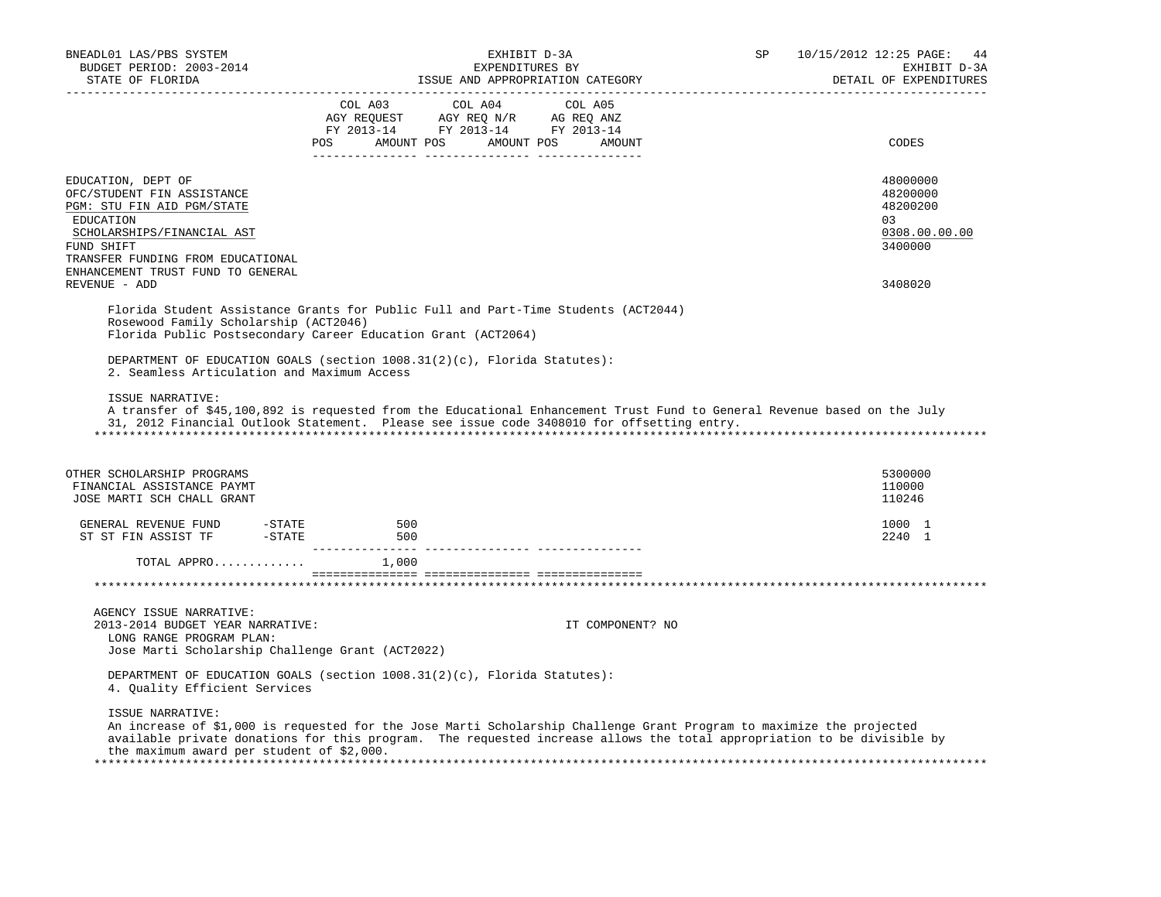| BNEADL01 LAS/PBS SYSTEM<br>BUDGET PERIOD: 2003-2014<br>STATE OF FLORIDA                                                                                                                                           | EXHIBIT D-3A<br>EXPENDITURES BY<br>ISSUE AND APPROPRIATION CATEGORY                                                                                                                                                                                                                                                                                                                                                                                      | SP | 10/15/2012 12:25 PAGE:<br>44<br>EXHIBIT D-3A<br>DETAIL OF EXPENDITURES |
|-------------------------------------------------------------------------------------------------------------------------------------------------------------------------------------------------------------------|----------------------------------------------------------------------------------------------------------------------------------------------------------------------------------------------------------------------------------------------------------------------------------------------------------------------------------------------------------------------------------------------------------------------------------------------------------|----|------------------------------------------------------------------------|
|                                                                                                                                                                                                                   | $\begin{tabular}{lcccc} COL A03 & COL A04 & COL A05 \\ AGY REQUEST & AGY REQ N/R & AG REQ ANZ \\ FY & 2013-14 & FY & 2013-14 & FY & 2013-14 \end{tabular}$<br>POS AMOUNT POS AMOUNT POS AMOUNT                                                                                                                                                                                                                                                           |    | CODES                                                                  |
| EDUCATION, DEPT OF<br>OFC/STUDENT FIN ASSISTANCE<br>PGM: STU FIN AID PGM/STATE<br>EDUCATION<br>SCHOLARSHIPS/FINANCIAL AST<br>FUND SHIFT<br>TRANSFER FUNDING FROM EDUCATIONAL<br>ENHANCEMENT TRUST FUND TO GENERAL |                                                                                                                                                                                                                                                                                                                                                                                                                                                          |    | 48000000<br>48200000<br>48200200<br>0.3<br>0308.00.00.00<br>3400000    |
| REVENUE - ADD                                                                                                                                                                                                     |                                                                                                                                                                                                                                                                                                                                                                                                                                                          |    | 3408020                                                                |
| Rosewood Family Scholarship (ACT2046)<br>2. Seamless Articulation and Maximum Access<br>ISSUE NARRATIVE:                                                                                                          | Florida Student Assistance Grants for Public Full and Part-Time Students (ACT2044)<br>Florida Public Postsecondary Career Education Grant (ACT2064)<br>DEPARTMENT OF EDUCATION GOALS (section 1008.31(2)(c), Florida Statutes):<br>A transfer of \$45,100,892 is requested from the Educational Enhancement Trust Fund to General Revenue based on the July<br>31, 2012 Financial Outlook Statement. Please see issue code 3408010 for offsetting entry. |    |                                                                        |
| OTHER SCHOLARSHIP PROGRAMS<br>FINANCIAL ASSISTANCE PAYMT<br>JOSE MARTI SCH CHALL GRANT                                                                                                                            |                                                                                                                                                                                                                                                                                                                                                                                                                                                          |    | 5300000<br>110000<br>110246                                            |
| $-$ STATE<br>GENERAL REVENUE FUND<br>ST ST FIN ASSIST TF - STATE                                                                                                                                                  | 500<br>500                                                                                                                                                                                                                                                                                                                                                                                                                                               |    | 1000 1<br>2240 1                                                       |
| TOTAL APPRO $1,000$                                                                                                                                                                                               |                                                                                                                                                                                                                                                                                                                                                                                                                                                          |    |                                                                        |
|                                                                                                                                                                                                                   |                                                                                                                                                                                                                                                                                                                                                                                                                                                          |    |                                                                        |
| AGENCY ISSUE NARRATIVE:<br>2013-2014 BUDGET YEAR NARRATIVE:<br>LONG RANGE PROGRAM PLAN:<br>Jose Marti Scholarship Challenge Grant (ACT2022)                                                                       | IT COMPONENT? NO                                                                                                                                                                                                                                                                                                                                                                                                                                         |    |                                                                        |
| 4. Quality Efficient Services                                                                                                                                                                                     | DEPARTMENT OF EDUCATION GOALS (section $1008.31(2)(c)$ , Florida Statutes):                                                                                                                                                                                                                                                                                                                                                                              |    |                                                                        |
| ISSUE NARRATIVE:<br>the maximum award per student of \$2,000.                                                                                                                                                     | An increase of \$1,000 is requested for the Jose Marti Scholarship Challenge Grant Program to maximize the projected<br>available private donations for this program. The requested increase allows the total appropriation to be divisible by                                                                                                                                                                                                           |    |                                                                        |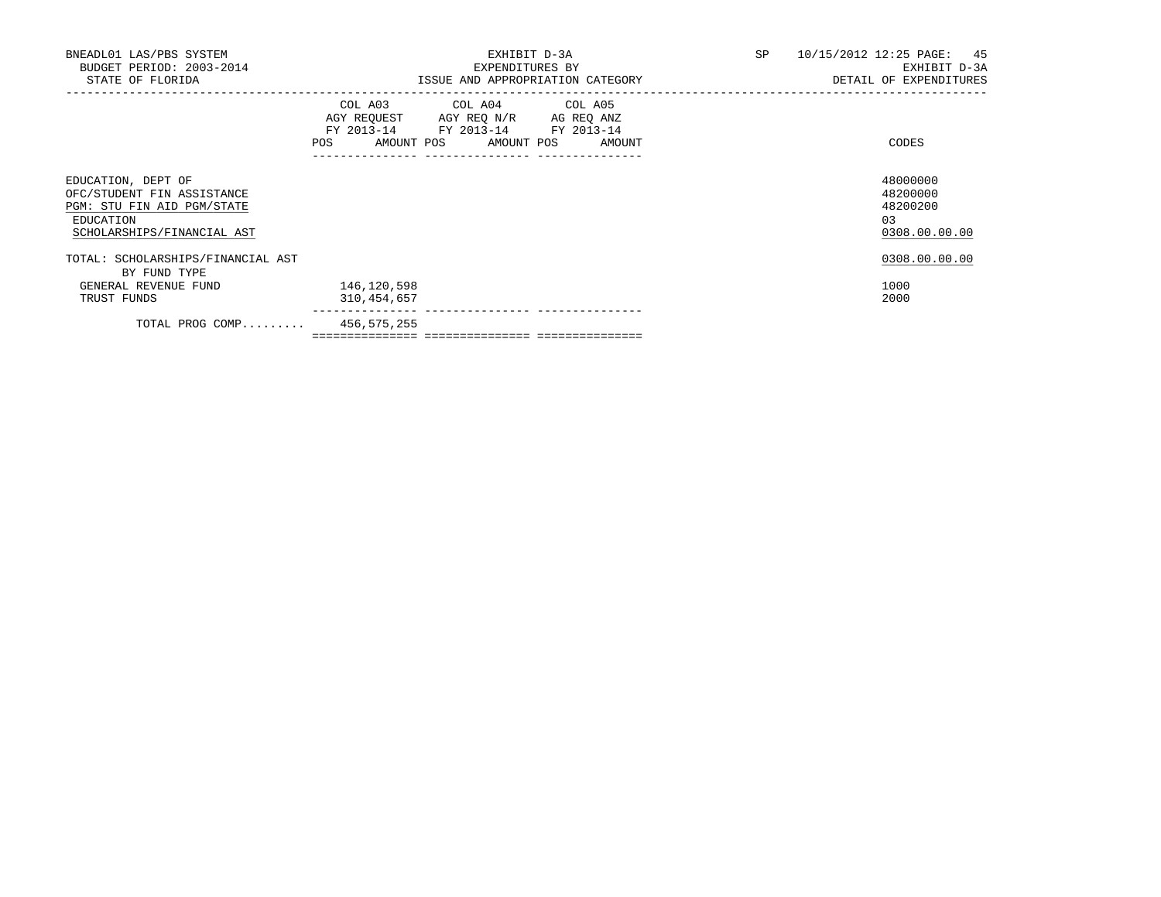| BNEADL01 LAS/PBS SYSTEM<br>BUDGET PERIOD: 2003-2014<br>STATE OF FLORIDA                                                   | EXHIBIT D-3A<br>EXPENDITURES BY<br>ISSUE AND APPROPRIATION CATEGORY                                                                                                                                                                                 | SP<br>10/15/2012 12:25 PAGE: 45<br>EXHIBIT D-3A<br>DETAIL OF EXPENDITURES |
|---------------------------------------------------------------------------------------------------------------------------|-----------------------------------------------------------------------------------------------------------------------------------------------------------------------------------------------------------------------------------------------------|---------------------------------------------------------------------------|
|                                                                                                                           | COL A03 COL A04 COL A05<br>AGY REQUEST AGY REQ N/R AG REQ ANZ<br>FY 2013-14 FY 2013-14 FY 2013-14<br>AMOUNT POS AMOUNT POS AMOUNT<br>POS FOR THE POST OF THE STATE STATE STATE STATE STATE STATE STATE STATE STATE STATE STATE STATE STATE STATE ST | CODES                                                                     |
| EDUCATION, DEPT OF<br>OFC/STUDENT FIN ASSISTANCE<br>PGM: STU FIN AID PGM/STATE<br>EDUCATION<br>SCHOLARSHIPS/FINANCIAL AST |                                                                                                                                                                                                                                                     | 48000000<br>48200000<br>48200200<br>03<br>0308.00.00.00                   |
| TOTAL: SCHOLARSHIPS/FINANCIAL AST<br>BY FUND TYPE                                                                         |                                                                                                                                                                                                                                                     | 0308.00.00.00                                                             |
| GENERAL REVENUE FUND<br>TRUST FUNDS                                                                                       | 146,120,598<br>310,454,657                                                                                                                                                                                                                          | 1000<br>2000                                                              |
| TOTAL PROG COMP 456,575,255                                                                                               | ______________________________________                                                                                                                                                                                                              |                                                                           |

=============== =============== ===============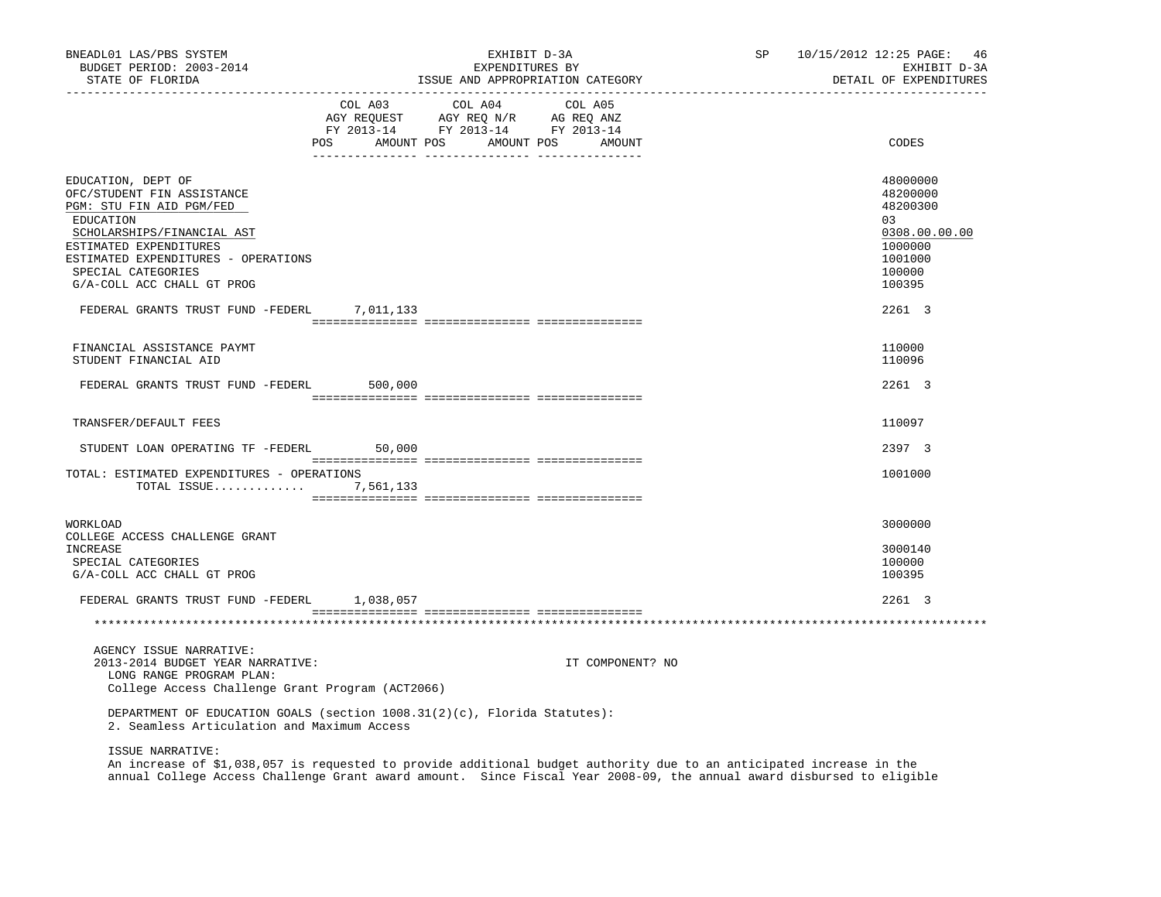| BNEADL01 LAS/PBS SYSTEM<br>BUDGET PERIOD: 2003-2014<br>STATE OF FLORIDA                                                                                                                                                                                                                     | EXHIBIT D-3A<br>EXPENDITURES BY<br>ISSUE AND APPROPRIATION CATEGORY                                                                                                                            | SP               | 10/15/2012 12:25 PAGE:<br>-46<br>EXHIBIT D-3A<br>DETAIL OF EXPENDITURES                                     |
|---------------------------------------------------------------------------------------------------------------------------------------------------------------------------------------------------------------------------------------------------------------------------------------------|------------------------------------------------------------------------------------------------------------------------------------------------------------------------------------------------|------------------|-------------------------------------------------------------------------------------------------------------|
|                                                                                                                                                                                                                                                                                             | $\begin{tabular}{lcccc} COL A03 & COL A04 & COL A05 \\ AGY REQUEST & AGY REQ N/R & AG REQ ANZ \\ FY & 2013-14 & FY & 2013-14 & FY & 2013-14 \end{tabular}$<br>POS AMOUNT POS AMOUNT POS AMOUNT |                  | CODES                                                                                                       |
| EDUCATION, DEPT OF<br>OFC/STUDENT FIN ASSISTANCE<br>PGM: STU FIN AID PGM/FED<br>EDUCATION<br>SCHOLARSHIPS/FINANCIAL AST<br>ESTIMATED EXPENDITURES<br>ESTIMATED EXPENDITURES - OPERATIONS<br>SPECIAL CATEGORIES<br>G/A-COLL ACC CHALL GT PROG<br>FEDERAL GRANTS TRUST FUND -FEDERL 7,011,133 |                                                                                                                                                                                                |                  | 48000000<br>48200000<br>48200300<br>03<br>0308.00.00.00<br>1000000<br>1001000<br>100000<br>100395<br>2261 3 |
| FINANCIAL ASSISTANCE PAYMT<br>STUDENT FINANCIAL AID                                                                                                                                                                                                                                         |                                                                                                                                                                                                |                  | 110000<br>110096                                                                                            |
| FEDERAL GRANTS TRUST FUND -FEDERL 500,000                                                                                                                                                                                                                                                   |                                                                                                                                                                                                |                  | 2261 3                                                                                                      |
| TRANSFER/DEFAULT FEES                                                                                                                                                                                                                                                                       |                                                                                                                                                                                                |                  | 110097                                                                                                      |
| STUDENT LOAN OPERATING TF -FEDERL 50,000                                                                                                                                                                                                                                                    |                                                                                                                                                                                                |                  | 2397 3                                                                                                      |
| TOTAL: ESTIMATED EXPENDITURES - OPERATIONS<br>TOTAL ISSUE 7,561,133                                                                                                                                                                                                                         |                                                                                                                                                                                                |                  | 1001000                                                                                                     |
| WORKLOAD<br>COLLEGE ACCESS CHALLENGE GRANT<br>INCREASE<br>SPECIAL CATEGORIES<br>G/A-COLL ACC CHALL GT PROG                                                                                                                                                                                  |                                                                                                                                                                                                |                  | 3000000<br>3000140<br>100000<br>100395                                                                      |
| FEDERAL GRANTS TRUST FUND -FEDERL 1,038,057                                                                                                                                                                                                                                                 |                                                                                                                                                                                                |                  | 2261 3                                                                                                      |
|                                                                                                                                                                                                                                                                                             |                                                                                                                                                                                                |                  |                                                                                                             |
| AGENCY ISSUE NARRATIVE:<br>2013-2014 BUDGET YEAR NARRATIVE:<br>LONG RANGE PROGRAM PLAN:<br>College Access Challenge Grant Program (ACT2066)                                                                                                                                                 |                                                                                                                                                                                                | IT COMPONENT? NO |                                                                                                             |
| 2. Seamless Articulation and Maximum Access                                                                                                                                                                                                                                                 | DEPARTMENT OF EDUCATION GOALS (section $1008.31(2)(c)$ , Florida Statutes):                                                                                                                    |                  |                                                                                                             |
| ISSUE NARRATIVE:                                                                                                                                                                                                                                                                            |                                                                                                                                                                                                |                  |                                                                                                             |

 An increase of \$1,038,057 is requested to provide additional budget authority due to an anticipated increase in the annual College Access Challenge Grant award amount. Since Fiscal Year 2008-09, the annual award disbursed to eligible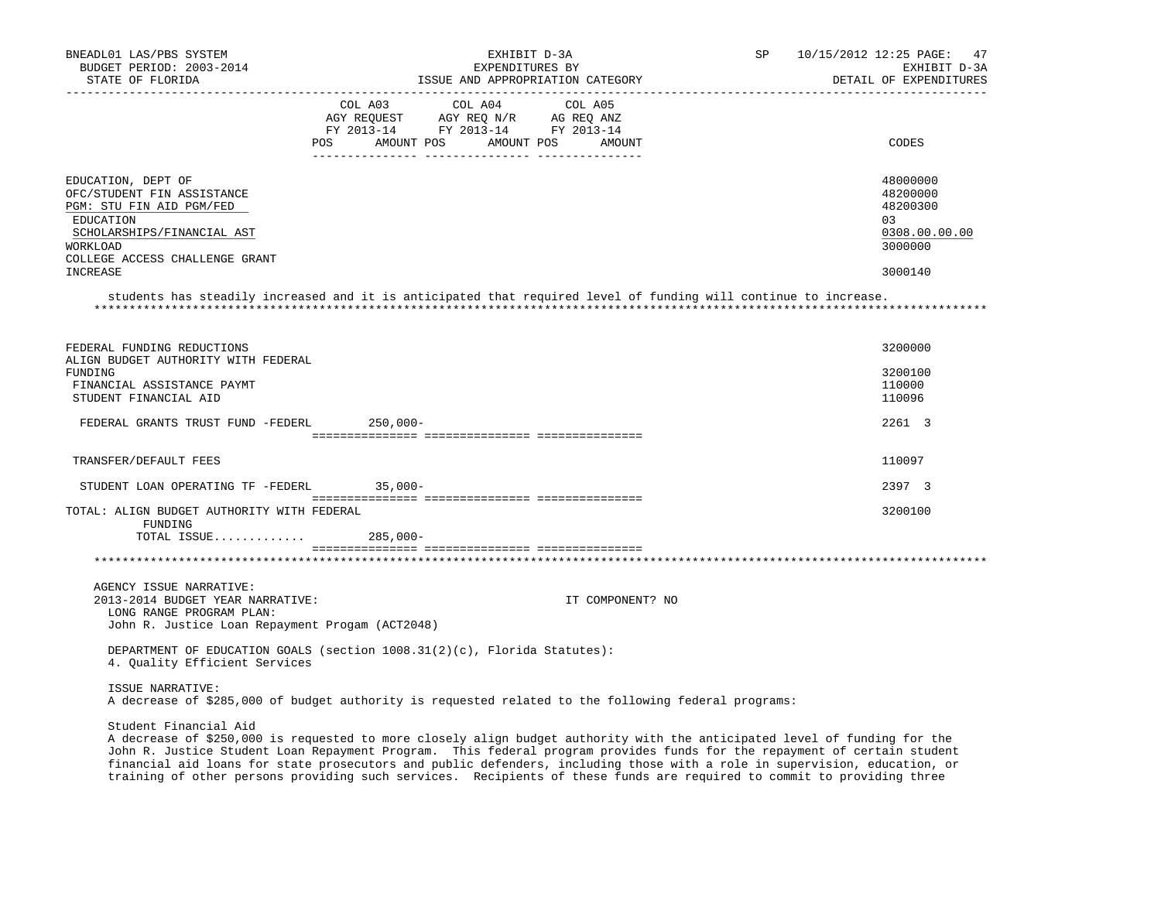| BNEADL01 LAS/PBS SYSTEM<br>BUDGET PERIOD: 2003-2014<br>STATE OF FLORIDA                                                                                                                                                                                                                                                                                                                                     |                                      | EXHIBIT D-3A<br>EXPENDITURES BY<br>ISSUE AND APPROPRIATION CATEGORY               |                   | SP | 10/15/2012 12:25 PAGE: 47<br>EXHIBIT D-3A<br>DETAIL OF EXPENDITURES           |  |
|-------------------------------------------------------------------------------------------------------------------------------------------------------------------------------------------------------------------------------------------------------------------------------------------------------------------------------------------------------------------------------------------------------------|--------------------------------------|-----------------------------------------------------------------------------------|-------------------|----|-------------------------------------------------------------------------------|--|
|                                                                                                                                                                                                                                                                                                                                                                                                             | COL A03<br>POS AMOUNT POS AMOUNT POS | COL A04<br>AGY REQUEST AGY REQ N/R AG REQ ANZ<br>FY 2013-14 FY 2013-14 FY 2013-14 | COL A05<br>AMOUNT |    | CODES                                                                         |  |
| EDUCATION, DEPT OF<br>OFC/STUDENT FIN ASSISTANCE<br>PGM: STU FIN AID PGM/FED<br>EDUCATION<br>SCHOLARSHIPS/FINANCIAL AST<br>WORKLOAD<br>COLLEGE ACCESS CHALLENGE GRANT<br>INCREASE<br>students has steadily increased and it is anticipated that required level of funding will continue to increase.                                                                                                        |                                      |                                                                                   |                   |    | 48000000<br>48200000<br>48200300<br>03<br>0308.00.00.00<br>3000000<br>3000140 |  |
| FEDERAL FUNDING REDUCTIONS<br>ALIGN BUDGET AUTHORITY WITH FEDERAL<br>FUNDING<br>FINANCIAL ASSISTANCE PAYMT<br>STUDENT FINANCIAL AID                                                                                                                                                                                                                                                                         |                                      |                                                                                   |                   |    | 3200000<br>3200100<br>110000<br>110096                                        |  |
| FEDERAL GRANTS TRUST FUND -FEDERL                                                                                                                                                                                                                                                                                                                                                                           | 250,000-                             |                                                                                   |                   |    | 2261 3                                                                        |  |
| TRANSFER/DEFAULT FEES                                                                                                                                                                                                                                                                                                                                                                                       |                                      |                                                                                   |                   |    | 110097                                                                        |  |
| STUDENT LOAN OPERATING TF -FEDERL 35,000-                                                                                                                                                                                                                                                                                                                                                                   |                                      |                                                                                   |                   |    | 2397 3                                                                        |  |
| TOTAL: ALIGN BUDGET AUTHORITY WITH FEDERAL<br>FUNDING<br>TOTAL ISSUE 285,000-                                                                                                                                                                                                                                                                                                                               |                                      |                                                                                   |                   |    | 3200100                                                                       |  |
|                                                                                                                                                                                                                                                                                                                                                                                                             |                                      |                                                                                   |                   |    |                                                                               |  |
| AGENCY ISSUE NARRATIVE:<br>2013-2014 BUDGET YEAR NARRATIVE:<br>LONG RANGE PROGRAM PLAN:<br>John R. Justice Loan Repayment Progam (ACT2048)                                                                                                                                                                                                                                                                  |                                      |                                                                                   | IT COMPONENT? NO  |    |                                                                               |  |
| DEPARTMENT OF EDUCATION GOALS (section $1008.31(2)(c)$ , Florida Statutes):<br>4. Quality Efficient Services                                                                                                                                                                                                                                                                                                |                                      |                                                                                   |                   |    |                                                                               |  |
| ISSUE NARRATIVE:<br>A decrease of \$285,000 of budget authority is requested related to the following federal programs:                                                                                                                                                                                                                                                                                     |                                      |                                                                                   |                   |    |                                                                               |  |
| Student Financial Aid<br>A decrease of \$250,000 is requested to more closely align budget authority with the anticipated level of funding for the<br>John R. Justice Student Loan Repayment Program. This federal program provides funds for the repayment of certain student<br>financial aid loans for state prosecutors and public defenders, including those with a role in supervision, education, or |                                      |                                                                                   |                   |    |                                                                               |  |

training of other persons providing such services. Recipients of these funds are required to commit to providing three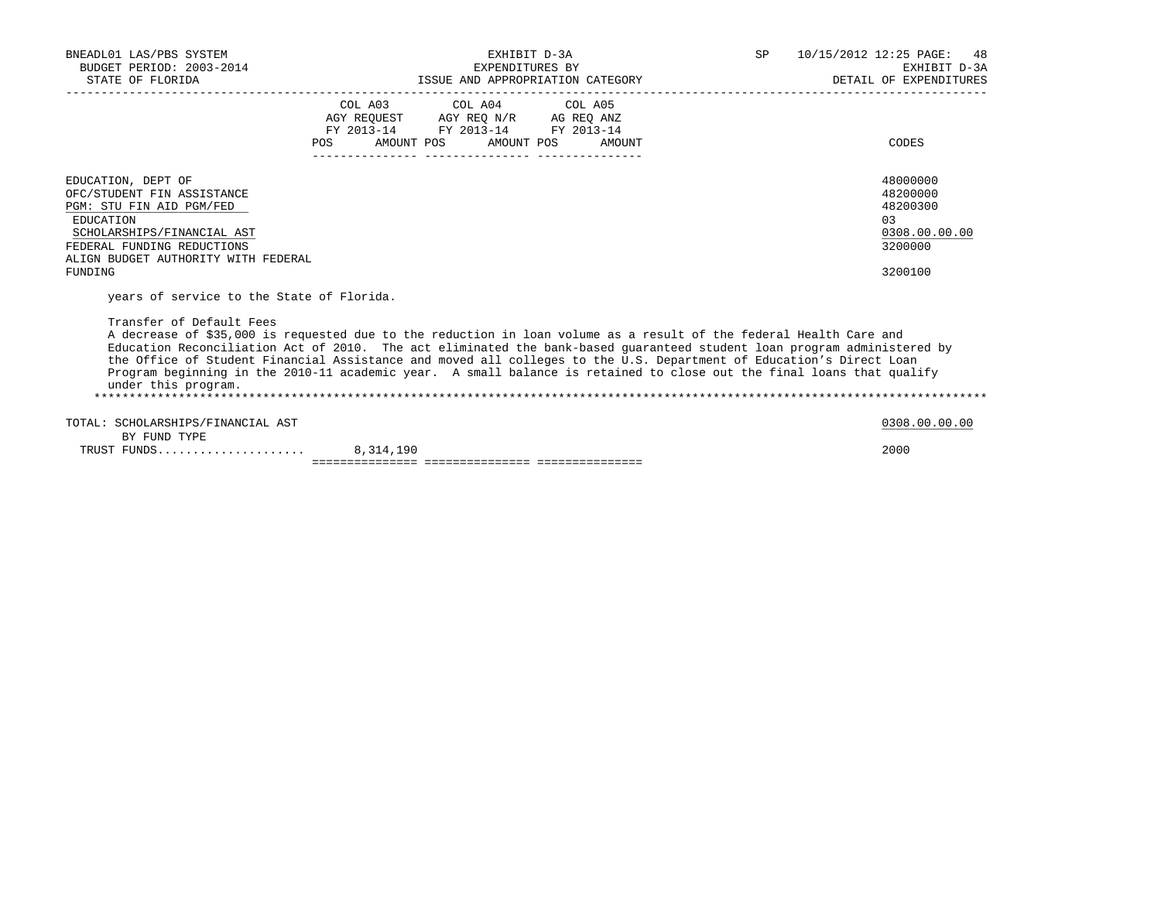| BNEADL01 LAS/PBS SYSTEM<br>BUDGET PERIOD: 2003-2014<br>STATE OF FLORIDA                                                                                                                                                                                                                                                                                                                                                                                                                                                                                                                       | EXHIBIT D-3A<br>EXPENDITURES BY<br>ISSUE AND APPROPRIATION CATEGORY |                                                                                                   |  | SP 10/15/2012 12:25 PAGE: 48<br>EXHIBIT D-3A<br>DETAIL OF EXPENDITURES         |
|-----------------------------------------------------------------------------------------------------------------------------------------------------------------------------------------------------------------------------------------------------------------------------------------------------------------------------------------------------------------------------------------------------------------------------------------------------------------------------------------------------------------------------------------------------------------------------------------------|---------------------------------------------------------------------|---------------------------------------------------------------------------------------------------|--|--------------------------------------------------------------------------------|
|                                                                                                                                                                                                                                                                                                                                                                                                                                                                                                                                                                                               | POS AMOUNT POS AMOUNT POS AMOUNT                                    | COL A03 COL A04 COL A05<br>AGY REQUEST AGY REO N/R AG REO ANZ<br>FY 2013-14 FY 2013-14 FY 2013-14 |  | CODES                                                                          |
| EDUCATION, DEPT OF<br>OFC/STUDENT FIN ASSISTANCE<br>PGM: STU FIN AID PGM/FED<br>EDUCATION<br>SCHOLARSHIPS/FINANCIAL AST<br>FEDERAL FUNDING REDUCTIONS<br>ALIGN BUDGET AUTHORITY WITH FEDERAL<br>FUNDING                                                                                                                                                                                                                                                                                                                                                                                       |                                                                     |                                                                                                   |  | 48000000<br>48200000<br>48200300<br>0.3<br>0308.00.00.00<br>3200000<br>3200100 |
| years of service to the State of Florida.<br>Transfer of Default Fees<br>A decrease of \$35,000 is requested due to the reduction in loan volume as a result of the federal Health Care and<br>Education Reconciliation Act of 2010. The act eliminated the bank-based quaranteed student loan program administered by<br>the Office of Student Financial Assistance and moved all colleges to the U.S. Department of Education's Direct Loan<br>Program beginning in the 2010-11 academic year. A small balance is retained to close out the final loans that qualify<br>under this program. |                                                                     |                                                                                                   |  |                                                                                |
| TOTAL: SCHOLARSHIPS/FINANCIAL AST<br>BY FUND TYPE                                                                                                                                                                                                                                                                                                                                                                                                                                                                                                                                             |                                                                     |                                                                                                   |  | 0308.00.00.00                                                                  |
|                                                                                                                                                                                                                                                                                                                                                                                                                                                                                                                                                                                               |                                                                     |                                                                                                   |  | 2000                                                                           |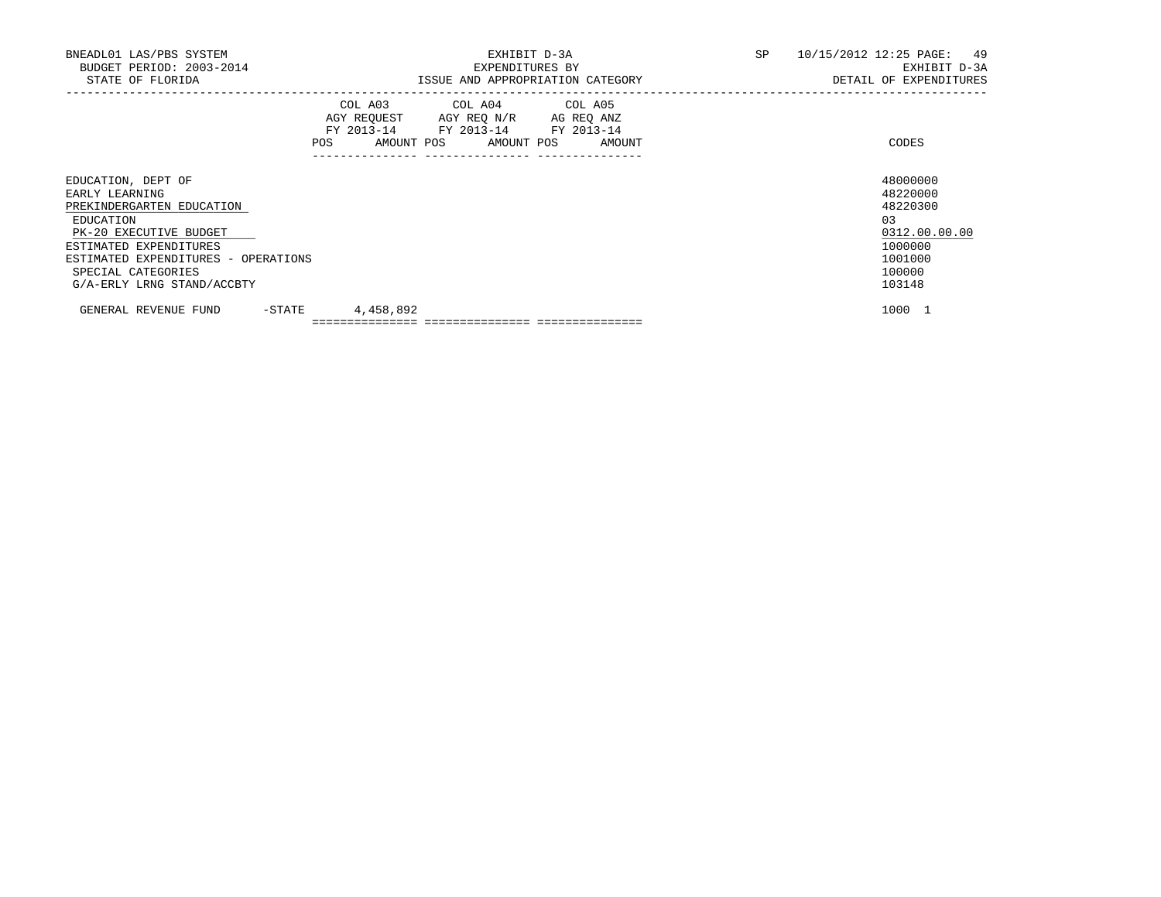| BNEADL01 LAS/PBS SYSTEM             |        |                                                                                                                                       | EXHIBIT D-3A    |                                  | SP | 10/15/2012 12:25 PAGE: 49 |
|-------------------------------------|--------|---------------------------------------------------------------------------------------------------------------------------------------|-----------------|----------------------------------|----|---------------------------|
| BUDGET PERIOD: 2003-2014            |        |                                                                                                                                       | EXPENDITURES BY |                                  |    | EXHIBIT D-3A              |
| STATE OF FLORIDA                    |        |                                                                                                                                       |                 | ISSUE AND APPROPRIATION CATEGORY |    | DETAIL OF EXPENDITURES    |
|                                     |        | COL A03 COL A04 COL A05<br>AGY REQUEST AGY REQ N/R AG REQ ANZ<br>FY 2013-14 FY 2013-14 FY 2013-14<br>POS AMOUNT POS AMOUNT POS AMOUNT |                 |                                  |    | CODES                     |
| EDUCATION, DEPT OF                  |        |                                                                                                                                       |                 |                                  |    | 48000000                  |
| EARLY LEARNING                      |        |                                                                                                                                       |                 |                                  |    | 48220000                  |
| PREKINDERGARTEN EDUCATION           |        |                                                                                                                                       |                 |                                  |    | 48220300                  |
| EDUCATION                           |        |                                                                                                                                       |                 |                                  |    | 0 <sub>3</sub>            |
| PK-20 EXECUTIVE BUDGET              |        |                                                                                                                                       |                 |                                  |    | 0312.00.00.00             |
| ESTIMATED EXPENDITURES              |        |                                                                                                                                       |                 |                                  |    | 1000000                   |
| ESTIMATED EXPENDITURES - OPERATIONS |        |                                                                                                                                       |                 |                                  |    | 1001000                   |
| SPECIAL CATEGORIES                  |        |                                                                                                                                       |                 |                                  |    | 100000                    |
| G/A-ERLY LRNG STAND/ACCBTY          |        |                                                                                                                                       |                 |                                  |    | 103148                    |
| GENERAL REVENUE FUND                | -STATE | 4,458,892                                                                                                                             |                 |                                  |    | 1000 1                    |
|                                     |        |                                                                                                                                       |                 |                                  |    |                           |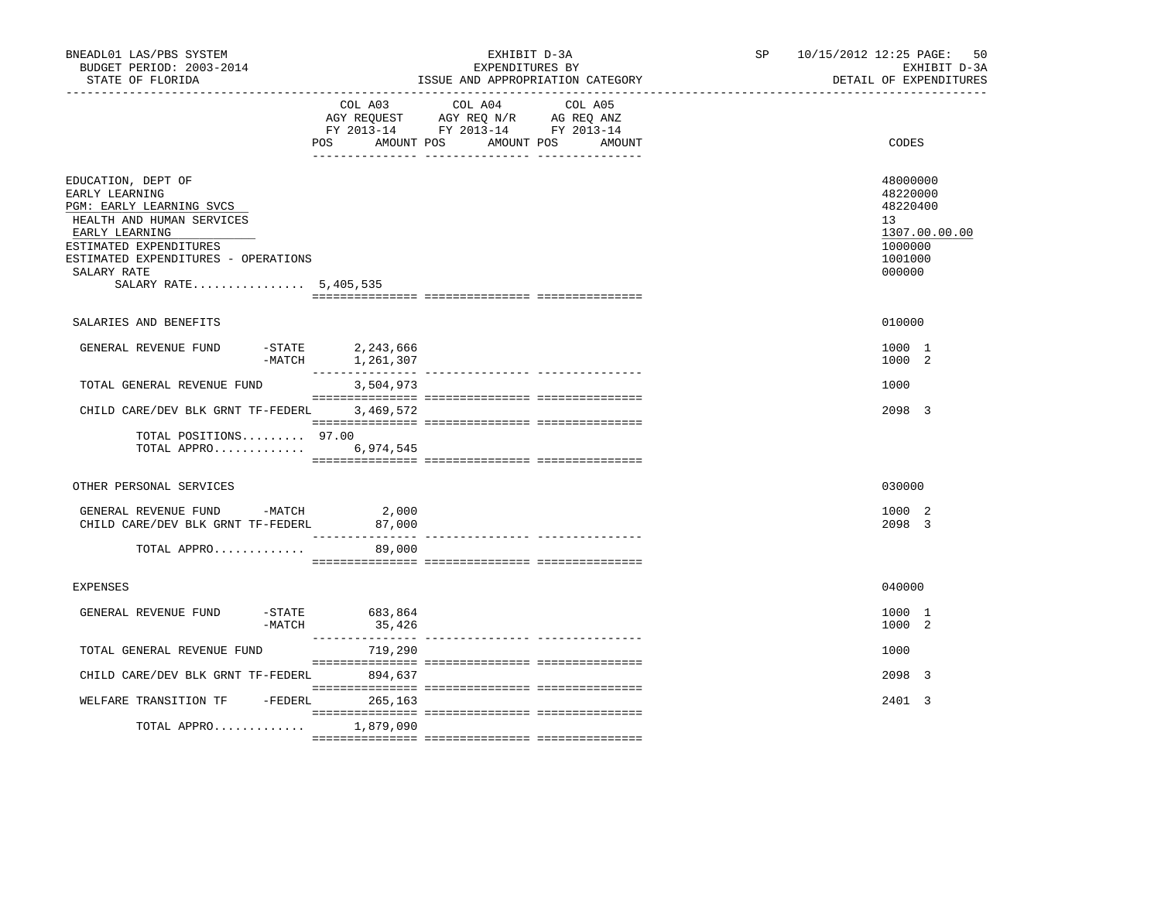| BNEADL01 LAS/PBS SYSTEM<br>BUDGET PERIOD: 2003-2014<br>STATE OF FLORIDA                                                                                                                                                  |                                 | EXHIBIT D-3A<br>EXPENDITURES BY<br>ISSUE AND APPROPRIATION CATEGORY                                               | SP <sub>2</sub> | 10/15/2012 12:25 PAGE: 50<br>EXHIBIT D-3A<br>DETAIL OF EXPENDITURES                     |
|--------------------------------------------------------------------------------------------------------------------------------------------------------------------------------------------------------------------------|---------------------------------|-------------------------------------------------------------------------------------------------------------------|-----------------|-----------------------------------------------------------------------------------------|
|                                                                                                                                                                                                                          | COL A03<br>AMOUNT POS<br>POS    | COL A04 COL A05<br>AGY REQUEST AGY REQ N/R AG REQ ANZ<br>FY 2013-14 FY 2013-14 FY 2013-14<br>AMOUNT POS<br>AMOUNT |                 | CODES                                                                                   |
| EDUCATION, DEPT OF<br>EARLY LEARNING<br>PGM: EARLY LEARNING SVCS<br>HEALTH AND HUMAN SERVICES<br>EARLY LEARNING<br>ESTIMATED EXPENDITURES<br>ESTIMATED EXPENDITURES - OPERATIONS<br>SALARY RATE<br>SALARY RATE 5,405,535 |                                 |                                                                                                                   |                 | 48000000<br>48220000<br>48220400<br>13<br>1307.00.00.00<br>1000000<br>1001000<br>000000 |
| SALARIES AND BENEFITS                                                                                                                                                                                                    |                                 |                                                                                                                   |                 | 010000                                                                                  |
| GENERAL REVENUE FUND<br>$-$ STATE                                                                                                                                                                                        | 2,243,666<br>-MATCH 1, 261, 307 |                                                                                                                   |                 | 1000 1<br>1000 2                                                                        |
| TOTAL GENERAL REVENUE FUND                                                                                                                                                                                               | 3,504,973                       |                                                                                                                   |                 | 1000                                                                                    |
| CHILD CARE/DEV BLK GRNT TF-FEDERL                                                                                                                                                                                        | 3,469,572                       |                                                                                                                   |                 | 2098 3                                                                                  |
| TOTAL POSITIONS 97.00<br>TOTAL APPRO 6,974,545                                                                                                                                                                           |                                 |                                                                                                                   |                 |                                                                                         |
| OTHER PERSONAL SERVICES                                                                                                                                                                                                  |                                 |                                                                                                                   |                 | 030000                                                                                  |
| GENERAL REVENUE FUND -MATCH<br>CHILD CARE/DEV BLK GRNT TF-FEDERL                                                                                                                                                         | 2,000<br>87,000                 |                                                                                                                   |                 | 1000 2<br>2098 3                                                                        |
| TOTAL APPRO                                                                                                                                                                                                              | 89,000                          |                                                                                                                   |                 |                                                                                         |
| <b>EXPENSES</b>                                                                                                                                                                                                          |                                 |                                                                                                                   |                 | 040000                                                                                  |
| $-$ STATE<br>GENERAL REVENUE FUND<br>$-MATCH$                                                                                                                                                                            | 683,864<br>35,426               |                                                                                                                   |                 | 1000 1<br>1000 2                                                                        |
| TOTAL GENERAL REVENUE FUND                                                                                                                                                                                               | 719,290                         |                                                                                                                   |                 | 1000                                                                                    |
| CHILD CARE/DEV BLK GRNT TF-FEDERL 894,637                                                                                                                                                                                |                                 |                                                                                                                   |                 | 2098 3                                                                                  |
| WELFARE TRANSITION TF<br>$-FEDERL$                                                                                                                                                                                       | 265,163                         |                                                                                                                   |                 | 2401 3                                                                                  |
| TOTAL APPRO                                                                                                                                                                                                              | 1,879,090                       |                                                                                                                   |                 |                                                                                         |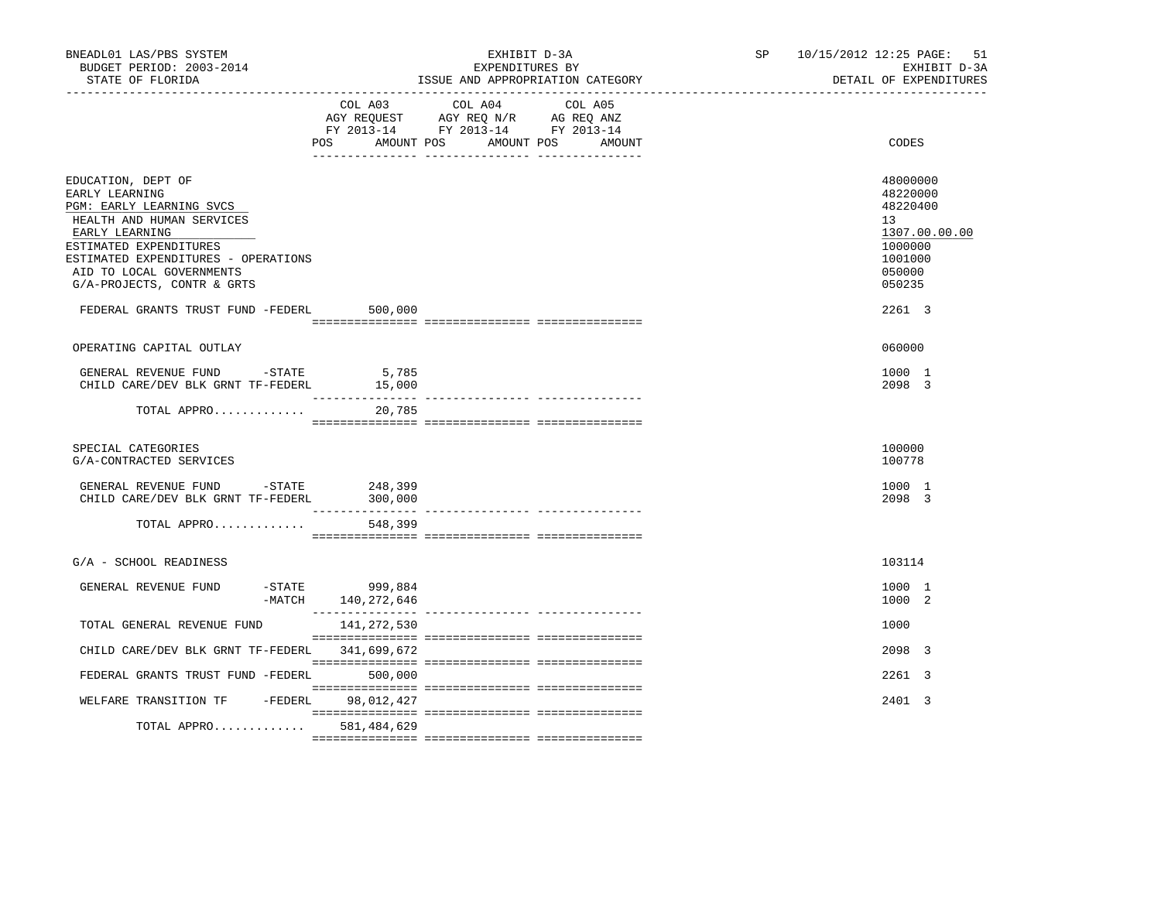| BNEADL01 LAS/PBS SYSTEM<br>BUDGET PERIOD: 2003-2014<br>STATE OF FLORIDA                                                                                                                                                                    |                                        | EXHIBIT D-3A<br>EXPENDITURES BY<br>ISSUE AND APPROPRIATION CATEGORY                                                       | SP <sub>2</sub> | 10/15/2012 12:25 PAGE: 51<br>EXHIBIT D-3A<br>DETAIL OF EXPENDITURES                                            |
|--------------------------------------------------------------------------------------------------------------------------------------------------------------------------------------------------------------------------------------------|----------------------------------------|---------------------------------------------------------------------------------------------------------------------------|-----------------|----------------------------------------------------------------------------------------------------------------|
|                                                                                                                                                                                                                                            | AMOUNT POS<br>POS                      | COL A03 COL A04 COL A05<br>AGY REQUEST AGY REQ N/R AG REQ ANZ<br>FY 2013-14 FY 2013-14 FY 2013-14<br>AMOUNT POS<br>AMOUNT |                 | CODES                                                                                                          |
| EDUCATION, DEPT OF<br>EARLY LEARNING<br>PGM: EARLY LEARNING SVCS<br>HEALTH AND HUMAN SERVICES<br>EARLY LEARNING<br>ESTIMATED EXPENDITURES<br>ESTIMATED EXPENDITURES - OPERATIONS<br>AID TO LOCAL GOVERNMENTS<br>G/A-PROJECTS, CONTR & GRTS |                                        |                                                                                                                           |                 | 48000000<br>48220000<br>48220400<br>13 <sup>°</sup><br>1307.00.00.00<br>1000000<br>1001000<br>050000<br>050235 |
| FEDERAL GRANTS TRUST FUND -FEDERL                                                                                                                                                                                                          | 500,000                                |                                                                                                                           |                 | 2261 3                                                                                                         |
| OPERATING CAPITAL OUTLAY                                                                                                                                                                                                                   |                                        |                                                                                                                           |                 | 060000                                                                                                         |
| GENERAL REVENUE FUND -STATE<br>CHILD CARE/DEV BLK GRNT TF-FEDERL                                                                                                                                                                           | 5,785<br>15,000                        |                                                                                                                           |                 | 1000 1<br>2098 3                                                                                               |
| TOTAL APPRO                                                                                                                                                                                                                                | 20,785                                 |                                                                                                                           |                 |                                                                                                                |
| SPECIAL CATEGORIES<br>G/A-CONTRACTED SERVICES                                                                                                                                                                                              |                                        |                                                                                                                           |                 | 100000<br>100778                                                                                               |
| GENERAL REVENUE FUND -STATE 248,399<br>CHILD CARE/DEV BLK GRNT TF-FEDERL                                                                                                                                                                   | 300,000<br>$- - - - - - - -$           |                                                                                                                           |                 | 1000 1<br>2098 3                                                                                               |
| TOTAL APPRO                                                                                                                                                                                                                                | 548,399                                |                                                                                                                           |                 |                                                                                                                |
| G/A - SCHOOL READINESS                                                                                                                                                                                                                     |                                        |                                                                                                                           |                 | 103114                                                                                                         |
| GENERAL REVENUE FUND                                                                                                                                                                                                                       | -STATE 999,884<br>-MATCH 140, 272, 646 |                                                                                                                           |                 | 1000 1<br>1000 2                                                                                               |
| TOTAL GENERAL REVENUE FUND                                                                                                                                                                                                                 | 141,272,530                            |                                                                                                                           |                 | 1000                                                                                                           |
| CHILD CARE/DEV BLK GRNT TF-FEDERL 341,699,672                                                                                                                                                                                              |                                        |                                                                                                                           |                 | 2098 3                                                                                                         |
| FEDERAL GRANTS TRUST FUND -FEDERL 500,000                                                                                                                                                                                                  |                                        |                                                                                                                           |                 | $2261 \quad 3$                                                                                                 |
| WELFARE TRANSITION TF -FEDERL                                                                                                                                                                                                              | 98,012,427                             |                                                                                                                           |                 | 2401 3                                                                                                         |
| TOTAL APPRO 581,484,629                                                                                                                                                                                                                    |                                        |                                                                                                                           |                 |                                                                                                                |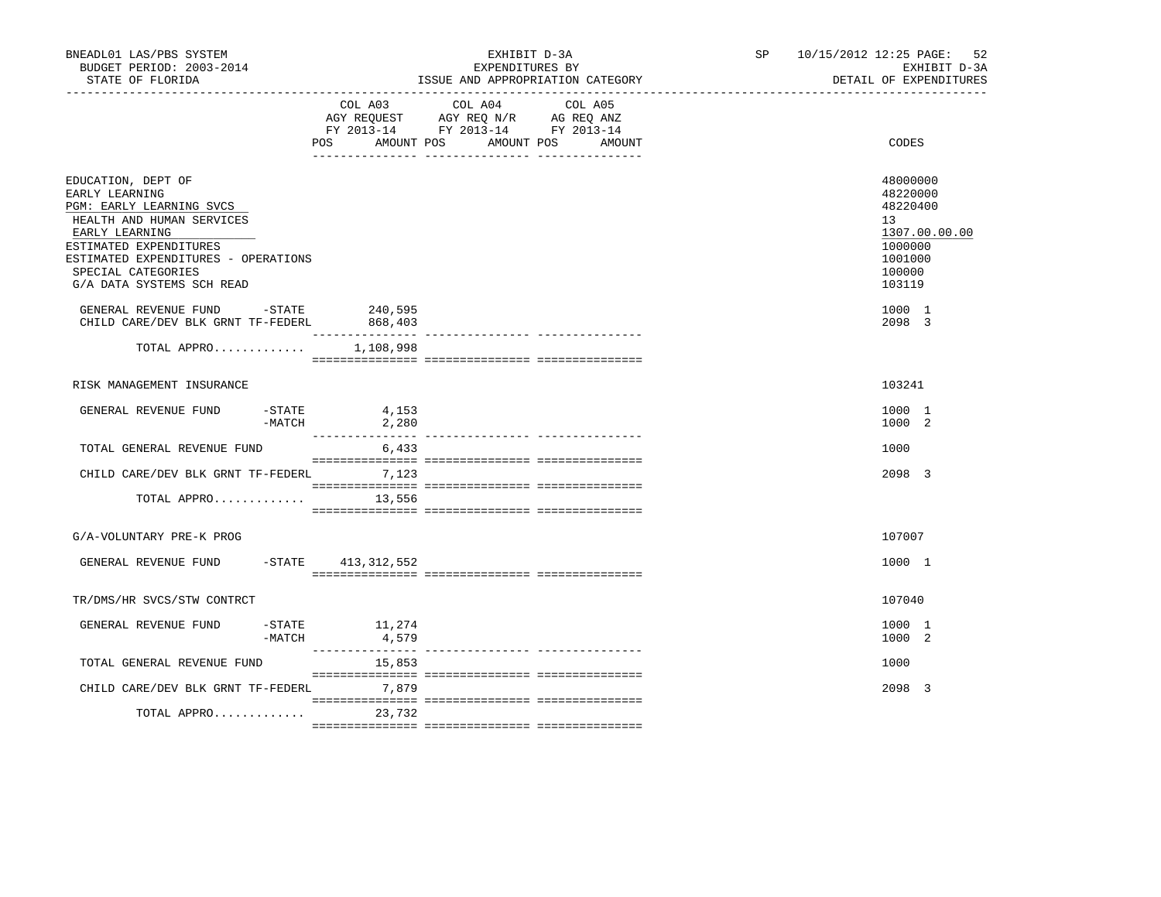| BNEADL01 LAS/PBS SYSTEM<br>BUDGET PERIOD: 2003-2014<br>STATE OF FLORIDA                                                                                                                                                             |                                                             | EXHIBIT D-3A<br>EXPENDITURES BY<br>ISSUE AND APPROPRIATION CATEGORY                                                             | SP 10/15/2012 12:25 PAGE: 52<br>EXHIBIT D-3A<br>DETAIL OF EXPENDITURES                                         |
|-------------------------------------------------------------------------------------------------------------------------------------------------------------------------------------------------------------------------------------|-------------------------------------------------------------|---------------------------------------------------------------------------------------------------------------------------------|----------------------------------------------------------------------------------------------------------------|
|                                                                                                                                                                                                                                     | COL A03<br><b>POS</b>                                       | COL A04 COL A05<br>AGY REQUEST AGY REQ N/R AG REQ ANZ<br>FY 2013-14 FY 2013-14 FY 2013-14<br>AMOUNT POS<br>AMOUNT POS<br>AMOUNT | CODES                                                                                                          |
| EDUCATION, DEPT OF<br>EARLY LEARNING<br>PGM: EARLY LEARNING SVCS<br>HEALTH AND HUMAN SERVICES<br>EARLY LEARNING<br>ESTIMATED EXPENDITURES<br>ESTIMATED EXPENDITURES - OPERATIONS<br>SPECIAL CATEGORIES<br>G/A DATA SYSTEMS SCH READ |                                                             |                                                                                                                                 | 48000000<br>48220000<br>48220400<br>13 <sup>7</sup><br>1307.00.00.00<br>1000000<br>1001000<br>100000<br>103119 |
| GENERAL REVENUE FUND -STATE 240,595<br>CHILD CARE/DEV BLK GRNT TF-FEDERL                                                                                                                                                            | 868,403                                                     |                                                                                                                                 | 1000 1<br>2098 3                                                                                               |
| TOTAL APPRO                                                                                                                                                                                                                         | ________________<br>1,108,998                               |                                                                                                                                 |                                                                                                                |
| RISK MANAGEMENT INSURANCE                                                                                                                                                                                                           |                                                             |                                                                                                                                 | 103241                                                                                                         |
| GENERAL REVENUE FUND<br>-STATE                                                                                                                                                                                                      | 4,153<br>$-MATCH$<br>2,280                                  |                                                                                                                                 | 1000 1<br>1000 2                                                                                               |
| TOTAL GENERAL REVENUE FUND                                                                                                                                                                                                          | 6,433                                                       |                                                                                                                                 | 1000                                                                                                           |
| CHILD CARE/DEV BLK GRNT TF-FEDERL 7,123                                                                                                                                                                                             |                                                             |                                                                                                                                 | 2098 3                                                                                                         |
| TOTAL APPRO                                                                                                                                                                                                                         | 13,556                                                      |                                                                                                                                 |                                                                                                                |
| G/A-VOLUNTARY PRE-K PROG                                                                                                                                                                                                            |                                                             |                                                                                                                                 | 107007                                                                                                         |
| GENERAL REVENUE FUND                                                                                                                                                                                                                | -STATE 413,312,552                                          |                                                                                                                                 | 1000 1                                                                                                         |
| TR/DMS/HR SVCS/STW CONTRCT                                                                                                                                                                                                          |                                                             |                                                                                                                                 | 107040                                                                                                         |
| GENERAL REVENUE FUND                                                                                                                                                                                                                | $-$ STATE $11,274$<br>$-MATCH$<br>4,579<br>________________ |                                                                                                                                 | 1000 1<br>1000 2                                                                                               |
| TOTAL GENERAL REVENUE FUND                                                                                                                                                                                                          | 15,853                                                      |                                                                                                                                 | 1000                                                                                                           |
| CHILD CARE/DEV BLK GRNT TF-FEDERL 7,879                                                                                                                                                                                             |                                                             |                                                                                                                                 | 2098 3                                                                                                         |
| TOTAL APPRO                                                                                                                                                                                                                         | 23,732                                                      |                                                                                                                                 |                                                                                                                |
|                                                                                                                                                                                                                                     |                                                             |                                                                                                                                 |                                                                                                                |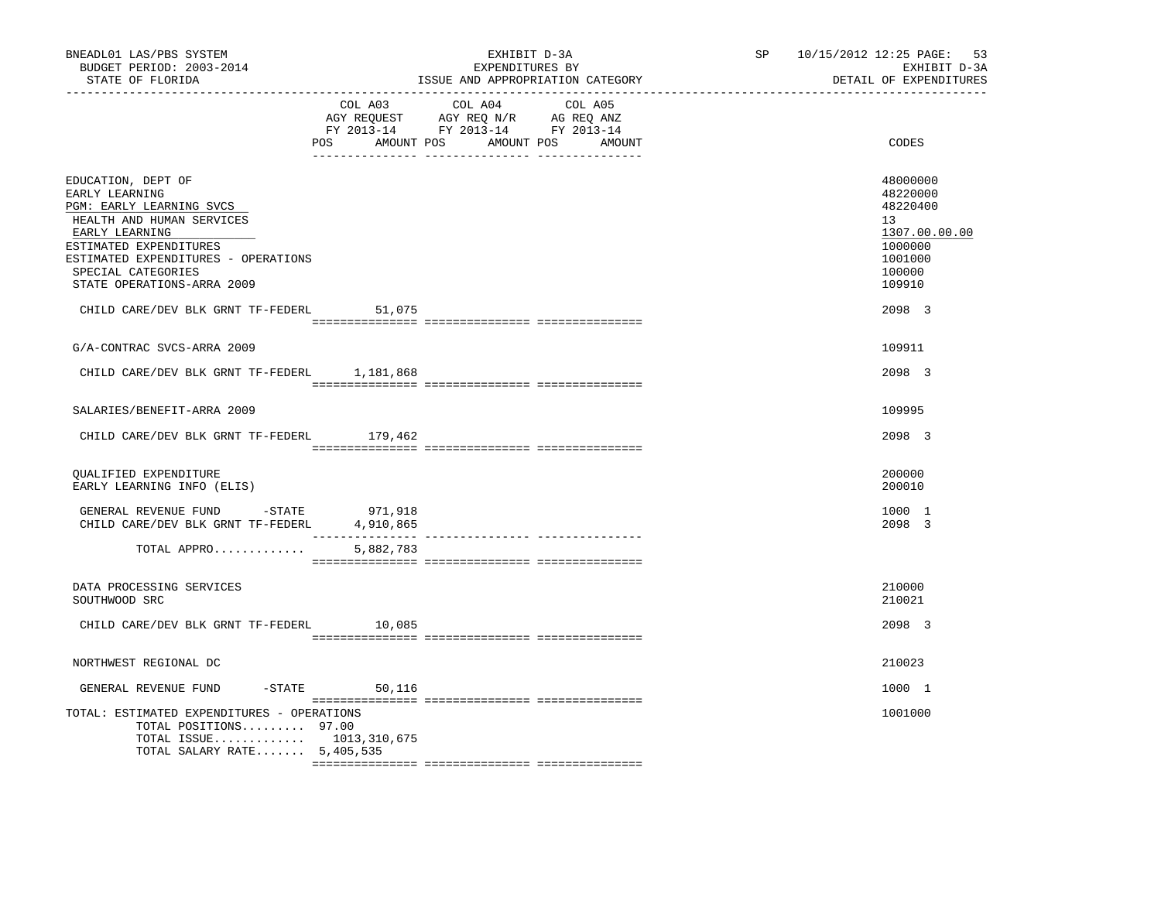| BNEADL01 LAS/PBS SYSTEM<br>BUDGET PERIOD: 2003-2014<br>STATE OF FLORIDA<br>-------------------                                                                                                                                       |                  | EXHIBIT D-3A<br>EXPENDITURES BY<br>ISSUE AND APPROPRIATION CATEGORY                                                                   | SP 10/15/2012 12:25 PAGE: 53<br>EXHIBIT D-3A<br>DETAIL OF EXPENDITURES                            |
|--------------------------------------------------------------------------------------------------------------------------------------------------------------------------------------------------------------------------------------|------------------|---------------------------------------------------------------------------------------------------------------------------------------|---------------------------------------------------------------------------------------------------|
|                                                                                                                                                                                                                                      |                  | COL A03 COL A04 COL A05<br>AGY REQUEST AGY REQ N/R AG REQ ANZ<br>FY 2013-14 FY 2013-14 FY 2013-14<br>POS AMOUNT POS AMOUNT POS AMOUNT | CODES                                                                                             |
| EDUCATION, DEPT OF<br>EARLY LEARNING<br>PGM: EARLY LEARNING SVCS<br>HEALTH AND HUMAN SERVICES<br>EARLY LEARNING<br>ESTIMATED EXPENDITURES<br>ESTIMATED EXPENDITURES - OPERATIONS<br>SPECIAL CATEGORIES<br>STATE OPERATIONS-ARRA 2009 |                  |                                                                                                                                       | 48000000<br>48220000<br>48220400<br>13<br>1307.00.00.00<br>1000000<br>1001000<br>100000<br>109910 |
| CHILD CARE/DEV BLK GRNT TF-FEDERL                                                                                                                                                                                                    | 51,075           |                                                                                                                                       | 2098 3                                                                                            |
| G/A-CONTRAC SVCS-ARRA 2009                                                                                                                                                                                                           |                  |                                                                                                                                       | 109911                                                                                            |
| CHILD CARE/DEV BLK GRNT TF-FEDERL 1,181,868                                                                                                                                                                                          |                  |                                                                                                                                       | 2098 3                                                                                            |
|                                                                                                                                                                                                                                      |                  |                                                                                                                                       |                                                                                                   |
| SALARIES/BENEFIT-ARRA 2009                                                                                                                                                                                                           |                  |                                                                                                                                       | 109995                                                                                            |
| CHILD CARE/DEV BLK GRNT TF-FEDERL 179,462                                                                                                                                                                                            |                  |                                                                                                                                       | 2098 3                                                                                            |
| <b>OUALIFIED EXPENDITURE</b><br>EARLY LEARNING INFO (ELIS)                                                                                                                                                                           |                  |                                                                                                                                       | 200000<br>200010                                                                                  |
| GENERAL REVENUE FUND -STATE 971,918<br>CHILD CARE/DEV BLK GRNT TF-FEDERL 4,910,865                                                                                                                                                   |                  |                                                                                                                                       | 1000 1<br>2098 3                                                                                  |
| TOTAL APPRO                                                                                                                                                                                                                          | 5,882,783        |                                                                                                                                       |                                                                                                   |
| DATA PROCESSING SERVICES<br>SOUTHWOOD SRC                                                                                                                                                                                            |                  |                                                                                                                                       | 210000<br>210021                                                                                  |
| CHILD CARE/DEV BLK GRNT TF-FEDERL 10,085                                                                                                                                                                                             |                  |                                                                                                                                       | 2098 3                                                                                            |
| NORTHWEST REGIONAL DC                                                                                                                                                                                                                |                  |                                                                                                                                       | 210023                                                                                            |
| GENERAL REVENUE FUND                                                                                                                                                                                                                 | $-STATE$ 50, 116 |                                                                                                                                       | 1000 1                                                                                            |
| TOTAL: ESTIMATED EXPENDITURES - OPERATIONS<br>TOTAL POSITIONS 97.00<br>TOTAL ISSUE 1013,310,675<br>TOTAL SALARY RATE $5,405,535$                                                                                                     |                  |                                                                                                                                       | 1001000                                                                                           |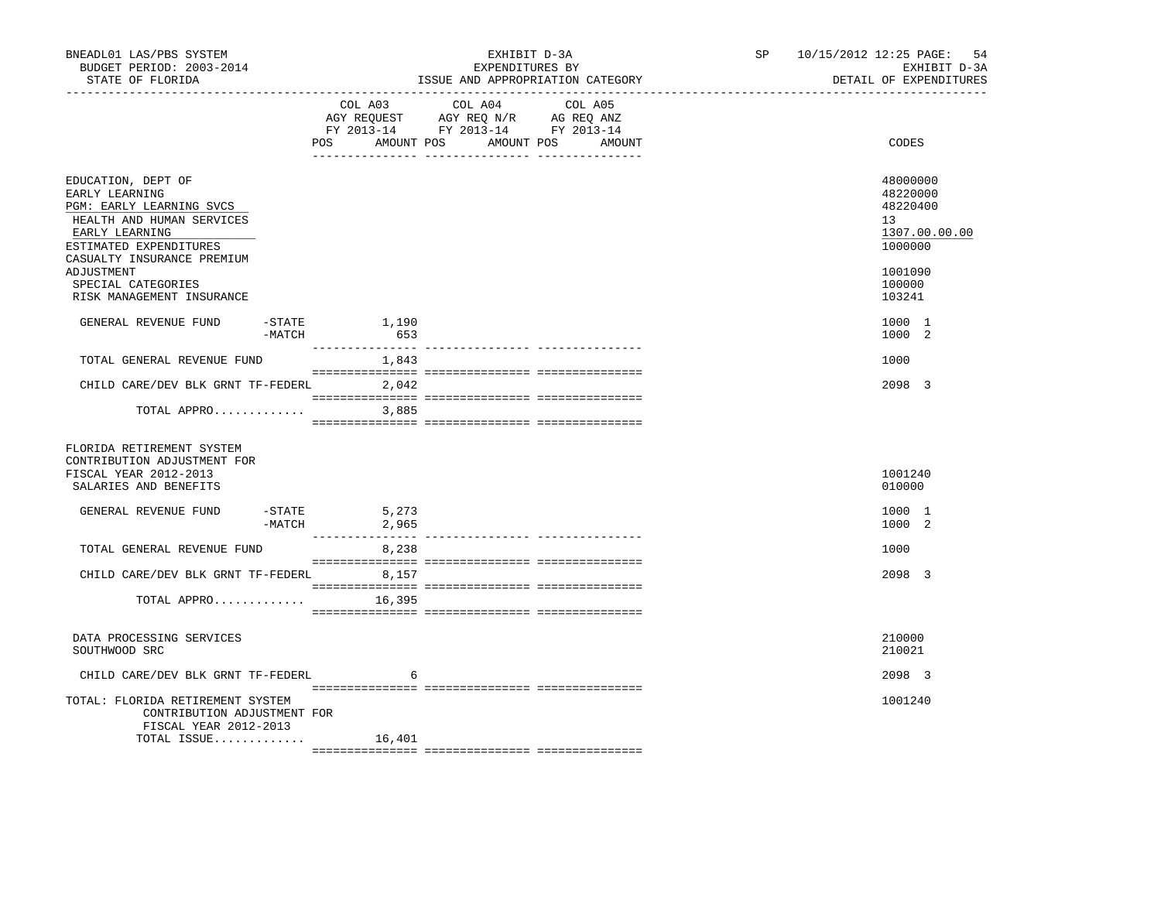| BNEADL01 LAS/PBS SYSTEM<br>BUDGET PERIOD: 2003-2014<br>STATE OF FLORIDA                                                                                                                                                                  |                          | EXHIBIT D-3A<br>EXPENDITURES BY<br>ISSUE AND APPROPRIATION CATEGORY                                                                      | SP | 10/15/2012 12:25 PAGE: 54<br>EXHIBIT D-3A<br>DETAIL OF EXPENDITURES                               |
|------------------------------------------------------------------------------------------------------------------------------------------------------------------------------------------------------------------------------------------|--------------------------|------------------------------------------------------------------------------------------------------------------------------------------|----|---------------------------------------------------------------------------------------------------|
|                                                                                                                                                                                                                                          |                          | COL A03 COL A04<br>COL A05<br>AGY REQUEST AGY REQ N/R AG REQ ANZ<br>FY 2013-14 FY 2013-14 FY 2013-14<br>POS AMOUNT POS AMOUNT POS AMOUNT |    | CODES                                                                                             |
| EDUCATION, DEPT OF<br>EARLY LEARNING<br>PGM: EARLY LEARNING SVCS<br>HEALTH AND HUMAN SERVICES<br>EARLY LEARNING<br>ESTIMATED EXPENDITURES<br>CASUALTY INSURANCE PREMIUM<br>ADJUSTMENT<br>SPECIAL CATEGORIES<br>RISK MANAGEMENT INSURANCE |                          |                                                                                                                                          |    | 48000000<br>48220000<br>48220400<br>13<br>1307.00.00.00<br>1000000<br>1001090<br>100000<br>103241 |
| GENERAL REVENUE FUND<br>-MATCH                                                                                                                                                                                                           | -STATE 1,190<br>653      |                                                                                                                                          |    | 1000 1<br>1000 2                                                                                  |
| TOTAL GENERAL REVENUE FUND                                                                                                                                                                                                               | _______________<br>1,843 | ______________ _______________                                                                                                           |    | 1000                                                                                              |
| CHILD CARE/DEV BLK GRNT TF-FEDERL                                                                                                                                                                                                        | 2,042                    |                                                                                                                                          |    | 2098 3                                                                                            |
| TOTAL APPRO                                                                                                                                                                                                                              | 3,885                    |                                                                                                                                          |    |                                                                                                   |
| FLORIDA RETIREMENT SYSTEM<br>CONTRIBUTION ADJUSTMENT FOR<br>FISCAL YEAR 2012-2013<br>SALARIES AND BENEFITS<br>GENERAL REVENUE FUND                                                                                                       | $-STATE$<br>5,273        |                                                                                                                                          |    | 1001240<br>010000<br>1000 1                                                                       |
|                                                                                                                                                                                                                                          | $-MATCH$<br>2,965        |                                                                                                                                          |    | 1000 2                                                                                            |
| TOTAL GENERAL REVENUE FUND                                                                                                                                                                                                               | 8,238                    |                                                                                                                                          |    | 1000                                                                                              |
| CHILD CARE/DEV BLK GRNT TF-FEDERL 8,157                                                                                                                                                                                                  |                          |                                                                                                                                          |    | 2098 3                                                                                            |
| TOTAL APPRO                                                                                                                                                                                                                              | 16,395                   |                                                                                                                                          |    |                                                                                                   |
| DATA PROCESSING SERVICES<br>SOUTHWOOD SRC                                                                                                                                                                                                |                          |                                                                                                                                          |    | 210000<br>210021                                                                                  |
| CHILD CARE/DEV BLK GRNT TF-FEDERL                                                                                                                                                                                                        | 6                        |                                                                                                                                          |    | 2098 3                                                                                            |
| TOTAL: FLORIDA RETIREMENT SYSTEM<br>CONTRIBUTION ADJUSTMENT FOR<br>FISCAL YEAR 2012-2013                                                                                                                                                 |                          |                                                                                                                                          |    | 1001240                                                                                           |
| TOTAL ISSUE                                                                                                                                                                                                                              | 16,401                   |                                                                                                                                          |    |                                                                                                   |
|                                                                                                                                                                                                                                          |                          |                                                                                                                                          |    |                                                                                                   |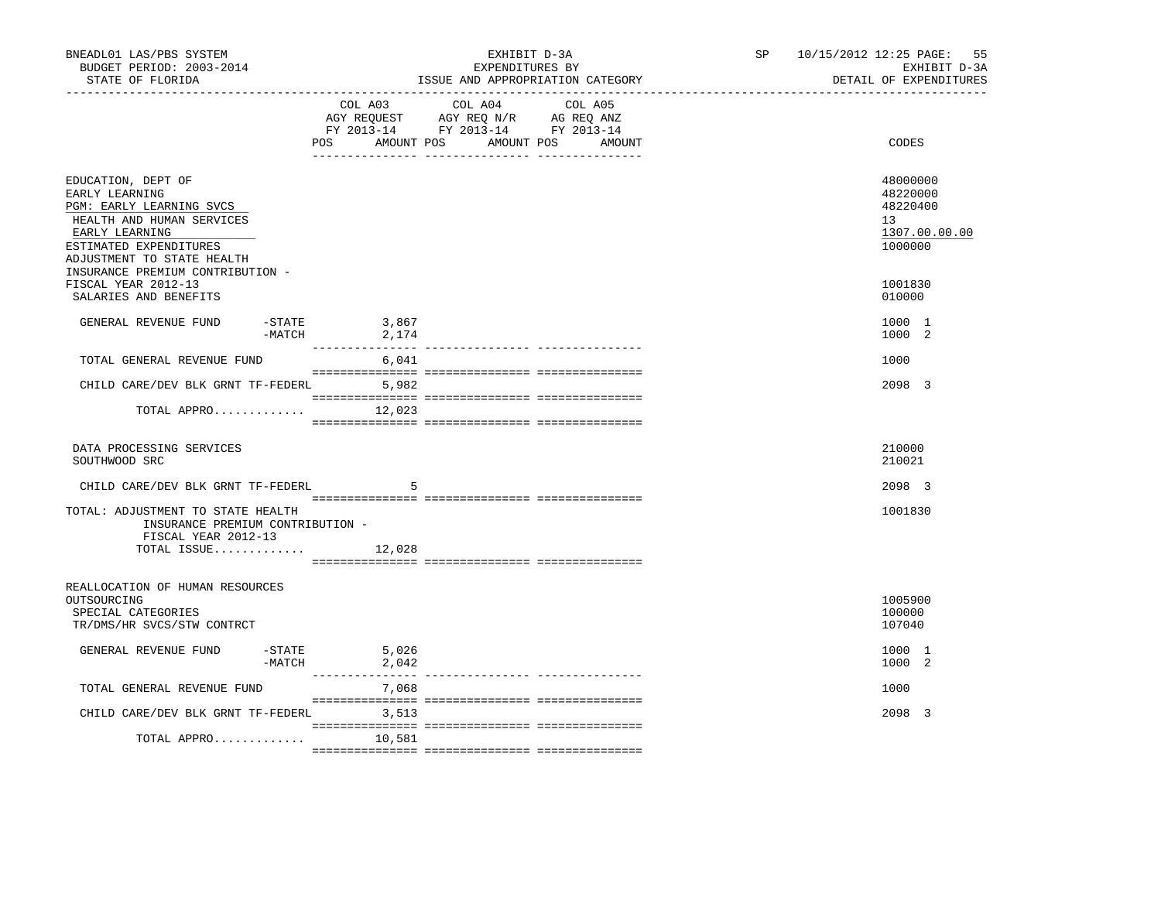| BNEADL01 LAS/PBS SYSTEM<br>BUDGET PERIOD: 2003-2014<br>STATE OF FLORIDA                                                                                                 |          |                                  | EXHIBIT D-3A<br>EXPENDITURES BY<br>ISSUE AND APPROPRIATION CATEGORY                               |  | SP and the set of the set of the set of the set of the set of the set of the set of the set of the set of the set of the set of the set of the set of the set of the set of the set of the set of the set of the set of the se | 10/15/2012 12:25 PAGE: 55<br>EXHIBIT D-3A<br>DETAIL OF EXPENDITURES |
|-------------------------------------------------------------------------------------------------------------------------------------------------------------------------|----------|----------------------------------|---------------------------------------------------------------------------------------------------|--|--------------------------------------------------------------------------------------------------------------------------------------------------------------------------------------------------------------------------------|---------------------------------------------------------------------|
|                                                                                                                                                                         |          | POS AMOUNT POS AMOUNT POS AMOUNT | COL A03 COL A04 COL A05<br>AGY REQUEST AGY REQ N/R AG REQ ANZ<br>FY 2013-14 FY 2013-14 FY 2013-14 |  |                                                                                                                                                                                                                                | CODES                                                               |
|                                                                                                                                                                         |          |                                  |                                                                                                   |  |                                                                                                                                                                                                                                |                                                                     |
| EDUCATION, DEPT OF<br>EARLY LEARNING<br>PGM: EARLY LEARNING SVCS<br>HEALTH AND HUMAN SERVICES<br>EARLY LEARNING<br>ESTIMATED EXPENDITURES<br>ADJUSTMENT TO STATE HEALTH |          |                                  |                                                                                                   |  |                                                                                                                                                                                                                                | 48000000<br>48220000<br>48220400<br>13<br>1307.00.00.00<br>1000000  |
| INSURANCE PREMIUM CONTRIBUTION -<br>FISCAL YEAR 2012-13<br>SALARIES AND BENEFITS                                                                                        |          |                                  |                                                                                                   |  |                                                                                                                                                                                                                                | 1001830<br>010000                                                   |
|                                                                                                                                                                         |          |                                  |                                                                                                   |  |                                                                                                                                                                                                                                |                                                                     |
| GENERAL REVENUE FUND                                                                                                                                                    | $-MATCH$ | $-STATE$ 3,867<br>2,174          |                                                                                                   |  |                                                                                                                                                                                                                                | 1000 1<br>1000 2                                                    |
| TOTAL GENERAL REVENUE FUND                                                                                                                                              |          | __________<br>6,041              |                                                                                                   |  |                                                                                                                                                                                                                                | 1000                                                                |
| CHILD CARE/DEV BLK GRNT TF-FEDERL 5,982                                                                                                                                 |          |                                  |                                                                                                   |  |                                                                                                                                                                                                                                | 2098 3                                                              |
| TOTAL APPRO                                                                                                                                                             |          | 12,023                           |                                                                                                   |  |                                                                                                                                                                                                                                |                                                                     |
|                                                                                                                                                                         |          |                                  |                                                                                                   |  |                                                                                                                                                                                                                                |                                                                     |
| DATA PROCESSING SERVICES<br>SOUTHWOOD SRC                                                                                                                               |          |                                  |                                                                                                   |  |                                                                                                                                                                                                                                | 210000<br>210021                                                    |
| CHILD CARE/DEV BLK GRNT TF-FEDERL                                                                                                                                       |          | -5                               |                                                                                                   |  |                                                                                                                                                                                                                                | 2098 3                                                              |
| TOTAL: ADJUSTMENT TO STATE HEALTH<br>INSURANCE PREMIUM CONTRIBUTION -<br>FISCAL YEAR 2012-13                                                                            |          |                                  |                                                                                                   |  |                                                                                                                                                                                                                                | 1001830                                                             |
| TOTAL ISSUE $12,028$                                                                                                                                                    |          |                                  |                                                                                                   |  |                                                                                                                                                                                                                                |                                                                     |
| REALLOCATION OF HUMAN RESOURCES                                                                                                                                         |          |                                  |                                                                                                   |  |                                                                                                                                                                                                                                |                                                                     |
| OUTSOURCING<br>SPECIAL CATEGORIES<br>TR/DMS/HR SVCS/STW CONTRCT                                                                                                         |          |                                  |                                                                                                   |  |                                                                                                                                                                                                                                | 1005900<br>100000<br>107040                                         |
| GENERAL REVENUE FUND                                                                                                                                                    | -MATCH   | $-STATE$<br>5,026<br>2,042       |                                                                                                   |  |                                                                                                                                                                                                                                | 1000 1<br>1000 2                                                    |
| TOTAL GENERAL REVENUE FUND                                                                                                                                              |          | ________________<br>7,068        |                                                                                                   |  |                                                                                                                                                                                                                                | 1000                                                                |
| CHILD CARE/DEV BLK GRNT TF-FEDERL                                                                                                                                       |          | 3,513                            |                                                                                                   |  |                                                                                                                                                                                                                                | 2098 3                                                              |
| TOTAL APPRO                                                                                                                                                             |          | 10,581                           |                                                                                                   |  |                                                                                                                                                                                                                                |                                                                     |
|                                                                                                                                                                         |          |                                  |                                                                                                   |  |                                                                                                                                                                                                                                |                                                                     |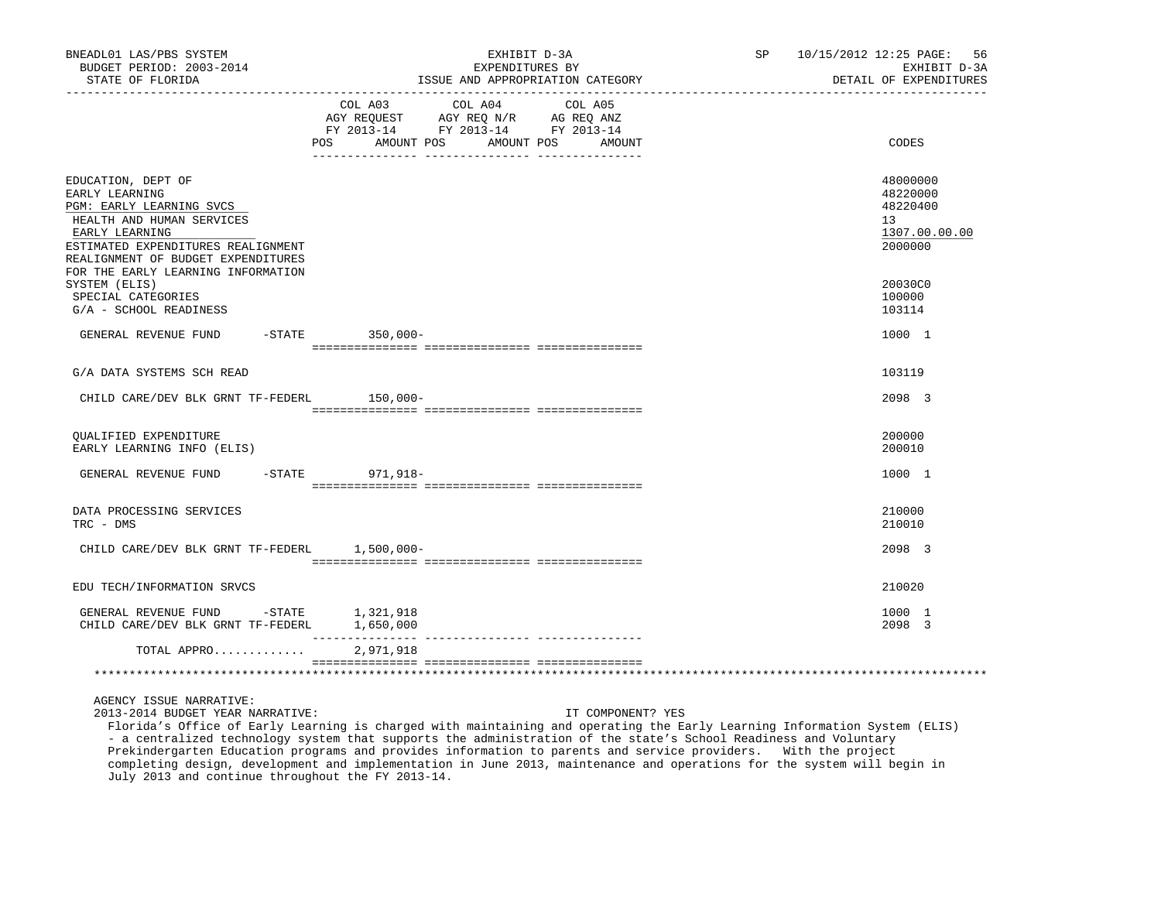| BNEADL01 LAS/PBS SYSTEM<br>BUDGET PERIOD: 2003-2014                                                                                                                                                                               | EXHIBIT D-3A<br>EXPENDITURES BY                                                                                                                          | SP 10/15/2012 12:25 PAGE: 56<br>EXHIBIT D-3A                       |
|-----------------------------------------------------------------------------------------------------------------------------------------------------------------------------------------------------------------------------------|----------------------------------------------------------------------------------------------------------------------------------------------------------|--------------------------------------------------------------------|
| STATE OF FLORIDA                                                                                                                                                                                                                  | ISSUE AND APPROPRIATION CATEGORY                                                                                                                         | DETAIL OF EXPENDITURES                                             |
|                                                                                                                                                                                                                                   | COL A03 COL A04<br>COL A05<br>AGY REQUEST AGY REQ N/R AG REQ ANZ<br>FY 2013-14 FY 2013-14 FY 2013-14<br><b>POS</b><br>AMOUNT POS<br>AMOUNT POS<br>AMOUNT | CODES                                                              |
| EDUCATION, DEPT OF<br>EARLY LEARNING<br>PGM: EARLY LEARNING SVCS<br>HEALTH AND HUMAN SERVICES<br>EARLY LEARNING<br>ESTIMATED EXPENDITURES REALIGNMENT<br>REALIGNMENT OF BUDGET EXPENDITURES<br>FOR THE EARLY LEARNING INFORMATION |                                                                                                                                                          | 48000000<br>48220000<br>48220400<br>13<br>1307.00.00.00<br>2000000 |
| SYSTEM (ELIS)<br>SPECIAL CATEGORIES<br>G/A - SCHOOL READINESS                                                                                                                                                                     |                                                                                                                                                          | 20030C0<br>100000<br>103114                                        |
| GENERAL REVENUE FUND                                                                                                                                                                                                              | -STATE 350,000-                                                                                                                                          | 1000 1                                                             |
| G/A DATA SYSTEMS SCH READ                                                                                                                                                                                                         |                                                                                                                                                          | 103119                                                             |
| CHILD CARE/DEV BLK GRNT TF-FEDERL 150,000-                                                                                                                                                                                        |                                                                                                                                                          | 2098 3                                                             |
| OUALIFIED EXPENDITURE<br>EARLY LEARNING INFO (ELIS)                                                                                                                                                                               |                                                                                                                                                          | 200000<br>200010                                                   |
| GENERAL REVENUE FUND                                                                                                                                                                                                              | -STATE 971,918-                                                                                                                                          | 1000 1                                                             |
| DATA PROCESSING SERVICES<br>TRC - DMS                                                                                                                                                                                             |                                                                                                                                                          | 210000<br>210010                                                   |
| CHILD CARE/DEV BLK GRNT TF-FEDERL 1,500,000-                                                                                                                                                                                      |                                                                                                                                                          | 2098 3                                                             |
| EDU TECH/INFORMATION SRVCS                                                                                                                                                                                                        |                                                                                                                                                          | 210020                                                             |
| ${\tt GENERAL}\;\;{\tt REVENUE}\;\;{\tt FUND}\qquad\qquad\texttt{-STATE}\qquad\qquad 1\,,321\,,918$<br>CHILD CARE/DEV BLK GRNT TF-FEDERL                                                                                          | 1,650,000                                                                                                                                                | 1000 1<br>2098 3                                                   |
| TOTAL APPRO                                                                                                                                                                                                                       | 2,971,918                                                                                                                                                |                                                                    |
|                                                                                                                                                                                                                                   |                                                                                                                                                          |                                                                    |

AGENCY ISSUE NARRATIVE:

2013-2014 BUDGET YEAR NARRATIVE: IT COMPONENT? YES

 Florida's Office of Early Learning is charged with maintaining and operating the Early Learning Information System (ELIS) - a centralized technology system that supports the administration of the state's School Readiness and Voluntary Prekindergarten Education programs and provides information to parents and service providers. With the project completing design, development and implementation in June 2013, maintenance and operations for the system will begin in July 2013 and continue throughout the FY 2013-14.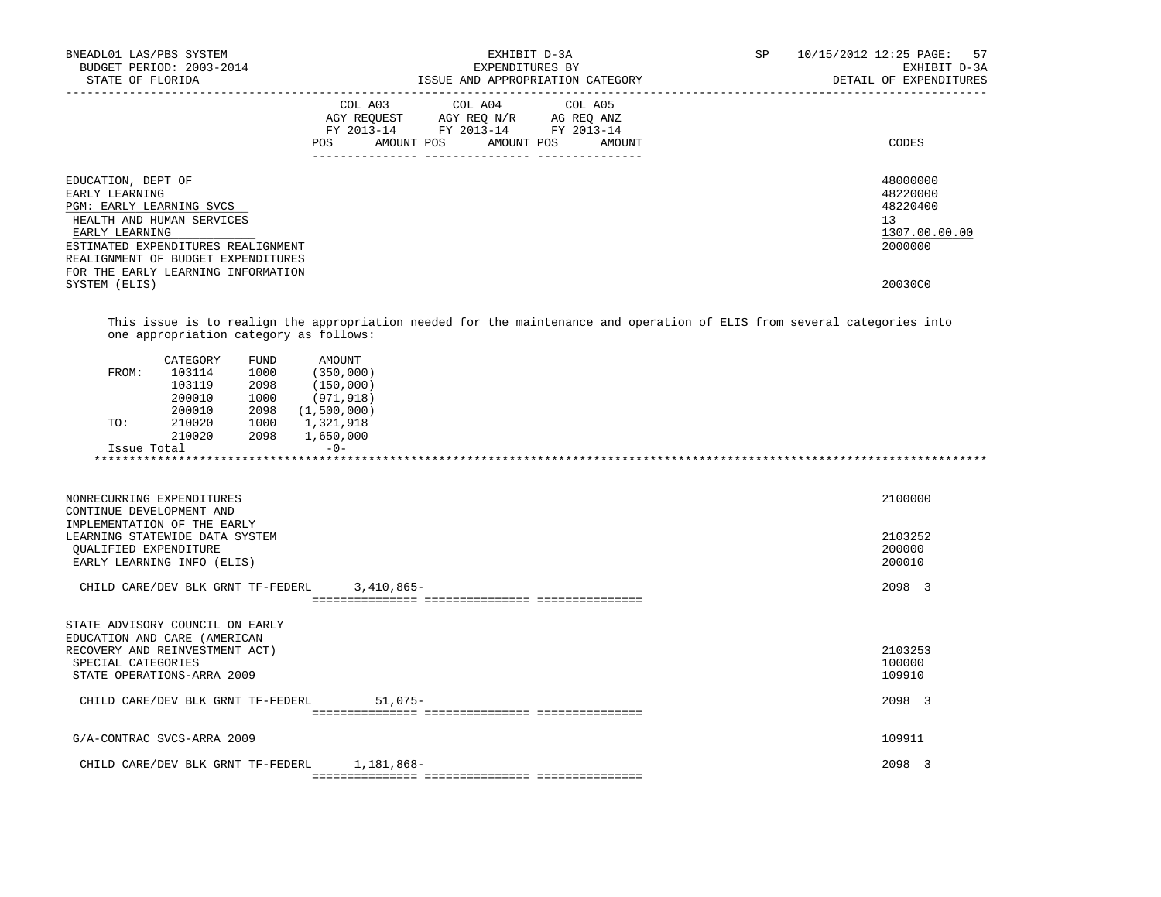| BNEADL01 LAS/PBS SYSTEM<br>BUDGET PERIOD: 2003-2014<br>STATE OF FLORIDA                                                                                                                     | EXHIBIT D-3A<br>EXPENDITURES BY<br>ISSUE AND APPROPRIATION CATEGORY                                                                         | 10/15/2012 12:25 PAGE: 57<br>SP<br>EXHIBIT D-3A<br>DETAIL OF EXPENDITURES |
|---------------------------------------------------------------------------------------------------------------------------------------------------------------------------------------------|---------------------------------------------------------------------------------------------------------------------------------------------|---------------------------------------------------------------------------|
|                                                                                                                                                                                             | COL A03 COL A04 COL A05<br>AGY REQUEST AGY REQ N/R AG REQ ANZ<br>FY 2013-14 FY 2013-14 FY 2013-14<br>AMOUNT POS AMOUNT POS<br>AMOUNT<br>POS | CODES                                                                     |
| EDUCATION, DEPT OF<br>EARLY LEARNING<br>PGM: EARLY LEARNING SVCS<br>HEALTH AND HUMAN SERVICES<br>EARLY LEARNING<br>ESTIMATED EXPENDITURES REALIGNMENT<br>REALIGNMENT OF BUDGET EXPENDITURES |                                                                                                                                             | 48000000<br>48220000<br>48220400<br>13<br>1307.00.00.00<br>2000000        |
| FOR THE EARLY LEARNING INFORMATION<br>SYSTEM (ELIS)                                                                                                                                         |                                                                                                                                             | 20030C0                                                                   |

 This issue is to realign the appropriation needed for the maintenance and operation of ELIS from several categories into one appropriation category as follows:

| 103114<br>FROM:<br>103119<br>200010 | 1000<br>2098 | (350,000)<br>(150,000) |  |
|-------------------------------------|--------------|------------------------|--|
|                                     |              |                        |  |
|                                     |              |                        |  |
|                                     | 1000         | (971, 918)             |  |
| 200010                              | 2098         | (1,500,000)            |  |
| 210020<br>TO:                       | 1000         | 1,321,918              |  |
| 210020                              | 2098         | 1,650,000              |  |
| Issue Total                         |              | $-0-$                  |  |

| 2098 3<br>CHILD CARE/DEV BLK GRNT TF-FEDERL<br>3,410,865-<br>STATE ADVISORY COUNCIL ON EARLY<br>EDUCATION AND CARE (AMERICAN<br>2103253<br>RECOVERY AND REINVESTMENT ACT)<br>100000<br>SPECIAL CATEGORIES |
|-----------------------------------------------------------------------------------------------------------------------------------------------------------------------------------------------------------|
|                                                                                                                                                                                                           |
|                                                                                                                                                                                                           |
| 109910<br>STATE OPERATIONS-ARRA 2009                                                                                                                                                                      |
| 2098 3<br>$51,075-$<br>CHILD CARE/DEV BLK GRNT TF-FEDERL                                                                                                                                                  |
|                                                                                                                                                                                                           |
| 109911<br>G/A-CONTRAC SVCS-ARRA 2009                                                                                                                                                                      |
| 1,181,868–<br>2098 3<br>CHILD CARE/DEV BLK GRNT TF-FEDERL                                                                                                                                                 |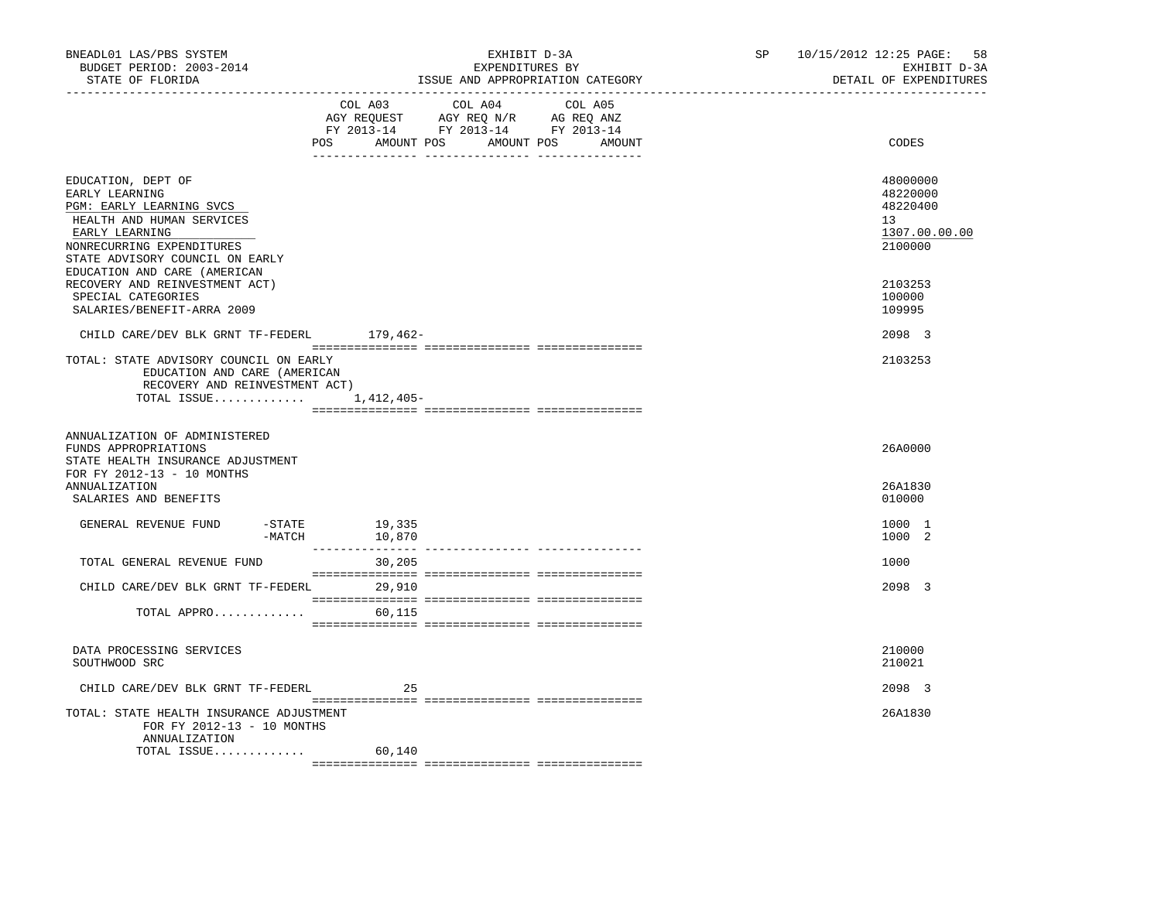| BNEADL01 LAS/PBS SYSTEM<br>BUDGET PERIOD: 2003-2014<br>STATE OF FLORIDA<br>------------------                                                                                   |                  | EXHIBIT D-3A<br>EXPENDITURES BY<br>ISSUE AND APPROPRIATION CATEGORY                                                           | SP and the set of the set of the set of the set of the set of the set of the set of the set of the set of the set of the set of the set of the set of the set of the set of the set of the set of the set of the set of the se | 10/15/2012 12:25 PAGE:<br>58<br>EXHIBIT D-3A<br>DETAIL OF EXPENDITURES |
|---------------------------------------------------------------------------------------------------------------------------------------------------------------------------------|------------------|-------------------------------------------------------------------------------------------------------------------------------|--------------------------------------------------------------------------------------------------------------------------------------------------------------------------------------------------------------------------------|------------------------------------------------------------------------|
|                                                                                                                                                                                 | COL A03          | COL A04 COL A05<br>AGY REQUEST AGY REQ N/R AG REQ ANZ<br>FY 2013-14 FY 2013-14 FY 2013-14<br>POS AMOUNT POS AMOUNT POS AMOUNT |                                                                                                                                                                                                                                | CODES                                                                  |
| EDUCATION, DEPT OF<br>EARLY LEARNING<br>PGM: EARLY LEARNING SVCS<br>HEALTH AND HUMAN SERVICES<br>EARLY LEARNING<br>NONRECURRING EXPENDITURES<br>STATE ADVISORY COUNCIL ON EARLY |                  |                                                                                                                               |                                                                                                                                                                                                                                | 48000000<br>48220000<br>48220400<br>13<br>1307.00.00.00<br>2100000     |
| EDUCATION AND CARE (AMERICAN<br>RECOVERY AND REINVESTMENT ACT)<br>SPECIAL CATEGORIES<br>SALARIES/BENEFIT-ARRA 2009                                                              |                  |                                                                                                                               |                                                                                                                                                                                                                                | 2103253<br>100000<br>109995                                            |
| CHILD CARE/DEV BLK GRNT TF-FEDERL 179,462-                                                                                                                                      |                  |                                                                                                                               |                                                                                                                                                                                                                                | 2098 3                                                                 |
| TOTAL: STATE ADVISORY COUNCIL ON EARLY<br>EDUCATION AND CARE (AMERICAN<br>RECOVERY AND REINVESTMENT ACT)<br>TOTAL ISSUE $1.412.405-$                                            |                  |                                                                                                                               |                                                                                                                                                                                                                                | 2103253                                                                |
| ANNUALIZATION OF ADMINISTERED<br>FUNDS APPROPRIATIONS<br>STATE HEALTH INSURANCE ADJUSTMENT<br>FOR FY 2012-13 - 10 MONTHS                                                        |                  |                                                                                                                               |                                                                                                                                                                                                                                | 26A0000                                                                |
| ANNUALIZATION<br>SALARIES AND BENEFITS                                                                                                                                          |                  |                                                                                                                               |                                                                                                                                                                                                                                | 26A1830<br>010000                                                      |
| GENERAL REVENUE FUND<br>$-$ STATE<br>-MATCH                                                                                                                                     | 19,335<br>10,870 |                                                                                                                               |                                                                                                                                                                                                                                | 1000 1<br>1000 2                                                       |
| TOTAL GENERAL REVENUE FUND                                                                                                                                                      | 30,205           |                                                                                                                               |                                                                                                                                                                                                                                | 1000                                                                   |
| CHILD CARE/DEV BLK GRNT TF-FEDERL 29,910                                                                                                                                        |                  |                                                                                                                               |                                                                                                                                                                                                                                | 2098 3                                                                 |
| TOTAL APPRO                                                                                                                                                                     | 60,115           |                                                                                                                               |                                                                                                                                                                                                                                |                                                                        |
| DATA PROCESSING SERVICES<br>SOUTHWOOD SRC                                                                                                                                       |                  |                                                                                                                               |                                                                                                                                                                                                                                | 210000<br>210021                                                       |
| CHILD CARE/DEV BLK GRNT TF-FEDERL                                                                                                                                               | 25               |                                                                                                                               |                                                                                                                                                                                                                                | 2098 3                                                                 |
| TOTAL: STATE HEALTH INSURANCE ADJUSTMENT<br>FOR FY 2012-13 - 10 MONTHS<br>ANNUALIZATION<br>TOTAL ISSUE                                                                          | 60,140           |                                                                                                                               |                                                                                                                                                                                                                                | 26A1830                                                                |
|                                                                                                                                                                                 |                  |                                                                                                                               |                                                                                                                                                                                                                                |                                                                        |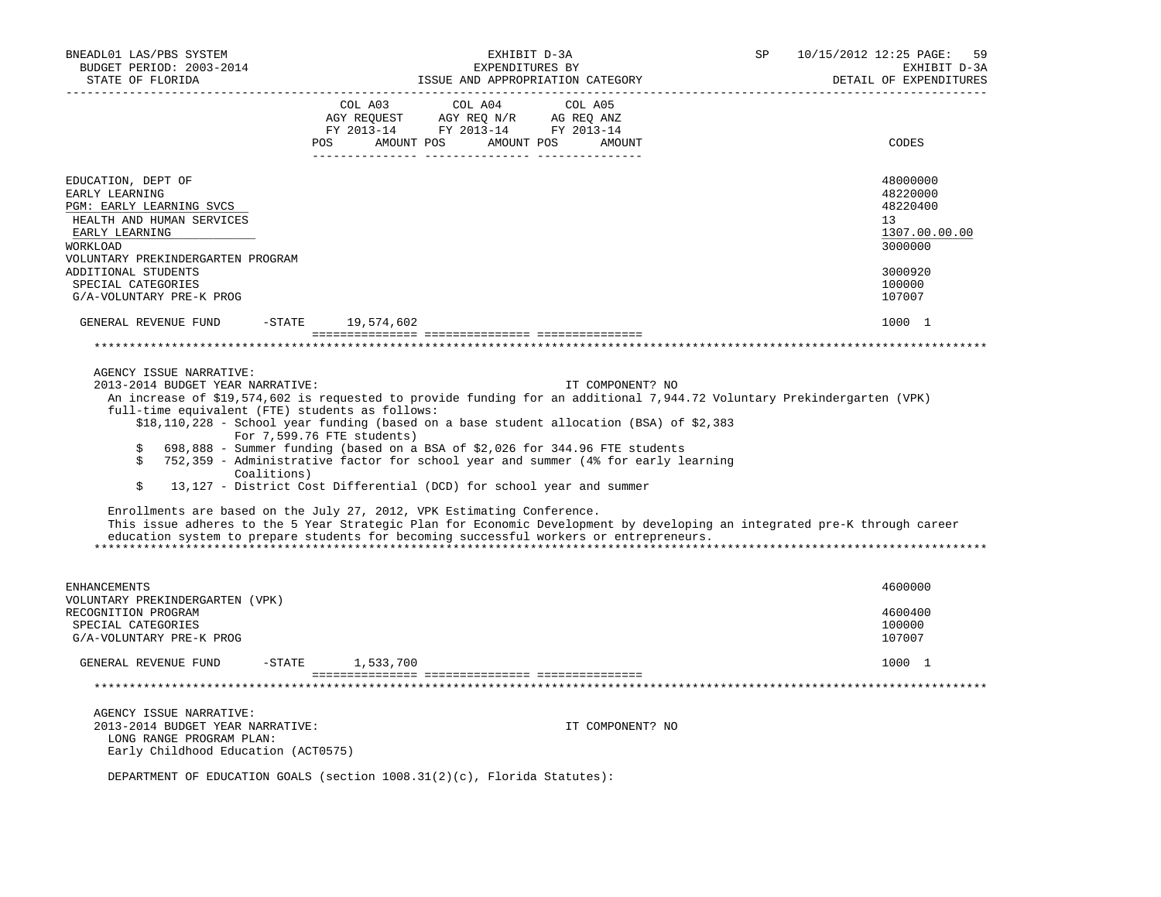| BNEADL01 LAS/PBS SYSTEM<br>BUDGET PERIOD: 2003-2014<br>STATE OF FLORIDA                                                        | EXHIBIT D-3A<br>EXPENDITURES BY<br>ISSUE AND APPROPRIATION CATEGORY                                                                                                                                                                                                                                                                                                                                                                                                                                                                                                                                                                                                                                                                                                                                              | <b>SP</b> | 10/15/2012 12:25 PAGE:<br>59<br>EXHIBIT D-3A<br>DETAIL OF EXPENDITURES |
|--------------------------------------------------------------------------------------------------------------------------------|------------------------------------------------------------------------------------------------------------------------------------------------------------------------------------------------------------------------------------------------------------------------------------------------------------------------------------------------------------------------------------------------------------------------------------------------------------------------------------------------------------------------------------------------------------------------------------------------------------------------------------------------------------------------------------------------------------------------------------------------------------------------------------------------------------------|-----------|------------------------------------------------------------------------|
|                                                                                                                                | COL A03<br>COL A04<br>COL A05<br>AMOUNT POS AMOUNT POS<br>POS<br>AMOUNT                                                                                                                                                                                                                                                                                                                                                                                                                                                                                                                                                                                                                                                                                                                                          |           | CODES                                                                  |
| EDUCATION, DEPT OF<br>EARLY LEARNING<br>PGM: EARLY LEARNING SVCS<br>HEALTH AND HUMAN SERVICES<br>EARLY LEARNING<br>WORKLOAD    |                                                                                                                                                                                                                                                                                                                                                                                                                                                                                                                                                                                                                                                                                                                                                                                                                  |           | 48000000<br>48220000<br>48220400<br>13<br>1307.00.00.00<br>3000000     |
| VOLUNTARY PREKINDERGARTEN PROGRAM<br>ADDITIONAL STUDENTS<br>SPECIAL CATEGORIES<br>G/A-VOLUNTARY PRE-K PROG                     |                                                                                                                                                                                                                                                                                                                                                                                                                                                                                                                                                                                                                                                                                                                                                                                                                  |           | 3000920<br>100000<br>107007                                            |
| GENERAL REVENUE FUND<br>$ \mathtt{STATE}$                                                                                      | 19,574,602                                                                                                                                                                                                                                                                                                                                                                                                                                                                                                                                                                                                                                                                                                                                                                                                       |           | 1000 1                                                                 |
|                                                                                                                                |                                                                                                                                                                                                                                                                                                                                                                                                                                                                                                                                                                                                                                                                                                                                                                                                                  |           |                                                                        |
| 2013-2014 BUDGET YEAR NARRATIVE:<br>full-time equivalent (FTE) students as follows:<br>\$<br>\$<br>Coalitions)<br>\$           | IT COMPONENT? NO<br>An increase of \$19,574,602 is requested to provide funding for an additional 7,944.72 Voluntary Prekindergarten (VPK)<br>\$18,110,228 - School year funding (based on a base student allocation (BSA) of \$2,383<br>For 7,599.76 FTE students)<br>698,888 - Summer funding (based on a BSA of \$2,026 for 344.96 FTE students<br>752,359 - Administrative factor for school year and summer (4% for early learning<br>13,127 - District Cost Differential (DCD) for school year and summer<br>Enrollments are based on the July 27, 2012, VPK Estimating Conference.<br>This issue adheres to the 5 Year Strategic Plan for Economic Development by developing an integrated pre-K through career<br>education system to prepare students for becoming successful workers or entrepreneurs. |           |                                                                        |
| <b>ENHANCEMENTS</b>                                                                                                            |                                                                                                                                                                                                                                                                                                                                                                                                                                                                                                                                                                                                                                                                                                                                                                                                                  |           | 4600000                                                                |
| VOLUNTARY PREKINDERGARTEN (VPK)<br>RECOGNITION PROGRAM<br>SPECIAL CATEGORIES<br>G/A-VOLUNTARY PRE-K PROG                       |                                                                                                                                                                                                                                                                                                                                                                                                                                                                                                                                                                                                                                                                                                                                                                                                                  |           | 4600400<br>100000<br>107007                                            |
| GENERAL REVENUE FUND<br>$-$ STATE                                                                                              | 1,533,700                                                                                                                                                                                                                                                                                                                                                                                                                                                                                                                                                                                                                                                                                                                                                                                                        |           | 1000 1                                                                 |
|                                                                                                                                |                                                                                                                                                                                                                                                                                                                                                                                                                                                                                                                                                                                                                                                                                                                                                                                                                  |           |                                                                        |
| AGENCY ISSUE NARRATIVE:<br>2013-2014 BUDGET YEAR NARRATIVE:<br>LONG RANGE PROGRAM PLAN:<br>Early Childhood Education (ACT0575) | IT COMPONENT? NO                                                                                                                                                                                                                                                                                                                                                                                                                                                                                                                                                                                                                                                                                                                                                                                                 |           |                                                                        |
|                                                                                                                                | DEPARTMENT OF EDUCATION GOALS (section $1008.31(2)(c)$ , Florida Statutes):                                                                                                                                                                                                                                                                                                                                                                                                                                                                                                                                                                                                                                                                                                                                      |           |                                                                        |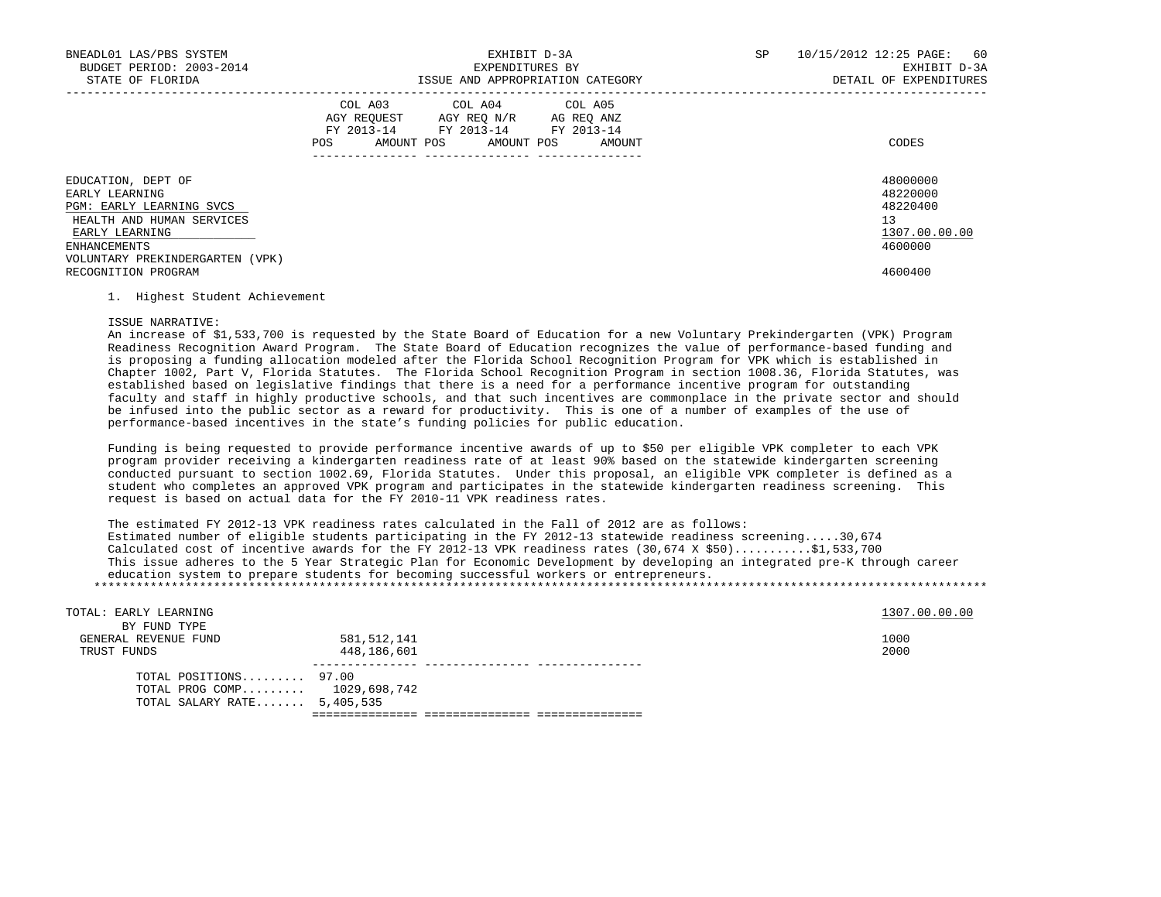| BNEADL01 LAS/PBS SYSTEM<br>BUDGET PERIOD: 2003-2014<br>STATE OF FLORIDA                                                                                            | EXHIBIT D-3A<br>EXPENDITURES BY<br>ISSUE AND APPROPRIATION CATEGORY                                                                         | 10/15/2012 12:25 PAGE: 60<br>SP<br>EXHIBIT D-3A<br>DETAIL OF EXPENDITURES |
|--------------------------------------------------------------------------------------------------------------------------------------------------------------------|---------------------------------------------------------------------------------------------------------------------------------------------|---------------------------------------------------------------------------|
|                                                                                                                                                                    | COL A03 COL A04 COL A05<br>AGY REOUEST AGY REO N/R AG REO ANZ<br>FY 2013-14 FY 2013-14 FY 2013-14<br>AMOUNT POS AMOUNT POS<br>POS<br>AMOUNT | CODES                                                                     |
| EDUCATION, DEPT OF<br>EARLY LEARNING<br>PGM: EARLY LEARNING SVCS<br>HEALTH AND HUMAN SERVICES<br>EARLY LEARNING<br>ENHANCEMENTS<br>VOLUNTARY PREKINDERGARTEN (VPK) |                                                                                                                                             | 48000000<br>48220000<br>48220400<br>13<br>1307.00.00.00<br>4600000        |
| RECOGNITION PROGRAM                                                                                                                                                |                                                                                                                                             | 4600400                                                                   |

# 1. Highest Student Achievement

## ISSUE NARRATIVE:

 An increase of \$1,533,700 is requested by the State Board of Education for a new Voluntary Prekindergarten (VPK) Program Readiness Recognition Award Program. The State Board of Education recognizes the value of performance-based funding and is proposing a funding allocation modeled after the Florida School Recognition Program for VPK which is established in Chapter 1002, Part V, Florida Statutes. The Florida School Recognition Program in section 1008.36, Florida Statutes, was established based on legislative findings that there is a need for a performance incentive program for outstanding faculty and staff in highly productive schools, and that such incentives are commonplace in the private sector and should be infused into the public sector as a reward for productivity. This is one of a number of examples of the use of performance-based incentives in the state's funding policies for public education.

 Funding is being requested to provide performance incentive awards of up to \$50 per eligible VPK completer to each VPK program provider receiving a kindergarten readiness rate of at least 90% based on the statewide kindergarten screening conducted pursuant to section 1002.69, Florida Statutes. Under this proposal, an eligible VPK completer is defined as a student who completes an approved VPK program and participates in the statewide kindergarten readiness screening. This request is based on actual data for the FY 2010-11 VPK readiness rates.

 The estimated FY 2012-13 VPK readiness rates calculated in the Fall of 2012 are as follows: Estimated number of eligible students participating in the FY 2012-13 statewide readiness screening.....30,674 Calculated cost of incentive awards for the FY 2012-13 VPK readiness rates (30,674 X \$50)...........\$1,533,700 This issue adheres to the 5 Year Strategic Plan for Economic Development by developing an integrated pre-K through career education system to prepare students for becoming successful workers or entrepreneurs. \*\*\*\*\*\*\*\*\*\*\*\*\*\*\*\*\*\*\*\*\*\*\*\*\*\*\*\*\*\*\*\*\*\*\*\*\*\*\*\*\*\*\*\*\*\*\*\*\*\*\*\*\*\*\*\*\*\*\*\*\*\*\*\*\*\*\*\*\*\*\*\*\*\*\*\*\*\*\*\*\*\*\*\*\*\*\*\*\*\*\*\*\*\*\*\*\*\*\*\*\*\*\*\*\*\*\*\*\*\*\*\*\*\*\*\*\*\*\*\*\*\*\*\*\*\*\*

| TOTAL: EARLY LEARNING<br>BY FUND TYPE |             | 1307.00.00.00 |
|---------------------------------------|-------------|---------------|
|                                       |             |               |
| GENERAL REVENUE FUND                  | 581,512,141 | 1000          |
| TRUST FUNDS                           | 448,186,601 | 2000          |
| TOTAL POSITIONS 97.00                 |             |               |
|                                       |             |               |
| TOTAL PROG COMP 1029,698,742          |             |               |
| TOTAL SALARY RATE 5,405,535           |             |               |
|                                       |             |               |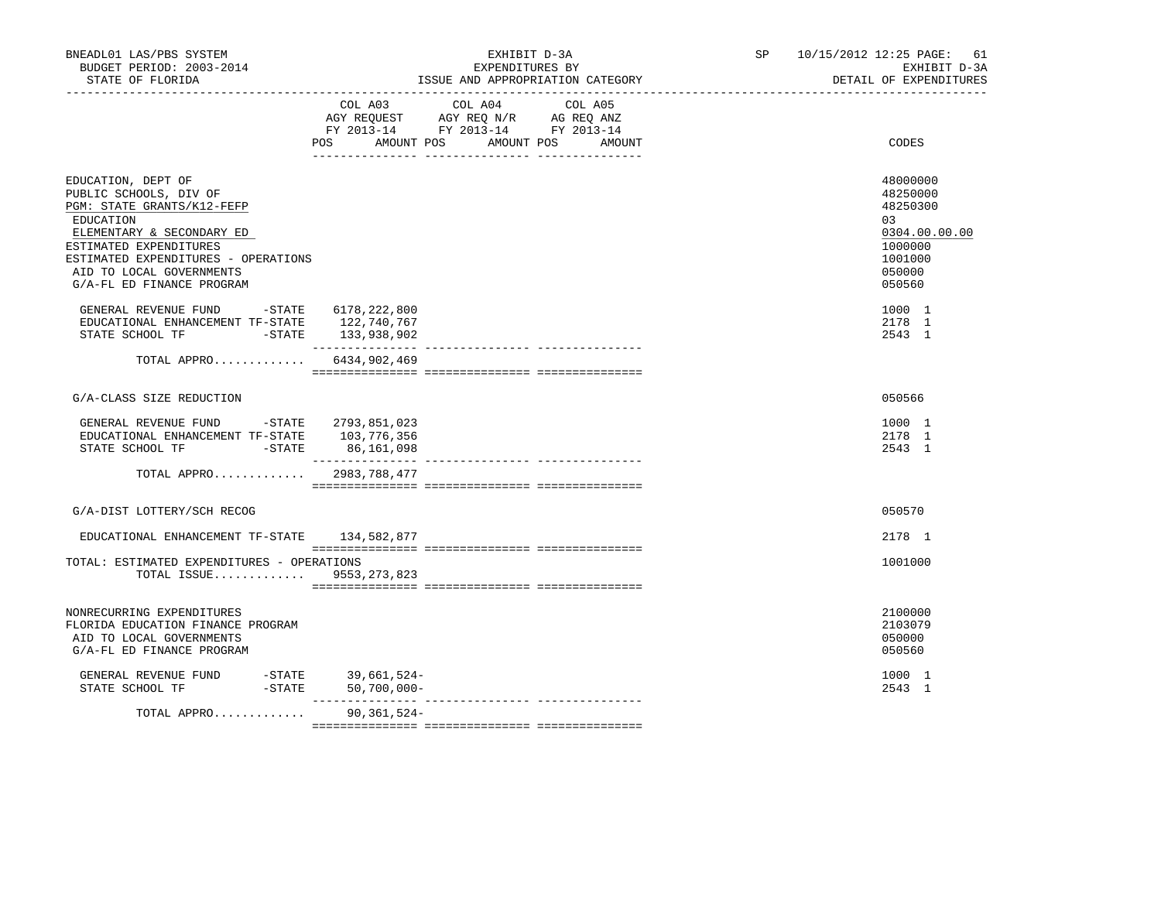| BNEADL01 LAS/PBS SYSTEM<br>BUDGET PERIOD: 2003-2014<br>STATE OF FLORIDA                                                                                                                                                                        | EXHIBIT D-3A<br>EXPENDITURES BY<br>ISSUE AND APPROPRIATION CATEGORY                                                       | SP                | 10/15/2012 12:25 PAGE:<br>61<br>EXHIBIT D-3A<br>DETAIL OF EXPENDITURES                            |
|------------------------------------------------------------------------------------------------------------------------------------------------------------------------------------------------------------------------------------------------|---------------------------------------------------------------------------------------------------------------------------|-------------------|---------------------------------------------------------------------------------------------------|
|                                                                                                                                                                                                                                                | COL A04<br>COL A03<br>AGY REQUEST AGY REQ N/R AG REQ ANZ<br>FY 2013-14 FY 2013-14 FY 2013-14<br>POS AMOUNT POS AMOUNT POS | COL A05<br>AMOUNT | CODES                                                                                             |
| EDUCATION, DEPT OF<br>PUBLIC SCHOOLS, DIV OF<br>PGM: STATE GRANTS/K12-FEFP<br>EDUCATION<br>ELEMENTARY & SECONDARY ED<br>ESTIMATED EXPENDITURES<br>ESTIMATED EXPENDITURES - OPERATIONS<br>AID TO LOCAL GOVERNMENTS<br>G/A-FL ED FINANCE PROGRAM |                                                                                                                           |                   | 48000000<br>48250000<br>48250300<br>03<br>0304.00.00.00<br>1000000<br>1001000<br>050000<br>050560 |
| GENERAL REVENUE FUND -STATE 6178, 222, 800<br>EDUCATIONAL ENHANCEMENT TF-STATE 122, 740, 767                                                                                                                                                   | 133,938,902<br>________________<br>--------------- ---------------                                                        |                   | 1000 1<br>2178 1<br>2543 1                                                                        |
| TOTAL APPRO 6434,902,469                                                                                                                                                                                                                       |                                                                                                                           |                   |                                                                                                   |
| G/A-CLASS SIZE REDUCTION                                                                                                                                                                                                                       |                                                                                                                           |                   | 050566                                                                                            |
| GENERAL REVENUE FUND -STATE 2793,851,023<br>EDUCATIONAL ENHANCEMENT TF-STATE 103,776,356                                                                                                                                                       | 86,161,098                                                                                                                |                   | 1000 1<br>2178 1<br>2543 1                                                                        |
| TOTAL APPRO 2983,788,477                                                                                                                                                                                                                       |                                                                                                                           |                   |                                                                                                   |
| G/A-DIST LOTTERY/SCH RECOG                                                                                                                                                                                                                     |                                                                                                                           |                   | 050570                                                                                            |
| EDUCATIONAL ENHANCEMENT TF-STATE 134,582,877                                                                                                                                                                                                   |                                                                                                                           |                   | 2178 1                                                                                            |
| TOTAL: ESTIMATED EXPENDITURES - OPERATIONS<br>TOTAL ISSUE 9553, 273, 823                                                                                                                                                                       |                                                                                                                           |                   | 1001000                                                                                           |
| NONRECURRING EXPENDITURES<br>FLORIDA EDUCATION FINANCE PROGRAM<br>AID TO LOCAL GOVERNMENTS<br>G/A-FL ED FINANCE PROGRAM                                                                                                                        |                                                                                                                           |                   | 2100000<br>2103079<br>050000<br>050560                                                            |
| GENERAL REVENUE FUND -STATE 39,661,524-<br>STATE SCHOOL TF                                                                                                                                                                                     | -STATE 50,700,000-                                                                                                        |                   | 1000 1<br>2543 1                                                                                  |
| TOTAL APPRO                                                                                                                                                                                                                                    | 90,361,524-                                                                                                               |                   |                                                                                                   |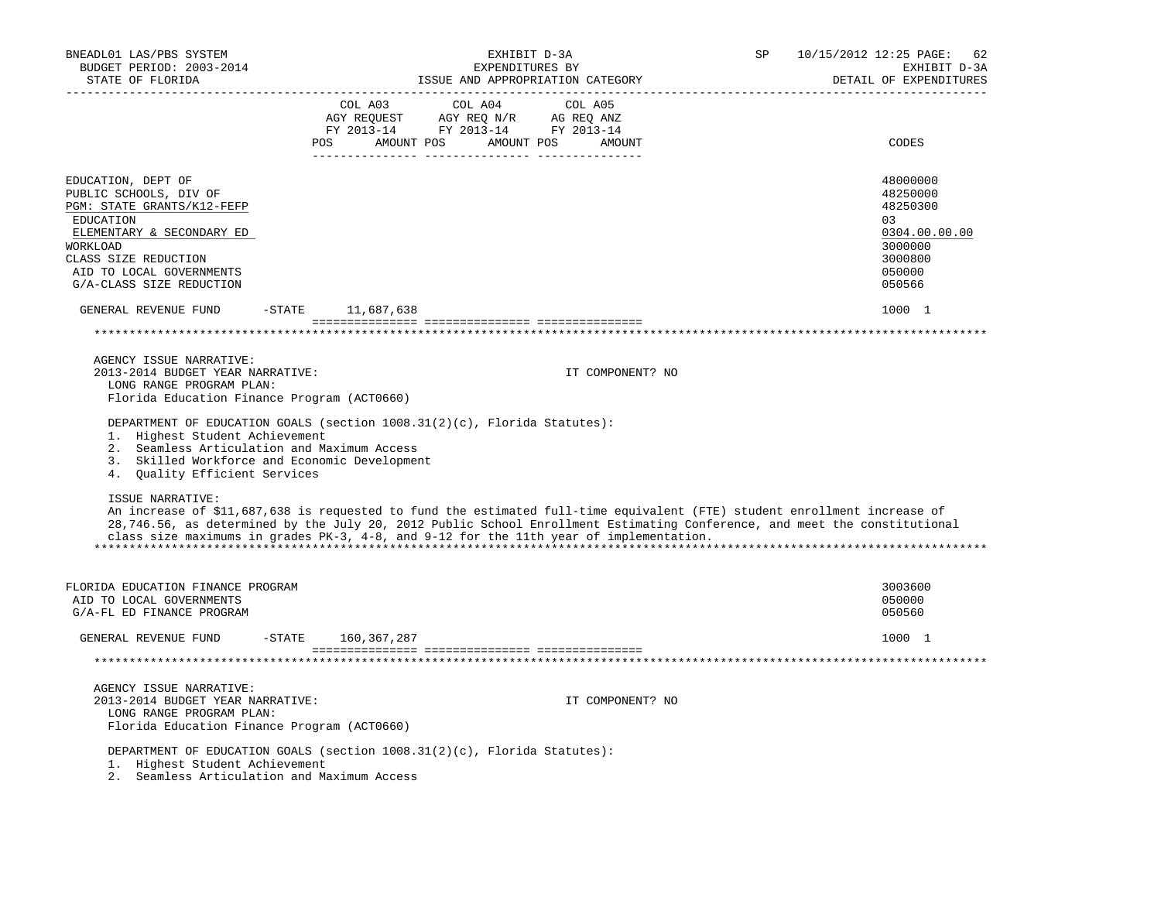| BNEADL01 LAS/PBS SYSTEM<br>BUDGET PERIOD: 2003-2014<br>STATE OF FLORIDA<br>--------------------                                                                                                                                                                                                                                                                                                                                                                                                                                                                                                                                        |                        | EXHIBIT D-3A<br>EXPENDITURES BY<br>ISSUE AND APPROPRIATION CATEGORY                                                                                                                                                                                                 |                  | SP | 10/15/2012 12:25 PAGE:<br>62<br>EXHIBIT D-3A<br>DETAIL OF EXPENDITURES<br>______________________                          |
|----------------------------------------------------------------------------------------------------------------------------------------------------------------------------------------------------------------------------------------------------------------------------------------------------------------------------------------------------------------------------------------------------------------------------------------------------------------------------------------------------------------------------------------------------------------------------------------------------------------------------------------|------------------------|---------------------------------------------------------------------------------------------------------------------------------------------------------------------------------------------------------------------------------------------------------------------|------------------|----|---------------------------------------------------------------------------------------------------------------------------|
|                                                                                                                                                                                                                                                                                                                                                                                                                                                                                                                                                                                                                                        | COL A03                | COL A04<br>$\begin{tabular}{lllllllllll} \bf{AGY} & \bf{REQUEST} & \bf{AGY} & \bf{REQ} & \bf{N/R} & \bf{AG} & \bf{REQ} & \bf{ANZ} \\ \bf{FY} & \bf{2013-14} & \bf{FY} & \bf{2013-14} & \bf{FY} & \bf{2013-14} \\ \end{tabular}$<br>POS AMOUNT POS AMOUNT POS AMOUNT | COL A05          |    | CODES                                                                                                                     |
| EDUCATION, DEPT OF<br>PUBLIC SCHOOLS, DIV OF<br>PGM: STATE GRANTS/K12-FEFP<br>EDUCATION<br>ELEMENTARY & SECONDARY ED<br>WORKLOAD<br>CLASS SIZE REDUCTION<br>AID TO LOCAL GOVERNMENTS<br>G/A-CLASS SIZE REDUCTION                                                                                                                                                                                                                                                                                                                                                                                                                       |                        |                                                                                                                                                                                                                                                                     |                  |    | 48000000<br>48250000<br>48250300<br>03<br>0304.00.00.00<br>3000000<br>3000800<br>050000<br>050566                         |
| GENERAL REVENUE FUND                                                                                                                                                                                                                                                                                                                                                                                                                                                                                                                                                                                                                   | $-$ STATE $11,687,638$ |                                                                                                                                                                                                                                                                     |                  |    | 1000 1                                                                                                                    |
|                                                                                                                                                                                                                                                                                                                                                                                                                                                                                                                                                                                                                                        |                        |                                                                                                                                                                                                                                                                     |                  |    |                                                                                                                           |
| AGENCY ISSUE NARRATIVE:<br>2013-2014 BUDGET YEAR NARRATIVE:<br>LONG RANGE PROGRAM PLAN:<br>Florida Education Finance Program (ACT0660)<br>DEPARTMENT OF EDUCATION GOALS (section 1008.31(2)(c), Florida Statutes):<br>1. Highest Student Achievement<br>2. Seamless Articulation and Maximum Access<br>3. Skilled Workforce and Economic Development<br>4. Quality Efficient Services<br><b>ISSUE NARRATIVE:</b><br>An increase of \$11,687,638 is requested to fund the estimated full-time equivalent (FTE) student enrollment increase of<br>class size maximums in grades PK-3, 4-8, and 9-12 for the 11th year of implementation. |                        |                                                                                                                                                                                                                                                                     | IT COMPONENT? NO |    | 28,746.56, as determined by the July 20, 2012 Public School Enrollment Estimating Conference, and meet the constitutional |
| FLORIDA EDUCATION FINANCE PROGRAM<br>AID TO LOCAL GOVERNMENTS<br>G/A-FL ED FINANCE PROGRAM                                                                                                                                                                                                                                                                                                                                                                                                                                                                                                                                             |                        |                                                                                                                                                                                                                                                                     |                  |    | 3003600<br>050000<br>050560                                                                                               |
| GENERAL REVENUE FUND                                                                                                                                                                                                                                                                                                                                                                                                                                                                                                                                                                                                                   | -STATE<br>160,367,287  |                                                                                                                                                                                                                                                                     |                  |    | 1000 1                                                                                                                    |
|                                                                                                                                                                                                                                                                                                                                                                                                                                                                                                                                                                                                                                        |                        |                                                                                                                                                                                                                                                                     |                  |    |                                                                                                                           |
| AGENCY ISSUE NARRATIVE:<br>2013-2014 BUDGET YEAR NARRATIVE:<br>LONG RANGE PROGRAM PLAN:<br>Florida Education Finance Program (ACT0660)                                                                                                                                                                                                                                                                                                                                                                                                                                                                                                 |                        |                                                                                                                                                                                                                                                                     | IT COMPONENT? NO |    |                                                                                                                           |
| DEPARTMENT OF EDUCATION GOALS (section 1008.31(2)(c), Florida Statutes):<br>1. Highest Student Achievement<br>2. Seamless Articulation and Maximum Access                                                                                                                                                                                                                                                                                                                                                                                                                                                                              |                        |                                                                                                                                                                                                                                                                     |                  |    |                                                                                                                           |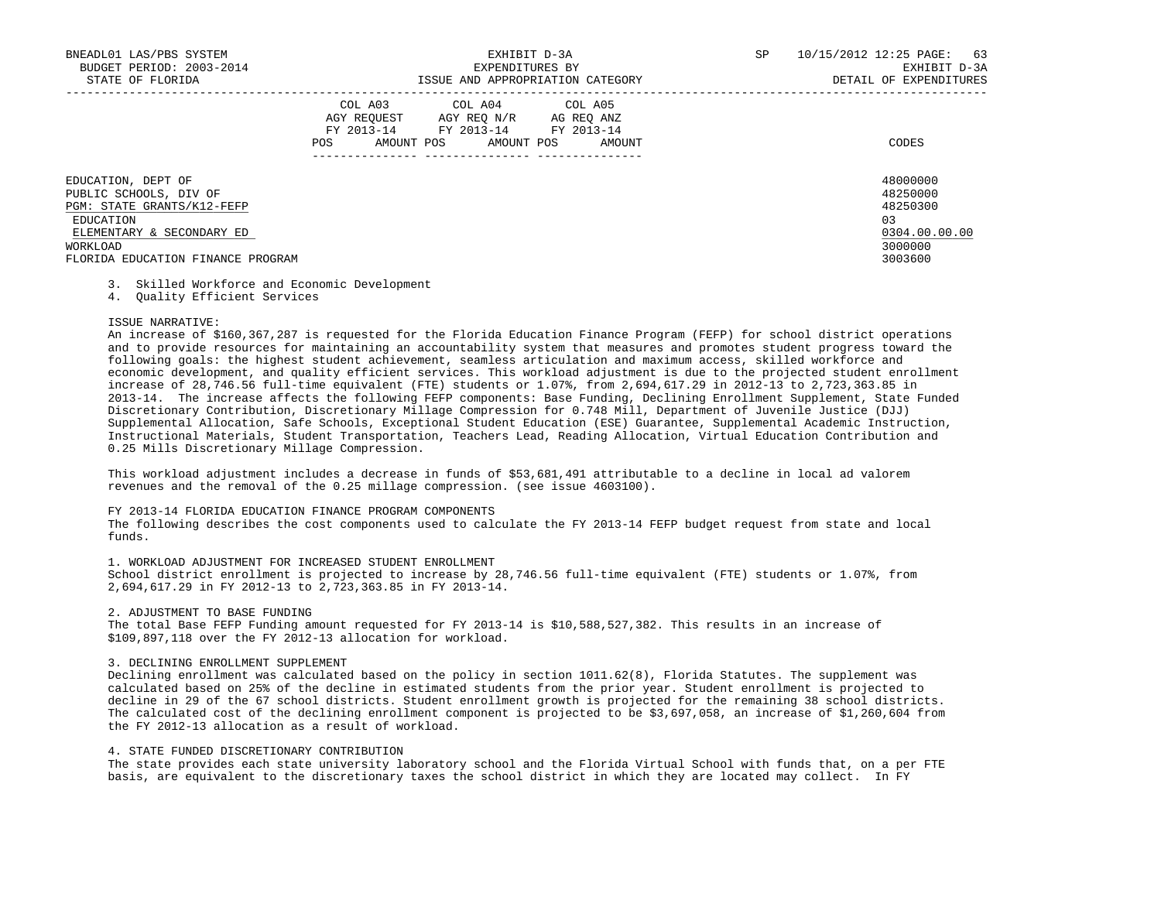| BNEADL01 LAS/PBS SYSTEM<br>BUDGET PERIOD: 2003-2014<br>STATE OF FLORIDA                                                          | EXHIBIT D-3A<br>EXPENDITURES BY<br>ISSUE AND APPROPRIATION CATEGORY                                                                         | SP<br>10/15/2012 12:25 PAGE:<br>63<br>EXHIBIT D-3A<br>DETAIL OF EXPENDITURES |
|----------------------------------------------------------------------------------------------------------------------------------|---------------------------------------------------------------------------------------------------------------------------------------------|------------------------------------------------------------------------------|
|                                                                                                                                  | COL A03 COL A04 COL A05<br>AGY REOUEST AGY REO N/R AG REO ANZ<br>FY 2013-14 FY 2013-14 FY 2013-14<br>POS<br>AMOUNT POS AMOUNT POS<br>AMOUNT | CODES                                                                        |
| EDUCATION, DEPT OF<br>PUBLIC SCHOOLS, DIV OF<br>PGM: STATE GRANTS/K12-FEFP<br>EDUCATION<br>ELEMENTARY & SECONDARY ED<br>WORKLOAD |                                                                                                                                             | 48000000<br>48250000<br>48250300<br>03<br>0304.00.00.00<br>3000000           |
| FLORIDA EDUCATION FINANCE PROGRAM                                                                                                |                                                                                                                                             | 3003600                                                                      |

## 3. Skilled Workforce and Economic Development

4. Quality Efficient Services

#### ISSUE NARRATIVE:

 An increase of \$160,367,287 is requested for the Florida Education Finance Program (FEFP) for school district operations and to provide resources for maintaining an accountability system that measures and promotes student progress toward the following goals: the highest student achievement, seamless articulation and maximum access, skilled workforce and economic development, and quality efficient services. This workload adjustment is due to the projected student enrollment increase of 28,746.56 full-time equivalent (FTE) students or 1.07%, from 2,694,617.29 in 2012-13 to 2,723,363.85 in 2013-14. The increase affects the following FEFP components: Base Funding, Declining Enrollment Supplement, State Funded Discretionary Contribution, Discretionary Millage Compression for 0.748 Mill, Department of Juvenile Justice (DJJ) Supplemental Allocation, Safe Schools, Exceptional Student Education (ESE) Guarantee, Supplemental Academic Instruction, Instructional Materials, Student Transportation, Teachers Lead, Reading Allocation, Virtual Education Contribution and 0.25 Mills Discretionary Millage Compression.

 This workload adjustment includes a decrease in funds of \$53,681,491 attributable to a decline in local ad valorem revenues and the removal of the 0.25 millage compression. (see issue 4603100).

#### FY 2013-14 FLORIDA EDUCATION FINANCE PROGRAM COMPONENTS

 The following describes the cost components used to calculate the FY 2013-14 FEFP budget request from state and local funds.

### 1. WORKLOAD ADJUSTMENT FOR INCREASED STUDENT ENROLLMENT

 School district enrollment is projected to increase by 28,746.56 full-time equivalent (FTE) students or 1.07%, from 2,694,617.29 in FY 2012-13 to 2,723,363.85 in FY 2013-14.

#### 2. ADJUSTMENT TO BASE FUNDING

 The total Base FEFP Funding amount requested for FY 2013-14 is \$10,588,527,382. This results in an increase of \$109,897,118 over the FY 2012-13 allocation for workload.

#### 3. DECLINING ENROLLMENT SUPPLEMENT

 Declining enrollment was calculated based on the policy in section 1011.62(8), Florida Statutes. The supplement was calculated based on 25% of the decline in estimated students from the prior year. Student enrollment is projected to decline in 29 of the 67 school districts. Student enrollment growth is projected for the remaining 38 school districts. The calculated cost of the declining enrollment component is projected to be \$3,697,058, an increase of \$1,260,604 from the FY 2012-13 allocation as a result of workload.

## 4. STATE FUNDED DISCRETIONARY CONTRIBUTION

 The state provides each state university laboratory school and the Florida Virtual School with funds that, on a per FTE basis, are equivalent to the discretionary taxes the school district in which they are located may collect. In FY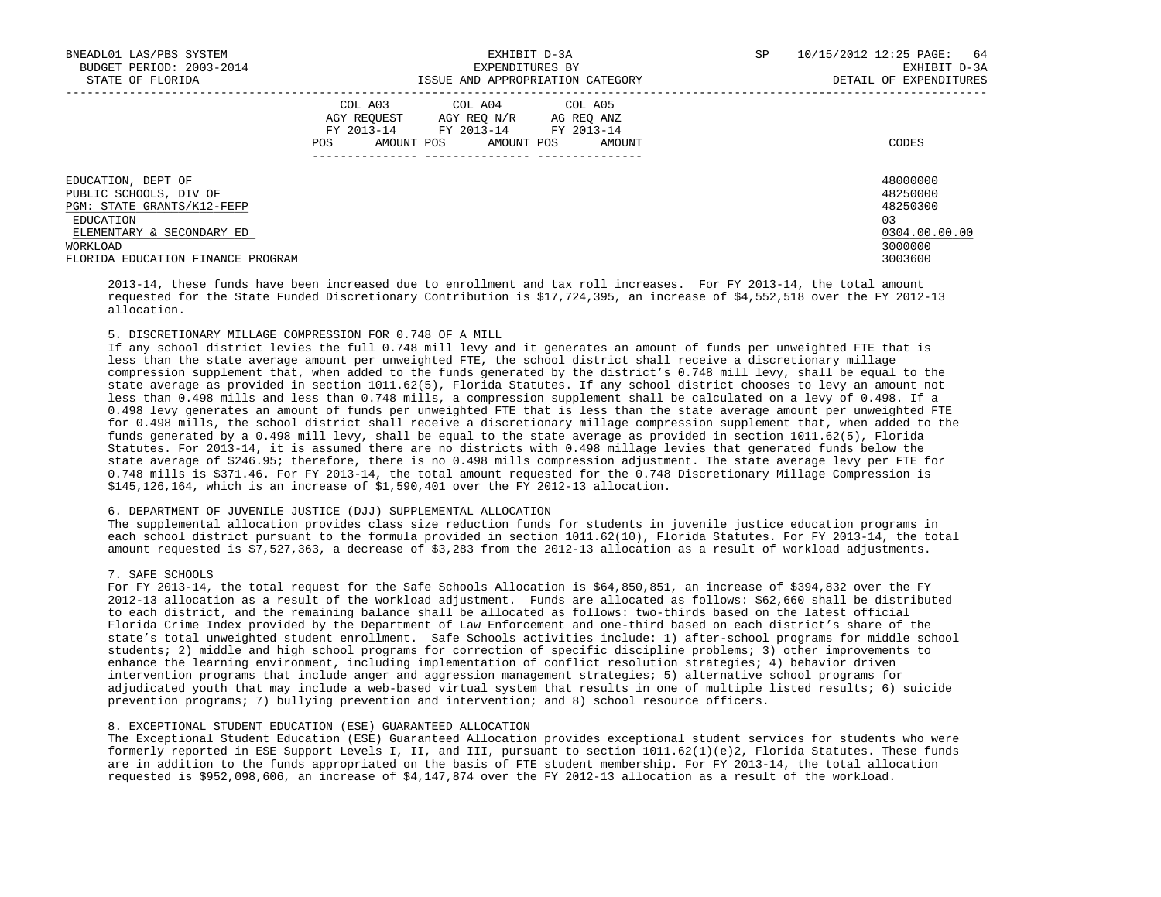| BNEADL01 LAS/PBS SYSTEM<br>BUDGET PERIOD: 2003-2014<br>STATE OF FLORIDA                 | EXHIBIT D-3A<br>EXPENDITURES BY<br>ISSUE AND APPROPRIATION CATEGORY                                                                         | 10/15/2012 12:25 PAGE: 64<br><b>SP</b><br>EXHIBIT D-3A<br>DETAIL OF EXPENDITURES |
|-----------------------------------------------------------------------------------------|---------------------------------------------------------------------------------------------------------------------------------------------|----------------------------------------------------------------------------------|
|                                                                                         | COL A03 COL A04 COL A05<br>AGY REQUEST AGY REQ N/R AG REQ ANZ<br>FY 2013-14 FY 2013-14 FY 2013-14<br>AMOUNT POS AMOUNT POS<br>POS<br>AMOUNT | CODES                                                                            |
| EDUCATION, DEPT OF<br>PUBLIC SCHOOLS, DIV OF<br>PGM: STATE GRANTS/K12-FEFP              |                                                                                                                                             | 48000000<br>48250000<br>48250300                                                 |
| EDUCATION<br>ELEMENTARY & SECONDARY ED<br>WORKLOAD<br>FLORIDA EDUCATION FINANCE PROGRAM |                                                                                                                                             | 0.3<br>0304.00.00.00<br>3000000<br>3003600                                       |

 2013-14, these funds have been increased due to enrollment and tax roll increases. For FY 2013-14, the total amount requested for the State Funded Discretionary Contribution is \$17,724,395, an increase of \$4,552,518 over the FY 2012-13 allocation.

## 5. DISCRETIONARY MILLAGE COMPRESSION FOR 0.748 OF A MILL

 If any school district levies the full 0.748 mill levy and it generates an amount of funds per unweighted FTE that is less than the state average amount per unweighted FTE, the school district shall receive a discretionary millage compression supplement that, when added to the funds generated by the district's 0.748 mill levy, shall be equal to the state average as provided in section 1011.62(5), Florida Statutes. If any school district chooses to levy an amount not less than 0.498 mills and less than 0.748 mills, a compression supplement shall be calculated on a levy of 0.498. If a 0.498 levy generates an amount of funds per unweighted FTE that is less than the state average amount per unweighted FTE for 0.498 mills, the school district shall receive a discretionary millage compression supplement that, when added to the funds generated by a 0.498 mill levy, shall be equal to the state average as provided in section 1011.62(5), Florida Statutes. For 2013-14, it is assumed there are no districts with 0.498 millage levies that generated funds below the state average of \$246.95; therefore, there is no 0.498 mills compression adjustment. The state average levy per FTE for 0.748 mills is \$371.46. For FY 2013-14, the total amount requested for the 0.748 Discretionary Millage Compression is \$145,126,164, which is an increase of \$1,590,401 over the FY 2012-13 allocation.

## 6. DEPARTMENT OF JUVENILE JUSTICE (DJJ) SUPPLEMENTAL ALLOCATION

 The supplemental allocation provides class size reduction funds for students in juvenile justice education programs in each school district pursuant to the formula provided in section 1011.62(10), Florida Statutes. For FY 2013-14, the total amount requested is \$7,527,363, a decrease of \$3,283 from the 2012-13 allocation as a result of workload adjustments.

## 7. SAFE SCHOOLS

 For FY 2013-14, the total request for the Safe Schools Allocation is \$64,850,851, an increase of \$394,832 over the FY 2012-13 allocation as a result of the workload adjustment. Funds are allocated as follows: \$62,660 shall be distributed to each district, and the remaining balance shall be allocated as follows: two-thirds based on the latest official Florida Crime Index provided by the Department of Law Enforcement and one-third based on each district's share of the state's total unweighted student enrollment. Safe Schools activities include: 1) after-school programs for middle school students; 2) middle and high school programs for correction of specific discipline problems; 3) other improvements to enhance the learning environment, including implementation of conflict resolution strategies; 4) behavior driven intervention programs that include anger and aggression management strategies; 5) alternative school programs for adjudicated youth that may include a web-based virtual system that results in one of multiple listed results; 6) suicide prevention programs; 7) bullying prevention and intervention; and 8) school resource officers.

### 8. EXCEPTIONAL STUDENT EDUCATION (ESE) GUARANTEED ALLOCATION

 The Exceptional Student Education (ESE) Guaranteed Allocation provides exceptional student services for students who were formerly reported in ESE Support Levels I, II, and III, pursuant to section 1011.62(1)(e)2, Florida Statutes. These funds are in addition to the funds appropriated on the basis of FTE student membership. For FY 2013-14, the total allocation requested is \$952,098,606, an increase of \$4,147,874 over the FY 2012-13 allocation as a result of the workload.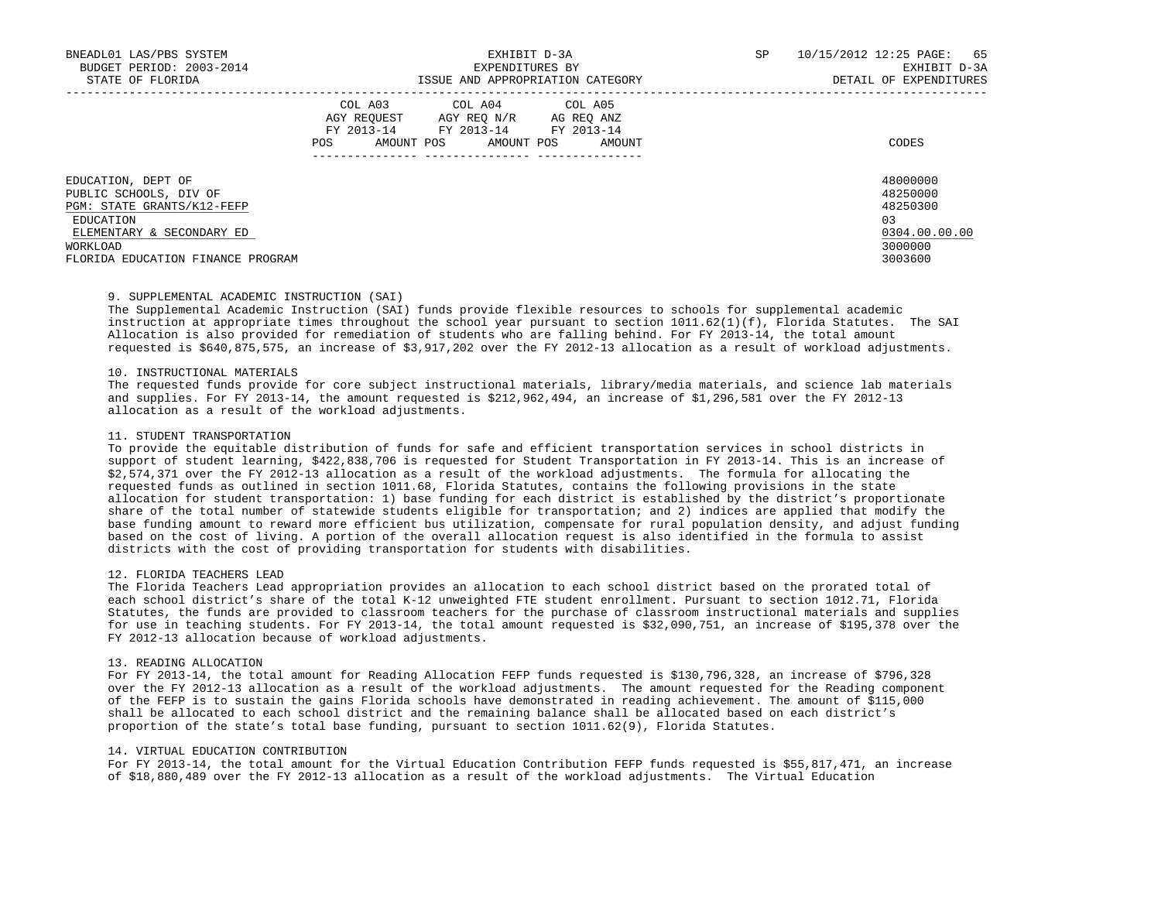| BNEADL01 LAS/PBS SYSTEM<br>BUDGET PERIOD: 2003-2014<br>STATE OF FLORIDA | EXHIBIT D-3A<br>EXPENDITURES BY<br>ISSUE AND APPROPRIATION CATEGORY |                                                                 |            | SP | 10/15/2012 12:25 PAGE: 65<br>EXHIBIT D-3A<br>DETAIL OF EXPENDITURES |
|-------------------------------------------------------------------------|---------------------------------------------------------------------|-----------------------------------------------------------------|------------|----|---------------------------------------------------------------------|
|                                                                         |                                                                     |                                                                 |            |    |                                                                     |
|                                                                         | AGY REOUEST<br>FY 2013-14                                           | COL A03 COL A04 COL A05<br>AGY REO N/R<br>FY 2013-14 FY 2013-14 | AG REO ANZ |    |                                                                     |
|                                                                         | AMOUNT POS<br>POS                                                   | AMOUNT POS                                                      | AMOUNT     |    | CODES                                                               |
|                                                                         |                                                                     |                                                                 |            |    |                                                                     |
| EDUCATION, DEPT OF                                                      |                                                                     |                                                                 |            |    | 48000000                                                            |
| PUBLIC SCHOOLS, DIV OF                                                  |                                                                     |                                                                 |            |    | 48250000                                                            |
| <b>PGM: STATE GRANTS/K12-FEFP</b>                                       |                                                                     |                                                                 |            |    | 48250300                                                            |
| EDUCATION                                                               |                                                                     |                                                                 |            |    | 03                                                                  |
| ELEMENTARY & SECONDARY ED                                               |                                                                     |                                                                 |            |    | 0304.00.00.00                                                       |
| WORKLOAD                                                                |                                                                     |                                                                 |            |    | 3000000                                                             |
| FLORIDA EDUCATION FINANCE PROGRAM                                       |                                                                     |                                                                 |            |    | 3003600                                                             |

# 9. SUPPLEMENTAL ACADEMIC INSTRUCTION (SAI)

 The Supplemental Academic Instruction (SAI) funds provide flexible resources to schools for supplemental academic instruction at appropriate times throughout the school year pursuant to section 1011.62(1)(f), Florida Statutes. The SAI Allocation is also provided for remediation of students who are falling behind. For FY 2013-14, the total amount requested is \$640,875,575, an increase of \$3,917,202 over the FY 2012-13 allocation as a result of workload adjustments.

### 10. INSTRUCTIONAL MATERIALS

 The requested funds provide for core subject instructional materials, library/media materials, and science lab materials and supplies. For FY 2013-14, the amount requested is \$212,962,494, an increase of \$1,296,581 over the FY 2012-13 allocation as a result of the workload adjustments.

### 11. STUDENT TRANSPORTATION

 To provide the equitable distribution of funds for safe and efficient transportation services in school districts in support of student learning, \$422,838,706 is requested for Student Transportation in FY 2013-14. This is an increase of \$2,574,371 over the FY 2012-13 allocation as a result of the workload adjustments. The formula for allocating the requested funds as outlined in section 1011.68, Florida Statutes, contains the following provisions in the state allocation for student transportation: 1) base funding for each district is established by the district's proportionate share of the total number of statewide students eligible for transportation; and 2) indices are applied that modify the base funding amount to reward more efficient bus utilization, compensate for rural population density, and adjust funding based on the cost of living. A portion of the overall allocation request is also identified in the formula to assist districts with the cost of providing transportation for students with disabilities.

### 12. FLORIDA TEACHERS LEAD

 The Florida Teachers Lead appropriation provides an allocation to each school district based on the prorated total of each school district's share of the total K-12 unweighted FTE student enrollment. Pursuant to section 1012.71, Florida Statutes, the funds are provided to classroom teachers for the purchase of classroom instructional materials and supplies for use in teaching students. For FY 2013-14, the total amount requested is \$32,090,751, an increase of \$195,378 over the FY 2012-13 allocation because of workload adjustments.

### 13. READING ALLOCATION

 For FY 2013-14, the total amount for Reading Allocation FEFP funds requested is \$130,796,328, an increase of \$796,328 over the FY 2012-13 allocation as a result of the workload adjustments. The amount requested for the Reading component of the FEFP is to sustain the gains Florida schools have demonstrated in reading achievement. The amount of \$115,000 shall be allocated to each school district and the remaining balance shall be allocated based on each district's proportion of the state's total base funding, pursuant to section 1011.62(9), Florida Statutes.

## 14. VIRTUAL EDUCATION CONTRIBUTION

 For FY 2013-14, the total amount for the Virtual Education Contribution FEFP funds requested is \$55,817,471, an increase of \$18,880,489 over the FY 2012-13 allocation as a result of the workload adjustments. The Virtual Education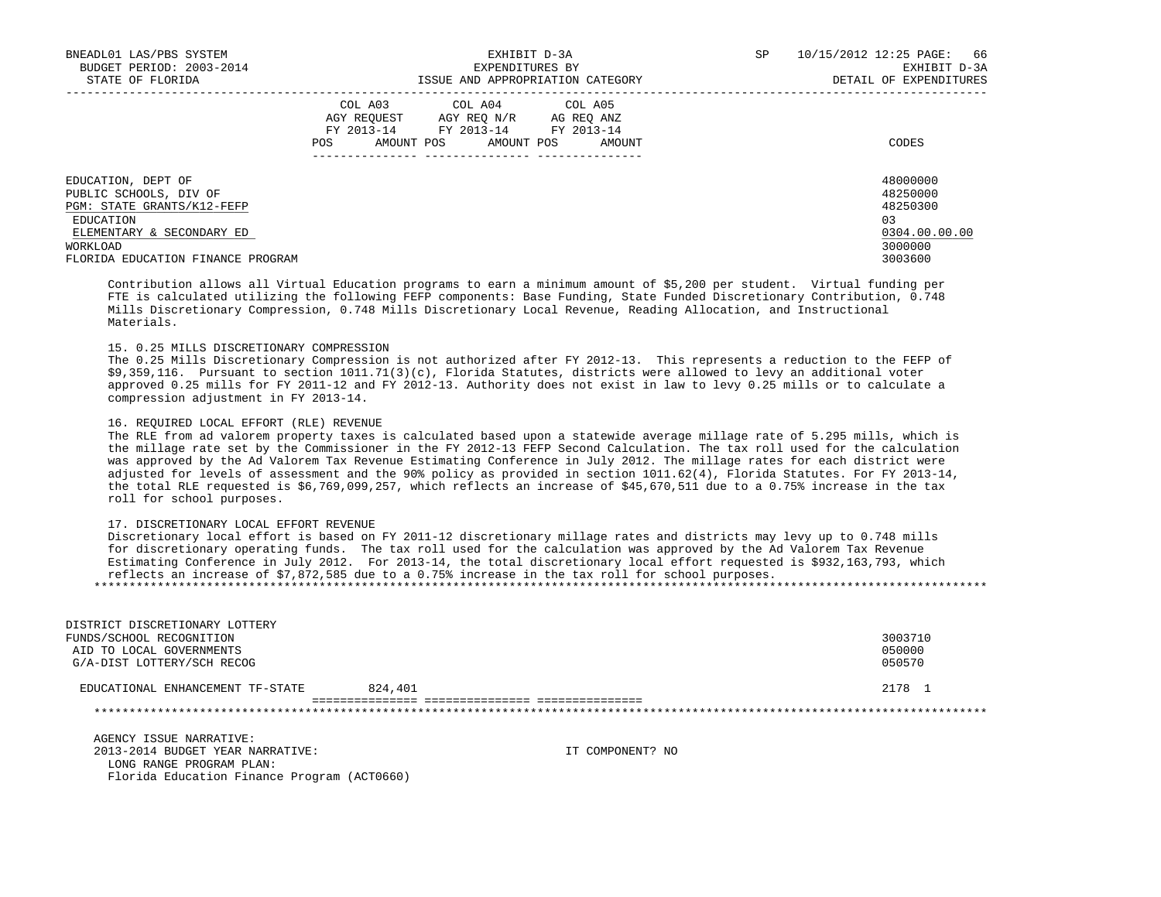| BNEADL01 LAS/PBS SYSTEM<br>BUDGET PERIOD: 2003-2014<br>STATE OF FLORIDA                                              | EXHIBIT D-3A<br>EXPENDITURES BY<br>ISSUE AND APPROPRIATION CATEGORY                                                                                  | 66<br>SP<br>10/15/2012 12:25 PAGE:<br>EXHIBIT D-3A<br>DETAIL OF EXPENDITURES |
|----------------------------------------------------------------------------------------------------------------------|------------------------------------------------------------------------------------------------------------------------------------------------------|------------------------------------------------------------------------------|
|                                                                                                                      | COL A03 COL A04 COL A05<br>AGY REOUEST<br>AGY REO N/R<br>AG REO ANZ<br>FY 2013-14 FY 2013-14 FY 2013-14<br>AMOUNT POS<br>AMOUNT POS<br>POS<br>AMOUNT | CODES                                                                        |
| EDUCATION, DEPT OF<br>PUBLIC SCHOOLS, DIV OF<br>PGM: STATE GRANTS/K12-FEFP<br>EDUCATION<br>ELEMENTARY & SECONDARY ED |                                                                                                                                                      | 48000000<br>48250000<br>48250300<br>03<br>0304.00.00.00                      |
| WORKLOAD<br>FLORIDA EDUCATION FINANCE PROGRAM                                                                        |                                                                                                                                                      | 3000000<br>3003600                                                           |

 Contribution allows all Virtual Education programs to earn a minimum amount of \$5,200 per student. Virtual funding per FTE is calculated utilizing the following FEFP components: Base Funding, State Funded Discretionary Contribution, 0.748 Mills Discretionary Compression, 0.748 Mills Discretionary Local Revenue, Reading Allocation, and Instructional Materials.

# 15. 0.25 MILLS DISCRETIONARY COMPRESSION

 The 0.25 Mills Discretionary Compression is not authorized after FY 2012-13. This represents a reduction to the FEFP of \$9,359,116. Pursuant to section 1011.71(3)(c), Florida Statutes, districts were allowed to levy an additional voter approved 0.25 mills for FY 2011-12 and FY 2012-13. Authority does not exist in law to levy 0.25 mills or to calculate a compression adjustment in FY 2013-14.

## 16. REQUIRED LOCAL EFFORT (RLE) REVENUE

 The RLE from ad valorem property taxes is calculated based upon a statewide average millage rate of 5.295 mills, which is the millage rate set by the Commissioner in the FY 2012-13 FEFP Second Calculation. The tax roll used for the calculation was approved by the Ad Valorem Tax Revenue Estimating Conference in July 2012. The millage rates for each district were adjusted for levels of assessment and the 90% policy as provided in section 1011.62(4), Florida Statutes. For FY 2013-14, the total RLE requested is \$6,769,099,257, which reflects an increase of \$45,670,511 due to a 0.75% increase in the tax roll for school purposes.

# 17. DISCRETIONARY LOCAL EFFORT REVENUE

Florida Education Finance Program (ACT0660)

 Discretionary local effort is based on FY 2011-12 discretionary millage rates and districts may levy up to 0.748 mills for discretionary operating funds. The tax roll used for the calculation was approved by the Ad Valorem Tax Revenue Estimating Conference in July 2012. For 2013-14, the total discretionary local effort requested is \$932,163,793, which reflects an increase of \$7,872,585 due to a 0.75% increase in the tax roll for school purposes. \*\*\*\*\*\*\*\*\*\*\*\*\*\*\*\*\*\*\*\*\*\*\*\*\*\*\*\*\*\*\*\*\*\*\*\*\*\*\*\*\*\*\*\*\*\*\*\*\*\*\*\*\*\*\*\*\*\*\*\*\*\*\*\*\*\*\*\*\*\*\*\*\*\*\*\*\*\*\*\*\*\*\*\*\*\*\*\*\*\*\*\*\*\*\*\*\*\*\*\*\*\*\*\*\*\*\*\*\*\*\*\*\*\*\*\*\*\*\*\*\*\*\*\*\*\*\*

| DISTRICT DISCRETIONARY LOTTERY   |         |                  |         |
|----------------------------------|---------|------------------|---------|
| FUNDS/SCHOOL RECOGNITION         |         |                  | 3003710 |
| AID TO LOCAL GOVERNMENTS         |         |                  | 050000  |
| G/A-DIST LOTTERY/SCH RECOG       |         |                  | 050570  |
| EDUCATIONAL ENHANCEMENT TF-STATE | 824,401 |                  | 2178 1  |
|                                  |         |                  |         |
|                                  |         |                  |         |
| AGENCY ISSUE NARRATIVE:          |         |                  |         |
| 2013-2014 BUDGET YEAR NARRATIVE: |         | IT COMPONENT? NO |         |
| LONG RANGE PROGRAM PLAN:         |         |                  |         |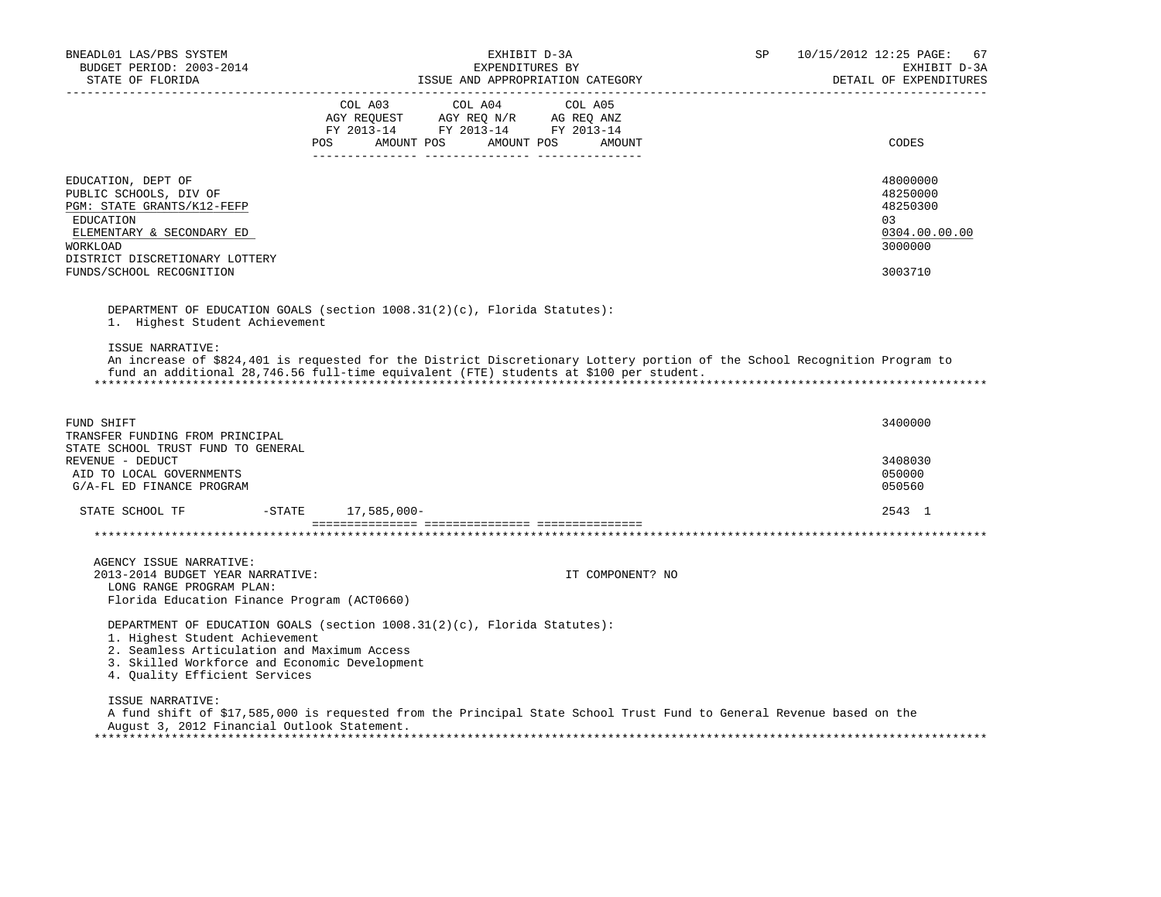| BNEADL01 LAS/PBS SYSTEM<br>BUDGET PERIOD: 2003-2014<br>STATE OF FLORIDA                                                                                                                               | EXHIBIT D-3A<br>EXPENDITURES BY<br>ISSUE AND APPROPRIATION CATEGORY                                                                                                                                                 | <b>SP</b> | 10/15/2012 12:25 PAGE:<br>67<br>EXHIBIT D-3A<br>DETAIL OF EXPENDITURES        |
|-------------------------------------------------------------------------------------------------------------------------------------------------------------------------------------------------------|---------------------------------------------------------------------------------------------------------------------------------------------------------------------------------------------------------------------|-----------|-------------------------------------------------------------------------------|
|                                                                                                                                                                                                       | FY 2013-14 FY 2013-14 FY 2013-14<br>POS<br>AMOUNT POS AMOUNT POS<br>AMOUNT                                                                                                                                          |           | CODES                                                                         |
| EDUCATION, DEPT OF<br>PUBLIC SCHOOLS, DIV OF<br>PGM: STATE GRANTS/K12-FEFP<br><b>EDUCATION</b><br>ELEMENTARY & SECONDARY ED<br>WORKLOAD<br>DISTRICT DISCRETIONARY LOTTERY<br>FUNDS/SCHOOL RECOGNITION |                                                                                                                                                                                                                     |           | 48000000<br>48250000<br>48250300<br>03<br>0304.00.00.00<br>3000000<br>3003710 |
| 1. Highest Student Achievement                                                                                                                                                                        | DEPARTMENT OF EDUCATION GOALS (section 1008.31(2)(c), Florida Statutes):                                                                                                                                            |           |                                                                               |
| ISSUE NARRATIVE:                                                                                                                                                                                      | An increase of \$824,401 is requested for the District Discretionary Lottery portion of the School Recognition Program to<br>fund an additional 28,746.56 full-time equivalent (FTE) students at \$100 per student. |           |                                                                               |
| FUND SHIFT<br>TRANSFER FUNDING FROM PRINCIPAL                                                                                                                                                         |                                                                                                                                                                                                                     |           | 3400000                                                                       |
| STATE SCHOOL TRUST FUND TO GENERAL<br>REVENUE - DEDUCT<br>AID TO LOCAL GOVERNMENTS<br>G/A-FL ED FINANCE PROGRAM                                                                                       |                                                                                                                                                                                                                     |           | 3408030<br>050000<br>050560                                                   |
| STATE SCHOOL TF                                                                                                                                                                                       | -STATE 17,585,000-                                                                                                                                                                                                  |           | 2543 1                                                                        |
|                                                                                                                                                                                                       |                                                                                                                                                                                                                     |           |                                                                               |
| AGENCY ISSUE NARRATIVE:<br>2013-2014 BUDGET YEAR NARRATIVE:<br>LONG RANGE PROGRAM PLAN:<br>Florida Education Finance Program (ACT0660)                                                                | IT COMPONENT? NO                                                                                                                                                                                                    |           |                                                                               |
| 1. Highest Student Achievement<br>2. Seamless Articulation and Maximum Access<br>3. Skilled Workforce and Economic Development<br>4. Ouality Efficient Services                                       | DEPARTMENT OF EDUCATION GOALS (section $1008.31(2)(c)$ , Florida Statutes):                                                                                                                                         |           |                                                                               |
| ISSUE NARRATIVE:<br>August 3, 2012 Financial Outlook Statement.                                                                                                                                       | A fund shift of \$17,585,000 is requested from the Principal State School Trust Fund to General Revenue based on the                                                                                                |           |                                                                               |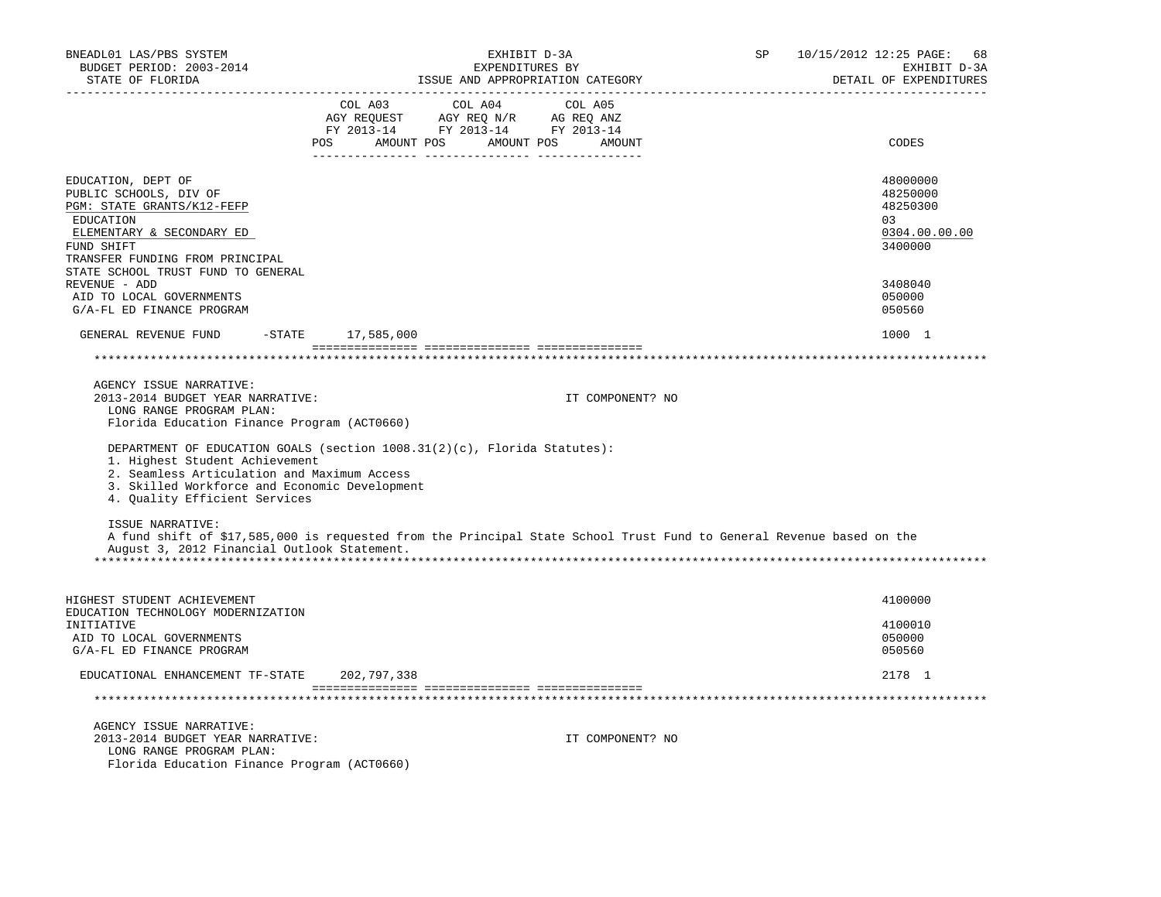| BNEADL01 LAS/PBS SYSTEM<br>BUDGET PERIOD: 2003-2014<br>STATE OF FLORIDA                                                                                                                                                                     |                   | EXHIBIT D-3A<br>EXPENDITURES BY<br>ISSUE AND APPROPRIATION CATEGORY                                                                                        | SP                                                                                                                   | 10/15/2012 12:25 PAGE: 68<br>EXHIBIT D-3A<br>DETAIL OF EXPENDITURES |
|---------------------------------------------------------------------------------------------------------------------------------------------------------------------------------------------------------------------------------------------|-------------------|------------------------------------------------------------------------------------------------------------------------------------------------------------|----------------------------------------------------------------------------------------------------------------------|---------------------------------------------------------------------|
|                                                                                                                                                                                                                                             |                   | $\begin{tabular}{lcccc} COL A03 & COL A04 & COL A05 \\ AGY REQUEST & AGY REQ N/R & AG REQ ANZ \\ FY & 2013-14 & FY & 2013-14 & FY & 2013-14 \end{tabular}$ |                                                                                                                      |                                                                     |
|                                                                                                                                                                                                                                             |                   | POS AMOUNT POS AMOUNT POS AMOUNT                                                                                                                           |                                                                                                                      | CODES                                                               |
| EDUCATION, DEPT OF<br>PUBLIC SCHOOLS, DIV OF<br>PGM: STATE GRANTS/K12-FEFP<br>EDUCATION<br>ELEMENTARY & SECONDARY ED<br>FUND SHIFT<br>TRANSFER FUNDING FROM PRINCIPAL                                                                       |                   |                                                                                                                                                            |                                                                                                                      | 48000000<br>48250000<br>48250300<br>03<br>0304.00.00.00<br>3400000  |
| STATE SCHOOL TRUST FUND TO GENERAL<br>REVENUE - ADD                                                                                                                                                                                         |                   |                                                                                                                                                            |                                                                                                                      | 3408040                                                             |
| AID TO LOCAL GOVERNMENTS<br>G/A-FL ED FINANCE PROGRAM                                                                                                                                                                                       |                   |                                                                                                                                                            |                                                                                                                      | 050000<br>050560                                                    |
| GENERAL REVENUE FUND                                                                                                                                                                                                                        | -STATE 17,585,000 |                                                                                                                                                            |                                                                                                                      | 1000 1                                                              |
|                                                                                                                                                                                                                                             |                   |                                                                                                                                                            |                                                                                                                      |                                                                     |
| AGENCY ISSUE NARRATIVE:<br>2013-2014 BUDGET YEAR NARRATIVE:<br>LONG RANGE PROGRAM PLAN:                                                                                                                                                     |                   |                                                                                                                                                            | IT COMPONENT? NO                                                                                                     |                                                                     |
| Florida Education Finance Program (ACT0660)                                                                                                                                                                                                 |                   |                                                                                                                                                            |                                                                                                                      |                                                                     |
| DEPARTMENT OF EDUCATION GOALS (section 1008.31(2)(c), Florida Statutes):<br>1. Highest Student Achievement<br>2. Seamless Articulation and Maximum Access<br>3. Skilled Workforce and Economic Development<br>4. Quality Efficient Services |                   |                                                                                                                                                            |                                                                                                                      |                                                                     |
| ISSUE NARRATIVE:<br>August 3, 2012 Financial Outlook Statement.                                                                                                                                                                             |                   |                                                                                                                                                            | A fund shift of \$17,585,000 is requested from the Principal State School Trust Fund to General Revenue based on the |                                                                     |
|                                                                                                                                                                                                                                             |                   |                                                                                                                                                            |                                                                                                                      |                                                                     |
| HIGHEST STUDENT ACHIEVEMENT<br>EDUCATION TECHNOLOGY MODERNIZATION                                                                                                                                                                           |                   |                                                                                                                                                            |                                                                                                                      | 4100000                                                             |
| INITIATIVE<br>AID TO LOCAL GOVERNMENTS<br>G/A-FL ED FINANCE PROGRAM                                                                                                                                                                         |                   |                                                                                                                                                            |                                                                                                                      | 4100010<br>050000<br>050560                                         |
| EDUCATIONAL ENHANCEMENT TF-STATE 202,797,338                                                                                                                                                                                                |                   |                                                                                                                                                            |                                                                                                                      | 2178 1                                                              |
|                                                                                                                                                                                                                                             |                   |                                                                                                                                                            |                                                                                                                      |                                                                     |
| AGENCY ISSUE NARRATIVE:<br>2013-2014 BUDGET YEAR NARRATIVE:<br>LONG RANGE PROGRAM PLAN:<br>Florida Education Finance Program (ACT0660)                                                                                                      |                   |                                                                                                                                                            | IT COMPONENT? NO                                                                                                     |                                                                     |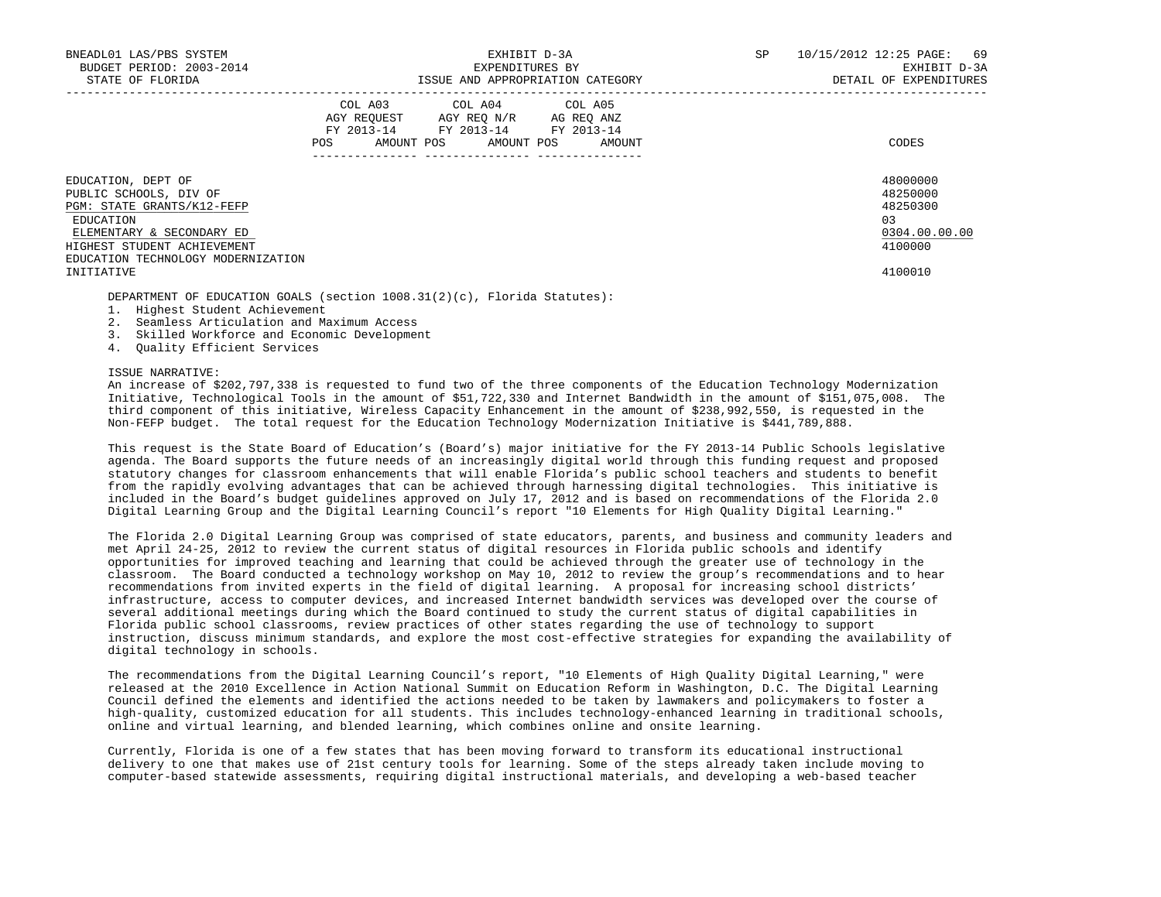| BNEADL01 LAS/PBS SYSTEM<br>BUDGET PERIOD: 2003-2014<br>STATE OF FLORIDA                                                                                                                   | EXHIBIT D-3A<br>EXPENDITURES BY<br>ISSUE AND APPROPRIATION CATEGORY                                                                         | SP | 69<br>10/15/2012 12:25 PAGE:<br>EXHIBIT D-3A<br>DETAIL OF EXPENDITURES |
|-------------------------------------------------------------------------------------------------------------------------------------------------------------------------------------------|---------------------------------------------------------------------------------------------------------------------------------------------|----|------------------------------------------------------------------------|
|                                                                                                                                                                                           | COL A03 COL A04 COL A05<br>AGY REOUEST AGY REO N/R AG REO ANZ<br>FY 2013-14 FY 2013-14 FY 2013-14<br>AMOUNT POS AMOUNT POS<br>POS<br>AMOUNT |    | CODES                                                                  |
| EDUCATION, DEPT OF<br>PUBLIC SCHOOLS, DIV OF<br>PGM: STATE GRANTS/K12-FEFP<br>EDUCATION<br>ELEMENTARY & SECONDARY ED<br>HIGHEST STUDENT ACHIEVEMENT<br>EDUCATION TECHNOLOGY MODERNIZATION |                                                                                                                                             |    | 48000000<br>48250000<br>48250300<br>0.3<br>0304.00.00.00<br>4100000    |
| INITIATIVE                                                                                                                                                                                |                                                                                                                                             |    | 4100010                                                                |

DEPARTMENT OF EDUCATION GOALS (section 1008.31(2)(c), Florida Statutes):

- 1. Highest Student Achievement
- 2. Seamless Articulation and Maximum Access
- 3. Skilled Workforce and Economic Development
- 4. Quality Efficient Services

### ISSUE NARRATIVE:

 An increase of \$202,797,338 is requested to fund two of the three components of the Education Technology Modernization Initiative, Technological Tools in the amount of \$51,722,330 and Internet Bandwidth in the amount of \$151,075,008. The third component of this initiative, Wireless Capacity Enhancement in the amount of \$238,992,550, is requested in the Non-FEFP budget. The total request for the Education Technology Modernization Initiative is \$441,789,888.

 This request is the State Board of Education's (Board's) major initiative for the FY 2013-14 Public Schools legislative agenda. The Board supports the future needs of an increasingly digital world through this funding request and proposed statutory changes for classroom enhancements that will enable Florida's public school teachers and students to benefit from the rapidly evolving advantages that can be achieved through harnessing digital technologies. This initiative is included in the Board's budget guidelines approved on July 17, 2012 and is based on recommendations of the Florida 2.0 Digital Learning Group and the Digital Learning Council's report "10 Elements for High Quality Digital Learning."

 The Florida 2.0 Digital Learning Group was comprised of state educators, parents, and business and community leaders and met April 24-25, 2012 to review the current status of digital resources in Florida public schools and identify opportunities for improved teaching and learning that could be achieved through the greater use of technology in the classroom. The Board conducted a technology workshop on May 10, 2012 to review the group's recommendations and to hear recommendations from invited experts in the field of digital learning. A proposal for increasing school districts' infrastructure, access to computer devices, and increased Internet bandwidth services was developed over the course of several additional meetings during which the Board continued to study the current status of digital capabilities in Florida public school classrooms, review practices of other states regarding the use of technology to support instruction, discuss minimum standards, and explore the most cost-effective strategies for expanding the availability of digital technology in schools.

 The recommendations from the Digital Learning Council's report, "10 Elements of High Quality Digital Learning," were released at the 2010 Excellence in Action National Summit on Education Reform in Washington, D.C. The Digital Learning Council defined the elements and identified the actions needed to be taken by lawmakers and policymakers to foster a high-quality, customized education for all students. This includes technology-enhanced learning in traditional schools, online and virtual learning, and blended learning, which combines online and onsite learning.

 Currently, Florida is one of a few states that has been moving forward to transform its educational instructional delivery to one that makes use of 21st century tools for learning. Some of the steps already taken include moving to computer-based statewide assessments, requiring digital instructional materials, and developing a web-based teacher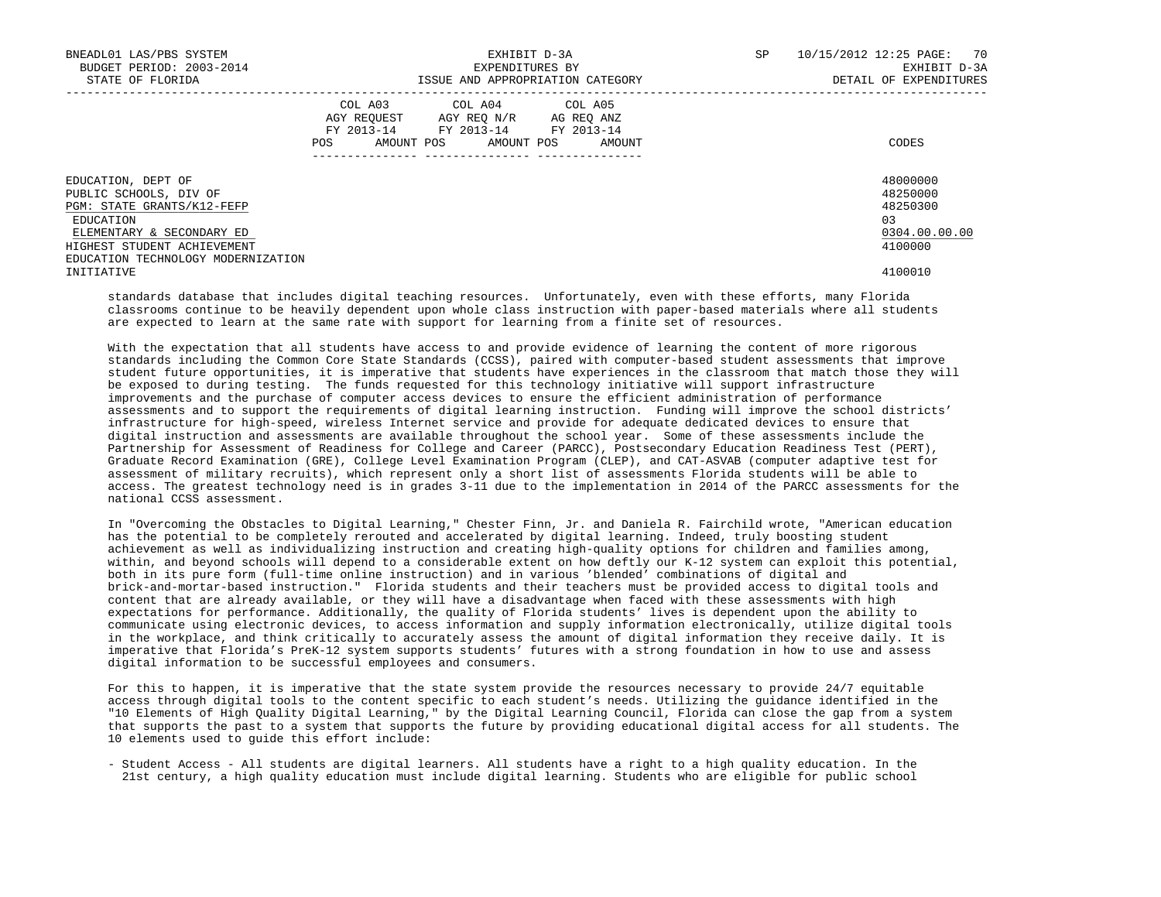| BNEADL01 LAS/PBS SYSTEM<br>BUDGET PERIOD: 2003-2014<br>STATE OF FLORIDA                                                                                                                   | EXHIBIT D-3A<br>EXPENDITURES BY<br>ISSUE AND APPROPRIATION CATEGORY                                                                         | 10/15/2012 12:25 PAGE: 70<br>SP<br>EXHIBIT D-3A<br>DETAIL OF EXPENDITURES |
|-------------------------------------------------------------------------------------------------------------------------------------------------------------------------------------------|---------------------------------------------------------------------------------------------------------------------------------------------|---------------------------------------------------------------------------|
|                                                                                                                                                                                           | COL A03 COL A04 COL A05<br>AGY REQUEST AGY REQ N/R AG REQ ANZ<br>FY 2013-14 FY 2013-14 FY 2013-14<br>AMOUNT POS AMOUNT POS<br>POS<br>AMOUNT | CODES                                                                     |
| EDUCATION, DEPT OF<br>PUBLIC SCHOOLS, DIV OF<br>PGM: STATE GRANTS/K12-FEFP<br>EDUCATION<br>ELEMENTARY & SECONDARY ED<br>HIGHEST STUDENT ACHIEVEMENT<br>EDUCATION TECHNOLOGY MODERNIZATION |                                                                                                                                             | 48000000<br>48250000<br>48250300<br>0.3<br>0304.00.00.00<br>4100000       |
| INITIATIVE                                                                                                                                                                                |                                                                                                                                             | 4100010                                                                   |

 standards database that includes digital teaching resources. Unfortunately, even with these efforts, many Florida classrooms continue to be heavily dependent upon whole class instruction with paper-based materials where all students are expected to learn at the same rate with support for learning from a finite set of resources.

 With the expectation that all students have access to and provide evidence of learning the content of more rigorous standards including the Common Core State Standards (CCSS), paired with computer-based student assessments that improve student future opportunities, it is imperative that students have experiences in the classroom that match those they will be exposed to during testing. The funds requested for this technology initiative will support infrastructure improvements and the purchase of computer access devices to ensure the efficient administration of performance assessments and to support the requirements of digital learning instruction. Funding will improve the school districts' infrastructure for high-speed, wireless Internet service and provide for adequate dedicated devices to ensure that digital instruction and assessments are available throughout the school year. Some of these assessments include the Partnership for Assessment of Readiness for College and Career (PARCC), Postsecondary Education Readiness Test (PERT), Graduate Record Examination (GRE), College Level Examination Program (CLEP), and CAT-ASVAB (computer adaptive test for assessment of military recruits), which represent only a short list of assessments Florida students will be able to access. The greatest technology need is in grades 3-11 due to the implementation in 2014 of the PARCC assessments for the national CCSS assessment.

 In "Overcoming the Obstacles to Digital Learning," Chester Finn, Jr. and Daniela R. Fairchild wrote, "American education has the potential to be completely rerouted and accelerated by digital learning. Indeed, truly boosting student achievement as well as individualizing instruction and creating high-quality options for children and families among, within, and beyond schools will depend to a considerable extent on how deftly our K-12 system can exploit this potential, both in its pure form (full-time online instruction) and in various 'blended' combinations of digital and brick-and-mortar-based instruction." Florida students and their teachers must be provided access to digital tools and content that are already available, or they will have a disadvantage when faced with these assessments with high expectations for performance. Additionally, the quality of Florida students' lives is dependent upon the ability to communicate using electronic devices, to access information and supply information electronically, utilize digital tools in the workplace, and think critically to accurately assess the amount of digital information they receive daily. It is imperative that Florida's PreK-12 system supports students' futures with a strong foundation in how to use and assess digital information to be successful employees and consumers.

 For this to happen, it is imperative that the state system provide the resources necessary to provide 24/7 equitable access through digital tools to the content specific to each student's needs. Utilizing the guidance identified in the "10 Elements of High Quality Digital Learning," by the Digital Learning Council, Florida can close the gap from a system that supports the past to a system that supports the future by providing educational digital access for all students. The 10 elements used to guide this effort include:

 - Student Access - All students are digital learners. All students have a right to a high quality education. In the 21st century, a high quality education must include digital learning. Students who are eligible for public school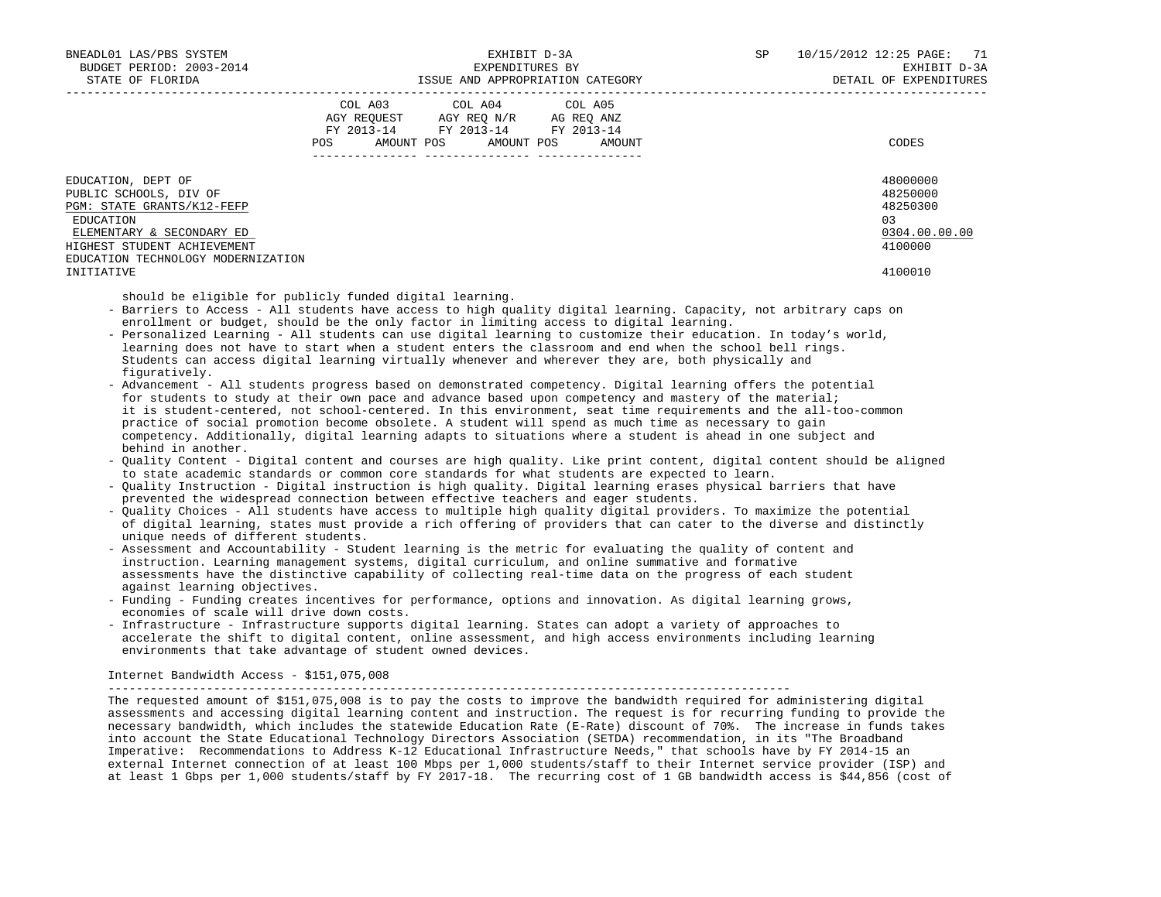| BNEADL01 LAS/PBS SYSTEM<br>BUDGET PERIOD: 2003-2014<br>STATE OF FLORIDA                                                                                                                                                                                                                                                                                                                                                                                                                                                                                                                                                                                                                                                                                                                                                                                                                                                                                                                                                                                                                                                                                                                                                                                                                                                                                                                                                                                                                                                                                                                                                                                                                                                                                                                                                                                                                                                                                                                                                                                                                                                                                                                                                                                                                                                                                                                                                                                                                                                                                                                                                                   |     | EXPENDITURES BY                                                                                                            | EXHIBIT D-3A | SP | 10/15/2012 12:25 PAGE: 71<br>EXHIBIT D-3A<br>DETAIL OF EXPENDITURES           |
|-------------------------------------------------------------------------------------------------------------------------------------------------------------------------------------------------------------------------------------------------------------------------------------------------------------------------------------------------------------------------------------------------------------------------------------------------------------------------------------------------------------------------------------------------------------------------------------------------------------------------------------------------------------------------------------------------------------------------------------------------------------------------------------------------------------------------------------------------------------------------------------------------------------------------------------------------------------------------------------------------------------------------------------------------------------------------------------------------------------------------------------------------------------------------------------------------------------------------------------------------------------------------------------------------------------------------------------------------------------------------------------------------------------------------------------------------------------------------------------------------------------------------------------------------------------------------------------------------------------------------------------------------------------------------------------------------------------------------------------------------------------------------------------------------------------------------------------------------------------------------------------------------------------------------------------------------------------------------------------------------------------------------------------------------------------------------------------------------------------------------------------------------------------------------------------------------------------------------------------------------------------------------------------------------------------------------------------------------------------------------------------------------------------------------------------------------------------------------------------------------------------------------------------------------------------------------------------------------------------------------------------------|-----|----------------------------------------------------------------------------------------------------------------------------|--------------|----|-------------------------------------------------------------------------------|
|                                                                                                                                                                                                                                                                                                                                                                                                                                                                                                                                                                                                                                                                                                                                                                                                                                                                                                                                                                                                                                                                                                                                                                                                                                                                                                                                                                                                                                                                                                                                                                                                                                                                                                                                                                                                                                                                                                                                                                                                                                                                                                                                                                                                                                                                                                                                                                                                                                                                                                                                                                                                                                           | POS | COL A03 COL A04 COL A05<br>AGY REQUEST AGY REQ N/R AG REQ ANZ<br>FY 2013-14 FY 2013-14 FY 2013-14<br>AMOUNT POS AMOUNT POS | AMOUNT       |    | CODES                                                                         |
|                                                                                                                                                                                                                                                                                                                                                                                                                                                                                                                                                                                                                                                                                                                                                                                                                                                                                                                                                                                                                                                                                                                                                                                                                                                                                                                                                                                                                                                                                                                                                                                                                                                                                                                                                                                                                                                                                                                                                                                                                                                                                                                                                                                                                                                                                                                                                                                                                                                                                                                                                                                                                                           |     |                                                                                                                            |              |    |                                                                               |
| EDUCATION, DEPT OF<br>PUBLIC SCHOOLS, DIV OF<br>PGM: STATE GRANTS/K12-FEFP<br>EDUCATION<br>ELEMENTARY & SECONDARY ED<br>HIGHEST STUDENT ACHIEVEMENT<br>EDUCATION TECHNOLOGY MODERNIZATION<br>INITIATIVE                                                                                                                                                                                                                                                                                                                                                                                                                                                                                                                                                                                                                                                                                                                                                                                                                                                                                                                                                                                                                                                                                                                                                                                                                                                                                                                                                                                                                                                                                                                                                                                                                                                                                                                                                                                                                                                                                                                                                                                                                                                                                                                                                                                                                                                                                                                                                                                                                                   |     |                                                                                                                            |              |    | 48000000<br>48250000<br>48250300<br>03<br>0304.00.00.00<br>4100000<br>4100010 |
| - Barriers to Access - All students have access to high quality digital learning. Capacity, not arbitrary caps on<br>enrollment or budget, should be the only factor in limiting access to digital learning.<br>- Personalized Learning - All students can use digital learning to customize their education. In today's world,<br>learning does not have to start when a student enters the classroom and end when the school bell rings.<br>Students can access digital learning virtually whenever and wherever they are, both physically and<br>figuratively.<br>- Advancement - All students progress based on demonstrated competency. Digital learning offers the potential<br>for students to study at their own pace and advance based upon competency and mastery of the material;<br>it is student-centered, not school-centered. In this environment, seat time requirements and the all-too-common<br>practice of social promotion become obsolete. A student will spend as much time as necessary to gain<br>competency. Additionally, digital learning adapts to situations where a student is ahead in one subject and<br>behind in another.<br>- Quality Content - Digital content and courses are high quality. Like print content, digital content should be aligned<br>to state academic standards or common core standards for what students are expected to learn.<br>- Quality Instruction - Digital instruction is high quality. Digital learning erases physical barriers that have<br>prevented the widespread connection between effective teachers and eager students.<br>- Quality Choices - All students have access to multiple high quality digital providers. To maximize the potential<br>of digital learning, states must provide a rich offering of providers that can cater to the diverse and distinctly<br>unique needs of different students.<br>- Assessment and Accountability - Student learning is the metric for evaluating the quality of content and<br>instruction. Learning management systems, digital curriculum, and online summative and formative<br>assessments have the distinctive capability of collecting real-time data on the progress of each student<br>against learning objectives.<br>- Funding - Funding creates incentives for performance, options and innovation. As digital learning grows,<br>economies of scale will drive down costs.<br>- Infrastructure - Infrastructure supports digital learning. States can adopt a variety of approaches to<br>accelerate the shift to digital content, online assessment, and high access environments including learning |     |                                                                                                                            |              |    |                                                                               |

## Internet Bandwidth Access - \$151,075,008

-------------------------------------------------------------------------------------------------

 The requested amount of \$151,075,008 is to pay the costs to improve the bandwidth required for administering digital assessments and accessing digital learning content and instruction. The request is for recurring funding to provide the necessary bandwidth, which includes the statewide Education Rate (E-Rate) discount of 70%. The increase in funds takes into account the State Educational Technology Directors Association (SETDA) recommendation, in its "The Broadband Imperative: Recommendations to Address K-12 Educational Infrastructure Needs," that schools have by FY 2014-15 an external Internet connection of at least 100 Mbps per 1,000 students/staff to their Internet service provider (ISP) and at least 1 Gbps per 1,000 students/staff by FY 2017-18. The recurring cost of 1 GB bandwidth access is \$44,856 (cost of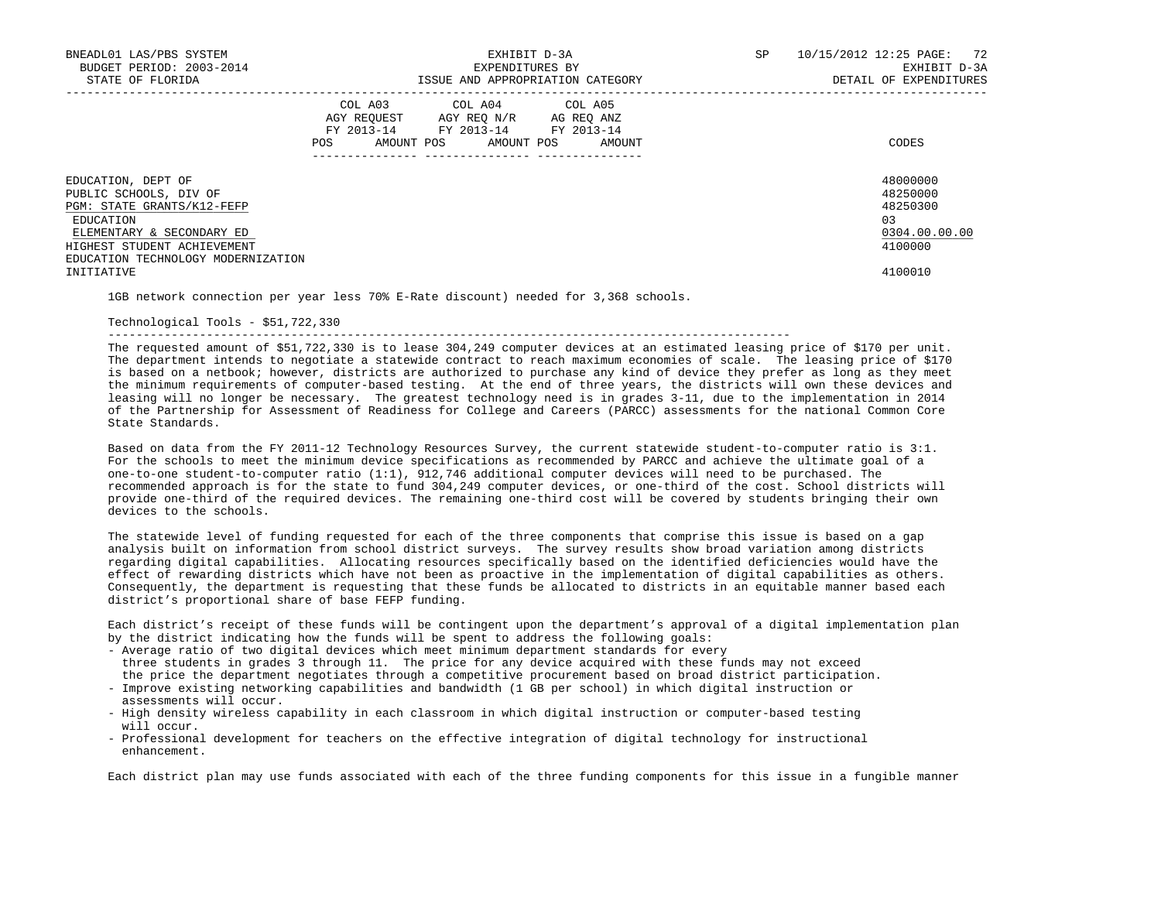| BNEADL01 LAS/PBS SYSTEM<br>BUDGET PERIOD: 2003-2014<br>STATE OF FLORIDA                                                                                                                   | EXHIBIT D-3A<br>EXPENDITURES BY<br>ISSUE AND APPROPRIATION CATEGORY                                                                                                       |        | 10/15/2012 12:25 PAGE: 72<br>SP<br>EXHIBIT D-3A<br>DETAIL OF EXPENDITURES |                                                                     |  |
|-------------------------------------------------------------------------------------------------------------------------------------------------------------------------------------------|---------------------------------------------------------------------------------------------------------------------------------------------------------------------------|--------|---------------------------------------------------------------------------|---------------------------------------------------------------------|--|
|                                                                                                                                                                                           | COL A03 COL A04 COL A05<br>AGY REQUEST AGY REQ N/R AG REQ ANZ<br>FY 2013-14 FY 2013-14 FY 2013-14<br>AMOUNT POS AMOUNT POS<br><b>POS</b><br>_____________ _______________ | AMOUNT |                                                                           | CODES                                                               |  |
| EDUCATION, DEPT OF<br>PUBLIC SCHOOLS, DIV OF<br>PGM: STATE GRANTS/K12-FEFP<br>EDUCATION<br>ELEMENTARY & SECONDARY ED<br>HIGHEST STUDENT ACHIEVEMENT<br>EDUCATION TECHNOLOGY MODERNIZATION |                                                                                                                                                                           |        |                                                                           | 48000000<br>48250000<br>48250300<br>0.3<br>0304.00.00.00<br>4100000 |  |
| INITIATIVE                                                                                                                                                                                |                                                                                                                                                                           |        |                                                                           | 4100010                                                             |  |

1GB network connection per year less 70% E-Rate discount) needed for 3,368 schools.

## Technological Tools - \$51,722,330

-------------------------------------------------------------------------------------------------

 The requested amount of \$51,722,330 is to lease 304,249 computer devices at an estimated leasing price of \$170 per unit. The department intends to negotiate a statewide contract to reach maximum economies of scale. The leasing price of \$170 is based on a netbook; however, districts are authorized to purchase any kind of device they prefer as long as they meet the minimum requirements of computer-based testing. At the end of three years, the districts will own these devices and leasing will no longer be necessary. The greatest technology need is in grades 3-11, due to the implementation in 2014 of the Partnership for Assessment of Readiness for College and Careers (PARCC) assessments for the national Common Core State Standards.

 Based on data from the FY 2011-12 Technology Resources Survey, the current statewide student-to-computer ratio is 3:1. For the schools to meet the minimum device specifications as recommended by PARCC and achieve the ultimate goal of a one-to-one student-to-computer ratio (1:1), 912,746 additional computer devices will need to be purchased. The recommended approach is for the state to fund 304,249 computer devices, or one-third of the cost. School districts will provide one-third of the required devices. The remaining one-third cost will be covered by students bringing their own devices to the schools.

 The statewide level of funding requested for each of the three components that comprise this issue is based on a gap analysis built on information from school district surveys. The survey results show broad variation among districts regarding digital capabilities. Allocating resources specifically based on the identified deficiencies would have the effect of rewarding districts which have not been as proactive in the implementation of digital capabilities as others. Consequently, the department is requesting that these funds be allocated to districts in an equitable manner based each district's proportional share of base FEFP funding.

 Each district's receipt of these funds will be contingent upon the department's approval of a digital implementation plan by the district indicating how the funds will be spent to address the following goals:

- Average ratio of two digital devices which meet minimum department standards for every three students in grades 3 through 11. The price for any device acquired with these funds may not exceed the price the department negotiates through a competitive procurement based on broad district participation.
- Improve existing networking capabilities and bandwidth (1 GB per school) in which digital instruction or assessments will occur.
- High density wireless capability in each classroom in which digital instruction or computer-based testing will occur.
- Professional development for teachers on the effective integration of digital technology for instructional enhancement.

Each district plan may use funds associated with each of the three funding components for this issue in a fungible manner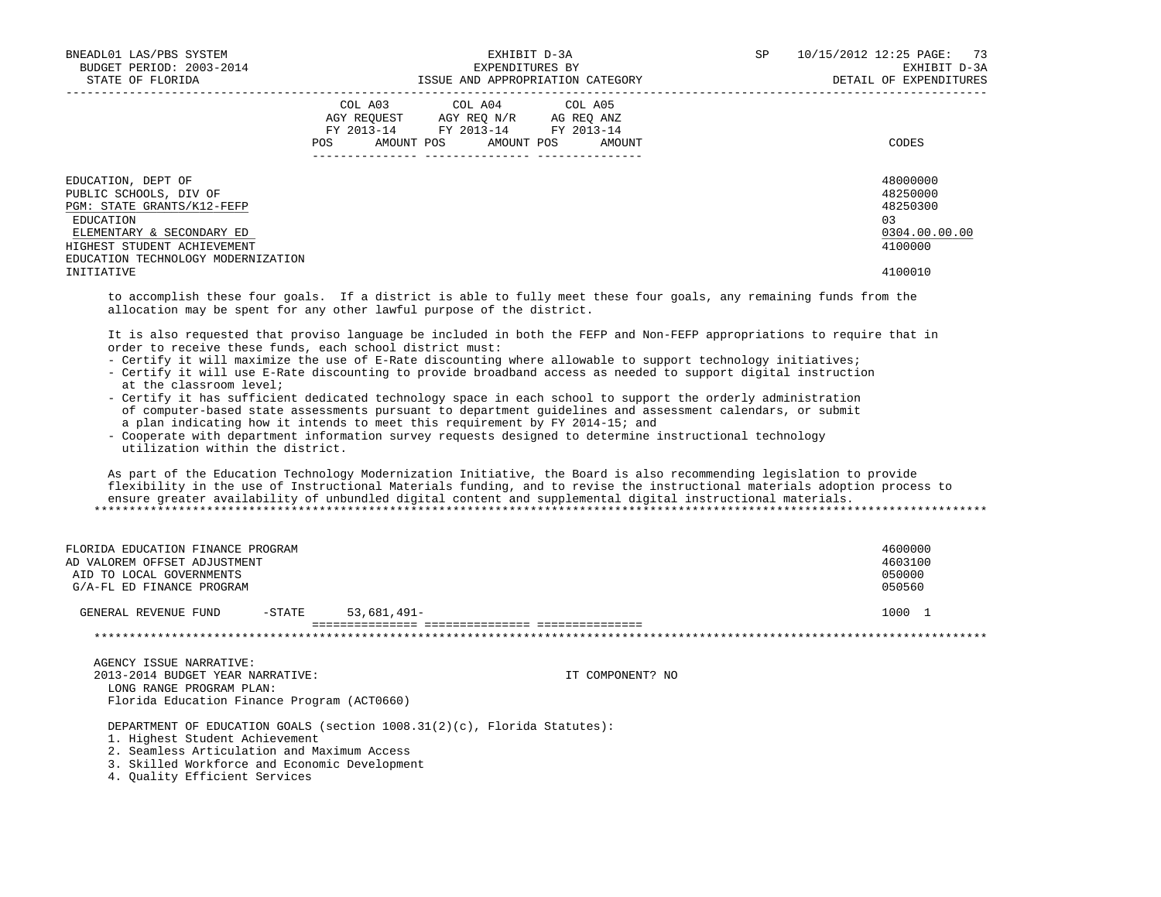| BNEADL01 LAS/PBS SYSTEM<br>BUDGET PERIOD: 2003-2014<br>STATE OF FLORIDA                                                                                                                                                                                                                                                                                                                                                                                                                                                                                                                                                                                                                                                                                                                                                                                                                                                                                                                                                                                                                                                                                                                                                                                                  |                | EXHIBIT D-3A<br>EXPENDITURES BY<br>ISSUE AND APPROPRIATION CATEGORY                                                    |                   | <b>SP</b> | 10/15/2012 12:25 PAGE: | 73<br>EXHIBIT D-3A<br>DETAIL OF EXPENDITURES                                   |
|--------------------------------------------------------------------------------------------------------------------------------------------------------------------------------------------------------------------------------------------------------------------------------------------------------------------------------------------------------------------------------------------------------------------------------------------------------------------------------------------------------------------------------------------------------------------------------------------------------------------------------------------------------------------------------------------------------------------------------------------------------------------------------------------------------------------------------------------------------------------------------------------------------------------------------------------------------------------------------------------------------------------------------------------------------------------------------------------------------------------------------------------------------------------------------------------------------------------------------------------------------------------------|----------------|------------------------------------------------------------------------------------------------------------------------|-------------------|-----------|------------------------|--------------------------------------------------------------------------------|
|                                                                                                                                                                                                                                                                                                                                                                                                                                                                                                                                                                                                                                                                                                                                                                                                                                                                                                                                                                                                                                                                                                                                                                                                                                                                          |                | COL A03 COL A04<br>AGY REQUEST AGY REQ N/R AG REQ ANZ<br>FY 2013-14 FY 2013-14 FY 2013-14<br>POS AMOUNT POS AMOUNT POS | COL A05<br>AMOUNT |           |                        | CODES                                                                          |
| EDUCATION, DEPT OF<br>PUBLIC SCHOOLS, DIV OF<br>PGM: STATE GRANTS/K12-FEFP<br>EDUCATION<br>ELEMENTARY & SECONDARY ED<br>HIGHEST STUDENT ACHIEVEMENT<br>EDUCATION TECHNOLOGY MODERNIZATION<br>INITIATIVE                                                                                                                                                                                                                                                                                                                                                                                                                                                                                                                                                                                                                                                                                                                                                                                                                                                                                                                                                                                                                                                                  |                |                                                                                                                        |                   |           |                        | 48000000<br>48250000<br>48250300<br>0.3<br>0304.00.00.00<br>4100000<br>4100010 |
| to accomplish these four goals. If a district is able to fully meet these four goals, any remaining funds from the<br>allocation may be spent for any other lawful purpose of the district.                                                                                                                                                                                                                                                                                                                                                                                                                                                                                                                                                                                                                                                                                                                                                                                                                                                                                                                                                                                                                                                                              |                |                                                                                                                        |                   |           |                        |                                                                                |
| It is also requested that proviso language be included in both the FEFP and Non-FEFP appropriations to require that in<br>order to receive these funds, each school district must:<br>- Certify it will maximize the use of E-Rate discounting where allowable to support technology initiatives;<br>- Certify it will use E-Rate discounting to provide broadband access as needed to support digital instruction<br>at the classroom level;<br>- Certify it has sufficient dedicated technology space in each school to support the orderly administration<br>of computer-based state assessments pursuant to department quidelines and assessment calendars, or submit<br>a plan indicating how it intends to meet this requirement by FY 2014-15; and<br>- Cooperate with department information survey requests designed to determine instructional technology<br>utilization within the district.<br>As part of the Education Technology Modernization Initiative, the Board is also recommending legislation to provide<br>flexibility in the use of Instructional Materials funding, and to revise the instructional materials adoption process to<br>ensure greater availability of unbundled digital content and supplemental digital instructional materials. |                |                                                                                                                        |                   |           |                        |                                                                                |
| FLORIDA EDUCATION FINANCE PROGRAM<br>AD VALOREM OFFSET ADJUSTMENT<br>AID TO LOCAL GOVERNMENTS<br>G/A-FL ED FINANCE PROGRAM<br>GENERAL REVENUE FUND<br>$-$ STATE                                                                                                                                                                                                                                                                                                                                                                                                                                                                                                                                                                                                                                                                                                                                                                                                                                                                                                                                                                                                                                                                                                          | $53,681,491 -$ |                                                                                                                        |                   |           |                        | 4600000<br>4603100<br>050000<br>050560<br>1000 1                               |
|                                                                                                                                                                                                                                                                                                                                                                                                                                                                                                                                                                                                                                                                                                                                                                                                                                                                                                                                                                                                                                                                                                                                                                                                                                                                          |                | *******************************                                                                                        |                   |           |                        |                                                                                |
| AGENCY ISSUE NARRATIVE:<br>2013-2014 BUDGET YEAR NARRATIVE:<br>LONG RANGE PROGRAM PLAN:<br>Florida Education Finance Program (ACT0660)                                                                                                                                                                                                                                                                                                                                                                                                                                                                                                                                                                                                                                                                                                                                                                                                                                                                                                                                                                                                                                                                                                                                   |                |                                                                                                                        | IT COMPONENT? NO  |           |                        |                                                                                |

DEPARTMENT OF EDUCATION GOALS (section 1008.31(2)(c), Florida Statutes):

1. Highest Student Achievement

2. Seamless Articulation and Maximum Access

3. Skilled Workforce and Economic Development

4. Quality Efficient Services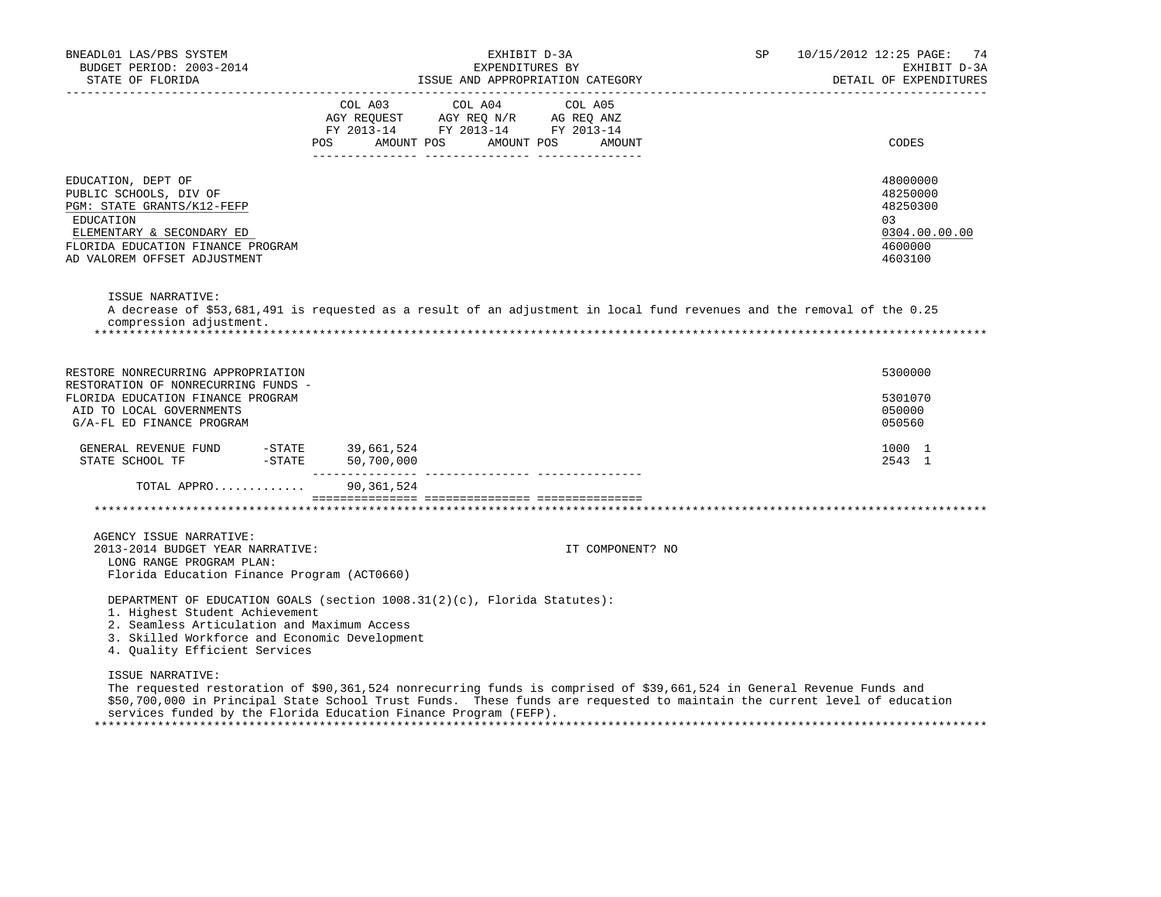| BNEADL01 LAS/PBS SYSTEM<br>BUDGET PERIOD: 2003-2014<br>STATE OF FLORIDA<br>.                                                                                                              | EXHIBIT D-3A<br>EXPENDITURES BY<br>ISSUE AND APPROPRIATION CATEGORY                                                                                                                                                                                                                                                    | SP | 10/15/2012 12:25 PAGE:<br>74<br>EXHIBIT D-3A<br>DETAIL OF EXPENDITURES        |
|-------------------------------------------------------------------------------------------------------------------------------------------------------------------------------------------|------------------------------------------------------------------------------------------------------------------------------------------------------------------------------------------------------------------------------------------------------------------------------------------------------------------------|----|-------------------------------------------------------------------------------|
|                                                                                                                                                                                           | COL A04<br>COL A03<br>COL A05<br>AGY REQUEST AGY REQ N/R AG REQ ANZ<br>FY 2013-14 FY 2013-14 FY 2013-14<br>AMOUNT POS<br>AMOUNT POS<br>POS FOR<br>AMOUNT                                                                                                                                                               |    | CODES                                                                         |
| EDUCATION, DEPT OF<br>PUBLIC SCHOOLS, DIV OF<br>PGM: STATE GRANTS/K12-FEFP<br>EDUCATION<br>ELEMENTARY & SECONDARY ED<br>FLORIDA EDUCATION FINANCE PROGRAM<br>AD VALOREM OFFSET ADJUSTMENT |                                                                                                                                                                                                                                                                                                                        |    | 48000000<br>48250000<br>48250300<br>03<br>0304.00.00.00<br>4600000<br>4603100 |
| ISSUE NARRATIVE:<br>compression adjustment.                                                                                                                                               | A decrease of \$53,681,491 is requested as a result of an adjustment in local fund revenues and the removal of the 0.25                                                                                                                                                                                                |    |                                                                               |
| RESTORE NONRECURRING APPROPRIATION<br>RESTORATION OF NONRECURRING FUNDS -<br>FLORIDA EDUCATION FINANCE PROGRAM<br>AID TO LOCAL GOVERNMENTS<br>G/A-FL ED FINANCE PROGRAM                   |                                                                                                                                                                                                                                                                                                                        |    | 5300000<br>5301070<br>050000<br>050560                                        |
| GENERAL REVENUE FUND -STATE 39,661,524<br>STATE SCHOOL TF  -STATE  50,700,000                                                                                                             |                                                                                                                                                                                                                                                                                                                        |    | 1000 1<br>2543 1                                                              |
| TOTAL APPRO                                                                                                                                                                               | 90,361,524                                                                                                                                                                                                                                                                                                             |    |                                                                               |
|                                                                                                                                                                                           |                                                                                                                                                                                                                                                                                                                        |    |                                                                               |
| AGENCY ISSUE NARRATIVE:<br>2013-2014 BUDGET YEAR NARRATIVE:<br>LONG RANGE PROGRAM PLAN:<br>Florida Education Finance Program (ACT0660)                                                    | IT COMPONENT? NO                                                                                                                                                                                                                                                                                                       |    |                                                                               |
| 1. Highest Student Achievement<br>2. Seamless Articulation and Maximum Access<br>3. Skilled Workforce and Economic Development<br>4. Quality Efficient Services                           | DEPARTMENT OF EDUCATION GOALS (section $1008.31(2)(c)$ , Florida Statutes):                                                                                                                                                                                                                                            |    |                                                                               |
| ISSUE NARRATIVE:                                                                                                                                                                          | The requested restoration of \$90,361,524 nonrecurring funds is comprised of \$39,661,524 in General Revenue Funds and<br>\$50,700,000 in Principal State School Trust Funds. These funds are requested to maintain the current level of education<br>services funded by the Florida Education Finance Program (FEFP). |    |                                                                               |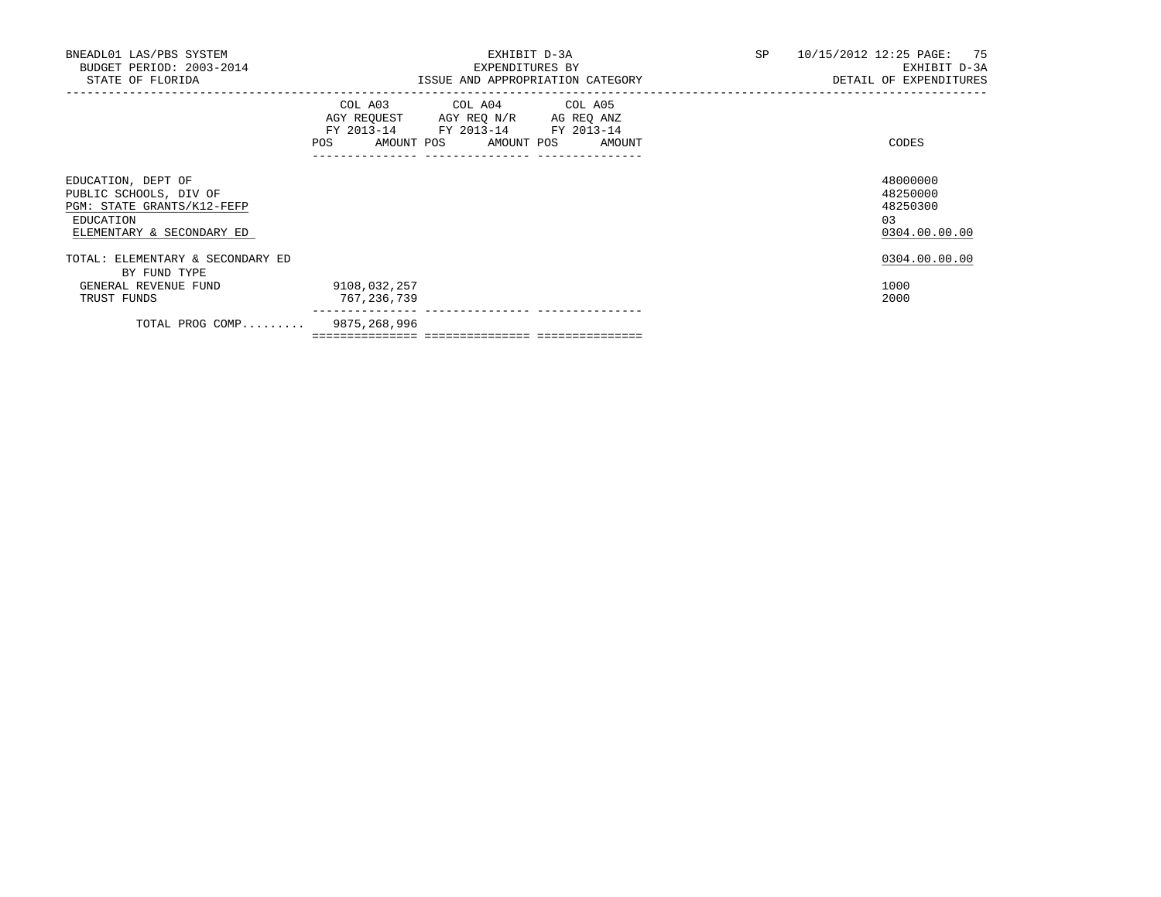| BNEADL01 LAS/PBS SYSTEM<br>BUDGET PERIOD: 2003-2014<br>STATE OF FLORIDA                                              | EXHIBIT D-3A<br>EXPENDITURES BY<br>ISSUE AND APPROPRIATION CATEGORY                                                                   | SP and the set of the set of the set of the set of the set of the set of the set of the set of the set of the set of the set of the set of the set of the set of the set of the set of the set of the set of the set of the se<br>10/15/2012 12:25 PAGE: 75<br>EXHIBIT D-3A<br>DETAIL OF EXPENDITURES |
|----------------------------------------------------------------------------------------------------------------------|---------------------------------------------------------------------------------------------------------------------------------------|-------------------------------------------------------------------------------------------------------------------------------------------------------------------------------------------------------------------------------------------------------------------------------------------------------|
|                                                                                                                      | COL A03 COL A04 COL A05<br>AGY REQUEST AGY REQ N/R AG REQ ANZ<br>FY 2013-14 FY 2013-14 FY 2013-14<br>POS AMOUNT POS AMOUNT POS AMOUNT | CODES                                                                                                                                                                                                                                                                                                 |
| EDUCATION, DEPT OF<br>PUBLIC SCHOOLS, DIV OF<br>PGM: STATE GRANTS/K12-FEFP<br>EDUCATION<br>ELEMENTARY & SECONDARY ED |                                                                                                                                       | 48000000<br>48250000<br>48250300<br>0.3<br>0304.00.00.00                                                                                                                                                                                                                                              |
| TOTAL: ELEMENTARY & SECONDARY ED<br>BY FUND TYPE                                                                     |                                                                                                                                       | 0304.00.00.00                                                                                                                                                                                                                                                                                         |
| GENERAL REVENUE FUND<br>TRUST FUNDS                                                                                  | 9108,032,257<br>767,236,739<br>______________ _______________                                                                         | 1000<br>2000                                                                                                                                                                                                                                                                                          |
| TOTAL PROG COMP 9875,268,996                                                                                         |                                                                                                                                       |                                                                                                                                                                                                                                                                                                       |

=============== =============== ===============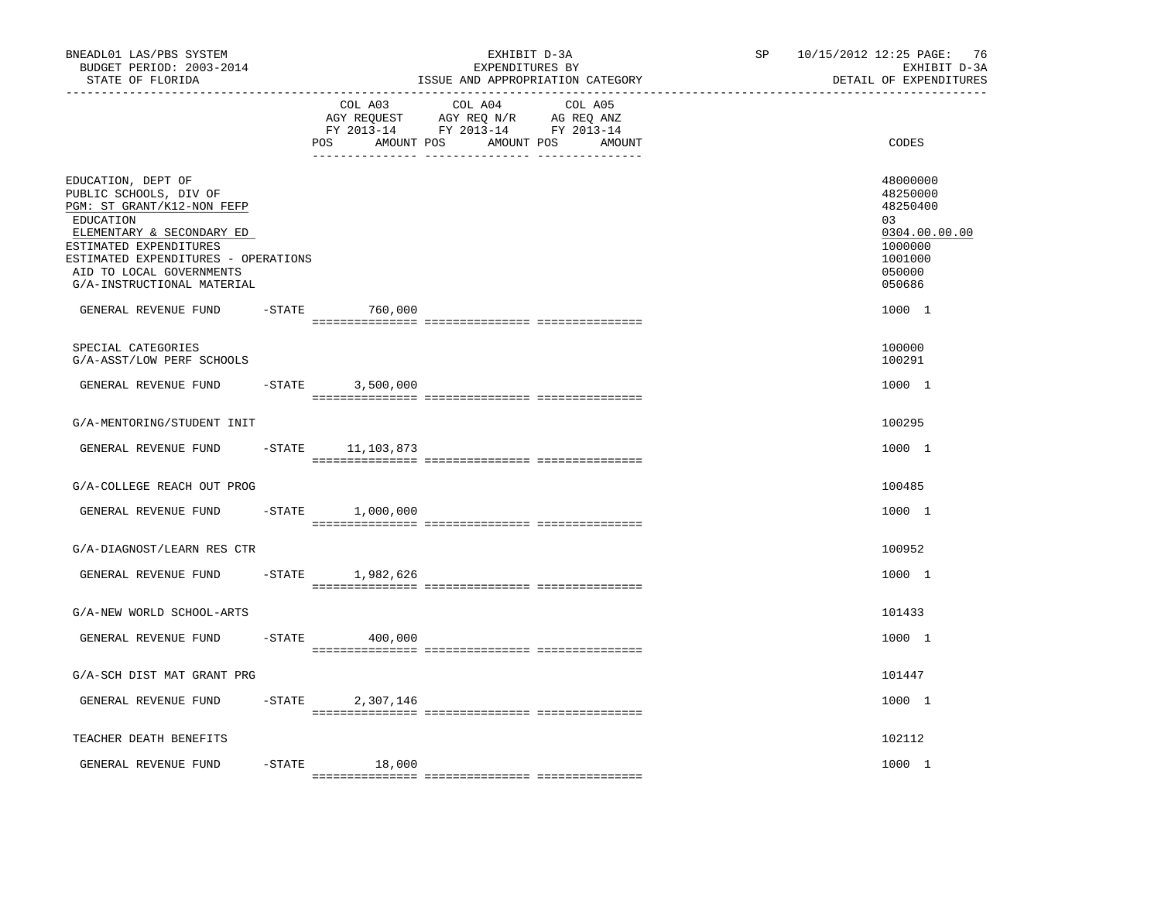| BNEADL01 LAS/PBS SYSTEM<br>BUDGET PERIOD: 2003-2014<br>STATE OF FLORIDA<br>-----------------                                                                                                                                                    | EXHIBIT D-3A<br>EXPENDITURES BY<br>ISSUE AND APPROPRIATION CATEGORY |                                                    |                                                                                                             | 10/15/2012 12:25 PAGE:<br>SP<br>EXHIBIT D-3A<br>DETAIL OF EXPENDITURES |                                                                                                   |  |
|-------------------------------------------------------------------------------------------------------------------------------------------------------------------------------------------------------------------------------------------------|---------------------------------------------------------------------|----------------------------------------------------|-------------------------------------------------------------------------------------------------------------|------------------------------------------------------------------------|---------------------------------------------------------------------------------------------------|--|
|                                                                                                                                                                                                                                                 |                                                                     | COL A03<br>AGY REQUEST<br><b>POS</b><br>AMOUNT POS | COL A04<br>COL A05<br>AGY REQ N/R<br>AG REQ ANZ<br>FY 2013-14 FY 2013-14 FY 2013-14<br>AMOUNT POS<br>AMOUNT |                                                                        | CODES                                                                                             |  |
| EDUCATION, DEPT OF<br>PUBLIC SCHOOLS, DIV OF<br>PGM: ST GRANT/K12-NON FEFP<br>EDUCATION<br>ELEMENTARY & SECONDARY ED<br>ESTIMATED EXPENDITURES<br>ESTIMATED EXPENDITURES - OPERATIONS<br>AID TO LOCAL GOVERNMENTS<br>G/A-INSTRUCTIONAL MATERIAL |                                                                     |                                                    |                                                                                                             |                                                                        | 48000000<br>48250000<br>48250400<br>03<br>0304.00.00.00<br>1000000<br>1001000<br>050000<br>050686 |  |
| GENERAL REVENUE FUND                                                                                                                                                                                                                            | $-$ STATE                                                           | 760,000                                            |                                                                                                             |                                                                        | 1000 1                                                                                            |  |
| SPECIAL CATEGORIES<br>G/A-ASST/LOW PERF SCHOOLS                                                                                                                                                                                                 |                                                                     |                                                    |                                                                                                             |                                                                        | 100000<br>100291                                                                                  |  |
| GENERAL REVENUE FUND                                                                                                                                                                                                                            | $-$ STATE                                                           | 3,500,000                                          |                                                                                                             |                                                                        | 1000 1                                                                                            |  |
| G/A-MENTORING/STUDENT INIT                                                                                                                                                                                                                      |                                                                     |                                                    |                                                                                                             |                                                                        | 100295                                                                                            |  |
| GENERAL REVENUE FUND                                                                                                                                                                                                                            | $-$ STATE                                                           | 11,103,873                                         |                                                                                                             |                                                                        | 1000 1                                                                                            |  |
| G/A-COLLEGE REACH OUT PROG                                                                                                                                                                                                                      |                                                                     |                                                    |                                                                                                             |                                                                        | 100485                                                                                            |  |
| GENERAL REVENUE FUND                                                                                                                                                                                                                            | $-$ STATE                                                           | 1,000,000                                          |                                                                                                             |                                                                        | 1000 1                                                                                            |  |
| G/A-DIAGNOST/LEARN RES CTR                                                                                                                                                                                                                      |                                                                     |                                                    |                                                                                                             |                                                                        | 100952                                                                                            |  |
| GENERAL REVENUE FUND                                                                                                                                                                                                                            | $-$ STATE                                                           | 1,982,626                                          |                                                                                                             |                                                                        | 1000 1                                                                                            |  |
| G/A-NEW WORLD SCHOOL-ARTS                                                                                                                                                                                                                       |                                                                     |                                                    |                                                                                                             |                                                                        | 101433                                                                                            |  |
| GENERAL REVENUE FUND                                                                                                                                                                                                                            | $-$ STATE                                                           | 400,000                                            |                                                                                                             |                                                                        | 1000 1                                                                                            |  |
| G/A-SCH DIST MAT GRANT PRG                                                                                                                                                                                                                      |                                                                     |                                                    |                                                                                                             |                                                                        | 101447                                                                                            |  |
| GENERAL REVENUE FUND                                                                                                                                                                                                                            | $-$ STATE                                                           | 2,307,146                                          |                                                                                                             |                                                                        | 1000 1                                                                                            |  |
| TEACHER DEATH BENEFITS                                                                                                                                                                                                                          |                                                                     |                                                    |                                                                                                             |                                                                        | 102112                                                                                            |  |
| GENERAL REVENUE FUND                                                                                                                                                                                                                            | $-$ STATE                                                           | 18,000                                             |                                                                                                             |                                                                        | 1000 1                                                                                            |  |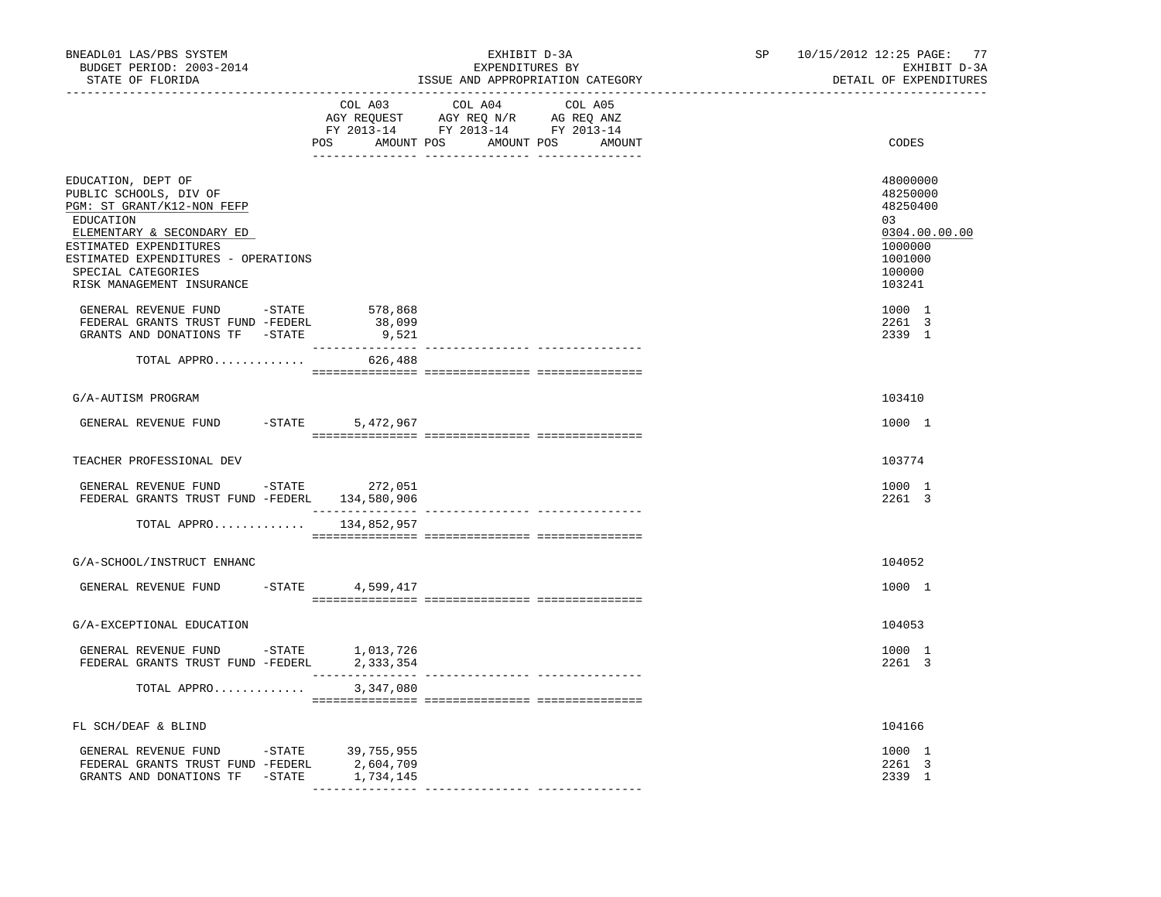| BNEADL01 LAS/PBS SYSTEM<br>BUDGET PERIOD: 2003-2014<br>STATE OF FLORIDA                                                                                                                                                                             | EXHIBIT D-3A<br>EXPENDITURES BY<br>ISSUE AND APPROPRIATION CATEGORY                                                                                                                            | SP 10/15/2012 12:25 PAGE: 77<br>EXHIBIT D-3A<br>DETAIL OF EXPENDITURES                            |
|-----------------------------------------------------------------------------------------------------------------------------------------------------------------------------------------------------------------------------------------------------|------------------------------------------------------------------------------------------------------------------------------------------------------------------------------------------------|---------------------------------------------------------------------------------------------------|
| ---------------------------------                                                                                                                                                                                                                   | $\begin{tabular}{lcccc} COL A03 & COL A04 & COL A05 \\ AGY REQUEST & AGY REQ N/R & AG REQ ANZ \\ FY & 2013-14 & FY & 2013-14 & FY & 2013-14 \end{tabular}$<br>POS AMOUNT POS AMOUNT POS AMOUNT | CODES                                                                                             |
| EDUCATION, DEPT OF<br>PUBLIC SCHOOLS, DIV OF<br>PGM: ST GRANT/K12-NON FEFP<br>EDUCATION<br>ELEMENTARY & SECONDARY ED<br>ESTIMATED EXPENDITURES<br>ESTIMATED EXPENDITURES - OPERATIONS<br>SPECIAL CATEGORIES<br>RISK MANAGEMENT INSURANCE            |                                                                                                                                                                                                | 48000000<br>48250000<br>48250400<br>03<br>0304.00.00.00<br>1000000<br>1001000<br>100000<br>103241 |
| GENERAL REVENUE FUND $-$ STATE 578,868<br>FEDERAL GRANTS TRUST FUND -FEDERL<br>GRANTS AND DONATIONS TF -STATE                                                                                                                                       | 38,099<br>9,521<br>---------------                                                                                                                                                             | 1000 1<br>2261 3<br>2339 1                                                                        |
| TOTAL APPRO                                                                                                                                                                                                                                         | 626,488                                                                                                                                                                                        |                                                                                                   |
| G/A-AUTISM PROGRAM                                                                                                                                                                                                                                  |                                                                                                                                                                                                | 103410                                                                                            |
| $-STATE$<br>GENERAL REVENUE FUND                                                                                                                                                                                                                    | 5,472,967                                                                                                                                                                                      | 1000 1                                                                                            |
| TEACHER PROFESSIONAL DEV                                                                                                                                                                                                                            |                                                                                                                                                                                                | 103774                                                                                            |
| GENERAL REVENUE FUND -STATE 272,051<br>FEDERAL GRANTS TRUST FUND -FEDERL 134,580,906                                                                                                                                                                |                                                                                                                                                                                                | 1000 1<br>2261 3                                                                                  |
| TOTAL APPRO 134,852,957                                                                                                                                                                                                                             |                                                                                                                                                                                                |                                                                                                   |
| G/A-SCHOOL/INSTRUCT ENHANC                                                                                                                                                                                                                          |                                                                                                                                                                                                | 104052                                                                                            |
| GENERAL REVENUE FUND                                                                                                                                                                                                                                | -STATE 4,599,417                                                                                                                                                                               | 1000 1                                                                                            |
| G/A-EXCEPTIONAL EDUCATION                                                                                                                                                                                                                           |                                                                                                                                                                                                | 104053                                                                                            |
| GENERAL REVENUE FUND - STATE 1,013,726<br>FEDERAL GRANTS TRUST FUND -FEDERL 2,333,354                                                                                                                                                               |                                                                                                                                                                                                | 1000 1<br>2261 3                                                                                  |
| TOTAL APPRO                                                                                                                                                                                                                                         | 3,347,080                                                                                                                                                                                      |                                                                                                   |
| FL SCH/DEAF & BLIND                                                                                                                                                                                                                                 |                                                                                                                                                                                                | 104166                                                                                            |
| GENERAL REVENUE FUND -STATE 39,755,955<br>${\tt FEDERAL} \quad {\tt GRANTS} \quad {\tt FUND}-{\tt FEDERL} \qquad \qquad 2,604,709 \\ {\tt GRANTS} \quad {\tt AND} \quad {\tt DONATIONS} \quad {\tt TF} \qquad -{\tt STATE} \qquad \qquad 1,734,145$ |                                                                                                                                                                                                | 1000 1<br>2261 3<br>2339 1                                                                        |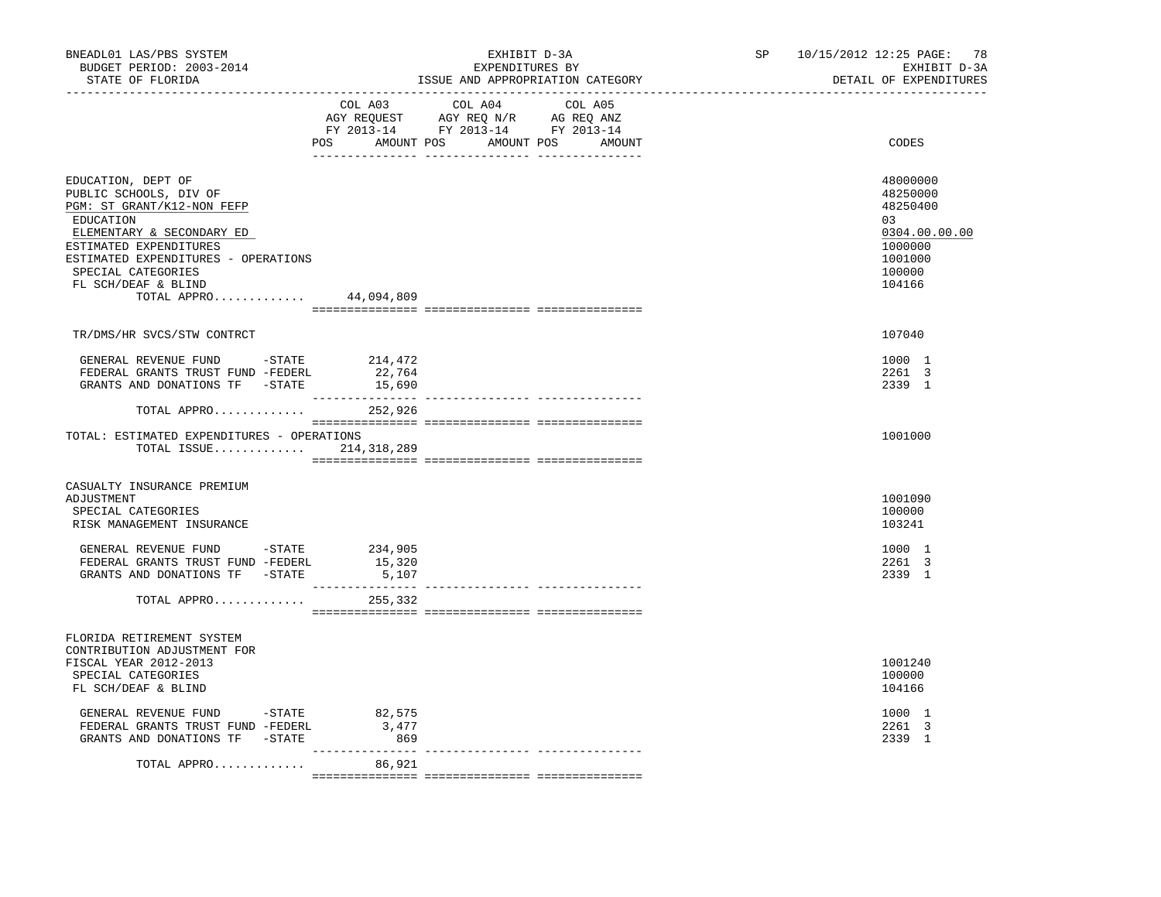| BNEADL01 LAS/PBS SYSTEM<br>BUDGET PERIOD: 2003-2014<br>STATE OF FLORIDA                                                                                                                                                                           |                                           | EXHIBIT D-3A<br>EXPENDITURES BY<br>ISSUE AND APPROPRIATION CATEGORY                                                                                                                            | 10/15/2012 12:25 PAGE:<br>SP | 78<br>EXHIBIT D-3A<br>DETAIL OF EXPENDITURES                                                       |
|---------------------------------------------------------------------------------------------------------------------------------------------------------------------------------------------------------------------------------------------------|-------------------------------------------|------------------------------------------------------------------------------------------------------------------------------------------------------------------------------------------------|------------------------------|----------------------------------------------------------------------------------------------------|
|                                                                                                                                                                                                                                                   |                                           | $\begin{tabular}{lcccc} COL A03 & COL A04 & COL A05 \\ AGY REQUEST & AGY REQ N/R & AG REQ ANZ \\ FY & 2013-14 & FY & 2013-14 & FY & 2013-14 \end{tabular}$<br>POS AMOUNT POS AMOUNT POS AMOUNT |                              | CODES                                                                                              |
| EDUCATION, DEPT OF<br>PUBLIC SCHOOLS, DIV OF<br>PGM: ST GRANT/K12-NON FEFP<br>EDUCATION<br>ELEMENTARY & SECONDARY ED<br>ESTIMATED EXPENDITURES<br>ESTIMATED EXPENDITURES - OPERATIONS<br>SPECIAL CATEGORIES<br>FL SCH/DEAF & BLIND<br>TOTAL APPRO | 44,094,809                                |                                                                                                                                                                                                |                              | 48000000<br>48250000<br>48250400<br>0.3<br>0304.00.00.00<br>1000000<br>1001000<br>100000<br>104166 |
| TR/DMS/HR SVCS/STW CONTRCT                                                                                                                                                                                                                        |                                           |                                                                                                                                                                                                |                              | 107040                                                                                             |
| GENERAL REVENUE FUND -STATE 214,472<br>FEDERAL GRANTS TRUST FUND -FEDERL<br>GRANTS AND DONATIONS TF -STATE                                                                                                                                        | 22,764<br>15,690<br>---------------       |                                                                                                                                                                                                |                              | 1000 1<br>2261 3<br>2339 1                                                                         |
| TOTAL APPRO 252,926                                                                                                                                                                                                                               |                                           |                                                                                                                                                                                                |                              |                                                                                                    |
| TOTAL: ESTIMATED EXPENDITURES - OPERATIONS<br>TOTAL ISSUE $214,318,289$                                                                                                                                                                           |                                           |                                                                                                                                                                                                |                              | 1001000                                                                                            |
| CASUALTY INSURANCE PREMIUM<br>ADJUSTMENT<br>SPECIAL CATEGORIES<br>RISK MANAGEMENT INSURANCE                                                                                                                                                       |                                           |                                                                                                                                                                                                |                              | 1001090<br>100000<br>103241                                                                        |
| GENERAL REVENUE FUND -STATE 234,905<br>FEDERAL GRANTS TRUST FUND -FEDERL<br>GRANTS AND DONATIONS TF -STATE                                                                                                                                        | 15,320<br>5,107                           |                                                                                                                                                                                                |                              | 1000 1<br>2261 3<br>2339 1                                                                         |
| TOTAL APPRO                                                                                                                                                                                                                                       | 255,332                                   |                                                                                                                                                                                                |                              |                                                                                                    |
| FLORIDA RETIREMENT SYSTEM<br>CONTRIBUTION ADJUSTMENT FOR                                                                                                                                                                                          |                                           |                                                                                                                                                                                                |                              |                                                                                                    |
| FISCAL YEAR 2012-2013<br>SPECIAL CATEGORIES<br>FL SCH/DEAF & BLIND                                                                                                                                                                                |                                           |                                                                                                                                                                                                |                              | 1001240<br>100000<br>104166                                                                        |
| GENERAL REVENUE FUND - STATE<br>FEDERAL GRANTS TRUST FUND -FEDERL<br>GRANTS AND DONATIONS TF -STATE                                                                                                                                               | 82,575<br>3,477<br>869<br>_______________ |                                                                                                                                                                                                |                              | 1000 1<br>2261 3<br>2339 1                                                                         |
| TOTAL APPRO                                                                                                                                                                                                                                       | 86,921                                    |                                                                                                                                                                                                |                              |                                                                                                    |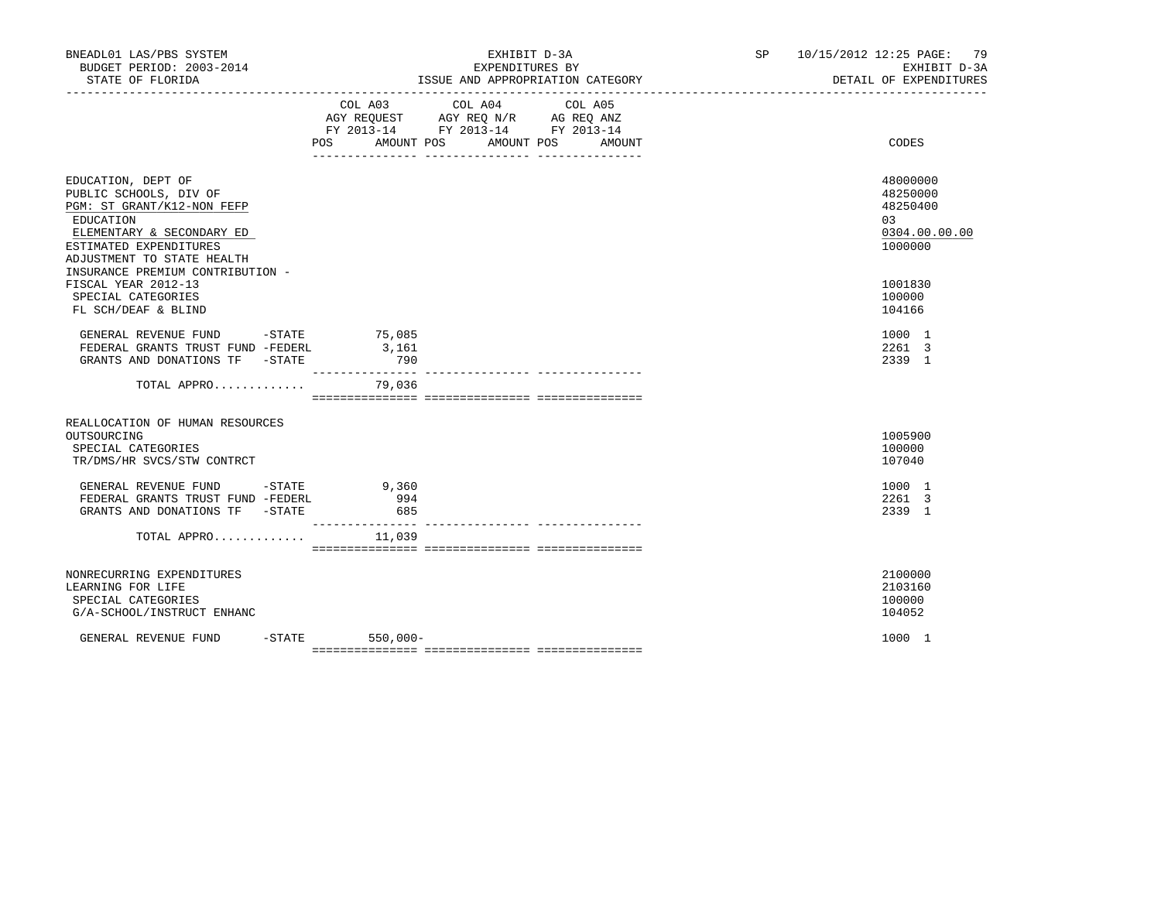| BNEADL01 LAS/PBS SYSTEM<br>BUDGET PERIOD: 2003-2014<br>STATE OF FLORIDA                                                                                                                                          |                   | EXHIBIT D-3A<br>EXPENDITURES BY<br>ISSUE AND APPROPRIATION CATEGORY                                                                   | SP | 10/15/2012 12:25 PAGE: 79<br>EXHIBIT D-3A<br>DETAIL OF EXPENDITURES |
|------------------------------------------------------------------------------------------------------------------------------------------------------------------------------------------------------------------|-------------------|---------------------------------------------------------------------------------------------------------------------------------------|----|---------------------------------------------------------------------|
|                                                                                                                                                                                                                  |                   | COL A03 COL A04 COL A05<br>AGY REQUEST AGY REQ N/R AG REQ ANZ<br>FY 2013-14 FY 2013-14 FY 2013-14<br>POS AMOUNT POS AMOUNT POS AMOUNT |    | CODES                                                               |
| EDUCATION, DEPT OF<br>PUBLIC SCHOOLS, DIV OF<br>PGM: ST GRANT/K12-NON FEFP<br>EDUCATION<br>ELEMENTARY & SECONDARY ED<br>ESTIMATED EXPENDITURES<br>ADJUSTMENT TO STATE HEALTH<br>INSURANCE PREMIUM CONTRIBUTION - |                   |                                                                                                                                       |    | 48000000<br>48250000<br>48250400<br>03<br>0304.00.00.00<br>1000000  |
| FISCAL YEAR 2012-13<br>SPECIAL CATEGORIES<br>FL SCH/DEAF & BLIND                                                                                                                                                 |                   |                                                                                                                                       |    | 1001830<br>100000<br>104166                                         |
| GENERAL REVENUE FUND -STATE 75,085<br>FEDERAL GRANTS TRUST FUND -FEDERL<br>GRANTS AND DONATIONS TF -STATE                                                                                                        | 3,161<br>790      |                                                                                                                                       |    | 1000 1<br>2261 3<br>2339 1                                          |
| TOTAL APPRO                                                                                                                                                                                                      | 79,036            |                                                                                                                                       |    |                                                                     |
| REALLOCATION OF HUMAN RESOURCES<br>OUTSOURCING<br>SPECIAL CATEGORIES<br>TR/DMS/HR SVCS/STW CONTRCT                                                                                                               |                   |                                                                                                                                       |    | 1005900<br>100000<br>107040                                         |
| GENERAL REVENUE FUND -STATE 9,360<br>FEDERAL GRANTS TRUST FUND -FEDERL<br>GRANTS AND DONATIONS TF -STATE                                                                                                         | 994<br>685        |                                                                                                                                       |    | 1000 1<br>2261 3<br>2339 1                                          |
| TOTAL APPRO $11,039$                                                                                                                                                                                             |                   |                                                                                                                                       |    |                                                                     |
| NONRECURRING EXPENDITURES<br>LEARNING FOR LIFE<br>SPECIAL CATEGORIES<br>G/A-SCHOOL/INSTRUCT ENHANC                                                                                                               |                   |                                                                                                                                       |    | 2100000<br>2103160<br>100000<br>104052                              |
| GENERAL REVENUE FUND                                                                                                                                                                                             | $-STATE$ 550,000- |                                                                                                                                       |    | 1000 1                                                              |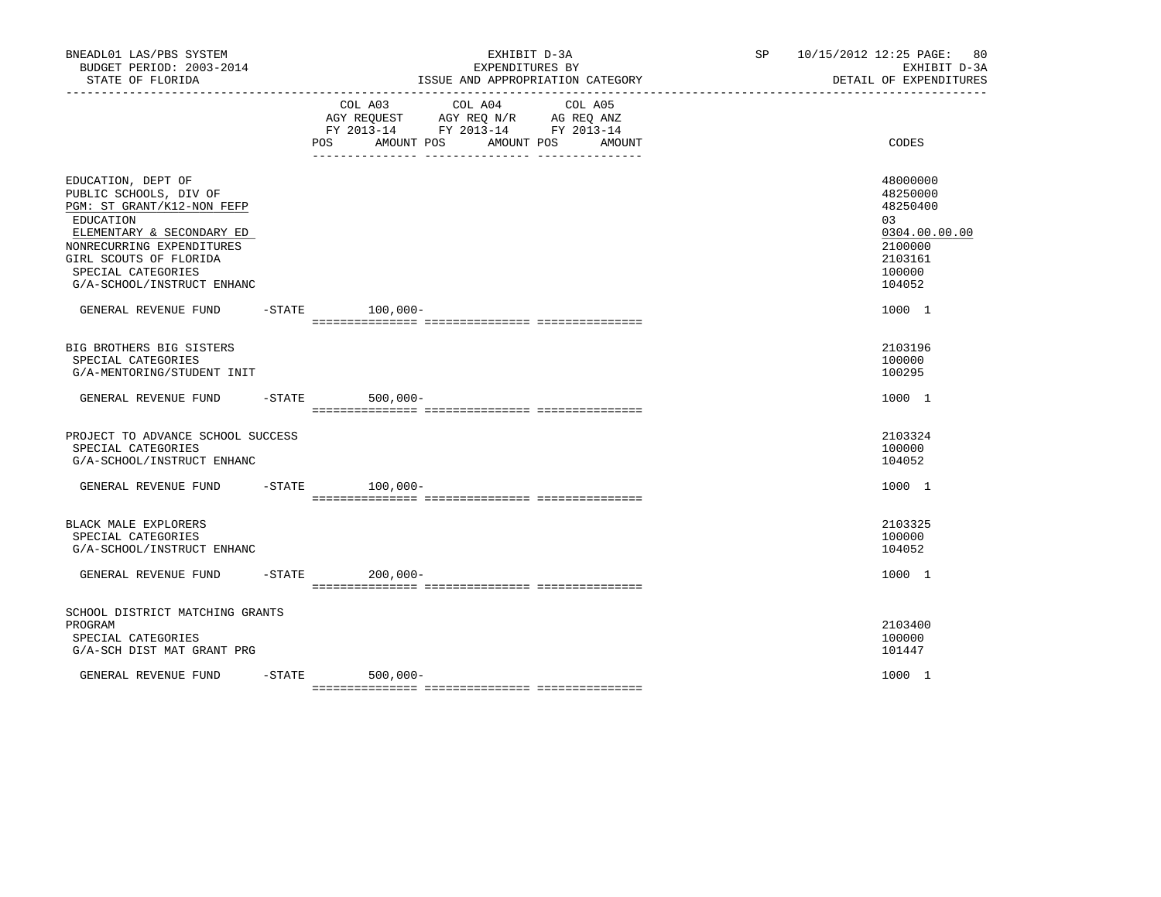| BNEADL01 LAS/PBS SYSTEM<br>BUDGET PERIOD: 2003-2014<br>STATE OF FLORIDA                                                                                                                                                         | EXHIBIT D-3A<br>EXPENDITURES BY<br>ISSUE AND APPROPRIATION CATEGORY |                                                                                                                                                      |  | 10/15/2012 12:25 PAGE:<br>80<br>SP <sub>2</sub><br>EXHIBIT D-3A<br>DETAIL OF EXPENDITURES         |
|---------------------------------------------------------------------------------------------------------------------------------------------------------------------------------------------------------------------------------|---------------------------------------------------------------------|------------------------------------------------------------------------------------------------------------------------------------------------------|--|---------------------------------------------------------------------------------------------------|
|                                                                                                                                                                                                                                 |                                                                     | COL A03<br>COL A04<br>COL A05<br>AGY REQUEST AGY REQ N/R AG REQ ANZ<br>FY 2013-14 FY 2013-14 FY 2013-14<br>POS<br>AMOUNT POS<br>AMOUNT POS<br>AMOUNT |  | CODES                                                                                             |
| EDUCATION, DEPT OF<br>PUBLIC SCHOOLS, DIV OF<br>PGM: ST GRANT/K12-NON FEFP<br>EDUCATION<br>ELEMENTARY & SECONDARY ED<br>NONRECURRING EXPENDITURES<br>GIRL SCOUTS OF FLORIDA<br>SPECIAL CATEGORIES<br>G/A-SCHOOL/INSTRUCT ENHANC |                                                                     |                                                                                                                                                      |  | 48000000<br>48250000<br>48250400<br>03<br>0304.00.00.00<br>2100000<br>2103161<br>100000<br>104052 |
| GENERAL REVENUE FUND                                                                                                                                                                                                            |                                                                     | $-$ STATE 100,000-                                                                                                                                   |  | 1000 1                                                                                            |
| BIG BROTHERS BIG SISTERS<br>SPECIAL CATEGORIES<br>G/A-MENTORING/STUDENT INIT                                                                                                                                                    |                                                                     |                                                                                                                                                      |  | 2103196<br>100000<br>100295                                                                       |
| GENERAL REVENUE FUND -STATE                                                                                                                                                                                                     |                                                                     | $500,000 -$                                                                                                                                          |  | 1000 1                                                                                            |
| PROJECT TO ADVANCE SCHOOL SUCCESS<br>SPECIAL CATEGORIES<br>G/A-SCHOOL/INSTRUCT ENHANC                                                                                                                                           |                                                                     |                                                                                                                                                      |  | 2103324<br>100000<br>104052                                                                       |
| GENERAL REVENUE FUND                                                                                                                                                                                                            | $-$ STATE                                                           | 100,000-                                                                                                                                             |  | 1000 1                                                                                            |
| BLACK MALE EXPLORERS<br>SPECIAL CATEGORIES<br>G/A-SCHOOL/INSTRUCT ENHANC                                                                                                                                                        |                                                                     |                                                                                                                                                      |  | 2103325<br>100000<br>104052                                                                       |
| GENERAL REVENUE FUND                                                                                                                                                                                                            |                                                                     | $-$ STATE 200,000 -                                                                                                                                  |  | 1000 1                                                                                            |
| SCHOOL DISTRICT MATCHING GRANTS<br>PROGRAM<br>SPECIAL CATEGORIES<br>G/A-SCH DIST MAT GRANT PRG                                                                                                                                  |                                                                     |                                                                                                                                                      |  | 2103400<br>100000<br>101447                                                                       |
| GENERAL REVENUE FUND                                                                                                                                                                                                            | $-STATE$                                                            | 500,000-                                                                                                                                             |  | 1000 1                                                                                            |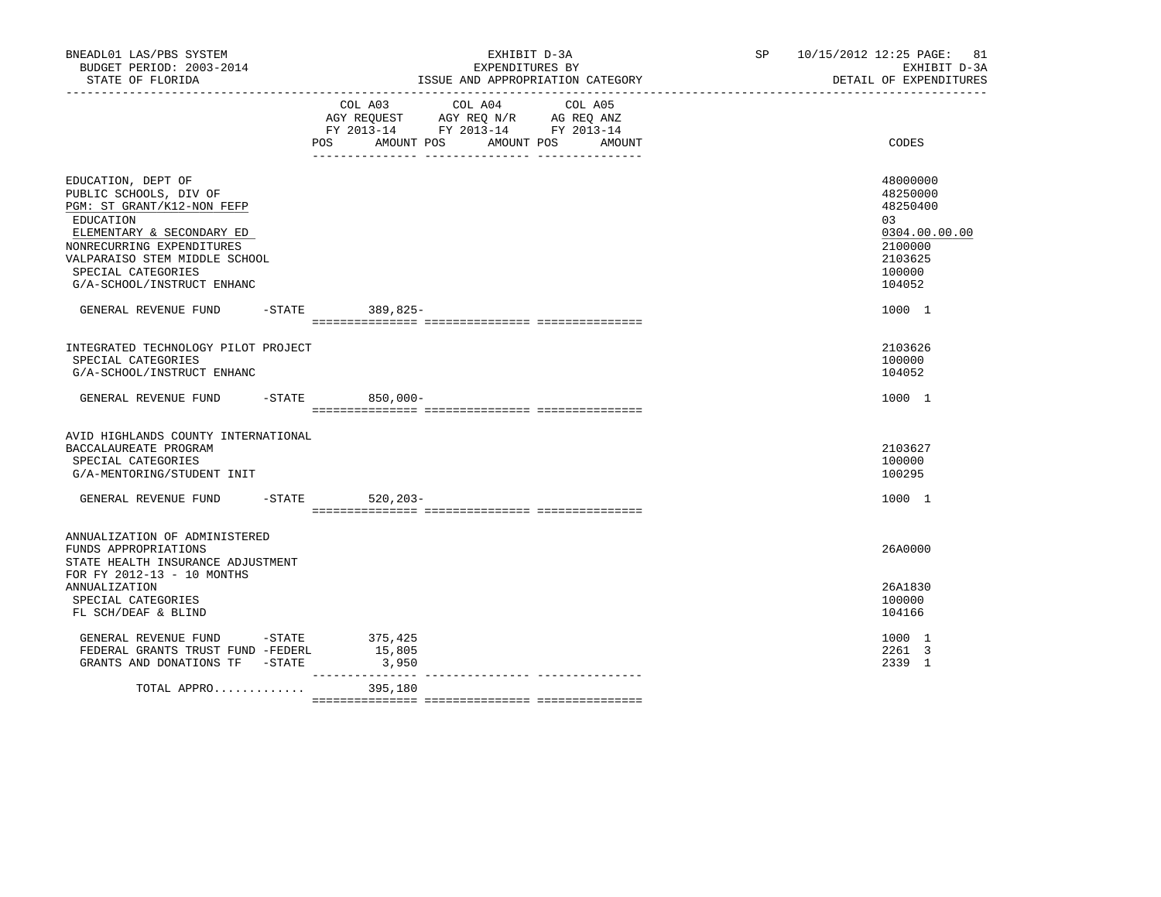| BNEADL01 LAS/PBS SYSTEM<br>BUDGET PERIOD: 2003-2014<br>STATE OF FLORIDA                                                                                                                                                                |           | EXHIBIT D-3A<br>EXPENDITURES BY<br>ISSUE AND APPROPRIATION CATEGORY                                                                                                                      | SP 10/15/2012 12:25 PAGE: 81<br>EXHIBIT D-3A<br>DETAIL OF EXPENDITURES                             |
|----------------------------------------------------------------------------------------------------------------------------------------------------------------------------------------------------------------------------------------|-----------|------------------------------------------------------------------------------------------------------------------------------------------------------------------------------------------|----------------------------------------------------------------------------------------------------|
|                                                                                                                                                                                                                                        |           | COL A04<br>COL A03<br>COL A05<br>AGY REQUEST AGY REQ N/R AG REQ ANZ<br>FY 2013-14 FY 2013-14 FY 2013-14<br>POS<br>AMOUNT POS AMOUNT POS AMOUNT<br>_____ ________________ _______________ | CODES                                                                                              |
| EDUCATION, DEPT OF<br>PUBLIC SCHOOLS, DIV OF<br>PGM: ST GRANT/K12-NON FEFP<br>EDUCATION<br>ELEMENTARY & SECONDARY ED<br>NONRECURRING EXPENDITURES<br>VALPARAISO STEM MIDDLE SCHOOL<br>SPECIAL CATEGORIES<br>G/A-SCHOOL/INSTRUCT ENHANC |           |                                                                                                                                                                                          | 48000000<br>48250000<br>48250400<br>0.3<br>0304.00.00.00<br>2100000<br>2103625<br>100000<br>104052 |
| GENERAL REVENUE FUND                                                                                                                                                                                                                   | $-$ STATE | 389,825-                                                                                                                                                                                 | 1000 1                                                                                             |
| INTEGRATED TECHNOLOGY PILOT PROJECT<br>SPECIAL CATEGORIES<br>G/A-SCHOOL/INSTRUCT ENHANC                                                                                                                                                |           |                                                                                                                                                                                          | 2103626<br>100000<br>104052                                                                        |
| GENERAL REVENUE FUND -STATE 850,000-                                                                                                                                                                                                   |           |                                                                                                                                                                                          | 1000 1                                                                                             |
| AVID HIGHLANDS COUNTY INTERNATIONAL<br>BACCALAUREATE PROGRAM<br>SPECIAL CATEGORIES<br>G/A-MENTORING/STUDENT INIT                                                                                                                       |           |                                                                                                                                                                                          | 2103627<br>100000<br>100295<br>1000 1                                                              |
| GENERAL REVENUE FUND                                                                                                                                                                                                                   |           | -STATE 520,203-                                                                                                                                                                          |                                                                                                    |
| ANNUALIZATION OF ADMINISTERED<br>FUNDS APPROPRIATIONS<br>STATE HEALTH INSURANCE ADJUSTMENT<br>FOR FY 2012-13 - 10 MONTHS                                                                                                               |           |                                                                                                                                                                                          | 26A0000                                                                                            |
| <b>ANNUALIZATION</b><br>SPECIAL CATEGORIES<br>FL SCH/DEAF & BLIND                                                                                                                                                                      |           |                                                                                                                                                                                          | 26A1830<br>100000<br>104166                                                                        |
| GENERAL REVENUE FUND - STATE<br>FEDERAL GRANTS TRUST FUND -FEDERL<br>GRANTS AND DONATIONS TF -STATE                                                                                                                                    |           | 375,425<br>15,805<br>3,950<br>________________                                                                                                                                           | 1000 1<br>2261 3<br>2339 1                                                                         |
| TOTAL APPRO                                                                                                                                                                                                                            |           | 395,180                                                                                                                                                                                  |                                                                                                    |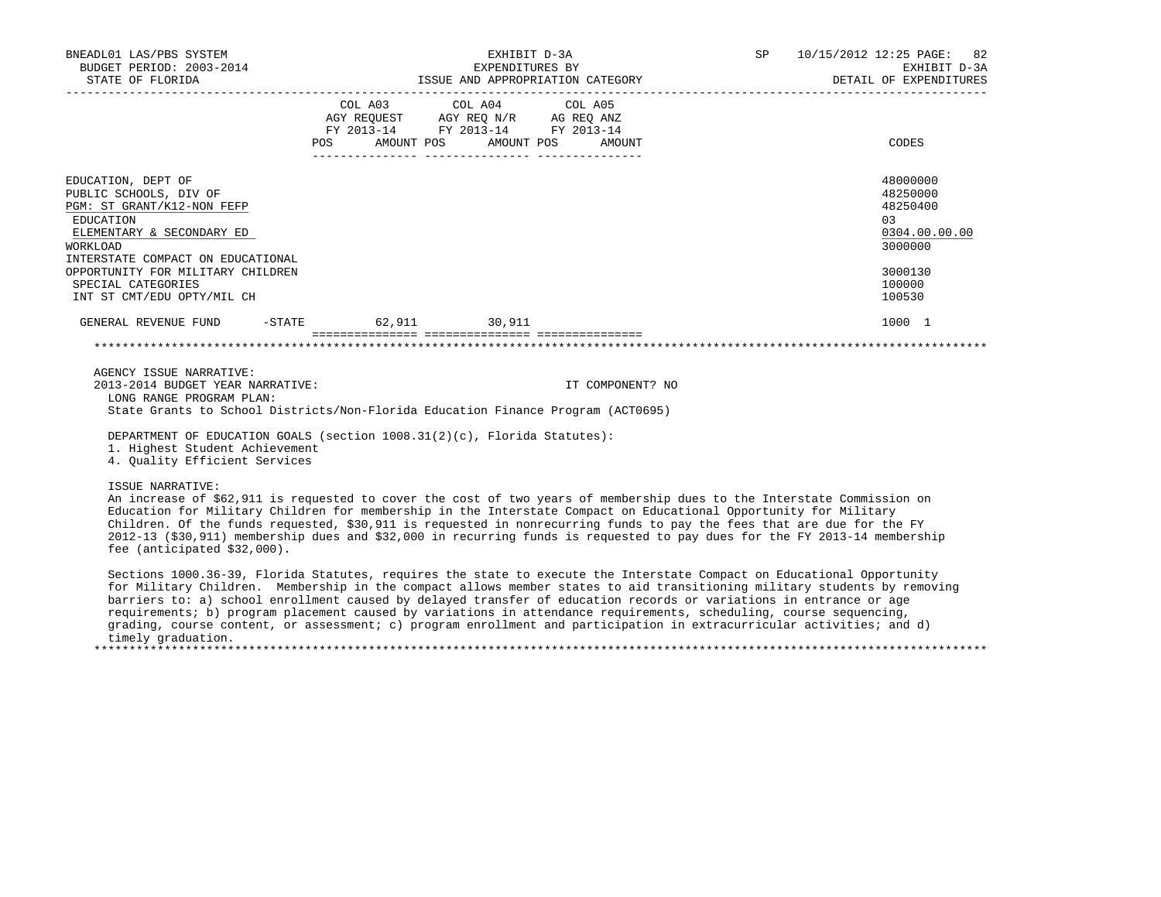| BNEADL01 LAS/PBS SYSTEM<br>EXPENDITURES BY EXEMPLES BY EXHIBITION CATEGORY EXEMPTION CALL OF EXEMPLES AND APPROPRIATION CATEGORY DETAIL OF EXPEND TURES AND APPROPRIATION CATEGORY DETAIL OF EXPEND                                                                                                                                                                                                                                                                                                                                                   |                                                                                                          | EXHIBIT D-3A          | SP 10/15/2012 12:25 PAGE: 82<br>EXHIBIT D-3A<br>DETAIL OF EXPENDITURES |                                                                                                   |
|-------------------------------------------------------------------------------------------------------------------------------------------------------------------------------------------------------------------------------------------------------------------------------------------------------------------------------------------------------------------------------------------------------------------------------------------------------------------------------------------------------------------------------------------------------|----------------------------------------------------------------------------------------------------------|-----------------------|------------------------------------------------------------------------|---------------------------------------------------------------------------------------------------|
|                                                                                                                                                                                                                                                                                                                                                                                                                                                                                                                                                       | COL A03 COL A04 COL A05<br>AGY REQUEST AGY REQ N/R AG REQ ANZ<br>FY 2013-14 FY 2013-14 FY 2013-14<br>POS | AMOUNT POS AMOUNT POS | AMOUNT                                                                 | CODES                                                                                             |
| EDUCATION, DEPT OF<br>PUBLIC SCHOOLS, DIV OF<br>PGM: ST GRANT/K12-NON FEFP<br>EDUCATION<br>ELEMENTARY & SECONDARY ED<br>WORKLOAD<br>INTERSTATE COMPACT ON EDUCATIONAL<br>OPPORTUNITY FOR MILITARY CHILDREN<br>SPECIAL CATEGORIES<br>INT ST CMT/EDU OPTY/MIL CH                                                                                                                                                                                                                                                                                        |                                                                                                          |                       |                                                                        | 48000000<br>48250000<br>48250400<br>03<br>0304.00.00.00<br>3000000<br>3000130<br>100000<br>100530 |
| GENERAL REVENUE FUND                                                                                                                                                                                                                                                                                                                                                                                                                                                                                                                                  | -STATE 62,911 30,911                                                                                     |                       |                                                                        | 1000 1                                                                                            |
|                                                                                                                                                                                                                                                                                                                                                                                                                                                                                                                                                       |                                                                                                          |                       |                                                                        |                                                                                                   |
| AGENCY ISSUE NARRATIVE:<br>2013-2014 BUDGET YEAR NARRATIVE:<br>LONG RANGE PROGRAM PLAN:<br>State Grants to School Districts/Non-Florida Education Finance Program (ACT0695)<br>DEPARTMENT OF EDUCATION GOALS (section 1008.31(2)(c), Florida Statutes):<br>1. Highest Student Achievement<br>4. Ouality Efficient Services                                                                                                                                                                                                                            |                                                                                                          |                       | IT COMPONENT? NO                                                       |                                                                                                   |
| ISSUE NARRATIVE:<br>An increase of \$62,911 is requested to cover the cost of two years of membership dues to the Interstate Commission on<br>Education for Military Children for membership in the Interstate Compact on Educational Opportunity for Military<br>Children. Of the funds requested, \$30,911 is requested in nonrecurring funds to pay the fees that are due for the FY<br>2012-13 (\$30,911) membership dues and \$32,000 in recurring funds is requested to pay dues for the FY 2013-14 membership<br>fee (anticipated $$32,000$ ). |                                                                                                          |                       |                                                                        |                                                                                                   |
| Sections 1000.36-39, Florida Statutes, requires the state to execute the Interstate Compact on Educational Opportunity<br>for Military Children. Membership in the compact allows member states to aid transitioning military students by removing<br>barriers to: a) school enrollment caused by delayed transfer of education records or variations in entrance or age<br>requirements; b) program placement caused by variations in attendance requirements, scheduling, course sequencing,                                                        |                                                                                                          |                       |                                                                        |                                                                                                   |

 grading, course content, or assessment; c) program enrollment and participation in extracurricular activities; and d) timely graduation. \*\*\*\*\*\*\*\*\*\*\*\*\*\*\*\*\*\*\*\*\*\*\*\*\*\*\*\*\*\*\*\*\*\*\*\*\*\*\*\*\*\*\*\*\*\*\*\*\*\*\*\*\*\*\*\*\*\*\*\*\*\*\*\*\*\*\*\*\*\*\*\*\*\*\*\*\*\*\*\*\*\*\*\*\*\*\*\*\*\*\*\*\*\*\*\*\*\*\*\*\*\*\*\*\*\*\*\*\*\*\*\*\*\*\*\*\*\*\*\*\*\*\*\*\*\*\*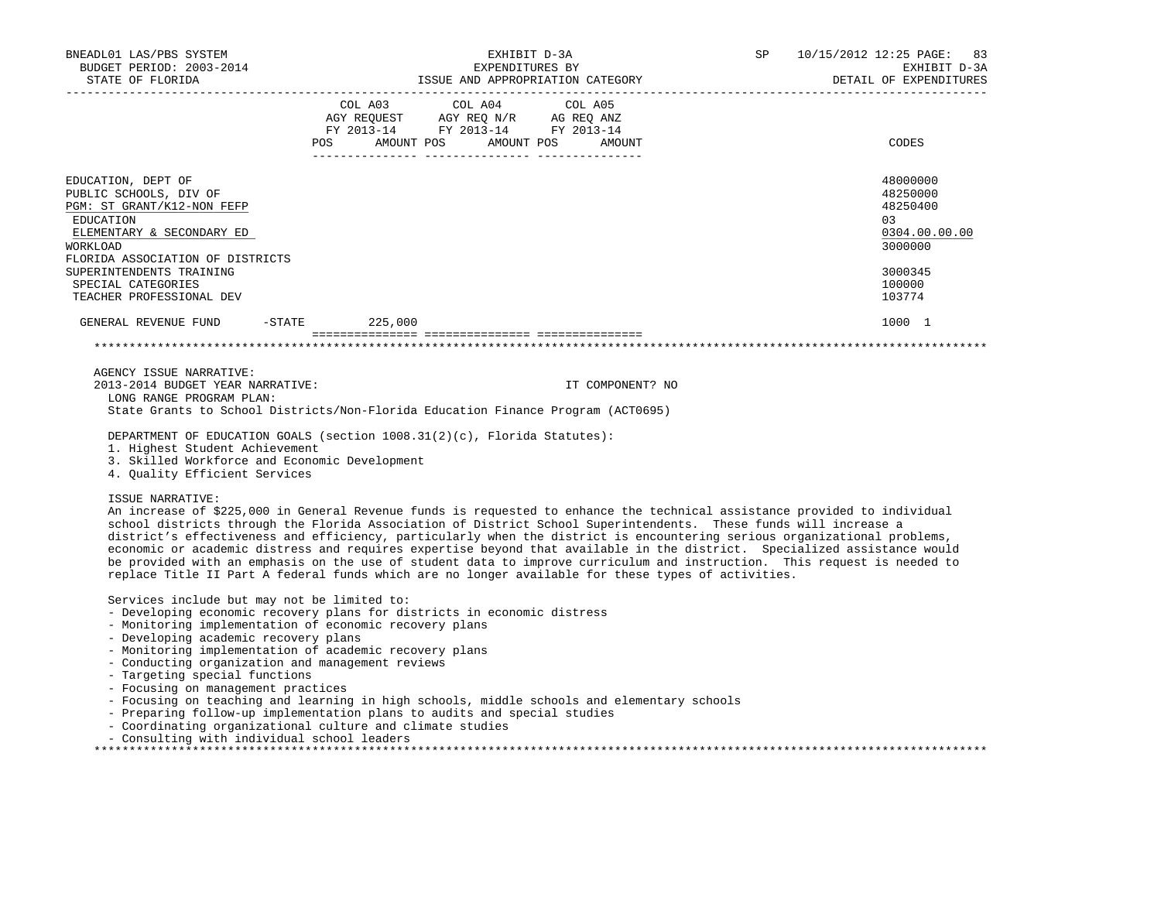| BNEADL01 LAS/PBS SYSTEM<br>BUDGET PERIOD: 2003-2014<br>STATE OF FLORIDA                                                                                                                                                                                                                                                                                                                                                                                                                                                                                                                                                                                                                                                                                                                      |                                                                                                                            | EXHIBIT D-3A<br>EXPENDITURES BY | ISSUE AND APPROPRIATION CATEGORY | SP | 10/15/2012 12:25 PAGE: 83<br>EXHIBIT D-3A<br>DETAIL OF EXPENDITURES |
|----------------------------------------------------------------------------------------------------------------------------------------------------------------------------------------------------------------------------------------------------------------------------------------------------------------------------------------------------------------------------------------------------------------------------------------------------------------------------------------------------------------------------------------------------------------------------------------------------------------------------------------------------------------------------------------------------------------------------------------------------------------------------------------------|----------------------------------------------------------------------------------------------------------------------------|---------------------------------|----------------------------------|----|---------------------------------------------------------------------|
|                                                                                                                                                                                                                                                                                                                                                                                                                                                                                                                                                                                                                                                                                                                                                                                              | COL A03 COL A04 COL A05<br>AGY REQUEST AGY REQ N/R AG REQ ANZ<br>FY 2013-14 FY 2013-14 FY 2013-14<br>AMOUNT POS AMOUNT POS |                                 | AMOUNT                           |    | CODES                                                               |
| EDUCATION, DEPT OF<br>PUBLIC SCHOOLS, DIV OF<br>PGM: ST GRANT/K12-NON FEFP<br>EDUCATION<br>ELEMENTARY & SECONDARY ED<br>WORKLOAD<br>FLORIDA ASSOCIATION OF DISTRICTS                                                                                                                                                                                                                                                                                                                                                                                                                                                                                                                                                                                                                         |                                                                                                                            |                                 |                                  |    | 48000000<br>48250000<br>48250400<br>03<br>0304.00.00.00<br>3000000  |
| SUPERINTENDENTS TRAINING<br>SPECIAL CATEGORIES<br>TEACHER PROFESSIONAL DEV                                                                                                                                                                                                                                                                                                                                                                                                                                                                                                                                                                                                                                                                                                                   |                                                                                                                            |                                 |                                  |    | 3000345<br>100000<br>103774                                         |
| GENERAL REVENUE FUND -STATE 225,000                                                                                                                                                                                                                                                                                                                                                                                                                                                                                                                                                                                                                                                                                                                                                          |                                                                                                                            |                                 |                                  |    | 1000 1                                                              |
|                                                                                                                                                                                                                                                                                                                                                                                                                                                                                                                                                                                                                                                                                                                                                                                              |                                                                                                                            |                                 |                                  |    |                                                                     |
| AGENCY ISSUE NARRATIVE:<br>2013-2014 BUDGET YEAR NARRATIVE:<br>LONG RANGE PROGRAM PLAN:<br>State Grants to School Districts/Non-Florida Education Finance Program (ACT0695)<br>DEPARTMENT OF EDUCATION GOALS (section 1008.31(2)(c), Florida Statutes):<br>1. Highest Student Achievement<br>3. Skilled Workforce and Economic Development                                                                                                                                                                                                                                                                                                                                                                                                                                                   |                                                                                                                            |                                 | IT COMPONENT? NO                 |    |                                                                     |
| 4. Quality Efficient Services<br>ISSUE NARRATIVE:<br>An increase of \$225,000 in General Revenue funds is requested to enhance the technical assistance provided to individual<br>school districts through the Florida Association of District School Superintendents. These funds will increase a<br>district's effectiveness and efficiency, particularly when the district is encountering serious organizational problems,<br>economic or academic distress and requires expertise beyond that available in the district. Specialized assistance would<br>be provided with an emphasis on the use of student data to improve curriculum and instruction. This request is needed to<br>replace Title II Part A federal funds which are no longer available for these types of activities. |                                                                                                                            |                                 |                                  |    |                                                                     |
| Services include but may not be limited to:<br>- Developing economic recovery plans for districts in economic distress<br>- Monitoring implementation of economic recovery plans<br>- Developing academic recovery plans<br>- Monitoring implementation of academic recovery plans<br>- Conducting organization and management reviews<br>- Targeting special functions<br>- Focusing on management practices<br>- Focusing on teaching and learning in high schools, middle schools and elementary schools<br>- Preparing follow-up implementation plans to audits and special studies                                                                                                                                                                                                      |                                                                                                                            |                                 |                                  |    |                                                                     |

\*\*\*\*\*\*\*\*\*\*\*\*\*\*\*\*\*\*\*\*\*\*\*\*\*\*\*\*\*\*\*\*\*\*\*\*\*\*\*\*\*\*\*\*\*\*\*\*\*\*\*\*\*\*\*\*\*\*\*\*\*\*\*\*\*\*\*\*\*\*\*\*\*\*\*\*\*\*\*\*\*\*\*\*\*\*\*\*\*\*\*\*\*\*\*\*\*\*\*\*\*\*\*\*\*\*\*\*\*\*\*\*\*\*\*\*\*\*\*\*\*\*\*\*\*\*\*

- Coordinating organizational culture and climate studies

- Consulting with individual school leaders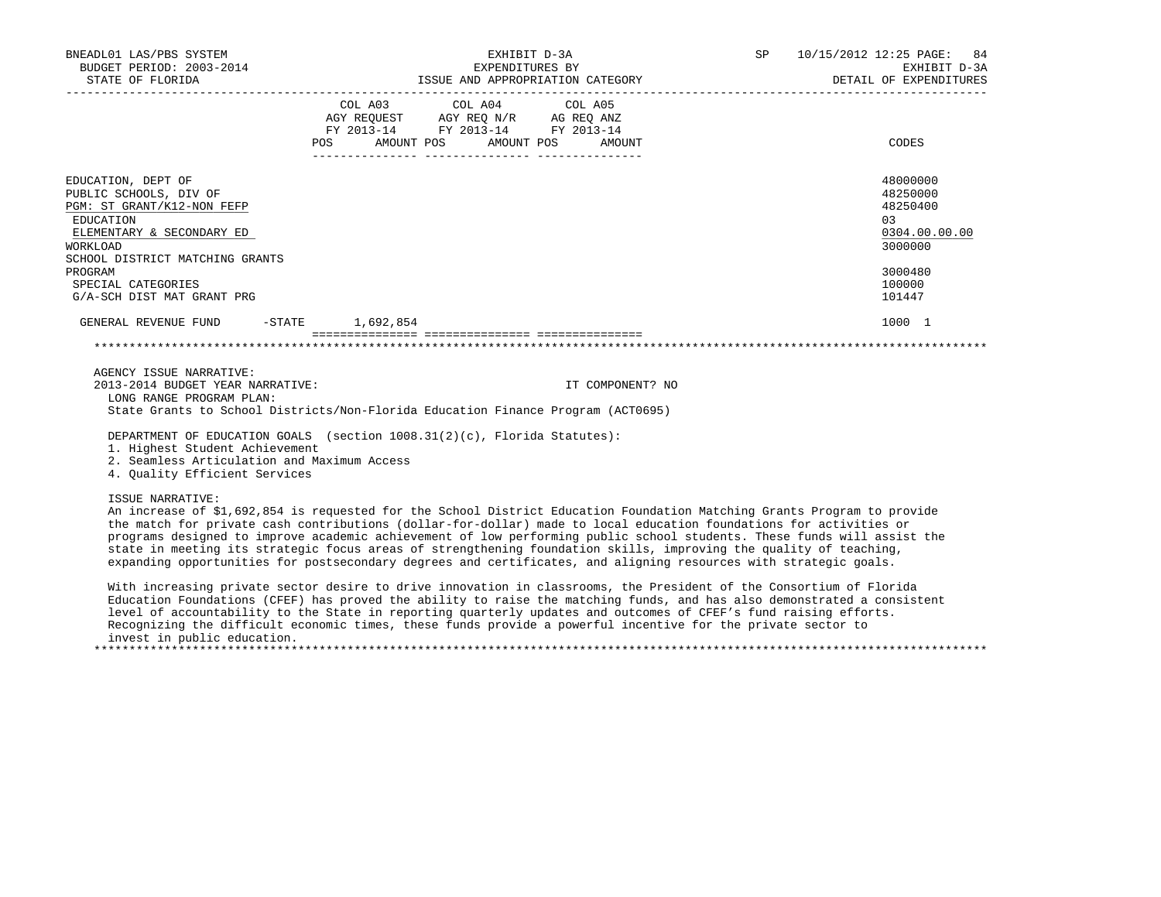| BNEADL01 LAS/PBS SYSTEM                                                                                                                                                                                                                                                                                                                                                                                                                                                                                           | EXHIBIT D-3A                                                                                                                                                                                                                                    | SP 10/15/2012 12:25 PAGE: 84     |                                                                                                    |
|-------------------------------------------------------------------------------------------------------------------------------------------------------------------------------------------------------------------------------------------------------------------------------------------------------------------------------------------------------------------------------------------------------------------------------------------------------------------------------------------------------------------|-------------------------------------------------------------------------------------------------------------------------------------------------------------------------------------------------------------------------------------------------|----------------------------------|----------------------------------------------------------------------------------------------------|
| BUDGET PERIOD: 2003-2014<br>STATE OF FLORIDA                                                                                                                                                                                                                                                                                                                                                                                                                                                                      | EXPENDITURES BY                                                                                                                                                                                                                                 | ISSUE AND APPROPRIATION CATEGORY | EXHIBIT D-3A<br>DETAIL OF EXPENDITURES                                                             |
|                                                                                                                                                                                                                                                                                                                                                                                                                                                                                                                   | COL A03 COL A04 COL A05<br>$\begin{tabular}{lllllllll} \bf AGY \,\, {\sf REQUEST} & \bf AGY \,\, {\sf REQ} \,\, N/R & \bf AG \,\, {\sf REQ} \,\, {\tt ANZ} \\ \bf FY \,\, 2013-14 & \bf FY \,\, 2013-14 & \bf FY \,\, 2013-14 \\ \end{tabular}$ | POS AMOUNT POS AMOUNT POS AMOUNT | CODES                                                                                              |
| EDUCATION, DEPT OF<br>PUBLIC SCHOOLS, DIV OF<br>PGM: ST GRANT/K12-NON FEFP<br>EDUCATION<br>ELEMENTARY & SECONDARY ED<br><b>WORKLOAD</b><br>SCHOOL DISTRICT MATCHING GRANTS<br>PROGRAM<br>SPECIAL CATEGORIES<br>G/A-SCH DIST MAT GRANT PRG                                                                                                                                                                                                                                                                         |                                                                                                                                                                                                                                                 |                                  | 48000000<br>48250000<br>48250400<br>0.3<br>0304.00.00.00<br>3000000<br>3000480<br>100000<br>101447 |
| GENERAL REVENUE FUND -STATE 1,692,854                                                                                                                                                                                                                                                                                                                                                                                                                                                                             |                                                                                                                                                                                                                                                 |                                  | 1000 1                                                                                             |
|                                                                                                                                                                                                                                                                                                                                                                                                                                                                                                                   |                                                                                                                                                                                                                                                 |                                  |                                                                                                    |
| AGENCY ISSUE NARRATIVE:<br>2013-2014 BUDGET YEAR NARRATIVE:<br>LONG RANGE PROGRAM PLAN:<br>State Grants to School Districts/Non-Florida Education Finance Program (ACT0695)                                                                                                                                                                                                                                                                                                                                       |                                                                                                                                                                                                                                                 | IT COMPONENT? NO                 |                                                                                                    |
| DEPARTMENT OF EDUCATION GOALS (section 1008.31(2)(c), Florida Statutes):<br>1. Highest Student Achievement<br>2. Seamless Articulation and Maximum Access<br>4. Quality Efficient Services                                                                                                                                                                                                                                                                                                                        |                                                                                                                                                                                                                                                 |                                  |                                                                                                    |
| ISSUE NARRATIVE:<br>An increase of \$1,692,854 is requested for the School District Education Foundation Matching Grants Program to provide<br>the match for private cash contributions (dollar-for-dollar) made to local education foundations for activities or<br>programs designed to improve academic achievement of low performing public school students. These funds will assist the<br>state in meeting its strategic focus areas of strengthening foundation skills, improving the quality of teaching, |                                                                                                                                                                                                                                                 |                                  |                                                                                                    |

expanding opportunities for postsecondary degrees and certificates, and aligning resources with strategic goals.

 With increasing private sector desire to drive innovation in classrooms, the President of the Consortium of Florida Education Foundations (CFEF) has proved the ability to raise the matching funds, and has also demonstrated a consistent level of accountability to the State in reporting quarterly updates and outcomes of CFEF's fund raising efforts. Recognizing the difficult economic times, these funds provide a powerful incentive for the private sector to invest in public education. \*\*\*\*\*\*\*\*\*\*\*\*\*\*\*\*\*\*\*\*\*\*\*\*\*\*\*\*\*\*\*\*\*\*\*\*\*\*\*\*\*\*\*\*\*\*\*\*\*\*\*\*\*\*\*\*\*\*\*\*\*\*\*\*\*\*\*\*\*\*\*\*\*\*\*\*\*\*\*\*\*\*\*\*\*\*\*\*\*\*\*\*\*\*\*\*\*\*\*\*\*\*\*\*\*\*\*\*\*\*\*\*\*\*\*\*\*\*\*\*\*\*\*\*\*\*\*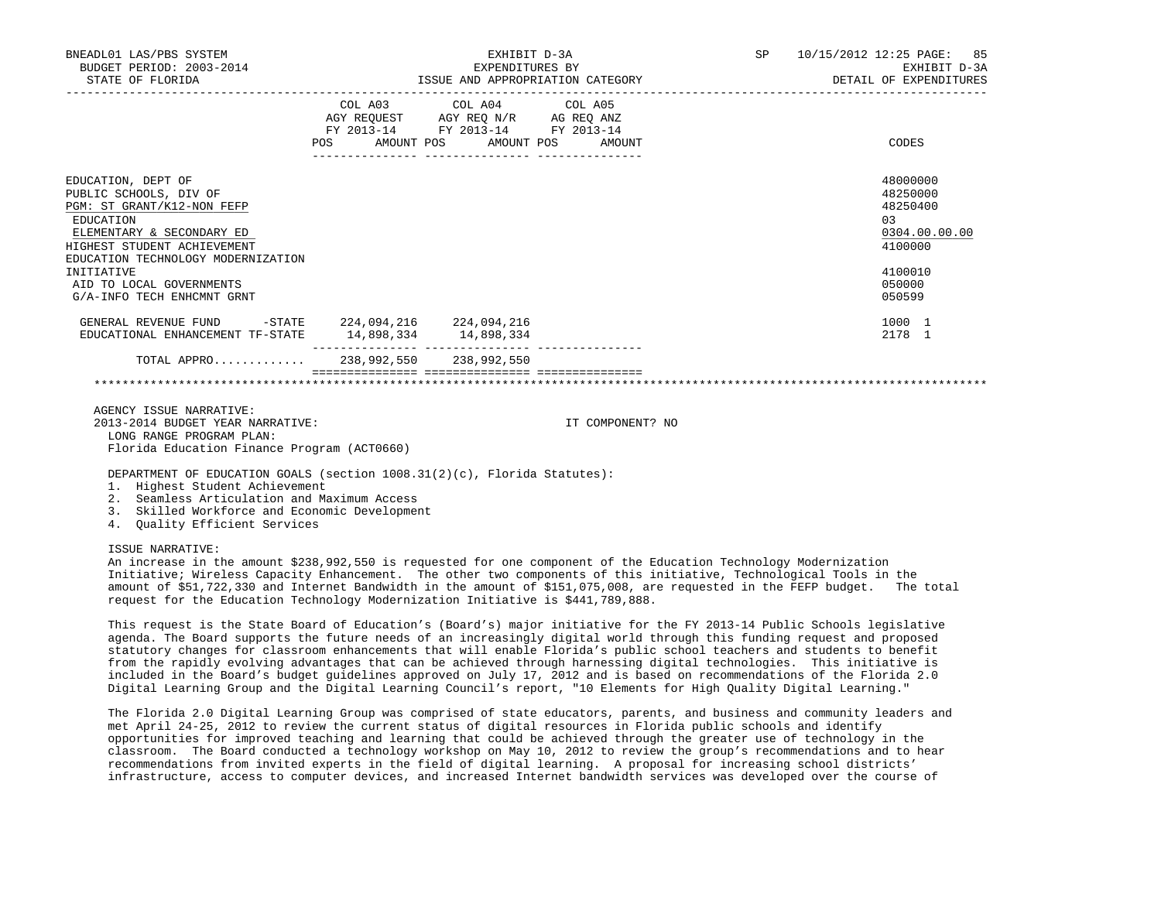| BNEADL01 LAS/PBS SYSTEM<br>BUDGET PERIOD: 2003-2014<br>STATE OF FLORIDA                                                                                                                   |                       | EXHIBIT D-3A<br>EXPENDITURES BY<br>ISSUE AND APPROPRIATION CATEGORY                                                                   | 10/15/2012 12:25 PAGE: 85<br>SP <sub>2</sub><br>EXHIBIT D-3A<br>DETAIL OF EXPENDITURES |
|-------------------------------------------------------------------------------------------------------------------------------------------------------------------------------------------|-----------------------|---------------------------------------------------------------------------------------------------------------------------------------|----------------------------------------------------------------------------------------|
|                                                                                                                                                                                           |                       | COL A03 COL A04 COL A05<br>AGY REQUEST AGY REQ N/R AG REQ ANZ<br>FY 2013-14 FY 2013-14 FY 2013-14<br>POS AMOUNT POS AMOUNT POS AMOUNT | CODES                                                                                  |
| EDUCATION, DEPT OF<br>PUBLIC SCHOOLS, DIV OF<br>PGM: ST GRANT/K12-NON FEFP<br>EDUCATION<br>ELEMENTARY & SECONDARY ED<br>HIGHEST STUDENT ACHIEVEMENT<br>EDUCATION TECHNOLOGY MODERNIZATION |                       |                                                                                                                                       | 48000000<br>48250000<br>48250400<br>0.3<br>0304.00.00.00<br>4100000                    |
| INITIATIVE<br>AID TO LOCAL GOVERNMENTS<br>G/A-INFO TECH ENHCMNT GRNT                                                                                                                      |                       |                                                                                                                                       | 4100010<br>050000<br>050599                                                            |
| GENERAL REVENUE FUND -STATE 224,094,216 224,094,216<br>EDUCATIONAL ENHANCEMENT TF-STATE                                                                                                   | 14,898,334 14,898,334 |                                                                                                                                       | 1000 1<br>2178 1                                                                       |
| TOTAL APPRO 238,992,550 238,992,550                                                                                                                                                       |                       |                                                                                                                                       |                                                                                        |
|                                                                                                                                                                                           |                       |                                                                                                                                       |                                                                                        |

 AGENCY ISSUE NARRATIVE: 2013-2014 BUDGET YEAR NARRATIVE: IT COMPONENT? NO LONG RANGE PROGRAM PLAN: Florida Education Finance Program (ACT0660)

DEPARTMENT OF EDUCATION GOALS (section 1008.31(2)(c), Florida Statutes):

- 1. Highest Student Achievement
- 2. Seamless Articulation and Maximum Access
- 3. Skilled Workforce and Economic Development
- 4. Quality Efficient Services

## ISSUE NARRATIVE:

 An increase in the amount \$238,992,550 is requested for one component of the Education Technology Modernization Initiative; Wireless Capacity Enhancement. The other two components of this initiative, Technological Tools in the amount of \$51,722,330 and Internet Bandwidth in the amount of \$151,075,008, are requested in the FEFP budget. The total request for the Education Technology Modernization Initiative is \$441,789,888.

 This request is the State Board of Education's (Board's) major initiative for the FY 2013-14 Public Schools legislative agenda. The Board supports the future needs of an increasingly digital world through this funding request and proposed statutory changes for classroom enhancements that will enable Florida's public school teachers and students to benefit from the rapidly evolving advantages that can be achieved through harnessing digital technologies. This initiative is included in the Board's budget guidelines approved on July 17, 2012 and is based on recommendations of the Florida 2.0 Digital Learning Group and the Digital Learning Council's report, "10 Elements for High Quality Digital Learning."

 The Florida 2.0 Digital Learning Group was comprised of state educators, parents, and business and community leaders and met April 24-25, 2012 to review the current status of digital resources in Florida public schools and identify opportunities for improved teaching and learning that could be achieved through the greater use of technology in the classroom. The Board conducted a technology workshop on May 10, 2012 to review the group's recommendations and to hear recommendations from invited experts in the field of digital learning. A proposal for increasing school districts' infrastructure, access to computer devices, and increased Internet bandwidth services was developed over the course of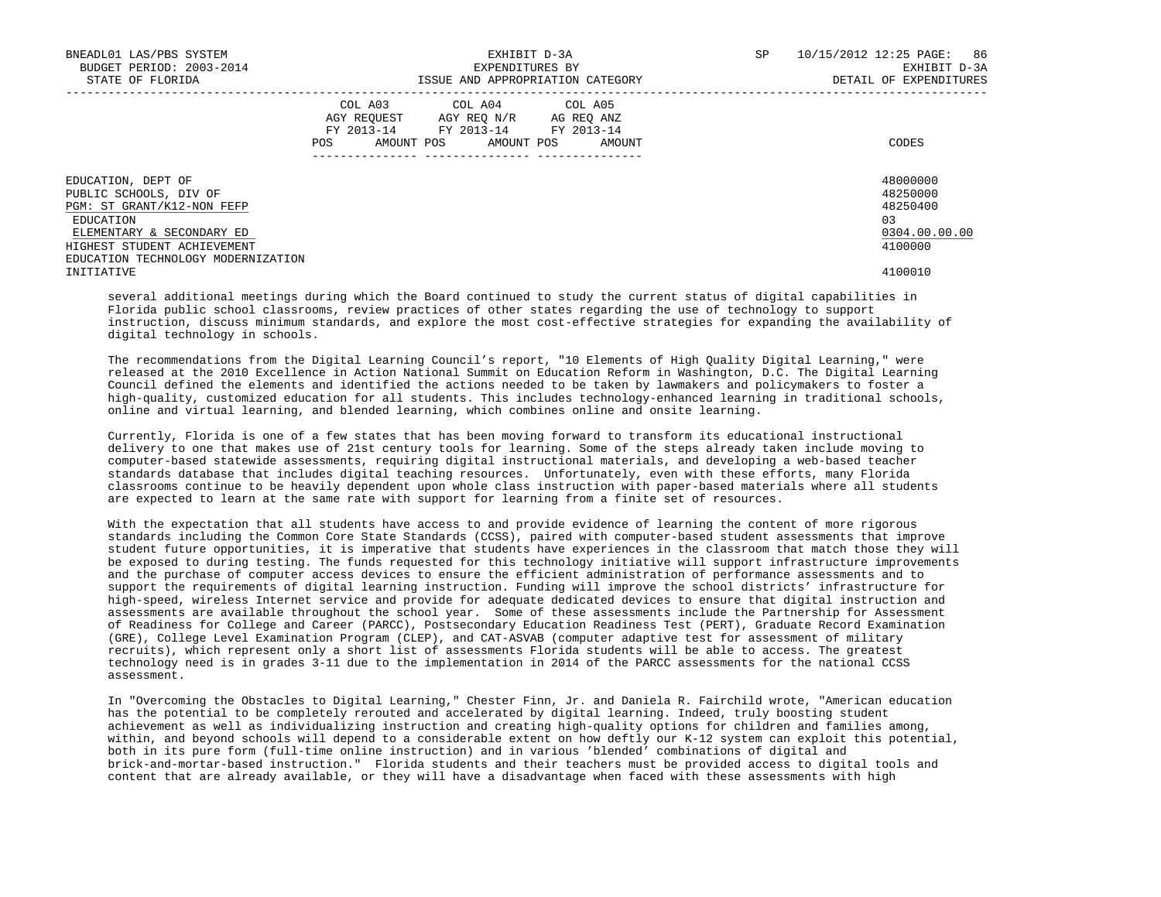| BNEADL01 LAS/PBS SYSTEM<br>BUDGET PERIOD: 2003-2014<br>STATE OF FLORIDA                                                                             |                                                                                                                | EXHIBIT D-3A<br>EXPENDITURES BY<br>ISSUE AND APPROPRIATION CATEGORY                                                               | SP | 10/15/2012 12:25 PAGE: 86<br>EXHIBIT D-3A<br>DETAIL OF EXPENDITURES |                                                                    |
|-----------------------------------------------------------------------------------------------------------------------------------------------------|----------------------------------------------------------------------------------------------------------------|-----------------------------------------------------------------------------------------------------------------------------------|----|---------------------------------------------------------------------|--------------------------------------------------------------------|
|                                                                                                                                                     | POS FOR THE POST OF THE POST OF THE POST OF THE POST OF THE POST OF THE POST OF THE POST OF THE POST OF THE PO | COL A03 COL A04 COL A05<br>AGY REQUEST AGY REQ N/R AG REQ ANZ<br>FY 2013-14 FY 2013-14 FY 2013-14<br>AMOUNT POS AMOUNT POS AMOUNT |    |                                                                     | CODES                                                              |
| EDUCATION, DEPT OF<br>PUBLIC SCHOOLS, DIV OF<br>PGM: ST GRANT/K12-NON FEFP<br>EDUCATION<br>ELEMENTARY & SECONDARY ED<br>HIGHEST STUDENT ACHIEVEMENT |                                                                                                                |                                                                                                                                   |    |                                                                     | 48000000<br>48250000<br>48250400<br>03<br>0304.00.00.00<br>4100000 |
| EDUCATION TECHNOLOGY MODERNIZATION<br>INITIATIVE                                                                                                    |                                                                                                                |                                                                                                                                   |    |                                                                     | 4100010                                                            |

 several additional meetings during which the Board continued to study the current status of digital capabilities in Florida public school classrooms, review practices of other states regarding the use of technology to support instruction, discuss minimum standards, and explore the most cost-effective strategies for expanding the availability of digital technology in schools.

 The recommendations from the Digital Learning Council's report, "10 Elements of High Quality Digital Learning," were released at the 2010 Excellence in Action National Summit on Education Reform in Washington, D.C. The Digital Learning Council defined the elements and identified the actions needed to be taken by lawmakers and policymakers to foster a high-quality, customized education for all students. This includes technology-enhanced learning in traditional schools, online and virtual learning, and blended learning, which combines online and onsite learning.

 Currently, Florida is one of a few states that has been moving forward to transform its educational instructional delivery to one that makes use of 21st century tools for learning. Some of the steps already taken include moving to computer-based statewide assessments, requiring digital instructional materials, and developing a web-based teacher standards database that includes digital teaching resources. Unfortunately, even with these efforts, many Florida classrooms continue to be heavily dependent upon whole class instruction with paper-based materials where all students are expected to learn at the same rate with support for learning from a finite set of resources.

 With the expectation that all students have access to and provide evidence of learning the content of more rigorous standards including the Common Core State Standards (CCSS), paired with computer-based student assessments that improve student future opportunities, it is imperative that students have experiences in the classroom that match those they will be exposed to during testing. The funds requested for this technology initiative will support infrastructure improvements and the purchase of computer access devices to ensure the efficient administration of performance assessments and to support the requirements of digital learning instruction. Funding will improve the school districts' infrastructure for high-speed, wireless Internet service and provide for adequate dedicated devices to ensure that digital instruction and assessments are available throughout the school year. Some of these assessments include the Partnership for Assessment of Readiness for College and Career (PARCC), Postsecondary Education Readiness Test (PERT), Graduate Record Examination (GRE), College Level Examination Program (CLEP), and CAT-ASVAB (computer adaptive test for assessment of military recruits), which represent only a short list of assessments Florida students will be able to access. The greatest technology need is in grades 3-11 due to the implementation in 2014 of the PARCC assessments for the national CCSS assessment.

 In "Overcoming the Obstacles to Digital Learning," Chester Finn, Jr. and Daniela R. Fairchild wrote, "American education has the potential to be completely rerouted and accelerated by digital learning. Indeed, truly boosting student achievement as well as individualizing instruction and creating high-quality options for children and families among, within, and beyond schools will depend to a considerable extent on how deftly our K-12 system can exploit this potential, both in its pure form (full-time online instruction) and in various 'blended' combinations of digital and brick-and-mortar-based instruction." Florida students and their teachers must be provided access to digital tools and content that are already available, or they will have a disadvantage when faced with these assessments with high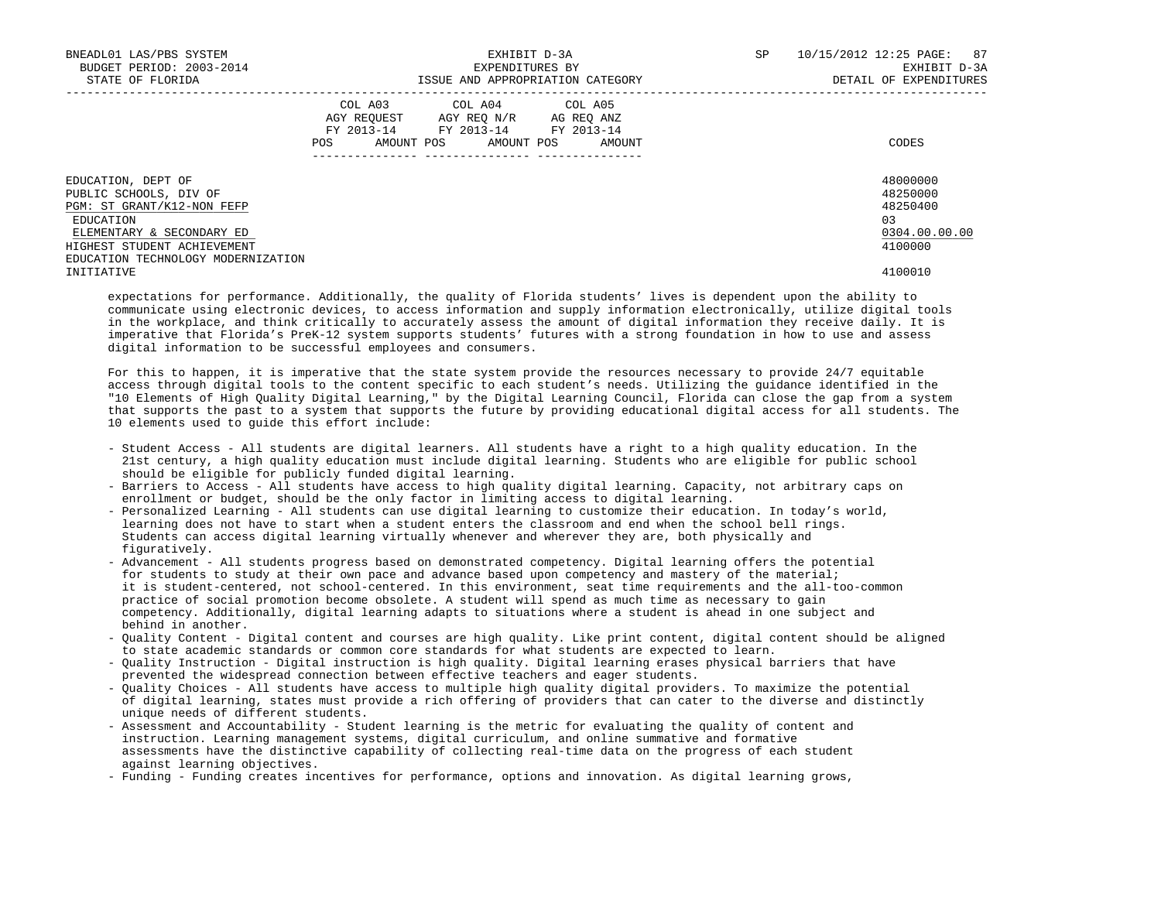| BNEADL01 LAS/PBS SYSTEM<br>BUDGET PERIOD: 2003-2014<br>STATE OF FLORIDA                                                                                                                   | EXHIBIT D-3A<br>EXPENDITURES BY<br>ISSUE AND APPROPRIATION CATEGORY |            |  |                                                                                                                 |  | SP     | 10/15/2012 12:25 PAGE: 87<br>EXHIBIT D-3A<br>DETAIL OF EXPENDITURES |                                                                    |
|-------------------------------------------------------------------------------------------------------------------------------------------------------------------------------------------|---------------------------------------------------------------------|------------|--|-----------------------------------------------------------------------------------------------------------------|--|--------|---------------------------------------------------------------------|--------------------------------------------------------------------|
|                                                                                                                                                                                           | POS                                                                 | AMOUNT POS |  | COL A03 COL A04 COL A05<br>AGY REQUEST AGY REO N/R AG REO ANZ<br>FY 2013-14 FY 2013-14 FY 2013-14<br>AMOUNT POS |  | AMOUNT |                                                                     | CODES                                                              |
| EDUCATION, DEPT OF<br>PUBLIC SCHOOLS, DIV OF<br>PGM: ST GRANT/K12-NON FEFP<br>EDUCATION<br>ELEMENTARY & SECONDARY ED<br>HIGHEST STUDENT ACHIEVEMENT<br>EDUCATION TECHNOLOGY MODERNIZATION |                                                                     |            |  |                                                                                                                 |  |        |                                                                     | 48000000<br>48250000<br>48250400<br>03<br>0304.00.00.00<br>4100000 |
| INITIATIVE                                                                                                                                                                                |                                                                     |            |  |                                                                                                                 |  |        |                                                                     | 4100010                                                            |

 expectations for performance. Additionally, the quality of Florida students' lives is dependent upon the ability to communicate using electronic devices, to access information and supply information electronically, utilize digital tools in the workplace, and think critically to accurately assess the amount of digital information they receive daily. It is imperative that Florida's PreK-12 system supports students' futures with a strong foundation in how to use and assess digital information to be successful employees and consumers.

 For this to happen, it is imperative that the state system provide the resources necessary to provide 24/7 equitable access through digital tools to the content specific to each student's needs. Utilizing the guidance identified in the "10 Elements of High Quality Digital Learning," by the Digital Learning Council, Florida can close the gap from a system that supports the past to a system that supports the future by providing educational digital access for all students. The 10 elements used to guide this effort include:

- Student Access All students are digital learners. All students have a right to a high quality education. In the 21st century, a high quality education must include digital learning. Students who are eligible for public school should be eligible for publicly funded digital learning.
- Barriers to Access All students have access to high quality digital learning. Capacity, not arbitrary caps on enrollment or budget, should be the only factor in limiting access to digital learning.
- Personalized Learning All students can use digital learning to customize their education. In today's world, learning does not have to start when a student enters the classroom and end when the school bell rings. Students can access digital learning virtually whenever and wherever they are, both physically and figuratively.
- Advancement All students progress based on demonstrated competency. Digital learning offers the potential for students to study at their own pace and advance based upon competency and mastery of the material; it is student-centered, not school-centered. In this environment, seat time requirements and the all-too-common practice of social promotion become obsolete. A student will spend as much time as necessary to gain competency. Additionally, digital learning adapts to situations where a student is ahead in one subject and behind in another.
- Quality Content Digital content and courses are high quality. Like print content, digital content should be aligned to state academic standards or common core standards for what students are expected to learn.
- Quality Instruction Digital instruction is high quality. Digital learning erases physical barriers that have prevented the widespread connection between effective teachers and eager students.
- Quality Choices All students have access to multiple high quality digital providers. To maximize the potential of digital learning, states must provide a rich offering of providers that can cater to the diverse and distinctly unique needs of different students.
- Assessment and Accountability Student learning is the metric for evaluating the quality of content and instruction. Learning management systems, digital curriculum, and online summative and formative assessments have the distinctive capability of collecting real-time data on the progress of each student against learning objectives.
- Funding Funding creates incentives for performance, options and innovation. As digital learning grows,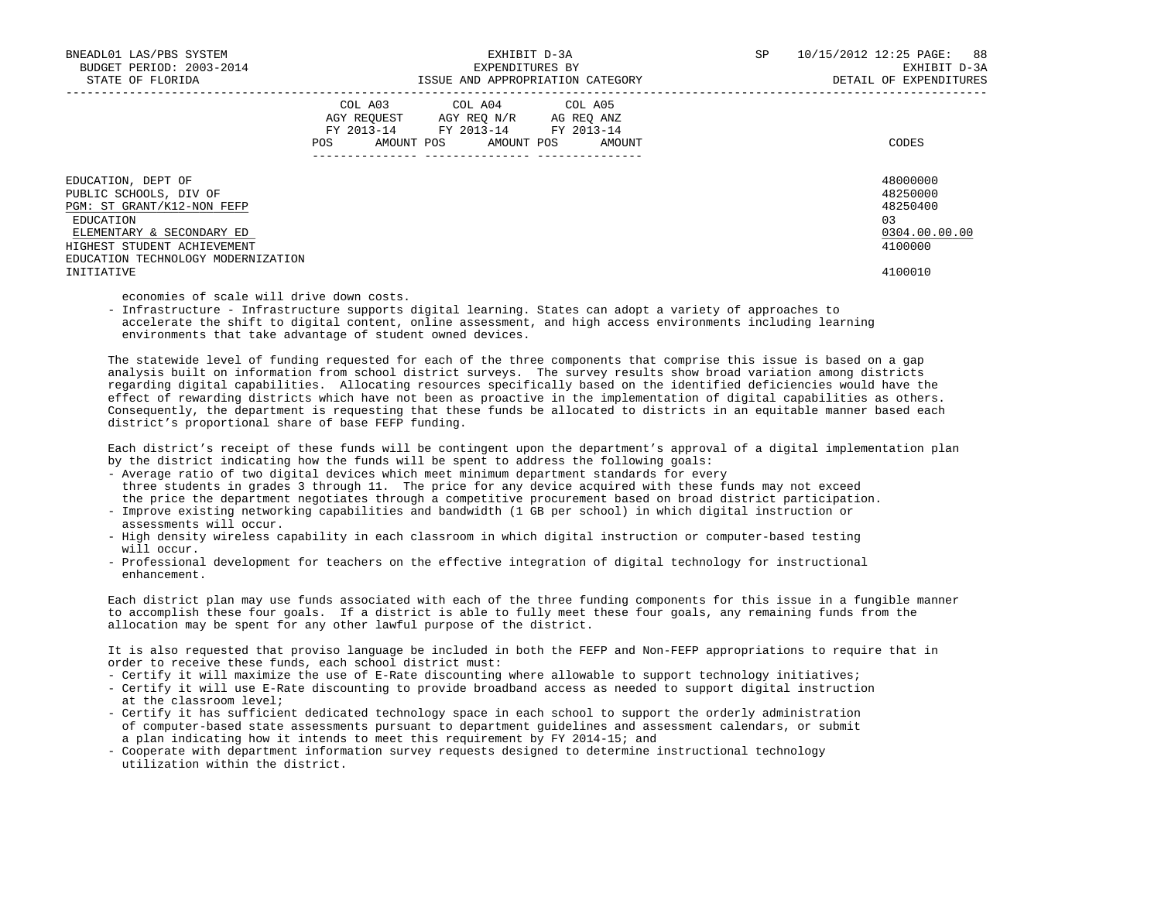| BNEADL01 LAS/PBS SYSTEM<br>BUDGET PERIOD: 2003-2014<br>STATE OF FLORIDA                                                                                                                                 |            | EXHIBIT D-3A<br>EXPENDITURES BY<br>ISSUE AND APPROPRIATION CATEGORY                                                                                   | SP | 10/15/2012 12:25 PAGE: 88<br>EXHIBIT D-3A<br>DETAIL OF EXPENDITURES           |
|---------------------------------------------------------------------------------------------------------------------------------------------------------------------------------------------------------|------------|-------------------------------------------------------------------------------------------------------------------------------------------------------|----|-------------------------------------------------------------------------------|
|                                                                                                                                                                                                         | <b>POS</b> | COL A03 COL A04 COL A05<br>AGY REOUEST AGY REO N/R AG REO ANZ<br>FY 2013-14 FY 2013-14 FY 2013-14<br>AMOUNT POS AMOUNT POS AMOUNT<br>---------------- |    | CODES                                                                         |
| EDUCATION, DEPT OF<br>PUBLIC SCHOOLS, DIV OF<br>PGM: ST GRANT/K12-NON FEFP<br>EDUCATION<br>ELEMENTARY & SECONDARY ED<br>HIGHEST STUDENT ACHIEVEMENT<br>EDUCATION TECHNOLOGY MODERNIZATION<br>INITIATIVE |            |                                                                                                                                                       |    | 48000000<br>48250000<br>48250400<br>03<br>0304.00.00.00<br>4100000<br>4100010 |

economies of scale will drive down costs.

 - Infrastructure - Infrastructure supports digital learning. States can adopt a variety of approaches to accelerate the shift to digital content, online assessment, and high access environments including learning environments that take advantage of student owned devices.

 The statewide level of funding requested for each of the three components that comprise this issue is based on a gap analysis built on information from school district surveys. The survey results show broad variation among districts regarding digital capabilities. Allocating resources specifically based on the identified deficiencies would have the effect of rewarding districts which have not been as proactive in the implementation of digital capabilities as others. Consequently, the department is requesting that these funds be allocated to districts in an equitable manner based each district's proportional share of base FEFP funding.

 Each district's receipt of these funds will be contingent upon the department's approval of a digital implementation plan by the district indicating how the funds will be spent to address the following goals:

- Average ratio of two digital devices which meet minimum department standards for every three students in grades 3 through 11. The price for any device acquired with these funds may not exceed the price the department negotiates through a competitive procurement based on broad district participation.
- Improve existing networking capabilities and bandwidth (1 GB per school) in which digital instruction or assessments will occur.
- High density wireless capability in each classroom in which digital instruction or computer-based testing will occur.
- Professional development for teachers on the effective integration of digital technology for instructional enhancement.

 Each district plan may use funds associated with each of the three funding components for this issue in a fungible manner to accomplish these four goals. If a district is able to fully meet these four goals, any remaining funds from the allocation may be spent for any other lawful purpose of the district.

 It is also requested that proviso language be included in both the FEFP and Non-FEFP appropriations to require that in order to receive these funds, each school district must:

- Certify it will maximize the use of E-Rate discounting where allowable to support technology initiatives;
- Certify it will use E-Rate discounting to provide broadband access as needed to support digital instruction at the classroom level;
- Certify it has sufficient dedicated technology space in each school to support the orderly administration of computer-based state assessments pursuant to department guidelines and assessment calendars, or submit a plan indicating how it intends to meet this requirement by FY 2014-15; and
- Cooperate with department information survey requests designed to determine instructional technology utilization within the district.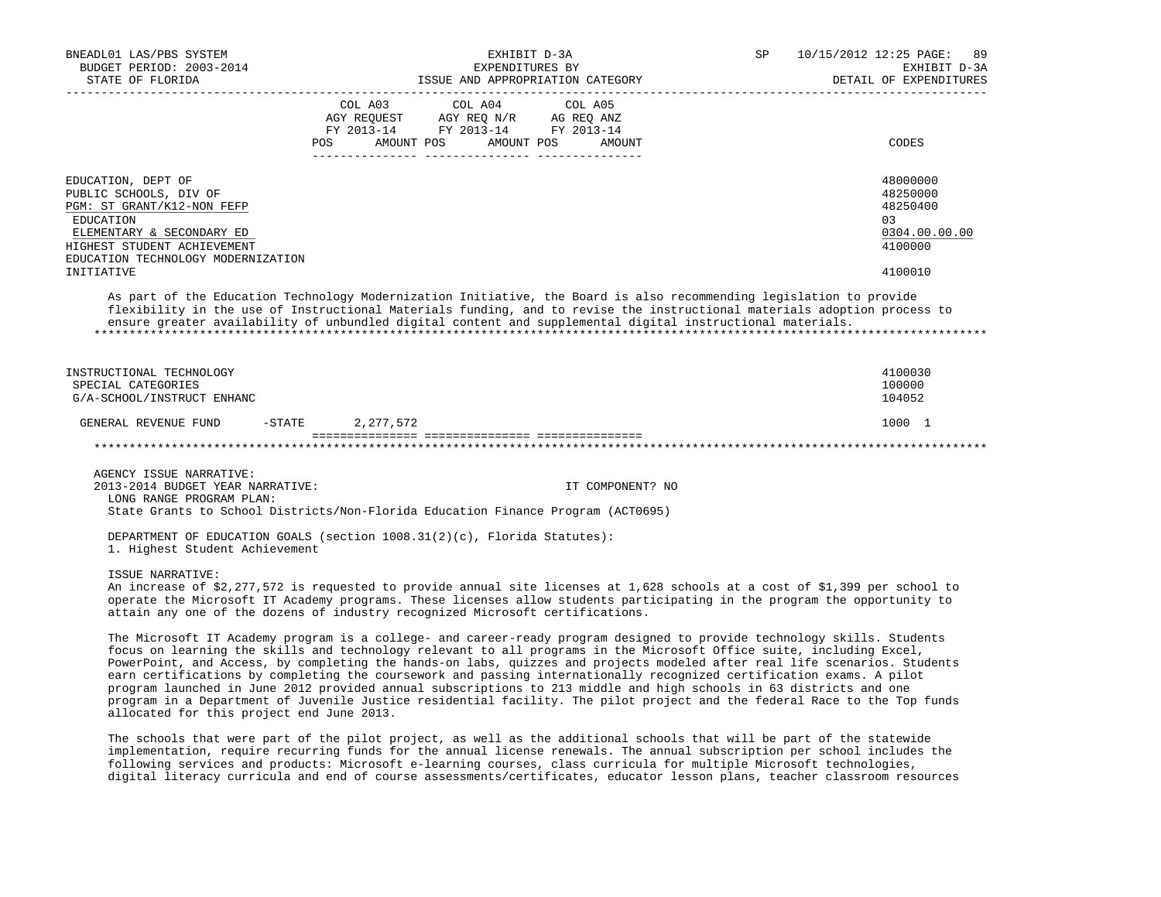| BNEADL01 LAS/PBS SYSTEM<br>BUDGET PERIOD: 2003-2014<br>STATE OF FLORIDA                                                                                                                                                                                                                                                                                                                                                                                                                                                                                                                                                                                                                                                                                                                              | EXHIBIT D-3A<br>EXPENDITURES BY<br>ISSUE AND APPROPRIATION CATEGORY |                                                                                                                                                                                                                                        |                   | SP | 10/15/2012 12:25 PAGE: 89<br>EXHIBIT D-3A<br>DETAIL OF EXPENDITURES           |
|------------------------------------------------------------------------------------------------------------------------------------------------------------------------------------------------------------------------------------------------------------------------------------------------------------------------------------------------------------------------------------------------------------------------------------------------------------------------------------------------------------------------------------------------------------------------------------------------------------------------------------------------------------------------------------------------------------------------------------------------------------------------------------------------------|---------------------------------------------------------------------|----------------------------------------------------------------------------------------------------------------------------------------------------------------------------------------------------------------------------------------|-------------------|----|-------------------------------------------------------------------------------|
|                                                                                                                                                                                                                                                                                                                                                                                                                                                                                                                                                                                                                                                                                                                                                                                                      | COL A03<br>AMOUNT POS<br>POS                                        | COL A04<br>$\begin{tabular}{lllllll} \bf AGY \,\,\, REQUEST \,\,\, & \bf AG \,\,\, REQ \,\, N/R & \,\, AC \,\, REQ \,\, ANZ \\ \bf FY \,\,\, 2013-14 & \,\, FY \,\,\, 2013-14 & \,\, FY \,\,\, 2013-14 \\ \end{tabular}$<br>AMOUNT POS | COL A05<br>AMOUNT |    | CODES                                                                         |
| EDUCATION, DEPT OF<br>PUBLIC SCHOOLS, DIV OF<br>PGM: ST GRANT/K12-NON FEFP<br>EDUCATION<br>ELEMENTARY & SECONDARY ED<br>HIGHEST STUDENT ACHIEVEMENT<br>EDUCATION TECHNOLOGY MODERNIZATION<br>INITIATIVE                                                                                                                                                                                                                                                                                                                                                                                                                                                                                                                                                                                              |                                                                     |                                                                                                                                                                                                                                        |                   |    | 48000000<br>48250000<br>48250400<br>03<br>0304.00.00.00<br>4100000<br>4100010 |
| As part of the Education Technology Modernization Initiative, the Board is also recommending legislation to provide<br>flexibility in the use of Instructional Materials funding, and to revise the instructional materials adoption process to<br>ensure greater availability of unbundled digital content and supplemental digital instructional materials.                                                                                                                                                                                                                                                                                                                                                                                                                                        |                                                                     |                                                                                                                                                                                                                                        |                   |    |                                                                               |
| INSTRUCTIONAL TECHNOLOGY<br>SPECIAL CATEGORIES<br>G/A-SCHOOL/INSTRUCT ENHANC                                                                                                                                                                                                                                                                                                                                                                                                                                                                                                                                                                                                                                                                                                                         |                                                                     |                                                                                                                                                                                                                                        |                   |    | 4100030<br>100000<br>104052                                                   |
| $-STATE$<br>GENERAL REVENUE FUND                                                                                                                                                                                                                                                                                                                                                                                                                                                                                                                                                                                                                                                                                                                                                                     | 2,277,572                                                           |                                                                                                                                                                                                                                        |                   |    | 1000 1                                                                        |
|                                                                                                                                                                                                                                                                                                                                                                                                                                                                                                                                                                                                                                                                                                                                                                                                      |                                                                     |                                                                                                                                                                                                                                        |                   |    |                                                                               |
| AGENCY ISSUE NARRATIVE:<br>2013-2014 BUDGET YEAR NARRATIVE:<br>LONG RANGE PROGRAM PLAN:<br>State Grants to School Districts/Non-Florida Education Finance Program (ACT0695)                                                                                                                                                                                                                                                                                                                                                                                                                                                                                                                                                                                                                          |                                                                     |                                                                                                                                                                                                                                        | IT COMPONENT? NO  |    |                                                                               |
| DEPARTMENT OF EDUCATION GOALS (section $1008.31(2)(c)$ , Florida Statutes):<br>1. Highest Student Achievement                                                                                                                                                                                                                                                                                                                                                                                                                                                                                                                                                                                                                                                                                        |                                                                     |                                                                                                                                                                                                                                        |                   |    |                                                                               |
| ISSUE NARRATIVE:<br>An increase of \$2,277,572 is requested to provide annual site licenses at 1,628 schools at a cost of \$1,399 per school to<br>operate the Microsoft IT Academy programs. These licenses allow students participating in the program the opportunity to<br>attain any one of the dozens of industry recognized Microsoft certifications.                                                                                                                                                                                                                                                                                                                                                                                                                                         |                                                                     |                                                                                                                                                                                                                                        |                   |    |                                                                               |
| The Microsoft IT Academy program is a college- and career-ready program designed to provide technology skills. Students<br>focus on learning the skills and technology relevant to all programs in the Microsoft Office suite, including Excel,<br>PowerPoint, and Access, by completing the hands-on labs, quizzes and projects modeled after real life scenarios. Students<br>earn certifications by completing the coursework and passing internationally recognized certification exams. A pilot<br>program launched in June 2012 provided annual subscriptions to 213 middle and high schools in 63 districts and one<br>program in a Department of Juvenile Justice residential facility. The pilot project and the federal Race to the Top funds<br>allocated for this project end June 2013. |                                                                     |                                                                                                                                                                                                                                        |                   |    |                                                                               |
| The schools that were part of the pilot project, as well as the additional schools that will be part of the statewide<br>implementation, require recurring funds for the annual license renewals. The annual subscription per school includes the<br>following services and products: Microsoft e-learning courses, class curricula for multiple Microsoft technologies,<br>digital literacy curricula and end of course assessments/certificates, educator lesson plans, teacher classroom resources                                                                                                                                                                                                                                                                                                |                                                                     |                                                                                                                                                                                                                                        |                   |    |                                                                               |
|                                                                                                                                                                                                                                                                                                                                                                                                                                                                                                                                                                                                                                                                                                                                                                                                      |                                                                     |                                                                                                                                                                                                                                        |                   |    |                                                                               |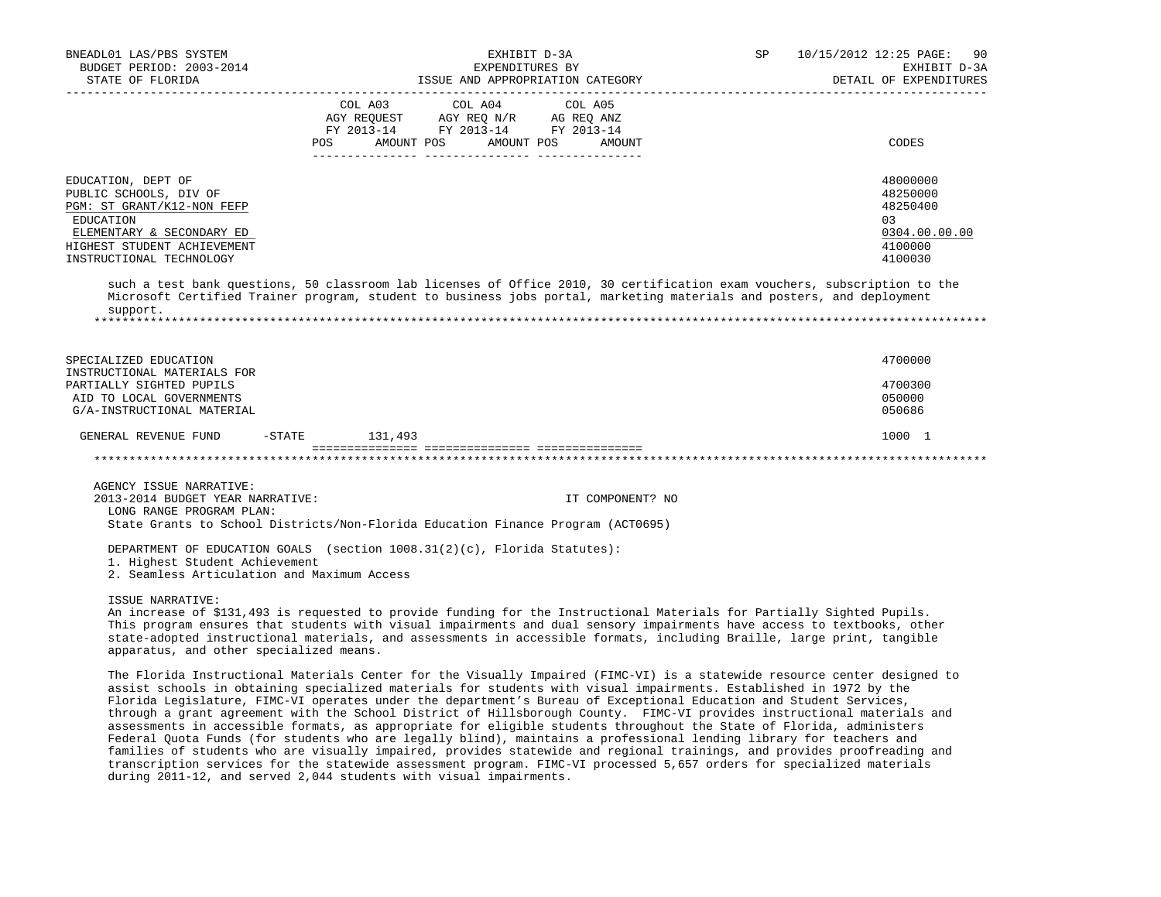| BNEADL01 LAS/PBS SYSTEM<br>BUDGET PERIOD: 2003-2014                                                                                                                                                                                                                                                                                                                                                                                        |                  | EXHIBIT D-3A<br>EXPENDITURES BY                                      |                   | SP | 10/15/2012 12:25 PAGE: 90<br>EXHIBIT D-3A<br>DETAIL OF EXPENDITURES            |
|--------------------------------------------------------------------------------------------------------------------------------------------------------------------------------------------------------------------------------------------------------------------------------------------------------------------------------------------------------------------------------------------------------------------------------------------|------------------|----------------------------------------------------------------------|-------------------|----|--------------------------------------------------------------------------------|
|                                                                                                                                                                                                                                                                                                                                                                                                                                            | COL A03<br>POS   | COL A04<br>FY 2013-14 FY 2013-14 FY 2013-14<br>AMOUNT POS AMOUNT POS | COL A05<br>AMOUNT |    | CODES                                                                          |
| EDUCATION, DEPT OF<br>PUBLIC SCHOOLS, DIV OF<br>PGM: ST GRANT/K12-NON FEFP<br><b>EDUCATION</b><br>ELEMENTARY & SECONDARY ED<br>HIGHEST STUDENT ACHIEVEMENT<br>INSTRUCTIONAL TECHNOLOGY                                                                                                                                                                                                                                                     |                  |                                                                      |                   |    | 48000000<br>48250000<br>48250400<br>0.3<br>0304.00.00.00<br>4100000<br>4100030 |
| such a test bank questions, 50 classroom lab licenses of Office 2010, 30 certification exam vouchers, subscription to the<br>Microsoft Certified Trainer program, student to business jobs portal, marketing materials and posters, and deployment<br>support.                                                                                                                                                                             |                  |                                                                      |                   |    |                                                                                |
| SPECIALIZED EDUCATION<br>INSTRUCTIONAL MATERIALS FOR<br>PARTIALLY SIGHTED PUPILS<br>AID TO LOCAL GOVERNMENTS<br>G/A-INSTRUCTIONAL MATERIAL                                                                                                                                                                                                                                                                                                 |                  |                                                                      |                   |    | 4700000<br>4700300<br>050000<br>050686                                         |
| GENERAL REVENUE FUND                                                                                                                                                                                                                                                                                                                                                                                                                       | $-STATE$ 131,493 |                                                                      |                   |    | 1000 1                                                                         |
|                                                                                                                                                                                                                                                                                                                                                                                                                                            |                  |                                                                      |                   |    |                                                                                |
| AGENCY ISSUE NARRATIVE:<br>2013-2014 BUDGET YEAR NARRATIVE:<br>LONG RANGE PROGRAM PLAN:<br>State Grants to School Districts/Non-Florida Education Finance Program (ACT0695)                                                                                                                                                                                                                                                                |                  |                                                                      | IT COMPONENT? NO  |    |                                                                                |
| DEPARTMENT OF EDUCATION GOALS (section $1008.31(2)(c)$ , Florida Statutes):<br>1. Highest Student Achievement<br>2. Seamless Articulation and Maximum Access                                                                                                                                                                                                                                                                               |                  |                                                                      |                   |    |                                                                                |
| ISSUE NARRATIVE:<br>An increase of \$131,493 is requested to provide funding for the Instructional Materials for Partially Sighted Pupils.<br>This program ensures that students with visual impairments and dual sensory impairments have access to textbooks, other<br>state-adopted instructional materials, and assessments in accessible formats, including Braille, large print, tangible<br>apparatus, and other specialized means. |                  |                                                                      |                   |    |                                                                                |

 The Florida Instructional Materials Center for the Visually Impaired (FIMC-VI) is a statewide resource center designed to assist schools in obtaining specialized materials for students with visual impairments. Established in 1972 by the Florida Legislature, FIMC-VI operates under the department's Bureau of Exceptional Education and Student Services, through a grant agreement with the School District of Hillsborough County. FIMC-VI provides instructional materials and assessments in accessible formats, as appropriate for eligible students throughout the State of Florida, administers Federal Quota Funds (for students who are legally blind), maintains a professional lending library for teachers and families of students who are visually impaired, provides statewide and regional trainings, and provides proofreading and transcription services for the statewide assessment program. FIMC-VI processed 5,657 orders for specialized materials during 2011-12, and served 2,044 students with visual impairments.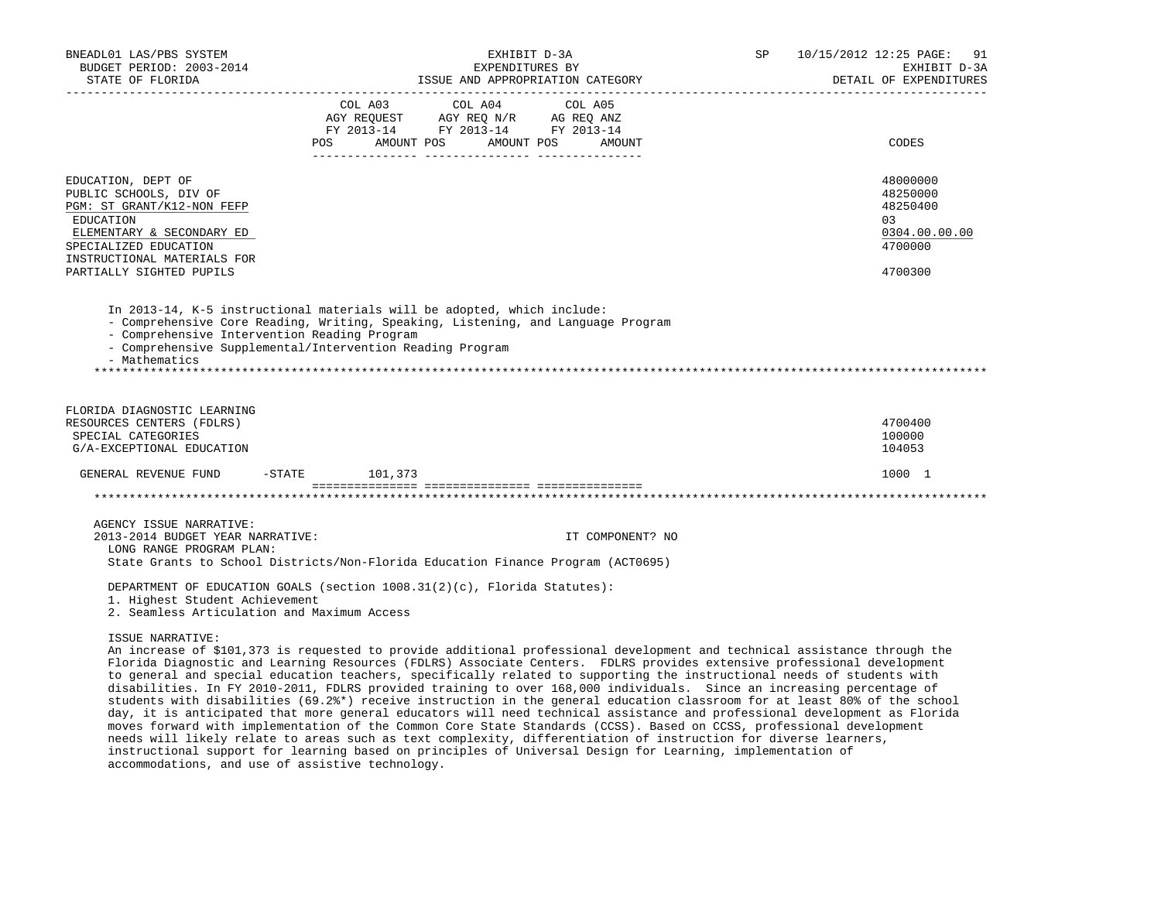| BNEADL01 LAS/PBS SYSTEM<br>BUDGET PERIOD: 2003-2014<br>STATE OF FLORIDA                                                                                                                                  | EXHIBIT D-3A<br>EXPENDITURES BY<br>ISSUE AND APPROPRIATION CATEGORY                                                                                                                                                                                                                                                                                                                                                                                                                                                                                                                                                                 | 10/15/2012 12:25 PAGE: 91<br>SP | EXHIBIT D-3A<br>DETAIL OF EXPENDITURES                                  |
|----------------------------------------------------------------------------------------------------------------------------------------------------------------------------------------------------------|-------------------------------------------------------------------------------------------------------------------------------------------------------------------------------------------------------------------------------------------------------------------------------------------------------------------------------------------------------------------------------------------------------------------------------------------------------------------------------------------------------------------------------------------------------------------------------------------------------------------------------------|---------------------------------|-------------------------------------------------------------------------|
| ___________________________________                                                                                                                                                                      | COL A03<br>COL A04 COL A05<br>AGY REQUEST AGY REQ N/R AG REQ ANZ<br>FY 2013-14 FY 2013-14 FY 2013-14<br><b>POS</b><br>AMOUNT POS AMOUNT POS<br>AMOUNT                                                                                                                                                                                                                                                                                                                                                                                                                                                                               | _________________________       | CODES                                                                   |
| EDUCATION, DEPT OF<br>PUBLIC SCHOOLS, DIV OF<br>PGM: ST GRANT/K12-NON FEFP<br>EDUCATION<br>ELEMENTARY & SECONDARY ED<br>SPECIALIZED EDUCATION<br>INSTRUCTIONAL MATERIALS FOR<br>PARTIALLY SIGHTED PUPILS |                                                                                                                                                                                                                                                                                                                                                                                                                                                                                                                                                                                                                                     | 03                              | 48000000<br>48250000<br>48250400<br>0304.00.00.00<br>4700000<br>4700300 |
| - Comprehensive Intervention Reading Program<br>- Mathematics                                                                                                                                            | In 2013-14, K-5 instructional materials will be adopted, which include:<br>- Comprehensive Core Reading, Writing, Speaking, Listening, and Language Program<br>- Comprehensive Supplemental/Intervention Reading Program                                                                                                                                                                                                                                                                                                                                                                                                            |                                 |                                                                         |
| FLORIDA DIAGNOSTIC LEARNING<br>RESOURCES CENTERS (FDLRS)<br>SPECIAL CATEGORIES<br>G/A-EXCEPTIONAL EDUCATION                                                                                              |                                                                                                                                                                                                                                                                                                                                                                                                                                                                                                                                                                                                                                     | 100000<br>104053                | 4700400                                                                 |
| GENERAL REVENUE FUND                                                                                                                                                                                     | $-STATE$ 101,373                                                                                                                                                                                                                                                                                                                                                                                                                                                                                                                                                                                                                    |                                 | 1000 1                                                                  |
|                                                                                                                                                                                                          |                                                                                                                                                                                                                                                                                                                                                                                                                                                                                                                                                                                                                                     |                                 |                                                                         |
| AGENCY ISSUE NARRATIVE:<br>2013-2014 BUDGET YEAR NARRATIVE:<br>LONG RANGE PROGRAM PLAN:                                                                                                                  | IT COMPONENT? NO<br>State Grants to School Districts/Non-Florida Education Finance Program (ACT0695)                                                                                                                                                                                                                                                                                                                                                                                                                                                                                                                                |                                 |                                                                         |
| 1. Highest Student Achievement<br>2. Seamless Articulation and Maximum Access                                                                                                                            | DEPARTMENT OF EDUCATION GOALS (section $1008.31(2)(c)$ , Florida Statutes):                                                                                                                                                                                                                                                                                                                                                                                                                                                                                                                                                         |                                 |                                                                         |
| ISSUE NARRATIVE:                                                                                                                                                                                         | An increase of \$101,373 is requested to provide additional professional development and technical assistance through the<br>Florida Diagnostic and Learning Resources (FDLRS) Associate Centers. FDLRS provides extensive professional development<br>to general and special education teachers, specifically related to supporting the instructional needs of students with<br>disabilities. In FY 2010-2011, FDLRS provided training to over 168,000 individuals. Since an increasing percentage of<br>students with disabilities (69.2%*) receive instruction in the general education classroom for at least 80% of the school |                                 |                                                                         |

 moves forward with implementation of the Common Core State Standards (CCSS). Based on CCSS, professional development needs will likely relate to areas such as text complexity, differentiation of instruction for diverse learners, instructional support for learning based on principles of Universal Design for Learning, implementation of accommodations, and use of assistive technology.

day, it is anticipated that more general educators will need technical assistance and professional development as Florida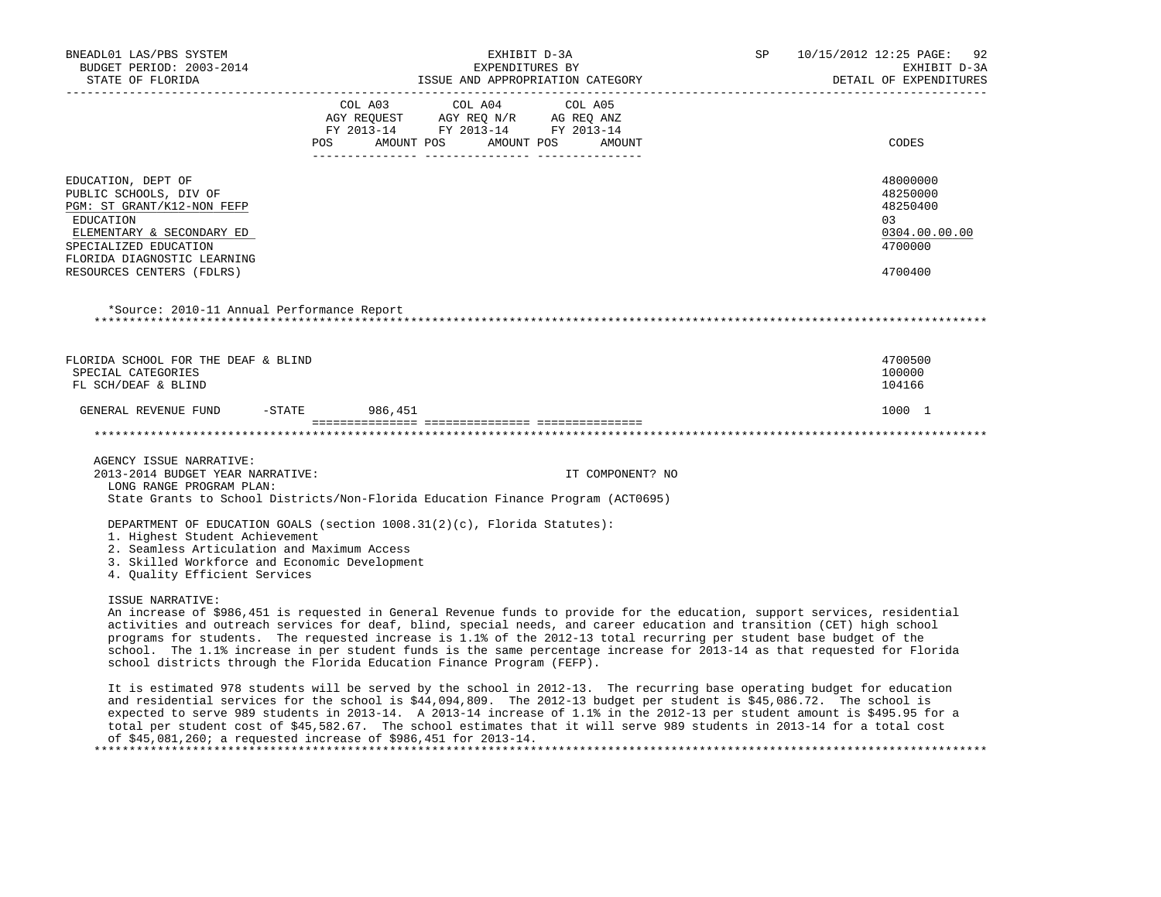| BNEADL01 LAS/PBS SYSTEM<br>BUDGET PERIOD: 2003-2014<br>STATE OF FLORIDA                                                                                                                                   | EXHIBIT D-3A<br>EXPENDITURES BY<br>EXPENDITURES BY<br>ISSUE AND APPROPRIATION CATEGORY                                                                                                                                                                                                                                                                                                                                                                                                                                                                                            | SP | 10/15/2012 12:25 PAGE: 92<br>EXHIBIT D-3A<br>DETAIL OF EXPENDITURES           |
|-----------------------------------------------------------------------------------------------------------------------------------------------------------------------------------------------------------|-----------------------------------------------------------------------------------------------------------------------------------------------------------------------------------------------------------------------------------------------------------------------------------------------------------------------------------------------------------------------------------------------------------------------------------------------------------------------------------------------------------------------------------------------------------------------------------|----|-------------------------------------------------------------------------------|
| --------------------------------------                                                                                                                                                                    | ---------------------------------<br>COL A03 COL A04 COL A05<br>$\begin{tabular}{lllllll} \texttt{AGY} & \texttt{REQUEST} & \texttt{AGY} & \texttt{REQ} & \texttt{N/R} & \texttt{AG} & \texttt{REQ} & \texttt{ANZ} \\ \texttt{FY} & 2013\texttt{-14} & \texttt{FY} & 2013\texttt{-14} & \texttt{FY} & 2013\texttt{-14} \\ \end{tabular}$<br>POS AMOUNT POS AMOUNT POS AMOUNT                                                                                                                                                                                                      |    | _________________________<br>CODES                                            |
| EDUCATION, DEPT OF<br>PUBLIC SCHOOLS, DIV OF<br>PGM: ST GRANT/K12-NON FEFP<br>EDUCATION<br>ELEMENTARY & SECONDARY ED<br>SPECIALIZED EDUCATION<br>FLORIDA DIAGNOSTIC LEARNING<br>RESOURCES CENTERS (FDLRS) |                                                                                                                                                                                                                                                                                                                                                                                                                                                                                                                                                                                   |    | 48000000<br>48250000<br>48250400<br>03<br>0304.00.00.00<br>4700000<br>4700400 |
| *Source: 2010-11 Annual Performance Report                                                                                                                                                                |                                                                                                                                                                                                                                                                                                                                                                                                                                                                                                                                                                                   |    |                                                                               |
| FLORIDA SCHOOL FOR THE DEAF & BLIND<br>SPECIAL CATEGORIES<br>FL SCH/DEAF & BLIND                                                                                                                          |                                                                                                                                                                                                                                                                                                                                                                                                                                                                                                                                                                                   |    | 4700500<br>100000<br>104166                                                   |
| GENERAL REVENUE FUND -STATE 986,451                                                                                                                                                                       |                                                                                                                                                                                                                                                                                                                                                                                                                                                                                                                                                                                   |    | 1000 1                                                                        |
|                                                                                                                                                                                                           |                                                                                                                                                                                                                                                                                                                                                                                                                                                                                                                                                                                   |    |                                                                               |
| AGENCY ISSUE NARRATIVE:<br>2013-2014 BUDGET YEAR NARRATIVE:<br>LONG RANGE PROGRAM PLAN:                                                                                                                   | IT COMPONENT? NO<br>State Grants to School Districts/Non-Florida Education Finance Program (ACT0695)                                                                                                                                                                                                                                                                                                                                                                                                                                                                              |    |                                                                               |
| 1. Highest Student Achievement<br>2. Seamless Articulation and Maximum Access<br>3. Skilled Workforce and Economic Development<br>4. Ouality Efficient Services                                           | DEPARTMENT OF EDUCATION GOALS (section $1008.31(2)(c)$ , Florida Statutes):                                                                                                                                                                                                                                                                                                                                                                                                                                                                                                       |    |                                                                               |
| ISSUE NARRATIVE:                                                                                                                                                                                          | An increase of \$986,451 is requested in General Revenue funds to provide for the education, support services, residential<br>activities and outreach services for deaf, blind, special needs, and career education and transition (CET) high school<br>programs for students. The requested increase is 1.1% of the 2012-13 total recurring per student base budget of the<br>school. The 1.1% increase in per student funds is the same percentage increase for 2013-14 as that requested for Florida<br>school districts through the Florida Education Finance Program (FEFP). |    |                                                                               |
|                                                                                                                                                                                                           | It is estimated 978 students will be served by the school in 2012-13. The recurring base operating budget for education<br>and residential services for the school is \$44,094,809. The 2012-13 budget per student is \$45,086.72. The school is<br>expected to serve 989 students in 2013-14. A 2013-14 increase of 1.1% in the 2012-13 per student amount is \$495.95 for a                                                                                                                                                                                                     |    |                                                                               |

 of \$45,081,260; a requested increase of \$986,451 for 2013-14. \*\*\*\*\*\*\*\*\*\*\*\*\*\*\*\*\*\*\*\*\*\*\*\*\*\*\*\*\*\*\*\*\*\*\*\*\*\*\*\*\*\*\*\*\*\*\*\*\*\*\*\*\*\*\*\*\*\*\*\*\*\*\*\*\*\*\*\*\*\*\*\*\*\*\*\*\*\*\*\*\*\*\*\*\*\*\*\*\*\*\*\*\*\*\*\*\*\*\*\*\*\*\*\*\*\*\*\*\*\*\*\*\*\*\*\*\*\*\*\*\*\*\*\*\*\*\*

total per student cost of \$45,582.67. The school estimates that it will serve 989 students in 2013-14 for a total cost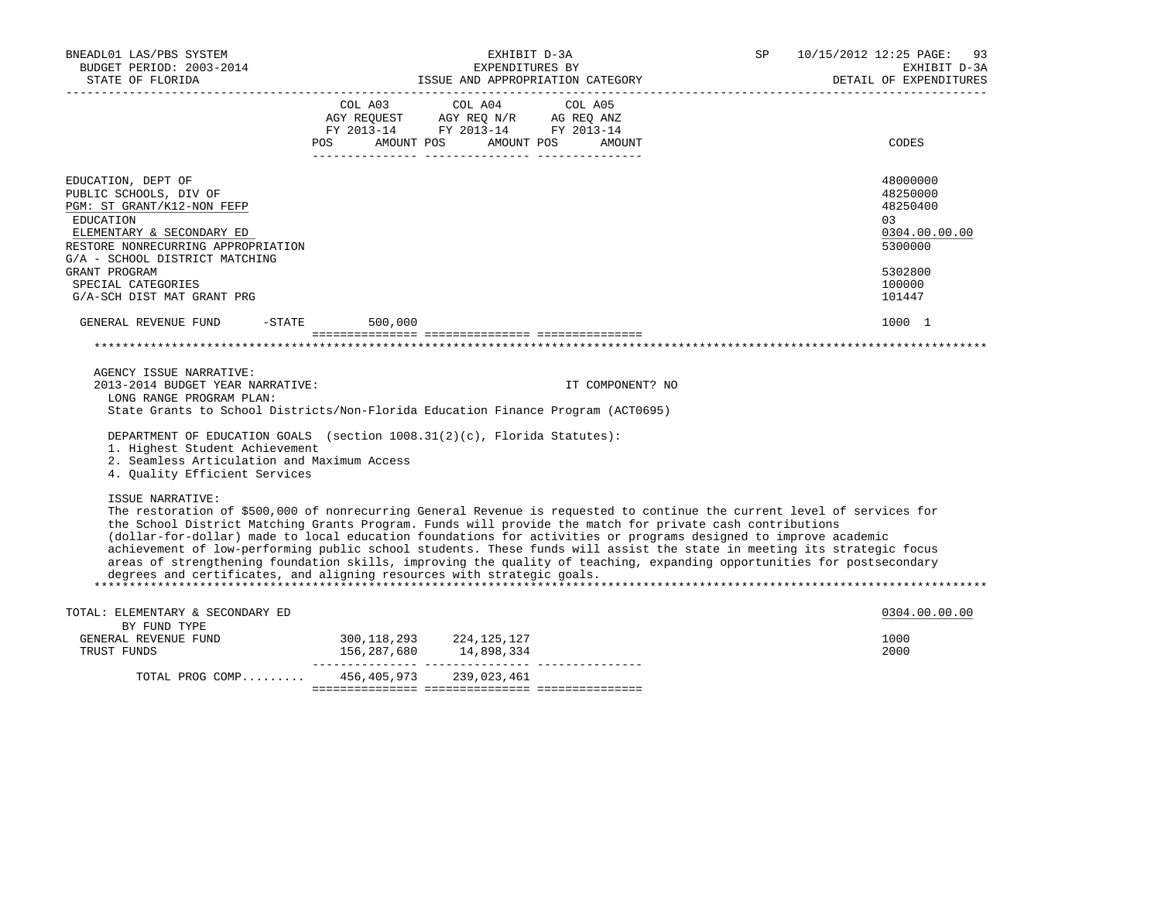| BNEADL01 LAS/PBS SYSTEM<br>BUDGET PERIOD: 2003-2014<br>STATE OF FLORIDA<br>______________________                                                                                                                                                                                                                                                                                                                                                                                                                                                                                                                                                                                                        |                                                                                                     | EXHIBIT D-3A<br>EXPENDITURES BY | ISSUE AND APPROPRIATION CATEGORY | SP | 10/15/2012 12:25 PAGE:<br>93<br>EXHIBIT D-3A<br>DETAIL OF EXPENDITURES                             |
|----------------------------------------------------------------------------------------------------------------------------------------------------------------------------------------------------------------------------------------------------------------------------------------------------------------------------------------------------------------------------------------------------------------------------------------------------------------------------------------------------------------------------------------------------------------------------------------------------------------------------------------------------------------------------------------------------------|-----------------------------------------------------------------------------------------------------|---------------------------------|----------------------------------|----|----------------------------------------------------------------------------------------------------|
|                                                                                                                                                                                                                                                                                                                                                                                                                                                                                                                                                                                                                                                                                                          | AGY REQUEST AGY REQ N/R AG REQ ANZ<br>FY 2013-14 FY 2013-14 FY 2013-14<br>POS AMOUNT POS AMOUNT POS | COL A03 COL A04 COL A05         | AMOUNT                           |    | CODES                                                                                              |
| EDUCATION, DEPT OF<br>PUBLIC SCHOOLS, DIV OF<br>PGM: ST GRANT/K12-NON FEFP<br>EDUCATION<br>ELEMENTARY & SECONDARY ED<br>RESTORE NONRECURRING APPROPRIATION<br>G/A - SCHOOL DISTRICT MATCHING<br>GRANT PROGRAM<br>SPECIAL CATEGORIES<br>G/A-SCH DIST MAT GRANT PRG                                                                                                                                                                                                                                                                                                                                                                                                                                        |                                                                                                     |                                 |                                  |    | 48000000<br>48250000<br>48250400<br>0.3<br>0304.00.00.00<br>5300000<br>5302800<br>100000<br>101447 |
| $-STATE$<br>GENERAL REVENUE FUND                                                                                                                                                                                                                                                                                                                                                                                                                                                                                                                                                                                                                                                                         | 500,000                                                                                             |                                 |                                  |    | 1000 1                                                                                             |
|                                                                                                                                                                                                                                                                                                                                                                                                                                                                                                                                                                                                                                                                                                          |                                                                                                     |                                 |                                  |    |                                                                                                    |
| AGENCY ISSUE NARRATIVE:<br>2013-2014 BUDGET YEAR NARRATIVE:<br>LONG RANGE PROGRAM PLAN:<br>State Grants to School Districts/Non-Florida Education Finance Program (ACT0695)                                                                                                                                                                                                                                                                                                                                                                                                                                                                                                                              |                                                                                                     |                                 | IT COMPONENT? NO                 |    |                                                                                                    |
| DEPARTMENT OF EDUCATION GOALS (section 1008.31(2)(c), Florida Statutes):<br>1. Highest Student Achievement<br>2. Seamless Articulation and Maximum Access<br>4. Quality Efficient Services                                                                                                                                                                                                                                                                                                                                                                                                                                                                                                               |                                                                                                     |                                 |                                  |    |                                                                                                    |
| ISSUE NARRATIVE:<br>The restoration of \$500,000 of nonrecurring General Revenue is requested to continue the current level of services for<br>the School District Matching Grants Program. Funds will provide the match for private cash contributions<br>(dollar-for-dollar) made to local education foundations for activities or programs designed to improve academic<br>achievement of low-performing public school students. These funds will assist the state in meeting its strategic focus<br>areas of strengthening foundation skills, improving the quality of teaching, expanding opportunities for postsecondary<br>degrees and certificates, and aligning resources with strategic goals. |                                                                                                     |                                 |                                  |    |                                                                                                    |
| TOTAL: ELEMENTARY & SECONDARY ED                                                                                                                                                                                                                                                                                                                                                                                                                                                                                                                                                                                                                                                                         |                                                                                                     |                                 |                                  |    | 0304.00.00.00                                                                                      |
| BY FUND TYPE<br>GENERAL REVENUE FUND<br>TRUST FUNDS                                                                                                                                                                                                                                                                                                                                                                                                                                                                                                                                                                                                                                                      | 300, 118, 293 224, 125, 127                                                                         |                                 |                                  |    | 1000<br>2000                                                                                       |
| TOTAL PROG COMP 456,405,973 239,023,461                                                                                                                                                                                                                                                                                                                                                                                                                                                                                                                                                                                                                                                                  |                                                                                                     |                                 |                                  |    |                                                                                                    |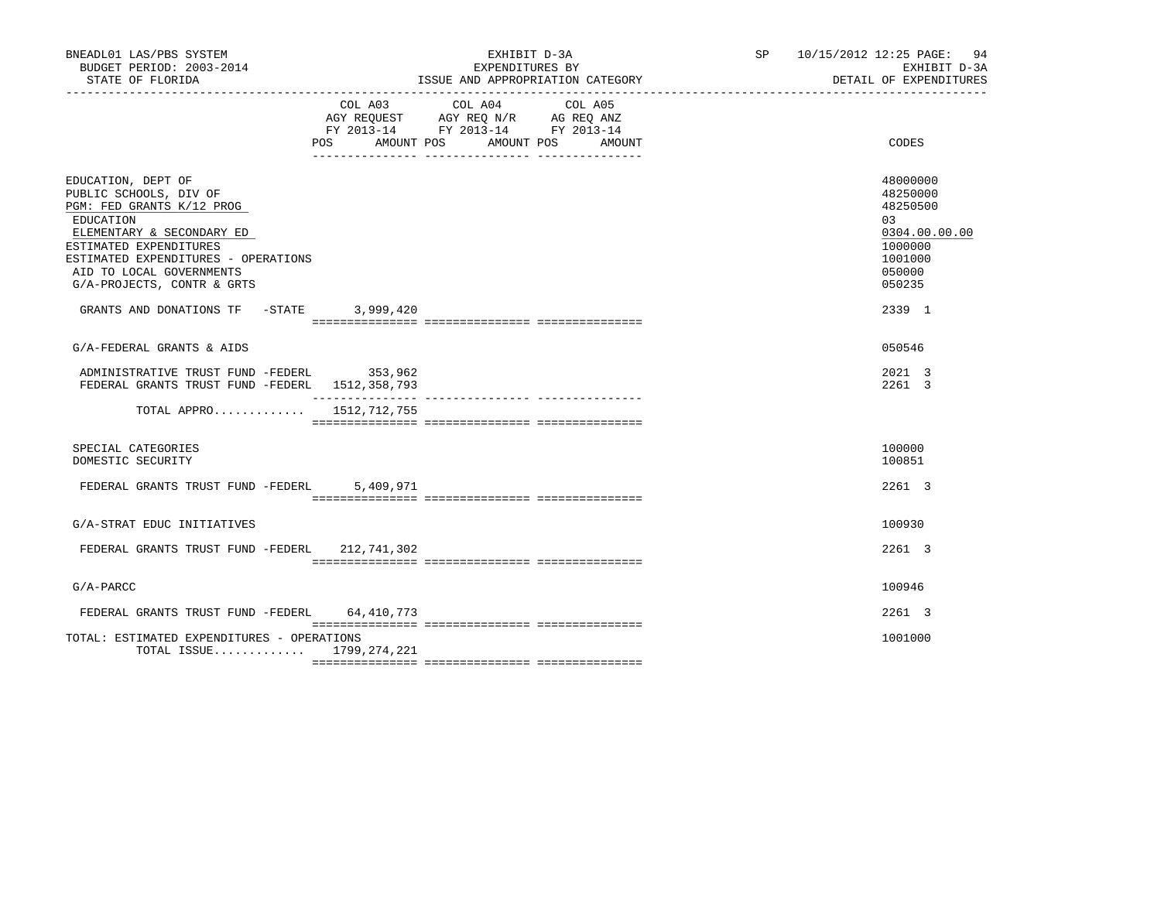| BNEADL01 LAS/PBS SYSTEM<br>BUDGET PERIOD: 2003-2014<br>STATE OF FLORIDA                                                                                                                                                                        | EXHIBIT D-3A<br>EXPENDITURES BY<br>ISSUE AND APPROPRIATION CATEGORY                                                                            | SP 10/15/2012 12:25 PAGE: 94<br>EXHIBIT D-3A<br>DETAIL OF EXPENDITURES                            |
|------------------------------------------------------------------------------------------------------------------------------------------------------------------------------------------------------------------------------------------------|------------------------------------------------------------------------------------------------------------------------------------------------|---------------------------------------------------------------------------------------------------|
|                                                                                                                                                                                                                                                | COL A03<br>COL A04<br>COL A05<br>AGY REQUEST AGY REQ N/R AG REQ ANZ<br>FY 2013-14 FY 2013-14 FY 2013-14<br>POS AMOUNT POS AMOUNT POS<br>AMOUNT | CODES                                                                                             |
| EDUCATION, DEPT OF<br>PUBLIC SCHOOLS, DIV OF<br>PGM: FED GRANTS K/12 PROG<br>EDUCATION<br>ELEMENTARY & SECONDARY ED<br>ESTIMATED EXPENDITURES<br>ESTIMATED EXPENDITURES - OPERATIONS<br>AID TO LOCAL GOVERNMENTS<br>G/A-PROJECTS, CONTR & GRTS |                                                                                                                                                | 48000000<br>48250000<br>48250500<br>03<br>0304.00.00.00<br>1000000<br>1001000<br>050000<br>050235 |
| GRANTS AND DONATIONS TF -STATE                                                                                                                                                                                                                 | 3,999,420                                                                                                                                      | 2339 1                                                                                            |
| G/A-FEDERAL GRANTS & AIDS                                                                                                                                                                                                                      |                                                                                                                                                | 050546                                                                                            |
| ADMINISTRATIVE TRUST FUND -FEDERL 353,962<br>FEDERAL GRANTS TRUST FUND -FEDERL 1512,358,793                                                                                                                                                    |                                                                                                                                                | 2021 3<br>2261 3                                                                                  |
| TOTAL APPRO 1512, 712, 755                                                                                                                                                                                                                     |                                                                                                                                                |                                                                                                   |
| SPECIAL CATEGORIES<br>DOMESTIC SECURITY                                                                                                                                                                                                        |                                                                                                                                                | 100000<br>100851                                                                                  |
| FEDERAL GRANTS TRUST FUND -FEDERL                                                                                                                                                                                                              | 5,409,971                                                                                                                                      | 2261 3                                                                                            |
| G/A-STRAT EDUC INITIATIVES                                                                                                                                                                                                                     |                                                                                                                                                | 100930                                                                                            |
| FEDERAL GRANTS TRUST FUND -FEDERL 212,741,302                                                                                                                                                                                                  |                                                                                                                                                | 2261 3                                                                                            |
| $G/A-PARCC$                                                                                                                                                                                                                                    |                                                                                                                                                | 100946                                                                                            |
| FEDERAL GRANTS TRUST FUND -FEDERL 64,410,773                                                                                                                                                                                                   |                                                                                                                                                | $2261$ 3                                                                                          |
| TOTAL: ESTIMATED EXPENDITURES - OPERATIONS<br>TOTAL ISSUE $1799, 274, 221$                                                                                                                                                                     |                                                                                                                                                | 1001000                                                                                           |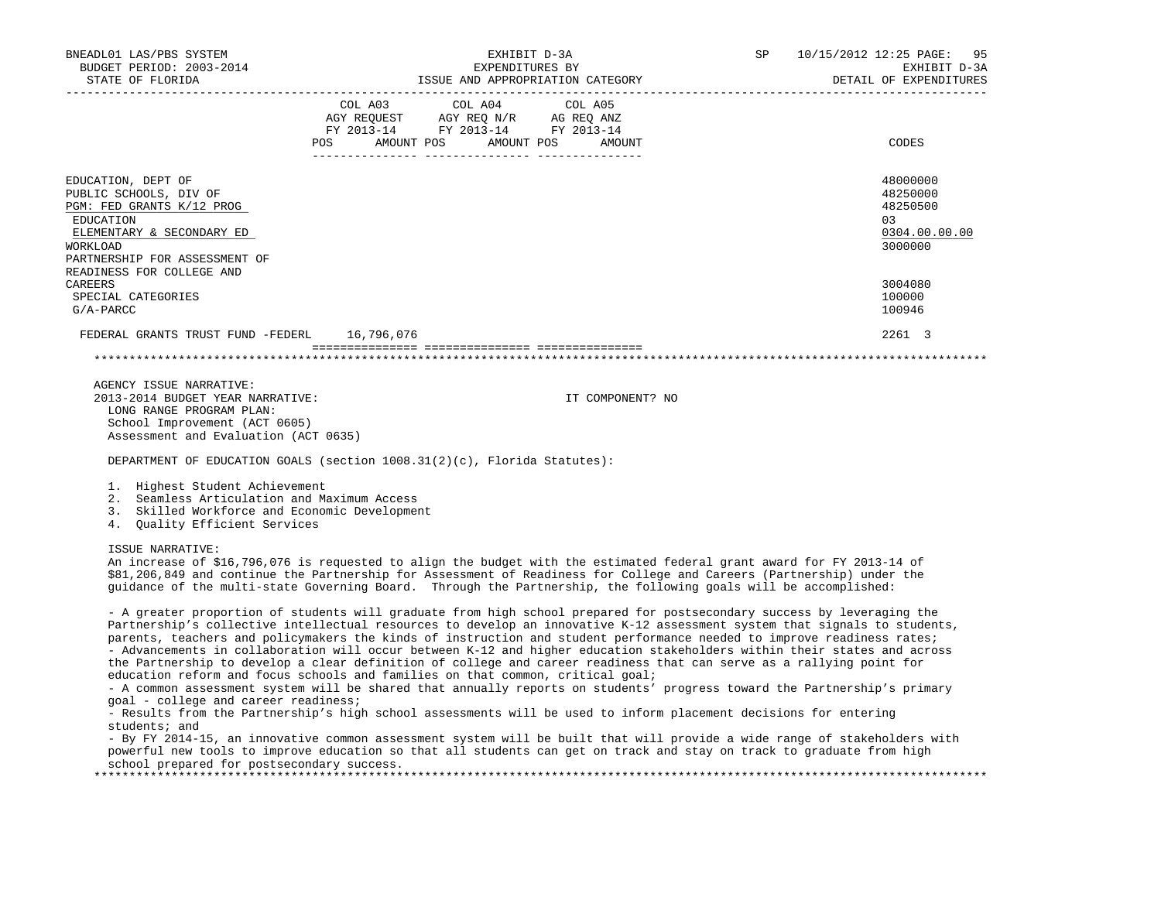| BNEADL01 LAS/PBS SYSTEM<br>BUDGET PERIOD: 2003-2014<br>STATE OF FLORIDA                                                                                                                       | EXHIBIT D-3A<br>EXPENDITURES BY<br>ISSUE AND APPROPRIATION CATEGORY                                                                   | SP 10/15/2012 12:25 PAGE: 95<br>EXHIBIT D-3A<br>DETAIL OF EXPENDITURES |
|-----------------------------------------------------------------------------------------------------------------------------------------------------------------------------------------------|---------------------------------------------------------------------------------------------------------------------------------------|------------------------------------------------------------------------|
|                                                                                                                                                                                               | COL A03 COL A04 COL A05<br>AGY REQUEST AGY REQ N/R AG REQ ANZ<br>FY 2013-14 FY 2013-14 FY 2013-14<br>POS AMOUNT POS AMOUNT POS AMOUNT | CODES                                                                  |
| EDUCATION, DEPT OF<br>PUBLIC SCHOOLS, DIV OF<br>PGM: FED GRANTS K/12 PROG<br>EDUCATION<br>ELEMENTARY & SECONDARY ED<br>WORKLOAD<br>PARTNERSHIP FOR ASSESSMENT OF<br>READINESS FOR COLLEGE AND |                                                                                                                                       | 48000000<br>48250000<br>48250500<br>0.3<br>0304.00.00.00<br>3000000    |
| CAREERS<br>SPECIAL CATEGORIES<br>G/A-PARCC                                                                                                                                                    |                                                                                                                                       | 3004080<br>100000<br>100946                                            |
| FEDERAL GRANTS TRUST FUND -FEDERL 16,796,076                                                                                                                                                  |                                                                                                                                       | 2261 3                                                                 |
|                                                                                                                                                                                               |                                                                                                                                       |                                                                        |

 AGENCY ISSUE NARRATIVE: 2013-2014 BUDGET YEAR NARRATIVE: IT COMPONENT? NO LONG RANGE PROGRAM PLAN: School Improvement (ACT 0605) Assessment and Evaluation (ACT 0635)

DEPARTMENT OF EDUCATION GOALS (section 1008.31(2)(c), Florida Statutes):

## 1. Highest Student Achievement

- 2. Seamless Articulation and Maximum Access
- 3. Skilled Workforce and Economic Development

4. Quality Efficient Services

## ISSUE NARRATIVE:

 An increase of \$16,796,076 is requested to align the budget with the estimated federal grant award for FY 2013-14 of \$81,206,849 and continue the Partnership for Assessment of Readiness for College and Careers (Partnership) under the guidance of the multi-state Governing Board. Through the Partnership, the following goals will be accomplished:

 - A greater proportion of students will graduate from high school prepared for postsecondary success by leveraging the Partnership's collective intellectual resources to develop an innovative K-12 assessment system that signals to students, parents, teachers and policymakers the kinds of instruction and student performance needed to improve readiness rates; - Advancements in collaboration will occur between K-12 and higher education stakeholders within their states and across the Partnership to develop a clear definition of college and career readiness that can serve as a rallying point for education reform and focus schools and families on that common, critical goal;

 - A common assessment system will be shared that annually reports on students' progress toward the Partnership's primary goal - college and career readiness;

 - Results from the Partnership's high school assessments will be used to inform placement decisions for entering students; and

 - By FY 2014-15, an innovative common assessment system will be built that will provide a wide range of stakeholders with powerful new tools to improve education so that all students can get on track and stay on track to graduate from high school prepared for postsecondary success.

\*\*\*\*\*\*\*\*\*\*\*\*\*\*\*\*\*\*\*\*\*\*\*\*\*\*\*\*\*\*\*\*\*\*\*\*\*\*\*\*\*\*\*\*\*\*\*\*\*\*\*\*\*\*\*\*\*\*\*\*\*\*\*\*\*\*\*\*\*\*\*\*\*\*\*\*\*\*\*\*\*\*\*\*\*\*\*\*\*\*\*\*\*\*\*\*\*\*\*\*\*\*\*\*\*\*\*\*\*\*\*\*\*\*\*\*\*\*\*\*\*\*\*\*\*\*\*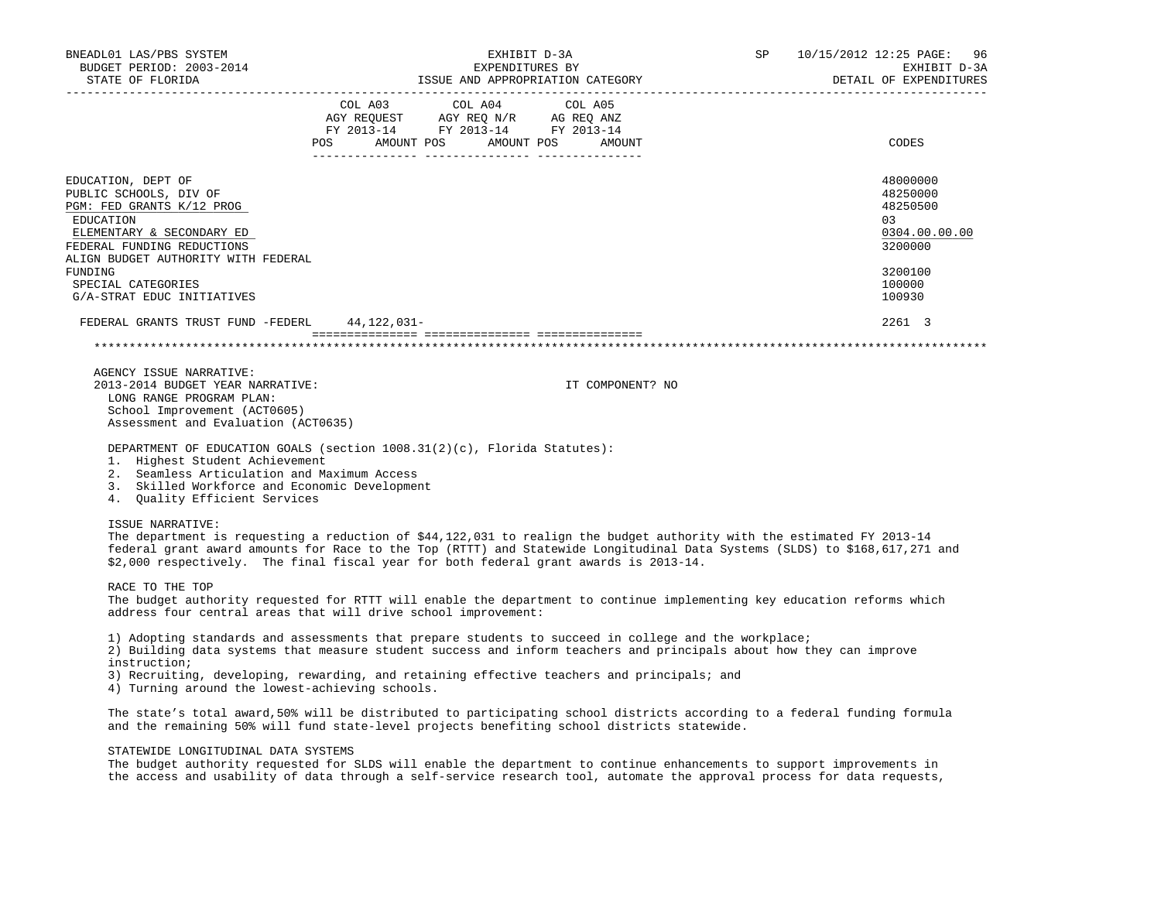| BNEADL01 LAS/PBS SYSTEM<br>BUDGET PERIOD: 2003-2014<br>STATE OF FLORIDA                                                                                                                  | EXHIBIT D-3A<br>EXPENDITURES BY<br>ISSUE AND APPROPRIATION CATEGORY                                                                                                                                                                                                                                                                           | SP | 10/15/2012 12:25 PAGE:<br>96<br>EXHIBIT D-3A<br>DETAIL OF EXPENDITURES |
|------------------------------------------------------------------------------------------------------------------------------------------------------------------------------------------|-----------------------------------------------------------------------------------------------------------------------------------------------------------------------------------------------------------------------------------------------------------------------------------------------------------------------------------------------|----|------------------------------------------------------------------------|
|                                                                                                                                                                                          | COL A03 COL A04 COL A05<br>$\begin{tabular}{lllllll} \bf AGY \,\, REQUEST \,\, & \bf AGY \,\, REQ \,\, N/R & \,\, AG \,\, REQ \,\, ANZ \\ \bf FY \,\, 2013-14 & \,\, FY \,\, 2013-14 & \,\, FY \,\, 2013-14 \\ \end{tabular}$<br>POS<br>AMOUNT POS AMOUNT POS<br>AMOUNT                                                                       |    | CODES                                                                  |
| EDUCATION, DEPT OF<br>PUBLIC SCHOOLS, DIV OF<br>PGM: FED GRANTS K/12 PROG<br>EDUCATION<br>ELEMENTARY & SECONDARY ED<br>FEDERAL FUNDING REDUCTIONS<br>ALIGN BUDGET AUTHORITY WITH FEDERAL |                                                                                                                                                                                                                                                                                                                                               |    | 48000000<br>48250000<br>48250500<br>03<br>0304.00.00.00<br>3200000     |
| FUNDING<br>SPECIAL CATEGORIES<br>G/A-STRAT EDUC INITIATIVES                                                                                                                              |                                                                                                                                                                                                                                                                                                                                               |    | 3200100<br>100000<br>100930                                            |
| FEDERAL GRANTS TRUST FUND -FEDERL 44,122,031-                                                                                                                                            |                                                                                                                                                                                                                                                                                                                                               |    | 2261 3                                                                 |
|                                                                                                                                                                                          |                                                                                                                                                                                                                                                                                                                                               |    |                                                                        |
| AGENCY ISSUE NARRATIVE:<br>2013-2014 BUDGET YEAR NARRATIVE:<br>LONG RANGE PROGRAM PLAN:<br>School Improvement (ACT0605)<br>Assessment and Evaluation (ACT0635)                           | IT COMPONENT? NO                                                                                                                                                                                                                                                                                                                              |    |                                                                        |
| 1. Highest Student Achievement<br>2. Seamless Articulation and Maximum Access<br>3. Skilled Workforce and Economic Development<br>4. Quality Efficient Services                          | DEPARTMENT OF EDUCATION GOALS (section 1008.31(2)(c), Florida Statutes):                                                                                                                                                                                                                                                                      |    |                                                                        |
| <b>ISSUE NARRATIVE:</b>                                                                                                                                                                  | The department is requesting a reduction of \$44,122,031 to realign the budget authority with the estimated FY 2013-14<br>federal grant award amounts for Race to the Top (RTTT) and Statewide Longitudinal Data Systems (SLDS) to \$168,617,271 and<br>\$2,000 respectively. The final fiscal year for both federal grant awards is 2013-14. |    |                                                                        |
| RACE TO THE TOP                                                                                                                                                                          | The budget authority requested for RTTT will enable the department to continue implementing key education reforms which<br>address four central areas that will drive school improvement:                                                                                                                                                     |    |                                                                        |
| instruction;<br>4) Turning around the lowest-achieving schools.                                                                                                                          | 1) Adopting standards and assessments that prepare students to succeed in college and the workplace;<br>2) Building data systems that measure student success and inform teachers and principals about how they can improve<br>3) Recruiting, developing, rewarding, and retaining effective teachers and principals; and                     |    |                                                                        |
|                                                                                                                                                                                          | The state's total award,50% will be distributed to participating school districts according to a federal funding formula<br>and the remaining 50% will fund state-level projects benefiting school districts statewide.                                                                                                                       |    |                                                                        |

## STATEWIDE LONGITUDINAL DATA SYSTEMS

 The budget authority requested for SLDS will enable the department to continue enhancements to support improvements in the access and usability of data through a self-service research tool, automate the approval process for data requests,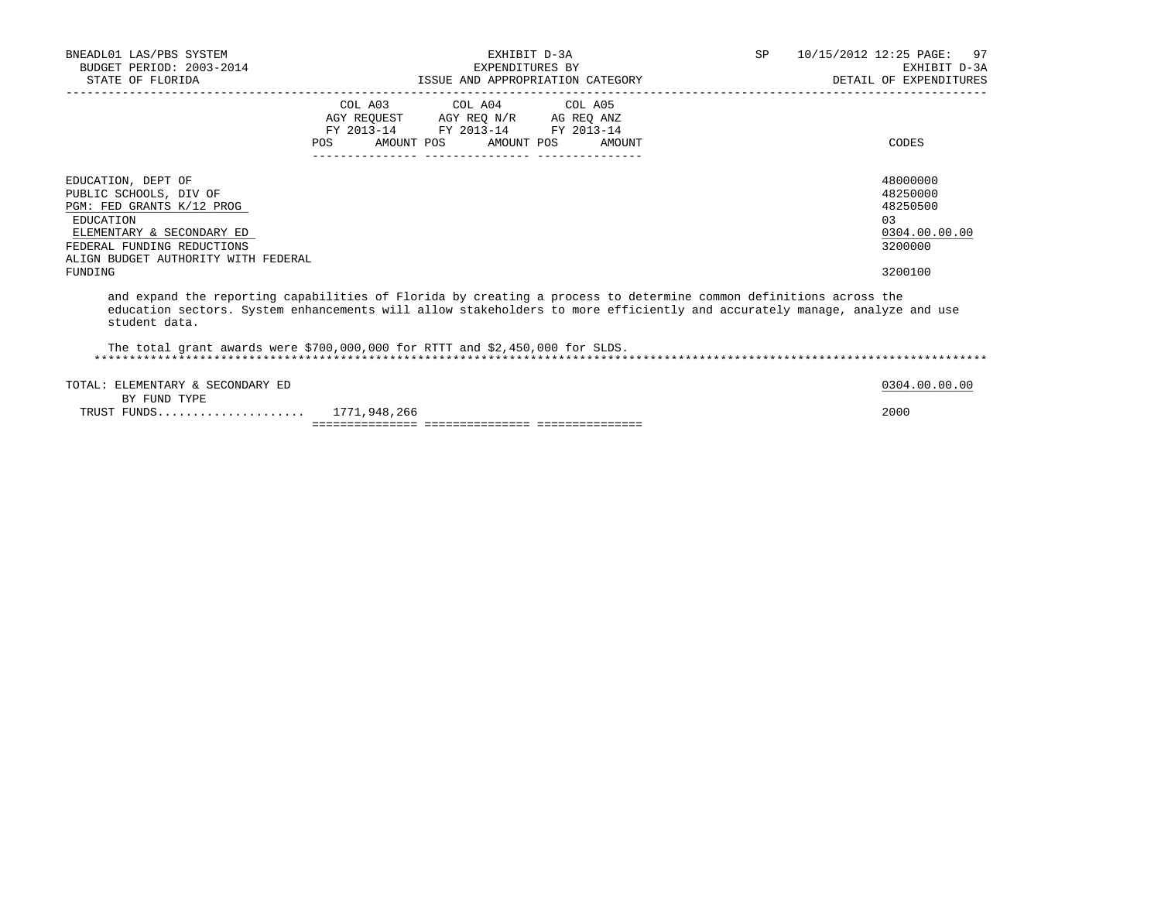| BNEADL01 LAS/PBS SYSTEM<br>BUDGET PERIOD: 2003-2014<br>STATE OF FLORIDA                                                                                                                                                                                         |                                  | EXHIBIT D-3A<br>EXPENDITURES BY                                                                                                                                  | ISSUE AND APPROPRIATION CATEGORY | SP 10/15/2012 12:25 PAGE: 97<br>EXHIBIT D-3A<br>DETAIL OF EXPENDITURES |
|-----------------------------------------------------------------------------------------------------------------------------------------------------------------------------------------------------------------------------------------------------------------|----------------------------------|------------------------------------------------------------------------------------------------------------------------------------------------------------------|----------------------------------|------------------------------------------------------------------------|
|                                                                                                                                                                                                                                                                 |                                  | COL A03 COL A04 COL A05                                                                                                                                          |                                  |                                                                        |
|                                                                                                                                                                                                                                                                 |                                  | $\begin{tabular}{lllllll} \bf AGY & \bf REQUEST & \bf AGY & \bf REQ & \bf N/R & \bf AG & \bf REQ & \bf ANZ \\ \end{tabular}$<br>FY 2013-14 FY 2013-14 FY 2013-14 |                                  |                                                                        |
|                                                                                                                                                                                                                                                                 | POS AMOUNT POS AMOUNT POS AMOUNT |                                                                                                                                                                  |                                  | CODES                                                                  |
| EDUCATION, DEPT OF                                                                                                                                                                                                                                              |                                  |                                                                                                                                                                  |                                  | 48000000                                                               |
| PUBLIC SCHOOLS, DIV OF                                                                                                                                                                                                                                          |                                  |                                                                                                                                                                  |                                  | 48250000                                                               |
| PGM: FED GRANTS K/12 PROG                                                                                                                                                                                                                                       |                                  |                                                                                                                                                                  |                                  | 48250500                                                               |
| EDUCATION                                                                                                                                                                                                                                                       |                                  |                                                                                                                                                                  |                                  | 0.3                                                                    |
| ELEMENTARY & SECONDARY ED<br>FEDERAL FUNDING REDUCTIONS                                                                                                                                                                                                         |                                  |                                                                                                                                                                  |                                  | 0304.00.00.00<br>3200000                                               |
| ALIGN BUDGET AUTHORITY WITH FEDERAL                                                                                                                                                                                                                             |                                  |                                                                                                                                                                  |                                  |                                                                        |
| FUNDING                                                                                                                                                                                                                                                         |                                  |                                                                                                                                                                  |                                  | 3200100                                                                |
| and expand the reporting capabilities of Florida by creating a process to determine common definitions across the<br>education sectors. System enhancements will allow stakeholders to more efficiently and accurately manage, analyze and use<br>student data. |                                  |                                                                                                                                                                  |                                  |                                                                        |
| The total grant awards were \$700,000,000 for RTTT and \$2,450,000 for SLDS.                                                                                                                                                                                    |                                  |                                                                                                                                                                  |                                  |                                                                        |
| TOTAL: ELEMENTARY & SECONDARY ED                                                                                                                                                                                                                                |                                  |                                                                                                                                                                  |                                  | 0304.00.00.00                                                          |
| BY FUND TYPE                                                                                                                                                                                                                                                    |                                  |                                                                                                                                                                  |                                  | 2000                                                                   |
| TRUST FUNDS 1771,948,266                                                                                                                                                                                                                                        |                                  |                                                                                                                                                                  |                                  |                                                                        |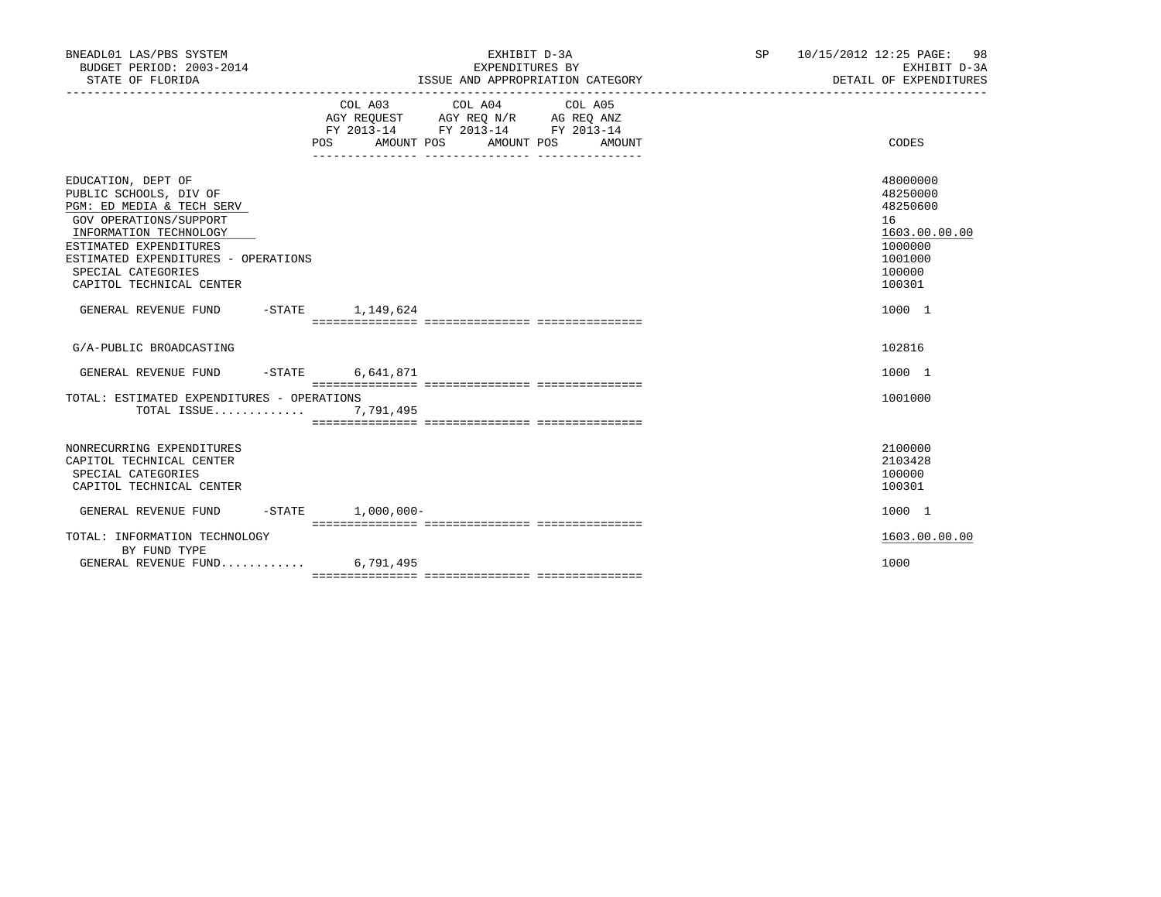| BNEADL01 LAS/PBS SYSTEM<br>BUDGET PERIOD: 2003-2014<br>STATE OF FLORIDA                                                                                                                                                                          |                     | EXHIBIT D-3A<br>EXPENDITURES BY<br>ISSUE AND APPROPRIATION CATEGORY                                                            |        | _______________________________ | SP 10/15/2012 12:25 PAGE: 98<br>EXHIBIT D-3A<br>DETAIL OF EXPENDITURES                            |
|--------------------------------------------------------------------------------------------------------------------------------------------------------------------------------------------------------------------------------------------------|---------------------|--------------------------------------------------------------------------------------------------------------------------------|--------|---------------------------------|---------------------------------------------------------------------------------------------------|
|                                                                                                                                                                                                                                                  |                     | COL A03 COL A04 COL A05<br>AGY REQUEST AGY REQ N/R AG REQ ANZ<br>FY 2013-14 FY 2013-14 FY 2013-14<br>POS AMOUNT POS AMOUNT POS | AMOUNT |                                 | CODES                                                                                             |
| EDUCATION, DEPT OF<br>PUBLIC SCHOOLS, DIV OF<br>PGM: ED MEDIA & TECH SERV<br>GOV OPERATIONS/SUPPORT<br>INFORMATION TECHNOLOGY<br>ESTIMATED EXPENDITURES<br>ESTIMATED EXPENDITURES - OPERATIONS<br>SPECIAL CATEGORIES<br>CAPITOL TECHNICAL CENTER |                     |                                                                                                                                |        |                                 | 48000000<br>48250000<br>48250600<br>16<br>1603.00.00.00<br>1000000<br>1001000<br>100000<br>100301 |
| GENERAL REVENUE FUND -STATE 1,149,624                                                                                                                                                                                                            |                     |                                                                                                                                |        |                                 | 1000 1                                                                                            |
| G/A-PUBLIC BROADCASTING                                                                                                                                                                                                                          |                     |                                                                                                                                |        |                                 | 102816                                                                                            |
| GENERAL REVENUE FUND -STATE 6,641,871                                                                                                                                                                                                            |                     |                                                                                                                                |        |                                 | 1000 1                                                                                            |
| TOTAL: ESTIMATED EXPENDITURES - OPERATIONS<br>TOTAL ISSUE                                                                                                                                                                                        | 7,791,495           |                                                                                                                                |        |                                 | 1001000                                                                                           |
| NONRECURRING EXPENDITURES<br>CAPITOL TECHNICAL CENTER<br>SPECIAL CATEGORIES<br>CAPITOL TECHNICAL CENTER                                                                                                                                          |                     |                                                                                                                                |        |                                 | 2100000<br>2103428<br>100000<br>100301                                                            |
| GENERAL REVENUE FUND                                                                                                                                                                                                                             | $-STATE$ 1,000,000- |                                                                                                                                |        |                                 | 1000 1                                                                                            |
| TOTAL: INFORMATION TECHNOLOGY<br>BY FUND TYPE                                                                                                                                                                                                    |                     |                                                                                                                                |        |                                 | 1603.00.00.00                                                                                     |
| GENERAL REVENUE FUND $6.791.495$                                                                                                                                                                                                                 |                     |                                                                                                                                |        |                                 | 1000                                                                                              |
|                                                                                                                                                                                                                                                  |                     |                                                                                                                                |        |                                 |                                                                                                   |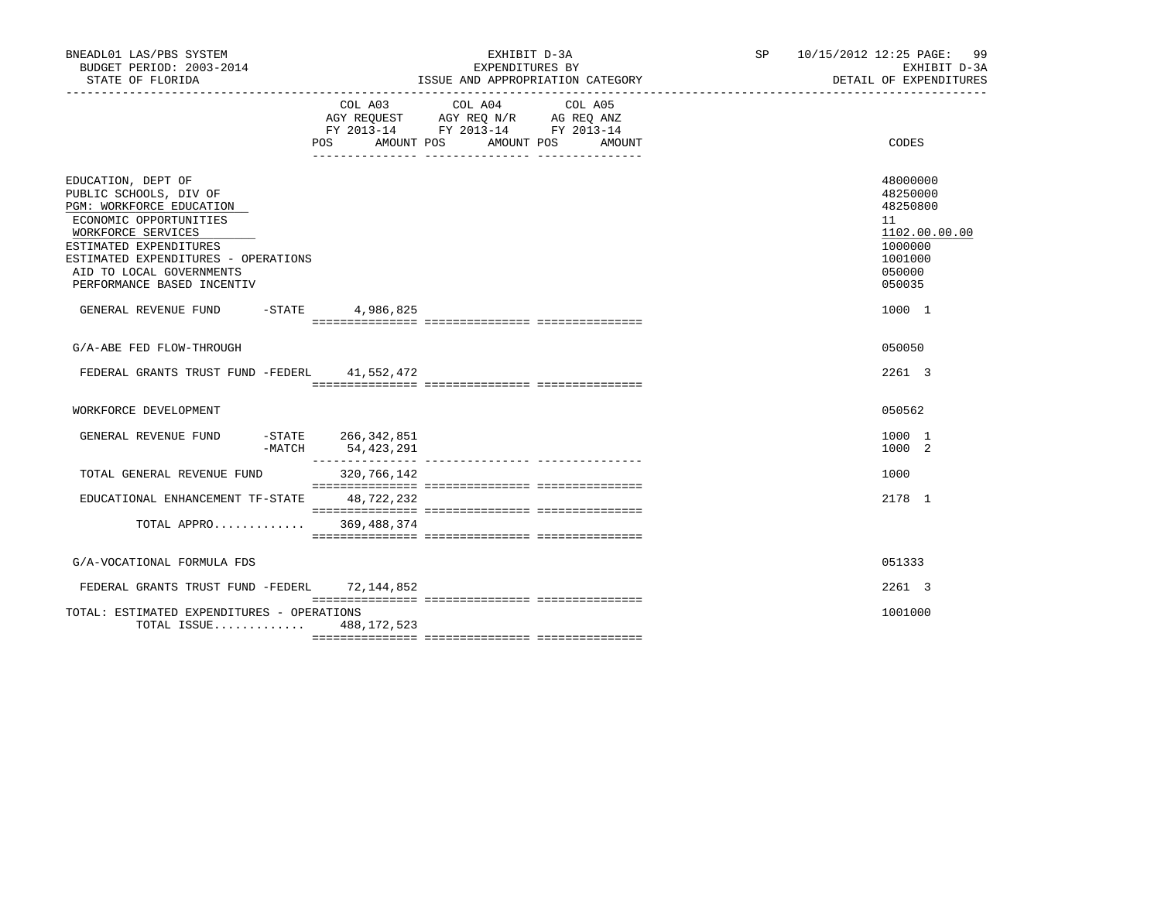| BNEADL01 LAS/PBS SYSTEM<br>BUDGET PERIOD: 2003-2014<br>STATE OF FLORIDA                                                                                                                                                                             |                                              | EXHIBIT D-3A<br>EXPENDITURES BY<br>ISSUE AND APPROPRIATION CATEGORY                                                                      | SP 10/15/2012 12:25 PAGE:<br>99<br>EXHIBIT D-3A<br>DETAIL OF EXPENDITURES                         |
|-----------------------------------------------------------------------------------------------------------------------------------------------------------------------------------------------------------------------------------------------------|----------------------------------------------|------------------------------------------------------------------------------------------------------------------------------------------|---------------------------------------------------------------------------------------------------|
|                                                                                                                                                                                                                                                     |                                              | COL A03 COL A04<br>COL A05<br>AGY REQUEST AGY REQ N/R AG REQ ANZ<br>FY 2013-14 FY 2013-14 FY 2013-14<br>POS AMOUNT POS AMOUNT POS AMOUNT | CODES                                                                                             |
| EDUCATION, DEPT OF<br>PUBLIC SCHOOLS, DIV OF<br>PGM: WORKFORCE EDUCATION<br>ECONOMIC OPPORTUNITIES<br>WORKFORCE SERVICES<br>ESTIMATED EXPENDITURES<br>ESTIMATED EXPENDITURES - OPERATIONS<br>AID TO LOCAL GOVERNMENTS<br>PERFORMANCE BASED INCENTIV |                                              |                                                                                                                                          | 48000000<br>48250000<br>48250800<br>11<br>1102.00.00.00<br>1000000<br>1001000<br>050000<br>050035 |
| GENERAL REVENUE FUND -STATE 4,986,825                                                                                                                                                                                                               |                                              |                                                                                                                                          | 1000 1                                                                                            |
| G/A-ABE FED FLOW-THROUGH                                                                                                                                                                                                                            |                                              |                                                                                                                                          | 050050                                                                                            |
| FEDERAL GRANTS TRUST FUND -FEDERL 41,552,472                                                                                                                                                                                                        |                                              |                                                                                                                                          | 2261 3                                                                                            |
| WORKFORCE DEVELOPMENT                                                                                                                                                                                                                               |                                              |                                                                                                                                          | 050562                                                                                            |
| GENERAL REVENUE FUND                                                                                                                                                                                                                                | $-$ STATE 266, 342, 851<br>-MATCH 54,423,291 |                                                                                                                                          | 1000 1<br>1000 2                                                                                  |
| TOTAL GENERAL REVENUE FUND                                                                                                                                                                                                                          | 320,766,142                                  |                                                                                                                                          | 1000                                                                                              |
| EDUCATIONAL ENHANCEMENT TF-STATE 48,722,232                                                                                                                                                                                                         |                                              |                                                                                                                                          | 2178 1                                                                                            |
| TOTAL APPRO 369,488,374                                                                                                                                                                                                                             |                                              |                                                                                                                                          |                                                                                                   |
| G/A-VOCATIONAL FORMULA FDS                                                                                                                                                                                                                          |                                              |                                                                                                                                          | 051333                                                                                            |
| FEDERAL GRANTS TRUST FUND -FEDERL 72,144,852                                                                                                                                                                                                        |                                              |                                                                                                                                          | 2261 3                                                                                            |
| TOTAL: ESTIMATED EXPENDITURES - OPERATIONS<br>TOTAL ISSUE 488, 172, 523                                                                                                                                                                             |                                              |                                                                                                                                          | 1001000                                                                                           |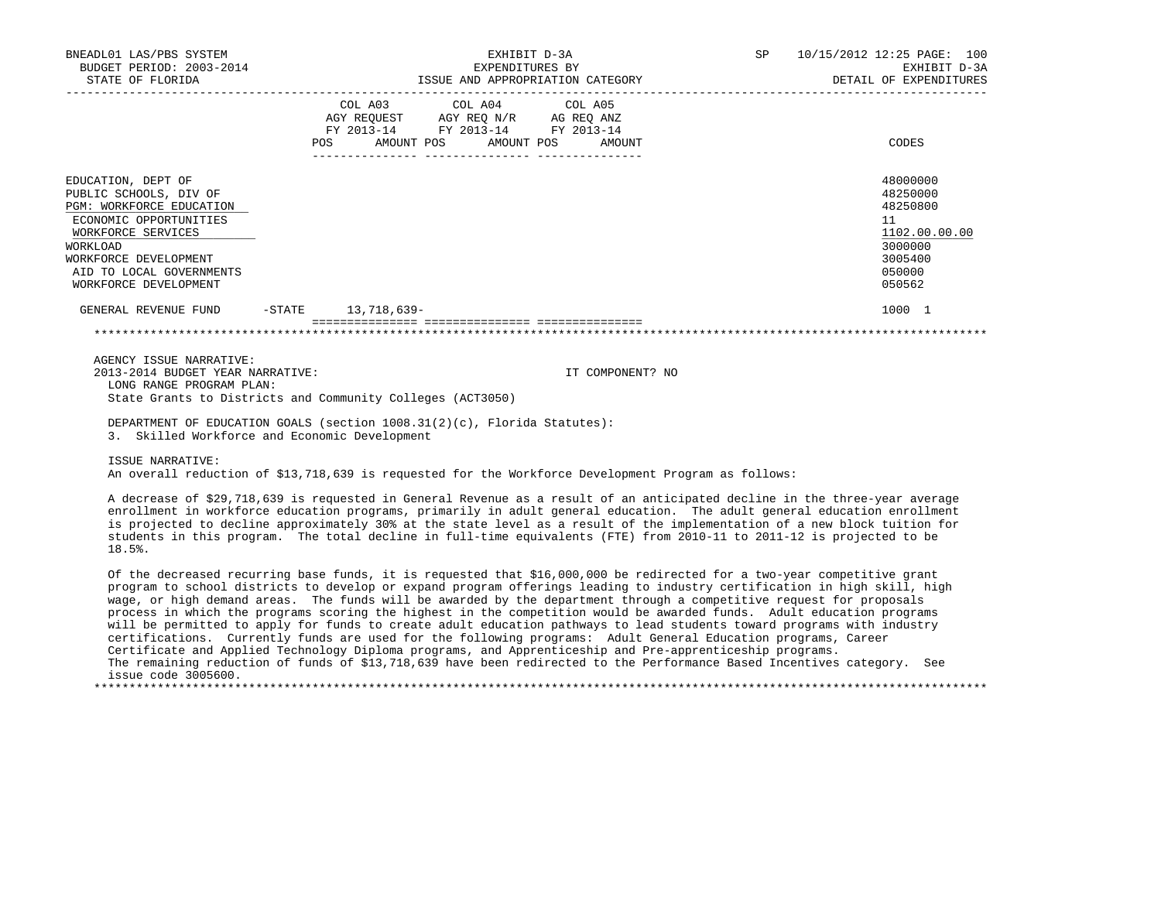| BNEADL01 LAS/PBS SYSTEM<br>BUDGET PERIOD: 2003-2014<br>STATE OF FLORIDA                                                                                                                                                   | EXHIBIT D-3A<br>EXPENDITURES BY<br>ISSUE AND APPROPRIATION CATEGORY |  |                                                                                                                                                                                                               |  |                  | SP | 10/15/2012 12:25 PAGE: 100<br>EXHIBIT D-3A<br>DETAIL OF EXPENDITURES                              |
|---------------------------------------------------------------------------------------------------------------------------------------------------------------------------------------------------------------------------|---------------------------------------------------------------------|--|---------------------------------------------------------------------------------------------------------------------------------------------------------------------------------------------------------------|--|------------------|----|---------------------------------------------------------------------------------------------------|
|                                                                                                                                                                                                                           | POS                                                                 |  | COL A03 COL A04 COL A05<br>$\begin{tabular}{lllllll} AGY & \texttt{REQUEST} & \texttt{AGY REQ} \texttt{N/R} & \texttt{AG REQ ANZ} \end{tabular}$<br>FY 2013-14 FY 2013-14 FY 2013-14<br>AMOUNT POS AMOUNT POS |  | AMOUNT           |    | CODES                                                                                             |
| EDUCATION, DEPT OF<br>PUBLIC SCHOOLS, DIV OF<br><b>PGM: WORKFORCE EDUCATION</b><br>ECONOMIC OPPORTUNITIES<br>WORKFORCE SERVICES<br>WORKLOAD<br>WORKFORCE DEVELOPMENT<br>AID TO LOCAL GOVERNMENTS<br>WORKFORCE DEVELOPMENT |                                                                     |  |                                                                                                                                                                                                               |  |                  |    | 48000000<br>48250000<br>48250800<br>11<br>1102.00.00.00<br>3000000<br>3005400<br>050000<br>050562 |
| GENERAL REVENUE FUND -STATE 13,718,639-                                                                                                                                                                                   |                                                                     |  |                                                                                                                                                                                                               |  |                  |    | 1000 1                                                                                            |
|                                                                                                                                                                                                                           |                                                                     |  |                                                                                                                                                                                                               |  |                  |    |                                                                                                   |
| AGENCY ISSUE NARRATIVE:<br>2013-2014 BUDGET YEAR NARRATIVE:<br>LONG RANGE PROGRAM PLAN:<br>State Grants to Districts and Community Colleges (ACT3050)                                                                     |                                                                     |  |                                                                                                                                                                                                               |  | IT COMPONENT? NO |    |                                                                                                   |
| DEPARTMENT OF EDUCATION GOALS (section 1008.31(2)(c), Florida Statutes):<br>3. Skilled Workforce and Economic Development                                                                                                 |                                                                     |  |                                                                                                                                                                                                               |  |                  |    |                                                                                                   |

 ISSUE NARRATIVE: An overall reduction of \$13,718,639 is requested for the Workforce Development Program as follows:

 A decrease of \$29,718,639 is requested in General Revenue as a result of an anticipated decline in the three-year average enrollment in workforce education programs, primarily in adult general education. The adult general education enrollment is projected to decline approximately 30% at the state level as a result of the implementation of a new block tuition for students in this program. The total decline in full-time equivalents (FTE) from 2010-11 to 2011-12 is projected to be 18.5%.

 Of the decreased recurring base funds, it is requested that \$16,000,000 be redirected for a two-year competitive grant program to school districts to develop or expand program offerings leading to industry certification in high skill, high wage, or high demand areas. The funds will be awarded by the department through a competitive request for proposals process in which the programs scoring the highest in the competition would be awarded funds. Adult education programs will be permitted to apply for funds to create adult education pathways to lead students toward programs with industry certifications. Currently funds are used for the following programs: Adult General Education programs, Career Certificate and Applied Technology Diploma programs, and Apprenticeship and Pre-apprenticeship programs. The remaining reduction of funds of \$13,718,639 have been redirected to the Performance Based Incentives category. See issue code 3005600. \*\*\*\*\*\*\*\*\*\*\*\*\*\*\*\*\*\*\*\*\*\*\*\*\*\*\*\*\*\*\*\*\*\*\*\*\*\*\*\*\*\*\*\*\*\*\*\*\*\*\*\*\*\*\*\*\*\*\*\*\*\*\*\*\*\*\*\*\*\*\*\*\*\*\*\*\*\*\*\*\*\*\*\*\*\*\*\*\*\*\*\*\*\*\*\*\*\*\*\*\*\*\*\*\*\*\*\*\*\*\*\*\*\*\*\*\*\*\*\*\*\*\*\*\*\*\*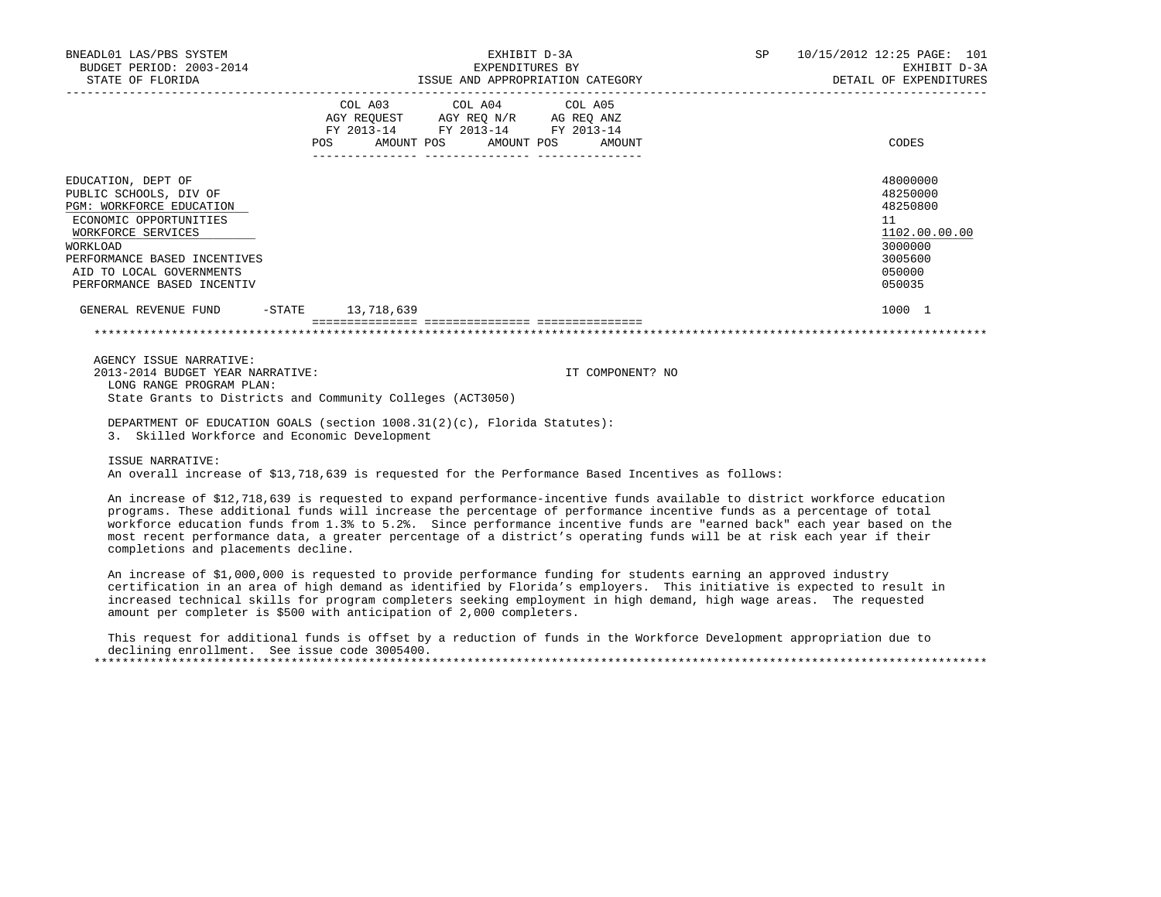| BNEADL01 LAS/PBS SYSTEM<br>BUDGET PERIOD: 2003-2014                                                                                                                                                                                                                                                                                                                                                                                                                                                                                          |                       |                                                                                                                                                                                                                                                                                               | EXPENDITURES BY | EXHIBIT D-3A |                  |  | SP 10/15/2012 12:25 PAGE: 101<br>EXHIBIT D-3A<br>DETAIL OF EXPENDITURES                           |
|----------------------------------------------------------------------------------------------------------------------------------------------------------------------------------------------------------------------------------------------------------------------------------------------------------------------------------------------------------------------------------------------------------------------------------------------------------------------------------------------------------------------------------------------|-----------------------|-----------------------------------------------------------------------------------------------------------------------------------------------------------------------------------------------------------------------------------------------------------------------------------------------|-----------------|--------------|------------------|--|---------------------------------------------------------------------------------------------------|
|                                                                                                                                                                                                                                                                                                                                                                                                                                                                                                                                              | POS                   | COL A03 COL A04 COL A05<br>$\begin{tabular}{lllllll} \bf AGY \,\, &\bf REQUEST \,\, &\bf AGY \,\, &\bf REQ \,\, &\bf N/R \,\, &\bf AG \,\, &\bf REQ \,\, &\bf ANZ \,\, \\ \bf FY \,\, &\bf 2013-14 \,\, &\bf FY \,\, &\bf 2013-14 \,\, &\bf FY \,\, &\bf 2013-14 \end{tabular}$<br>AMOUNT POS |                 | AMOUNT POS   | AMOUNT           |  | CODES                                                                                             |
| EDUCATION, DEPT OF<br>PUBLIC SCHOOLS, DIV OF<br>PGM: WORKFORCE EDUCATION<br>ECONOMIC OPPORTUNITIES<br>WORKFORCE SERVICES<br>WORKLOAD<br>PERFORMANCE BASED INCENTIVES<br>AID TO LOCAL GOVERNMENTS<br>PERFORMANCE BASED INCENTIV                                                                                                                                                                                                                                                                                                               |                       |                                                                                                                                                                                                                                                                                               |                 |              |                  |  | 48000000<br>48250000<br>48250800<br>11<br>1102.00.00.00<br>3000000<br>3005600<br>050000<br>050035 |
| GENERAL REVENUE FUND                                                                                                                                                                                                                                                                                                                                                                                                                                                                                                                         | $-STATE$ 13, 718, 639 |                                                                                                                                                                                                                                                                                               |                 |              |                  |  | 1000 1                                                                                            |
|                                                                                                                                                                                                                                                                                                                                                                                                                                                                                                                                              |                       |                                                                                                                                                                                                                                                                                               |                 |              |                  |  |                                                                                                   |
| AGENCY ISSUE NARRATIVE:<br>2013-2014 BUDGET YEAR NARRATIVE:<br>LONG RANGE PROGRAM PLAN:<br>State Grants to Districts and Community Colleges (ACT3050)                                                                                                                                                                                                                                                                                                                                                                                        |                       |                                                                                                                                                                                                                                                                                               |                 |              | IT COMPONENT? NO |  |                                                                                                   |
| DEPARTMENT OF EDUCATION GOALS (section 1008.31(2)(c), Florida Statutes):<br>3. Skilled Workforce and Economic Development                                                                                                                                                                                                                                                                                                                                                                                                                    |                       |                                                                                                                                                                                                                                                                                               |                 |              |                  |  |                                                                                                   |
| ISSUE NARRATIVE:<br>An overall increase of \$13,718,639 is requested for the Performance Based Incentives as follows:                                                                                                                                                                                                                                                                                                                                                                                                                        |                       |                                                                                                                                                                                                                                                                                               |                 |              |                  |  |                                                                                                   |
| An increase of \$12,718,639 is requested to expand performance-incentive funds available to district workforce education<br>programs. These additional funds will increase the percentage of performance incentive funds as a percentage of total<br>workforce education funds from 1.3% to 5.2%. Since performance incentive funds are "earned back" each year based on the<br>most recent performance data, a greater percentage of a district's operating funds will be at risk each year if their<br>completions and placements decline. |                       |                                                                                                                                                                                                                                                                                               |                 |              |                  |  |                                                                                                   |
| An increase of \$1,000,000 is requested to provide performance funding for students earning an approved industry<br>certification in an area of high demand as identified by Florida's employers. This initiative is expected to result in<br>increased technical skills for program completers seeking employment in high demand, high wage areas. The requested                                                                                                                                                                            |                       |                                                                                                                                                                                                                                                                                               |                 |              |                  |  |                                                                                                   |

amount per completer is \$500 with anticipation of 2,000 completers.

 This request for additional funds is offset by a reduction of funds in the Workforce Development appropriation due to declining enrollment. See issue code 3005400. \*\*\*\*\*\*\*\*\*\*\*\*\*\*\*\*\*\*\*\*\*\*\*\*\*\*\*\*\*\*\*\*\*\*\*\*\*\*\*\*\*\*\*\*\*\*\*\*\*\*\*\*\*\*\*\*\*\*\*\*\*\*\*\*\*\*\*\*\*\*\*\*\*\*\*\*\*\*\*\*\*\*\*\*\*\*\*\*\*\*\*\*\*\*\*\*\*\*\*\*\*\*\*\*\*\*\*\*\*\*\*\*\*\*\*\*\*\*\*\*\*\*\*\*\*\*\*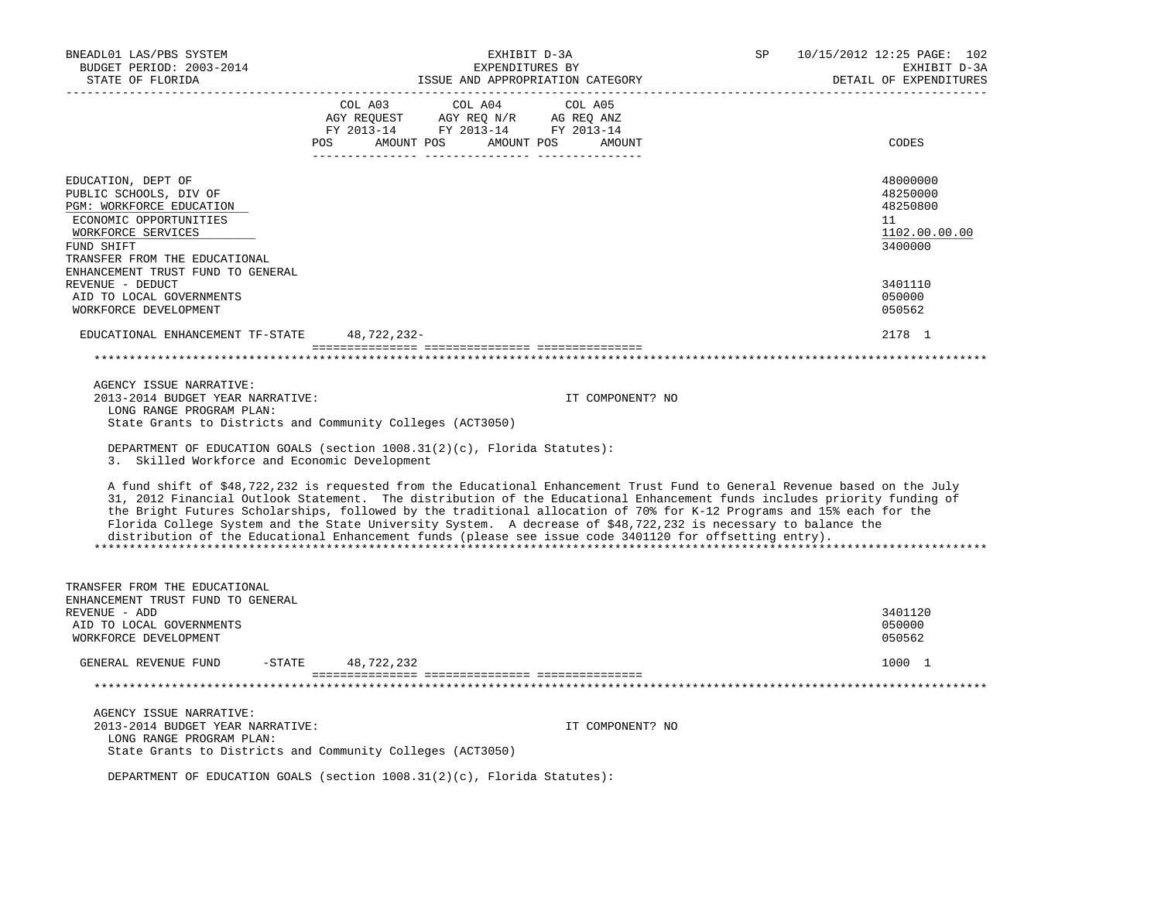| BNEADL01 LAS/PBS SYSTEM<br>BUDGET PERIOD: 2003-2014<br>STATE OF FLORIDA                                                                                                 | EXHIBIT D-3A<br>EXPENDITURES BY<br>ISSUE AND APPROPRIATION CATEGORY                                                                                                                                                                                                                                                                                                                                                                                                                                                                                                                                          | SP | 10/15/2012 12:25 PAGE: 102<br>EXHIBIT D-3A<br>DETAIL OF EXPENDITURES |
|-------------------------------------------------------------------------------------------------------------------------------------------------------------------------|--------------------------------------------------------------------------------------------------------------------------------------------------------------------------------------------------------------------------------------------------------------------------------------------------------------------------------------------------------------------------------------------------------------------------------------------------------------------------------------------------------------------------------------------------------------------------------------------------------------|----|----------------------------------------------------------------------|
|                                                                                                                                                                         | COL A03<br>COL A04<br>COL A05<br>$\begin{tabular}{lllllll} \bf AGY \;\; RegUEST \hspace{1cm} AGY \;\; REG \;\; N/R \hspace{1cm} \bf AG \;\; REG \;\; ANZ \\ \hline \tt FY \;\; 2013-14 \hspace{1cm} FY \;\; 2013-14 \hspace{1cm} FY \;\; 2013-14 \end{tabular}$<br>AMOUNT POS AMOUNT POS<br>POS<br>AMOUNT                                                                                                                                                                                                                                                                                                    |    | CODES                                                                |
| EDUCATION, DEPT OF<br>PUBLIC SCHOOLS, DIV OF<br>PGM: WORKFORCE EDUCATION<br>ECONOMIC OPPORTUNITIES<br>WORKFORCE SERVICES<br>FUND SHIFT<br>TRANSFER FROM THE EDUCATIONAL |                                                                                                                                                                                                                                                                                                                                                                                                                                                                                                                                                                                                              |    | 48000000<br>48250000<br>48250800<br>11<br>1102.00.00.00<br>3400000   |
| ENHANCEMENT TRUST FUND TO GENERAL<br>REVENUE - DEDUCT<br>AID TO LOCAL GOVERNMENTS<br>WORKFORCE DEVELOPMENT                                                              |                                                                                                                                                                                                                                                                                                                                                                                                                                                                                                                                                                                                              |    | 3401110<br>050000<br>050562                                          |
| EDUCATIONAL ENHANCEMENT TF-STATE                                                                                                                                        | 48,722,232-                                                                                                                                                                                                                                                                                                                                                                                                                                                                                                                                                                                                  |    | 2178 1                                                               |
|                                                                                                                                                                         |                                                                                                                                                                                                                                                                                                                                                                                                                                                                                                                                                                                                              |    |                                                                      |
| AGENCY ISSUE NARRATIVE:<br>2013-2014 BUDGET YEAR NARRATIVE:<br>LONG RANGE PROGRAM PLAN:                                                                                 | IT COMPONENT? NO<br>State Grants to Districts and Community Colleges (ACT3050)                                                                                                                                                                                                                                                                                                                                                                                                                                                                                                                               |    |                                                                      |
| 3. Skilled Workforce and Economic Development                                                                                                                           | DEPARTMENT OF EDUCATION GOALS (section 1008.31(2)(c), Florida Statutes):                                                                                                                                                                                                                                                                                                                                                                                                                                                                                                                                     |    |                                                                      |
|                                                                                                                                                                         | A fund shift of \$48,722,232 is requested from the Educational Enhancement Trust Fund to General Revenue based on the July<br>31, 2012 Financial Outlook Statement. The distribution of the Educational Enhancement funds includes priority funding of<br>the Bright Futures Scholarships, followed by the traditional allocation of 70% for K-12 Programs and 15% each for the<br>Florida College System and the State University System. A decrease of \$48,722,232 is necessary to balance the<br>distribution of the Educational Enhancement funds (please see issue code 3401120 for offsetting entry). |    |                                                                      |
| TRANSFER FROM THE EDUCATIONAL<br>ENHANCEMENT TRUST FUND TO GENERAL<br>REVENUE - ADD<br>AID TO LOCAL GOVERNMENTS                                                         |                                                                                                                                                                                                                                                                                                                                                                                                                                                                                                                                                                                                              |    | 3401120<br>050000                                                    |
| WORKFORCE DEVELOPMENT                                                                                                                                                   |                                                                                                                                                                                                                                                                                                                                                                                                                                                                                                                                                                                                              |    | 050562                                                               |
| $-$ STATE<br>GENERAL REVENUE FUND                                                                                                                                       | 48,722,232                                                                                                                                                                                                                                                                                                                                                                                                                                                                                                                                                                                                   |    | 1000 1                                                               |
|                                                                                                                                                                         |                                                                                                                                                                                                                                                                                                                                                                                                                                                                                                                                                                                                              |    |                                                                      |
| AGENCY ISSUE NARRATIVE:<br>2013-2014 BUDGET YEAR NARRATIVE:<br>LONG RANGE PROGRAM PLAN:                                                                                 | IT COMPONENT? NO<br>State Grants to Districts and Community Colleges (ACT3050)                                                                                                                                                                                                                                                                                                                                                                                                                                                                                                                               |    |                                                                      |
|                                                                                                                                                                         | DEPARTMENT OF EDUCATION GOALS (section 1008.31(2)(c), Florida Statutes):                                                                                                                                                                                                                                                                                                                                                                                                                                                                                                                                     |    |                                                                      |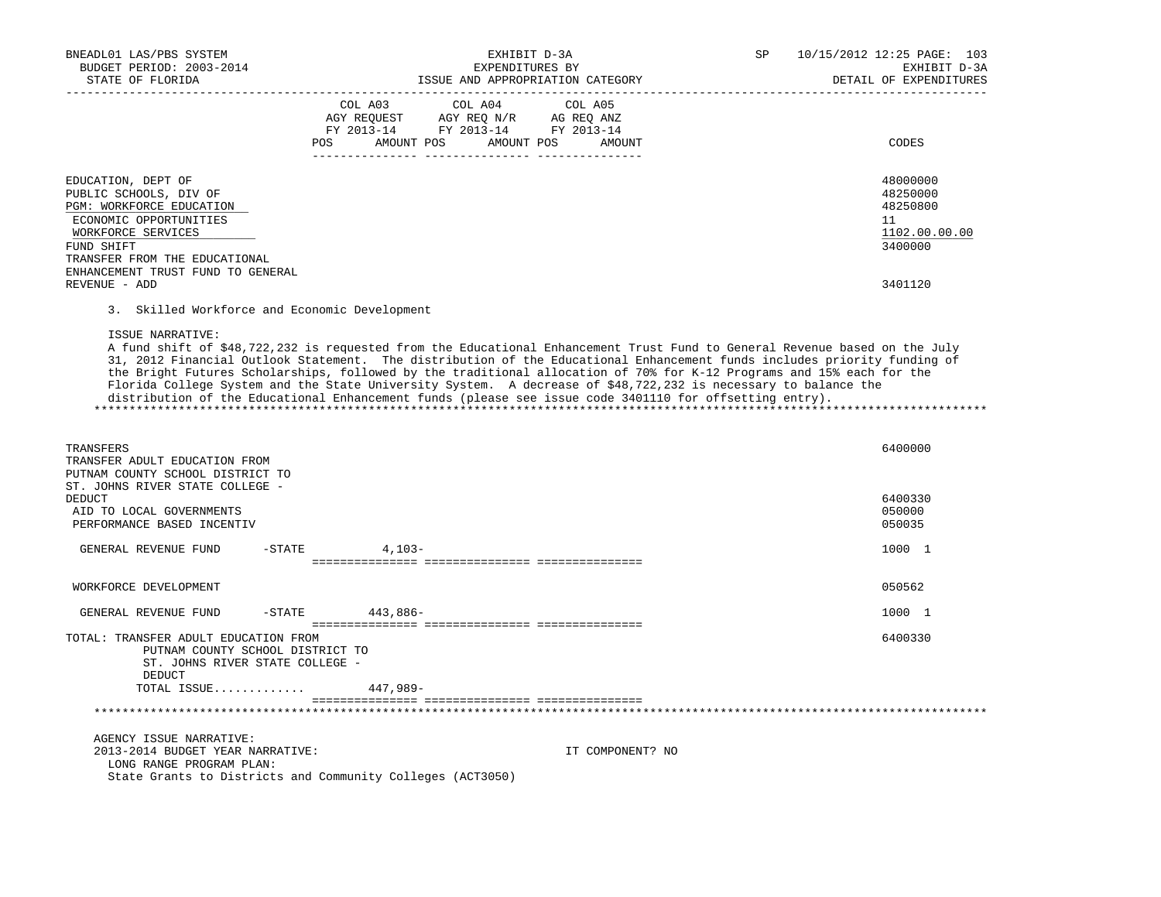| BNEADL01 LAS/PBS SYSTEM<br>BUDGET PERIOD: 2003-2014<br>STATE OF FLORIDA                                                                                                                                      | EXHIBIT D-3A<br>EXPENDITURES BY<br>ISSUE AND APPROPRIATION CATEGORY                                                                                                                                                                                                                                                                                                                                                                                                                                                                                                                                          | SP | 10/15/2012 12:25 PAGE: 103<br>EXHIBIT D-3A<br>DETAIL OF EXPENDITURES |
|--------------------------------------------------------------------------------------------------------------------------------------------------------------------------------------------------------------|--------------------------------------------------------------------------------------------------------------------------------------------------------------------------------------------------------------------------------------------------------------------------------------------------------------------------------------------------------------------------------------------------------------------------------------------------------------------------------------------------------------------------------------------------------------------------------------------------------------|----|----------------------------------------------------------------------|
|                                                                                                                                                                                                              | COL A03<br>COL A04<br>COL A05<br>AGY REQUEST<br>AGY REQ N/R<br>AG REQ ANZ<br>FY 2013-14 FY 2013-14 FY 2013-14<br>POS<br>AMOUNT POS<br>AMOUNT POS<br>AMOUNT                                                                                                                                                                                                                                                                                                                                                                                                                                                   |    | CODES                                                                |
| EDUCATION, DEPT OF<br>PUBLIC SCHOOLS, DIV OF<br>PGM: WORKFORCE EDUCATION<br>ECONOMIC OPPORTUNITIES<br>WORKFORCE SERVICES<br>FUND SHIFT<br>TRANSFER FROM THE EDUCATIONAL<br>ENHANCEMENT TRUST FUND TO GENERAL |                                                                                                                                                                                                                                                                                                                                                                                                                                                                                                                                                                                                              |    | 48000000<br>48250000<br>48250800<br>11<br>1102.00.00.00<br>3400000   |
| REVENUE - ADD                                                                                                                                                                                                |                                                                                                                                                                                                                                                                                                                                                                                                                                                                                                                                                                                                              |    | 3401120                                                              |
| 3. Skilled Workforce and Economic Development                                                                                                                                                                |                                                                                                                                                                                                                                                                                                                                                                                                                                                                                                                                                                                                              |    |                                                                      |
| ISSUE NARRATIVE:                                                                                                                                                                                             | A fund shift of \$48,722,232 is requested from the Educational Enhancement Trust Fund to General Revenue based on the July<br>31, 2012 Financial Outlook Statement. The distribution of the Educational Enhancement funds includes priority funding of<br>the Bright Futures Scholarships, followed by the traditional allocation of 70% for K-12 Programs and 15% each for the<br>Florida College System and the State University System. A decrease of \$48,722,232 is necessary to balance the<br>distribution of the Educational Enhancement funds (please see issue code 3401110 for offsetting entry). |    |                                                                      |
| TRANSFERS<br>TRANSFER ADULT EDUCATION FROM<br>PUTNAM COUNTY SCHOOL DISTRICT TO<br>ST. JOHNS RIVER STATE COLLEGE -                                                                                            |                                                                                                                                                                                                                                                                                                                                                                                                                                                                                                                                                                                                              |    | 6400000                                                              |
| DEDUCT<br>AID TO LOCAL GOVERNMENTS<br>PERFORMANCE BASED INCENTIV                                                                                                                                             |                                                                                                                                                                                                                                                                                                                                                                                                                                                                                                                                                                                                              |    | 6400330<br>050000<br>050035                                          |
| GENERAL REVENUE FUND<br>$-$ STATE                                                                                                                                                                            | $4,103-$                                                                                                                                                                                                                                                                                                                                                                                                                                                                                                                                                                                                     |    | 1000 1                                                               |
| WORKFORCE DEVELOPMENT                                                                                                                                                                                        |                                                                                                                                                                                                                                                                                                                                                                                                                                                                                                                                                                                                              |    | 050562                                                               |
| GENERAL REVENUE FUND<br>$-$ STATE                                                                                                                                                                            | 443,886-                                                                                                                                                                                                                                                                                                                                                                                                                                                                                                                                                                                                     |    | 1000 1                                                               |
| TOTAL: TRANSFER ADULT EDUCATION FROM<br>PUTNAM COUNTY SCHOOL DISTRICT TO<br>ST. JOHNS RIVER STATE COLLEGE -                                                                                                  |                                                                                                                                                                                                                                                                                                                                                                                                                                                                                                                                                                                                              |    | 6400330                                                              |
| DEDUCT<br>TOTAL ISSUE                                                                                                                                                                                        | 447,989-                                                                                                                                                                                                                                                                                                                                                                                                                                                                                                                                                                                                     |    |                                                                      |
|                                                                                                                                                                                                              |                                                                                                                                                                                                                                                                                                                                                                                                                                                                                                                                                                                                              |    |                                                                      |
| AGENCY ISSUE NARRATIVE:<br>2013-2014 BUDGET YEAR NARRATIVE:<br>LONG RANGE PROGRAM PLAN:                                                                                                                      | IT COMPONENT? NO<br>State Grants to Districts and Community Colleges (ACT3050)                                                                                                                                                                                                                                                                                                                                                                                                                                                                                                                               |    |                                                                      |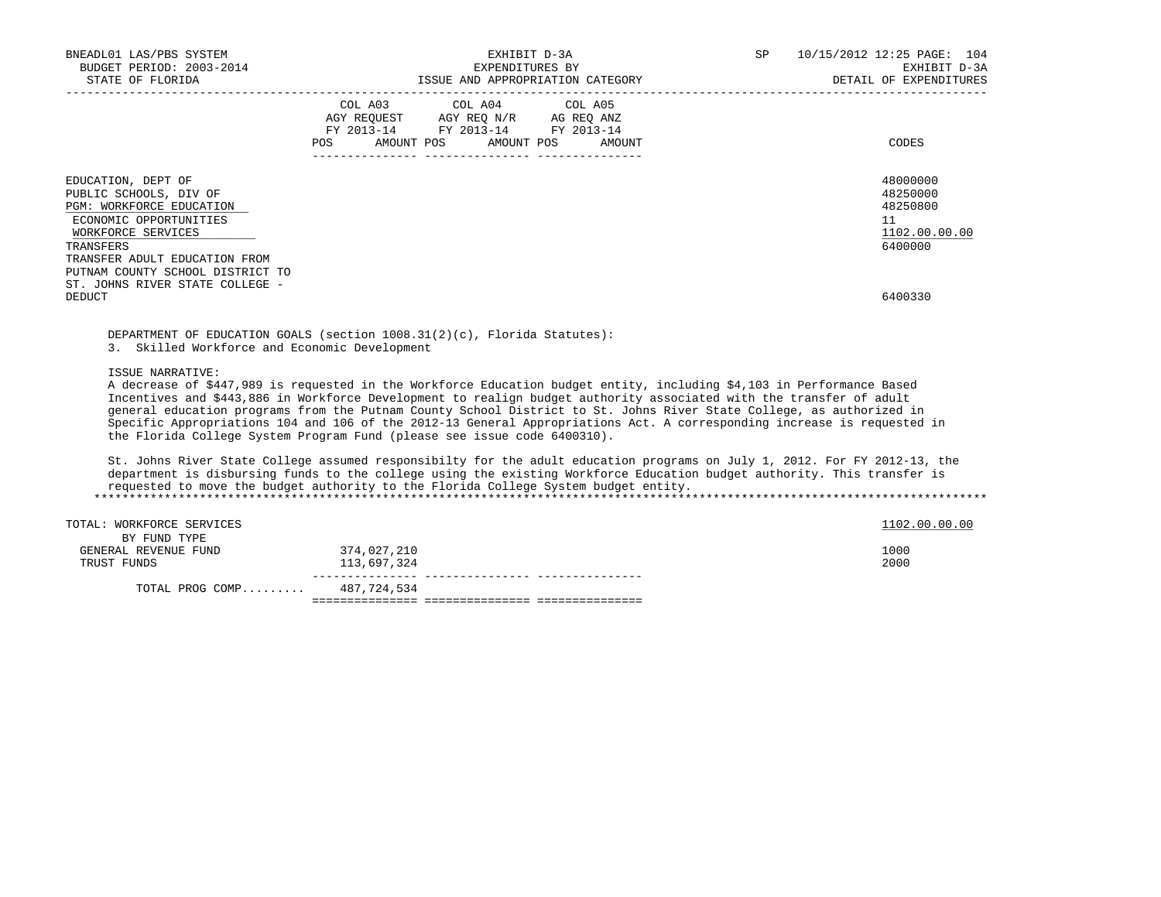| BNEADL01 LAS/PBS SYSTEM<br>BUDGET PERIOD: 2003-2014<br>STATE OF FLORIDA                                                                                                | EXHIBIT D-3A<br>EXPENDITURES BY<br>ISSUE AND APPROPRIATION CATEGORY                                                                      | 10/15/2012 12:25 PAGE: 104<br>SP.<br>EXHIBIT D-3A<br>DETAIL OF EXPENDITURES |
|------------------------------------------------------------------------------------------------------------------------------------------------------------------------|------------------------------------------------------------------------------------------------------------------------------------------|-----------------------------------------------------------------------------|
|                                                                                                                                                                        | COL A03 COL A04 COL A05<br>AGY REQUEST AGY REQ N/R AG REQ ANZ<br>FY 2013-14 FY 2013-14 FY 2013-14<br>AMOUNT POS AMOUNT POS AMOUNT<br>POS | CODES                                                                       |
| EDUCATION, DEPT OF<br>PUBLIC SCHOOLS, DIV OF<br>PGM: WORKFORCE EDUCATION<br>ECONOMIC OPPORTUNITIES<br>WORKFORCE SERVICES<br>TRANSFERS<br>TRANSFER ADULT EDUCATION FROM |                                                                                                                                          | 48000000<br>48250000<br>48250800<br>11<br>1102.00.00.00<br>6400000          |
| PUTNAM COUNTY SCHOOL DISTRICT TO<br>ST. JOHNS RIVER STATE COLLEGE -<br>DEDUCT                                                                                          |                                                                                                                                          | 6400330                                                                     |

 DEPARTMENT OF EDUCATION GOALS (section 1008.31(2)(c), Florida Statutes): 3. Skilled Workforce and Economic Development

ISSUE NARRATIVE:

 A decrease of \$447,989 is requested in the Workforce Education budget entity, including \$4,103 in Performance Based Incentives and \$443,886 in Workforce Development to realign budget authority associated with the transfer of adult general education programs from the Putnam County School District to St. Johns River State College, as authorized in Specific Appropriations 104 and 106 of the 2012-13 General Appropriations Act. A corresponding increase is requested in the Florida College System Program Fund (please see issue code 6400310).

 St. Johns River State College assumed responsibilty for the adult education programs on July 1, 2012. For FY 2012-13, the department is disbursing funds to the college using the existing Workforce Education budget authority. This transfer is requested to move the budget authority to the Florida College System budget entity. \*\*\*\*\*\*\*\*\*\*\*\*\*\*\*\*\*\*\*\*\*\*\*\*\*\*\*\*\*\*\*\*\*\*\*\*\*\*\*\*\*\*\*\*\*\*\*\*\*\*\*\*\*\*\*\*\*\*\*\*\*\*\*\*\*\*\*\*\*\*\*\*\*\*\*\*\*\*\*\*\*\*\*\*\*\*\*\*\*\*\*\*\*\*\*\*\*\*\*\*\*\*\*\*\*\*\*\*\*\*\*\*\*\*\*\*\*\*\*\*\*\*\*\*\*\*\*

| TOTAL: WORKFORCE SERVICES |             | 1102.00.00.00 |
|---------------------------|-------------|---------------|
| BY FUND TYPE              |             |               |
| GENERAL REVENUE FUND      | 374,027,210 | 1000          |
| TRUST FUNDS               | 113,697,324 | 2000          |
| TOTAL PROG COMP           | 487,724,534 |               |

=============== =============== ===============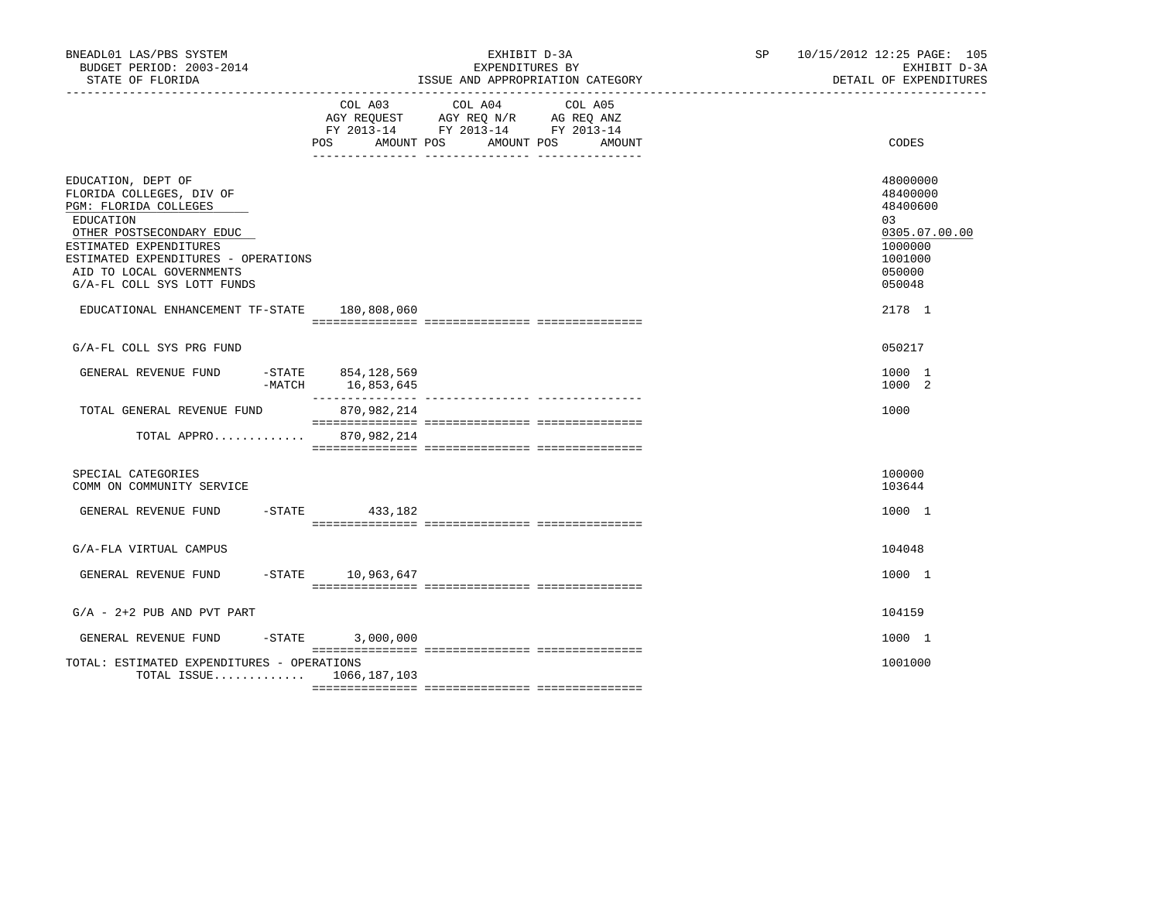| BNEADL01 LAS/PBS SYSTEM<br>BUDGET PERIOD: 2003-2014<br>STATE OF FLORIDA                                                                                                                                                                     |     | EXHIBIT D-3A<br>EXPENDITURES BY<br>ISSUE AND APPROPRIATION CATEGORY                                                        | SP <sub>2</sub> | 10/15/2012 12:25 PAGE: 105<br>EXHIBIT D-3A<br>DETAIL OF EXPENDITURES |       |                                                                                                   |
|---------------------------------------------------------------------------------------------------------------------------------------------------------------------------------------------------------------------------------------------|-----|----------------------------------------------------------------------------------------------------------------------------|-----------------|----------------------------------------------------------------------|-------|---------------------------------------------------------------------------------------------------|
|                                                                                                                                                                                                                                             | POS | COL A03 COL A04 COL A05<br>AGY REQUEST AGY REQ N/R AG REQ ANZ<br>FY 2013-14 FY 2013-14 FY 2013-14<br>AMOUNT POS AMOUNT POS | AMOUNT          |                                                                      | CODES |                                                                                                   |
| EDUCATION, DEPT OF<br>FLORIDA COLLEGES, DIV OF<br>PGM: FLORIDA COLLEGES<br>EDUCATION<br>OTHER POSTSECONDARY EDUC<br>ESTIMATED EXPENDITURES<br>ESTIMATED EXPENDITURES - OPERATIONS<br>AID TO LOCAL GOVERNMENTS<br>G/A-FL COLL SYS LOTT FUNDS |     |                                                                                                                            |                 |                                                                      |       | 48000000<br>48400000<br>48400600<br>03<br>0305.07.00.00<br>1000000<br>1001000<br>050000<br>050048 |
| EDUCATIONAL ENHANCEMENT TF-STATE 180,808,060                                                                                                                                                                                                |     |                                                                                                                            |                 |                                                                      |       | 2178 1                                                                                            |
| G/A-FL COLL SYS PRG FUND                                                                                                                                                                                                                    |     |                                                                                                                            |                 |                                                                      |       | 050217                                                                                            |
| GENERAL REVENUE FUND                                                                                                                                                                                                                        |     | -STATE 854, 128, 569<br>-MATCH 16,853,645                                                                                  |                 |                                                                      |       | 1000 1<br>1000 2                                                                                  |
| TOTAL GENERAL REVENUE FUND                                                                                                                                                                                                                  |     | 870,982,214                                                                                                                |                 |                                                                      |       | 1000                                                                                              |
| TOTAL APPRO 870,982,214                                                                                                                                                                                                                     |     |                                                                                                                            |                 |                                                                      |       |                                                                                                   |
| SPECIAL CATEGORIES<br>COMM ON COMMUNITY SERVICE                                                                                                                                                                                             |     |                                                                                                                            |                 |                                                                      |       | 100000<br>103644                                                                                  |
| GENERAL REVENUE FUND                                                                                                                                                                                                                        |     | -STATE 433,182                                                                                                             |                 |                                                                      |       | 1000 1                                                                                            |
| G/A-FLA VIRTUAL CAMPUS                                                                                                                                                                                                                      |     |                                                                                                                            |                 |                                                                      |       | 104048                                                                                            |
| GENERAL REVENUE FUND                                                                                                                                                                                                                        |     | -STATE 10,963,647                                                                                                          |                 |                                                                      |       | 1000 1                                                                                            |
| $G/A - 2 + 2$ PUB AND PVT PART                                                                                                                                                                                                              |     |                                                                                                                            |                 |                                                                      |       | 104159                                                                                            |
| GENERAL REVENUE FUND                                                                                                                                                                                                                        |     | $-STATE$ 3,000,000                                                                                                         |                 |                                                                      |       | 1000 1                                                                                            |
| TOTAL: ESTIMATED EXPENDITURES - OPERATIONS<br>TOTAL ISSUE $1066, 187, 103$                                                                                                                                                                  |     |                                                                                                                            |                 |                                                                      |       | 1001000                                                                                           |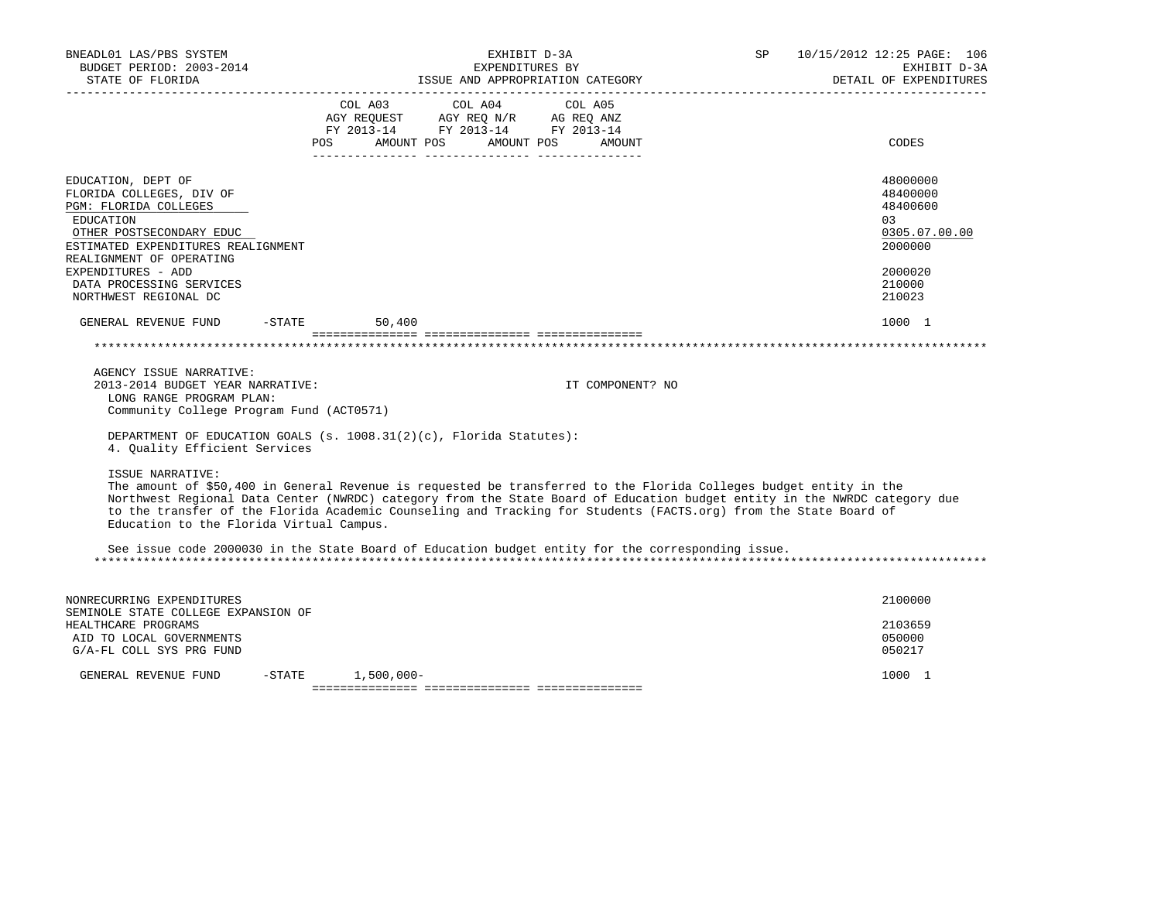| BNEADL01 LAS/PBS SYSTEM<br>BUDGET PERIOD: 2003-2014<br>STATE OF FLORIDA                                                                                                                                                                                       | EXHIBIT D-3A<br>EXPENDITURES BY<br>ISSUE AND APPROPRIATION CATEGORY                                                                                                                                                                                                                                                                                                 | 10/15/2012 12:25 PAGE: 106<br>SP<br>EXHIBIT D-3A<br>DETAIL OF EXPENDITURES                         |
|---------------------------------------------------------------------------------------------------------------------------------------------------------------------------------------------------------------------------------------------------------------|---------------------------------------------------------------------------------------------------------------------------------------------------------------------------------------------------------------------------------------------------------------------------------------------------------------------------------------------------------------------|----------------------------------------------------------------------------------------------------|
|                                                                                                                                                                                                                                                               | COL A03 COL A04 COL A05<br>AGY REQUEST AGY REQ N/R AG REQ ANZ<br>FY 2013-14 FY 2013-14 FY 2013-14<br>POS AMOUNT POS AMOUNT POS AMOUNT                                                                                                                                                                                                                               | CODES                                                                                              |
| EDUCATION, DEPT OF<br>FLORIDA COLLEGES, DIV OF<br>PGM: FLORIDA COLLEGES<br>EDUCATION<br>OTHER POSTSECONDARY EDUC<br>ESTIMATED EXPENDITURES REALIGNMENT<br>REALIGNMENT OF OPERATING<br>EXPENDITURES - ADD<br>DATA PROCESSING SERVICES<br>NORTHWEST REGIONAL DC |                                                                                                                                                                                                                                                                                                                                                                     | 48000000<br>48400000<br>48400600<br>0.3<br>0305.07.00.00<br>2000000<br>2000020<br>210000<br>210023 |
| GENERAL REVENUE FUND                                                                                                                                                                                                                                          | $-STATE$<br>50,400                                                                                                                                                                                                                                                                                                                                                  | 1000 1                                                                                             |
|                                                                                                                                                                                                                                                               |                                                                                                                                                                                                                                                                                                                                                                     |                                                                                                    |
| AGENCY ISSUE NARRATIVE:<br>2013-2014 BUDGET YEAR NARRATIVE:<br>LONG RANGE PROGRAM PLAN:<br>Community College Program Fund (ACT0571)                                                                                                                           | IT COMPONENT? NO                                                                                                                                                                                                                                                                                                                                                    |                                                                                                    |
| 4. Quality Efficient Services                                                                                                                                                                                                                                 | DEPARTMENT OF EDUCATION GOALS (s. $1008.31(2)(c)$ , Florida Statutes):                                                                                                                                                                                                                                                                                              |                                                                                                    |
| ISSUE NARRATIVE:<br>Education to the Florida Virtual Campus.                                                                                                                                                                                                  | The amount of \$50,400 in General Revenue is requested be transferred to the Florida Colleges budget entity in the<br>Northwest Regional Data Center (NWRDC) category from the State Board of Education budget entity in the NWRDC category due<br>to the transfer of the Florida Academic Counseling and Tracking for Students (FACTS.org) from the State Board of |                                                                                                    |
|                                                                                                                                                                                                                                                               | See issue code 2000030 in the State Board of Education budget entity for the corresponding issue.                                                                                                                                                                                                                                                                   |                                                                                                    |
| NONRECURRING EXPENDITURES                                                                                                                                                                                                                                     |                                                                                                                                                                                                                                                                                                                                                                     | 2100000                                                                                            |
| SEMINOLE STATE COLLEGE EXPANSION OF<br>HEALTHCARE PROGRAMS<br>AID TO LOCAL GOVERNMENTS<br>G/A-FL COLL SYS PRG FUND                                                                                                                                            |                                                                                                                                                                                                                                                                                                                                                                     | 2103659<br>050000<br>050217                                                                        |
| GENERAL REVENUE FUND                                                                                                                                                                                                                                          | $-STATE$ 1,500,000-                                                                                                                                                                                                                                                                                                                                                 | 1000 1                                                                                             |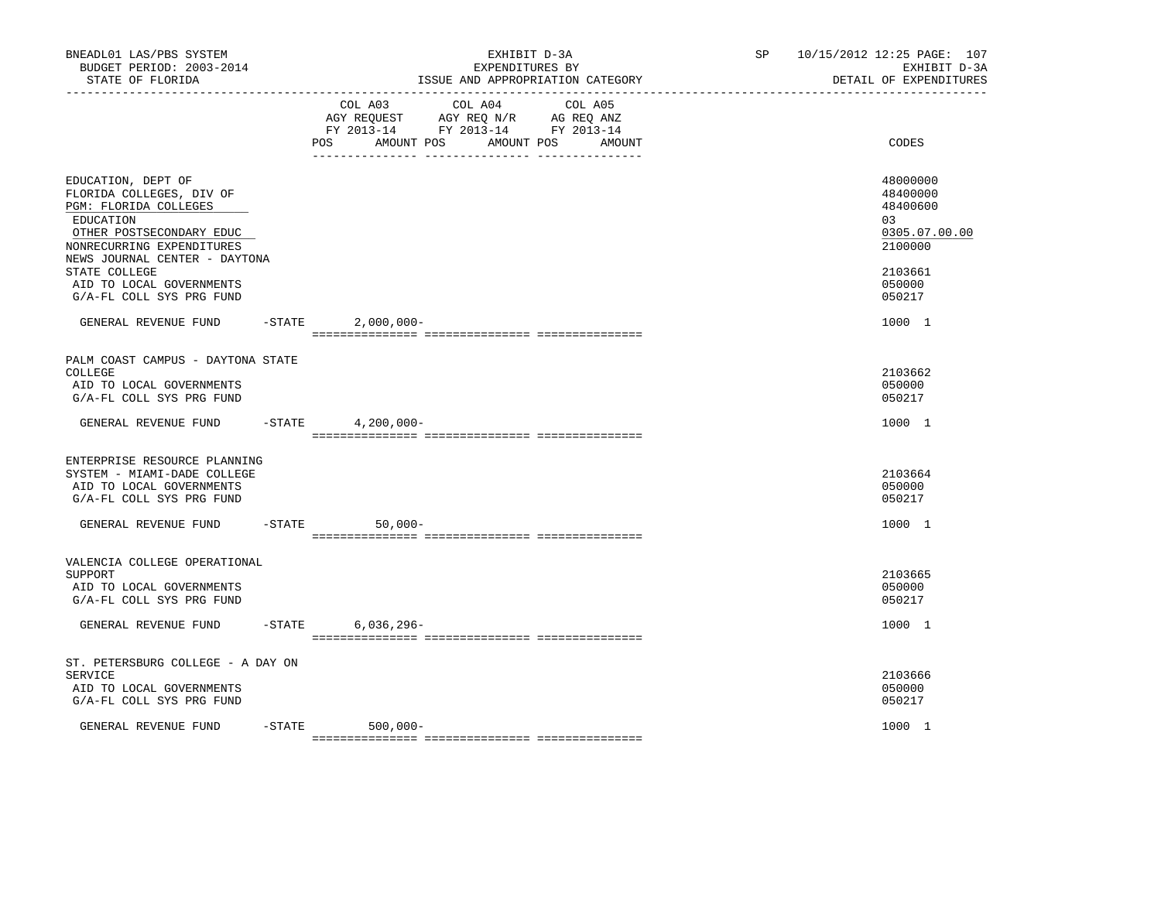| BNEADL01 LAS/PBS SYSTEM<br>BUDGET PERIOD: 2003-2014<br>STATE OF FLORIDA<br>---------------------                                                                                                                                                        |           | EXHIBIT D-3A<br>EXPENDITURES BY<br>ISSUE AND APPROPRIATION CATEGORY                                                                            | SP and the set of the set of the set of the set of the set of the set of the set of the set of the set of the set of the set of the set of the set of the set of the set of the set of the set of the set of the set of the se | 10/15/2012 12:25 PAGE: 107<br>EXHIBIT D-3A<br>DETAIL OF EXPENDITURES                              |  |
|---------------------------------------------------------------------------------------------------------------------------------------------------------------------------------------------------------------------------------------------------------|-----------|------------------------------------------------------------------------------------------------------------------------------------------------|--------------------------------------------------------------------------------------------------------------------------------------------------------------------------------------------------------------------------------|---------------------------------------------------------------------------------------------------|--|
|                                                                                                                                                                                                                                                         |           | COL A03 COL A04 COL A05<br>AGY REQUEST AGY REQ N/R AG REQ ANZ<br>FY 2013-14 FY 2013-14 FY 2013-14<br>AMOUNT POS<br>AMOUNT POS<br>POS<br>AMOUNT |                                                                                                                                                                                                                                | CODES                                                                                             |  |
| EDUCATION, DEPT OF<br>FLORIDA COLLEGES, DIV OF<br>PGM: FLORIDA COLLEGES<br>EDUCATION<br>OTHER POSTSECONDARY EDUC<br>NONRECURRING EXPENDITURES<br>NEWS JOURNAL CENTER - DAYTONA<br>STATE COLLEGE<br>AID TO LOCAL GOVERNMENTS<br>G/A-FL COLL SYS PRG FUND |           |                                                                                                                                                |                                                                                                                                                                                                                                | 48000000<br>48400000<br>48400600<br>03<br>0305.07.00.00<br>2100000<br>2103661<br>050000<br>050217 |  |
| GENERAL REVENUE FUND                                                                                                                                                                                                                                    |           | $-STATE$ 2,000,000-                                                                                                                            |                                                                                                                                                                                                                                | 1000 1                                                                                            |  |
| PALM COAST CAMPUS - DAYTONA STATE<br>COLLEGE<br>AID TO LOCAL GOVERNMENTS<br>G/A-FL COLL SYS PRG FUND                                                                                                                                                    |           |                                                                                                                                                |                                                                                                                                                                                                                                | 2103662<br>050000<br>050217                                                                       |  |
| GENERAL REVENUE FUND -STATE 4,200,000-                                                                                                                                                                                                                  |           |                                                                                                                                                |                                                                                                                                                                                                                                | 1000 1                                                                                            |  |
| ENTERPRISE RESOURCE PLANNING<br>SYSTEM - MIAMI-DADE COLLEGE<br>AID TO LOCAL GOVERNMENTS<br>G/A-FL COLL SYS PRG FUND                                                                                                                                     |           |                                                                                                                                                |                                                                                                                                                                                                                                | 2103664<br>050000<br>050217                                                                       |  |
| GENERAL REVENUE FUND                                                                                                                                                                                                                                    |           | $-STATE$<br>$50,000-$                                                                                                                          |                                                                                                                                                                                                                                | 1000 1                                                                                            |  |
| VALENCIA COLLEGE OPERATIONAL<br>SUPPORT<br>AID TO LOCAL GOVERNMENTS<br>G/A-FL COLL SYS PRG FUND                                                                                                                                                         |           |                                                                                                                                                |                                                                                                                                                                                                                                | 2103665<br>050000<br>050217                                                                       |  |
| GENERAL REVENUE FUND                                                                                                                                                                                                                                    |           | $-$ STATE<br>$6,036,296-$                                                                                                                      |                                                                                                                                                                                                                                | 1000 1                                                                                            |  |
| ST. PETERSBURG COLLEGE - A DAY ON<br>SERVICE<br>AID TO LOCAL GOVERNMENTS<br>G/A-FL COLL SYS PRG FUND                                                                                                                                                    |           |                                                                                                                                                |                                                                                                                                                                                                                                | 2103666<br>050000<br>050217                                                                       |  |
| GENERAL REVENUE FUND                                                                                                                                                                                                                                    | $-$ STATE | 500,000-                                                                                                                                       |                                                                                                                                                                                                                                | 1000 1                                                                                            |  |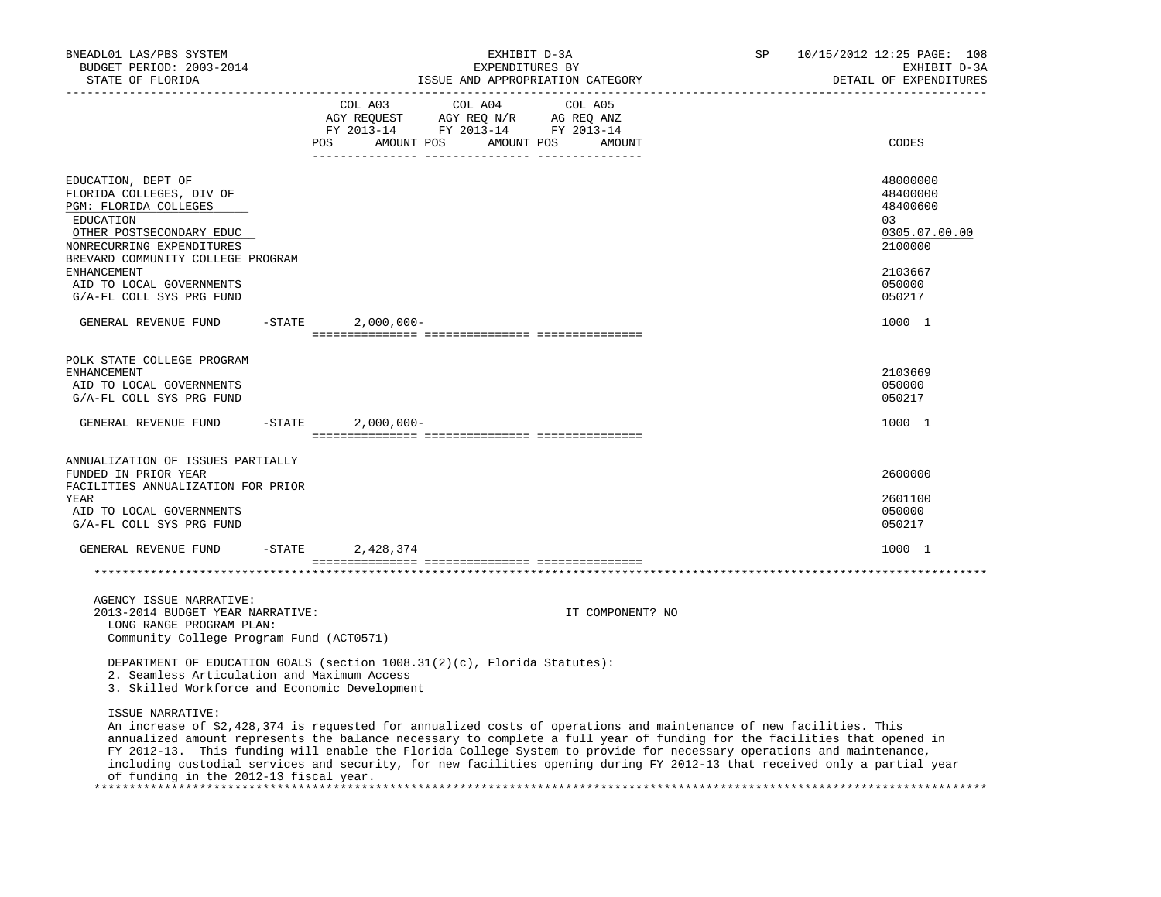| BNEADL01 LAS/PBS SYSTEM<br>BUDGET PERIOD: 2003-2014<br>STATE OF FLORIDA                                                                                                                                                                                                                                                                                                                                                                                                                                                |           | EXHIBIT D-3A<br>EXPENDITURES BY<br>ISSUE AND APPROPRIATION CATEGORY |                                                                                                                                                                                                                                            |  |         |                  |                   | SP | 10/15/2012 12:25 PAGE: 108<br>EXHIBIT D-3A<br>DETAIL OF EXPENDITURES |
|------------------------------------------------------------------------------------------------------------------------------------------------------------------------------------------------------------------------------------------------------------------------------------------------------------------------------------------------------------------------------------------------------------------------------------------------------------------------------------------------------------------------|-----------|---------------------------------------------------------------------|--------------------------------------------------------------------------------------------------------------------------------------------------------------------------------------------------------------------------------------------|--|---------|------------------|-------------------|----|----------------------------------------------------------------------|
|                                                                                                                                                                                                                                                                                                                                                                                                                                                                                                                        |           | <b>POS</b>                                                          | COL A03<br>$\begin{tabular}{lllllllll} \bf AGY \,\,\, REQUEST \,\, & \bf AGY \,\, REQ \,\, N/R & \,\, AG \,\, REQ \,\, ANZ \\ \bf FY \,\, 2013-14 & \,\, FY \,\, 2013-14 & \,\, FY \,\, 2013-14 \\ \end{tabular}$<br>AMOUNT POS AMOUNT POS |  | COL A04 |                  | COL A05<br>AMOUNT |    | CODES                                                                |
| EDUCATION, DEPT OF<br>FLORIDA COLLEGES, DIV OF<br>PGM: FLORIDA COLLEGES<br>EDUCATION<br>OTHER POSTSECONDARY EDUC<br>NONRECURRING EXPENDITURES<br>BREVARD COMMUNITY COLLEGE PROGRAM                                                                                                                                                                                                                                                                                                                                     |           |                                                                     |                                                                                                                                                                                                                                            |  |         |                  |                   |    | 48000000<br>48400000<br>48400600<br>03<br>0305.07.00.00<br>2100000   |
| <b>ENHANCEMENT</b><br>AID TO LOCAL GOVERNMENTS<br>G/A-FL COLL SYS PRG FUND                                                                                                                                                                                                                                                                                                                                                                                                                                             |           |                                                                     |                                                                                                                                                                                                                                            |  |         |                  |                   |    | 2103667<br>050000<br>050217                                          |
| GENERAL REVENUE FUND                                                                                                                                                                                                                                                                                                                                                                                                                                                                                                   | $-$ STATE |                                                                     | $2,000,000 -$                                                                                                                                                                                                                              |  |         |                  |                   |    | 1000 1                                                               |
| POLK STATE COLLEGE PROGRAM<br><b>ENHANCEMENT</b><br>AID TO LOCAL GOVERNMENTS<br>G/A-FL COLL SYS PRG FUND                                                                                                                                                                                                                                                                                                                                                                                                               |           |                                                                     |                                                                                                                                                                                                                                            |  |         |                  |                   |    | 2103669<br>050000<br>050217                                          |
| GENERAL REVENUE FUND                                                                                                                                                                                                                                                                                                                                                                                                                                                                                                   | $-$ STATE |                                                                     | $2,000,000-$                                                                                                                                                                                                                               |  |         |                  |                   |    | 1000 1                                                               |
| ANNUALIZATION OF ISSUES PARTIALLY<br>FUNDED IN PRIOR YEAR<br>FACILITIES ANNUALIZATION FOR PRIOR<br>YEAR<br>AID TO LOCAL GOVERNMENTS<br>G/A-FL COLL SYS PRG FUND                                                                                                                                                                                                                                                                                                                                                        |           |                                                                     |                                                                                                                                                                                                                                            |  |         |                  |                   |    | 2600000<br>2601100<br>050000<br>050217                               |
| GENERAL REVENUE FUND                                                                                                                                                                                                                                                                                                                                                                                                                                                                                                   | $-$ STATE |                                                                     | 2,428,374                                                                                                                                                                                                                                  |  |         |                  |                   |    | 1000 1                                                               |
|                                                                                                                                                                                                                                                                                                                                                                                                                                                                                                                        |           |                                                                     |                                                                                                                                                                                                                                            |  |         |                  |                   |    |                                                                      |
| AGENCY ISSUE NARRATIVE:<br>2013-2014 BUDGET YEAR NARRATIVE:<br>LONG RANGE PROGRAM PLAN:<br>Community College Program Fund (ACT0571)                                                                                                                                                                                                                                                                                                                                                                                    |           |                                                                     |                                                                                                                                                                                                                                            |  |         | IT COMPONENT? NO |                   |    |                                                                      |
| DEPARTMENT OF EDUCATION GOALS (section $1008.31(2)(c)$ , Florida Statutes):<br>2. Seamless Articulation and Maximum Access<br>3. Skilled Workforce and Economic Development                                                                                                                                                                                                                                                                                                                                            |           |                                                                     |                                                                                                                                                                                                                                            |  |         |                  |                   |    |                                                                      |
| ISSUE NARRATIVE:<br>An increase of \$2,428,374 is requested for annualized costs of operations and maintenance of new facilities. This<br>annualized amount represents the balance necessary to complete a full year of funding for the facilities that opened in<br>FY 2012-13. This funding will enable the Florida College System to provide for necessary operations and maintenance,<br>including custodial services and security, for new facilities opening during FY 2012-13 that received only a partial year |           |                                                                     |                                                                                                                                                                                                                                            |  |         |                  |                   |    |                                                                      |

of funding in the 2012-13 fiscal year.

\*\*\*\*\*\*\*\*\*\*\*\*\*\*\*\*\*\*\*\*\*\*\*\*\*\*\*\*\*\*\*\*\*\*\*\*\*\*\*\*\*\*\*\*\*\*\*\*\*\*\*\*\*\*\*\*\*\*\*\*\*\*\*\*\*\*\*\*\*\*\*\*\*\*\*\*\*\*\*\*\*\*\*\*\*\*\*\*\*\*\*\*\*\*\*\*\*\*\*\*\*\*\*\*\*\*\*\*\*\*\*\*\*\*\*\*\*\*\*\*\*\*\*\*\*\*\*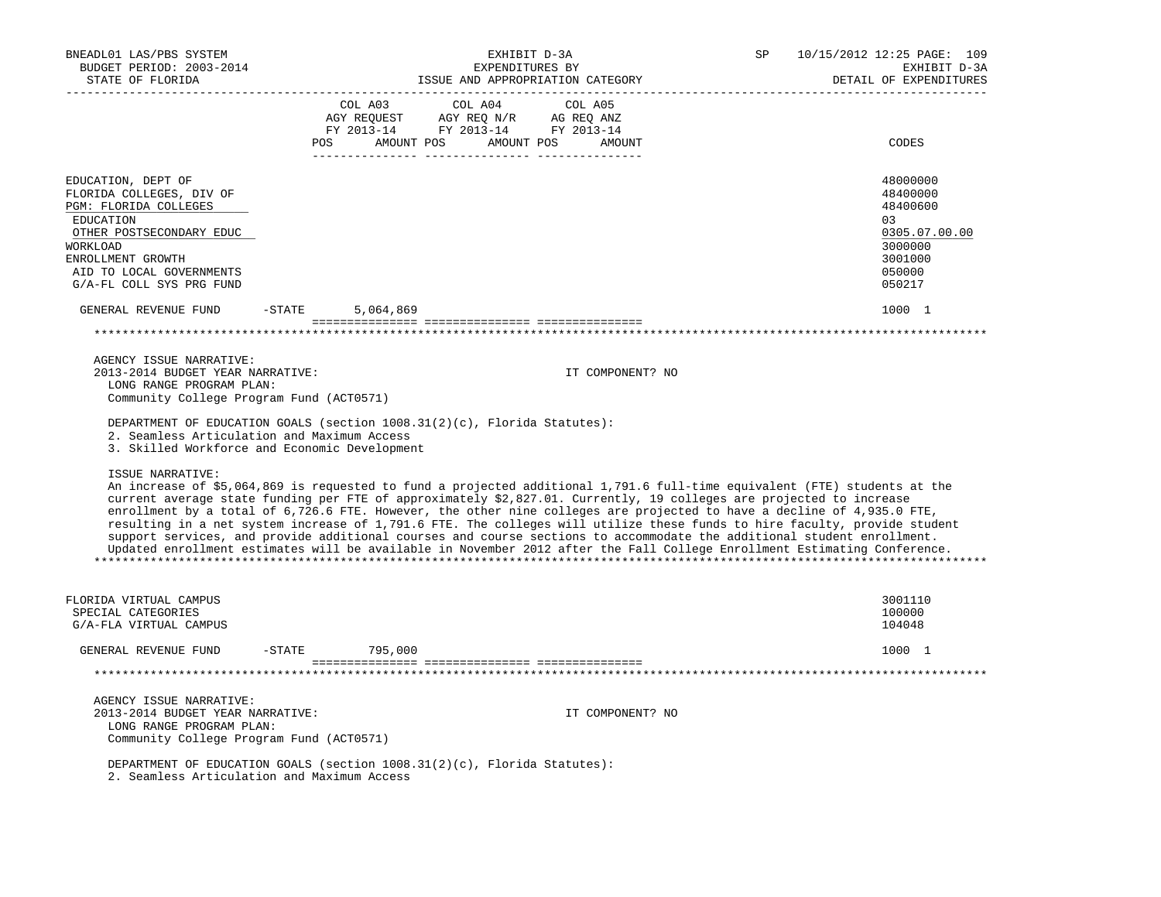| BNEADL01 LAS/PBS SYSTEM<br>BUDGET PERIOD: 2003-2014<br>STATE OF FLORIDA                                                                                                                                                                                                                                                                                                                                                                                                                                                                                                                                                                                                                                                                                                                                                                                                                                                                                                                                                                                                                              | EXHIBIT D-3A<br>EXPENDITURES BY<br>ISSUE AND APPROPRIATION CATEGORY<br>__________________________ |                                                                                                                                                                                                                                                 |                                        | SP      | 10/15/2012 12:25 PAGE: 109<br>EXHIBIT D-3A<br>DETAIL OF EXPENDITURES |  |                                                                                                   |
|------------------------------------------------------------------------------------------------------------------------------------------------------------------------------------------------------------------------------------------------------------------------------------------------------------------------------------------------------------------------------------------------------------------------------------------------------------------------------------------------------------------------------------------------------------------------------------------------------------------------------------------------------------------------------------------------------------------------------------------------------------------------------------------------------------------------------------------------------------------------------------------------------------------------------------------------------------------------------------------------------------------------------------------------------------------------------------------------------|---------------------------------------------------------------------------------------------------|-------------------------------------------------------------------------------------------------------------------------------------------------------------------------------------------------------------------------------------------------|----------------------------------------|---------|----------------------------------------------------------------------|--|---------------------------------------------------------------------------------------------------|
|                                                                                                                                                                                                                                                                                                                                                                                                                                                                                                                                                                                                                                                                                                                                                                                                                                                                                                                                                                                                                                                                                                      | COL A03                                                                                           | $\begin{tabular}{lllllllll} \bf AGY \,\, {\sf REQUEST} & \bf AGY \,\, {\sf REQ} \,\, N/R & \bf AG \,\, {\sf REQ} \,\, \tt ANZ \\ \bf FY \,\, 2013-14 & \bf FY \,\, 2013-14 & \bf FY \,\, 2013-14 \\ \end{tabular}$<br>POS AMOUNT POS AMOUNT POS | COL A04<br>___________________________ | COL A05 | AMOUNT                                                               |  | CODES                                                                                             |
| EDUCATION, DEPT OF<br>FLORIDA COLLEGES, DIV OF<br>PGM: FLORIDA COLLEGES<br>EDUCATION<br>OTHER POSTSECONDARY EDUC<br>WORKLOAD<br>ENROLLMENT GROWTH<br>AID TO LOCAL GOVERNMENTS<br>G/A-FL COLL SYS PRG FUND                                                                                                                                                                                                                                                                                                                                                                                                                                                                                                                                                                                                                                                                                                                                                                                                                                                                                            |                                                                                                   |                                                                                                                                                                                                                                                 |                                        |         |                                                                      |  | 48000000<br>48400000<br>48400600<br>03<br>0305.07.00.00<br>3000000<br>3001000<br>050000<br>050217 |
| GENERAL REVENUE FUND                                                                                                                                                                                                                                                                                                                                                                                                                                                                                                                                                                                                                                                                                                                                                                                                                                                                                                                                                                                                                                                                                 | $-STATE$                                                                                          | 5,064,869                                                                                                                                                                                                                                       |                                        |         |                                                                      |  | 1000 1                                                                                            |
|                                                                                                                                                                                                                                                                                                                                                                                                                                                                                                                                                                                                                                                                                                                                                                                                                                                                                                                                                                                                                                                                                                      |                                                                                                   |                                                                                                                                                                                                                                                 |                                        |         |                                                                      |  |                                                                                                   |
| AGENCY ISSUE NARRATIVE:<br>2013-2014 BUDGET YEAR NARRATIVE:<br>LONG RANGE PROGRAM PLAN:<br>Community College Program Fund (ACT0571)<br>DEPARTMENT OF EDUCATION GOALS (section 1008.31(2)(c), Florida Statutes):<br>2. Seamless Articulation and Maximum Access<br>3. Skilled Workforce and Economic Development<br>ISSUE NARRATIVE:<br>An increase of \$5,064,869 is requested to fund a projected additional 1,791.6 full-time equivalent (FTE) students at the<br>current average state funding per FTE of approximately \$2,827.01. Currently, 19 colleges are projected to increase<br>enrollment by a total of 6,726.6 FTE. However, the other nine colleges are projected to have a decline of 4,935.0 FTE,<br>resulting in a net system increase of 1,791.6 FTE. The colleges will utilize these funds to hire faculty, provide student<br>support services, and provide additional courses and course sections to accommodate the additional student enrollment.<br>Updated enrollment estimates will be available in November 2012 after the Fall College Enrollment Estimating Conference. |                                                                                                   |                                                                                                                                                                                                                                                 |                                        |         | IT COMPONENT? NO                                                     |  |                                                                                                   |
|                                                                                                                                                                                                                                                                                                                                                                                                                                                                                                                                                                                                                                                                                                                                                                                                                                                                                                                                                                                                                                                                                                      |                                                                                                   |                                                                                                                                                                                                                                                 |                                        |         |                                                                      |  |                                                                                                   |
| FLORIDA VIRTUAL CAMPUS<br>SPECIAL CATEGORIES<br>G/A-FLA VIRTUAL CAMPUS                                                                                                                                                                                                                                                                                                                                                                                                                                                                                                                                                                                                                                                                                                                                                                                                                                                                                                                                                                                                                               |                                                                                                   |                                                                                                                                                                                                                                                 |                                        |         |                                                                      |  | 3001110<br>100000<br>104048                                                                       |
| GENERAL REVENUE FUND                                                                                                                                                                                                                                                                                                                                                                                                                                                                                                                                                                                                                                                                                                                                                                                                                                                                                                                                                                                                                                                                                 | $-$ STATE                                                                                         | 795,000                                                                                                                                                                                                                                         |                                        |         |                                                                      |  | 1000 1                                                                                            |
|                                                                                                                                                                                                                                                                                                                                                                                                                                                                                                                                                                                                                                                                                                                                                                                                                                                                                                                                                                                                                                                                                                      |                                                                                                   |                                                                                                                                                                                                                                                 |                                        |         |                                                                      |  |                                                                                                   |
| AGENCY ISSUE NARRATIVE:<br>2013-2014 BUDGET YEAR NARRATIVE:<br>LONG RANGE PROGRAM PLAN:<br>Community College Program Fund (ACT0571)                                                                                                                                                                                                                                                                                                                                                                                                                                                                                                                                                                                                                                                                                                                                                                                                                                                                                                                                                                  |                                                                                                   |                                                                                                                                                                                                                                                 |                                        |         | IT COMPONENT? NO                                                     |  |                                                                                                   |
| DEPARTMENT OF EDUCATION GOALS (section $1008.31(2)(c)$ , Florida Statutes):<br>2. Seamless Articulation and Maximum Access                                                                                                                                                                                                                                                                                                                                                                                                                                                                                                                                                                                                                                                                                                                                                                                                                                                                                                                                                                           |                                                                                                   |                                                                                                                                                                                                                                                 |                                        |         |                                                                      |  |                                                                                                   |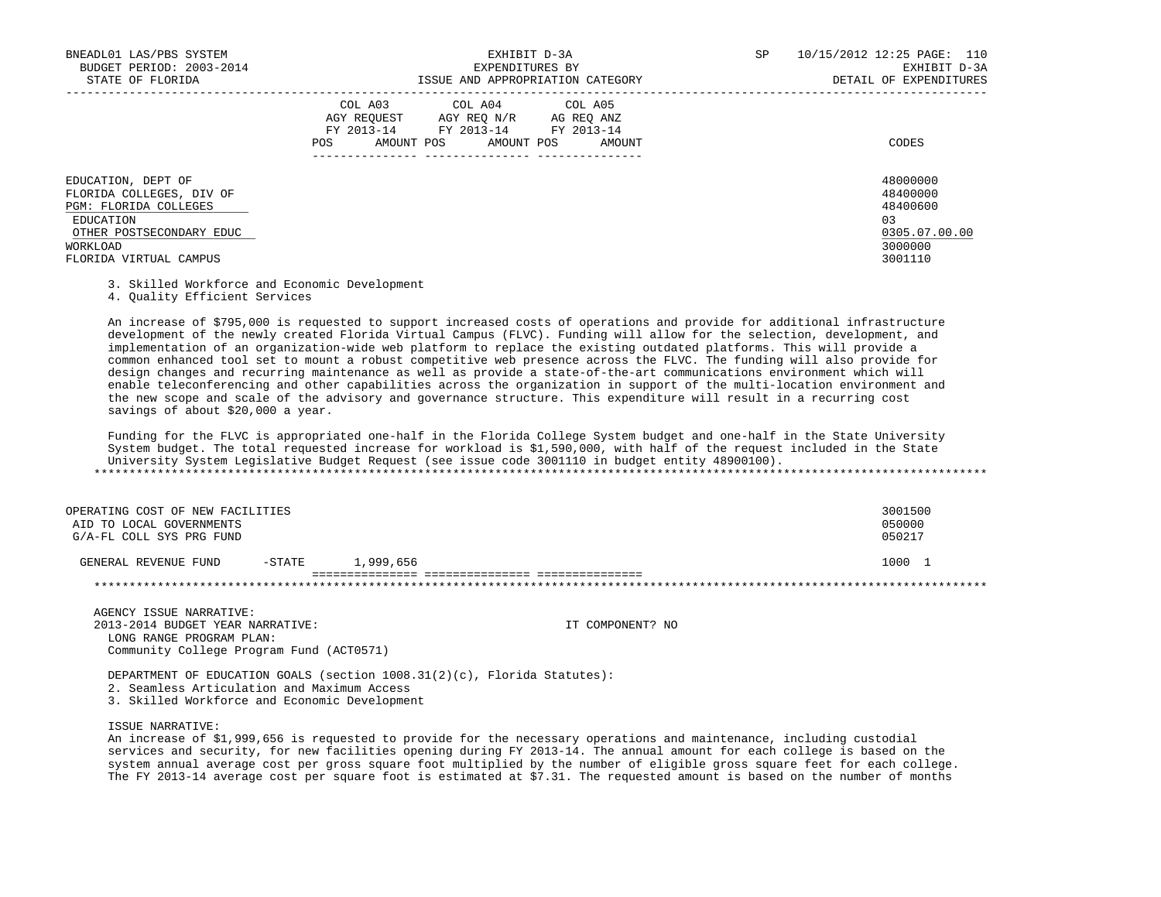| BNEADL01 LAS/PBS SYSTEM<br>BUDGET PERIOD: 2003-2014                                                                          | EXHIBIT D-3A<br>EXPENDITURES BY                                                                                                                | SP | 10/15/2012 12:25 PAGE: 110<br>EXHIBIT D-3A                          |  |
|------------------------------------------------------------------------------------------------------------------------------|------------------------------------------------------------------------------------------------------------------------------------------------|----|---------------------------------------------------------------------|--|
| STATE OF FLORIDA                                                                                                             | ISSUE AND APPROPRIATION CATEGORY                                                                                                               |    | DETAIL OF EXPENDITURES                                              |  |
|                                                                                                                              | COL A03 COL A04 COL A05<br>AGY REOUEST<br>AGY REO N/R AG REO ANZ<br>FY 2013-14 FY 2013-14 FY 2013-14<br>AMOUNT POS AMOUNT POS<br>POS<br>AMOUNT |    | CODES                                                               |  |
| EDUCATION, DEPT OF<br>FLORIDA COLLEGES, DIV OF<br>PGM: FLORIDA COLLEGES<br>EDUCATION<br>OTHER POSTSECONDARY EDUC<br>WORKLOAD |                                                                                                                                                |    | 48000000<br>48400000<br>48400600<br>0.3<br>0305.07.00.00<br>3000000 |  |
| FLORIDA VIRTUAL CAMPUS                                                                                                       |                                                                                                                                                |    | 3001110                                                             |  |

3. Skilled Workforce and Economic Development

4. Quality Efficient Services

 An increase of \$795,000 is requested to support increased costs of operations and provide for additional infrastructure development of the newly created Florida Virtual Campus (FLVC). Funding will allow for the selection, development, and implementation of an organization-wide web platform to replace the existing outdated platforms. This will provide a common enhanced tool set to mount a robust competitive web presence across the FLVC. The funding will also provide for design changes and recurring maintenance as well as provide a state-of-the-art communications environment which will enable teleconferencing and other capabilities across the organization in support of the multi-location environment and the new scope and scale of the advisory and governance structure. This expenditure will result in a recurring cost savings of about \$20,000 a year.

 Funding for the FLVC is appropriated one-half in the Florida College System budget and one-half in the State University System budget. The total requested increase for workload is \$1,590,000, with half of the request included in the State University System Legislative Budget Request (see issue code 3001110 in budget entity 48900100). \*\*\*\*\*\*\*\*\*\*\*\*\*\*\*\*\*\*\*\*\*\*\*\*\*\*\*\*\*\*\*\*\*\*\*\*\*\*\*\*\*\*\*\*\*\*\*\*\*\*\*\*\*\*\*\*\*\*\*\*\*\*\*\*\*\*\*\*\*\*\*\*\*\*\*\*\*\*\*\*\*\*\*\*\*\*\*\*\*\*\*\*\*\*\*\*\*\*\*\*\*\*\*\*\*\*\*\*\*\*\*\*\*\*\*\*\*\*\*\*\*\*\*\*\*\*\*

| OPERATING COST OF NEW FACILITIES |           |           | 3001500 |
|----------------------------------|-----------|-----------|---------|
| AID TO LOCAL GOVERNMENTS         |           |           | 050000  |
| G/A-FL COLL SYS PRG FUND         |           |           | 050217  |
| GENERAL REVENUE FUND             | $-$ STATE | 1,999,656 | 1000 1  |
|                                  |           |           |         |

 AGENCY ISSUE NARRATIVE: 2013-2014 BUDGET YEAR NARRATIVE: IT COMPONENT? NO LONG RANGE PROGRAM PLAN: Community College Program Fund (ACT0571)

 DEPARTMENT OF EDUCATION GOALS (section 1008.31(2)(c), Florida Statutes): 2. Seamless Articulation and Maximum Access

3. Skilled Workforce and Economic Development

## ISSUE NARRATIVE:

 An increase of \$1,999,656 is requested to provide for the necessary operations and maintenance, including custodial services and security, for new facilities opening during FY 2013-14. The annual amount for each college is based on the system annual average cost per gross square foot multiplied by the number of eligible gross square feet for each college. The FY 2013-14 average cost per square foot is estimated at \$7.31. The requested amount is based on the number of months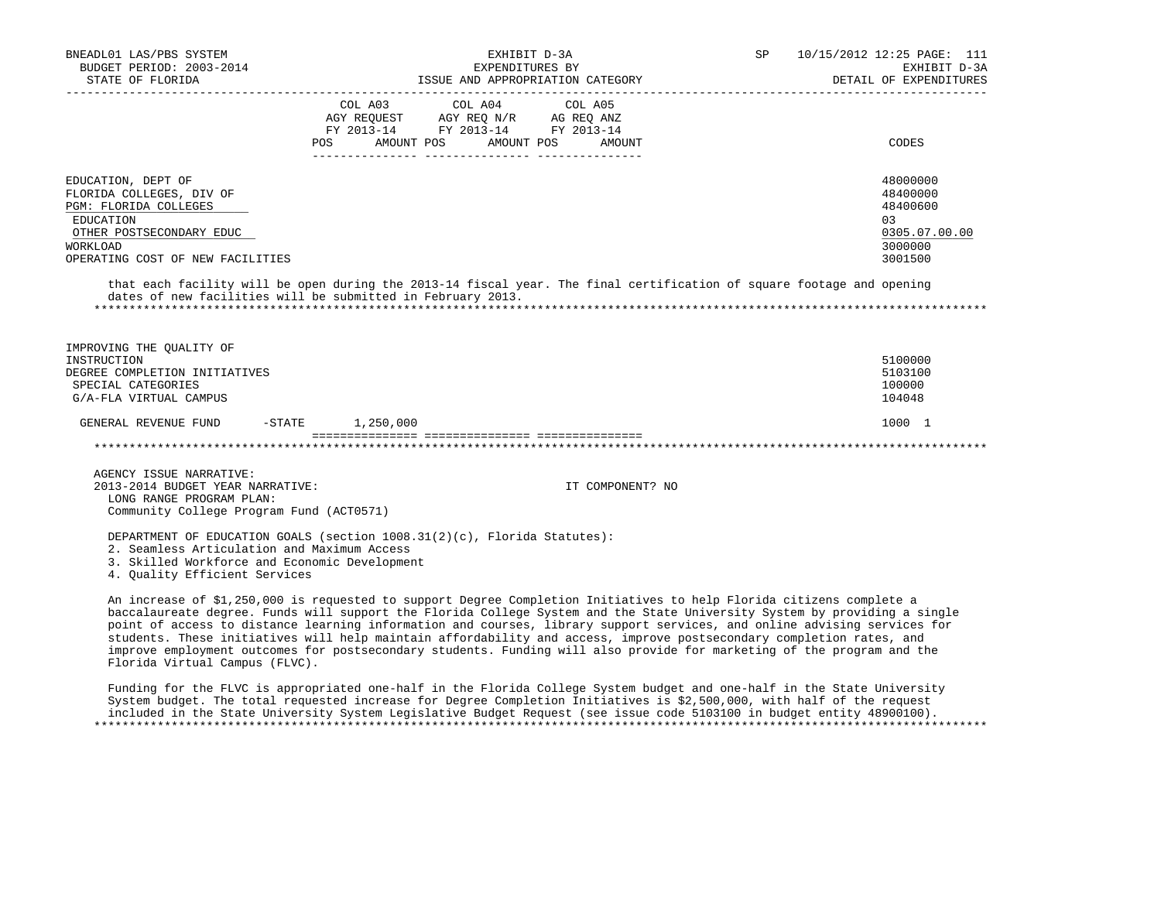| BNEADL01 LAS/PBS SYSTEM<br>BUDGET PERIOD: 2003-2014<br>STATE OF FLORIDA                                                                                                                                                                                                                                                                                                                                                                                                                               |                       | EXPENDITURES BY                                                                                                   | EXHIBIT D-3A<br>ISSUE AND APPROPRIATION CATEGORY | SP | 10/15/2012 12:25 PAGE: 111<br>EXHIBIT D-3A<br>DETAIL OF EXPENDITURES           |
|-------------------------------------------------------------------------------------------------------------------------------------------------------------------------------------------------------------------------------------------------------------------------------------------------------------------------------------------------------------------------------------------------------------------------------------------------------------------------------------------------------|-----------------------|-------------------------------------------------------------------------------------------------------------------|--------------------------------------------------|----|--------------------------------------------------------------------------------|
|                                                                                                                                                                                                                                                                                                                                                                                                                                                                                                       | COL A03<br><b>POS</b> | COL A04<br>AGY REQUEST AGY REQ N/R AG REQ ANZ<br>FY 2013-14 FY 2013-14 FY 2013-14<br>AMOUNT POS AMOUNT POS AMOUNT | COL A05                                          |    | CODES                                                                          |
|                                                                                                                                                                                                                                                                                                                                                                                                                                                                                                       |                       |                                                                                                                   |                                                  |    |                                                                                |
| EDUCATION, DEPT OF<br>FLORIDA COLLEGES, DIV OF<br>PGM: FLORIDA COLLEGES<br>EDUCATION<br>OTHER POSTSECONDARY EDUC<br>WORKLOAD<br>OPERATING COST OF NEW FACILITIES                                                                                                                                                                                                                                                                                                                                      |                       |                                                                                                                   |                                                  |    | 48000000<br>48400000<br>48400600<br>0.3<br>0305.07.00.00<br>3000000<br>3001500 |
| that each facility will be open during the 2013-14 fiscal year. The final certification of square footage and opening<br>dates of new facilities will be submitted in February 2013.                                                                                                                                                                                                                                                                                                                  |                       |                                                                                                                   |                                                  |    |                                                                                |
| IMPROVING THE OUALITY OF<br>INSTRUCTION<br>DEGREE COMPLETION INITIATIVES<br>SPECIAL CATEGORIES<br>G/A-FLA VIRTUAL CAMPUS                                                                                                                                                                                                                                                                                                                                                                              |                       |                                                                                                                   |                                                  |    | 5100000<br>5103100<br>100000<br>104048                                         |
| GENERAL REVENUE FUND                                                                                                                                                                                                                                                                                                                                                                                                                                                                                  | -STATE 1,250,000      |                                                                                                                   |                                                  |    | 1000 1                                                                         |
|                                                                                                                                                                                                                                                                                                                                                                                                                                                                                                       |                       |                                                                                                                   |                                                  |    |                                                                                |
| AGENCY ISSUE NARRATIVE:<br>2013-2014 BUDGET YEAR NARRATIVE:<br>LONG RANGE PROGRAM PLAN:<br>Community College Program Fund (ACT0571)                                                                                                                                                                                                                                                                                                                                                                   |                       |                                                                                                                   | IT COMPONENT? NO                                 |    |                                                                                |
| DEPARTMENT OF EDUCATION GOALS (section 1008.31(2)(c), Florida Statutes):<br>2. Seamless Articulation and Maximum Access<br>3. Skilled Workforce and Economic Development<br>4. Ouality Efficient Services                                                                                                                                                                                                                                                                                             |                       |                                                                                                                   |                                                  |    |                                                                                |
| An increase of \$1,250,000 is requested to support Degree Completion Initiatives to help Florida citizens complete a<br>baccalaureate degree. Funds will support the Florida College System and the State University System by providing a single<br>point of access to distance learning information and courses, library support services, and online advising services for<br>students. These initiatives will help maintain affordability and access, improve postsecondary completion rates, and |                       |                                                                                                                   |                                                  |    |                                                                                |

 Funding for the FLVC is appropriated one-half in the Florida College System budget and one-half in the State University System budget. The total requested increase for Degree Completion Initiatives is \$2,500,000, with half of the request included in the State University System Legislative Budget Request (see issue code 5103100 in budget entity 48900100). \*\*\*\*\*\*\*\*\*\*\*\*\*\*\*\*\*\*\*\*\*\*\*\*\*\*\*\*\*\*\*\*\*\*\*\*\*\*\*\*\*\*\*\*\*\*\*\*\*\*\*\*\*\*\*\*\*\*\*\*\*\*\*\*\*\*\*\*\*\*\*\*\*\*\*\*\*\*\*\*\*\*\*\*\*\*\*\*\*\*\*\*\*\*\*\*\*\*\*\*\*\*\*\*\*\*\*\*\*\*\*\*\*\*\*\*\*\*\*\*\*\*\*\*\*\*\*

improve employment outcomes for postsecondary students. Funding will also provide for marketing of the program and the

Florida Virtual Campus (FLVC).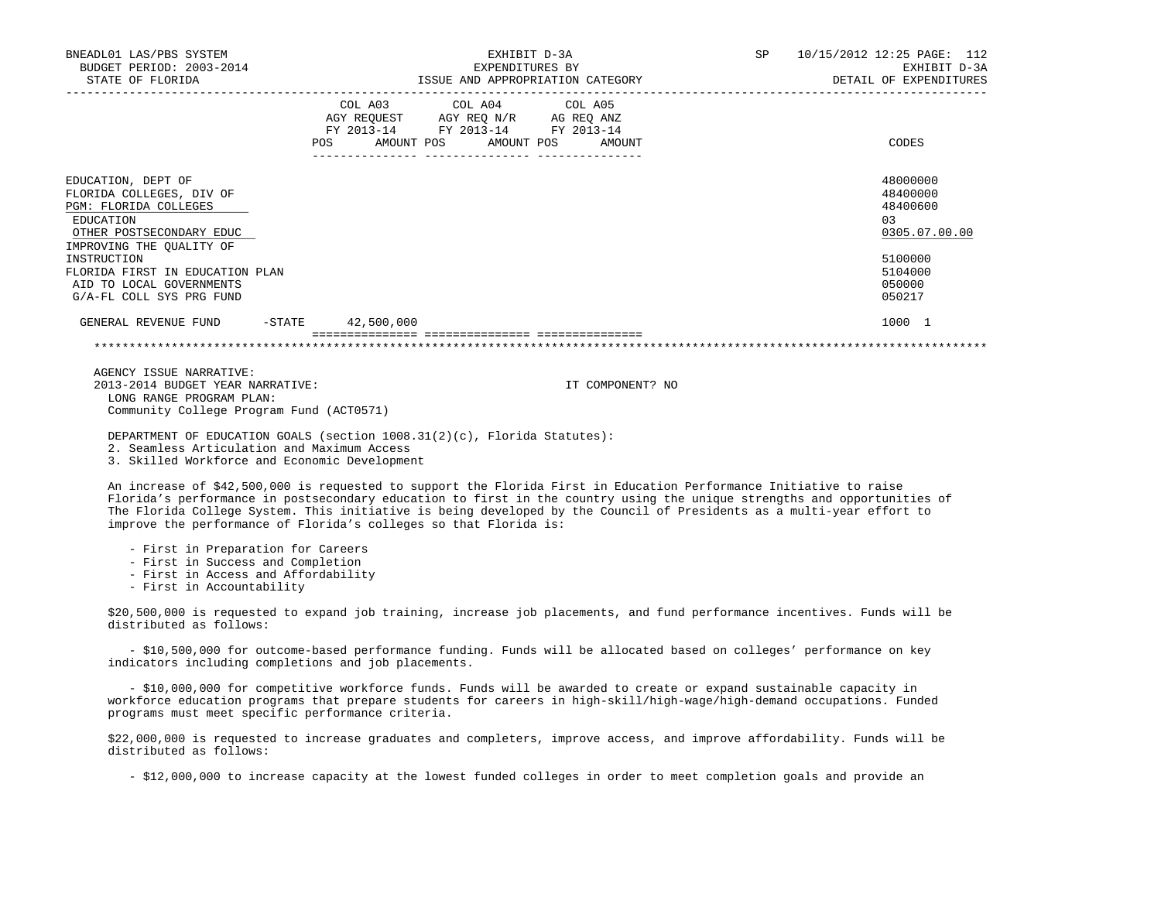| BNEADL01 LAS/PBS SYSTEM<br>BUDGET PERIOD: 2003-2014<br>STATE OF FLORIDA                                                                      | EXHIBIT D-3A<br>EXPENDITURES BY<br>ISSUE AND APPROPRIATION CATEGORY                                                                      | SP 10/15/2012 12:25 PAGE: 112<br>EXHIBIT D-3A<br>DETAIL OF EXPENDITURES |
|----------------------------------------------------------------------------------------------------------------------------------------------|------------------------------------------------------------------------------------------------------------------------------------------|-------------------------------------------------------------------------|
|                                                                                                                                              | COL A03 COL A04 COL A05<br>AGY REQUEST AGY REQ N/R AG REQ ANZ<br>FY 2013-14 FY 2013-14 FY 2013-14<br>POS<br>AMOUNT POS AMOUNT POS AMOUNT | CODES                                                                   |
| EDUCATION, DEPT OF<br>FLORIDA COLLEGES, DIV OF<br>PGM: FLORIDA COLLEGES<br>EDUCATION<br>OTHER POSTSECONDARY EDUC<br>IMPROVING THE OUALITY OF |                                                                                                                                          | 48000000<br>48400000<br>48400600<br>0.3<br>0305.07.00.00                |
| INSTRUCTION<br>FLORIDA FIRST IN EDUCATION PLAN<br>AID TO LOCAL GOVERNMENTS<br>G/A-FL COLL SYS PRG FUND                                       |                                                                                                                                          | 5100000<br>5104000<br>050000<br>050217                                  |
| GENERAL REVENUE FUND                                                                                                                         | -STATE 42,500,000                                                                                                                        | 1000 1                                                                  |

 AGENCY ISSUE NARRATIVE: 2013-2014 BUDGET YEAR NARRATIVE: IT COMPONENT? NO LONG RANGE PROGRAM PLAN: Community College Program Fund (ACT0571)

DEPARTMENT OF EDUCATION GOALS (section 1008.31(2)(c), Florida Statutes):

2. Seamless Articulation and Maximum Access

3. Skilled Workforce and Economic Development

 An increase of \$42,500,000 is requested to support the Florida First in Education Performance Initiative to raise Florida's performance in postsecondary education to first in the country using the unique strengths and opportunities of The Florida College System. This initiative is being developed by the Council of Presidents as a multi-year effort to improve the performance of Florida's colleges so that Florida is:

- First in Preparation for Careers
- First in Success and Completion
- First in Access and Affordability

- First in Accountability

 \$20,500,000 is requested to expand job training, increase job placements, and fund performance incentives. Funds will be distributed as follows:

 - \$10,500,000 for outcome-based performance funding. Funds will be allocated based on colleges' performance on key indicators including completions and job placements.

 - \$10,000,000 for competitive workforce funds. Funds will be awarded to create or expand sustainable capacity in workforce education programs that prepare students for careers in high-skill/high-wage/high-demand occupations. Funded programs must meet specific performance criteria.

 \$22,000,000 is requested to increase graduates and completers, improve access, and improve affordability. Funds will be distributed as follows:

- \$12,000,000 to increase capacity at the lowest funded colleges in order to meet completion goals and provide an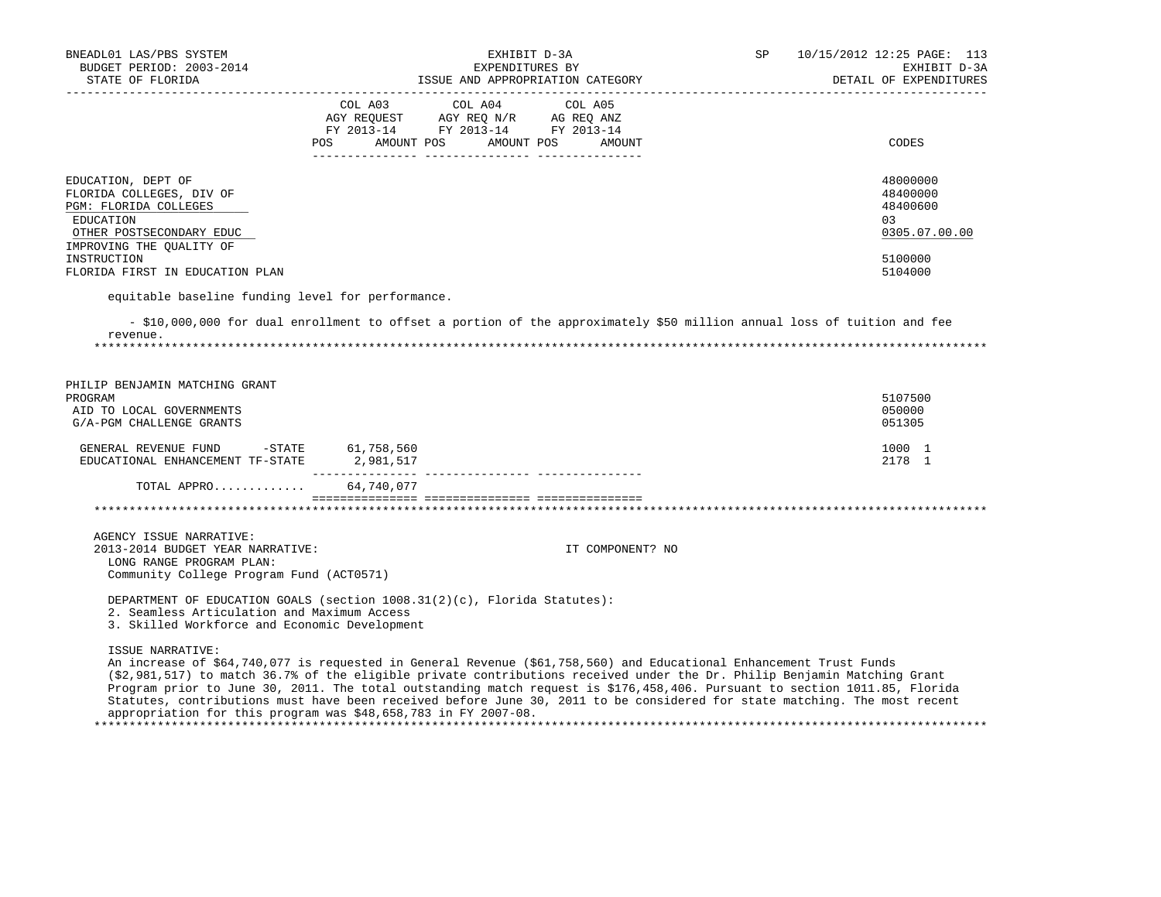| BNEADL01 LAS/PBS SYSTEM<br>BUDGET PERIOD: 2003-2014<br>STATE OF FLORIDA                                                                                                                        | EXHIBIT D-3A<br>EXPENDITURES BY<br>ISSUE AND APPROPRIATION CATEGORY                                                                                                                                                                                                                                                                                                                                                                                                                                       | SP | 10/15/2012 12:25 PAGE: 113<br>EXHIBIT D-3A<br>DETAIL OF EXPENDITURES          |
|------------------------------------------------------------------------------------------------------------------------------------------------------------------------------------------------|-----------------------------------------------------------------------------------------------------------------------------------------------------------------------------------------------------------------------------------------------------------------------------------------------------------------------------------------------------------------------------------------------------------------------------------------------------------------------------------------------------------|----|-------------------------------------------------------------------------------|
|                                                                                                                                                                                                | COL A04<br>COL A03<br>COL A05<br>AGY REQUEST AGY REQ N/R AG REQ ANZ<br>FY 2013-14 FY 2013-14 FY 2013-14<br>POS AMOUNT POS AMOUNT POS AMOUNT                                                                                                                                                                                                                                                                                                                                                               |    | CODES                                                                         |
| EDUCATION, DEPT OF<br>FLORIDA COLLEGES, DIV OF<br>PGM: FLORIDA COLLEGES<br>EDUCATION<br>OTHER POSTSECONDARY EDUC<br>IMPROVING THE QUALITY OF<br>INSTRUCTION<br>FLORIDA FIRST IN EDUCATION PLAN |                                                                                                                                                                                                                                                                                                                                                                                                                                                                                                           |    | 48000000<br>48400000<br>48400600<br>03<br>0305.07.00.00<br>5100000<br>5104000 |
| equitable baseline funding level for performance.                                                                                                                                              |                                                                                                                                                                                                                                                                                                                                                                                                                                                                                                           |    |                                                                               |
| revenue.                                                                                                                                                                                       | - \$10,000,000 for dual enrollment to offset a portion of the approximately \$50 million annual loss of tuition and fee                                                                                                                                                                                                                                                                                                                                                                                   |    |                                                                               |
| PHILIP BENJAMIN MATCHING GRANT<br>PROGRAM<br>AID TO LOCAL GOVERNMENTS<br>G/A-PGM CHALLENGE GRANTS                                                                                              |                                                                                                                                                                                                                                                                                                                                                                                                                                                                                                           |    | 5107500<br>050000<br>051305                                                   |
| GENERAL REVENUE FUND -STATE 61,758,560<br>EDUCATIONAL ENHANCEMENT TF-STATE                                                                                                                     | 2,981,517                                                                                                                                                                                                                                                                                                                                                                                                                                                                                                 |    | 1000 1<br>2178 1                                                              |
| TOTAL APPRO 64,740,077                                                                                                                                                                         |                                                                                                                                                                                                                                                                                                                                                                                                                                                                                                           |    |                                                                               |
|                                                                                                                                                                                                |                                                                                                                                                                                                                                                                                                                                                                                                                                                                                                           |    |                                                                               |
| AGENCY ISSUE NARRATIVE:<br>2013-2014 BUDGET YEAR NARRATIVE:<br>LONG RANGE PROGRAM PLAN:<br>Community College Program Fund (ACT0571)                                                            | IT COMPONENT? NO                                                                                                                                                                                                                                                                                                                                                                                                                                                                                          |    |                                                                               |
| 2. Seamless Articulation and Maximum Access<br>3. Skilled Workforce and Economic Development                                                                                                   | DEPARTMENT OF EDUCATION GOALS (section 1008.31(2)(c), Florida Statutes):                                                                                                                                                                                                                                                                                                                                                                                                                                  |    |                                                                               |
| ISSUE NARRATIVE:                                                                                                                                                                               | An increase of \$64,740,077 is requested in General Revenue (\$61,758,560) and Educational Enhancement Trust Funds<br>(\$2,981,517) to match 36.7% of the eligible private contributions received under the Dr. Philip Benjamin Matching Grant<br>Program prior to June 30, 2011. The total outstanding match request is \$176,458,406. Pursuant to section 1011.85, Florida<br>Statutes, contributions must have been received before June 30, 2011 to be considered for state matching. The most recent |    |                                                                               |

\*\*\*\*\*\*\*\*\*\*\*\*\*\*\*\*\*\*\*\*\*\*\*\*\*\*\*\*\*\*\*\*\*\*\*\*\*\*\*\*\*\*\*\*\*\*\*\*\*\*\*\*\*\*\*\*\*\*\*\*\*\*\*\*\*\*\*\*\*\*\*\*\*\*\*\*\*\*\*\*\*\*\*\*\*\*\*\*\*\*\*\*\*\*\*\*\*\*\*\*\*\*\*\*\*\*\*\*\*\*\*\*\*\*\*\*\*\*\*\*\*\*\*\*\*\*\*

appropriation for this program was \$48,658,783 in FY 2007-08.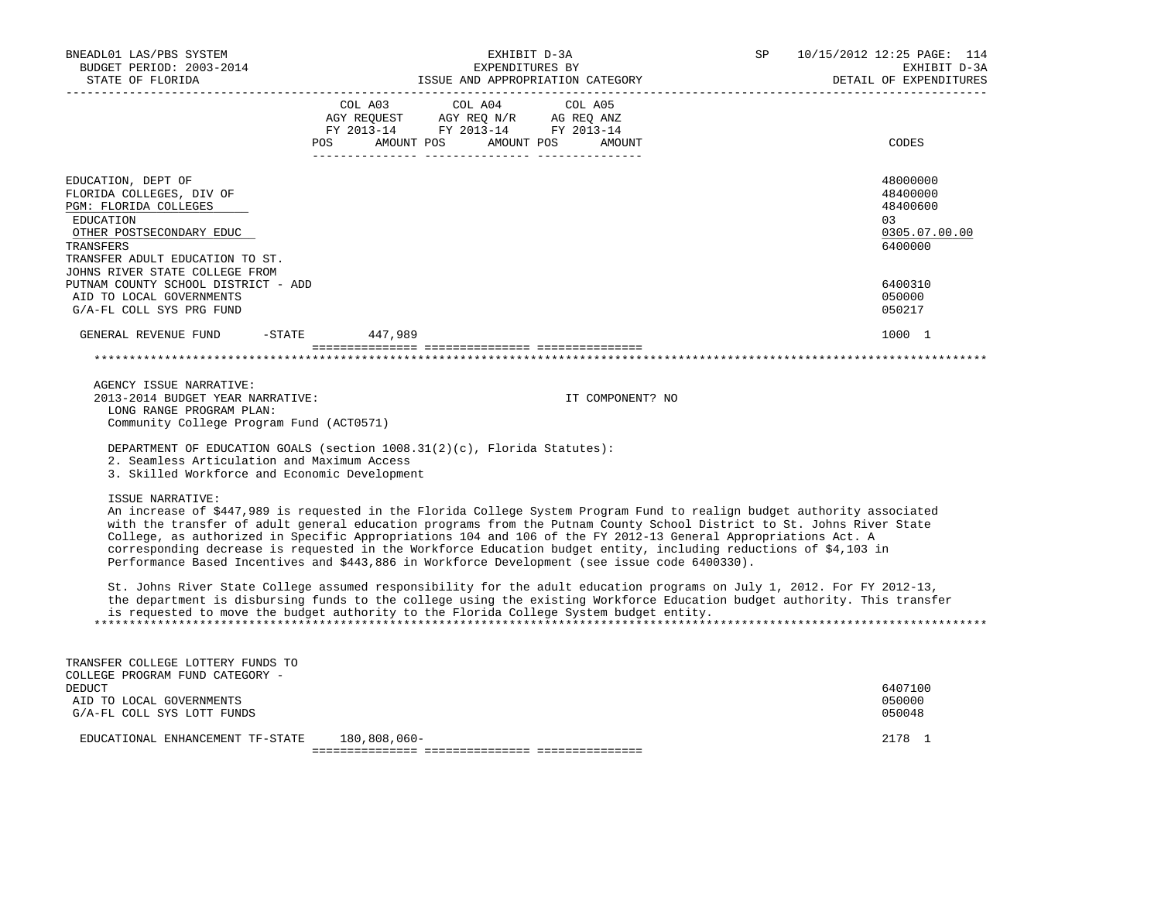| BNEADL01 LAS/PBS SYSTEM<br>BUDGET PERIOD: 2003-2014<br>STATE OF FLORIDA<br>----------------                                                                              | EXHIBIT D-3A<br>EXPENDITURES BY<br>ISSUE AND APPROPRIATION CATEGORY |                                                                                                                                                                                                                                                                                                                                                                                                                                                                                                                                                                                        |  | 10/15/2012 12:25 PAGE: 114<br>EXHIBIT D-3A<br>DETAIL OF EXPENDITURES |
|--------------------------------------------------------------------------------------------------------------------------------------------------------------------------|---------------------------------------------------------------------|----------------------------------------------------------------------------------------------------------------------------------------------------------------------------------------------------------------------------------------------------------------------------------------------------------------------------------------------------------------------------------------------------------------------------------------------------------------------------------------------------------------------------------------------------------------------------------------|--|----------------------------------------------------------------------|
|                                                                                                                                                                          | COL A03<br>AMOUNT POS AMOUNT POS<br>POS                             | COL A04<br>COL A05<br>AGY REQUEST AGY REQ N/R AG REQ ANZ<br>FY 2013-14 FY 2013-14 FY 2013-14<br>AMOUNT                                                                                                                                                                                                                                                                                                                                                                                                                                                                                 |  | CODES                                                                |
| EDUCATION, DEPT OF<br>FLORIDA COLLEGES, DIV OF<br>PGM: FLORIDA COLLEGES<br>EDUCATION<br>OTHER POSTSECONDARY EDUC<br>TRANSFERS<br>TRANSFER ADULT EDUCATION TO ST.         |                                                                     |                                                                                                                                                                                                                                                                                                                                                                                                                                                                                                                                                                                        |  | 48000000<br>48400000<br>48400600<br>03<br>0305.07.00.00<br>6400000   |
| JOHNS RIVER STATE COLLEGE FROM<br>PUTNAM COUNTY SCHOOL DISTRICT - ADD<br>AID TO LOCAL GOVERNMENTS<br>G/A-FL COLL SYS PRG FUND                                            |                                                                     |                                                                                                                                                                                                                                                                                                                                                                                                                                                                                                                                                                                        |  | 6400310<br>050000<br>050217                                          |
| GENERAL REVENUE FUND<br>$-$ STATE                                                                                                                                        | 447,989                                                             |                                                                                                                                                                                                                                                                                                                                                                                                                                                                                                                                                                                        |  | 1000 1                                                               |
|                                                                                                                                                                          |                                                                     |                                                                                                                                                                                                                                                                                                                                                                                                                                                                                                                                                                                        |  |                                                                      |
| AGENCY ISSUE NARRATIVE:<br>2013-2014 BUDGET YEAR NARRATIVE:<br>LONG RANGE PROGRAM PLAN:<br>Community College Program Fund (ACT0571)                                      |                                                                     | IT COMPONENT? NO                                                                                                                                                                                                                                                                                                                                                                                                                                                                                                                                                                       |  |                                                                      |
| DEPARTMENT OF EDUCATION GOALS (section 1008.31(2)(c), Florida Statutes):<br>2. Seamless Articulation and Maximum Access<br>3. Skilled Workforce and Economic Development |                                                                     |                                                                                                                                                                                                                                                                                                                                                                                                                                                                                                                                                                                        |  |                                                                      |
| ISSUE NARRATIVE:                                                                                                                                                         |                                                                     | An increase of \$447,989 is requested in the Florida College System Program Fund to realign budget authority associated<br>with the transfer of adult general education programs from the Putnam County School District to St. Johns River State<br>College, as authorized in Specific Appropriations 104 and 106 of the FY 2012-13 General Appropriations Act. A<br>corresponding decrease is requested in the Workforce Education budget entity, including reductions of \$4,103 in<br>Performance Based Incentives and \$443,886 in Workforce Development (see issue code 6400330). |  |                                                                      |
|                                                                                                                                                                          |                                                                     | St. Johns River State College assumed responsibility for the adult education programs on July 1, 2012. For FY 2012-13,<br>the department is disbursing funds to the college using the existing Workforce Education budget authority. This transfer<br>is requested to move the budget authority to the Florida College System budget entity.                                                                                                                                                                                                                                           |  |                                                                      |
| TRANSFER COLLEGE LOTTERY FUNDS TO                                                                                                                                        |                                                                     |                                                                                                                                                                                                                                                                                                                                                                                                                                                                                                                                                                                        |  |                                                                      |
| COLLEGE PROGRAM FUND CATEGORY -<br><b>DEDUCT</b><br>AID TO LOCAL GOVERNMENTS                                                                                             |                                                                     |                                                                                                                                                                                                                                                                                                                                                                                                                                                                                                                                                                                        |  | 6407100<br>050000                                                    |
| G/A-FL COLL SYS LOTT FUNDS<br>EDUCATIONAL ENHANCEMENT TF-STATE                                                                                                           | 180,808,060-                                                        |                                                                                                                                                                                                                                                                                                                                                                                                                                                                                                                                                                                        |  | 050048<br>2178 1                                                     |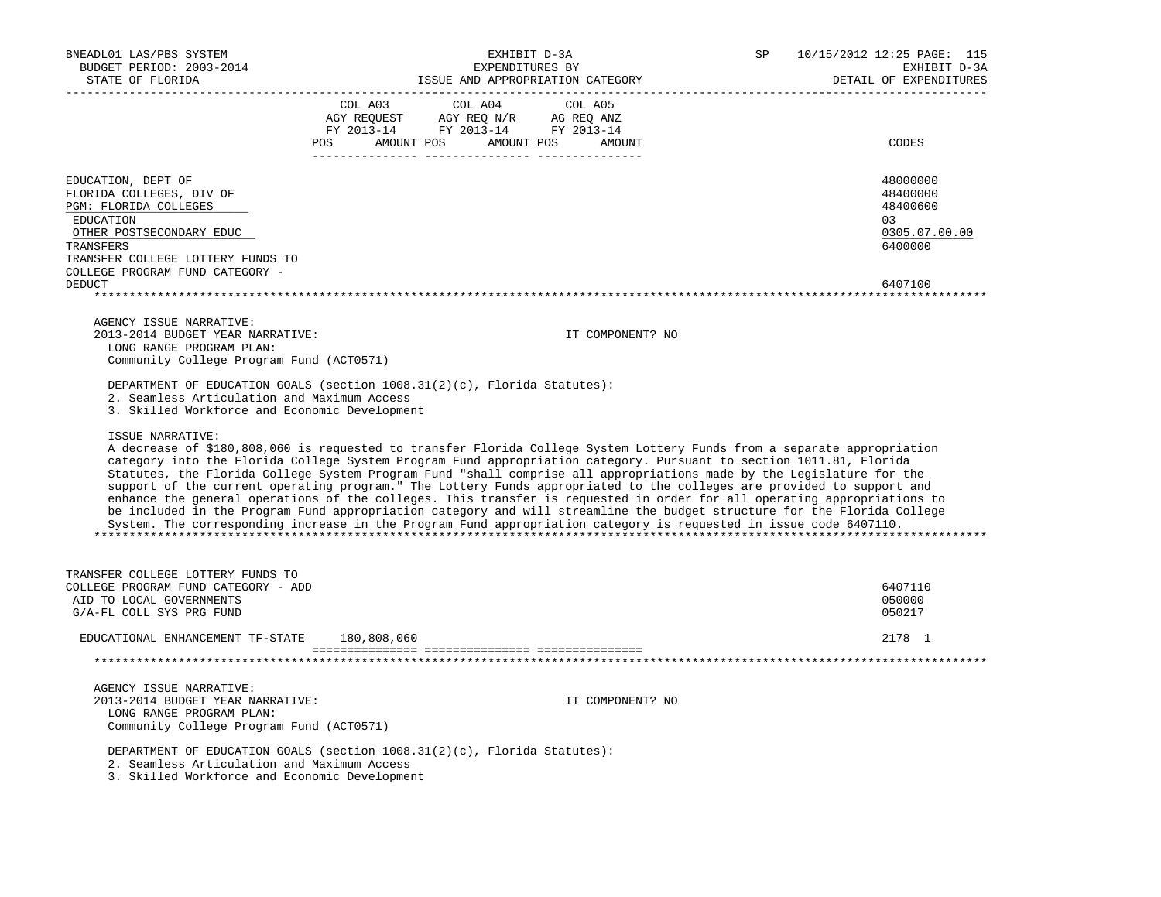| BNEADL01 LAS/PBS SYSTEM<br>BUDGET PERIOD: 2003-2014<br>STATE OF FLORIDA                                                                                                                               | EXHIBIT D-3A<br>EXPENDITURES BY<br>ISSUE AND APPROPRIATION CATEGORY                                                                                                                                                                                                                                                                                                                                                                                                                                                                                                                                                                                                                                                                                                                                                                                                       | <b>SP</b><br>10/15/2012 12:25 PAGE: 115<br>EXHIBIT D-3A<br>DETAIL OF EXPENDITURES |
|-------------------------------------------------------------------------------------------------------------------------------------------------------------------------------------------------------|---------------------------------------------------------------------------------------------------------------------------------------------------------------------------------------------------------------------------------------------------------------------------------------------------------------------------------------------------------------------------------------------------------------------------------------------------------------------------------------------------------------------------------------------------------------------------------------------------------------------------------------------------------------------------------------------------------------------------------------------------------------------------------------------------------------------------------------------------------------------------|-----------------------------------------------------------------------------------|
|                                                                                                                                                                                                       | COL A03<br>COL A04<br>COL A05<br>$\begin{tabular}{lllllll} \bf AGY \;\; RegUEST \hspace{1cm} AGY \;\; REG \;\; N/R \hspace{1cm} \bf AG \;\; REG \;\; ANZ \\ \hline \texttt{FY} \;\; 2013\text{--}14 \hspace{1cm} & \texttt{FY} \;\; 2013\text{--}14 \hspace{1cm} & \texttt{FY} \;\; 2013\text{--}14 \end{tabular}$<br>POS AMOUNT POS AMOUNT POS AMOUNT                                                                                                                                                                                                                                                                                                                                                                                                                                                                                                                    | CODES                                                                             |
| EDUCATION, DEPT OF<br>FLORIDA COLLEGES, DIV OF<br>PGM: FLORIDA COLLEGES<br>EDUCATION<br>OTHER POSTSECONDARY EDUC<br>TRANSFERS<br>TRANSFER COLLEGE LOTTERY FUNDS TO<br>COLLEGE PROGRAM FUND CATEGORY - |                                                                                                                                                                                                                                                                                                                                                                                                                                                                                                                                                                                                                                                                                                                                                                                                                                                                           | 48000000<br>48400000<br>48400600<br>03<br>0305.07.00.00<br>6400000                |
| <b>DEDUCT</b>                                                                                                                                                                                         |                                                                                                                                                                                                                                                                                                                                                                                                                                                                                                                                                                                                                                                                                                                                                                                                                                                                           | 6407100                                                                           |
| AGENCY ISSUE NARRATIVE:<br>2013-2014 BUDGET YEAR NARRATIVE:<br>LONG RANGE PROGRAM PLAN:<br>Community College Program Fund (ACT0571)                                                                   | IT COMPONENT? NO                                                                                                                                                                                                                                                                                                                                                                                                                                                                                                                                                                                                                                                                                                                                                                                                                                                          |                                                                                   |
| 2. Seamless Articulation and Maximum Access<br>3. Skilled Workforce and Economic Development                                                                                                          | DEPARTMENT OF EDUCATION GOALS (section 1008.31(2)(c), Florida Statutes):                                                                                                                                                                                                                                                                                                                                                                                                                                                                                                                                                                                                                                                                                                                                                                                                  |                                                                                   |
| ISSUE NARRATIVE:                                                                                                                                                                                      | A decrease of \$180,808,060 is requested to transfer Florida College System Lottery Funds from a separate appropriation<br>category into the Florida College System Program Fund appropriation category. Pursuant to section 1011.81, Florida<br>Statutes, the Florida College System Program Fund "shall comprise all appropriations made by the Legislature for the<br>support of the current operating program." The Lottery Funds appropriated to the colleges are provided to support and<br>enhance the general operations of the colleges. This transfer is requested in order for all operating appropriations to<br>be included in the Program Fund appropriation category and will streamline the budget structure for the Florida College<br>System. The corresponding increase in the Program Fund appropriation category is requested in issue code 6407110. |                                                                                   |
| TRANSFER COLLEGE LOTTERY FUNDS TO                                                                                                                                                                     |                                                                                                                                                                                                                                                                                                                                                                                                                                                                                                                                                                                                                                                                                                                                                                                                                                                                           |                                                                                   |
| COLLEGE PROGRAM FUND CATEGORY - ADD<br>AID TO LOCAL GOVERNMENTS<br>G/A-FL COLL SYS PRG FUND                                                                                                           |                                                                                                                                                                                                                                                                                                                                                                                                                                                                                                                                                                                                                                                                                                                                                                                                                                                                           | 6407110<br>050000<br>050217                                                       |
| EDUCATIONAL ENHANCEMENT TF-STATE                                                                                                                                                                      | 180,808,060                                                                                                                                                                                                                                                                                                                                                                                                                                                                                                                                                                                                                                                                                                                                                                                                                                                               | 2178 1                                                                            |
|                                                                                                                                                                                                       |                                                                                                                                                                                                                                                                                                                                                                                                                                                                                                                                                                                                                                                                                                                                                                                                                                                                           |                                                                                   |
| AGENCY ISSUE NARRATIVE:<br>2013-2014 BUDGET YEAR NARRATIVE:<br>LONG RANGE PROGRAM PLAN:<br>Community College Program Fund (ACT0571)                                                                   | IT COMPONENT? NO                                                                                                                                                                                                                                                                                                                                                                                                                                                                                                                                                                                                                                                                                                                                                                                                                                                          |                                                                                   |
| 2. Seamless Articulation and Maximum Access<br>3. Skilled Workforce and Economic Development                                                                                                          | DEPARTMENT OF EDUCATION GOALS (section 1008.31(2)(c), Florida Statutes):                                                                                                                                                                                                                                                                                                                                                                                                                                                                                                                                                                                                                                                                                                                                                                                                  |                                                                                   |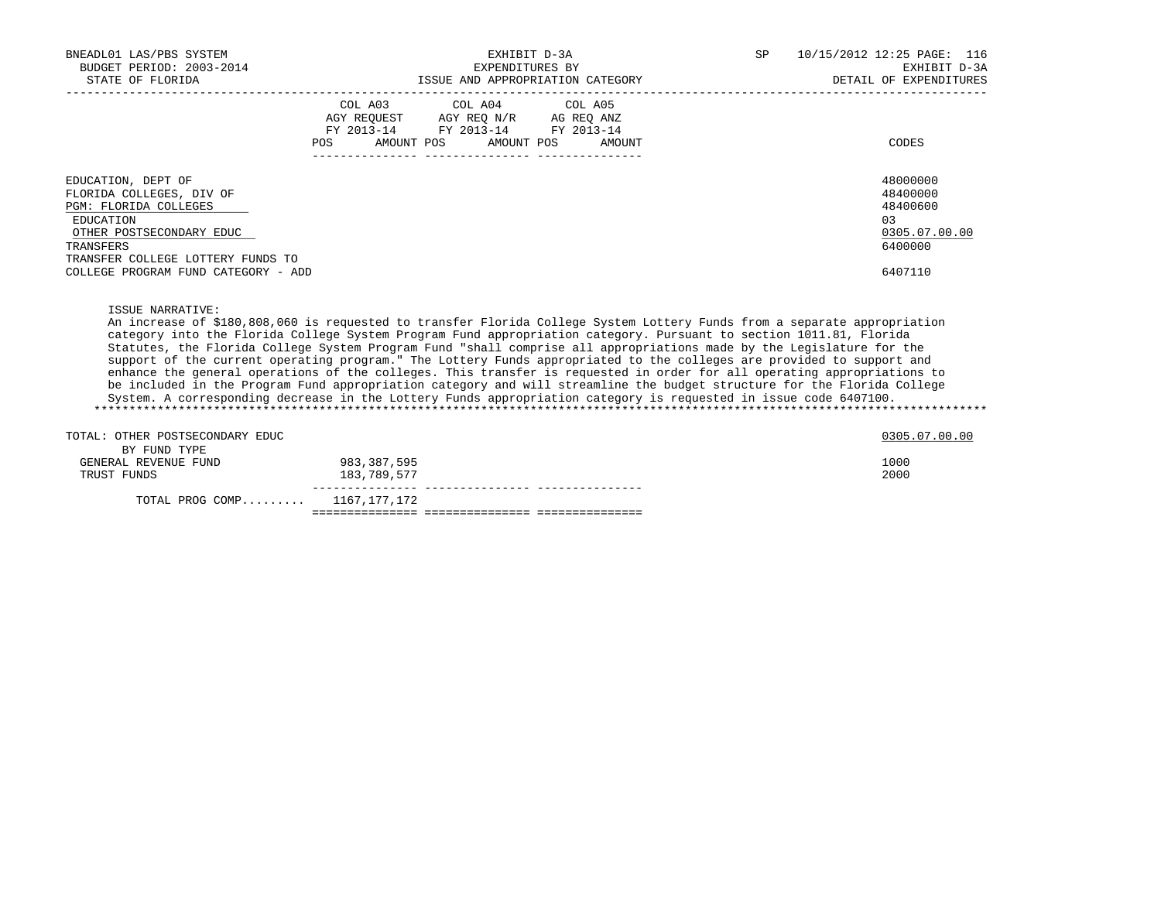| BNEADL01 LAS/PBS SYSTEM<br>BUDGET PERIOD: 2003-2014<br>STATE OF FLORIDA                                                                                                                                   | EXHIBIT D-3A<br>EXPENDITURES BY<br>ISSUE AND APPROPRIATION CATEGORY |                                                                                                                                       |  | SP | 10/15/2012 12:25 PAGE: 116<br>EXHIBIT D-3A<br>DETAIL OF EXPENDITURES |                                                                                |
|-----------------------------------------------------------------------------------------------------------------------------------------------------------------------------------------------------------|---------------------------------------------------------------------|---------------------------------------------------------------------------------------------------------------------------------------|--|----|----------------------------------------------------------------------|--------------------------------------------------------------------------------|
|                                                                                                                                                                                                           |                                                                     | COL A03 COL A04 COL A05<br>AGY REQUEST AGY REQ N/R AG REQ ANZ<br>FY 2013-14 FY 2013-14 FY 2013-14<br>POS AMOUNT POS AMOUNT POS AMOUNT |  |    |                                                                      | CODES                                                                          |
| EDUCATION, DEPT OF<br>FLORIDA COLLEGES, DIV OF<br>PGM: FLORIDA COLLEGES<br>EDUCATION<br>OTHER POSTSECONDARY EDUC<br>TRANSFERS<br>TRANSFER COLLEGE LOTTERY FUNDS TO<br>COLLEGE PROGRAM FUND CATEGORY - ADD |                                                                     |                                                                                                                                       |  |    |                                                                      | 48000000<br>48400000<br>48400600<br>0.3<br>0305.07.00.00<br>6400000<br>6407110 |

ISSUE NARRATIVE:

 An increase of \$180,808,060 is requested to transfer Florida College System Lottery Funds from a separate appropriation category into the Florida College System Program Fund appropriation category. Pursuant to section 1011.81, Florida Statutes, the Florida College System Program Fund "shall comprise all appropriations made by the Legislature for the support of the current operating program." The Lottery Funds appropriated to the colleges are provided to support and enhance the general operations of the colleges. This transfer is requested in order for all operating appropriations to be included in the Program Fund appropriation category and will streamline the budget structure for the Florida College System. A corresponding decrease in the Lottery Funds appropriation category is requested in issue code 6407100. \*\*\*\*\*\*\*\*\*\*\*\*\*\*\*\*\*\*\*\*\*\*\*\*\*\*\*\*\*\*\*\*\*\*\*\*\*\*\*\*\*\*\*\*\*\*\*\*\*\*\*\*\*\*\*\*\*\*\*\*\*\*\*\*\*\*\*\*\*\*\*\*\*\*\*\*\*\*\*\*\*\*\*\*\*\*\*\*\*\*\*\*\*\*\*\*\*\*\*\*\*\*\*\*\*\*\*\*\*\*\*\*\*\*\*\*\*\*\*\*\*\*\*\*\*\*\*

| TOTAL: OTHER POSTSECONDARY EDUC |             | 0305.07.00.00 |
|---------------------------------|-------------|---------------|
| BY FUND TYPE                    |             |               |
| GENERAL REVENUE FUND            | 983,387,595 | 1000          |
| TRUST FUNDS                     | 183,789,577 | 2000          |
| TOTAL PROG COMP 1167,177,172    |             |               |
|                                 |             |               |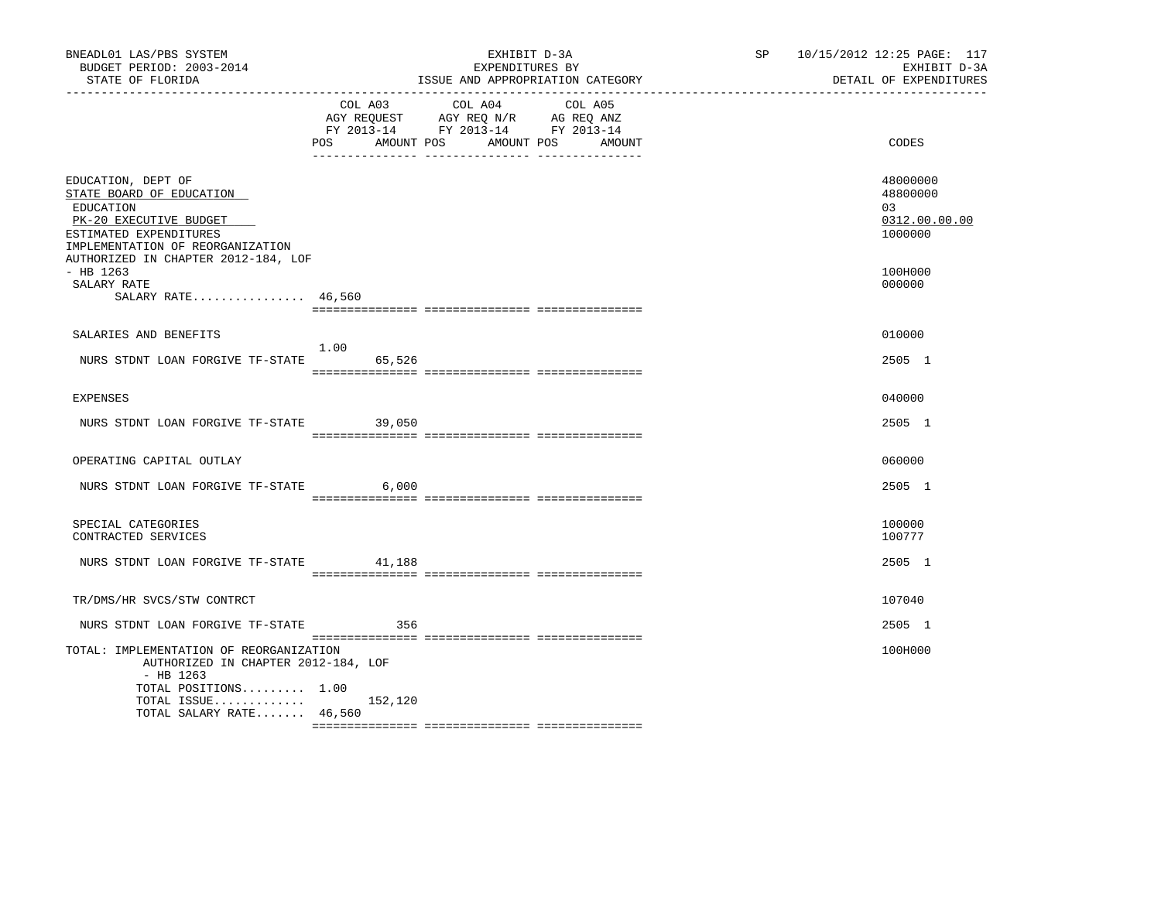| BNEADL01 LAS/PBS SYSTEM<br>BUDGET PERIOD: 2003-2014<br>STATE OF FLORIDA<br>---------------                                                          | EXHIBIT D-3A<br>EXPENDITURES BY<br>ISSUE AND APPROPRIATION CATEGORY |                                                                                                 |                   | SP 10/15/2012 12:25 PAGE: 117 |  | EXHIBIT D-3A<br>DETAIL OF EXPENDITURES                 |  |
|-----------------------------------------------------------------------------------------------------------------------------------------------------|---------------------------------------------------------------------|-------------------------------------------------------------------------------------------------|-------------------|-------------------------------|--|--------------------------------------------------------|--|
|                                                                                                                                                     | COL A03<br>AMOUNT POS<br>POS                                        | COL A04<br>AGY REQUEST AGY REQ N/R AG REQ ANZ<br>FY 2013-14 FY 2013-14 FY 2013-14<br>AMOUNT POS | COL A05<br>AMOUNT |                               |  | CODES                                                  |  |
| EDUCATION, DEPT OF<br>STATE BOARD OF EDUCATION<br>EDUCATION<br>PK-20 EXECUTIVE BUDGET<br>ESTIMATED EXPENDITURES<br>IMPLEMENTATION OF REORGANIZATION |                                                                     |                                                                                                 |                   |                               |  | 48000000<br>48800000<br>03<br>0312.00.00.00<br>1000000 |  |
| AUTHORIZED IN CHAPTER 2012-184, LOF<br>$-$ HB 1263<br>SALARY RATE<br>SALARY RATE 46,560                                                             |                                                                     |                                                                                                 |                   |                               |  | 100H000<br>000000                                      |  |
| SALARIES AND BENEFITS                                                                                                                               |                                                                     |                                                                                                 |                   |                               |  | 010000                                                 |  |
| NURS STDNT LOAN FORGIVE TF-STATE                                                                                                                    | 1.00<br>65,526                                                      |                                                                                                 |                   |                               |  | 2505 1                                                 |  |
| <b>EXPENSES</b>                                                                                                                                     |                                                                     |                                                                                                 |                   |                               |  | 040000                                                 |  |
| NURS STDNT LOAN FORGIVE TF-STATE                                                                                                                    | 39,050                                                              |                                                                                                 |                   |                               |  | 2505 1                                                 |  |
| OPERATING CAPITAL OUTLAY                                                                                                                            |                                                                     |                                                                                                 |                   |                               |  | 060000                                                 |  |
| NURS STDNT LOAN FORGIVE TF-STATE 6,000                                                                                                              |                                                                     |                                                                                                 |                   |                               |  | 2505 1                                                 |  |
| SPECIAL CATEGORIES<br>CONTRACTED SERVICES                                                                                                           |                                                                     |                                                                                                 |                   |                               |  | 100000<br>100777                                       |  |
| NURS STDNT LOAN FORGIVE TF-STATE 41,188                                                                                                             |                                                                     |                                                                                                 |                   |                               |  | 2505 1                                                 |  |
| TR/DMS/HR SVCS/STW CONTRCT                                                                                                                          |                                                                     |                                                                                                 |                   |                               |  | 107040                                                 |  |
| NURS STDNT LOAN FORGIVE TF-STATE                                                                                                                    | 356                                                                 |                                                                                                 |                   |                               |  | 2505 1                                                 |  |
| TOTAL: IMPLEMENTATION OF REORGANIZATION<br>AUTHORIZED IN CHAPTER 2012-184, LOF<br>$-$ HB 1263                                                       |                                                                     |                                                                                                 |                   |                               |  | 100H000                                                |  |
| TOTAL POSITIONS 1.00<br>TOTAL ISSUE $152,120$<br>TOTAL SALARY RATE 46,560                                                                           |                                                                     |                                                                                                 |                   |                               |  |                                                        |  |
|                                                                                                                                                     |                                                                     |                                                                                                 |                   |                               |  |                                                        |  |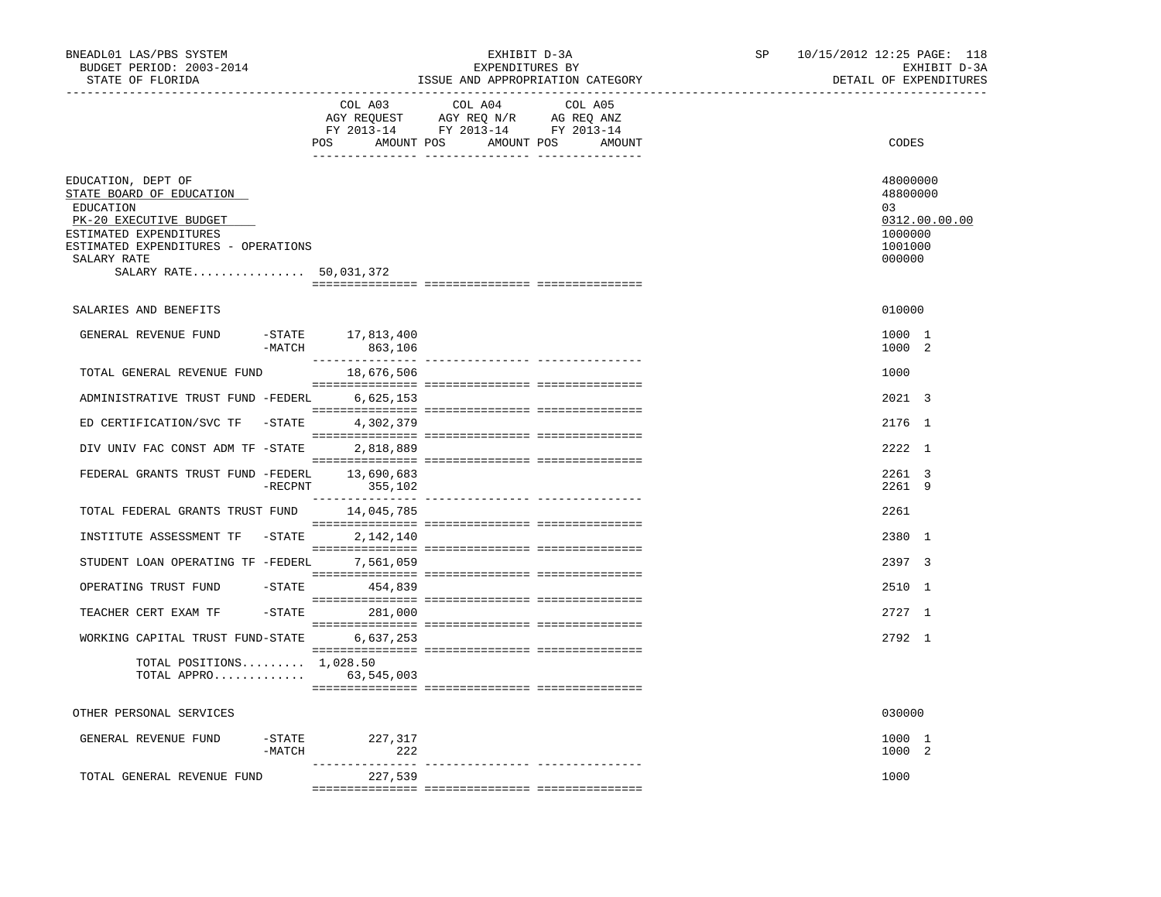| BNEADL01 LAS/PBS SYSTEM<br>BUDGET PERIOD: 2003-2014<br>STATE OF FLORIDA                                                                                                                         |                              | EXHIBIT D-3A<br>EXPENDITURES BY<br>ISSUE AND APPROPRIATION CATEGORY | SP<br>10/15/2012 12:25 PAGE: 118<br>EXHIBIT D-3A<br>DETAIL OF EXPENDITURES  |
|-------------------------------------------------------------------------------------------------------------------------------------------------------------------------------------------------|------------------------------|---------------------------------------------------------------------|-----------------------------------------------------------------------------|
|                                                                                                                                                                                                 | COL A03                      | COL A04<br>COL A05                                                  |                                                                             |
|                                                                                                                                                                                                 |                              | POS AMOUNT POS AMOUNT POS<br>AMOUNT                                 | CODES                                                                       |
| EDUCATION, DEPT OF<br>STATE BOARD OF EDUCATION<br>EDUCATION<br>PK-20 EXECUTIVE BUDGET<br>ESTIMATED EXPENDITURES<br>ESTIMATED EXPENDITURES - OPERATIONS<br>SALARY RATE<br>SALARY RATE 50,031,372 |                              |                                                                     | 48000000<br>48800000<br>03<br>0312.00.00.00<br>1000000<br>1001000<br>000000 |
| SALARIES AND BENEFITS                                                                                                                                                                           |                              |                                                                     | 010000                                                                      |
| GENERAL REVENUE FUND<br>$-MATCH$                                                                                                                                                                | -STATE 17,813,400<br>863,106 |                                                                     | 1000 1<br>1000 2                                                            |
| TOTAL GENERAL REVENUE FUND                                                                                                                                                                      | 18,676,506                   |                                                                     | 1000                                                                        |
| ADMINISTRATIVE TRUST FUND -FEDERL                                                                                                                                                               | 6,625,153                    |                                                                     | 2021 3                                                                      |
| ED CERTIFICATION/SVC TF -STATE                                                                                                                                                                  | 4,302,379                    |                                                                     | 2176 1                                                                      |
| DIV UNIV FAC CONST ADM TF -STATE                                                                                                                                                                | 2,818,889                    |                                                                     | 2222 1                                                                      |
| FEDERAL GRANTS TRUST FUND -FEDERL 13,690,683                                                                                                                                                    | -RECPNT 355,102              |                                                                     | 2261 3<br>2261 9                                                            |
| TOTAL FEDERAL GRANTS TRUST FUND 14,045,785                                                                                                                                                      |                              |                                                                     | 2261                                                                        |
| INSTITUTE ASSESSMENT TF -STATE 2,142,140                                                                                                                                                        |                              |                                                                     | 2380 1                                                                      |
| STUDENT LOAN OPERATING TF -FEDERL                                                                                                                                                               | 7,561,059                    |                                                                     | 2397 3                                                                      |
| OPERATING TRUST FUND                                                                                                                                                                            | -STATE 454,839               |                                                                     | 2510 1                                                                      |
| TEACHER CERT EXAM TF                                                                                                                                                                            | -STATE 281,000               |                                                                     | 2727 1                                                                      |
| WORKING CAPITAL TRUST FUND-STATE 6,637,253                                                                                                                                                      |                              |                                                                     | 2792 1                                                                      |
| TOTAL POSITIONS $1,028.50$<br>TOTAL APPRO 63,545,003                                                                                                                                            |                              |                                                                     |                                                                             |
| OTHER PERSONAL SERVICES                                                                                                                                                                         |                              |                                                                     | 030000                                                                      |
| GENERAL REVENUE FUND<br>-MATCH                                                                                                                                                                  | -STATE 227,317<br>222        |                                                                     | 1000 1<br>1000 2                                                            |
| TOTAL GENERAL REVENUE FUND                                                                                                                                                                      | 227,539                      |                                                                     | 1000                                                                        |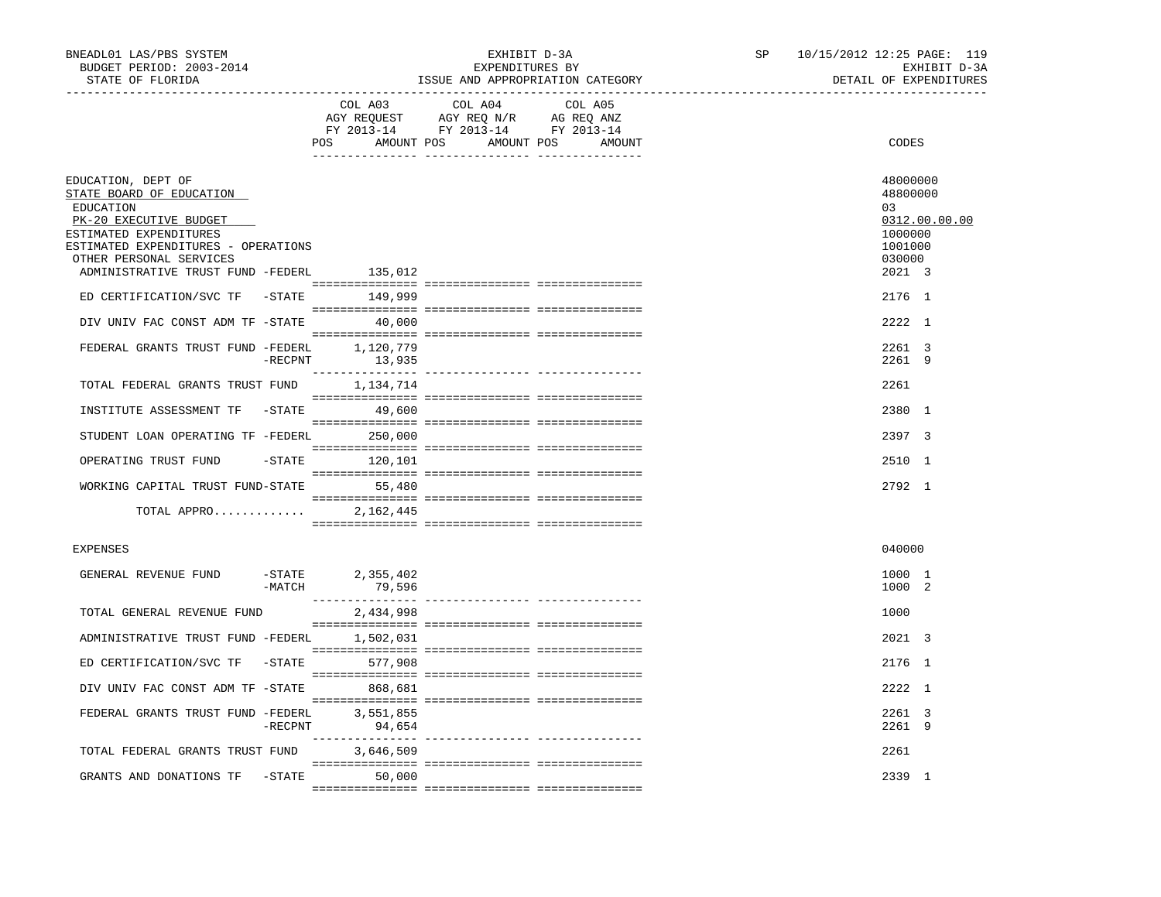| BNEADL01 LAS/PBS SYSTEM<br>BUDGET PERIOD: 2003-2014<br>STATE OF FLORIDA                                                                                                                                                |            |                               | EXHIBIT D-3A<br>EXPENDITURES BY                                                                                       | ISSUE AND APPROPRIATION CATEGORY | SP | 10/15/2012 12:25 PAGE: 119<br>EXHIBIT D-3A<br>DETAIL OF EXPENDITURES                  |
|------------------------------------------------------------------------------------------------------------------------------------------------------------------------------------------------------------------------|------------|-------------------------------|-----------------------------------------------------------------------------------------------------------------------|----------------------------------|----|---------------------------------------------------------------------------------------|
|                                                                                                                                                                                                                        |            | COL A03                       | COL A04<br>AGY REQUEST AGY REQ N/R AG REQ ANZ<br>FY 2013-14 FY 2013-14 FY 2013-14<br>POS AMOUNT POS AMOUNT POS AMOUNT | COL A05                          |    | CODES                                                                                 |
| EDUCATION, DEPT OF<br>STATE BOARD OF EDUCATION<br>EDUCATION<br>PK-20 EXECUTIVE BUDGET<br>ESTIMATED EXPENDITURES<br>ESTIMATED EXPENDITURES - OPERATIONS<br>OTHER PERSONAL SERVICES<br>ADMINISTRATIVE TRUST FUND -FEDERL |            | 135,012                       |                                                                                                                       |                                  |    | 48000000<br>48800000<br>03<br>0312.00.00.00<br>1000000<br>1001000<br>030000<br>2021 3 |
| ED CERTIFICATION/SVC TF -STATE 149,999                                                                                                                                                                                 |            |                               |                                                                                                                       |                                  |    | 2176 1                                                                                |
| DIV UNIV FAC CONST ADM TF -STATE<br>FEDERAL GRANTS TRUST FUND -FEDERL 1,120,779                                                                                                                                        |            | 40,000                        |                                                                                                                       |                                  |    | 2222 1<br>2261 3                                                                      |
|                                                                                                                                                                                                                        | $-$ RECPNT | 13,935                        |                                                                                                                       |                                  |    | 2261 9                                                                                |
| TOTAL FEDERAL GRANTS TRUST FUND                                                                                                                                                                                        |            | 1,134,714                     |                                                                                                                       |                                  |    | 2261                                                                                  |
| INSTITUTE ASSESSMENT TF                                                                                                                                                                                                |            | -STATE 49,600                 |                                                                                                                       |                                  |    | 2380 1                                                                                |
| STUDENT LOAN OPERATING TF -FEDERL 250,000                                                                                                                                                                              |            |                               |                                                                                                                       |                                  |    | 2397 3                                                                                |
| OPERATING TRUST FUND                                                                                                                                                                                                   |            | $-$ STATE $120, 101$          |                                                                                                                       |                                  |    | 2510 1                                                                                |
| WORKING CAPITAL TRUST FUND-STATE 55,480                                                                                                                                                                                |            |                               |                                                                                                                       |                                  |    | 2792 1                                                                                |
| TOTAL APPRO                                                                                                                                                                                                            |            | 2,162,445                     |                                                                                                                       |                                  |    |                                                                                       |
| <b>EXPENSES</b>                                                                                                                                                                                                        |            |                               |                                                                                                                       |                                  |    | 040000                                                                                |
| GENERAL REVENUE FUND                                                                                                                                                                                                   | $-MATCH$   | $-$ STATE 2,355,402<br>79,596 |                                                                                                                       |                                  |    | 1000 1<br>1000 2                                                                      |
| TOTAL GENERAL REVENUE FUND                                                                                                                                                                                             |            | 2,434,998                     |                                                                                                                       |                                  |    | 1000                                                                                  |
| ADMINISTRATIVE TRUST FUND -FEDERL 1,502,031                                                                                                                                                                            |            |                               |                                                                                                                       |                                  |    | 2021 3                                                                                |
| ED CERTIFICATION/SVC TF                                                                                                                                                                                                |            | -STATE 577,908                |                                                                                                                       |                                  |    | 2176 1                                                                                |
| DIV UNIV FAC CONST ADM TF -STATE 868,681                                                                                                                                                                               |            |                               |                                                                                                                       |                                  |    | 2222 1                                                                                |
| FEDERAL GRANTS TRUST FUND -FEDERL                                                                                                                                                                                      | $-$ RECPNT | 3,551,855<br>94,654           |                                                                                                                       |                                  |    | 2261 3<br>2261 9                                                                      |
| TOTAL FEDERAL GRANTS TRUST FUND                                                                                                                                                                                        |            | 3,646,509                     |                                                                                                                       |                                  |    | 2261                                                                                  |
| GRANTS AND DONATIONS TF -STATE                                                                                                                                                                                         |            | 50,000                        |                                                                                                                       |                                  |    | 2339 1                                                                                |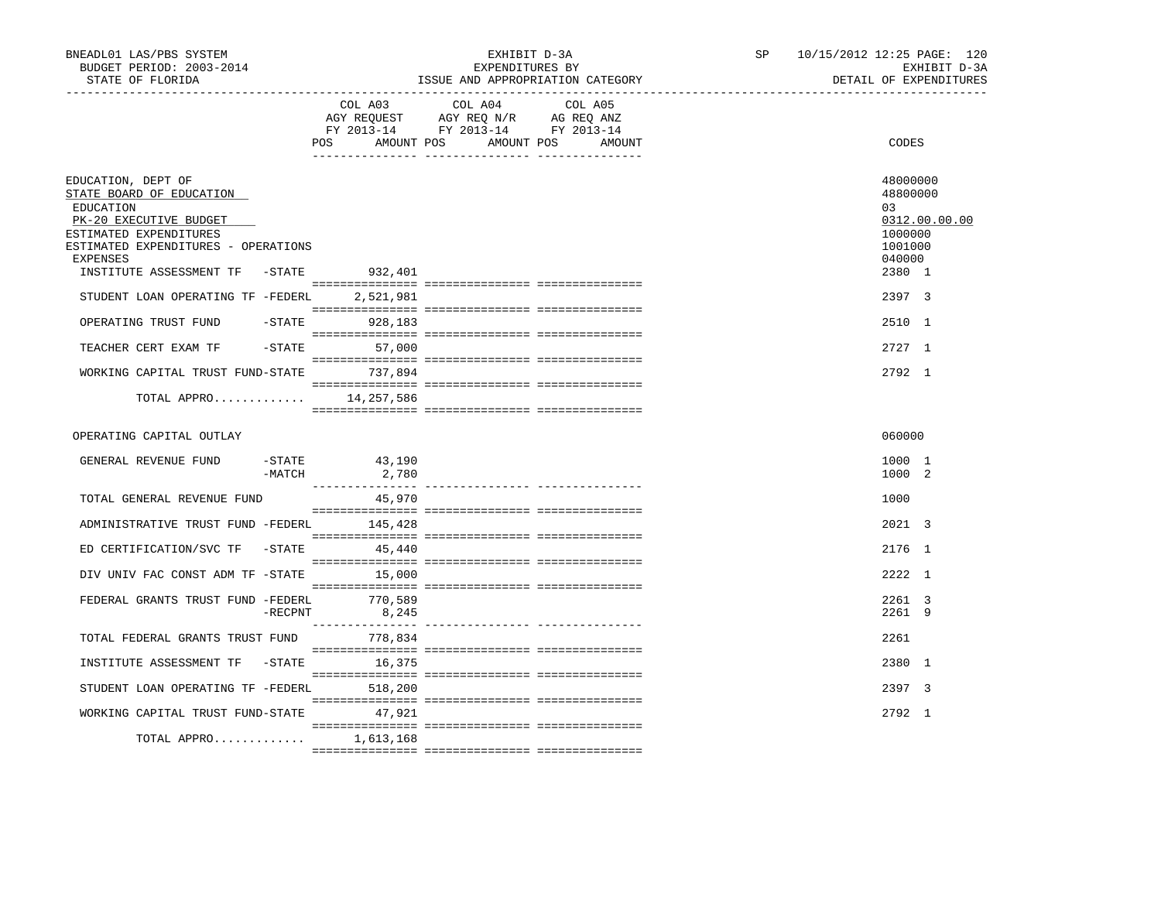| BNEADL01 LAS/PBS SYSTEM<br>BUDGET PERIOD: 2003-2014<br>STATE OF FLORIDA                                                                                                                                                                                                                                                                                                          |                       |                                                  | EXHIBIT D-3A<br>EXPENDITURES BY<br>ISSUE AND APPROPRIATION CATEGORY                                                                                                                                                                                                                                                                                                                                                                 |         | SP | 10/15/2012 12:25 PAGE: 120 |                                                                                                              | EXHIBIT D-3A<br>DETAIL OF EXPENDITURES |
|----------------------------------------------------------------------------------------------------------------------------------------------------------------------------------------------------------------------------------------------------------------------------------------------------------------------------------------------------------------------------------|-----------------------|--------------------------------------------------|-------------------------------------------------------------------------------------------------------------------------------------------------------------------------------------------------------------------------------------------------------------------------------------------------------------------------------------------------------------------------------------------------------------------------------------|---------|----|----------------------------|--------------------------------------------------------------------------------------------------------------|----------------------------------------|
|                                                                                                                                                                                                                                                                                                                                                                                  |                       |                                                  | COL A03 COL A04<br>AGY REQUEST AGY REQ N/R AG REQ ANZ<br>FY 2013-14 FY 2013-14 FY 2013-14<br>POS AMOUNT POS AMOUNT POS AMOUNT                                                                                                                                                                                                                                                                                                       | COL A05 |    |                            | CODES                                                                                                        |                                        |
| EDUCATION, DEPT OF<br>STATE BOARD OF EDUCATION<br>EDUCATION<br>PK-20 EXECUTIVE BUDGET<br>ESTIMATED EXPENDITURES<br>ESTIMATED EXPENDITURES - OPERATIONS<br><b>EXPENSES</b><br>INSTITUTE ASSESSMENT TF -STATE<br>STUDENT LOAN OPERATING TF -FEDERL 2.521.981<br>OPERATING TRUST FUND<br>TEACHER CERT EXAM TF<br>WORKING CAPITAL TRUST FUND-STATE 737,894<br>TOTAL APPRO 14,257,586 |                       | 932,401<br>$-$ STATE 928, 183<br>$-STATE$ 57,000 |                                                                                                                                                                                                                                                                                                                                                                                                                                     |         |    |                            | 48000000<br>48800000<br>03<br>1000000<br>1001000<br>040000<br>2380 1<br>2397 3<br>2510 1<br>2727 1<br>2792 1 | 0312.00.00.00                          |
| OPERATING CAPITAL OUTLAY                                                                                                                                                                                                                                                                                                                                                         |                       |                                                  |                                                                                                                                                                                                                                                                                                                                                                                                                                     |         |    |                            | 060000                                                                                                       |                                        |
| GENERAL REVENUE FUND                                                                                                                                                                                                                                                                                                                                                             | $-$ STATE<br>$-MATCH$ | 43,190<br>2,780                                  |                                                                                                                                                                                                                                                                                                                                                                                                                                     |         |    |                            | 1000 1<br>1000 2                                                                                             |                                        |
| TOTAL GENERAL REVENUE FUND                                                                                                                                                                                                                                                                                                                                                       |                       | 45,970                                           |                                                                                                                                                                                                                                                                                                                                                                                                                                     |         |    |                            | 1000                                                                                                         |                                        |
| ADMINISTRATIVE TRUST FUND -FEDERL 145,428                                                                                                                                                                                                                                                                                                                                        |                       |                                                  |                                                                                                                                                                                                                                                                                                                                                                                                                                     |         |    |                            | 2021 3                                                                                                       |                                        |
| ED CERTIFICATION/SVC TF -STATE 45,440                                                                                                                                                                                                                                                                                                                                            |                       |                                                  |                                                                                                                                                                                                                                                                                                                                                                                                                                     |         |    |                            | 2176 1                                                                                                       |                                        |
| DIV UNIV FAC CONST ADM TF -STATE 15,000                                                                                                                                                                                                                                                                                                                                          |                       |                                                  | $\begin{minipage}{0.03\textwidth} \begin{tabular}{l} \textbf{1} & \textbf{2} & \textbf{3} & \textbf{5} & \textbf{5} & \textbf{6} & \textbf{6} & \textbf{7} & \textbf{8} & \textbf{9} & \textbf{9} & \textbf{9} & \textbf{9} & \textbf{9} & \textbf{9} & \textbf{9} & \textbf{9} & \textbf{9} & \textbf{9} & \textbf{9} & \textbf{9} & \textbf{9} & \textbf{9} & \textbf{9} & \textbf{9} & \textbf{9} & \textbf{9} & \textbf{9} & \$ |         |    |                            | 2222 1                                                                                                       |                                        |
| FEDERAL GRANTS TRUST FUND -FEDERL 770,589                                                                                                                                                                                                                                                                                                                                        | $-$ RECPNT            | 8,245                                            |                                                                                                                                                                                                                                                                                                                                                                                                                                     |         |    |                            | 2261 3<br>2261 9                                                                                             |                                        |
| TOTAL FEDERAL GRANTS TRUST FUND                                                                                                                                                                                                                                                                                                                                                  |                       | 778,834                                          |                                                                                                                                                                                                                                                                                                                                                                                                                                     |         |    |                            | 2261                                                                                                         |                                        |
| INSTITUTE ASSESSMENT TF -STATE 16,375                                                                                                                                                                                                                                                                                                                                            |                       |                                                  |                                                                                                                                                                                                                                                                                                                                                                                                                                     |         |    |                            | 2380 1                                                                                                       |                                        |
| STUDENT LOAN OPERATING TF -FEDERL 518,200                                                                                                                                                                                                                                                                                                                                        |                       |                                                  |                                                                                                                                                                                                                                                                                                                                                                                                                                     |         |    |                            | 2397 3                                                                                                       |                                        |
| WORKING CAPITAL TRUST FUND-STATE 47,921                                                                                                                                                                                                                                                                                                                                          |                       |                                                  |                                                                                                                                                                                                                                                                                                                                                                                                                                     |         |    |                            | 2792 1                                                                                                       |                                        |
| TOTAL APPRO                                                                                                                                                                                                                                                                                                                                                                      |                       | 1,613,168                                        |                                                                                                                                                                                                                                                                                                                                                                                                                                     |         |    |                            |                                                                                                              |                                        |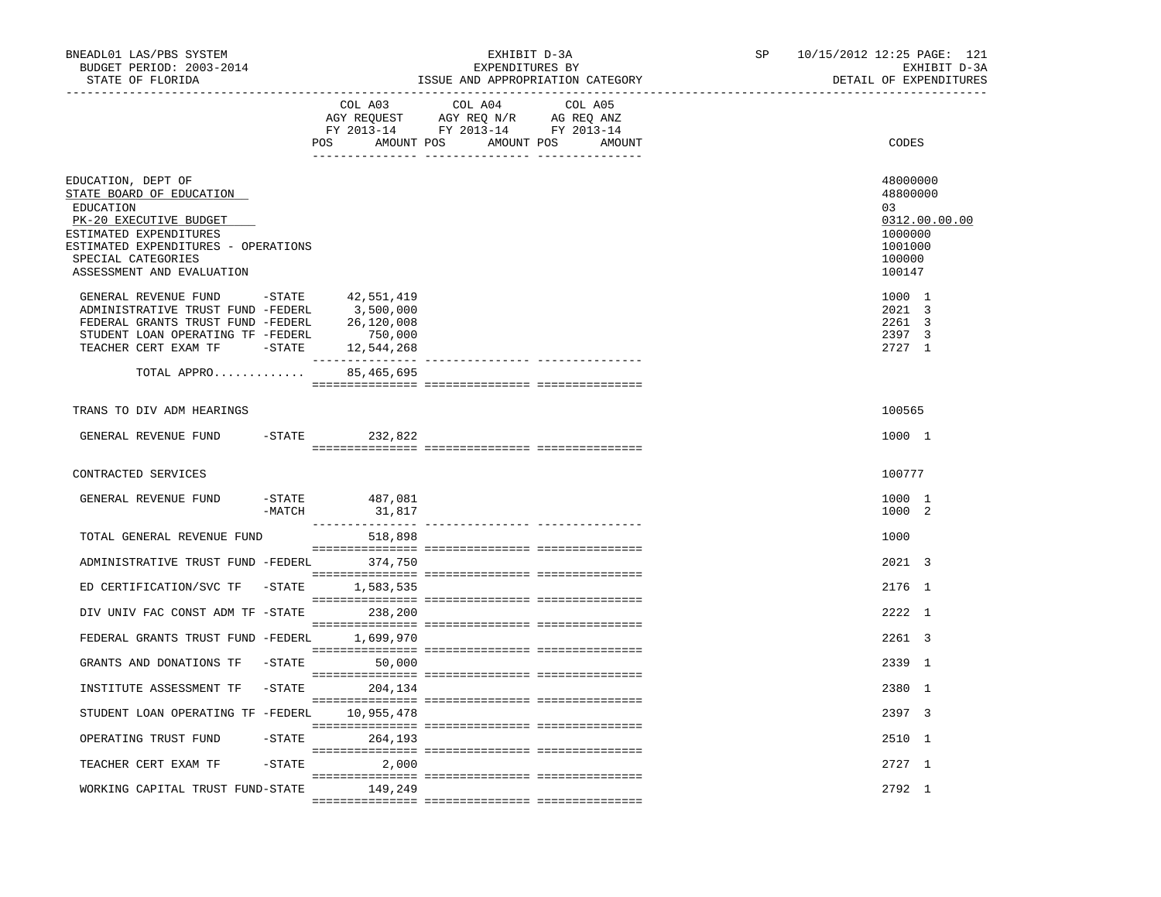| BNEADL01 LAS/PBS SYSTEM<br>BUDGET PERIOD: 2003-2014<br>STATE OF FLORIDA                                                                                                                                                  |           |                                     | EXHIBIT D-3A<br>EXPENDITURES BY<br>ISSUE AND APPROPRIATION CATEGORY                                                    |                   | SP | 10/15/2012 12:25 PAGE: 121<br>EXHIBIT D-3A<br>DETAIL OF EXPENDITURES                  |
|--------------------------------------------------------------------------------------------------------------------------------------------------------------------------------------------------------------------------|-----------|-------------------------------------|------------------------------------------------------------------------------------------------------------------------|-------------------|----|---------------------------------------------------------------------------------------|
|                                                                                                                                                                                                                          |           |                                     | COL A03 COL A04<br>AGY REQUEST AGY REQ N/R AG REQ ANZ<br>FY 2013-14 FY 2013-14 FY 2013-14<br>POS AMOUNT POS AMOUNT POS | COL A05<br>AMOUNT |    | CODES                                                                                 |
| EDUCATION, DEPT OF<br>STATE BOARD OF EDUCATION<br>EDUCATION<br>PK-20 EXECUTIVE BUDGET<br>ESTIMATED EXPENDITURES<br>ESTIMATED EXPENDITURES - OPERATIONS<br>SPECIAL CATEGORIES<br>ASSESSMENT AND EVALUATION                |           |                                     |                                                                                                                        |                   |    | 48000000<br>48800000<br>03<br>0312.00.00.00<br>1000000<br>1001000<br>100000<br>100147 |
| GENERAL REVENUE FUND -STATE 42,551,419<br>ADMINISTRATIVE TRUST FUND -FEDERL 3,500,000<br>FEDERAL GRANTS TRUST FUND -FEDERL<br>STUDENT LOAN OPERATING TF -FEDERL<br>TEACHER CERT EXAM TF -STATE 12,544,268<br>TOTAL APPRO |           | 26,120,008<br>750,000<br>85,465,695 |                                                                                                                        |                   |    | 1000 1<br>2021 3<br>2261 3<br>2397 3<br>2727 1                                        |
|                                                                                                                                                                                                                          |           |                                     |                                                                                                                        |                   |    |                                                                                       |
| TRANS TO DIV ADM HEARINGS                                                                                                                                                                                                |           |                                     |                                                                                                                        |                   |    | 100565                                                                                |
| GENERAL REVENUE FUND -STATE 232,822                                                                                                                                                                                      |           |                                     |                                                                                                                        |                   |    | 1000 1                                                                                |
| CONTRACTED SERVICES                                                                                                                                                                                                      |           |                                     |                                                                                                                        |                   |    | 100777                                                                                |
| GENERAL REVENUE FUND                                                                                                                                                                                                     | $-MATCH$  | -STATE 487,081<br>31,817            |                                                                                                                        |                   |    | 1000 1<br>1000 2                                                                      |
| TOTAL GENERAL REVENUE FUND                                                                                                                                                                                               |           | 518,898                             |                                                                                                                        |                   |    | 1000                                                                                  |
| ADMINISTRATIVE TRUST FUND -FEDERL 374,750                                                                                                                                                                                |           |                                     |                                                                                                                        |                   |    | 2021 3                                                                                |
| ED CERTIFICATION/SVC TF - STATE 1,583,535                                                                                                                                                                                |           |                                     |                                                                                                                        |                   |    | 2176 1                                                                                |
| DIV UNIV FAC CONST ADM TF -STATE 238,200                                                                                                                                                                                 |           |                                     |                                                                                                                        |                   |    | 2222 1                                                                                |
| FEDERAL GRANTS TRUST FUND -FEDERL 1,699,970                                                                                                                                                                              |           |                                     |                                                                                                                        |                   |    | 2261 3                                                                                |
| GRANTS AND DONATIONS TF -STATE                                                                                                                                                                                           |           | 50,000                              |                                                                                                                        |                   |    | 2339 1                                                                                |
| INSTITUTE ASSESSMENT TF -STATE 204,134                                                                                                                                                                                   |           |                                     |                                                                                                                        |                   |    | 2380 1                                                                                |
| STUDENT LOAN OPERATING TF -FEDERL                                                                                                                                                                                        |           | 10,955,478                          |                                                                                                                        |                   |    | 2397 3                                                                                |
| OPERATING TRUST FUND                                                                                                                                                                                                     | $-$ STATE | 264,193                             |                                                                                                                        |                   |    | 2510 1                                                                                |
| TEACHER CERT EXAM TF                                                                                                                                                                                                     | -STATE    | 2,000                               |                                                                                                                        |                   |    | 2727 1                                                                                |
| WORKING CAPITAL TRUST FUND-STATE                                                                                                                                                                                         |           | 149,249                             |                                                                                                                        |                   |    | 2792 1                                                                                |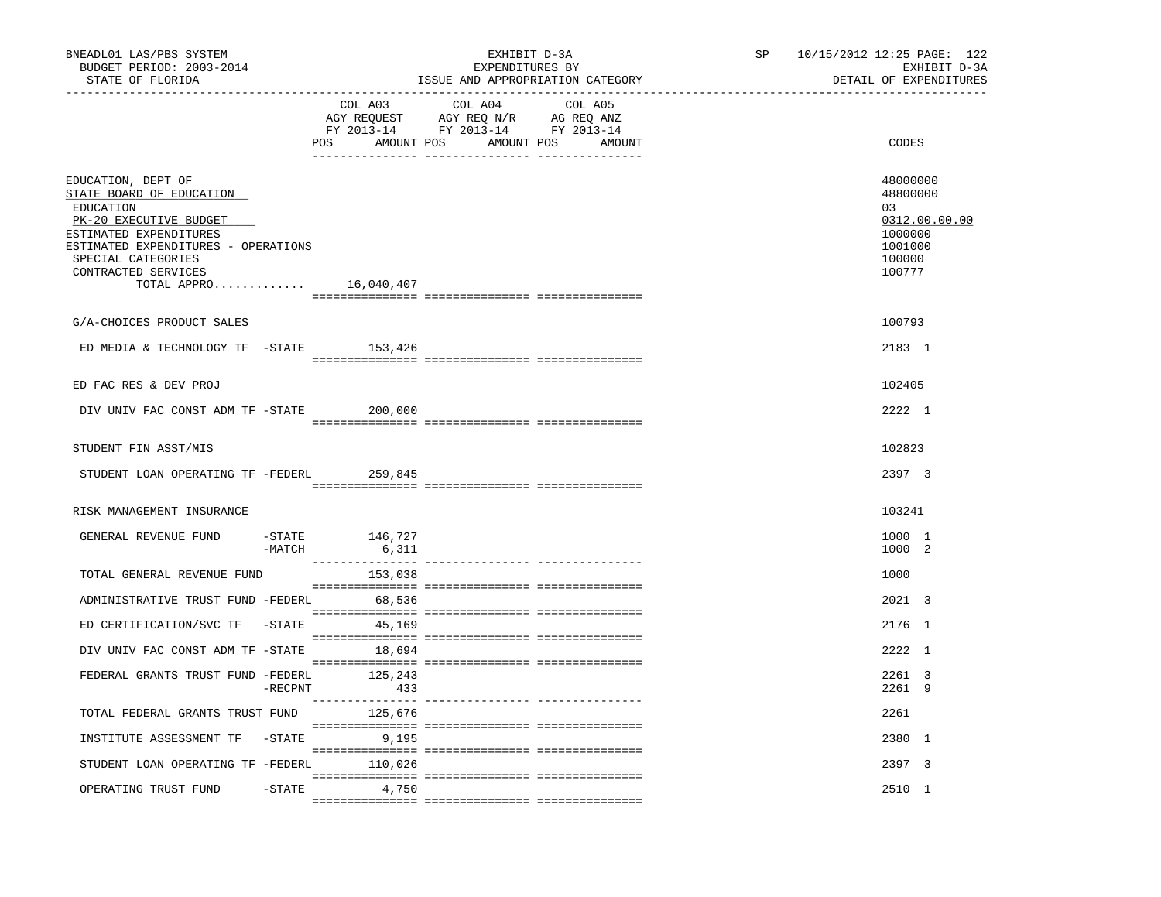| BNEADL01 LAS/PBS SYSTEM<br>BUDGET PERIOD: 2003-2014<br>STATE OF FLORIDA<br>------------------                                                                                                                                 |            | _________________________________ | EXHIBIT D-3A<br>EXPENDITURES BY                                                   | ISSUE AND APPROPRIATION CATEGORY            | SP | 10/15/2012 12:25 PAGE: 122<br>EXHIBIT D-3A<br>DETAIL OF EXPENDITURES                  |
|-------------------------------------------------------------------------------------------------------------------------------------------------------------------------------------------------------------------------------|------------|-----------------------------------|-----------------------------------------------------------------------------------|---------------------------------------------|----|---------------------------------------------------------------------------------------|
|                                                                                                                                                                                                                               |            | COL A03                           | COL A04<br>AGY REQUEST AGY REQ N/R AG REQ ANZ<br>FY 2013-14 FY 2013-14 FY 2013-14 | COL A05<br>POS AMOUNT POS AMOUNT POS AMOUNT |    | CODES                                                                                 |
| EDUCATION, DEPT OF<br>STATE BOARD OF EDUCATION<br>EDUCATION<br>PK-20 EXECUTIVE BUDGET<br>ESTIMATED EXPENDITURES<br>ESTIMATED EXPENDITURES - OPERATIONS<br>SPECIAL CATEGORIES<br>CONTRACTED SERVICES<br>TOTAL APPRO 16,040,407 |            |                                   |                                                                                   |                                             |    | 48000000<br>48800000<br>03<br>0312.00.00.00<br>1000000<br>1001000<br>100000<br>100777 |
| G/A-CHOICES PRODUCT SALES                                                                                                                                                                                                     |            |                                   |                                                                                   |                                             |    | 100793                                                                                |
| ED MEDIA & TECHNOLOGY TF -STATE 153,426                                                                                                                                                                                       |            |                                   |                                                                                   |                                             |    | 2183 1                                                                                |
| ED FAC RES & DEV PROJ                                                                                                                                                                                                         |            |                                   |                                                                                   |                                             |    | 102405                                                                                |
| DIV UNIV FAC CONST ADM TF -STATE                                                                                                                                                                                              |            | 200,000                           |                                                                                   |                                             |    | 2222 1                                                                                |
| STUDENT FIN ASST/MIS                                                                                                                                                                                                          |            |                                   |                                                                                   |                                             |    | 102823                                                                                |
| STUDENT LOAN OPERATING TF -FEDERL 259,845                                                                                                                                                                                     |            |                                   |                                                                                   |                                             |    | 2397 3                                                                                |
| RISK MANAGEMENT INSURANCE                                                                                                                                                                                                     |            |                                   |                                                                                   |                                             |    | 103241                                                                                |
| GENERAL REVENUE FUND                                                                                                                                                                                                          | $-MATCH$   | $-$ STATE $146, 727$<br>6,311     |                                                                                   |                                             |    | 1000 1<br>1000 2                                                                      |
| TOTAL GENERAL REVENUE FUND                                                                                                                                                                                                    |            | 153,038                           |                                                                                   |                                             |    | 1000                                                                                  |
| ADMINISTRATIVE TRUST FUND -FEDERL                                                                                                                                                                                             |            | 68,536                            |                                                                                   |                                             |    | 2021 3                                                                                |
| ED CERTIFICATION/SVC TF -STATE                                                                                                                                                                                                |            | 45,169                            |                                                                                   |                                             |    | 2176 1                                                                                |
| DIV UNIV FAC CONST ADM TF -STATE                                                                                                                                                                                              |            | 18,694                            |                                                                                   |                                             |    | 2222 1                                                                                |
| FEDERAL GRANTS TRUST FUND -FEDERL                                                                                                                                                                                             | $-$ RECPNT | 125,243<br>433                    |                                                                                   |                                             |    | 2261 3<br>2261 9                                                                      |
| TOTAL FEDERAL GRANTS TRUST FUND 125,676                                                                                                                                                                                       |            |                                   |                                                                                   |                                             |    | 2261                                                                                  |
| INSTITUTE ASSESSMENT TF -STATE                                                                                                                                                                                                |            | 9,195                             |                                                                                   |                                             |    | 2380 1                                                                                |
| STUDENT LOAN OPERATING TF -FEDERL 110,026                                                                                                                                                                                     |            |                                   |                                                                                   |                                             |    | 2397 3                                                                                |
| OPERATING TRUST FUND                                                                                                                                                                                                          | $-STATE$   | 4,750                             |                                                                                   |                                             |    | 2510 1                                                                                |
|                                                                                                                                                                                                                               |            |                                   |                                                                                   |                                             |    |                                                                                       |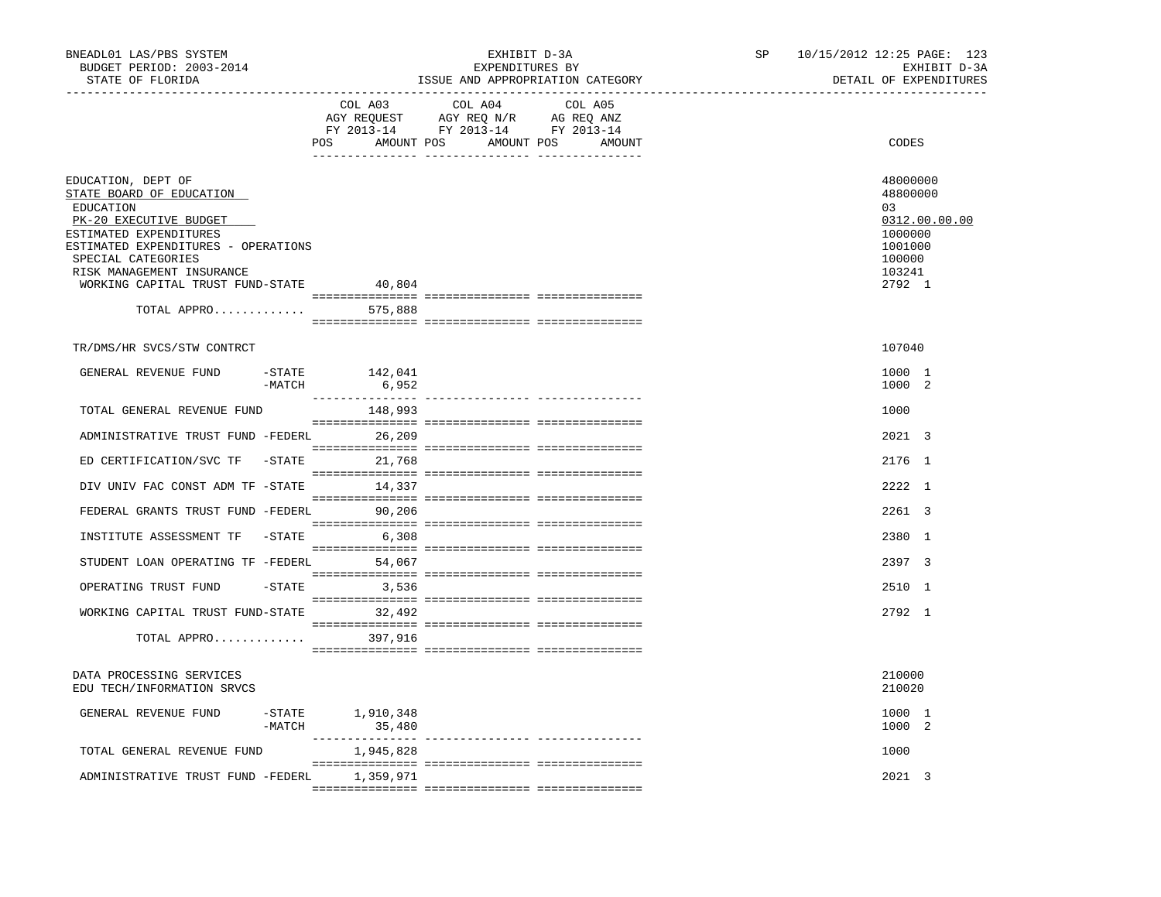| BNEADL01 LAS/PBS SYSTEM<br>BUDGET PERIOD: 2003-2014<br>STATE OF FLORIDA                                                                                                                                                                                      |                              | EXHIBIT D-3A<br>EXPENDITURES BY<br>ISSUE AND APPROPRIATION CATEGORY                                                                                                                                                                                                                        | SP | 10/15/2012 12:25 PAGE: 123<br>EXHIBIT D-3A<br>DETAIL OF EXPENDITURES                            |
|--------------------------------------------------------------------------------------------------------------------------------------------------------------------------------------------------------------------------------------------------------------|------------------------------|--------------------------------------------------------------------------------------------------------------------------------------------------------------------------------------------------------------------------------------------------------------------------------------------|----|-------------------------------------------------------------------------------------------------|
|                                                                                                                                                                                                                                                              | COL A03                      | COL A04<br>COL A05<br>$\begin{tabular}{lllllllll} \bf AGY \;\; RegUEST \hspace{1cm} AGY \;\; REG \;\; N/R \hspace{1cm} \bf AG \;\; REQ \;\; ANZ \\ \hline \bf FY \;\; 2013-14 \hspace{1cm} FY \;\; 2013-14 \hspace{1cm} FY \;\; 2013-14 \end{tabular}$<br>POS AMOUNT POS AMOUNT POS AMOUNT |    | CODES                                                                                           |
| EDUCATION, DEPT OF<br>STATE BOARD OF EDUCATION<br>EDUCATION<br>PK-20 EXECUTIVE BUDGET<br>ESTIMATED EXPENDITURES<br>ESTIMATED EXPENDITURES - OPERATIONS<br>SPECIAL CATEGORIES<br>RISK MANAGEMENT INSURANCE<br>WORKING CAPITAL TRUST FUND-STATE<br>TOTAL APPRO | 40,804<br>575,888            |                                                                                                                                                                                                                                                                                            |    | 48000000<br>48800000<br>03<br>0312.00.00.00<br>1000000<br>1001000<br>100000<br>103241<br>2792 1 |
|                                                                                                                                                                                                                                                              |                              |                                                                                                                                                                                                                                                                                            |    |                                                                                                 |
| TR/DMS/HR SVCS/STW CONTRCT<br>GENERAL REVENUE FUND<br>$-MATCH$                                                                                                                                                                                               | $-$ STATE $142,041$<br>6,952 |                                                                                                                                                                                                                                                                                            |    | 107040<br>1000 1<br>1000 2                                                                      |
| TOTAL GENERAL REVENUE FUND                                                                                                                                                                                                                                   | 148,993                      |                                                                                                                                                                                                                                                                                            |    | 1000                                                                                            |
| ADMINISTRATIVE TRUST FUND -FEDERL                                                                                                                                                                                                                            | 26,209                       |                                                                                                                                                                                                                                                                                            |    | 2021 3                                                                                          |
| ED CERTIFICATION/SVC TF -STATE                                                                                                                                                                                                                               | 21,768                       |                                                                                                                                                                                                                                                                                            |    | 2176 1                                                                                          |
| DIV UNIV FAC CONST ADM TF -STATE                                                                                                                                                                                                                             | 14,337                       |                                                                                                                                                                                                                                                                                            |    | $2222 - 1$                                                                                      |
| FEDERAL GRANTS TRUST FUND -FEDERL 90,206                                                                                                                                                                                                                     |                              |                                                                                                                                                                                                                                                                                            |    | 2261 3                                                                                          |
| INSTITUTE ASSESSMENT TF<br>-STATE                                                                                                                                                                                                                            | 6,308                        |                                                                                                                                                                                                                                                                                            |    | 2380 1                                                                                          |
| STUDENT LOAN OPERATING TF -FEDERL 54,067                                                                                                                                                                                                                     |                              |                                                                                                                                                                                                                                                                                            |    | 2397 3                                                                                          |
| OPERATING TRUST FUND                                                                                                                                                                                                                                         | $-STATE$ 3,536               |                                                                                                                                                                                                                                                                                            |    | 2510 1                                                                                          |
| WORKING CAPITAL TRUST FUND-STATE 32,492                                                                                                                                                                                                                      |                              |                                                                                                                                                                                                                                                                                            |    | $2792 \quad 1$                                                                                  |
| TOTAL APPRO                                                                                                                                                                                                                                                  | 397,916                      |                                                                                                                                                                                                                                                                                            |    |                                                                                                 |
| DATA PROCESSING SERVICES<br>EDU TECH/INFORMATION SRVCS                                                                                                                                                                                                       |                              |                                                                                                                                                                                                                                                                                            |    | 210000<br>210020                                                                                |
| GENERAL REVENUE FUND<br>$-MATCH$                                                                                                                                                                                                                             | $-STATE$ 1,910,348<br>35,480 |                                                                                                                                                                                                                                                                                            |    | 1000 1<br>1000 2                                                                                |
| TOTAL GENERAL REVENUE FUND                                                                                                                                                                                                                                   | 1,945,828                    |                                                                                                                                                                                                                                                                                            |    | 1000                                                                                            |
| ADMINISTRATIVE TRUST FUND -FEDERL                                                                                                                                                                                                                            | 1,359,971                    |                                                                                                                                                                                                                                                                                            |    | 2021 3                                                                                          |
|                                                                                                                                                                                                                                                              |                              |                                                                                                                                                                                                                                                                                            |    |                                                                                                 |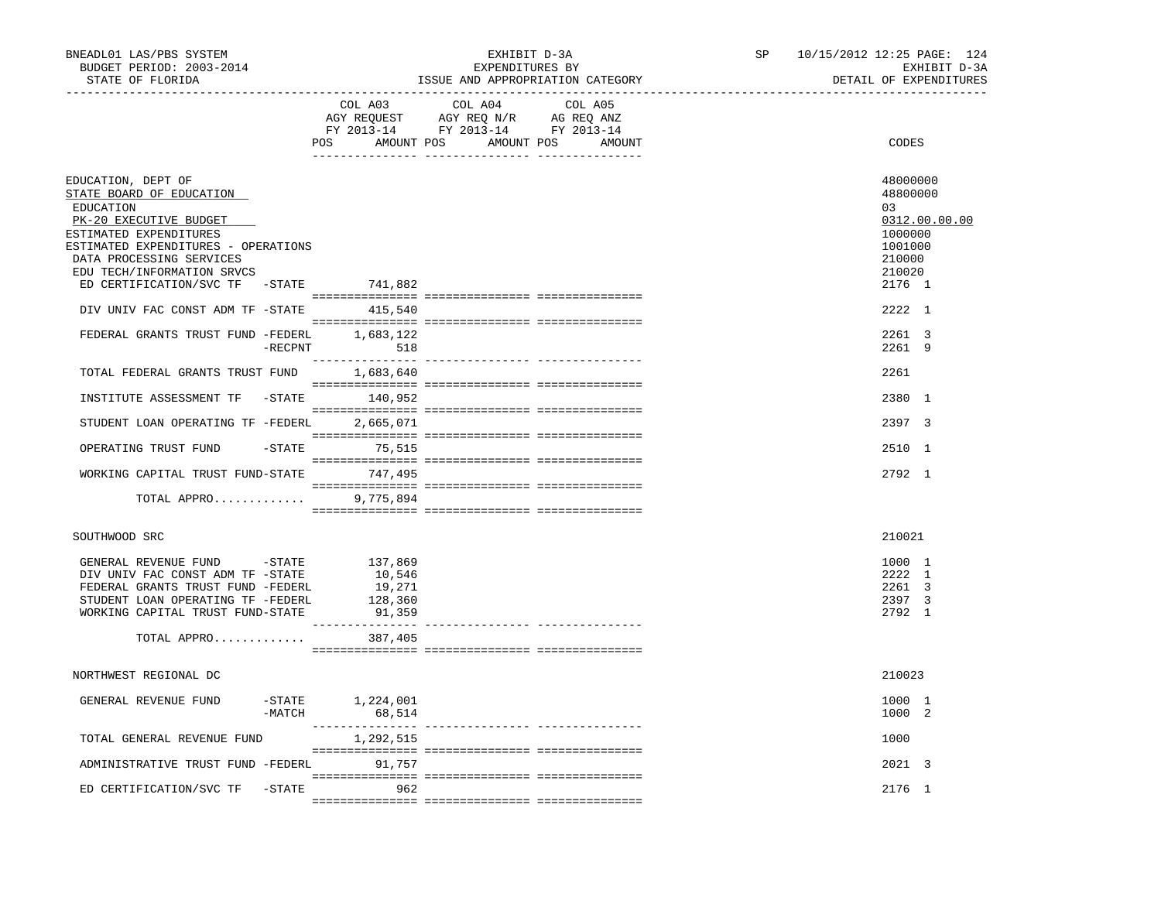| BNEADL01 LAS/PBS SYSTEM<br>BUDGET PERIOD: 2003-2014<br>STATE OF FLORIDA |           |                  | EXHIBIT D-3A<br>EXPENDITURES BY                                                                                                                          | ISSUE AND APPROPRIATION CATEGORY | SP 10/15/2012 12:25 PAGE: 124<br>EXHIBIT D-3A<br>DETAIL OF EXPENDITURES |
|-------------------------------------------------------------------------|-----------|------------------|----------------------------------------------------------------------------------------------------------------------------------------------------------|----------------------------------|-------------------------------------------------------------------------|
|                                                                         |           | POS              | ----------------------------------<br>COL A03 COL A04<br>AGY REQUEST AGY REQ N/R AG REQ ANZ<br>FY 2013-14 FY 2013-14 FY 2013-14<br>AMOUNT POS AMOUNT POS | COL A05<br>AMOUNT                | CODES                                                                   |
| EDUCATION, DEPT OF                                                      |           |                  |                                                                                                                                                          |                                  | 48000000                                                                |
| STATE BOARD OF EDUCATION                                                |           |                  |                                                                                                                                                          |                                  | 48800000<br>03                                                          |
| EDUCATION<br>PK-20 EXECUTIVE BUDGET                                     |           |                  |                                                                                                                                                          |                                  | 0312.00.00.00                                                           |
| ESTIMATED EXPENDITURES                                                  |           |                  |                                                                                                                                                          |                                  | 1000000                                                                 |
| ESTIMATED EXPENDITURES - OPERATIONS                                     |           |                  |                                                                                                                                                          |                                  | 1001000                                                                 |
| DATA PROCESSING SERVICES                                                |           |                  |                                                                                                                                                          |                                  | 210000                                                                  |
| EDU TECH/INFORMATION SRVCS<br>ED CERTIFICATION/SVC TF -STATE 741,882    |           |                  |                                                                                                                                                          |                                  | 210020<br>2176 1                                                        |
|                                                                         |           |                  |                                                                                                                                                          |                                  |                                                                         |
| DIV UNIV FAC CONST ADM TF -STATE 415,540                                |           |                  |                                                                                                                                                          |                                  | 2222 1                                                                  |
| FEDERAL GRANTS TRUST FUND -FEDERL 1,683,122                             |           |                  |                                                                                                                                                          |                                  | 2261 3                                                                  |
|                                                                         |           | -RECPNT 518      |                                                                                                                                                          |                                  | 2261 9                                                                  |
|                                                                         |           |                  |                                                                                                                                                          |                                  |                                                                         |
| TOTAL FEDERAL GRANTS TRUST FUND                                         |           | 1,683,640        |                                                                                                                                                          |                                  | 2261                                                                    |
| INSTITUTE ASSESSMENT TF -STATE 140,952                                  |           |                  |                                                                                                                                                          |                                  | 2380 1                                                                  |
|                                                                         |           |                  |                                                                                                                                                          |                                  |                                                                         |
| STUDENT LOAN OPERATING TF -FEDERL                                       |           | 2,665,071        |                                                                                                                                                          |                                  | 2397 3                                                                  |
|                                                                         |           |                  |                                                                                                                                                          |                                  |                                                                         |
| OPERATING TRUST FUND                                                    |           | $-$ STATE 75,515 |                                                                                                                                                          |                                  | 2510 1                                                                  |
| WORKING CAPITAL TRUST FUND-STATE 747,495                                |           |                  |                                                                                                                                                          |                                  | 2792 1                                                                  |
|                                                                         |           |                  |                                                                                                                                                          |                                  |                                                                         |
| TOTAL APPRO                                                             |           | 9,775,894        |                                                                                                                                                          |                                  |                                                                         |
|                                                                         |           |                  |                                                                                                                                                          |                                  |                                                                         |
| SOUTHWOOD SRC                                                           |           |                  |                                                                                                                                                          |                                  | 210021                                                                  |
| GENERAL REVENUE FUND -STATE 137,869                                     |           |                  |                                                                                                                                                          |                                  |                                                                         |
| DIV UNIV FAC CONST ADM TF -STATE                                        |           | 10,546           |                                                                                                                                                          |                                  | 1000 1<br>2222 1                                                        |
| FEDERAL GRANTS TRUST FUND -FEDERL                                       |           | 19,271           |                                                                                                                                                          |                                  | 2261 3                                                                  |
| STUDENT LOAN OPERATING TF -FEDERL                                       |           | 128,360          |                                                                                                                                                          |                                  | 2397 3                                                                  |
| WORKING CAPITAL TRUST FUND-STATE                                        |           | 91,359           |                                                                                                                                                          |                                  | 2792 1                                                                  |
| TOTAL APPRO                                                             |           | 387,405          |                                                                                                                                                          |                                  |                                                                         |
|                                                                         |           |                  |                                                                                                                                                          |                                  |                                                                         |
| NORTHWEST REGIONAL DC                                                   |           |                  |                                                                                                                                                          |                                  | 210023                                                                  |
|                                                                         |           |                  |                                                                                                                                                          |                                  |                                                                         |
| GENERAL REVENUE FUND -STATE 1,224,001                                   |           |                  |                                                                                                                                                          |                                  | 1000 1                                                                  |
|                                                                         | -MATCH    | 68,514           |                                                                                                                                                          |                                  | 1000 2                                                                  |
| TOTAL GENERAL REVENUE FUND                                              |           | 1,292,515        |                                                                                                                                                          | ------------ ----------------    | 1000                                                                    |
|                                                                         |           |                  |                                                                                                                                                          |                                  |                                                                         |
| ADMINISTRATIVE TRUST FUND -FEDERL                                       |           | 91,757           |                                                                                                                                                          |                                  | 2021 3                                                                  |
|                                                                         |           |                  |                                                                                                                                                          |                                  |                                                                         |
| ED CERTIFICATION/SVC TF                                                 | $-$ STATE | 962              |                                                                                                                                                          |                                  | 2176 1                                                                  |
|                                                                         |           |                  |                                                                                                                                                          |                                  |                                                                         |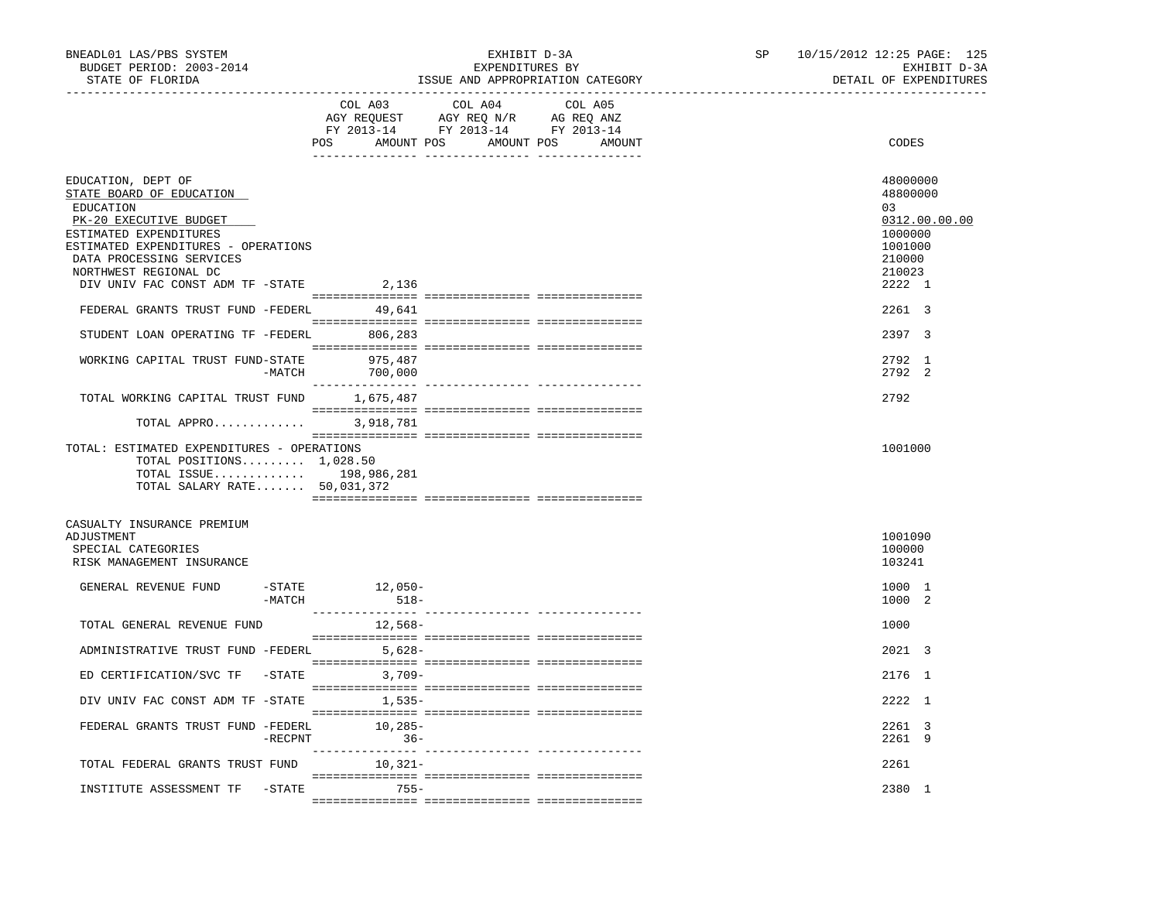| BNEADL01 LAS/PBS SYSTEM<br>BUDGET PERIOD: 2003-2014<br>STATE OF FLORIDA                                                                                                                                                                                                                                                          |            |                                      | EXHIBIT D-3A<br>EXPENDITURES BY<br>ISSUE AND APPROPRIATION CATEGORY               |                   | SP | 10/15/2012 12:25 PAGE: 125<br>EXHIBIT D-3A<br>DETAIL OF EXPENDITURES                                                |
|----------------------------------------------------------------------------------------------------------------------------------------------------------------------------------------------------------------------------------------------------------------------------------------------------------------------------------|------------|--------------------------------------|-----------------------------------------------------------------------------------|-------------------|----|---------------------------------------------------------------------------------------------------------------------|
|                                                                                                                                                                                                                                                                                                                                  |            | COL A03<br>POS AMOUNT POS AMOUNT POS | COL A04<br>AGY REQUEST AGY REQ N/R AG REQ ANZ<br>FY 2013-14 FY 2013-14 FY 2013-14 | COL A05<br>AMOUNT |    | CODES                                                                                                               |
| EDUCATION, DEPT OF<br>STATE BOARD OF EDUCATION<br>EDUCATION<br>PK-20 EXECUTIVE BUDGET<br>ESTIMATED EXPENDITURES<br>ESTIMATED EXPENDITURES - OPERATIONS<br>DATA PROCESSING SERVICES<br>NORTHWEST REGIONAL DC<br>DIV UNIV FAC CONST ADM TF -STATE<br>FEDERAL GRANTS TRUST FUND -FEDERL 49,641<br>STUDENT LOAN OPERATING TF -FEDERL |            | 2,136<br>806,283                     |                                                                                   |                   |    | 48000000<br>48800000<br>03<br>0312.00.00.00<br>1000000<br>1001000<br>210000<br>210023<br>2222 1<br>2261 3<br>2397 3 |
| WORKING CAPITAL TRUST FUND-STATE                                                                                                                                                                                                                                                                                                 | -MATCH     | 975,487<br>700,000                   |                                                                                   |                   |    | 2792 1<br>2792 2                                                                                                    |
| TOTAL WORKING CAPITAL TRUST FUND<br>TOTAL APPRO<br>TOTAL: ESTIMATED EXPENDITURES - OPERATIONS<br>TOTAL POSITIONS $1,028.50$<br>TOTAL ISSUE 198,986,281<br>TOTAL SALARY RATE 50,031,372                                                                                                                                           |            | 1,675,487<br>3,918,781               |                                                                                   |                   |    | 2792<br>1001000                                                                                                     |
| CASUALTY INSURANCE PREMIUM<br>ADJUSTMENT<br>SPECIAL CATEGORIES<br>RISK MANAGEMENT INSURANCE<br>GENERAL REVENUE FUND                                                                                                                                                                                                              | $-$ STATE  | $12,050-$                            |                                                                                   |                   |    | 1001090<br>100000<br>103241<br>1000 1                                                                               |
| TOTAL GENERAL REVENUE FUND                                                                                                                                                                                                                                                                                                       | -MATCH     | $518-$<br>12,568-                    |                                                                                   |                   |    | 1000 2<br>1000                                                                                                      |
| ADMINISTRATIVE TRUST FUND -FEDERL 5,628-                                                                                                                                                                                                                                                                                         |            |                                      |                                                                                   |                   |    | 2021 3                                                                                                              |
| ED CERTIFICATION/SVC TF -STATE 3,709-                                                                                                                                                                                                                                                                                            |            |                                      |                                                                                   |                   |    | 2176 1                                                                                                              |
| DIV UNIV FAC CONST ADM TF -STATE 1,535-                                                                                                                                                                                                                                                                                          |            |                                      |                                                                                   |                   |    | 2222 1                                                                                                              |
| FEDERAL GRANTS TRUST FUND -FEDERL                                                                                                                                                                                                                                                                                                | $-$ RECPNT | $10,285-$<br>$36 -$                  |                                                                                   |                   |    | 2261 3<br>2261 9                                                                                                    |
| TOTAL FEDERAL GRANTS TRUST FUND 10,321-                                                                                                                                                                                                                                                                                          |            |                                      |                                                                                   |                   |    | 2261                                                                                                                |
| INSTITUTE ASSESSMENT TF -STATE 755-                                                                                                                                                                                                                                                                                              |            |                                      |                                                                                   |                   |    | 2380 1                                                                                                              |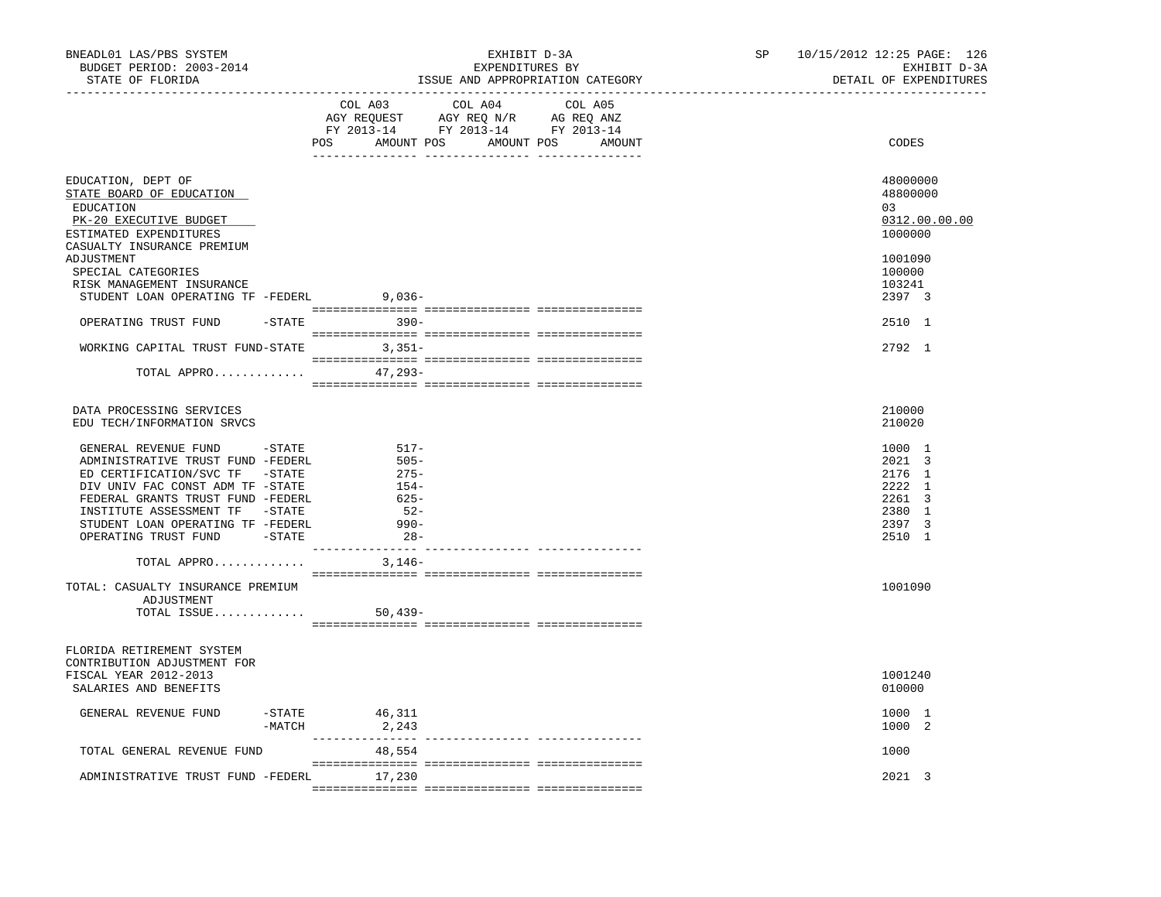| BNEADL01 LAS/PBS SYSTEM<br>BUDGET PERIOD: 2003-2014<br>STATE OF FLORIDA                                                                                                                                                                                                                                                                                                                                                      |                       |                                                                                               | EXHIBIT D-3A<br>EXPENDITURES BY<br>ISSUE AND APPROPRIATION CATEGORY                               |  | SP | 10/15/2012 12:25 PAGE: 126 |                                                                                                             | EXHIBIT D-3A<br>DETAIL OF EXPENDITURES |
|------------------------------------------------------------------------------------------------------------------------------------------------------------------------------------------------------------------------------------------------------------------------------------------------------------------------------------------------------------------------------------------------------------------------------|-----------------------|-----------------------------------------------------------------------------------------------|---------------------------------------------------------------------------------------------------|--|----|----------------------------|-------------------------------------------------------------------------------------------------------------|----------------------------------------|
|                                                                                                                                                                                                                                                                                                                                                                                                                              |                       | POS AMOUNT POS AMOUNT POS AMOUNT                                                              | COL A03 COL A04 COL A05<br>AGY REQUEST AGY REQ N/R AG REQ ANZ<br>FY 2013-14 FY 2013-14 FY 2013-14 |  |    |                            | CODES                                                                                                       |                                        |
| EDUCATION, DEPT OF<br>STATE BOARD OF EDUCATION<br>EDUCATION<br>PK-20 EXECUTIVE BUDGET<br>ESTIMATED EXPENDITURES<br>CASUALTY INSURANCE PREMIUM                                                                                                                                                                                                                                                                                |                       |                                                                                               |                                                                                                   |  |    |                            | 48000000<br>48800000<br>03<br>1000000                                                                       | 0312.00.00.00                          |
| ADJUSTMENT<br>SPECIAL CATEGORIES<br>RISK MANAGEMENT INSURANCE<br>STUDENT LOAN OPERATING TF -FEDERL 9,036-                                                                                                                                                                                                                                                                                                                    |                       |                                                                                               |                                                                                                   |  |    |                            | 1001090<br>100000<br>103241<br>2397 3                                                                       |                                        |
| OPERATING TRUST FUND                                                                                                                                                                                                                                                                                                                                                                                                         |                       | $-STATE$ 390-                                                                                 |                                                                                                   |  |    |                            | 2510 1                                                                                                      |                                        |
| WORKING CAPITAL TRUST FUND-STATE 3,351-                                                                                                                                                                                                                                                                                                                                                                                      |                       |                                                                                               |                                                                                                   |  |    |                            | 2792 1                                                                                                      |                                        |
| TOTAL APPRO                                                                                                                                                                                                                                                                                                                                                                                                                  |                       | $47,293-$                                                                                     |                                                                                                   |  |    |                            |                                                                                                             |                                        |
| DATA PROCESSING SERVICES<br>EDU TECH/INFORMATION SRVCS<br>GENERAL REVENUE FUND -STATE<br>ADMINISTRATIVE TRUST FUND -FEDERL<br>ED CERTIFICATION/SVC TF -STATE<br>DIV UNIV FAC CONST ADM TF -STATE<br>FEDERAL GRANTS TRUST FUND -FEDERL<br>INSTITUTE ASSESSMENT TF -STATE<br>STUDENT LOAN OPERATING TF -FEDERL<br>OPERATING TRUST FUND -STATE<br>TOTAL APPRO<br>TOTAL: CASUALTY INSURANCE PREMIUM<br>ADJUSTMENT<br>TOTAL ISSUE |                       | 517-<br>$505 -$<br>$275-$<br>$154-$<br>625-<br>$-52-$<br>$990-$<br>$28-$<br>3,146-<br>50,439- |                                                                                                   |  |    |                            | 210000<br>210020<br>1000 1<br>2021 3<br>2176 1<br>2222 1<br>2261 3<br>2380 1<br>2397 3<br>2510 1<br>1001090 |                                        |
| FLORIDA RETIREMENT SYSTEM<br>CONTRIBUTION ADJUSTMENT FOR<br>FISCAL YEAR 2012-2013<br>SALARIES AND BENEFITS<br>GENERAL REVENUE FUND                                                                                                                                                                                                                                                                                           | $-$ STATE<br>$-MATCH$ | 46,311<br>2,243                                                                               |                                                                                                   |  |    |                            | 1001240<br>010000<br>1000 1<br>1000 2                                                                       |                                        |
| TOTAL GENERAL REVENUE FUND                                                                                                                                                                                                                                                                                                                                                                                                   |                       | 48,554                                                                                        |                                                                                                   |  |    |                            | 1000                                                                                                        |                                        |
| ADMINISTRATIVE TRUST FUND -FEDERL 17,230                                                                                                                                                                                                                                                                                                                                                                                     |                       |                                                                                               |                                                                                                   |  |    |                            | 2021 3                                                                                                      |                                        |
|                                                                                                                                                                                                                                                                                                                                                                                                                              |                       |                                                                                               |                                                                                                   |  |    |                            |                                                                                                             |                                        |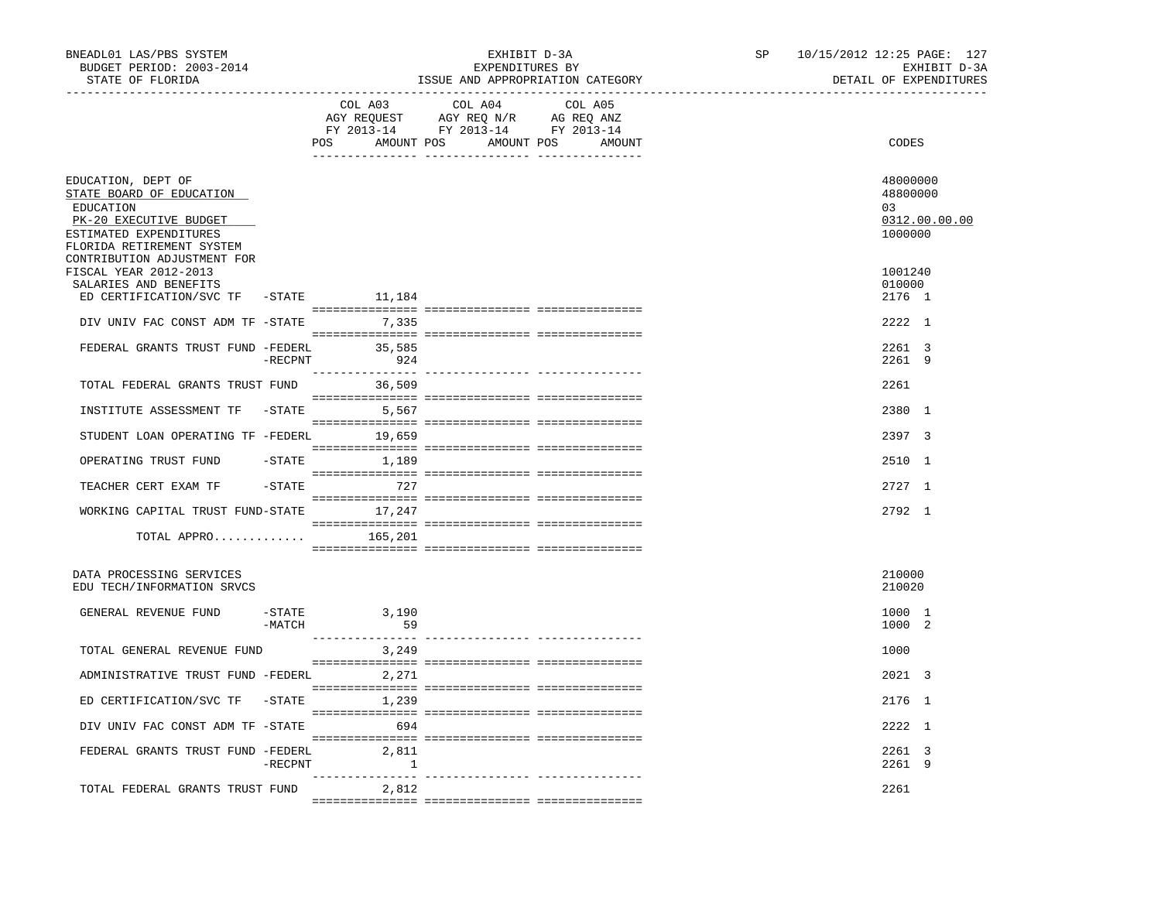| BNEADL01 LAS/PBS SYSTEM<br>BUDGET PERIOD: 2003-2014<br>STATE OF FLORIDA                                                                      |                    |                         | EXHIBIT D-3A<br>EXPENDITURES BY<br>ISSUE AND APPROPRIATION CATEGORY                                                                                                                                                                                         | SP | 10/15/2012 12:25 PAGE: 127<br>EXHIBIT D-3A<br>DETAIL OF EXPENDITURES |
|----------------------------------------------------------------------------------------------------------------------------------------------|--------------------|-------------------------|-------------------------------------------------------------------------------------------------------------------------------------------------------------------------------------------------------------------------------------------------------------|----|----------------------------------------------------------------------|
|                                                                                                                                              |                    | COL A03                 | COL A04 COL A05<br>$\begin{tabular}{lllllllll} \bf AGY & \bf REQUEST & \bf AGY & \bf REQ & \tt M/R & \tt AG & \tt REQ & \tt ANZ \\ \bf FY & \tt 2013-14 & \tt FY & \tt 2013-14 & \tt FY & \tt 2013-14 \\ \end{tabular}$<br>POS AMOUNT POS AMOUNT POS AMOUNT |    | CODES                                                                |
| EDUCATION, DEPT OF<br>STATE BOARD OF EDUCATION<br>EDUCATION<br>PK-20 EXECUTIVE BUDGET<br>ESTIMATED EXPENDITURES<br>FLORIDA RETIREMENT SYSTEM |                    |                         |                                                                                                                                                                                                                                                             |    | 48000000<br>48800000<br>03<br>0312.00.00.00<br>1000000               |
| CONTRIBUTION ADJUSTMENT FOR<br>FISCAL YEAR 2012-2013<br>SALARIES AND BENEFITS<br>ED CERTIFICATION/SVC TF -STATE 11,184                       |                    |                         |                                                                                                                                                                                                                                                             |    | 1001240<br>010000<br>2176 1                                          |
| DIV UNIV FAC CONST ADM TF -STATE 7,335                                                                                                       |                    |                         |                                                                                                                                                                                                                                                             |    | 2222 1                                                               |
| FEDERAL GRANTS TRUST FUND -FEDERL 35,585                                                                                                     | $-$ RECPNT         | 924                     |                                                                                                                                                                                                                                                             |    | 2261 3<br>2261 9                                                     |
| TOTAL FEDERAL GRANTS TRUST FUND 36,509                                                                                                       |                    |                         |                                                                                                                                                                                                                                                             |    | 2261                                                                 |
| INSTITUTE ASSESSMENT TF -STATE 5,567                                                                                                         |                    |                         |                                                                                                                                                                                                                                                             |    | 2380 1                                                               |
| STUDENT LOAN OPERATING TF -FEDERL 19,659                                                                                                     |                    |                         |                                                                                                                                                                                                                                                             |    | 2397 3                                                               |
| OPERATING TRUST FUND                                                                                                                         |                    | -STATE 1,189            |                                                                                                                                                                                                                                                             |    | 2510 1                                                               |
| TEACHER CERT EXAM TF                                                                                                                         |                    | -STATE 727              |                                                                                                                                                                                                                                                             |    | $2727$ 1                                                             |
| WORKING CAPITAL TRUST FUND-STATE 17,247                                                                                                      |                    |                         |                                                                                                                                                                                                                                                             |    | 2792 1                                                               |
| TOTAL APPRO                                                                                                                                  |                    | 165,201                 |                                                                                                                                                                                                                                                             |    |                                                                      |
| DATA PROCESSING SERVICES<br>EDU TECH/INFORMATION SRVCS                                                                                       |                    |                         |                                                                                                                                                                                                                                                             |    | 210000<br>210020                                                     |
| GENERAL REVENUE FUND                                                                                                                         | -STATE<br>$-MATCH$ | 3,190<br>59             |                                                                                                                                                                                                                                                             |    | 1000 1<br>1000 2                                                     |
| TOTAL GENERAL REVENUE FUND                                                                                                                   |                    | 3,249                   |                                                                                                                                                                                                                                                             |    | 1000                                                                 |
| ADMINISTRATIVE TRUST FUND -FEDERL 2,271                                                                                                      |                    |                         |                                                                                                                                                                                                                                                             |    | 2021 3                                                               |
| ED CERTIFICATION/SVC TF                                                                                                                      |                    | $-STATE$ 1,239          |                                                                                                                                                                                                                                                             |    | 2176 1                                                               |
| DIV UNIV FAC CONST ADM TF -STATE                                                                                                             |                    | 694                     |                                                                                                                                                                                                                                                             |    | 2222 1                                                               |
| FEDERAL GRANTS TRUST FUND -FEDERL                                                                                                            | $-$ RECPNT         | 2,811<br>$\overline{1}$ |                                                                                                                                                                                                                                                             |    | 2261 3<br>2261 9                                                     |
| TOTAL FEDERAL GRANTS TRUST FUND                                                                                                              |                    | 2,812                   |                                                                                                                                                                                                                                                             |    | 2261                                                                 |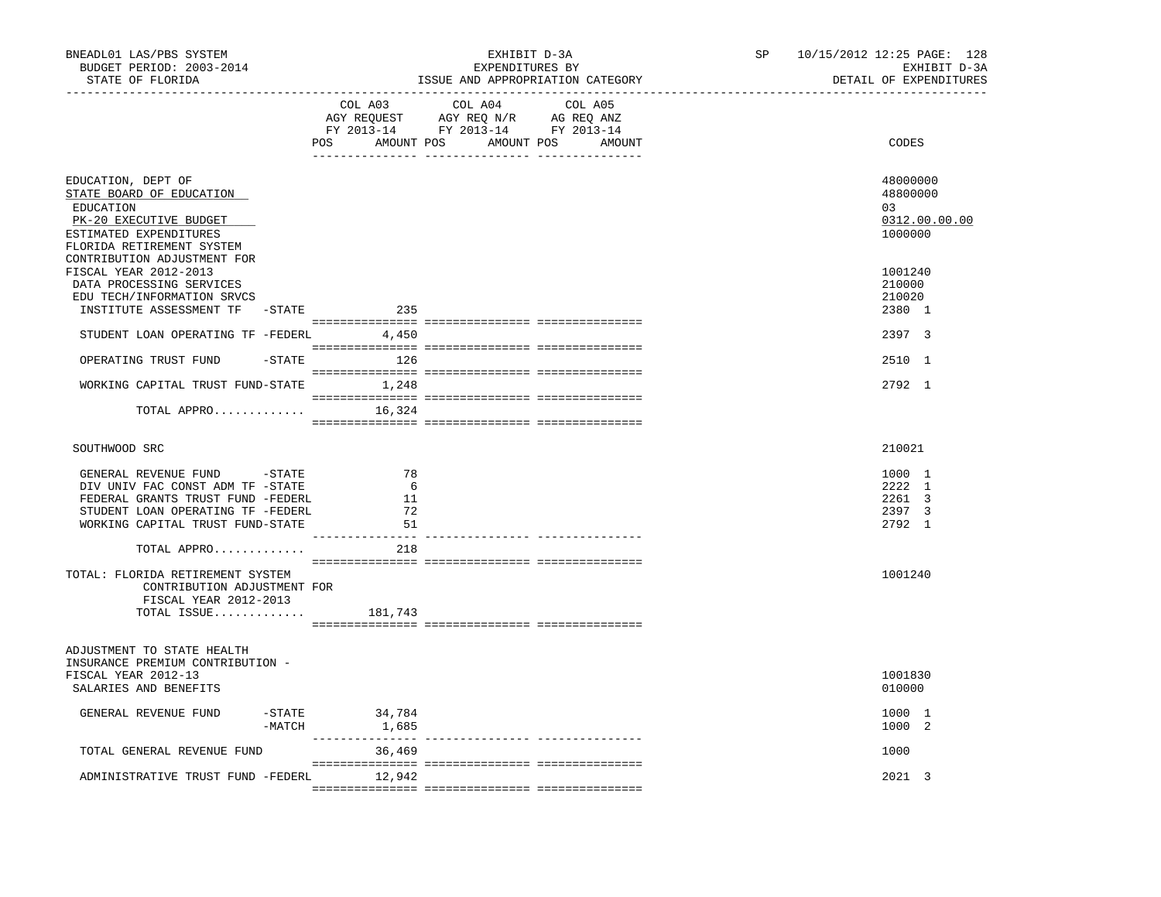| BNEADL01 LAS/PBS SYSTEM<br>BUDGET PERIOD: 2003-2014<br>STATE OF FLORIDA<br>. <u>- - - - - - - - - - - - - -</u> -                                                                                    |                            | EXHIBIT D-3A<br>EXPENDITURES BY<br>ISSUE AND APPROPRIATION CATEGORY                                                           | SP <sub>2</sub> | 10/15/2012 12:25 PAGE: 128<br>EXHIBIT D-3A<br>DETAIL OF EXPENDITURES |
|------------------------------------------------------------------------------------------------------------------------------------------------------------------------------------------------------|----------------------------|-------------------------------------------------------------------------------------------------------------------------------|-----------------|----------------------------------------------------------------------|
|                                                                                                                                                                                                      | COL A03                    | COL A04 COL A05<br>AGY REQUEST AGY REQ N/R AG REQ ANZ<br>FY 2013-14 FY 2013-14 FY 2013-14<br>POS AMOUNT POS AMOUNT POS AMOUNT |                 | CODES                                                                |
| EDUCATION, DEPT OF<br>STATE BOARD OF EDUCATION<br>EDUCATION<br>PK-20 EXECUTIVE BUDGET<br>ESTIMATED EXPENDITURES<br>FLORIDA RETIREMENT SYSTEM<br>CONTRIBUTION ADJUSTMENT FOR<br>FISCAL YEAR 2012-2013 |                            |                                                                                                                               |                 | 48000000<br>48800000<br>03<br>0312.00.00.00<br>1000000<br>1001240    |
| DATA PROCESSING SERVICES<br>EDU TECH/INFORMATION SRVCS<br>INSTITUTE ASSESSMENT TF -STATE                                                                                                             | 235                        |                                                                                                                               |                 | 210000<br>210020<br>2380 1                                           |
| STUDENT LOAN OPERATING TF -FEDERL 4,450                                                                                                                                                              |                            |                                                                                                                               |                 | 2397 3                                                               |
| OPERATING TRUST FUND<br>-STATE<br>WORKING CAPITAL TRUST FUND-STATE 1,248                                                                                                                             | 126                        |                                                                                                                               |                 | 2510 1<br>2792 1                                                     |
| TOTAL APPRO $16,324$<br>SOUTHWOOD SRC                                                                                                                                                                |                            |                                                                                                                               |                 | 210021                                                               |
| GENERAL REVENUE FUND -STATE<br>DIV UNIV FAC CONST ADM TF -STATE<br>FEDERAL GRANTS TRUST FUND -FEDERL<br>STUDENT LOAN OPERATING TF -FEDERL<br>WORKING CAPITAL TRUST FUND-STATE                        | 78<br>-6<br>11<br>72<br>51 |                                                                                                                               |                 | 1000 1<br>2222 1<br>2261 3<br>2397 3<br>2792 1                       |
| TOTAL APPRO<br>TOTAL: FLORIDA RETIREMENT SYSTEM<br>CONTRIBUTION ADJUSTMENT FOR<br>FISCAL YEAR 2012-2013<br>TOTAL ISSUE 181,743                                                                       | 218                        |                                                                                                                               |                 | 1001240                                                              |
| ADJUSTMENT TO STATE HEALTH<br>INSURANCE PREMIUM CONTRIBUTION -<br>FISCAL YEAR 2012-13<br>SALARIES AND BENEFITS                                                                                       |                            |                                                                                                                               |                 | 1001830<br>010000                                                    |
| $-$ STATE<br>GENERAL REVENUE FUND<br>$-MATCH$                                                                                                                                                        | 34,784<br>1,685            |                                                                                                                               |                 | 1000 1<br>1000 2                                                     |
| TOTAL GENERAL REVENUE FUND                                                                                                                                                                           | 36,469                     |                                                                                                                               |                 | 1000                                                                 |
| ADMINISTRATIVE TRUST FUND -FEDERL 12,942                                                                                                                                                             |                            |                                                                                                                               |                 | 2021 3                                                               |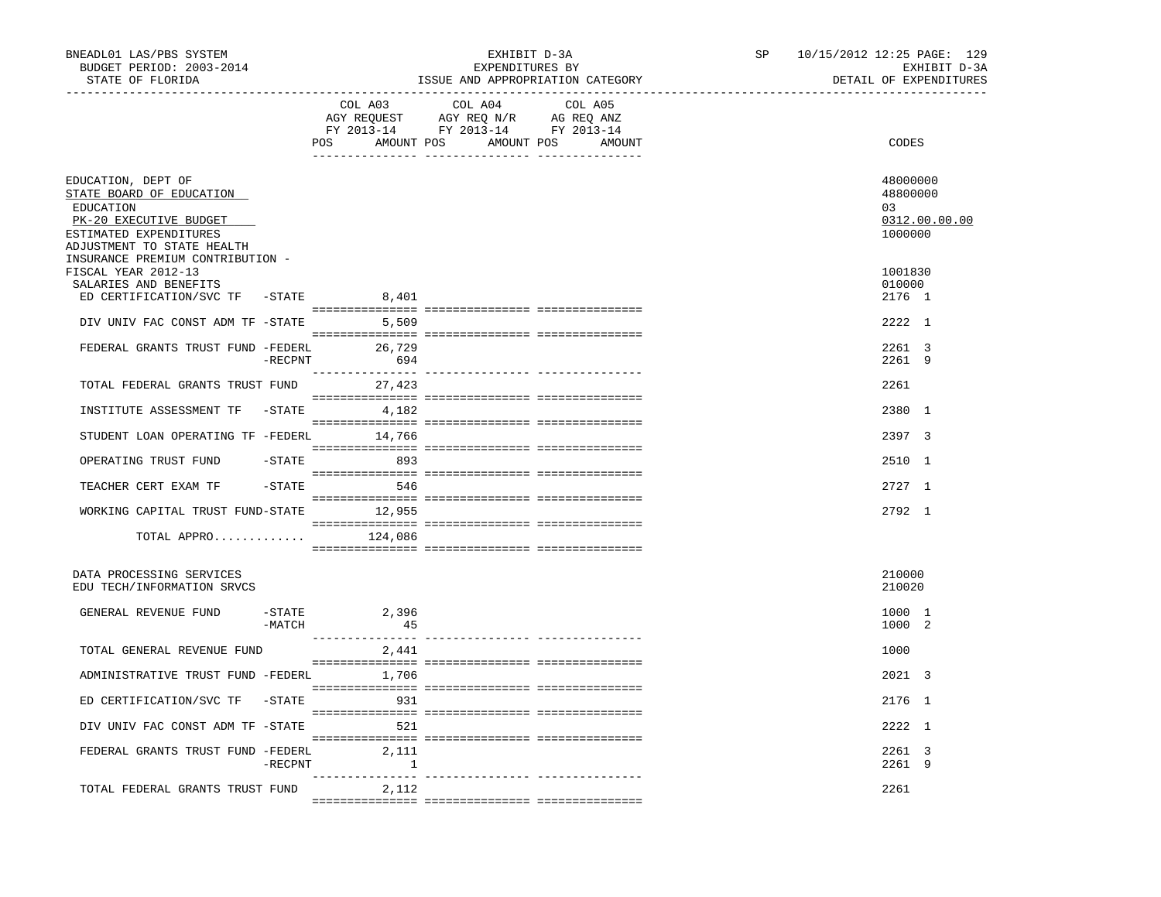| BNEADL01 LAS/PBS SYSTEM<br>BUDGET PERIOD: 2003-2014<br>STATE OF FLORIDA<br>----------------                                                                                       |          | __________________________________ | EXHIBIT D-3A<br>EXPENDITURES BY                                                                                       | ISSUE AND APPROPRIATION CATEGORY | SP | 10/15/2012 12:25 PAGE: 129<br>EXHIBIT D-3A<br>DETAIL OF EXPENDITURES |
|-----------------------------------------------------------------------------------------------------------------------------------------------------------------------------------|----------|------------------------------------|-----------------------------------------------------------------------------------------------------------------------|----------------------------------|----|----------------------------------------------------------------------|
|                                                                                                                                                                                   |          | COL A03                            | COL A04<br>AGY REQUEST AGY REQ N/R AG REQ ANZ<br>FY 2013-14 FY 2013-14 FY 2013-14<br>POS AMOUNT POS AMOUNT POS AMOUNT | COL A05                          |    | CODES                                                                |
| EDUCATION, DEPT OF<br>STATE BOARD OF EDUCATION<br>EDUCATION<br>PK-20 EXECUTIVE BUDGET<br>ESTIMATED EXPENDITURES<br>ADJUSTMENT TO STATE HEALTH<br>INSURANCE PREMIUM CONTRIBUTION - |          |                                    |                                                                                                                       |                                  |    | 48000000<br>48800000<br>03<br>0312.00.00.00<br>1000000               |
| FISCAL YEAR 2012-13<br>SALARIES AND BENEFITS<br>ED CERTIFICATION/SVC TF -STATE                                                                                                    |          | 8,401                              |                                                                                                                       |                                  |    | 1001830<br>010000<br>2176 1                                          |
| DIV UNIV FAC CONST ADM TF -STATE 5,509                                                                                                                                            |          |                                    |                                                                                                                       |                                  |    | 2222 1                                                               |
| FEDERAL GRANTS TRUST FUND -FEDERL 26,729                                                                                                                                          |          | $-RECPNT$ 694                      |                                                                                                                       |                                  |    | 2261 3<br>2261 9                                                     |
| TOTAL FEDERAL GRANTS TRUST FUND 27,423                                                                                                                                            |          |                                    |                                                                                                                       |                                  |    | 2261                                                                 |
| INSTITUTE ASSESSMENT TF -STATE 4,182                                                                                                                                              |          |                                    |                                                                                                                       |                                  |    | 2380 1                                                               |
| STUDENT LOAN OPERATING TF -FEDERL 14,766                                                                                                                                          |          |                                    |                                                                                                                       |                                  |    | 2397 3                                                               |
| OPERATING TRUST FUND                                                                                                                                                              |          | $-STATE$ 893                       |                                                                                                                       |                                  |    | 2510 1                                                               |
| TEACHER CERT EXAM TF                                                                                                                                                              |          | $-$ STATE 546                      |                                                                                                                       |                                  |    | 2727 1                                                               |
| WORKING CAPITAL TRUST FUND-STATE 12,955                                                                                                                                           |          |                                    |                                                                                                                       |                                  |    | 2792 1                                                               |
| TOTAL APPRO $124,086$                                                                                                                                                             |          |                                    |                                                                                                                       |                                  |    |                                                                      |
| DATA PROCESSING SERVICES<br>EDU TECH/INFORMATION SRVCS                                                                                                                            |          |                                    |                                                                                                                       |                                  |    | 210000<br>210020                                                     |
| GENERAL REVENUE FUND                                                                                                                                                              | $-MATCH$ | $-$ STATE 2,396<br>45              |                                                                                                                       |                                  |    | 1000 1<br>1000 2                                                     |
| TOTAL GENERAL REVENUE FUND                                                                                                                                                        |          | 2,441                              |                                                                                                                       |                                  |    | 1000                                                                 |
| ADMINISTRATIVE TRUST FUND -FEDERL 1,706                                                                                                                                           |          |                                    |                                                                                                                       |                                  |    | 2021 3                                                               |
| ED CERTIFICATION/SVC TF -STATE 931                                                                                                                                                |          |                                    |                                                                                                                       |                                  |    | 2176 1                                                               |
| DIV UNIV FAC CONST ADM TF -STATE                                                                                                                                                  |          | 521                                |                                                                                                                       |                                  |    | 2222 1                                                               |
| FEDERAL GRANTS TRUST FUND -FEDERL                                                                                                                                                 |          | 2,111<br>-RECPNT 1                 |                                                                                                                       |                                  |    | 2261 3<br>2261 9                                                     |
| TOTAL FEDERAL GRANTS TRUST FUND                                                                                                                                                   |          | 2,112                              |                                                                                                                       |                                  |    | 2261                                                                 |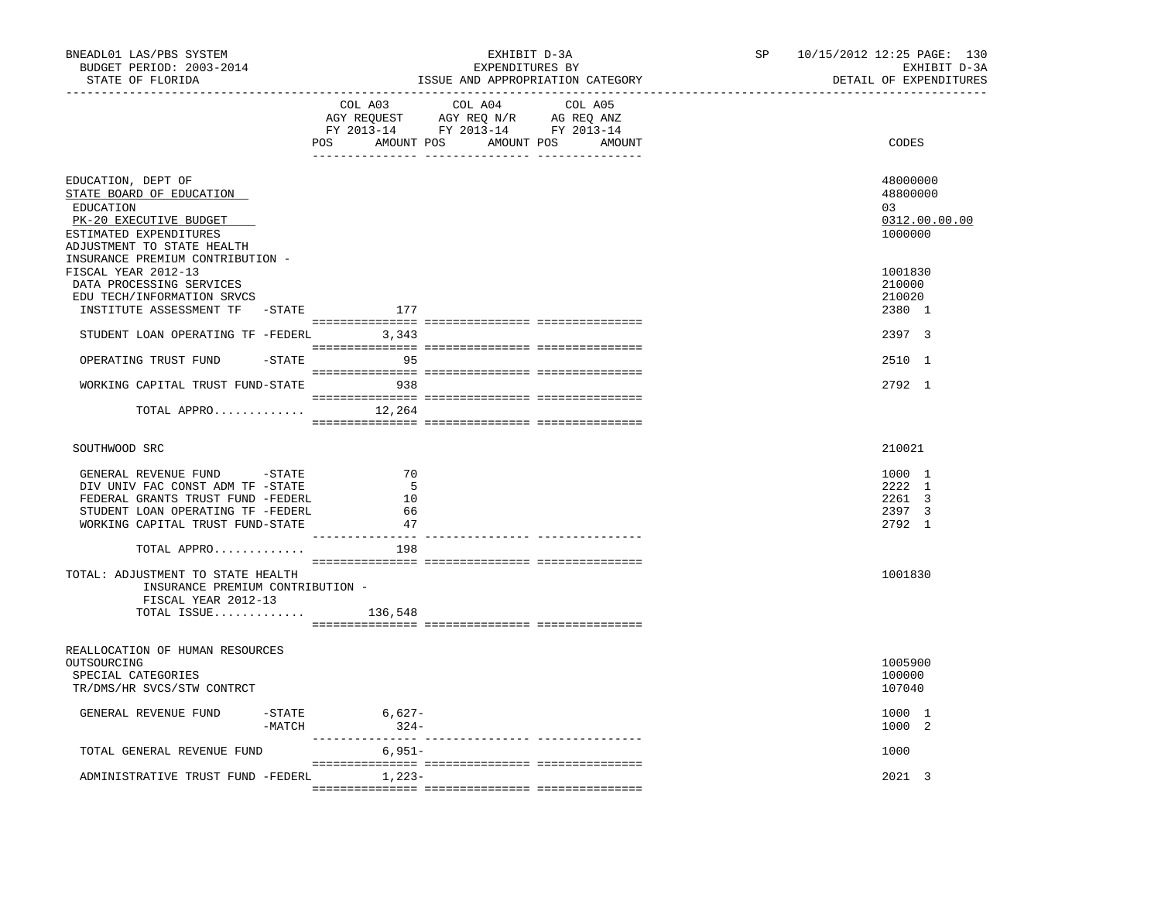| BNEADL01 LAS/PBS SYSTEM<br>BUDGET PERIOD: 2003-2014<br>STATE OF FLORIDA                                                                                                           | EXHIBIT D-3A<br>EXPENDITURES BY<br>ISSUE AND APPROPRIATION CATEGORY<br>____________________________                                                                                                                                                                           | 10/15/2012 12:25 PAGE: 130<br>SP<br>EXHIBIT D-3A<br>DETAIL OF EXPENDITURES |
|-----------------------------------------------------------------------------------------------------------------------------------------------------------------------------------|-------------------------------------------------------------------------------------------------------------------------------------------------------------------------------------------------------------------------------------------------------------------------------|----------------------------------------------------------------------------|
|                                                                                                                                                                                   | COL A03<br>COL A04<br>COL A05<br>$\begin{tabular}{lllllllll} \bf AGY \,\,\, REQUEST \,\,\, & \bf AGY \,\, REQ \,\, N/R & \,\, AG \,\, REQ \,\, ANZ \\ \bf FY \,\, 2013-14 & \,\, FY \,\, 2013-14 & \,\, FY \,\, 2013-14 \\ \end{tabular}$<br>POS AMOUNT POS AMOUNT POS AMOUNT | CODES                                                                      |
| EDUCATION, DEPT OF<br>STATE BOARD OF EDUCATION<br>EDUCATION<br>PK-20 EXECUTIVE BUDGET<br>ESTIMATED EXPENDITURES<br>ADJUSTMENT TO STATE HEALTH<br>INSURANCE PREMIUM CONTRIBUTION - |                                                                                                                                                                                                                                                                               | 48000000<br>48800000<br>03<br>0312.00.00.00<br>1000000                     |
| FISCAL YEAR 2012-13<br>DATA PROCESSING SERVICES<br>EDU TECH/INFORMATION SRVCS<br>INSTITUTE ASSESSMENT TF -STATE                                                                   | 177                                                                                                                                                                                                                                                                           | 1001830<br>210000<br>210020<br>2380 1                                      |
| STUDENT LOAN OPERATING TF -FEDERL 3,343                                                                                                                                           |                                                                                                                                                                                                                                                                               | 2397 3                                                                     |
| OPERATING TRUST FUND<br>-STATE                                                                                                                                                    | $\sim$ 95                                                                                                                                                                                                                                                                     | 2510 1                                                                     |
| WORKING CAPITAL TRUST FUND-STATE 938                                                                                                                                              |                                                                                                                                                                                                                                                                               | 2792 1                                                                     |
| TOTAL APPRO $12,264$                                                                                                                                                              |                                                                                                                                                                                                                                                                               |                                                                            |
| SOUTHWOOD SRC                                                                                                                                                                     |                                                                                                                                                                                                                                                                               | 210021                                                                     |
| GENERAL REVENUE FUND -STATE<br>DIV UNIV FAC CONST ADM TF -STATE<br>FEDERAL GRANTS TRUST FUND -FEDERL<br>STUDENT LOAN OPERATING TF -FEDERL<br>WORKING CAPITAL TRUST FUND-STATE     | 70<br>- 5<br>10<br>- 66<br>47                                                                                                                                                                                                                                                 | 1000 1<br>2222 1<br>2261 3<br>2397 3<br>2792 1                             |
| TOTAL APPRO                                                                                                                                                                       | 198                                                                                                                                                                                                                                                                           |                                                                            |
| TOTAL: ADJUSTMENT TO STATE HEALTH<br>INSURANCE PREMIUM CONTRIBUTION -<br>FISCAL YEAR 2012-13<br>TOTAL ISSUE $136,548$                                                             |                                                                                                                                                                                                                                                                               | 1001830                                                                    |
| REALLOCATION OF HUMAN RESOURCES<br>OUTSOURCING<br>SPECIAL CATEGORIES<br>TR/DMS/HR SVCS/STW CONTRCT                                                                                |                                                                                                                                                                                                                                                                               | 1005900<br>100000<br>107040                                                |
| GENERAL REVENUE FUND<br>$-$ STATE<br>-MATCH                                                                                                                                       | 6,627-<br>$324-$                                                                                                                                                                                                                                                              | 1000 1<br>1000 2                                                           |
| TOTAL GENERAL REVENUE FUND                                                                                                                                                        | 6,951-                                                                                                                                                                                                                                                                        | 1000                                                                       |
| ADMINISTRATIVE TRUST FUND -FEDERL 1,223-                                                                                                                                          |                                                                                                                                                                                                                                                                               | 2021 3                                                                     |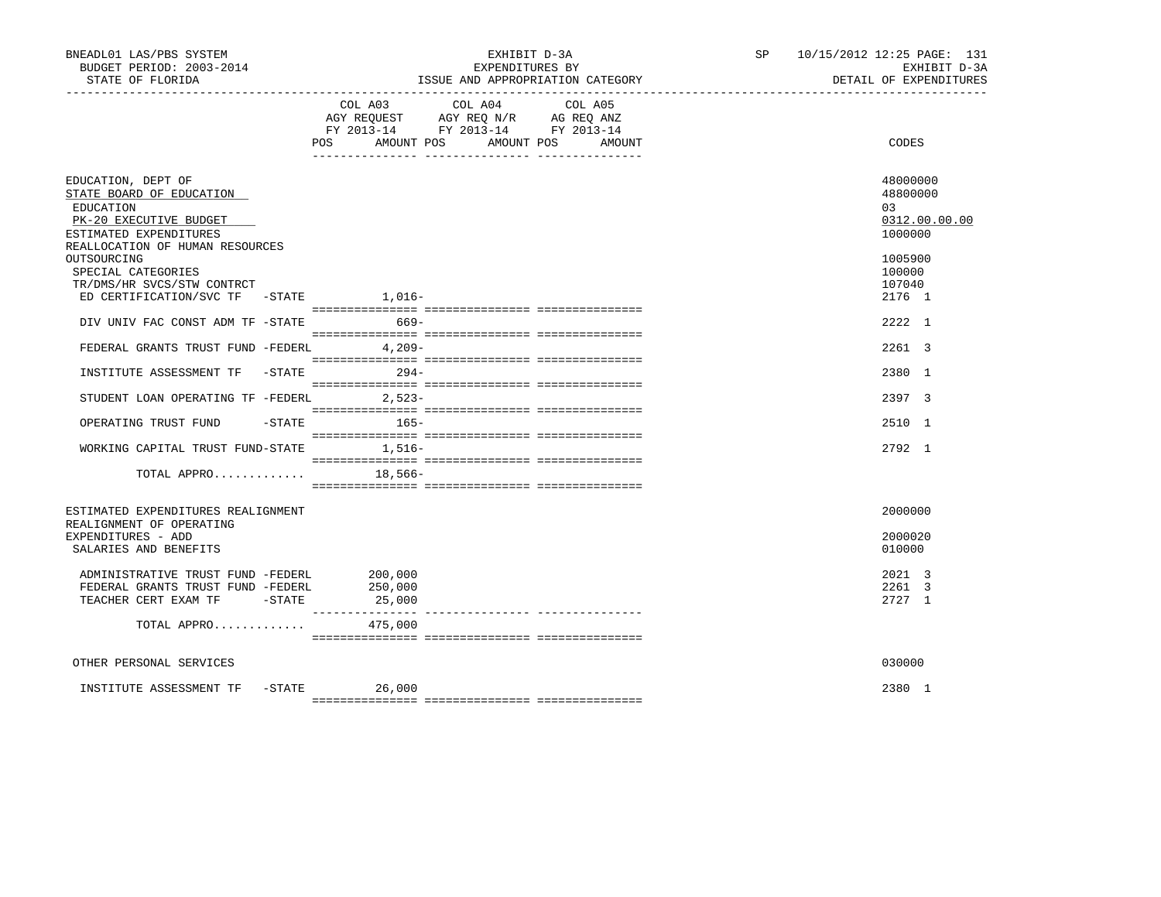| BNEADL01 LAS/PBS SYSTEM<br>BUDGET PERIOD: 2003-2014<br>STATE OF FLORIDA<br>----------------------                                                  |                   | EXHIBIT D-3A<br>EXPENDITURES BY                                                                   | ISSUE AND APPROPRIATION CATEGORY |  | SP 10/15/2012 12:25 PAGE: 131<br>EXHIBIT D-3A<br>DETAIL OF EXPENDITURES |
|----------------------------------------------------------------------------------------------------------------------------------------------------|-------------------|---------------------------------------------------------------------------------------------------|----------------------------------|--|-------------------------------------------------------------------------|
|                                                                                                                                                    | POS<br>AMOUNT POS | COL A03 COL A04 COL A05<br>AGY REQUEST AGY REQ N/R AG REQ ANZ<br>FY 2013-14 FY 2013-14 FY 2013-14 | AMOUNT POS<br>AMOUNT             |  | CODES                                                                   |
| EDUCATION, DEPT OF<br>STATE BOARD OF EDUCATION<br>EDUCATION<br>PK-20 EXECUTIVE BUDGET<br>ESTIMATED EXPENDITURES<br>REALLOCATION OF HUMAN RESOURCES |                   |                                                                                                   |                                  |  | 48000000<br>48800000<br>0.3<br>0312.00.00.00<br>1000000                 |
| OUTSOURCING<br>SPECIAL CATEGORIES<br>TR/DMS/HR SVCS/STW CONTRCT<br>ED CERTIFICATION/SVC TF -STATE 1,016-                                           |                   |                                                                                                   |                                  |  | 1005900<br>100000<br>107040<br>2176 1                                   |
| DIV UNIV FAC CONST ADM TF -STATE                                                                                                                   | $669-$            |                                                                                                   |                                  |  | 2222 1                                                                  |
| FEDERAL GRANTS TRUST FUND -FEDERL 4,209-                                                                                                           |                   |                                                                                                   |                                  |  | 2261 3                                                                  |
| INSTITUTE ASSESSMENT TF -STATE 294-                                                                                                                |                   |                                                                                                   |                                  |  | 2380 1                                                                  |
| STUDENT LOAN OPERATING TF -FEDERL 2,523-                                                                                                           |                   |                                                                                                   |                                  |  | 2397 3                                                                  |
| OPERATING TRUST FUND                                                                                                                               | $-$ STATE $165-$  |                                                                                                   |                                  |  | 2510 1                                                                  |
| WORKING CAPITAL TRUST FUND-STATE 1,516-                                                                                                            |                   |                                                                                                   |                                  |  | 2792 1                                                                  |
| TOTAL APPRO                                                                                                                                        | 18,566-           |                                                                                                   |                                  |  |                                                                         |
| ESTIMATED EXPENDITURES REALIGNMENT<br>REALIGNMENT OF OPERATING                                                                                     |                   |                                                                                                   |                                  |  | 2000000                                                                 |
| EXPENDITURES - ADD<br>SALARIES AND BENEFITS                                                                                                        |                   |                                                                                                   |                                  |  | 2000020<br>010000                                                       |
| ADMINISTRATIVE TRUST FUND -FEDERL 200,000<br>FEDERAL GRANTS TRUST FUND -FEDERL<br>TEACHER CERT EXAM TF - STATE 45,000                              | 250,000           |                                                                                                   |                                  |  | 2021 3<br>2261 3<br>2727 1                                              |
| TOTAL APPRO $475,000$                                                                                                                              |                   |                                                                                                   |                                  |  |                                                                         |
| OTHER PERSONAL SERVICES                                                                                                                            |                   |                                                                                                   |                                  |  | 030000                                                                  |
| INSTITUTE ASSESSMENT TF -STATE 26,000                                                                                                              |                   |                                                                                                   |                                  |  | 2380 1                                                                  |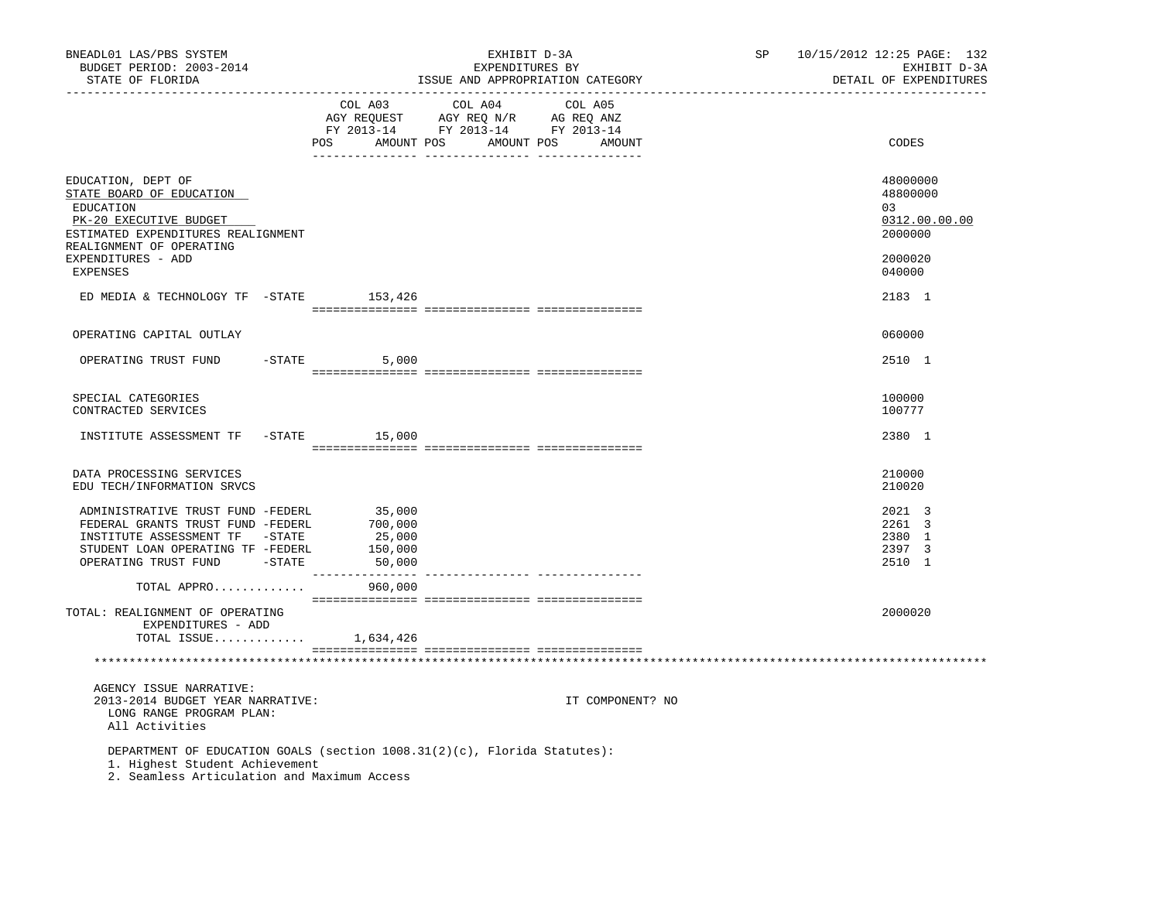| BNEADL01 LAS/PBS SYSTEM<br>BUDGET PERIOD: 2003-2014<br>STATE OF FLORIDA                                                                                                                     |                             | EXHIBIT D-3A<br>EXPENDITURES BY<br>ISSUE AND APPROPRIATION CATEGORY                                                              | SP<br>10/15/2012 12:25 PAGE: 132<br>EXHIBIT D-3A<br>DETAIL OF EXPENDITURES |
|---------------------------------------------------------------------------------------------------------------------------------------------------------------------------------------------|-----------------------------|----------------------------------------------------------------------------------------------------------------------------------|----------------------------------------------------------------------------|
|                                                                                                                                                                                             | COL A03                     | COL A04<br>COL A05<br>AGY REQUEST AGY REQ N/R AG REQ ANZ<br>FY 2013-14 FY 2013-14 FY 2013-14<br>POS AMOUNT POS AMOUNT POS AMOUNT | CODES                                                                      |
| EDUCATION, DEPT OF<br>STATE BOARD OF EDUCATION<br>EDUCATION<br>PK-20 EXECUTIVE BUDGET<br>ESTIMATED EXPENDITURES REALIGNMENT<br>REALIGNMENT OF OPERATING                                     |                             |                                                                                                                                  | 48000000<br>48800000<br>0.3<br>0312.00.00.00<br>2000000                    |
| EXPENDITURES - ADD<br><b>EXPENSES</b>                                                                                                                                                       |                             |                                                                                                                                  | 2000020<br>040000                                                          |
| ED MEDIA & TECHNOLOGY TF - STATE 153,426                                                                                                                                                    |                             |                                                                                                                                  | 2183 1                                                                     |
| OPERATING CAPITAL OUTLAY                                                                                                                                                                    |                             |                                                                                                                                  | 060000                                                                     |
| OPERATING TRUST FUND                                                                                                                                                                        | $-STATE$<br>5,000           |                                                                                                                                  | 2510 1                                                                     |
| SPECIAL CATEGORIES<br>CONTRACTED SERVICES                                                                                                                                                   |                             |                                                                                                                                  | 100000<br>100777                                                           |
| INSTITUTE ASSESSMENT TF -STATE 15,000                                                                                                                                                       |                             |                                                                                                                                  | 2380 1                                                                     |
| DATA PROCESSING SERVICES<br>EDU TECH/INFORMATION SRVCS                                                                                                                                      |                             |                                                                                                                                  | 210000<br>210020                                                           |
| ADMINISTRATIVE TRUST FUND -FEDERL<br>FEDERAL GRANTS TRUST FUND -FEDERL 700,000<br>INSTITUTE ASSESSMENT TF -STATE<br>STUDENT LOAN OPERATING TF -FEDERL<br>OPERATING TRUST FUND -STATE 50,000 | 35,000<br>25,000<br>150,000 |                                                                                                                                  | 2021 3<br>2261 3<br>2380 1<br>2397 3<br>2510 1                             |
| TOTAL APPRO                                                                                                                                                                                 | 960,000                     |                                                                                                                                  |                                                                            |
| TOTAL: REALIGNMENT OF OPERATING<br>EXPENDITURES - ADD<br>TOTAL ISSUE $1,634,426$                                                                                                            |                             |                                                                                                                                  | 2000020                                                                    |
|                                                                                                                                                                                             |                             |                                                                                                                                  |                                                                            |
| AGENCY ISSUE NARRATIVE:<br>2013-2014 BUDGET YEAR NARRATIVE:<br>LONG RANGE PROGRAM PLAN:<br>All Activities                                                                                   |                             | IT COMPONENT? NO                                                                                                                 |                                                                            |
| 1. Highest Student Achievement<br>2. Seamless Articulation and Maximum Access                                                                                                               |                             | DEPARTMENT OF EDUCATION GOALS (section 1008.31(2)(c), Florida Statutes):                                                         |                                                                            |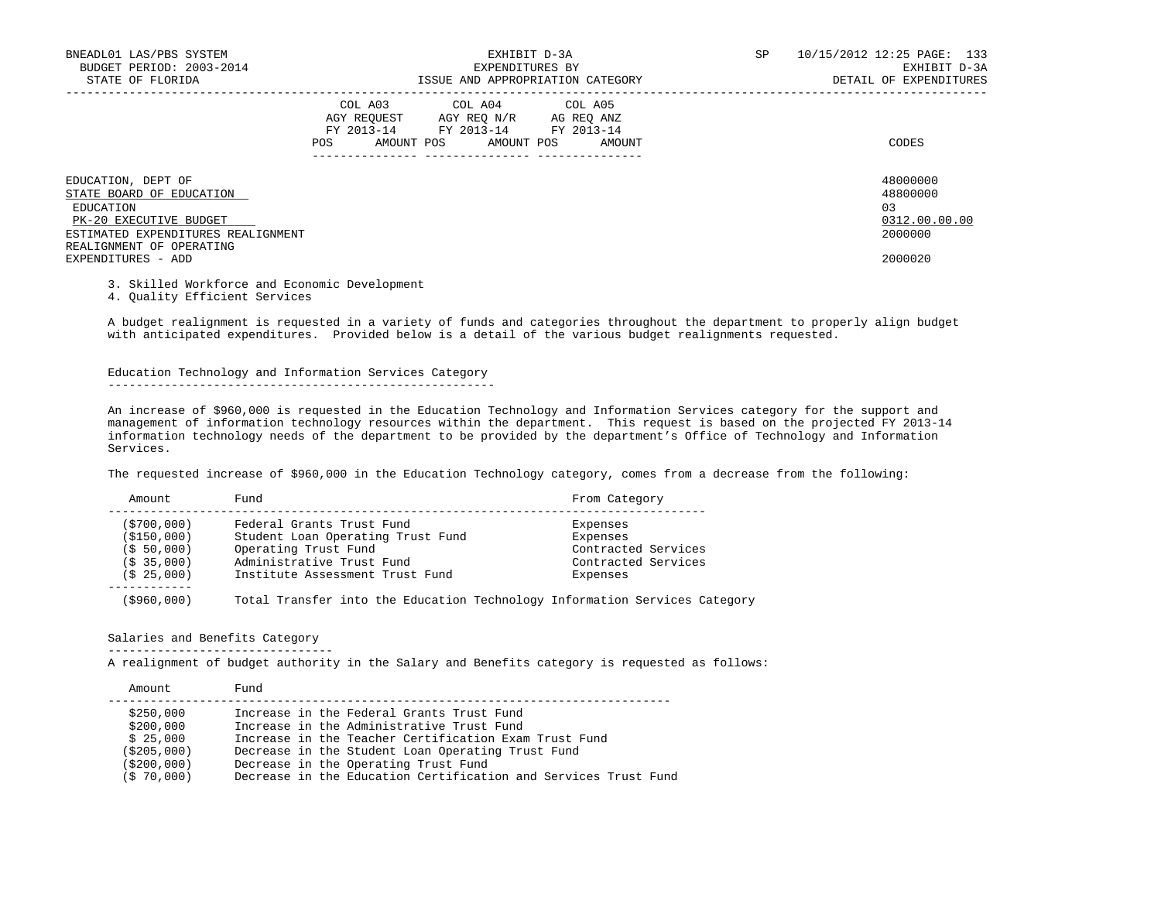| BNEADL01 LAS/PBS SYSTEM<br>BUDGET PERIOD: 2003-2014<br>STATE OF FLORIDA                                                                                 |     | EXHIBIT D-3A<br>EXPENDITURES BY<br>ISSUE AND APPROPRIATION CATEGORY                                                                            |                            | SP. | 10/15/2012 12:25 PAGE: 133<br>EXHIBIT D-3A<br>DETAIL OF EXPENDITURES |
|---------------------------------------------------------------------------------------------------------------------------------------------------------|-----|------------------------------------------------------------------------------------------------------------------------------------------------|----------------------------|-----|----------------------------------------------------------------------|
|                                                                                                                                                         | POS | COL A03 COL A04 COL A05<br>AGY REOUEST AGY REO N/R AG REO ANZ<br>FY 2013-14 FY 2013-14 FY 2013-14<br>AMOUNT POS AMOUNT POS<br>________________ | AMOUNT<br>---------------- |     | CODES                                                                |
| EDUCATION, DEPT OF<br>STATE BOARD OF EDUCATION<br>EDUCATION<br>PK-20 EXECUTIVE BUDGET<br>ESTIMATED EXPENDITURES REALIGNMENT<br>REALIGNMENT OF OPERATING |     |                                                                                                                                                |                            |     | 48000000<br>48800000<br>03<br>0312.00.00.00<br>2000000               |
| EXPENDITURES - ADD                                                                                                                                      |     |                                                                                                                                                |                            |     | 2000020                                                              |

3. Skilled Workforce and Economic Development

4. Quality Efficient Services

 A budget realignment is requested in a variety of funds and categories throughout the department to properly align budget with anticipated expenditures. Provided below is a detail of the various budget realignments requested.

 Education Technology and Information Services Category -------------------------------------------------------

 An increase of \$960,000 is requested in the Education Technology and Information Services category for the support and management of information technology resources within the department. This request is based on the projected FY 2013-14 information technology needs of the department to be provided by the department's Office of Technology and Information Services.

The requested increase of \$960,000 in the Education Technology category, comes from a decrease from the following:

| Amount                 | Fund                                                                       | From Category       |
|------------------------|----------------------------------------------------------------------------|---------------------|
| ( \$700,000 )          | Federal Grants Trust Fund                                                  | Expenses            |
| (\$150,000)            | Student Loan Operating Trust Fund                                          | Expenses            |
| (S, 50, 000)           | Operating Trust Fund                                                       | Contracted Services |
| (S <sub>35,000</sub> ) | Administrative Trust Fund                                                  | Contracted Services |
| (S 25,000)             | Institute Assessment Trust Fund                                            | Expenses            |
| (\$960,000)            | Total Transfer into the Education Technology Information Services Category |                     |

# Salaries and Benefits Category

--------------------------------

A realignment of budget authority in the Salary and Benefits category is requested as follows:

| Amount        | Fund                                                            |
|---------------|-----------------------------------------------------------------|
| \$250,000     | Increase in the Federal Grants Trust Fund                       |
| \$200,000     | Increase in the Administrative Trust Fund                       |
| \$25,000      | Increase in the Teacher Certification Exam Trust Fund           |
| (S205,000)    | Decrease in the Student Loan Operating Trust Fund               |
| ( \$200,000 ) | Decrease in the Operating Trust Fund                            |
| (\$70,000)    | Decrease in the Education Certification and Services Trust Fund |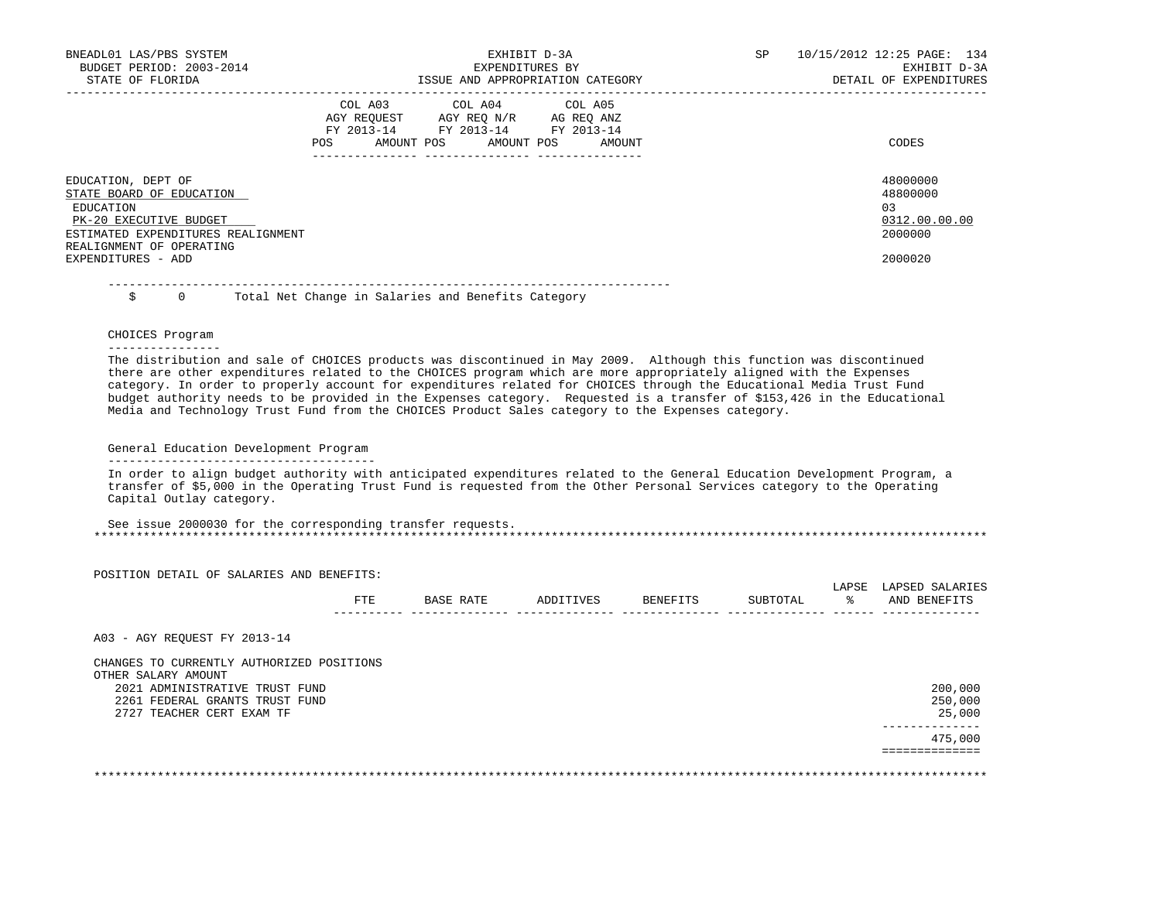| BNEADL01 LAS/PBS SYSTEM<br>BUDGET PERIOD: 2003-2014<br>STATE OF FLORIDA                                                                                 | EXHIBIT D-3A<br>EXPENDITURES BY<br>ISSUE AND APPROPRIATION CATEGORY                                                                            | SP | 10/15/2012 12:25 PAGE: 134<br>EXHIBIT D-3A<br>DETAIL OF EXPENDITURES |
|---------------------------------------------------------------------------------------------------------------------------------------------------------|------------------------------------------------------------------------------------------------------------------------------------------------|----|----------------------------------------------------------------------|
| EDUCATION, DEPT OF                                                                                                                                      | COL A03 COL A04 COL A05<br>AGY REQUEST AGY REQ N/R AG REQ ANZ<br>FY 2013-14 FY 2013-14 FY 2013-14<br>AMOUNT POS AMOUNT POS<br>AMOUNT<br>POS DO |    | CODES<br>48000000                                                    |
| STATE BOARD OF EDUCATION<br>EDUCATION<br>PK-20 EXECUTIVE BUDGET<br>ESTIMATED EXPENDITURES REALIGNMENT<br>REALIGNMENT OF OPERATING<br>EXPENDITURES - ADD |                                                                                                                                                |    | 48800000<br>0.3<br>0312.00.00.00<br>2000000<br>2000020               |

 -------------------------------------------------------------------------------- Total Net Change in Salaries and Benefits Category

 CHOICES Program ----------------

 The distribution and sale of CHOICES products was discontinued in May 2009. Although this function was discontinued there are other expenditures related to the CHOICES program which are more appropriately aligned with the Expenses category. In order to properly account for expenditures related for CHOICES through the Educational Media Trust Fund budget authority needs to be provided in the Expenses category. Requested is a transfer of \$153,426 in the Educational Media and Technology Trust Fund from the CHOICES Product Sales category to the Expenses category.

### General Education Development Program --------------------------------------

 In order to align budget authority with anticipated expenditures related to the General Education Development Program, a transfer of \$5,000 in the Operating Trust Fund is requested from the Other Personal Services category to the Operating Capital Outlay category.

 See issue 2000030 for the corresponding transfer requests. \*\*\*\*\*\*\*\*\*\*\*\*\*\*\*\*\*\*\*\*\*\*\*\*\*\*\*\*\*\*\*\*\*\*\*\*\*\*\*\*\*\*\*\*\*\*\*\*\*\*\*\*\*\*\*\*\*\*\*\*\*\*\*\*\*\*\*\*\*\*\*\*\*\*\*\*\*\*\*\*\*\*\*\*\*\*\*\*\*\*\*\*\*\*\*\*\*\*\*\*\*\*\*\*\*\*\*\*\*\*\*\*\*\*\*\*\*\*\*\*\*\*\*\*\*\*\*

|                                                                  | FTE | BASE RATE | ADDITIVES | BENEFITS | SUBTOTAL | LAPSE<br>ႜႜ | LAPSED SALARIES<br>AND BENEFITS |
|------------------------------------------------------------------|-----|-----------|-----------|----------|----------|-------------|---------------------------------|
|                                                                  |     |           |           |          |          |             |                                 |
| A03 - AGY REOUEST FY 2013-14                                     |     |           |           |          |          |             |                                 |
| CHANGES TO CURRENTLY AUTHORIZED POSITIONS<br>OTHER SALARY AMOUNT |     |           |           |          |          |             |                                 |
| 2021 ADMINISTRATIVE TRUST FUND                                   |     |           |           |          |          |             | 200,000                         |
| 2261 FEDERAL GRANTS TRUST FUND                                   |     |           |           |          |          |             | 250,000                         |
| 2727 TEACHER CERT EXAM TF                                        |     |           |           |          |          |             | 25,000                          |
|                                                                  |     |           |           |          |          |             | 475,000                         |
|                                                                  |     |           |           |          |          |             |                                 |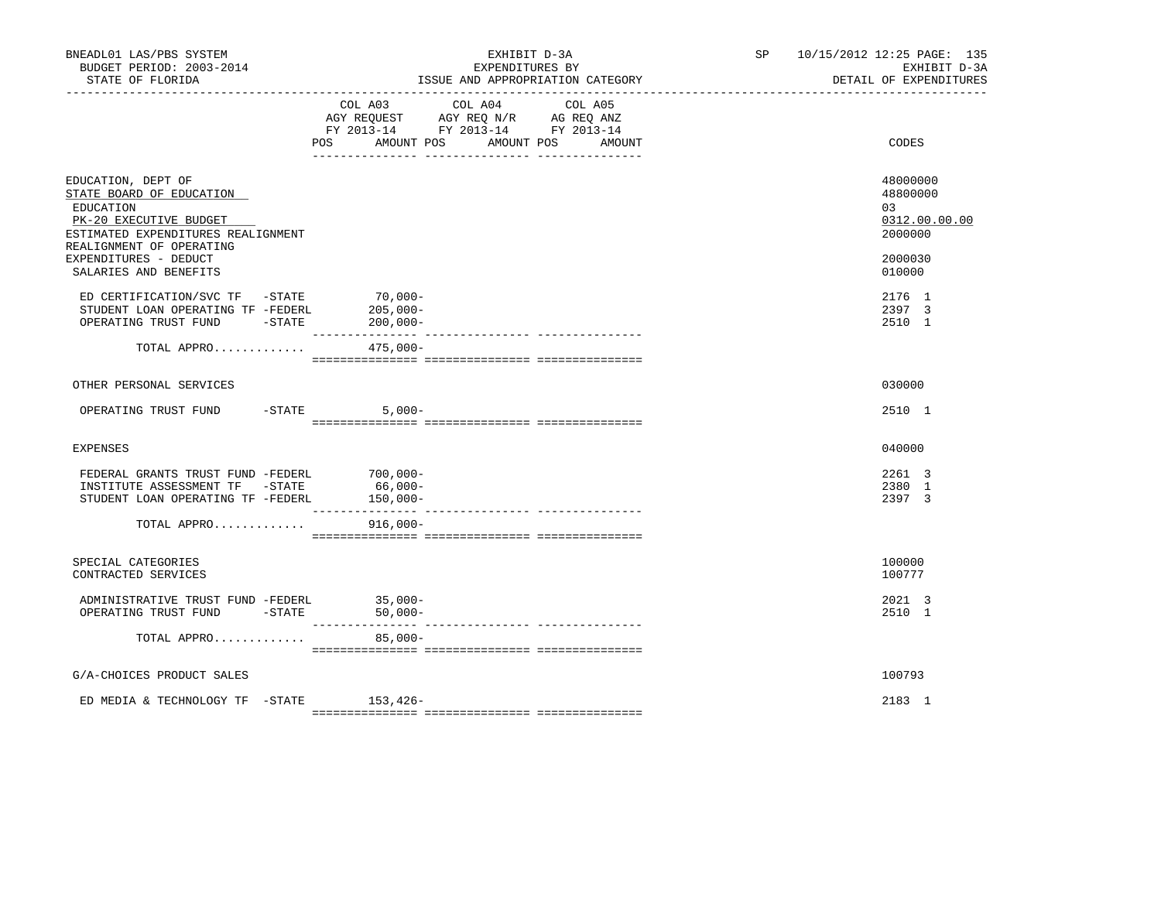| COL A03 COL A04 COL A05<br>AGY REQUEST AGY REQ N/R AG REQ ANZ<br>FY 2013-14 FY 2013-14 FY 2013-14<br><b>POS</b><br>AMOUNT POS<br>AMOUNT POS<br>CODES<br>AMOUNT<br>EDUCATION, DEPT OF<br>48000000<br>STATE BOARD OF EDUCATION<br>48800000<br>EDUCATION<br>03<br>0312.00.00.00<br>PK-20 EXECUTIVE BUDGET<br>2000000<br>ESTIMATED EXPENDITURES REALIGNMENT<br>REALIGNMENT OF OPERATING<br>EXPENDITURES - DEDUCT<br>2000030<br>SALARIES AND BENEFITS<br>010000<br>$70,000-$<br>ED CERTIFICATION/SVC TF -STATE<br>2176 1<br>STUDENT LOAN OPERATING TF -FEDERL<br>$205,000-$<br>2397 3<br>OPERATING TRUST FUND -STATE 200,000-<br>2510 1<br>TOTAL APPRO 475,000-<br>030000<br>OTHER PERSONAL SERVICES<br>OPERATING TRUST FUND<br>$-STATE$ 5,000-<br>2510 1<br>040000<br><b>EXPENSES</b><br>FEDERAL GRANTS TRUST FUND -FEDERL<br>2261 3<br>$700,000-$<br>INSTITUTE ASSESSMENT TF - STATE<br>66,000-<br>2380 1<br>STUDENT LOAN OPERATING TF -FEDERL<br>150,000-<br>2397 3<br>$916,000 -$<br>TOTAL APPRO<br>SPECIAL CATEGORIES<br>100000<br>CONTRACTED SERVICES<br>100777<br>ADMINISTRATIVE TRUST FUND -FEDERL $35,000-$ OPERATING TRUST FUND -STATE $50,000-$<br>2021 3<br>2510 1<br>TOTAL APPRO<br>$85,000-$<br>G/A-CHOICES PRODUCT SALES<br>100793 | BNEADL01 LAS/PBS SYSTEM<br>BUDGET PERIOD: 2003-2014<br>STATE OF FLORIDA | EXHIBIT D-3A<br>EXPENDITURES BY<br>ISSUE AND APPROPRIATION CATEGORY | SP 10/15/2012 12:25 PAGE: 135<br>EXHIBIT D-3A<br>DETAIL OF EXPENDITURES |
|----------------------------------------------------------------------------------------------------------------------------------------------------------------------------------------------------------------------------------------------------------------------------------------------------------------------------------------------------------------------------------------------------------------------------------------------------------------------------------------------------------------------------------------------------------------------------------------------------------------------------------------------------------------------------------------------------------------------------------------------------------------------------------------------------------------------------------------------------------------------------------------------------------------------------------------------------------------------------------------------------------------------------------------------------------------------------------------------------------------------------------------------------------------------------------------------------------------------------------------------|-------------------------------------------------------------------------|---------------------------------------------------------------------|-------------------------------------------------------------------------|
|                                                                                                                                                                                                                                                                                                                                                                                                                                                                                                                                                                                                                                                                                                                                                                                                                                                                                                                                                                                                                                                                                                                                                                                                                                              |                                                                         |                                                                     |                                                                         |
|                                                                                                                                                                                                                                                                                                                                                                                                                                                                                                                                                                                                                                                                                                                                                                                                                                                                                                                                                                                                                                                                                                                                                                                                                                              |                                                                         |                                                                     |                                                                         |
|                                                                                                                                                                                                                                                                                                                                                                                                                                                                                                                                                                                                                                                                                                                                                                                                                                                                                                                                                                                                                                                                                                                                                                                                                                              |                                                                         |                                                                     |                                                                         |
|                                                                                                                                                                                                                                                                                                                                                                                                                                                                                                                                                                                                                                                                                                                                                                                                                                                                                                                                                                                                                                                                                                                                                                                                                                              |                                                                         |                                                                     |                                                                         |
|                                                                                                                                                                                                                                                                                                                                                                                                                                                                                                                                                                                                                                                                                                                                                                                                                                                                                                                                                                                                                                                                                                                                                                                                                                              |                                                                         |                                                                     |                                                                         |
|                                                                                                                                                                                                                                                                                                                                                                                                                                                                                                                                                                                                                                                                                                                                                                                                                                                                                                                                                                                                                                                                                                                                                                                                                                              |                                                                         |                                                                     |                                                                         |
|                                                                                                                                                                                                                                                                                                                                                                                                                                                                                                                                                                                                                                                                                                                                                                                                                                                                                                                                                                                                                                                                                                                                                                                                                                              |                                                                         |                                                                     |                                                                         |
|                                                                                                                                                                                                                                                                                                                                                                                                                                                                                                                                                                                                                                                                                                                                                                                                                                                                                                                                                                                                                                                                                                                                                                                                                                              |                                                                         |                                                                     |                                                                         |
|                                                                                                                                                                                                                                                                                                                                                                                                                                                                                                                                                                                                                                                                                                                                                                                                                                                                                                                                                                                                                                                                                                                                                                                                                                              |                                                                         |                                                                     |                                                                         |
|                                                                                                                                                                                                                                                                                                                                                                                                                                                                                                                                                                                                                                                                                                                                                                                                                                                                                                                                                                                                                                                                                                                                                                                                                                              |                                                                         |                                                                     |                                                                         |
|                                                                                                                                                                                                                                                                                                                                                                                                                                                                                                                                                                                                                                                                                                                                                                                                                                                                                                                                                                                                                                                                                                                                                                                                                                              |                                                                         |                                                                     |                                                                         |
|                                                                                                                                                                                                                                                                                                                                                                                                                                                                                                                                                                                                                                                                                                                                                                                                                                                                                                                                                                                                                                                                                                                                                                                                                                              |                                                                         |                                                                     |                                                                         |
|                                                                                                                                                                                                                                                                                                                                                                                                                                                                                                                                                                                                                                                                                                                                                                                                                                                                                                                                                                                                                                                                                                                                                                                                                                              |                                                                         |                                                                     |                                                                         |
|                                                                                                                                                                                                                                                                                                                                                                                                                                                                                                                                                                                                                                                                                                                                                                                                                                                                                                                                                                                                                                                                                                                                                                                                                                              |                                                                         |                                                                     |                                                                         |
| 2183 1<br>ED MEDIA & TECHNOLOGY TF -STATE 153,426-                                                                                                                                                                                                                                                                                                                                                                                                                                                                                                                                                                                                                                                                                                                                                                                                                                                                                                                                                                                                                                                                                                                                                                                           |                                                                         |                                                                     |                                                                         |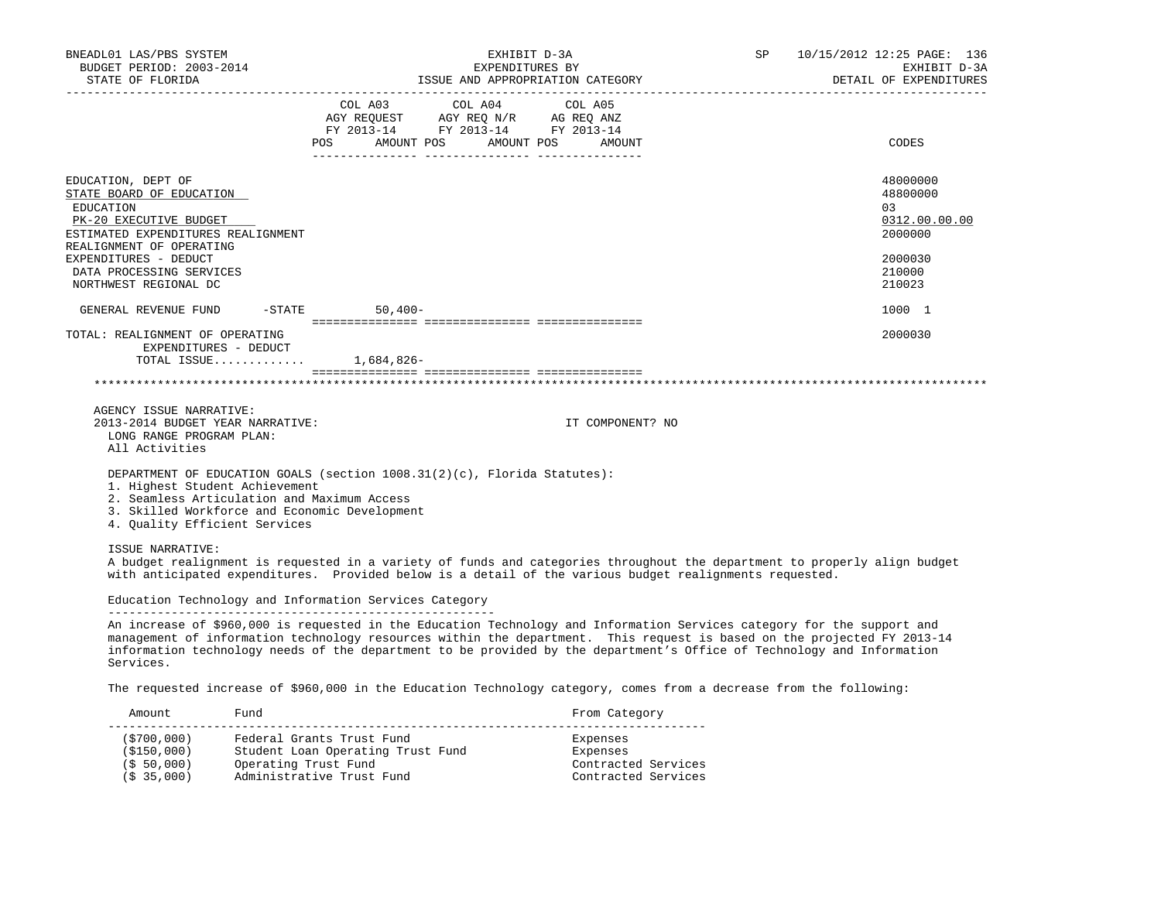| COL A03 COL A04 COL A05                                                |                                                                                                                                                                                                                                                                                                                                                                                                                                                                                                                       |
|------------------------------------------------------------------------|-----------------------------------------------------------------------------------------------------------------------------------------------------------------------------------------------------------------------------------------------------------------------------------------------------------------------------------------------------------------------------------------------------------------------------------------------------------------------------------------------------------------------|
| AGY REQUEST AGY REQ N/R AG REQ ANZ<br>FY 2013-14 FY 2013-14 FY 2013-14 | CODES                                                                                                                                                                                                                                                                                                                                                                                                                                                                                                                 |
|                                                                        | 48000000<br>48800000<br>03<br>0312.00.00.00<br>2000000<br>2000030<br>210000<br>210023                                                                                                                                                                                                                                                                                                                                                                                                                                 |
|                                                                        | 1000 1                                                                                                                                                                                                                                                                                                                                                                                                                                                                                                                |
|                                                                        | 2000030                                                                                                                                                                                                                                                                                                                                                                                                                                                                                                               |
| IT COMPONENT? NO                                                       |                                                                                                                                                                                                                                                                                                                                                                                                                                                                                                                       |
|                                                                        |                                                                                                                                                                                                                                                                                                                                                                                                                                                                                                                       |
| Education Technology and Information Services Category                 |                                                                                                                                                                                                                                                                                                                                                                                                                                                                                                                       |
|                                                                        | POS AMOUNT POS AMOUNT POS AMOUNT<br>GENERAL REVENUE FUND -STATE 50,400-<br>TOTAL ISSUE 1,684,826-<br>DEPARTMENT OF EDUCATION GOALS (section 1008.31(2)(c), Florida Statutes):<br>2. Seamless Articulation and Maximum Access<br>3. Skilled Workforce and Economic Development<br>A budget realignment is requested in a variety of funds and categories throughout the department to properly align budget<br>with anticipated expenditures. Provided below is a detail of the various budget realignments requested. |

 information technology needs of the department to be provided by the department's Office of Technology and Information Services.

The requested increase of \$960,000 in the Education Technology category, comes from a decrease from the following:

| Amount                 | Fund                              | From Category       |
|------------------------|-----------------------------------|---------------------|
| (\$700,000)            | Federal Grants Trust Fund         | Expenses            |
| (S150, 000)            | Student Loan Operating Trust Fund | Expenses            |
| (S, 50, 000)           | Operating Trust Fund              | Contracted Services |
| (S <sub>35,000</sub> ) | Administrative Trust Fund         | Contracted Services |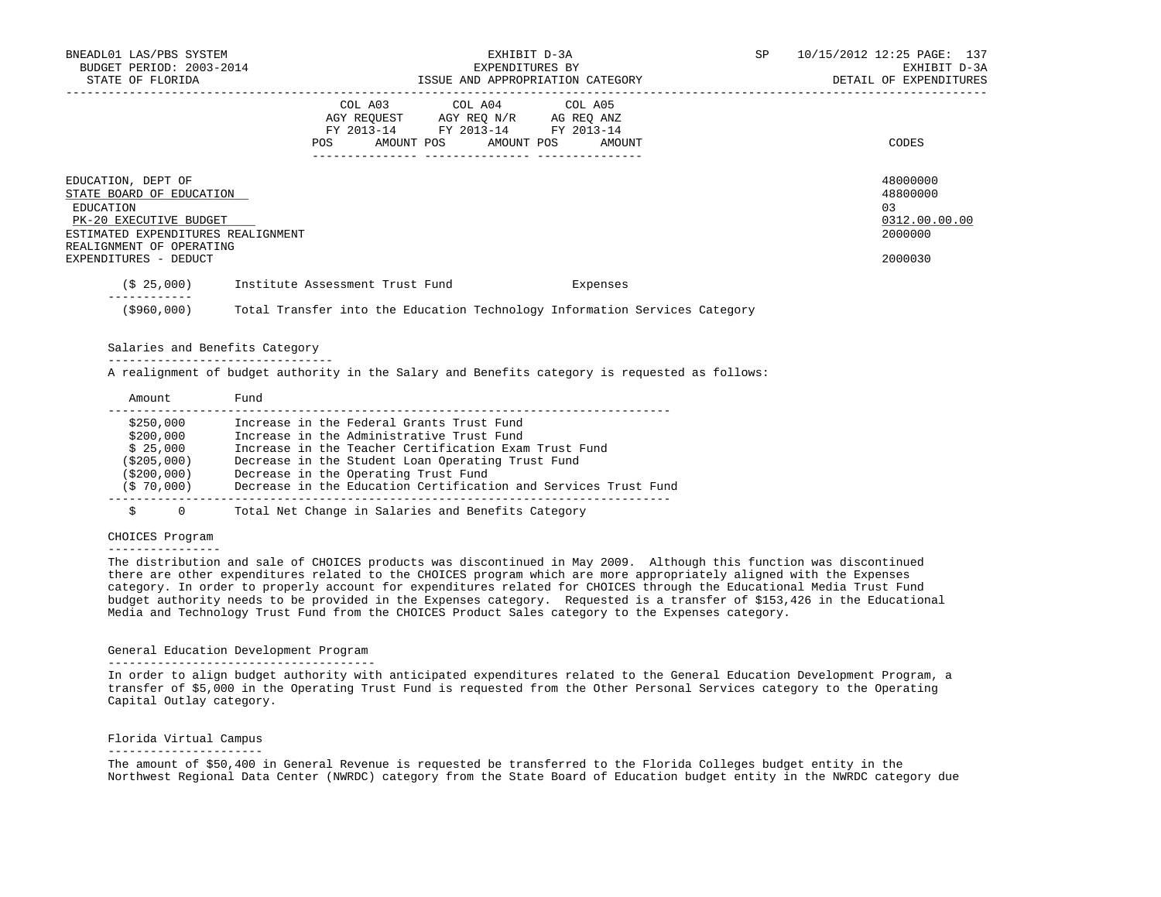| BNEADL01 LAS/PBS SYSTEM<br>BUDGET PERIOD: 2003-2014<br>STATE OF FLORIDA                                                                                                          |                                                                                                                                   | EXHIBIT D-3A<br>EXPENDITURES BY<br>ISSUE AND APPROPRIATION CATEGORY                            | SP - | 10/15/2012 12:25 PAGE: 137<br>EXHIBIT D-3A<br>DETAIL OF EXPENDITURES |
|----------------------------------------------------------------------------------------------------------------------------------------------------------------------------------|-----------------------------------------------------------------------------------------------------------------------------------|------------------------------------------------------------------------------------------------|------|----------------------------------------------------------------------|
|                                                                                                                                                                                  | COL A03 COL A04 COL A05<br>AGY REQUEST AGY REQ N/R AG REQ ANZ<br>FY 2013-14 FY 2013-14 FY 2013-14<br>AMOUNT POS AMOUNT POS<br>POS | AMOUNT                                                                                         |      | CODES                                                                |
| EDUCATION, DEPT OF<br>STATE BOARD OF EDUCATION<br>EDUCATION<br>PK-20 EXECUTIVE BUDGET<br>ESTIMATED EXPENDITURES REALIGNMENT<br>REALIGNMENT OF OPERATING<br>EXPENDITURES - DEDUCT |                                                                                                                                   |                                                                                                |      | 48000000<br>48800000<br>0.3<br>0312.00.00.00<br>2000000<br>2000030   |
|                                                                                                                                                                                  | (\$ 25,000) Institute Assessment Trust Fund                                                                                       | Expenses                                                                                       |      |                                                                      |
|                                                                                                                                                                                  |                                                                                                                                   | (\$960,000) Total Transfer into the Education Technology Information Services Category         |      |                                                                      |
| Salaries and Benefits Category                                                                                                                                                   |                                                                                                                                   |                                                                                                |      |                                                                      |
|                                                                                                                                                                                  |                                                                                                                                   | A realignment of budget authority in the Salary and Benefits category is requested as follows: |      |                                                                      |

| \$250,000    | Increase in the Federal Grants Trust Fund                       |
|--------------|-----------------------------------------------------------------|
| \$200,000    | Increase in the Administrative Trust Fund                       |
| \$25,000     | Increase in the Teacher Certification Exam Trust Fund           |
| (\$205,000)  | Decrease in the Student Loan Operating Trust Fund               |
| ( \$200,000) | Decrease in the Operating Trust Fund                            |
| (S 70,000)   | Decrease in the Education Certification and Services Trust Fund |
|              |                                                                 |
| U            | Total Net Change in Salaries and Benefits Category              |

### CHOICES Program

Amount Fund

#### ----------------

 The distribution and sale of CHOICES products was discontinued in May 2009. Although this function was discontinued there are other expenditures related to the CHOICES program which are more appropriately aligned with the Expenses category. In order to properly account for expenditures related for CHOICES through the Educational Media Trust Fund budget authority needs to be provided in the Expenses category. Requested is a transfer of \$153,426 in the Educational Media and Technology Trust Fund from the CHOICES Product Sales category to the Expenses category.

### General Education Development Program --------------------------------------

 In order to align budget authority with anticipated expenditures related to the General Education Development Program, a transfer of \$5,000 in the Operating Trust Fund is requested from the Other Personal Services category to the Operating Capital Outlay category.

# Florida Virtual Campus

### ----------------------

 The amount of \$50,400 in General Revenue is requested be transferred to the Florida Colleges budget entity in the Northwest Regional Data Center (NWRDC) category from the State Board of Education budget entity in the NWRDC category due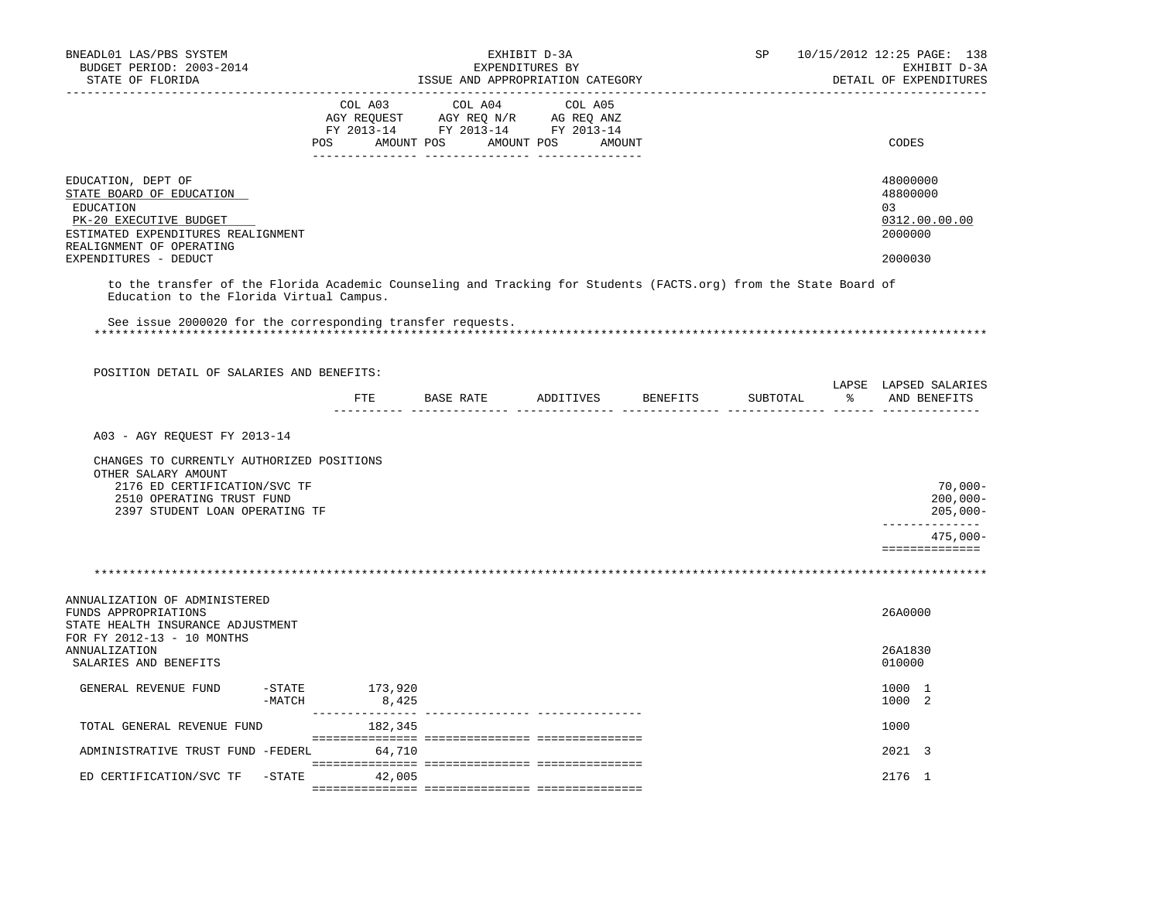| BNEADL01 LAS/PBS SYSTEM<br>BUDGET PERIOD: 2003-2014                                                                                                          |                       |                            |                  | EXHIBIT D-3A<br>EXPENDITURES BY                                                                                          |                    | SP       | 10/15/2012 12:25 PAGE: 138<br>EXHIBIT D-3A             |
|--------------------------------------------------------------------------------------------------------------------------------------------------------------|-----------------------|----------------------------|------------------|--------------------------------------------------------------------------------------------------------------------------|--------------------|----------|--------------------------------------------------------|
| STATE OF FLORIDA                                                                                                                                             |                       |                            |                  | ISSUE AND APPROPRIATION CATEGORY                                                                                         |                    |          | DETAIL OF EXPENDITURES                                 |
|                                                                                                                                                              |                       | COL A03<br>_________ _____ | COL A04          | COL A05<br>CO AGY REQUEST AGY REQ N/R AG REQ ANZ<br>FY 2013-14 FY 2013-14 FY 2013-14<br>POS AMOUNT POS AMOUNT POS AMOUNT |                    |          | CODES                                                  |
| EDUCATION, DEPT OF<br>STATE BOARD OF EDUCATION<br>EDUCATION<br>PK-20 EXECUTIVE BUDGET<br>ESTIMATED EXPENDITURES REALIGNMENT<br>REALIGNMENT OF OPERATING      |                       |                            |                  |                                                                                                                          |                    |          | 48000000<br>48800000<br>03<br>0312.00.00.00<br>2000000 |
| EXPENDITURES - DEDUCT                                                                                                                                        |                       |                            |                  |                                                                                                                          |                    |          | 2000030                                                |
| to the transfer of the Florida Academic Counseling and Tracking for Students (FACTS.org) from the State Board of<br>Education to the Florida Virtual Campus. |                       |                            |                  |                                                                                                                          |                    |          |                                                        |
| See issue 2000020 for the corresponding transfer requests.                                                                                                   |                       |                            |                  |                                                                                                                          |                    |          |                                                        |
|                                                                                                                                                              |                       |                            |                  |                                                                                                                          |                    |          |                                                        |
|                                                                                                                                                              |                       |                            |                  |                                                                                                                          |                    |          |                                                        |
| POSITION DETAIL OF SALARIES AND BENEFITS:                                                                                                                    |                       |                            |                  |                                                                                                                          |                    |          | LAPSE LAPSED SALARIES                                  |
|                                                                                                                                                              |                       | ETE                        | <b>BASE RATE</b> |                                                                                                                          | ADDITIVES BENEFITS | SUBTOTAL | % AND BENEFITS                                         |
| A03 - AGY REQUEST FY 2013-14                                                                                                                                 |                       |                            |                  |                                                                                                                          |                    |          |                                                        |
| CHANGES TO CURRENTLY AUTHORIZED POSITIONS                                                                                                                    |                       |                            |                  |                                                                                                                          |                    |          |                                                        |
| OTHER SALARY AMOUNT                                                                                                                                          |                       |                            |                  |                                                                                                                          |                    |          |                                                        |
| 2176 ED CERTIFICATION/SVC TF<br>2510 OPERATING TRUST FUND                                                                                                    |                       |                            |                  |                                                                                                                          |                    |          | 70,000-<br>$200,000 -$                                 |
| 2397 STUDENT LOAN OPERATING TF                                                                                                                               |                       |                            |                  |                                                                                                                          |                    |          | $205,000 -$<br>--------------                          |
|                                                                                                                                                              |                       |                            |                  |                                                                                                                          |                    |          | $475,000 -$<br>==============                          |
|                                                                                                                                                              |                       |                            |                  |                                                                                                                          |                    |          |                                                        |
|                                                                                                                                                              |                       |                            |                  |                                                                                                                          |                    |          |                                                        |
| ANNUALIZATION OF ADMINISTERED<br>FUNDS APPROPRIATIONS<br>STATE HEALTH INSURANCE ADJUSTMENT<br>FOR FY 2012-13 - 10 MONTHS                                     |                       |                            |                  |                                                                                                                          |                    |          | 26A0000                                                |
| ANNUALIZATION<br>SALARIES AND BENEFITS                                                                                                                       |                       |                            |                  |                                                                                                                          |                    |          | 26A1830<br>010000                                      |
| GENERAL REVENUE FUND                                                                                                                                         | $-$ STATE<br>$-MATCH$ | 173,920<br>8,425           |                  |                                                                                                                          |                    |          | 1000 1<br>1000 2                                       |
| TOTAL GENERAL REVENUE FUND                                                                                                                                   |                       | 182,345                    |                  |                                                                                                                          |                    |          | 1000                                                   |
| ADMINISTRATIVE TRUST FUND -FEDERL                                                                                                                            |                       | 64,710                     |                  |                                                                                                                          |                    |          | 2021 3                                                 |
| ED CERTIFICATION/SVC TF                                                                                                                                      | $-$ STATE 42,005      |                            |                  |                                                                                                                          |                    |          | 2176 1                                                 |
|                                                                                                                                                              |                       |                            |                  |                                                                                                                          |                    |          |                                                        |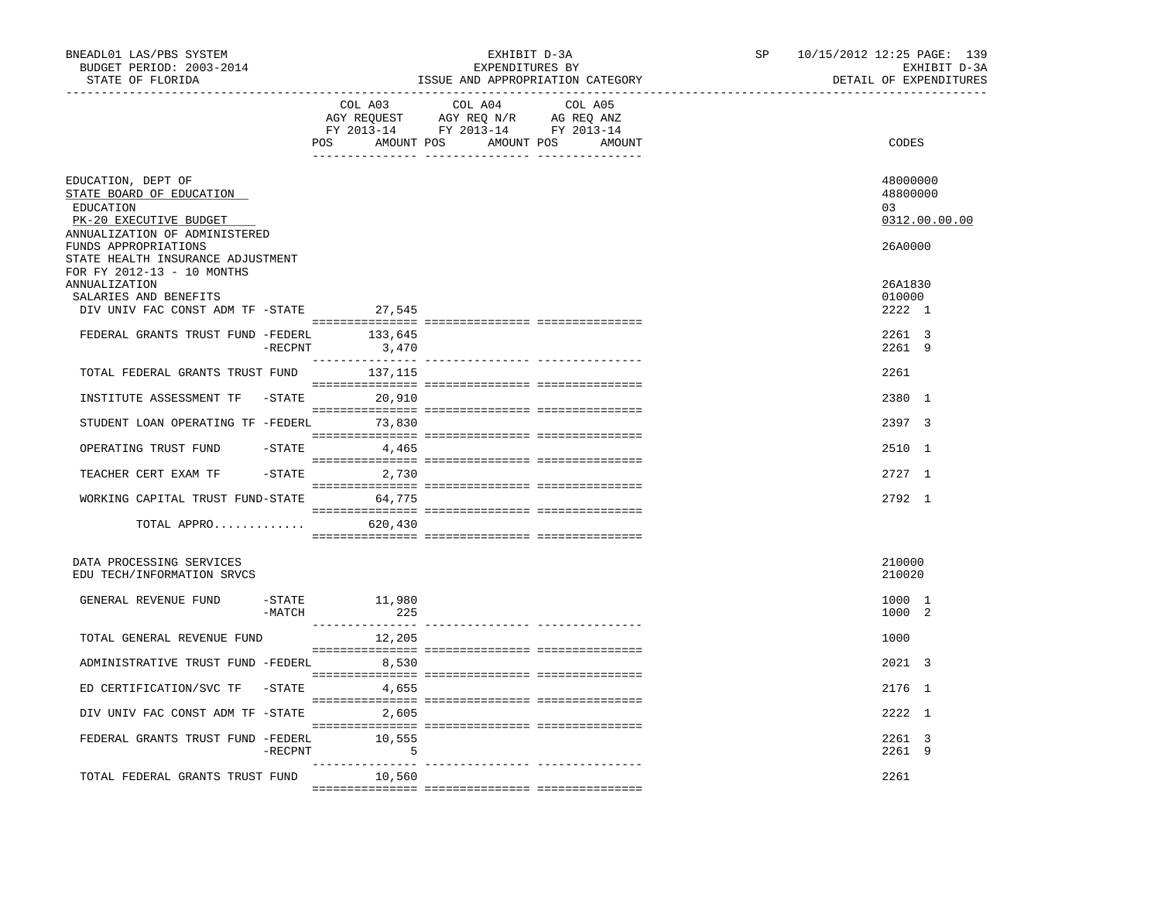| BNEADL01 LAS/PBS SYSTEM<br>BUDGET PERIOD: 2003-2014<br>STATE OF FLORIDA                                                |            |                      | EXHIBIT D-3A<br>EXPENDITURES BY<br>ISSUE AND APPROPRIATION CATEGORY                                                              | SP | 10/15/2012 12:25 PAGE: 139<br>EXHIBIT D-3A<br>DETAIL OF EXPENDITURES |
|------------------------------------------------------------------------------------------------------------------------|------------|----------------------|----------------------------------------------------------------------------------------------------------------------------------|----|----------------------------------------------------------------------|
|                                                                                                                        |            | COL A03              | COL A04<br>COL A05<br>AGY REQUEST AGY REQ N/R AG REQ ANZ<br>FY 2013-14 FY 2013-14 FY 2013-14<br>POS AMOUNT POS AMOUNT POS AMOUNT |    | CODES                                                                |
| EDUCATION, DEPT OF<br>STATE BOARD OF EDUCATION<br>EDUCATION<br>PK-20 EXECUTIVE BUDGET<br>ANNUALIZATION OF ADMINISTERED |            |                      |                                                                                                                                  |    | 48000000<br>48800000<br>03<br>0312.00.00.00                          |
| FUNDS APPROPRIATIONS<br>STATE HEALTH INSURANCE ADJUSTMENT<br>FOR FY 2012-13 - 10 MONTHS                                |            |                      |                                                                                                                                  |    | 26A0000                                                              |
| <b>ANNUALIZATION</b><br>SALARIES AND BENEFITS<br>DIV UNIV FAC CONST ADM TF -STATE 27,545                               |            |                      |                                                                                                                                  |    | 26A1830<br>010000<br>2222 1                                          |
| FEDERAL GRANTS TRUST FUND -FEDERL                                                                                      | -RECPNT    | 133,645<br>3,470     |                                                                                                                                  |    | 2261 3<br>2261 9                                                     |
| TOTAL FEDERAL GRANTS TRUST FUND                                                                                        |            | 137,115              |                                                                                                                                  |    | 2261                                                                 |
| INSTITUTE ASSESSMENT TF -STATE                                                                                         |            | 20,910               |                                                                                                                                  |    | 2380 1                                                               |
| STUDENT LOAN OPERATING TF -FEDERL 73,830                                                                               |            |                      |                                                                                                                                  |    | 2397 3                                                               |
| OPERATING TRUST FUND                                                                                                   | -STATE     | 4,465                |                                                                                                                                  |    | 2510 1                                                               |
| TEACHER CERT EXAM TF                                                                                                   |            | $-STATE$ 2,730       |                                                                                                                                  |    | 2727 1                                                               |
| WORKING CAPITAL TRUST FUND-STATE 64,775                                                                                |            |                      |                                                                                                                                  |    | 2792 1                                                               |
| TOTAL APPRO $\ldots \ldots \ldots$ 620,430                                                                             |            |                      |                                                                                                                                  |    |                                                                      |
| DATA PROCESSING SERVICES<br>EDU TECH/INFORMATION SRVCS                                                                 |            |                      |                                                                                                                                  |    | 210000<br>210020                                                     |
| GENERAL REVENUE FUND                                                                                                   | -MATCH     | -STATE 11,980<br>225 |                                                                                                                                  |    | 1000 1<br>1000 2                                                     |
| TOTAL GENERAL REVENUE FUND                                                                                             |            | 12,205               |                                                                                                                                  |    | 1000                                                                 |
| ADMINISTRATIVE TRUST FUND -FEDERL 8,530                                                                                |            |                      |                                                                                                                                  |    | 2021 3                                                               |
| ED CERTIFICATION/SVC TF -STATE 4,655                                                                                   |            |                      |                                                                                                                                  |    | 2176 1                                                               |
| DIV UNIV FAC CONST ADM TF -STATE 2,605                                                                                 |            |                      |                                                                                                                                  |    | 2222 1                                                               |
| FEDERAL GRANTS TRUST FUND -FEDERL                                                                                      | $-$ RECPNT | 10,555<br>$\sim$ 5   |                                                                                                                                  |    | 2261 3<br>2261 9                                                     |
| TOTAL FEDERAL GRANTS TRUST FUND 10,560                                                                                 |            |                      |                                                                                                                                  |    | 2261                                                                 |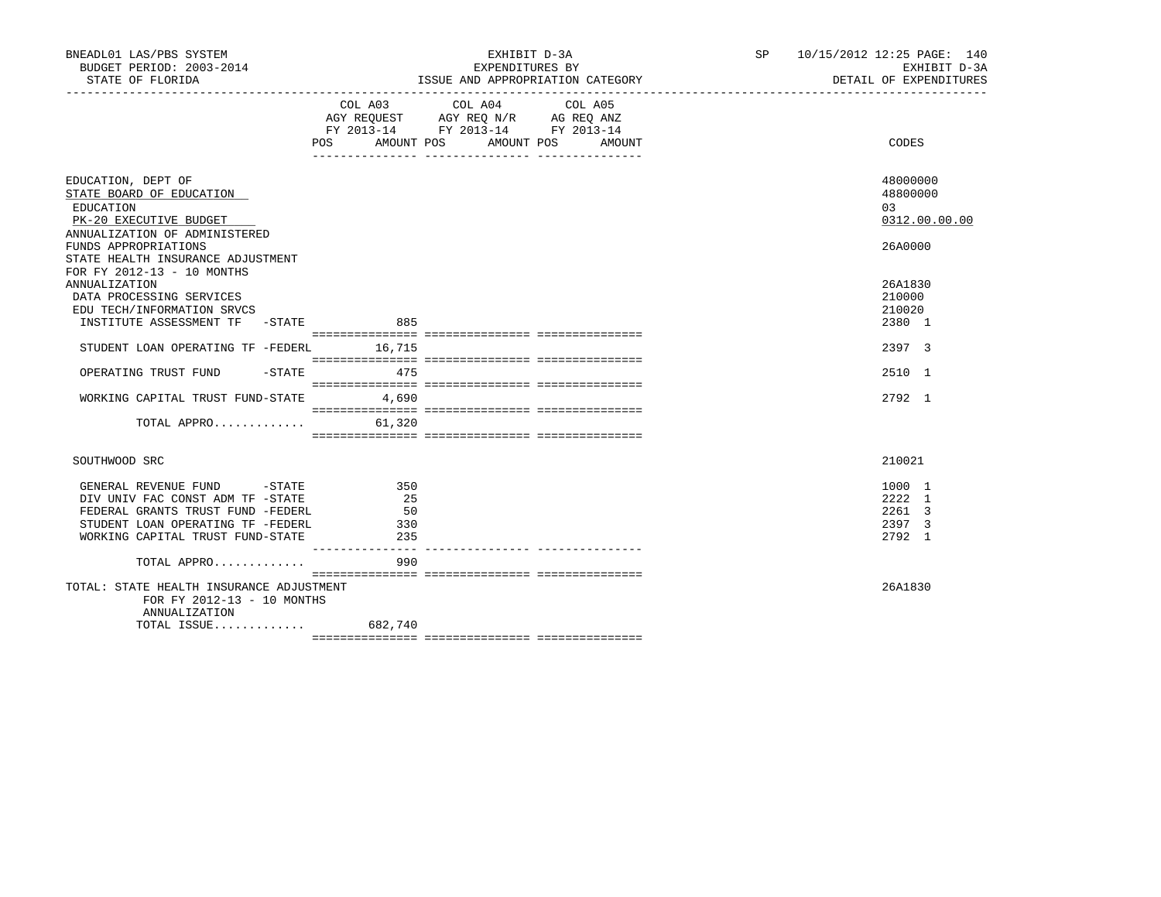| COL A03<br>COL A04<br>COL A05<br>AGY REQUEST AGY REQ N/R AG REQ ANZ<br>FY 2013-14 FY 2013-14 FY 2013-14<br>POS AMOUNT POS AMOUNT POS AMOUNT<br>CODES<br>48000000<br>EDUCATION, DEPT OF<br>STATE BOARD OF EDUCATION<br>48800000<br>EDUCATION<br>0.3<br>PK-20 EXECUTIVE BUDGET<br>ANNUALIZATION OF ADMINISTERED<br>FUNDS APPROPRIATIONS<br>26A0000<br>STATE HEALTH INSURANCE ADJUSTMENT<br>FOR FY 2012-13 - 10 MONTHS<br><b>ANNUALIZATION</b><br>26A1830<br>DATA PROCESSING SERVICES<br>210000<br>EDU TECH/INFORMATION SRVCS<br>210020<br>INSTITUTE ASSESSMENT TF -STATE<br>885<br>2380 1<br>STUDENT LOAN OPERATING TF -FEDERL 16,715<br>2397 3<br>$-$ STATE 475<br>OPERATING TRUST FUND<br>2510 1<br>WORKING CAPITAL TRUST FUND-STATE<br>4,690<br>2792 1<br>TOTAL APPRO<br>61,320<br>210021<br>SOUTHWOOD SRC<br>GENERAL REVENUE FUND -STATE<br>1000 1<br>350<br>2222 1<br>DIV UNIV FAC CONST ADM TF -STATE<br>25<br>FEDERAL GRANTS TRUST FUND -FEDERL<br>2261 3<br>50<br>STUDENT LOAN OPERATING TF -FEDERL<br>330<br>2397 3<br>WORKING CAPITAL TRUST FUND-STATE<br>235<br>2792 1<br>990<br>TOTAL APPRO<br>26A1830<br>TOTAL: STATE HEALTH INSURANCE ADJUSTMENT | BNEADL01 LAS/PBS SYSTEM<br>BUDGET PERIOD: 2003-2014<br>STATE OF FLORIDA | EXHIBIT D-3A<br>EXPENDITURES BY<br>ISSUE AND APPROPRIATION CATEGORY | SP 10/15/2012 12:25 PAGE: 140 | EXHIBIT D-3A<br>DETAIL OF EXPENDITURES |
|--------------------------------------------------------------------------------------------------------------------------------------------------------------------------------------------------------------------------------------------------------------------------------------------------------------------------------------------------------------------------------------------------------------------------------------------------------------------------------------------------------------------------------------------------------------------------------------------------------------------------------------------------------------------------------------------------------------------------------------------------------------------------------------------------------------------------------------------------------------------------------------------------------------------------------------------------------------------------------------------------------------------------------------------------------------------------------------------------------------------------------------------------------------|-------------------------------------------------------------------------|---------------------------------------------------------------------|-------------------------------|----------------------------------------|
|                                                                                                                                                                                                                                                                                                                                                                                                                                                                                                                                                                                                                                                                                                                                                                                                                                                                                                                                                                                                                                                                                                                                                              |                                                                         |                                                                     |                               |                                        |
|                                                                                                                                                                                                                                                                                                                                                                                                                                                                                                                                                                                                                                                                                                                                                                                                                                                                                                                                                                                                                                                                                                                                                              |                                                                         |                                                                     |                               | 0312.00.00.00                          |
|                                                                                                                                                                                                                                                                                                                                                                                                                                                                                                                                                                                                                                                                                                                                                                                                                                                                                                                                                                                                                                                                                                                                                              |                                                                         |                                                                     |                               |                                        |
|                                                                                                                                                                                                                                                                                                                                                                                                                                                                                                                                                                                                                                                                                                                                                                                                                                                                                                                                                                                                                                                                                                                                                              |                                                                         |                                                                     |                               |                                        |
|                                                                                                                                                                                                                                                                                                                                                                                                                                                                                                                                                                                                                                                                                                                                                                                                                                                                                                                                                                                                                                                                                                                                                              |                                                                         |                                                                     |                               |                                        |
|                                                                                                                                                                                                                                                                                                                                                                                                                                                                                                                                                                                                                                                                                                                                                                                                                                                                                                                                                                                                                                                                                                                                                              |                                                                         |                                                                     |                               |                                        |
|                                                                                                                                                                                                                                                                                                                                                                                                                                                                                                                                                                                                                                                                                                                                                                                                                                                                                                                                                                                                                                                                                                                                                              |                                                                         |                                                                     |                               |                                        |
|                                                                                                                                                                                                                                                                                                                                                                                                                                                                                                                                                                                                                                                                                                                                                                                                                                                                                                                                                                                                                                                                                                                                                              |                                                                         |                                                                     |                               |                                        |
|                                                                                                                                                                                                                                                                                                                                                                                                                                                                                                                                                                                                                                                                                                                                                                                                                                                                                                                                                                                                                                                                                                                                                              |                                                                         |                                                                     |                               |                                        |
|                                                                                                                                                                                                                                                                                                                                                                                                                                                                                                                                                                                                                                                                                                                                                                                                                                                                                                                                                                                                                                                                                                                                                              |                                                                         |                                                                     |                               |                                        |
|                                                                                                                                                                                                                                                                                                                                                                                                                                                                                                                                                                                                                                                                                                                                                                                                                                                                                                                                                                                                                                                                                                                                                              |                                                                         |                                                                     |                               |                                        |
| FOR FY 2012-13 - 10 MONTHS<br>ANNUALIZATION                                                                                                                                                                                                                                                                                                                                                                                                                                                                                                                                                                                                                                                                                                                                                                                                                                                                                                                                                                                                                                                                                                                  |                                                                         |                                                                     |                               |                                        |
|                                                                                                                                                                                                                                                                                                                                                                                                                                                                                                                                                                                                                                                                                                                                                                                                                                                                                                                                                                                                                                                                                                                                                              |                                                                         |                                                                     |                               |                                        |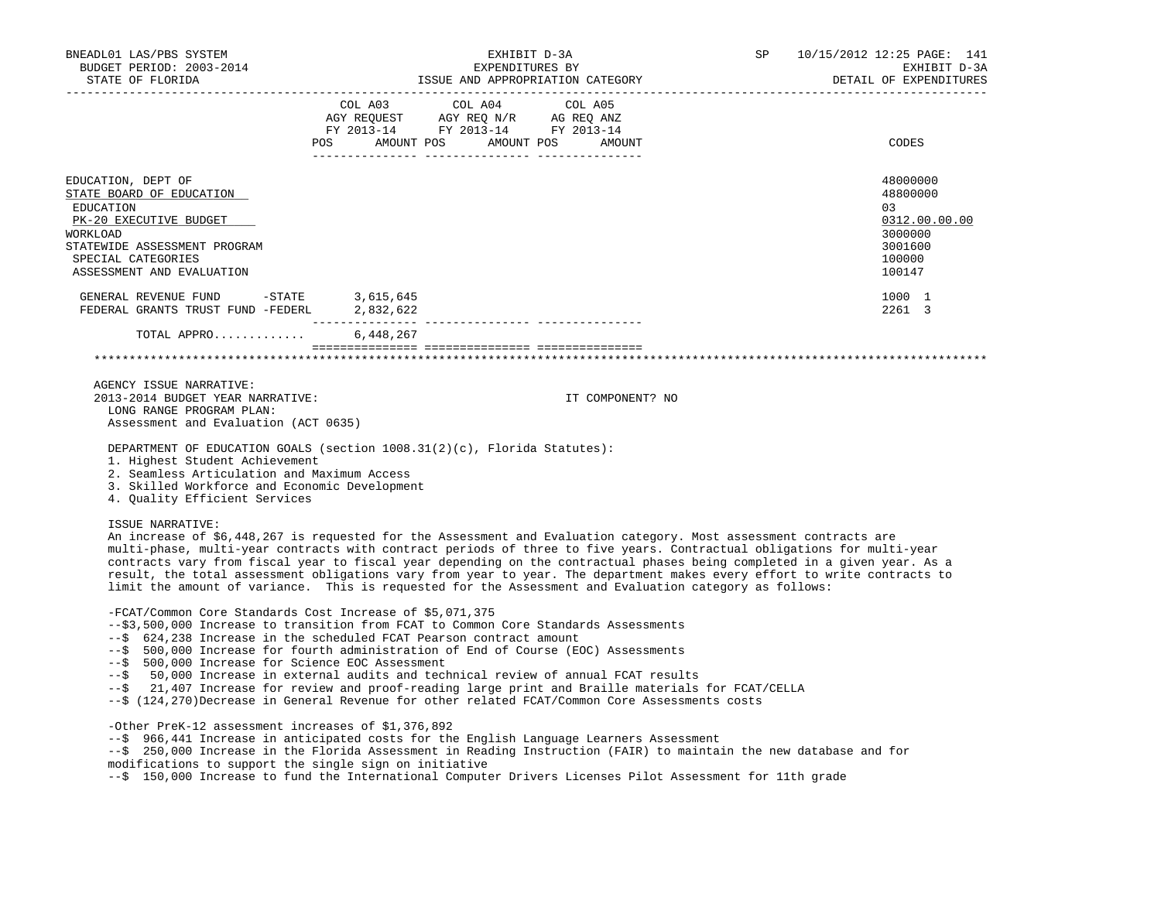| BNEADL01 LAS/PBS SYSTEM<br>BUDGET PERIOD: 2003-2014<br>STATE OF FLORIDA                                                                                                                                                                                                                                                                                                        |                                      | EXHIBIT D-3A<br>EXPENDITURES BY<br>ISSUE AND APPROPRIATION CATEGORY                                                                                                                                                                                                                                                                                                                                                                                                                                                                                                                                           | SP <sub>2</sub> | 10/15/2012 12:25 PAGE: 141<br>EXHIBIT D-3A<br>DETAIL OF EXPENDITURES                  |
|--------------------------------------------------------------------------------------------------------------------------------------------------------------------------------------------------------------------------------------------------------------------------------------------------------------------------------------------------------------------------------|--------------------------------------|---------------------------------------------------------------------------------------------------------------------------------------------------------------------------------------------------------------------------------------------------------------------------------------------------------------------------------------------------------------------------------------------------------------------------------------------------------------------------------------------------------------------------------------------------------------------------------------------------------------|-----------------|---------------------------------------------------------------------------------------|
|                                                                                                                                                                                                                                                                                                                                                                                | COL A03<br>POS AMOUNT POS AMOUNT POS | COL A04<br>COL A05<br>AGY REQUEST AGY REQ N/R AG REQ ANZ<br>FY 2013-14 FY 2013-14 FY 2013-14<br>AMOUNT                                                                                                                                                                                                                                                                                                                                                                                                                                                                                                        |                 | CODES                                                                                 |
| EDUCATION, DEPT OF<br>STATE BOARD OF EDUCATION<br>EDUCATION<br>PK-20 EXECUTIVE BUDGET<br>WORKLOAD<br>STATEWIDE ASSESSMENT PROGRAM<br>SPECIAL CATEGORIES<br>ASSESSMENT AND EVALUATION                                                                                                                                                                                           |                                      |                                                                                                                                                                                                                                                                                                                                                                                                                                                                                                                                                                                                               |                 | 48000000<br>48800000<br>03<br>0312.00.00.00<br>3000000<br>3001600<br>100000<br>100147 |
| GENERAL REVENUE FUND -STATE<br>FEDERAL GRANTS TRUST FUND -FEDERL 2,832,622                                                                                                                                                                                                                                                                                                     | 3,615,645                            |                                                                                                                                                                                                                                                                                                                                                                                                                                                                                                                                                                                                               |                 | 1000 1<br>2261 3                                                                      |
| TOTAL APPRO                                                                                                                                                                                                                                                                                                                                                                    | 6,448,267                            |                                                                                                                                                                                                                                                                                                                                                                                                                                                                                                                                                                                                               |                 |                                                                                       |
| AGENCY ISSUE NARRATIVE:<br>2013-2014 BUDGET YEAR NARRATIVE:<br>LONG RANGE PROGRAM PLAN:<br>Assessment and Evaluation (ACT 0635)<br>DEPARTMENT OF EDUCATION GOALS (section 1008.31(2)(c), Florida Statutes):<br>1. Highest Student Achievement<br>2. Seamless Articulation and Maximum Access<br>3. Skilled Workforce and Economic Development<br>4. Quality Efficient Services |                                      | IT COMPONENT? NO                                                                                                                                                                                                                                                                                                                                                                                                                                                                                                                                                                                              |                 |                                                                                       |
| ISSUE NARRATIVE:                                                                                                                                                                                                                                                                                                                                                               |                                      | An increase of \$6,448,267 is requested for the Assessment and Evaluation category. Most assessment contracts are<br>multi-phase, multi-year contracts with contract periods of three to five years. Contractual obligations for multi-year<br>contracts vary from fiscal year to fiscal year depending on the contractual phases being completed in a given year. As a<br>result, the total assessment obligations vary from year to year. The department makes every effort to write contracts to<br>limit the amount of variance. This is requested for the Assessment and Evaluation category as follows: |                 |                                                                                       |
| -FCAT/Common Core Standards Cost Increase of \$5,071,375<br>--\$ 624,238 Increase in the scheduled FCAT Pearson contract amount<br>--\$ 500,000 Increase for Science EOC Assessment                                                                                                                                                                                            |                                      | --\$3,500,000 Increase to transition from FCAT to Common Core Standards Assessments<br>--\$ 500,000 Increase for fourth administration of End of Course (EOC) Assessments<br>--\$ 50,000 Increase in external audits and technical review of annual FCAT results<br>--\$ 21,407 Increase for review and proof-reading large print and Braille materials for FCAT/CELLA<br>--\$ (124,270)Decrease in General Revenue for other related FCAT/Common Core Assessments costs                                                                                                                                      |                 |                                                                                       |
| -Other PreK-12 assessment increases of \$1,376,892                                                                                                                                                                                                                                                                                                                             |                                      |                                                                                                                                                                                                                                                                                                                                                                                                                                                                                                                                                                                                               |                 |                                                                                       |

 --\$ 966,441 Increase in anticipated costs for the English Language Learners Assessment --\$ 250,000 Increase in the Florida Assessment in Reading Instruction (FAIR) to maintain the new database and for modifications to support the single sign on initiative

--\$ 150,000 Increase to fund the International Computer Drivers Licenses Pilot Assessment for 11th grade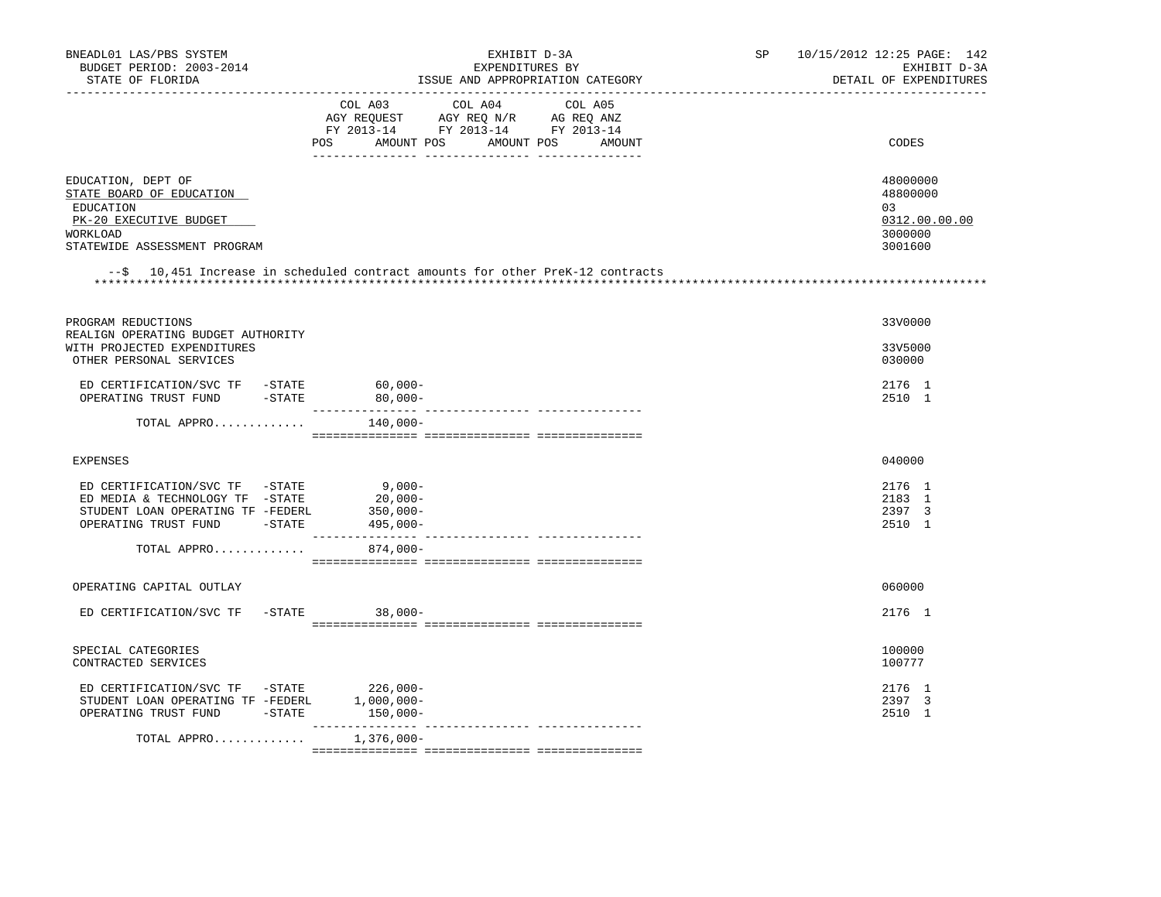| BNEADL01 LAS/PBS SYSTEM<br>BUDGET PERIOD: 2003-2014<br>STATE OF FLORIDA                                                                              | EXHIBIT D-3A<br>EXPENDITURES BY<br>ISSUE AND APPROPRIATION CATEGORY                                                                      | SP | 10/15/2012 12:25 PAGE: 142<br>EXHIBIT D-3A<br>DETAIL OF EXPENDITURES |
|------------------------------------------------------------------------------------------------------------------------------------------------------|------------------------------------------------------------------------------------------------------------------------------------------|----|----------------------------------------------------------------------|
| --------------                                                                                                                                       | COL A03 COL A04<br>COL A05<br>AGY REQUEST AGY REQ N/R AG REQ ANZ<br>FY 2013-14 FY 2013-14 FY 2013-14<br>POS AMOUNT POS AMOUNT POS AMOUNT |    | CODES                                                                |
| EDUCATION, DEPT OF<br>STATE BOARD OF EDUCATION<br>EDUCATION<br>PK-20 EXECUTIVE BUDGET<br>WORKLOAD<br>STATEWIDE ASSESSMENT PROGRAM                    | --\$ 10,451 Increase in scheduled contract amounts for other PreK-12 contracts                                                           |    | 48000000<br>48800000<br>03<br>0312.00.00.00<br>3000000<br>3001600    |
| PROGRAM REDUCTIONS<br>REALIGN OPERATING BUDGET AUTHORITY<br>WITH PROJECTED EXPENDITURES<br>OTHER PERSONAL SERVICES                                   |                                                                                                                                          |    | 33V0000<br>33V5000<br>030000                                         |
| ED CERTIFICATION/SVC TF -STATE<br>OPERATING TRUST FUND -STATE                                                                                        | 60,000-<br>80,000-                                                                                                                       |    | 2176 1<br>2510 1                                                     |
| TOTAL APPRO                                                                                                                                          | 140,000-                                                                                                                                 |    |                                                                      |
| <b>EXPENSES</b>                                                                                                                                      |                                                                                                                                          |    | 040000                                                               |
| ED CERTIFICATION/SVC TF -STATE<br>ED MEDIA & TECHNOLOGY TF -STATE<br>STUDENT LOAN OPERATING TF -FEDERL<br>OPERATING TRUST FUND -STATE<br>TOTAL APPRO | $9,000-$<br>$20,000-$<br>$350,000 -$<br>495,000-<br>$874,000-$                                                                           |    | 2176 1<br>2183 1<br>2397 3<br>2510 1                                 |
| OPERATING CAPITAL OUTLAY                                                                                                                             |                                                                                                                                          |    | 060000                                                               |
| ED CERTIFICATION/SVC TF<br>$-STATE$                                                                                                                  | 38,000-                                                                                                                                  |    | 2176 1                                                               |
| SPECIAL CATEGORIES<br>CONTRACTED SERVICES                                                                                                            |                                                                                                                                          |    | 100000<br>100777                                                     |
| ED CERTIFICATION/SVC TF -STATE 226,000-<br>STUDENT LOAN OPERATING TF -FEDERL<br>OPERATING TRUST FUND -STATE                                          | $1,000,000-$<br>$150,000-$<br>-------------                                                                                              |    | 2176 1<br>2397 3<br>2510 1                                           |
| TOTAL APPRO                                                                                                                                          | $1,376,000 -$                                                                                                                            |    |                                                                      |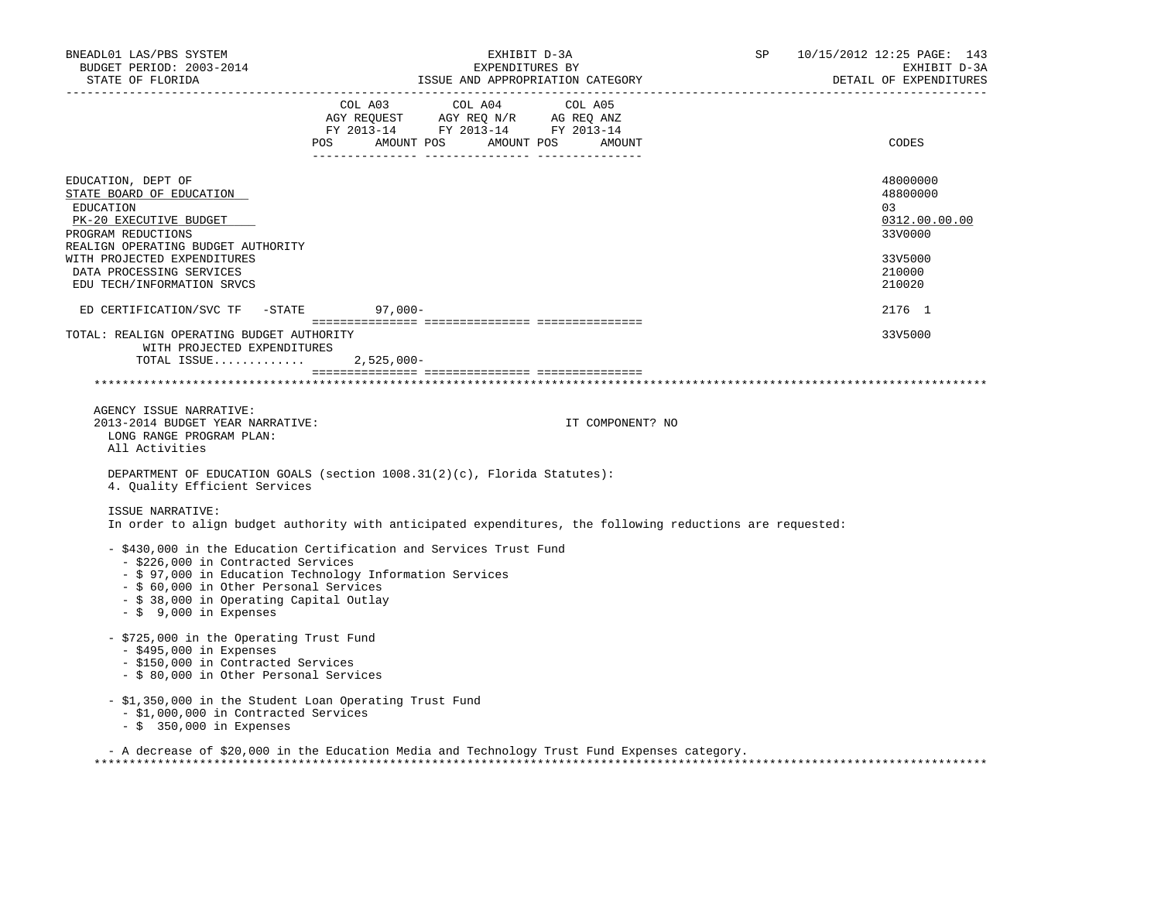| BNEADL01 LAS/PBS SYSTEM<br>BUDGET PERIOD: 2003-2014<br>STATE OF FLORIDA                                                                                                          | EXHIBIT D-3A<br>EXPENDITURES BY<br>ISSUE AND APPROPRIATION CATEGORY                                                                                                                                  | 10/15/2012 12:25 PAGE: 143<br>SP<br>EXHIBIT D-3A<br>DETAIL OF EXPENDITURES |
|----------------------------------------------------------------------------------------------------------------------------------------------------------------------------------|------------------------------------------------------------------------------------------------------------------------------------------------------------------------------------------------------|----------------------------------------------------------------------------|
|                                                                                                                                                                                  | $\begin{tabular}{lcccc} CDL A03 & CDL A04 & CDL A05 \\ AGY REQUEST & AGY REQ N/R & AG REQ ANZ \\ FY & 2013-14 & FY & 2013-14 & FY & 2013-14 \end{tabular}$<br>AMOUNT POS AMOUNT POS<br>POS<br>AMOUNT | CODES                                                                      |
| EDUCATION, DEPT OF<br>STATE BOARD OF EDUCATION<br>EDUCATION<br>PK-20 EXECUTIVE BUDGET<br>PROGRAM REDUCTIONS<br>REALIGN OPERATING BUDGET AUTHORITY<br>WITH PROJECTED EXPENDITURES |                                                                                                                                                                                                      | 48000000<br>48800000<br>03<br>0312.00.00.00<br>33V0000<br>33V5000          |
| DATA PROCESSING SERVICES<br>EDU TECH/INFORMATION SRVCS                                                                                                                           |                                                                                                                                                                                                      | 210000<br>210020                                                           |
| ED CERTIFICATION/SVC TF -STATE                                                                                                                                                   | $97,000-$                                                                                                                                                                                            | 2176 1                                                                     |
| TOTAL: REALIGN OPERATING BUDGET AUTHORITY<br>WITH PROJECTED EXPENDITURES<br>TOTAL ISSUE                                                                                          | $2,525,000-$                                                                                                                                                                                         | 33V5000                                                                    |
|                                                                                                                                                                                  |                                                                                                                                                                                                      |                                                                            |
| AGENCY ISSUE NARRATIVE:<br>2013-2014 BUDGET YEAR NARRATIVE:<br>LONG RANGE PROGRAM PLAN:<br>All Activities                                                                        | IT COMPONENT? NO                                                                                                                                                                                     |                                                                            |
| 4. Quality Efficient Services                                                                                                                                                    | DEPARTMENT OF EDUCATION GOALS (section $1008.31(2)(c)$ , Florida Statutes):                                                                                                                          |                                                                            |
| ISSUE NARRATIVE:                                                                                                                                                                 | In order to align budget authority with anticipated expenditures, the following reductions are requested:                                                                                            |                                                                            |
| - \$226,000 in Contracted Services<br>- \$ 60,000 in Other Personal Services<br>- \$ 38,000 in Operating Capital Outlay<br>$-$ \$ 9,000 in Expenses                              | - \$430,000 in the Education Certification and Services Trust Fund<br>- \$ 97,000 in Education Technology Information Services                                                                       |                                                                            |
| - \$725,000 in the Operating Trust Fund<br>$-$ \$495,000 in Expenses<br>- \$150,000 in Contracted Services<br>- \$ 80,000 in Other Personal Services                             |                                                                                                                                                                                                      |                                                                            |
| - \$1,350,000 in the Student Loan Operating Trust Fund<br>- \$1,000,000 in Contracted Services<br>$-$ \$ 350,000 in Expenses                                                     |                                                                                                                                                                                                      |                                                                            |
|                                                                                                                                                                                  | - A decrease of \$20,000 in the Education Media and Technology Trust Fund Expenses category.                                                                                                         |                                                                            |

\*\*\*\*\*\*\*\*\*\*\*\*\*\*\*\*\*\*\*\*\*\*\*\*\*\*\*\*\*\*\*\*\*\*\*\*\*\*\*\*\*\*\*\*\*\*\*\*\*\*\*\*\*\*\*\*\*\*\*\*\*\*\*\*\*\*\*\*\*\*\*\*\*\*\*\*\*\*\*\*\*\*\*\*\*\*\*\*\*\*\*\*\*\*\*\*\*\*\*\*\*\*\*\*\*\*\*\*\*\*\*\*\*\*\*\*\*\*\*\*\*\*\*\*\*\*\*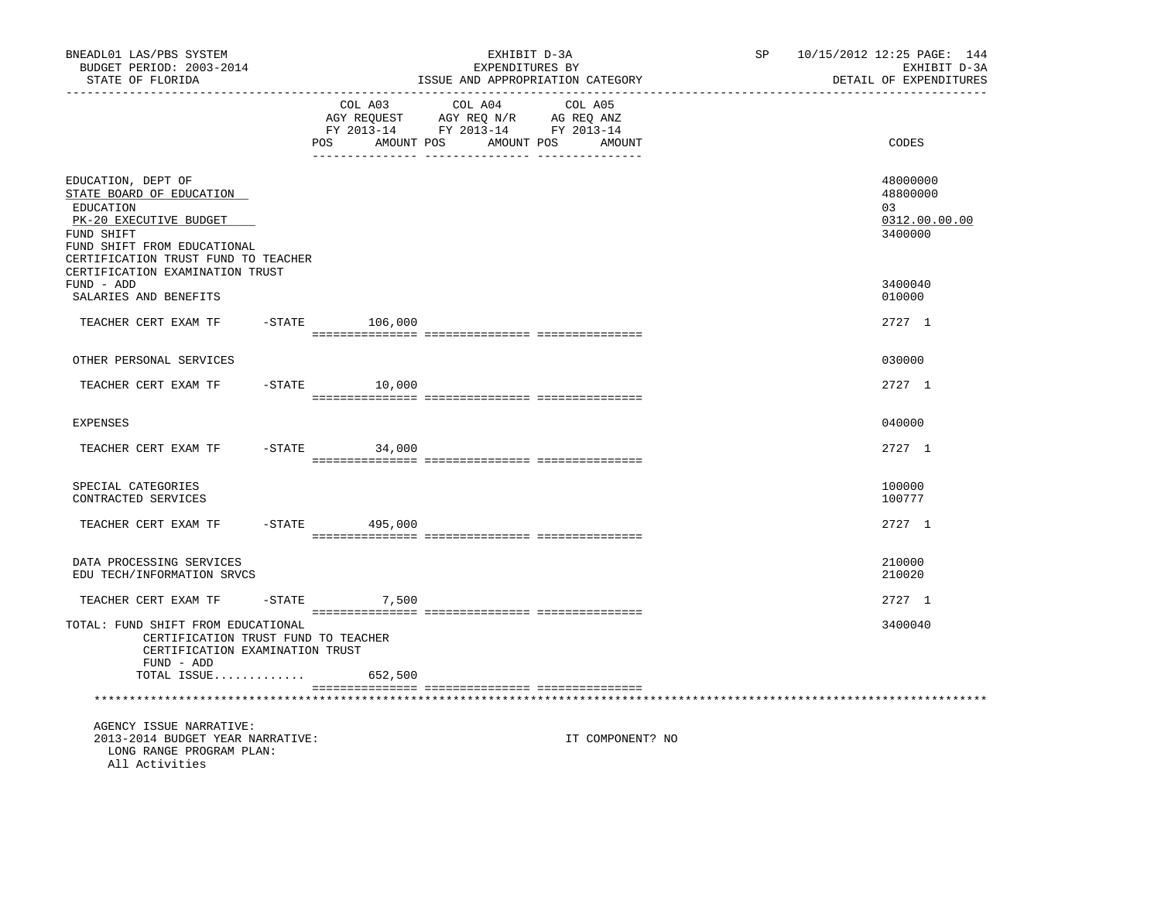| BNEADL01 LAS/PBS SYSTEM<br>BUDGET PERIOD: 2003-2014<br>STATE OF FLORIDA<br>------------------                                                                             |                                     | EXHIBIT D-3A<br>EXPENDITURES BY<br>ISSUE AND APPROPRIATION CATEGORY               |                              | SP | 10/15/2012 12:25 PAGE: 144<br>EXHIBIT D-3A<br>DETAIL OF EXPENDITURES |
|---------------------------------------------------------------------------------------------------------------------------------------------------------------------------|-------------------------------------|-----------------------------------------------------------------------------------|------------------------------|----|----------------------------------------------------------------------|
|                                                                                                                                                                           | COL A03<br><b>POS</b><br>AMOUNT POS | COL A04<br>AGY REQUEST AGY REQ N/R AG REQ ANZ<br>FY 2013-14 FY 2013-14 FY 2013-14 | COL A05<br>AMOUNT POS AMOUNT |    | CODES                                                                |
| EDUCATION, DEPT OF<br>STATE BOARD OF EDUCATION<br>EDUCATION<br>PK-20 EXECUTIVE BUDGET<br>FUND SHIFT<br>FUND SHIFT FROM EDUCATIONAL<br>CERTIFICATION TRUST FUND TO TEACHER |                                     |                                                                                   |                              |    | 48000000<br>48800000<br>03<br>0312.00.00.00<br>3400000               |
| CERTIFICATION EXAMINATION TRUST<br>FUND - ADD<br>SALARIES AND BENEFITS                                                                                                    |                                     |                                                                                   |                              |    | 3400040<br>010000                                                    |
| TEACHER CERT EXAM TF                                                                                                                                                      | $-$ STATE $106,000$                 |                                                                                   |                              |    | 2727 1                                                               |
| OTHER PERSONAL SERVICES                                                                                                                                                   |                                     |                                                                                   |                              |    | 030000                                                               |
| TEACHER CERT EXAM TF                                                                                                                                                      | $-STATE$ 10,000                     |                                                                                   |                              |    | 2727 1                                                               |
| <b>EXPENSES</b>                                                                                                                                                           |                                     |                                                                                   |                              |    | 040000                                                               |
| TEACHER CERT EXAM TF                                                                                                                                                      | $-STATE$<br>34,000                  |                                                                                   |                              |    | 2727 1                                                               |
| SPECIAL CATEGORIES<br>CONTRACTED SERVICES                                                                                                                                 |                                     |                                                                                   |                              |    | 100000<br>100777                                                     |
| TEACHER CERT EXAM TF                                                                                                                                                      | $-$ STATE 495,000                   |                                                                                   |                              |    | 2727 1                                                               |
| DATA PROCESSING SERVICES<br>EDU TECH/INFORMATION SRVCS                                                                                                                    |                                     |                                                                                   |                              |    | 210000<br>210020                                                     |
| TEACHER CERT EXAM TF                                                                                                                                                      | $-STATE$<br>7,500                   |                                                                                   |                              |    | 2727 1                                                               |
| TOTAL: FUND SHIFT FROM EDUCATIONAL<br>CERTIFICATION TRUST FUND TO TEACHER<br>CERTIFICATION EXAMINATION TRUST<br>FUND - ADD                                                |                                     |                                                                                   |                              |    | 3400040                                                              |
| TOTAL ISSUE                                                                                                                                                               | 652,500                             |                                                                                   |                              |    |                                                                      |
|                                                                                                                                                                           |                                     |                                                                                   |                              |    |                                                                      |
| AGENCY ISSUE NARRATIVE:<br>2013-2014 BUDGET YEAR NARRATIVE:<br>LONG RANGE PROGRAM PLAN:<br>All Activities                                                                 |                                     |                                                                                   | IT COMPONENT? NO             |    |                                                                      |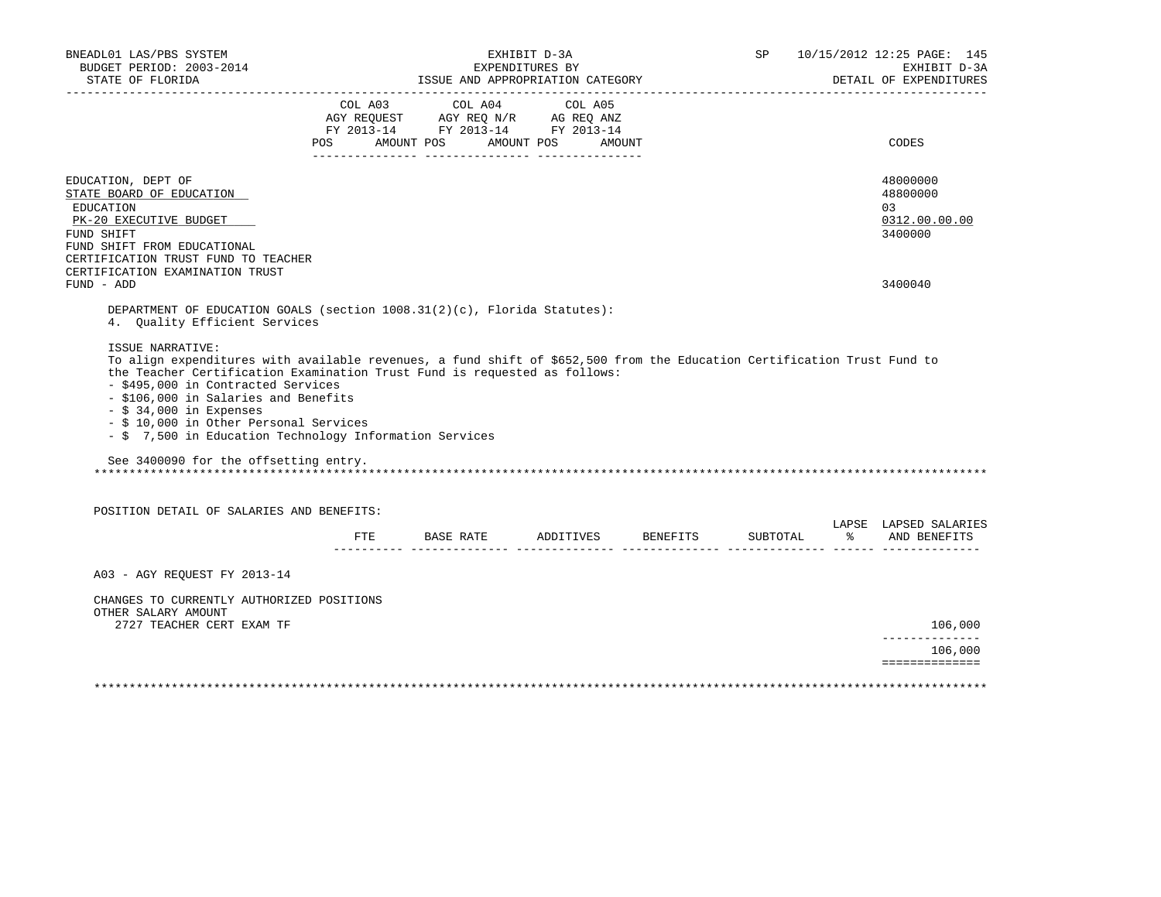| BUDGET PERIOD: 2003-2014<br>STATE OF FLORIDA                                                                                                                                                                                                                                                                                                                                                                                                                                      |                                                                                                                                                                        | EXHIBIT D-3A<br>EXPENDITURES BY<br>ISSUE AND APPROPRIATION CATEGORY |          | SP       |               | 10/15/2012 12:25 PAGE: 145<br>EXHIBIT D-3A<br>DETAIL OF EXPENDITURES |
|-----------------------------------------------------------------------------------------------------------------------------------------------------------------------------------------------------------------------------------------------------------------------------------------------------------------------------------------------------------------------------------------------------------------------------------------------------------------------------------|------------------------------------------------------------------------------------------------------------------------------------------------------------------------|---------------------------------------------------------------------|----------|----------|---------------|----------------------------------------------------------------------|
| --------------------                                                                                                                                                                                                                                                                                                                                                                                                                                                              | ____________________________________<br>COL A03 COL A04 COL A05<br>AGY REQUEST AGY REQ N/R AG REQ ANZ<br>FY 2013-14 FY 2013-14 FY 2013-14<br>POS AMOUNT POS AMOUNT POS | AMOUNT                                                              |          |          |               | CODES                                                                |
| EDUCATION, DEPT OF<br>STATE BOARD OF EDUCATION<br>EDUCATION<br>PK-20 EXECUTIVE BUDGET<br>FUND SHIFT                                                                                                                                                                                                                                                                                                                                                                               |                                                                                                                                                                        |                                                                     |          |          |               | 48000000<br>48800000<br>03<br>0312.00.00.00<br>3400000               |
| FUND SHIFT FROM EDUCATIONAL<br>CERTIFICATION TRUST FUND TO TEACHER<br>CERTIFICATION EXAMINATION TRUST<br>FUND - ADD                                                                                                                                                                                                                                                                                                                                                               |                                                                                                                                                                        |                                                                     |          |          |               | 3400040                                                              |
| ISSUE NARRATIVE:<br>To align expenditures with available revenues, a fund shift of \$652,500 from the Education Certification Trust Fund to<br>the Teacher Certification Examination Trust Fund is requested as follows:<br>- \$495,000 in Contracted Services<br>- \$106,000 in Salaries and Benefits<br>$-$ \$ 34,000 in Expenses<br>- \$ 10,000 in Other Personal Services<br>- \$ 7,500 in Education Technology Information Services<br>See 3400090 for the offsetting entry. |                                                                                                                                                                        |                                                                     |          |          |               |                                                                      |
|                                                                                                                                                                                                                                                                                                                                                                                                                                                                                   |                                                                                                                                                                        |                                                                     |          |          |               |                                                                      |
| POSITION DETAIL OF SALARIES AND BENEFITS:                                                                                                                                                                                                                                                                                                                                                                                                                                         |                                                                                                                                                                        |                                                                     |          |          |               |                                                                      |
|                                                                                                                                                                                                                                                                                                                                                                                                                                                                                   | FTE BASE RATE                                                                                                                                                          | ADDITIVES                                                           | BENEFITS | SUBTOTAL | $\frac{1}{6}$ | LAPSE LAPSED SALARIES<br>AND BENEFITS                                |
| A03 - AGY REOUEST FY 2013-14                                                                                                                                                                                                                                                                                                                                                                                                                                                      |                                                                                                                                                                        |                                                                     |          |          |               |                                                                      |
| CHANGES TO CURRENTLY AUTHORIZED POSITIONS<br>OTHER SALARY AMOUNT<br>2727 TEACHER CERT EXAM TF                                                                                                                                                                                                                                                                                                                                                                                     |                                                                                                                                                                        |                                                                     |          |          |               | 106,000                                                              |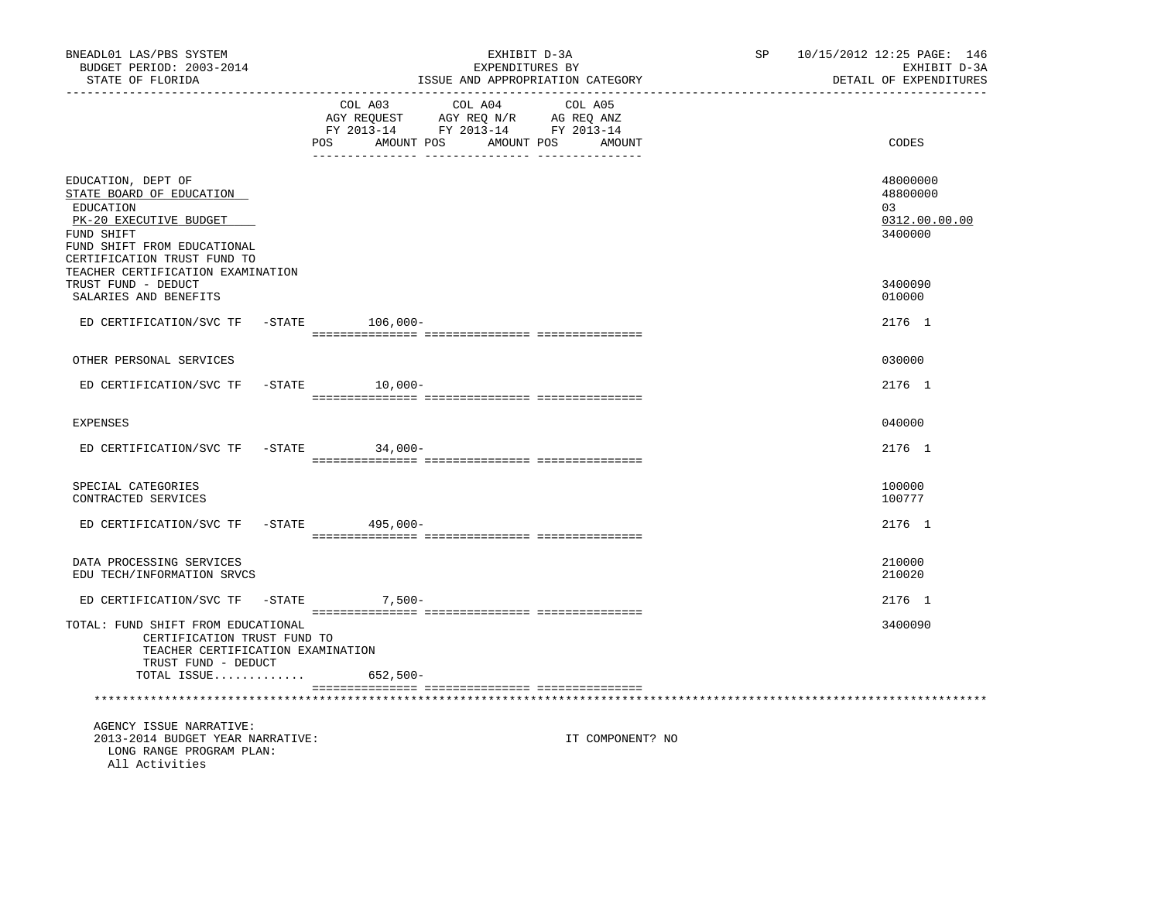| BNEADL01 LAS/PBS SYSTEM<br>BUDGET PERIOD: 2003-2014<br>STATE OF FLORIDA<br>------------------                                                                     | EXHIBIT D-3A<br>EXPENDITURES BY<br>ISSUE AND APPROPRIATION CATEGORY                                                                                   | SP | 10/15/2012 12:25 PAGE: 146<br>EXHIBIT D-3A<br>DETAIL OF EXPENDITURES |
|-------------------------------------------------------------------------------------------------------------------------------------------------------------------|-------------------------------------------------------------------------------------------------------------------------------------------------------|----|----------------------------------------------------------------------|
|                                                                                                                                                                   | COL A03<br>COL A04<br>COL A05<br>AGY REQUEST AGY REQ N/R AG REQ ANZ<br>FY 2013-14 FY 2013-14 FY 2013-14<br><b>POS</b><br>AMOUNT POS AMOUNT POS AMOUNT |    | CODES                                                                |
| EDUCATION, DEPT OF<br>STATE BOARD OF EDUCATION<br>EDUCATION<br>PK-20 EXECUTIVE BUDGET<br>FUND SHIFT<br>FUND SHIFT FROM EDUCATIONAL<br>CERTIFICATION TRUST FUND TO |                                                                                                                                                       |    | 48000000<br>48800000<br>03<br>0312.00.00.00<br>3400000               |
| TEACHER CERTIFICATION EXAMINATION<br>TRUST FUND - DEDUCT<br>SALARIES AND BENEFITS                                                                                 |                                                                                                                                                       |    | 3400090<br>010000                                                    |
| ED CERTIFICATION/SVC TF                                                                                                                                           | $-$ STATE 106,000-                                                                                                                                    |    | 2176 1                                                               |
| OTHER PERSONAL SERVICES                                                                                                                                           |                                                                                                                                                       |    | 030000                                                               |
| ED CERTIFICATION/SVC TF                                                                                                                                           | $-STATE$ 10,000-                                                                                                                                      |    | 2176 1                                                               |
| <b>EXPENSES</b>                                                                                                                                                   |                                                                                                                                                       |    | 040000                                                               |
| ED CERTIFICATION/SVC TF                                                                                                                                           | $-STATE$<br>$34,000-$                                                                                                                                 |    | 2176 1                                                               |
| SPECIAL CATEGORIES<br>CONTRACTED SERVICES                                                                                                                         |                                                                                                                                                       |    | 100000<br>100777                                                     |
| ED CERTIFICATION/SVC TF                                                                                                                                           | -STATE 495,000-                                                                                                                                       |    | 2176 1                                                               |
| DATA PROCESSING SERVICES<br>EDU TECH/INFORMATION SRVCS                                                                                                            |                                                                                                                                                       |    | 210000<br>210020                                                     |
| ED CERTIFICATION/SVC TF -STATE                                                                                                                                    | $7,500-$                                                                                                                                              |    | 2176 1                                                               |
| TOTAL: FUND SHIFT FROM EDUCATIONAL<br>CERTIFICATION TRUST FUND TO<br>TEACHER CERTIFICATION EXAMINATION<br>TRUST FUND - DEDUCT                                     |                                                                                                                                                       |    | 3400090                                                              |
| TOTAL ISSUE                                                                                                                                                       | 652,500-                                                                                                                                              |    |                                                                      |
|                                                                                                                                                                   |                                                                                                                                                       |    |                                                                      |
| AGENCY ISSUE NARRATIVE:<br>2013-2014 BUDGET YEAR NARRATIVE:<br>LONG RANGE PROGRAM PLAN:<br>All Activities                                                         | IT COMPONENT? NO                                                                                                                                      |    |                                                                      |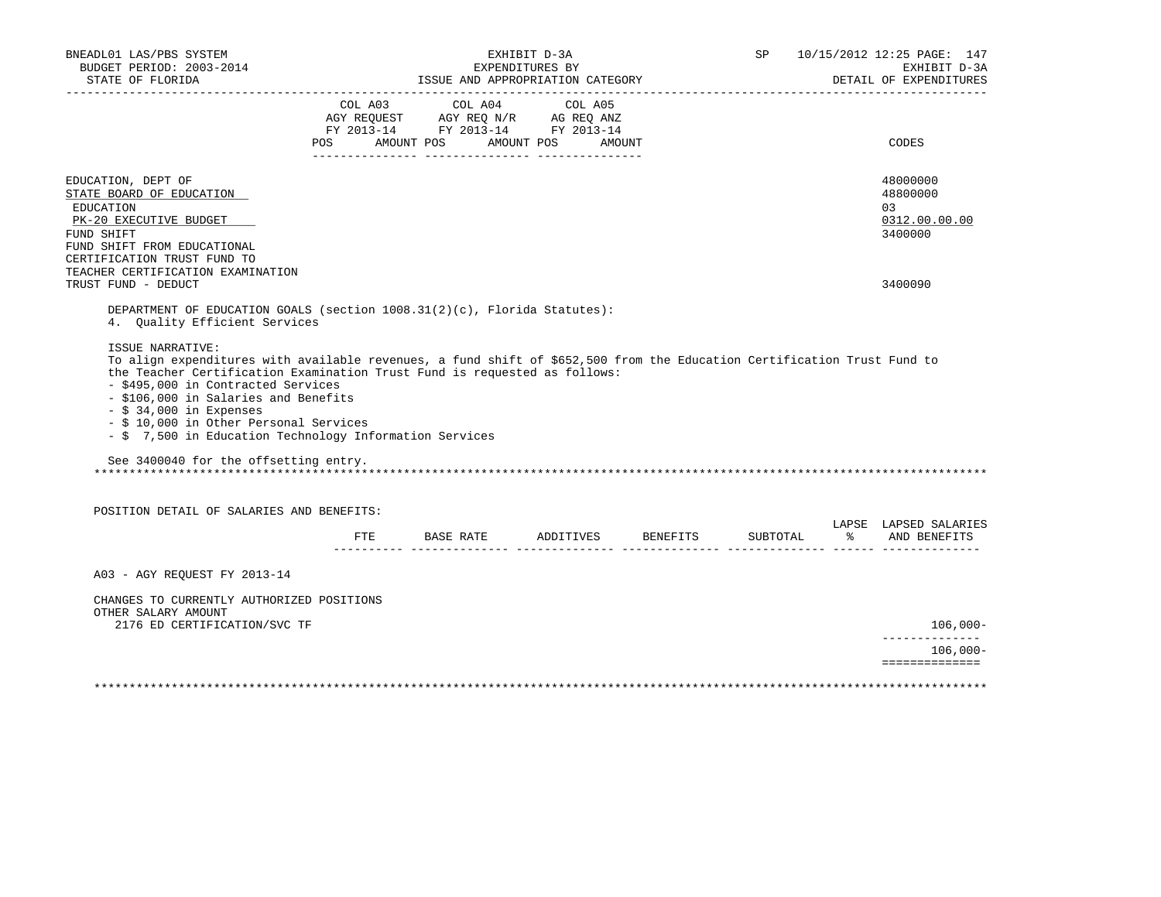|                                                                                                                                                                                                                                                                                                                                                                                                                                                               | ISSUE AND APPROPRIATION CATEGORY                                                                                                      | EXHIBIT D-3A<br>EXPENDITURES BY |                 | SP       |               | 10/15/2012 12:25 PAGE: 147<br>EXHIBIT D-3A<br>DETAIL OF EXPENDITURES |
|---------------------------------------------------------------------------------------------------------------------------------------------------------------------------------------------------------------------------------------------------------------------------------------------------------------------------------------------------------------------------------------------------------------------------------------------------------------|---------------------------------------------------------------------------------------------------------------------------------------|---------------------------------|-----------------|----------|---------------|----------------------------------------------------------------------|
|                                                                                                                                                                                                                                                                                                                                                                                                                                                               | COL A03 COL A04 COL A05<br>AGY REQUEST AGY REQ N/R AG REQ ANZ<br>FY 2013-14 FY 2013-14 FY 2013-14<br>POS AMOUNT POS AMOUNT POS AMOUNT |                                 |                 |          |               | CODES                                                                |
| EDUCATION, DEPT OF<br>STATE BOARD OF EDUCATION<br>EDUCATION<br>PK-20 EXECUTIVE BUDGET<br>FUND SHIFT<br>FUND SHIFT FROM EDUCATIONAL<br>CERTIFICATION TRUST FUND TO                                                                                                                                                                                                                                                                                             |                                                                                                                                       |                                 |                 |          |               | 48000000<br>48800000<br>03<br>0312.00.00.00<br>3400000               |
| TEACHER CERTIFICATION EXAMINATION<br>TRUST FUND - DEDUCT                                                                                                                                                                                                                                                                                                                                                                                                      |                                                                                                                                       |                                 |                 |          |               | 3400090                                                              |
| DEPARTMENT OF EDUCATION GOALS (section 1008.31(2)(c), Florida Statutes):<br>4. Quality Efficient Services<br>ISSUE NARRATIVE:                                                                                                                                                                                                                                                                                                                                 |                                                                                                                                       |                                 |                 |          |               |                                                                      |
| To align expenditures with available revenues, a fund shift of \$652,500 from the Education Certification Trust Fund to<br>the Teacher Certification Examination Trust Fund is requested as follows:<br>- \$495,000 in Contracted Services<br>- \$106,000 in Salaries and Benefits<br>$-$ \$ 34,000 in Expenses<br>- \$ 10,000 in Other Personal Services<br>- \$ 7,500 in Education Technology Information Services<br>See 3400040 for the offsetting entry. |                                                                                                                                       |                                 |                 |          |               |                                                                      |
| POSITION DETAIL OF SALARIES AND BENEFITS:                                                                                                                                                                                                                                                                                                                                                                                                                     |                                                                                                                                       |                                 |                 |          |               |                                                                      |
|                                                                                                                                                                                                                                                                                                                                                                                                                                                               | FTE BASE RATE                                                                                                                         | ADDITIVES                       | <b>BENEFITS</b> | SUBTOTAL | $\frac{1}{6}$ | LAPSE LAPSED SALARIES<br>AND BENEFITS                                |
| A03 - AGY REOUEST FY 2013-14                                                                                                                                                                                                                                                                                                                                                                                                                                  |                                                                                                                                       |                                 |                 |          |               |                                                                      |
| CHANGES TO CURRENTLY AUTHORIZED POSITIONS<br>OTHER SALARY AMOUNT<br>2176 ED CERTIFICATION/SVC TF                                                                                                                                                                                                                                                                                                                                                              |                                                                                                                                       |                                 |                 |          |               | $106,000 -$                                                          |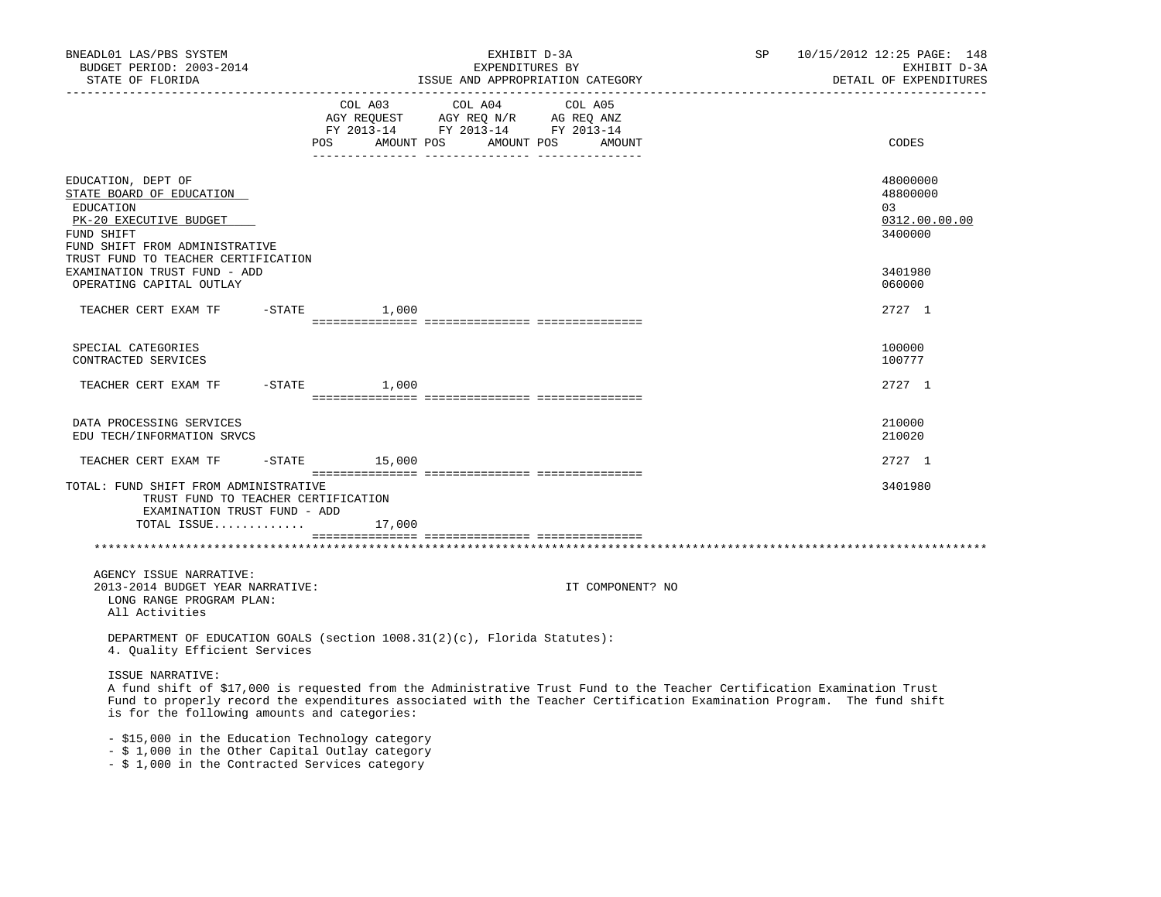| BNEADL01 LAS/PBS SYSTEM<br>BUDGET PERIOD: 2003-2014<br>STATE OF FLORIDA                                                                                                                                                                                                                                               |                   | EXHIBIT D-3A<br>EXPENDITURES BY<br>ISSUE AND APPROPRIATION CATEGORY                                             |                  | SP | 10/15/2012 12:25 PAGE: 148<br>EXHIBIT D-3A<br>DETAIL OF EXPENDITURES |
|-----------------------------------------------------------------------------------------------------------------------------------------------------------------------------------------------------------------------------------------------------------------------------------------------------------------------|-------------------|-----------------------------------------------------------------------------------------------------------------|------------------|----|----------------------------------------------------------------------|
|                                                                                                                                                                                                                                                                                                                       | AMOUNT POS<br>POS | COL A03 COL A04 COL A05<br>AGY REQUEST AGY REQ N/R AG REQ ANZ<br>FY 2013-14 FY 2013-14 FY 2013-14<br>AMOUNT POS | AMOUNT           |    | CODES                                                                |
| EDUCATION, DEPT OF<br>STATE BOARD OF EDUCATION<br>EDUCATION<br>PK-20 EXECUTIVE BUDGET<br>FUND SHIFT<br>FUND SHIFT FROM ADMINISTRATIVE<br>TRUST FUND TO TEACHER CERTIFICATION                                                                                                                                          |                   |                                                                                                                 |                  |    | 48000000<br>48800000<br>03<br>0312.00.00.00<br>3400000               |
| EXAMINATION TRUST FUND - ADD<br>OPERATING CAPITAL OUTLAY                                                                                                                                                                                                                                                              |                   |                                                                                                                 |                  |    | 3401980<br>060000                                                    |
|                                                                                                                                                                                                                                                                                                                       | 1,000             |                                                                                                                 |                  |    | 2727 1                                                               |
| SPECIAL CATEGORIES<br>CONTRACTED SERVICES                                                                                                                                                                                                                                                                             |                   |                                                                                                                 |                  |    | 100000<br>100777                                                     |
| TEACHER CERT EXAM TF                                                                                                                                                                                                                                                                                                  | $-$ STATE $1,000$ |                                                                                                                 |                  |    | 2727 1                                                               |
| DATA PROCESSING SERVICES<br>EDU TECH/INFORMATION SRVCS                                                                                                                                                                                                                                                                |                   |                                                                                                                 |                  |    | 210000<br>210020                                                     |
| TEACHER CERT EXAM TF                                                                                                                                                                                                                                                                                                  | $-STATE$ 15,000   |                                                                                                                 |                  |    | 2727 1                                                               |
| TOTAL: FUND SHIFT FROM ADMINISTRATIVE<br>TRUST FUND TO TEACHER CERTIFICATION<br>EXAMINATION TRUST FUND - ADD<br>TOTAL ISSUE                                                                                                                                                                                           | 17,000            |                                                                                                                 |                  |    | 3401980                                                              |
|                                                                                                                                                                                                                                                                                                                       |                   |                                                                                                                 |                  |    |                                                                      |
| AGENCY ISSUE NARRATIVE:<br>2013-2014 BUDGET YEAR NARRATIVE:<br>LONG RANGE PROGRAM PLAN:<br>All Activities                                                                                                                                                                                                             |                   |                                                                                                                 | IT COMPONENT? NO |    |                                                                      |
| DEPARTMENT OF EDUCATION GOALS (section $1008.31(2)(c)$ , Florida Statutes):<br>4. Quality Efficient Services                                                                                                                                                                                                          |                   |                                                                                                                 |                  |    |                                                                      |
| ISSUE NARRATIVE:<br>A fund shift of \$17,000 is requested from the Administrative Trust Fund to the Teacher Certification Examination Trust<br>Fund to properly record the expenditures associated with the Teacher Certification Examination Program. The fund shift<br>is for the following amounts and categories: |                   |                                                                                                                 |                  |    |                                                                      |

- \$15,000 in the Education Technology category

- \$ 1,000 in the Other Capital Outlay category

- \$ 1,000 in the Contracted Services category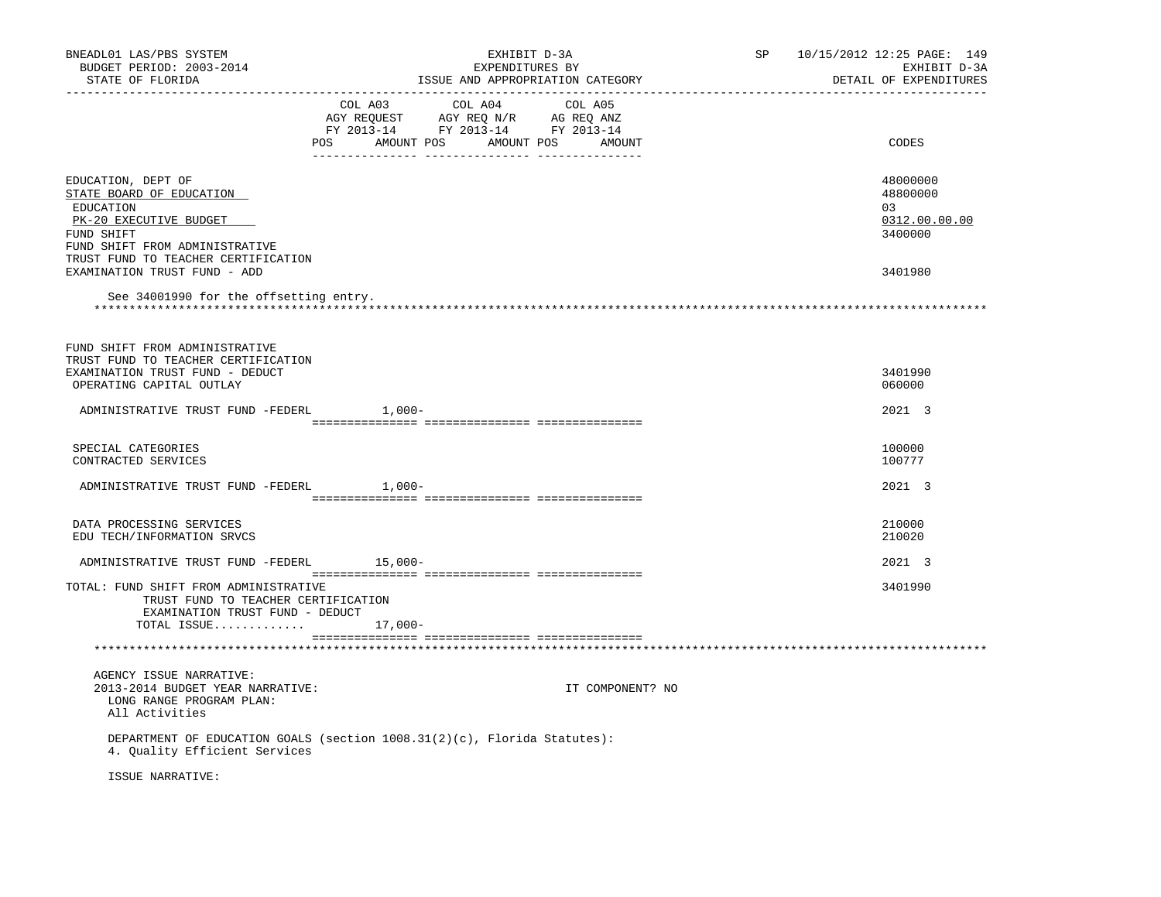| BNEADL01 LAS/PBS SYSTEM<br>BUDGET PERIOD: 2003-2014<br>STATE OF FLORIDA                                                                                                      |           | EXHIBIT D-3A<br>EXPENDITURES BY                                                                                                  | ISSUE AND APPROPRIATION CATEGORY | SP | 10/15/2012 12:25 PAGE: 149<br>EXHIBIT D-3A<br>DETAIL OF EXPENDITURES |
|------------------------------------------------------------------------------------------------------------------------------------------------------------------------------|-----------|----------------------------------------------------------------------------------------------------------------------------------|----------------------------------|----|----------------------------------------------------------------------|
|                                                                                                                                                                              | COL A03   | COL A04<br>COL AUS<br>AGY REQUEST AGY REQ N/R AG REQ ANZ<br>FY 2013-14 FY 2013-14 FY 2013-14<br>POS AMOUNT POS AMOUNT POS AMOUNT | COL A05                          |    | CODES                                                                |
| EDUCATION, DEPT OF<br>STATE BOARD OF EDUCATION<br>EDUCATION<br>PK-20 EXECUTIVE BUDGET<br>FUND SHIFT<br>FUND SHIFT FROM ADMINISTRATIVE<br>TRUST FUND TO TEACHER CERTIFICATION |           |                                                                                                                                  |                                  |    | 48000000<br>48800000<br>03<br>0312.00.00.00<br>3400000               |
| EXAMINATION TRUST FUND - ADD<br>See 34001990 for the offsetting entry.                                                                                                       |           |                                                                                                                                  |                                  |    | 3401980                                                              |
| FUND SHIFT FROM ADMINISTRATIVE<br>TRUST FUND TO TEACHER CERTIFICATION<br>EXAMINATION TRUST FUND - DEDUCT<br>OPERATING CAPITAL OUTLAY                                         |           |                                                                                                                                  |                                  |    | 3401990<br>060000                                                    |
| ADMINISTRATIVE TRUST FUND -FEDERL 1,000-                                                                                                                                     |           |                                                                                                                                  |                                  |    | 2021 3                                                               |
| SPECIAL CATEGORIES<br>CONTRACTED SERVICES                                                                                                                                    |           |                                                                                                                                  |                                  |    | 100000<br>100777                                                     |
| ADMINISTRATIVE TRUST FUND -FEDERL 1,000-                                                                                                                                     |           |                                                                                                                                  |                                  |    | 2021 3                                                               |
| DATA PROCESSING SERVICES<br>EDU TECH/INFORMATION SRVCS                                                                                                                       |           |                                                                                                                                  |                                  |    | 210000<br>210020                                                     |
| ADMINISTRATIVE TRUST FUND -FEDERL 15,000-                                                                                                                                    |           |                                                                                                                                  |                                  |    | 2021 3                                                               |
| TOTAL: FUND SHIFT FROM ADMINISTRATIVE<br>TRUST FUND TO TEACHER CERTIFICATION<br>EXAMINATION TRUST FUND - DEDUCT<br>TOTAL ISSUE                                               | $17,000-$ |                                                                                                                                  |                                  |    | 3401990                                                              |
|                                                                                                                                                                              |           |                                                                                                                                  |                                  |    |                                                                      |
| AGENCY ISSUE NARRATIVE:<br>2013-2014 BUDGET YEAR NARRATIVE:<br>LONG RANGE PROGRAM PLAN:<br>All Activities                                                                    |           |                                                                                                                                  | IT COMPONENT? NO                 |    |                                                                      |
| DEPARTMENT OF EDUCATION GOALS (section 1008.31(2)(c), Florida Statutes):<br>4. Quality Efficient Services                                                                    |           |                                                                                                                                  |                                  |    |                                                                      |
| ISSUE NARRATIVE:                                                                                                                                                             |           |                                                                                                                                  |                                  |    |                                                                      |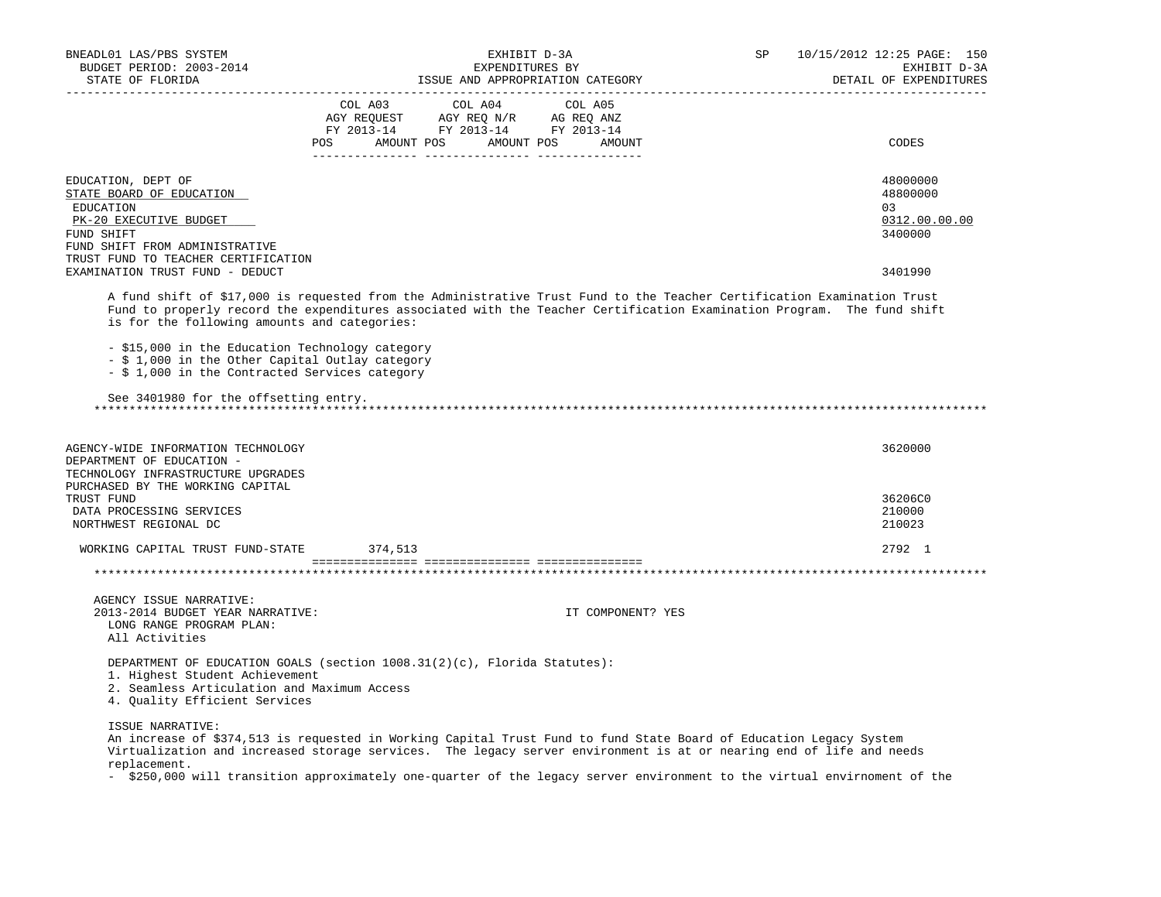| BNEADL01 LAS/PBS SYSTEM<br>BUDGET PERIOD: 2003-2014<br>STATE OF FLORIDA                                                                                                                                                                                                                                                                                                                                                                                                                            |                | EXHIBIT D-3A<br>EXPENDITURES BY                                                                                      | ISSUE AND APPROPRIATION CATEGORY                                                                               | SP | 10/15/2012 12:25 PAGE: 150<br>EXHIBIT D-3A<br>DETAIL OF EXPENDITURES |
|----------------------------------------------------------------------------------------------------------------------------------------------------------------------------------------------------------------------------------------------------------------------------------------------------------------------------------------------------------------------------------------------------------------------------------------------------------------------------------------------------|----------------|----------------------------------------------------------------------------------------------------------------------|----------------------------------------------------------------------------------------------------------------|----|----------------------------------------------------------------------|
|                                                                                                                                                                                                                                                                                                                                                                                                                                                                                                    | COL A03<br>POS | COL A04<br>CO AGY REQUEST AGY REQ N/R AG REQ ANZ<br>FY 2013-14 FY 2013-14 FY 2013-14<br>AMOUNT POS AMOUNT POS AMOUNT | COL A05                                                                                                        |    | CODES                                                                |
|                                                                                                                                                                                                                                                                                                                                                                                                                                                                                                    |                |                                                                                                                      |                                                                                                                |    |                                                                      |
| EDUCATION, DEPT OF<br>STATE BOARD OF EDUCATION<br>EDUCATION<br>PK-20 EXECUTIVE BUDGET<br>FUND SHIFT<br>FUND SHIFT FROM ADMINISTRATIVE                                                                                                                                                                                                                                                                                                                                                              |                |                                                                                                                      |                                                                                                                |    | 48000000<br>48800000<br>03<br>0312.00.00.00<br>3400000               |
| TRUST FUND TO TEACHER CERTIFICATION                                                                                                                                                                                                                                                                                                                                                                                                                                                                |                |                                                                                                                      |                                                                                                                |    |                                                                      |
| EXAMINATION TRUST FUND - DEDUCT                                                                                                                                                                                                                                                                                                                                                                                                                                                                    |                |                                                                                                                      |                                                                                                                |    | 3401990                                                              |
| A fund shift of \$17,000 is requested from the Administrative Trust Fund to the Teacher Certification Examination Trust<br>Fund to properly record the expenditures associated with the Teacher Certification Examination Program. The fund shift<br>is for the following amounts and categories:<br>- \$15,000 in the Education Technology category<br>- \$ 1,000 in the Other Capital Outlay category<br>- \$ 1,000 in the Contracted Services category<br>See 3401980 for the offsetting entry. |                |                                                                                                                      |                                                                                                                |    |                                                                      |
| AGENCY-WIDE INFORMATION TECHNOLOGY<br>DEPARTMENT OF EDUCATION -                                                                                                                                                                                                                                                                                                                                                                                                                                    |                |                                                                                                                      |                                                                                                                |    | 3620000                                                              |
| TECHNOLOGY INFRASTRUCTURE UPGRADES                                                                                                                                                                                                                                                                                                                                                                                                                                                                 |                |                                                                                                                      |                                                                                                                |    |                                                                      |
| PURCHASED BY THE WORKING CAPITAL<br>TRUST FUND                                                                                                                                                                                                                                                                                                                                                                                                                                                     |                |                                                                                                                      |                                                                                                                |    | 36206C0                                                              |
| DATA PROCESSING SERVICES                                                                                                                                                                                                                                                                                                                                                                                                                                                                           |                |                                                                                                                      |                                                                                                                |    | 210000                                                               |
| NORTHWEST REGIONAL DC                                                                                                                                                                                                                                                                                                                                                                                                                                                                              |                |                                                                                                                      |                                                                                                                |    | 210023                                                               |
| WORKING CAPITAL TRUST FUND-STATE                                                                                                                                                                                                                                                                                                                                                                                                                                                                   | 374,513        |                                                                                                                      |                                                                                                                |    | 2792 1                                                               |
|                                                                                                                                                                                                                                                                                                                                                                                                                                                                                                    |                |                                                                                                                      |                                                                                                                |    |                                                                      |
|                                                                                                                                                                                                                                                                                                                                                                                                                                                                                                    |                |                                                                                                                      |                                                                                                                |    |                                                                      |
| AGENCY ISSUE NARRATIVE:<br>2013-2014 BUDGET YEAR NARRATIVE:<br>LONG RANGE PROGRAM PLAN:<br>All Activities                                                                                                                                                                                                                                                                                                                                                                                          |                |                                                                                                                      | IT COMPONENT? YES                                                                                              |    |                                                                      |
| DEPARTMENT OF EDUCATION GOALS (section 1008.31(2)(c), Florida Statutes):<br>1. Highest Student Achievement<br>2. Seamless Articulation and Maximum Access<br>4. Quality Efficient Services                                                                                                                                                                                                                                                                                                         |                |                                                                                                                      |                                                                                                                |    |                                                                      |
| ISSUE NARRATIVE:<br>An increase of \$374,513 is requested in Working Capital Trust Fund to fund State Board of Education Legacy System                                                                                                                                                                                                                                                                                                                                                             |                |                                                                                                                      | 그 그 아이들은 그 사람들은 그 사람들의 사람들을 지르며 그 사람들을 지르며 그 사람들을 지르며 그 사람들을 지르며 그 사람들을 지르며 그 사람들을 지르며 그 사람들을 지르며 그 사람들을 지르며 그 |    |                                                                      |

 Virtualization and increased storage services. The legacy server environment is at or nearing end of life and needs replacement.

- \$250,000 will transition approximately one-quarter of the legacy server environment to the virtual envirnoment of the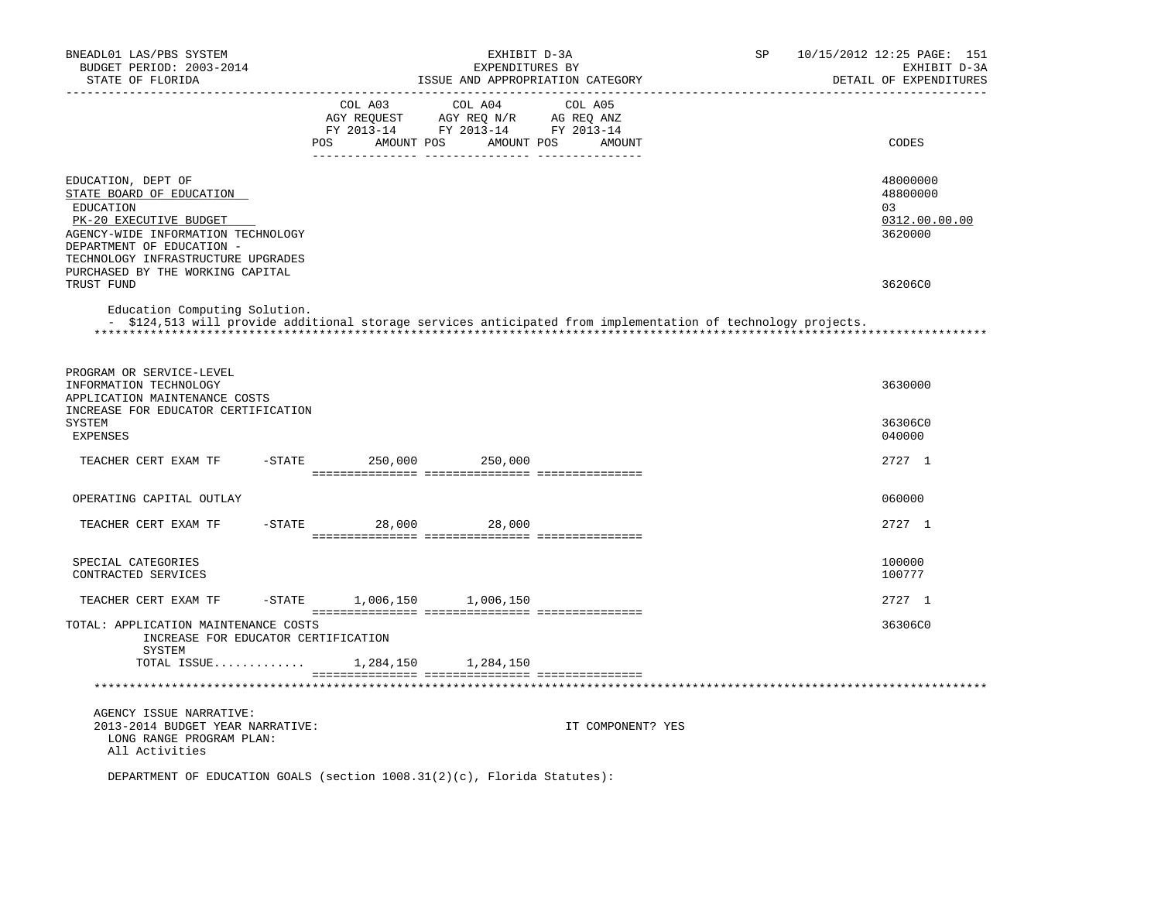| BNEADL01 LAS/PBS SYSTEM<br>BUDGET PERIOD: 2003-2014<br>STATE OF FLORIDA                                                                                                                                                            |                | EXHIBIT D-3A<br>EXPENDITURES BY<br>ISSUE AND APPROPRIATION CATEGORY                                               |                   | SP | 10/15/2012 12:25 PAGE: 151<br>EXHIBIT D-3A<br>DETAIL OF EXPENDITURES |
|------------------------------------------------------------------------------------------------------------------------------------------------------------------------------------------------------------------------------------|----------------|-------------------------------------------------------------------------------------------------------------------|-------------------|----|----------------------------------------------------------------------|
| _________________                                                                                                                                                                                                                  | COL A03<br>POS | COL A04<br>AGY REQUEST AGY REQ N/R AG REQ ANZ<br>FY 2013-14 FY 2013-14 FY 2013-14<br>AMOUNT POS AMOUNT POS AMOUNT | COL A05           |    | CODES                                                                |
| EDUCATION, DEPT OF<br>STATE BOARD OF EDUCATION<br>EDUCATION<br>PK-20 EXECUTIVE BUDGET<br>AGENCY-WIDE INFORMATION TECHNOLOGY<br>DEPARTMENT OF EDUCATION -<br>TECHNOLOGY INFRASTRUCTURE UPGRADES<br>PURCHASED BY THE WORKING CAPITAL |                |                                                                                                                   |                   |    | 48000000<br>48800000<br>03<br>0312.00.00.00<br>3620000               |
| TRUST FUND<br>Education Computing Solution.<br>- \$124,513 will provide additional storage services anticipated from implementation of technology projects.                                                                        |                |                                                                                                                   |                   |    | 36206C0                                                              |
| PROGRAM OR SERVICE-LEVEL<br>INFORMATION TECHNOLOGY<br>APPLICATION MAINTENANCE COSTS                                                                                                                                                |                |                                                                                                                   |                   |    | 3630000                                                              |
| INCREASE FOR EDUCATOR CERTIFICATION<br>SYSTEM<br><b>EXPENSES</b>                                                                                                                                                                   |                |                                                                                                                   |                   |    | 36306C0<br>040000                                                    |
| TEACHER CERT EXAM TF                                                                                                                                                                                                               | $-STATE$       | 250,000 250,000                                                                                                   |                   |    | 2727 1                                                               |
| OPERATING CAPITAL OUTLAY                                                                                                                                                                                                           |                |                                                                                                                   |                   |    | 060000                                                               |
| TEACHER CERT EXAM TF                                                                                                                                                                                                               | $-STATE$       | 28,000 28,000                                                                                                     |                   |    | 2727 1                                                               |
| SPECIAL CATEGORIES<br>CONTRACTED SERVICES                                                                                                                                                                                          |                |                                                                                                                   |                   |    | 100000<br>100777                                                     |
| TEACHER CERT EXAM TF                                                                                                                                                                                                               | $-$ STATE      | 1,006,150 1,006,150                                                                                               |                   |    | 2727 1                                                               |
| TOTAL: APPLICATION MAINTENANCE COSTS<br>INCREASE FOR EDUCATOR CERTIFICATION                                                                                                                                                        |                |                                                                                                                   |                   |    | 36306C0                                                              |
| SYSTEM<br>TOTAL ISSUE                                                                                                                                                                                                              |                | 1,284,150 1,284,150                                                                                               |                   |    |                                                                      |
|                                                                                                                                                                                                                                    |                |                                                                                                                   |                   |    |                                                                      |
| AGENCY ISSUE NARRATIVE:<br>2013-2014 BUDGET YEAR NARRATIVE:<br>LONG RANGE PROGRAM PLAN:<br>All Activities                                                                                                                          |                |                                                                                                                   | IT COMPONENT? YES |    |                                                                      |
| DEPARTMENT OF EDUCATION GOALS (section $1008.31(2)(c)$ , Florida Statutes):                                                                                                                                                        |                |                                                                                                                   |                   |    |                                                                      |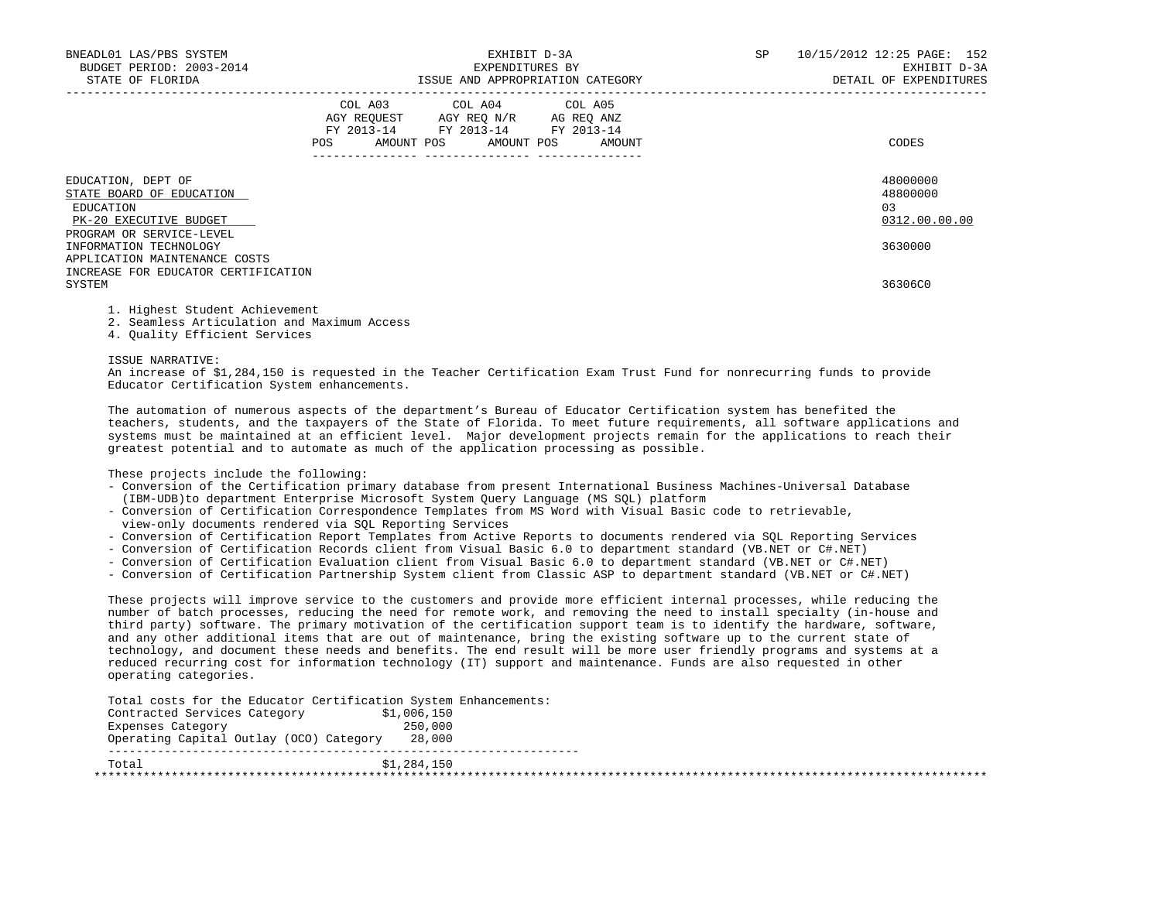| BNEADL01 LAS/PBS SYSTEM<br>BUDGET PERIOD: 2003-2014<br>STATE OF FLORIDA                                           | EXHIBIT D-3A<br>EXPENDITURES BY<br>ISSUE AND APPROPRIATION CATEGORY |  |                                                                                                                            |  |        |  | 10/15/2012 12:25 PAGE: 152<br>EXHIBIT D-3A<br>DETAIL OF EXPENDITURES |
|-------------------------------------------------------------------------------------------------------------------|---------------------------------------------------------------------|--|----------------------------------------------------------------------------------------------------------------------------|--|--------|--|----------------------------------------------------------------------|
|                                                                                                                   | <b>POS</b>                                                          |  | COL A03 COL A04 COL A05<br>AGY REOUEST AGY REO N/R AG REO ANZ<br>FY 2013-14 FY 2013-14 FY 2013-14<br>AMOUNT POS AMOUNT POS |  | AMOUNT |  | CODES                                                                |
| EDUCATION, DEPT OF<br>STATE BOARD OF EDUCATION<br>EDUCATION<br>PK-20 EXECUTIVE BUDGET<br>PROGRAM OR SERVICE-LEVEL |                                                                     |  |                                                                                                                            |  |        |  | 48000000<br>48800000<br>0.3<br>0312.00.00.00                         |
| INFORMATION TECHNOLOGY<br>APPLICATION MAINTENANCE COSTS<br>INCREASE FOR EDUCATOR CERTIFICATION<br>SYSTEM          |                                                                     |  |                                                                                                                            |  |        |  | 3630000<br>36306C0                                                   |

1. Highest Student Achievement

2. Seamless Articulation and Maximum Access

4. Quality Efficient Services

ISSUE NARRATIVE:

 An increase of \$1,284,150 is requested in the Teacher Certification Exam Trust Fund for nonrecurring funds to provide Educator Certification System enhancements.

 The automation of numerous aspects of the department's Bureau of Educator Certification system has benefited the teachers, students, and the taxpayers of the State of Florida. To meet future requirements, all software applications and systems must be maintained at an efficient level. Major development projects remain for the applications to reach their greatest potential and to automate as much of the application processing as possible.

These projects include the following:

- Conversion of the Certification primary database from present International Business Machines-Universal Database (IBM-UDB)to department Enterprise Microsoft System Query Language (MS SQL) platform
- Conversion of Certification Correspondence Templates from MS Word with Visual Basic code to retrievable, view-only documents rendered via SQL Reporting Services
- Conversion of Certification Report Templates from Active Reports to documents rendered via SQL Reporting Services
- Conversion of Certification Records client from Visual Basic 6.0 to department standard (VB.NET or C#.NET)
- Conversion of Certification Evaluation client from Visual Basic 6.0 to department standard (VB.NET or C#.NET)
- Conversion of Certification Partnership System client from Classic ASP to department standard (VB.NET or C#.NET)

 These projects will improve service to the customers and provide more efficient internal processes, while reducing the number of batch processes, reducing the need for remote work, and removing the need to install specialty (in-house and third party) software. The primary motivation of the certification support team is to identify the hardware, software, and any other additional items that are out of maintenance, bring the existing software up to the current state of technology, and document these needs and benefits. The end result will be more user friendly programs and systems at a reduced recurring cost for information technology (IT) support and maintenance. Funds are also requested in other operating categories.

Total costs for the Educator Certification System Enhancements:

| Contracted Services Category            | \$1,006,150 |  |
|-----------------------------------------|-------------|--|
| Expenses Category                       | 250,000     |  |
| Operating Capital Outlay (OCO) Category | 28,000      |  |
| Total                                   | \$1,284,150 |  |
|                                         |             |  |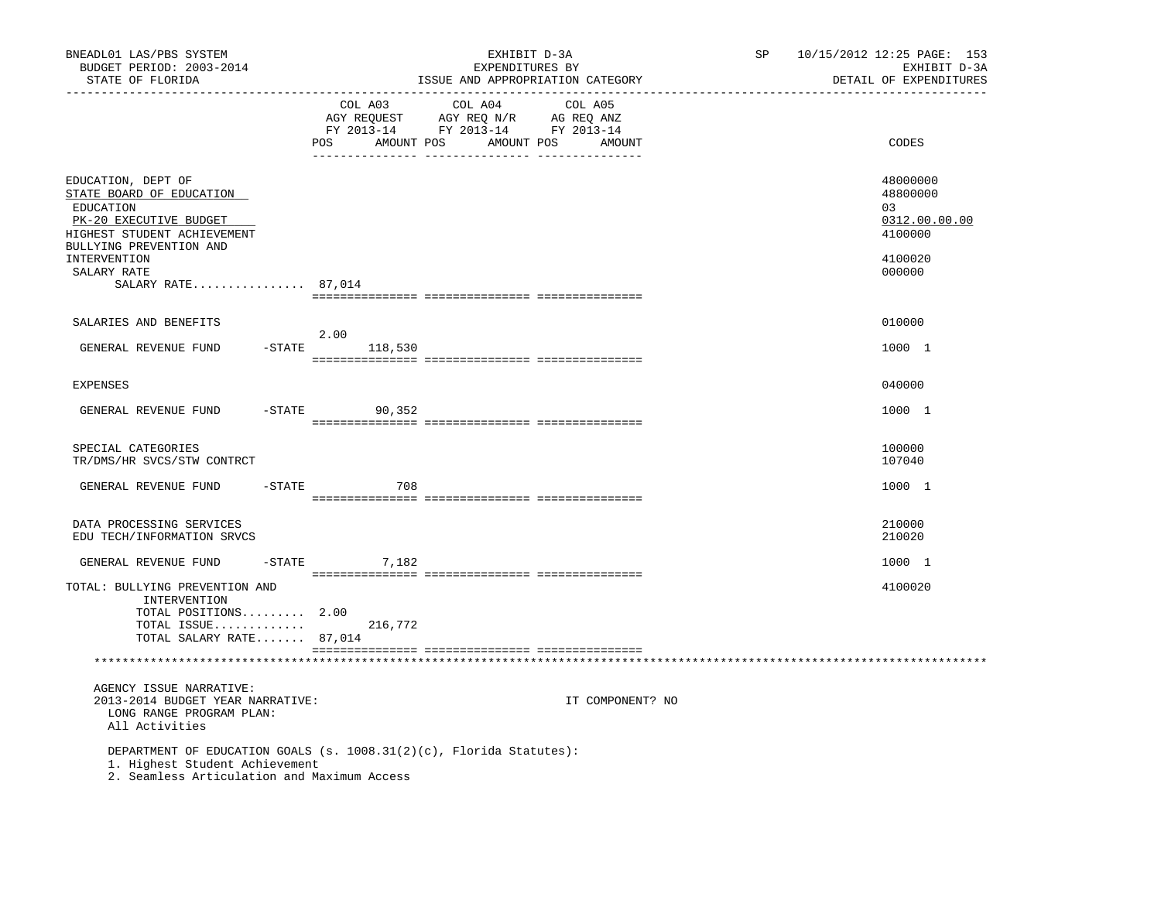| BNEADL01 LAS/PBS SYSTEM<br>BUDGET PERIOD: 2003-2014<br>STATE OF FLORIDA                                                                              |           | ------------------------------ |         | EXHIBIT D-3A<br>EXPENDITURES BY<br>ISSUE AND APPROPRIATION CATEGORY                                    | ----------------- |                  | SP | 10/15/2012 12:25 PAGE: 153<br>EXHIBIT D-3A<br>DETAIL OF EXPENDITURES |
|------------------------------------------------------------------------------------------------------------------------------------------------------|-----------|--------------------------------|---------|--------------------------------------------------------------------------------------------------------|-------------------|------------------|----|----------------------------------------------------------------------|
|                                                                                                                                                      |           | COL A03<br>POS AMOUNT POS      |         | COL A04<br>AGY REQUEST AGY REQ N/R AG REQ ANZ<br>FY 2013-14 FY 2013-14 FY 2013-14<br>AMOUNT POS AMOUNT | COL A05           |                  |    | CODES                                                                |
| EDUCATION, DEPT OF<br>STATE BOARD OF EDUCATION<br>EDUCATION<br>PK-20 EXECUTIVE BUDGET<br>HIGHEST STUDENT ACHIEVEMENT<br>BULLYING PREVENTION AND      |           |                                |         |                                                                                                        |                   |                  |    | 48000000<br>48800000<br>03<br>0312.00.00.00<br>4100000               |
| INTERVENTION<br>SALARY RATE<br>SALARY RATE $87,014$                                                                                                  |           |                                |         |                                                                                                        |                   |                  |    | 4100020<br>000000                                                    |
|                                                                                                                                                      |           |                                |         |                                                                                                        |                   |                  |    |                                                                      |
| SALARIES AND BENEFITS                                                                                                                                |           | 2.00                           |         |                                                                                                        |                   |                  |    | 010000                                                               |
| GENERAL REVENUE FUND                                                                                                                                 | $-STATE$  |                                | 118,530 |                                                                                                        |                   |                  |    | 1000 1                                                               |
| EXPENSES                                                                                                                                             |           |                                |         |                                                                                                        |                   |                  |    | 040000                                                               |
| GENERAL REVENUE FUND                                                                                                                                 | $-$ STATE |                                | 90,352  |                                                                                                        |                   |                  |    | 1000 1                                                               |
| SPECIAL CATEGORIES<br>TR/DMS/HR SVCS/STW CONTRCT                                                                                                     |           |                                |         |                                                                                                        |                   |                  |    | 100000<br>107040                                                     |
| GENERAL REVENUE FUND                                                                                                                                 | $-$ STATE |                                | 708     |                                                                                                        |                   |                  |    | 1000 1                                                               |
| DATA PROCESSING SERVICES<br>EDU TECH/INFORMATION SRVCS                                                                                               |           |                                |         |                                                                                                        |                   |                  |    | 210000<br>210020                                                     |
| GENERAL REVENUE FUND                                                                                                                                 |           | $-STATE$                       | 7,182   |                                                                                                        |                   |                  |    | 1000 1                                                               |
| TOTAL: BULLYING PREVENTION AND<br>INTERVENTION<br>TOTAL POSITIONS 2.00                                                                               |           |                                |         |                                                                                                        |                   |                  |    | 4100020                                                              |
| TOTAL ISSUE<br>TOTAL SALARY RATE 87,014                                                                                                              |           |                                | 216,772 |                                                                                                        |                   |                  |    |                                                                      |
|                                                                                                                                                      |           |                                |         |                                                                                                        |                   |                  |    |                                                                      |
| AGENCY ISSUE NARRATIVE:<br>2013-2014 BUDGET YEAR NARRATIVE:<br>LONG RANGE PROGRAM PLAN:<br>All Activities                                            |           |                                |         |                                                                                                        |                   | IT COMPONENT? NO |    |                                                                      |
| DEPARTMENT OF EDUCATION GOALS (s. 1008.31(2)(c), Florida Statutes):<br>1. Highest Student Achievement<br>2. Seamless Articulation and Maximum Access |           |                                |         |                                                                                                        |                   |                  |    |                                                                      |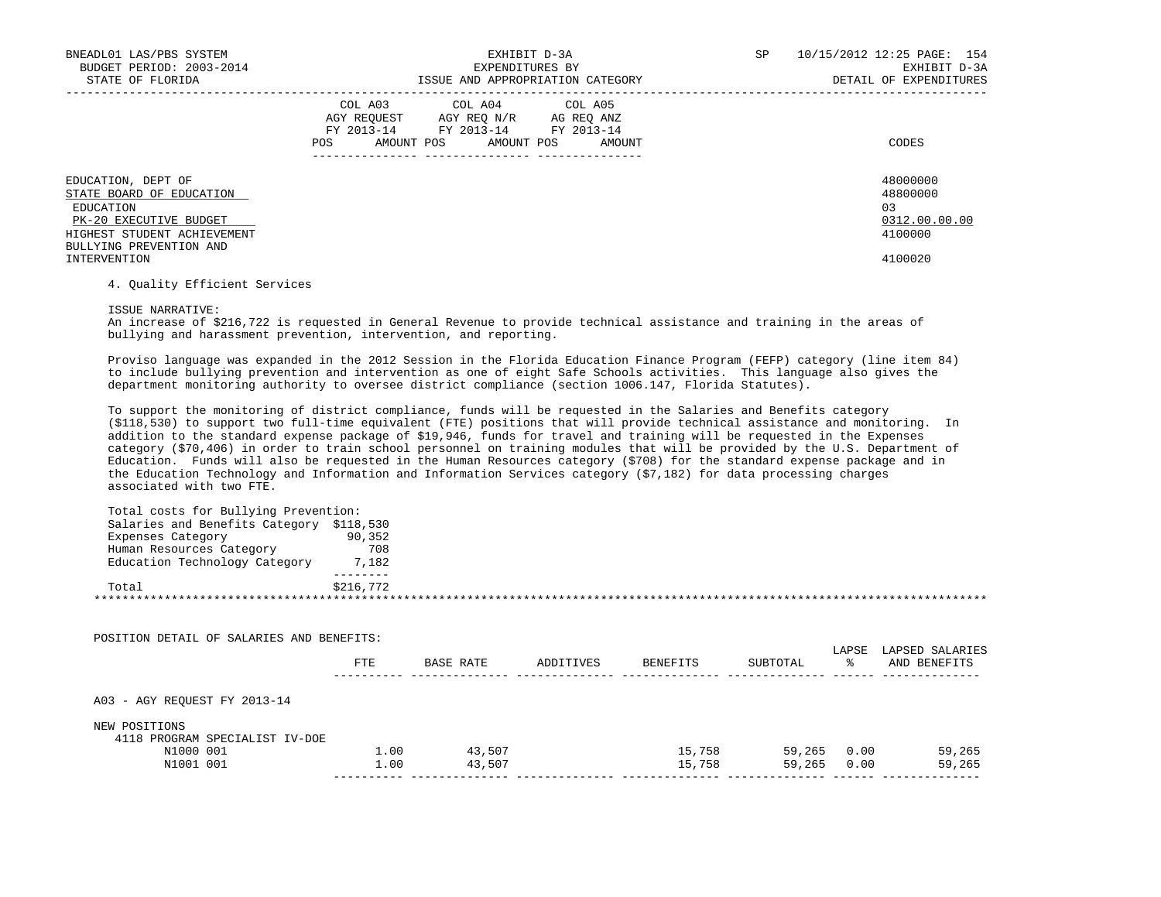| BNEADL01 LAS/PBS SYSTEM<br>BUDGET PERIOD: 2003-2014<br>STATE OF FLORIDA                                                                         | EXHIBIT D-3A<br>EXPENDITURES BY<br>ISSUE AND APPROPRIATION CATEGORY                                                                                     | 10/15/2012 12:25 PAGE: 154<br>SP.<br>EXHIBIT D-3A<br>DETAIL OF EXPENDITURES |
|-------------------------------------------------------------------------------------------------------------------------------------------------|---------------------------------------------------------------------------------------------------------------------------------------------------------|-----------------------------------------------------------------------------|
|                                                                                                                                                 | COL A03 COL A04 COL A05<br>AGY REOUEST<br>AGY REO N/R<br>AG REO ANZ<br>FY 2013-14<br>FY 2013-14 FY 2013-14<br>AMOUNT POS<br>AMOUNT POS<br>POS<br>AMOUNT | CODES                                                                       |
| EDUCATION, DEPT OF<br>STATE BOARD OF EDUCATION<br>EDUCATION<br>PK-20 EXECUTIVE BUDGET<br>HIGHEST STUDENT ACHIEVEMENT<br>BULLYING PREVENTION AND |                                                                                                                                                         | 48000000<br>48800000<br>03<br>0312.00.00.00<br>4100000                      |
| INTERVENTION                                                                                                                                    |                                                                                                                                                         | 4100020                                                                     |

## 4. Quality Efficient Services

ISSUE NARRATIVE:

 An increase of \$216,722 is requested in General Revenue to provide technical assistance and training in the areas of bullying and harassment prevention, intervention, and reporting.

 Proviso language was expanded in the 2012 Session in the Florida Education Finance Program (FEFP) category (line item 84) to include bullying prevention and intervention as one of eight Safe Schools activities. This language also gives the department monitoring authority to oversee district compliance (section 1006.147, Florida Statutes).

 To support the monitoring of district compliance, funds will be requested in the Salaries and Benefits category (\$118,530) to support two full-time equivalent (FTE) positions that will provide technical assistance and monitoring. In addition to the standard expense package of \$19,946, funds for travel and training will be requested in the Expenses category (\$70,406) in order to train school personnel on training modules that will be provided by the U.S. Department of Education. Funds will also be requested in the Human Resources category (\$708) for the standard expense package and in the Education Technology and Information and Information Services category (\$7,182) for data processing charges associated with two FTE.

| Total costs for Bullying Prevention:     |           |
|------------------------------------------|-----------|
| Salaries and Benefits Category \$118,530 |           |
| Expenses Category                        | 90,352    |
| Human Resources Category                 | 708       |
| Education Technology Category            | 7,182     |
|                                          |           |
| Total                                    | \$216,772 |
|                                          |           |
|                                          |           |

| POSITION DETAIL OF SALARIES AND BENEFITS: |      |           |           |                 |          |             |                                 |
|-------------------------------------------|------|-----------|-----------|-----------------|----------|-------------|---------------------------------|
|                                           | FTE  | BASE RATE | ADDITIVES | <b>BENEFITS</b> | SUBTOTAL | LAPSE<br>°≈ | LAPSED SALARIES<br>AND BENEFITS |
| A03 - AGY REOUEST FY 2013-14              |      |           |           |                 |          |             |                                 |
| NEW POSITIONS                             |      |           |           |                 |          |             |                                 |
| 4118 PROGRAM SPECIALIST IV-DOE            |      |           |           |                 |          |             |                                 |
| N1000 001                                 | 1.00 | 43,507    |           | 15,758          | 59,265   | 0.00        | 59,265                          |
| N1001 001                                 | 1.00 | 43,507    |           | 15,758          | 59,265   | 0.00        | 59,265                          |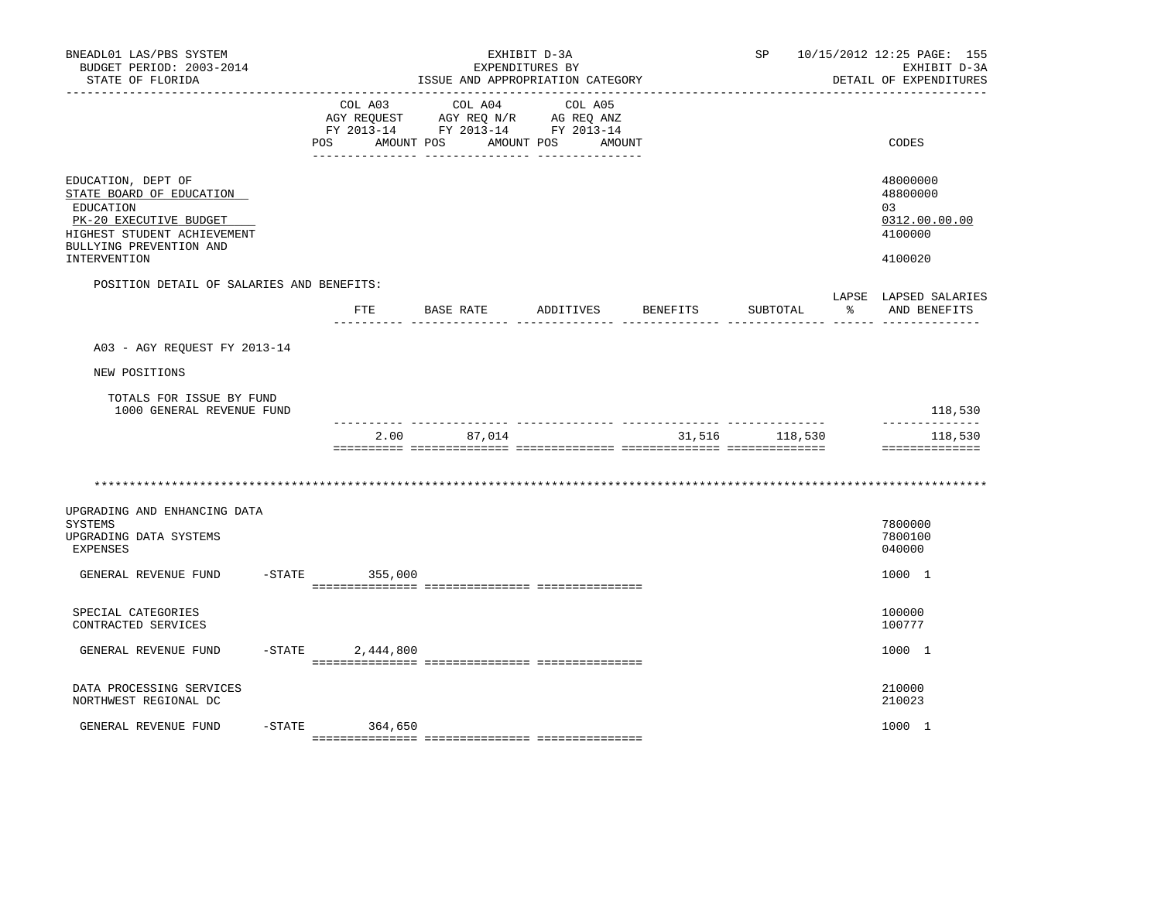| BNEADL01 LAS/PBS SYSTEM<br>BUDGET PERIOD: 2003-2014<br>STATE OF FLORIDA                                                                         | EXHIBIT D-3A<br>EXPENDITURES BY<br>ISSUE AND APPROPRIATION CATEGORY<br>-------------------------------- |                                                                                                                                                                                                                                                                                                     |                                 |                                | SP             | 10/15/2012 12:25 PAGE: 155<br>EXHIBIT D-3A<br>DETAIL OF EXPENDITURES |
|-------------------------------------------------------------------------------------------------------------------------------------------------|---------------------------------------------------------------------------------------------------------|-----------------------------------------------------------------------------------------------------------------------------------------------------------------------------------------------------------------------------------------------------------------------------------------------------|---------------------------------|--------------------------------|----------------|----------------------------------------------------------------------|
|                                                                                                                                                 | POS                                                                                                     | COL A03 COL A04<br>$\begin{tabular}{lllllll} \bf{AGY} & \bf{RcQ} & \bf{Mv} & \bf{Cv} & \bf{Mv} & \bf{RcQ} & \bf{Mv} \\ \bf{AGY} & \bf{RcQ} & \bf{UEST} & \bf{AGY} & \bf{RcQ} & \bf{MNZ} \\ \bf{FY} & \bf{2013-14} & \bf{FY} & \bf{2013-14} & \bf{FY} & \bf{2013-14} \\ \end{tabular}$<br>AMOUNT POS | COL A05<br>AMOUNT POS<br>AMOUNT |                                |                | CODES                                                                |
| EDUCATION, DEPT OF<br>STATE BOARD OF EDUCATION<br>EDUCATION<br>PK-20 EXECUTIVE BUDGET<br>HIGHEST STUDENT ACHIEVEMENT<br>BULLYING PREVENTION AND |                                                                                                         |                                                                                                                                                                                                                                                                                                     |                                 |                                |                | 48000000<br>48800000<br>03<br>0312.00.00.00<br>4100000               |
| <b>INTERVENTION</b>                                                                                                                             |                                                                                                         |                                                                                                                                                                                                                                                                                                     |                                 |                                |                | 4100020                                                              |
| POSITION DETAIL OF SALARIES AND BENEFITS:                                                                                                       | FTE                                                                                                     | BASE RATE ADDITIVES                                                                                                                                                                                                                                                                                 |                                 | BENEFITS                       | SUBTOTAL       | LAPSE LAPSED SALARIES<br>AND BENEFITS                                |
|                                                                                                                                                 |                                                                                                         |                                                                                                                                                                                                                                                                                                     |                                 |                                |                |                                                                      |
| A03 - AGY REQUEST FY 2013-14                                                                                                                    |                                                                                                         |                                                                                                                                                                                                                                                                                                     |                                 |                                |                |                                                                      |
| NEW POSITIONS                                                                                                                                   |                                                                                                         |                                                                                                                                                                                                                                                                                                     |                                 |                                |                |                                                                      |
| TOTALS FOR ISSUE BY FUND<br>1000 GENERAL REVENUE FUND                                                                                           |                                                                                                         |                                                                                                                                                                                                                                                                                                     |                                 |                                |                | 118,530                                                              |
|                                                                                                                                                 | 2.00                                                                                                    | -------------- --------------- --<br>87,014                                                                                                                                                                                                                                                         |                                 | ------------- ---------------- | 31,516 118,530 | --------------<br>118,530<br>==============                          |
|                                                                                                                                                 |                                                                                                         |                                                                                                                                                                                                                                                                                                     |                                 |                                |                |                                                                      |
| UPGRADING AND ENHANCING DATA<br><b>SYSTEMS</b><br>UPGRADING DATA SYSTEMS<br><b>EXPENSES</b>                                                     |                                                                                                         |                                                                                                                                                                                                                                                                                                     |                                 |                                |                | 7800000<br>7800100<br>040000                                         |
| GENERAL REVENUE FUND                                                                                                                            | $-STATE$ 355,000                                                                                        |                                                                                                                                                                                                                                                                                                     |                                 |                                |                | 1000 1                                                               |
| SPECIAL CATEGORIES<br>CONTRACTED SERVICES                                                                                                       |                                                                                                         |                                                                                                                                                                                                                                                                                                     |                                 |                                |                | 100000<br>100777                                                     |
| GENERAL REVENUE FUND                                                                                                                            | $-$ STATE 2,444,800                                                                                     |                                                                                                                                                                                                                                                                                                     |                                 |                                |                | 1000 1                                                               |
| DATA PROCESSING SERVICES<br>NORTHWEST REGIONAL DC                                                                                               |                                                                                                         |                                                                                                                                                                                                                                                                                                     |                                 |                                |                | 210000<br>210023                                                     |
| GENERAL REVENUE FUND                                                                                                                            | $-STATE$ 364,650                                                                                        |                                                                                                                                                                                                                                                                                                     |                                 |                                |                | 1000 1                                                               |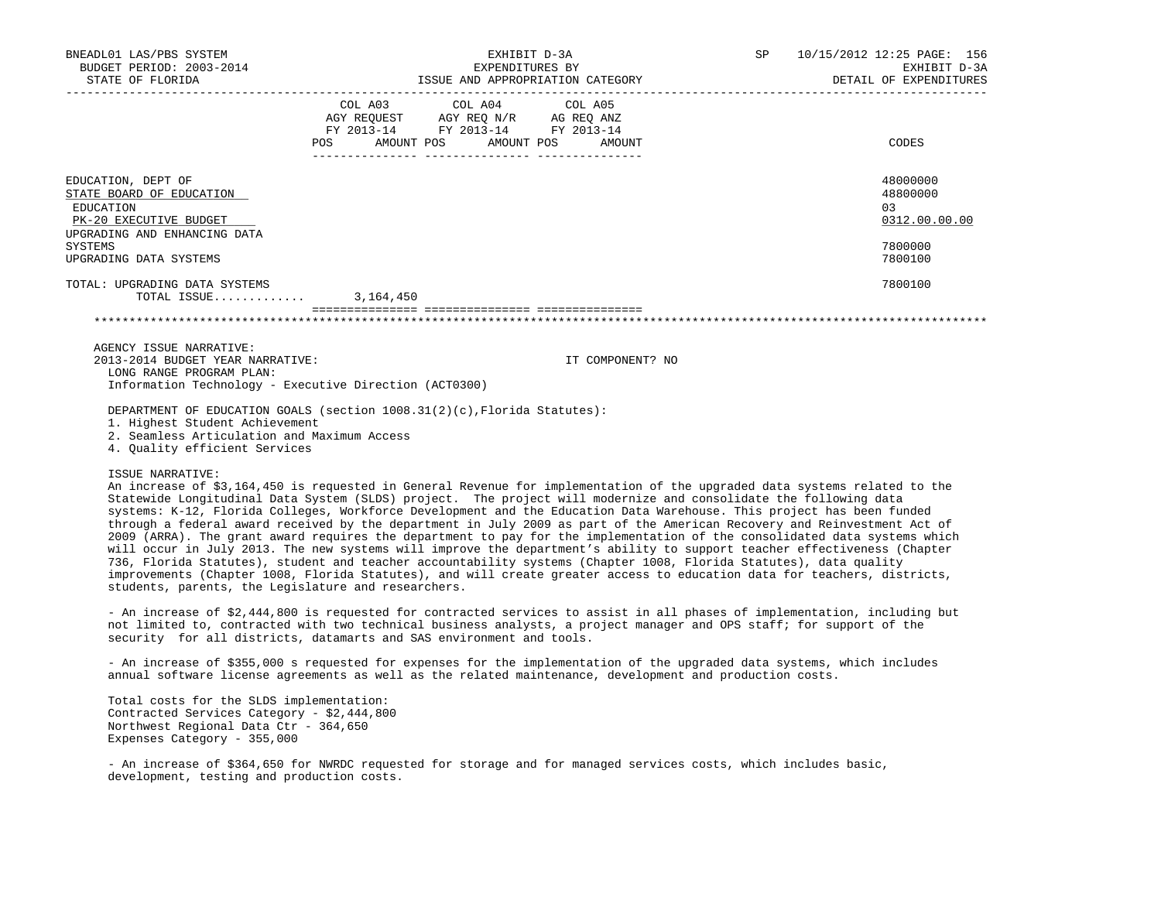| BNEADL01 LAS/PBS SYSTEM<br>BUDGET PERIOD: 2003-2014<br>STATE OF FLORIDA     |                                                                           | EXHIBIT D-3A<br>EXPENDITURES BY                               | ISSUE AND APPROPRIATION CATEGORY |  | SP 10/15/2012 12:25 PAGE: 156<br>EXHIBIT D-3A<br>DETAIL OF EXPENDITURES |  |
|-----------------------------------------------------------------------------|---------------------------------------------------------------------------|---------------------------------------------------------------|----------------------------------|--|-------------------------------------------------------------------------|--|
|                                                                             |                                                                           | COL A03 COL A04 COL A05<br>AGY REQUEST AGY REQ N/R AG REQ ANZ |                                  |  |                                                                         |  |
|                                                                             |                                                                           | FY 2013-14 FY 2013-14 FY 2013-14                              |                                  |  |                                                                         |  |
|                                                                             | POS AMOUNT POS AMOUNT POS AMOUNT<br>_____________________________________ |                                                               |                                  |  | CODES                                                                   |  |
| EDUCATION, DEPT OF                                                          |                                                                           |                                                               |                                  |  | 48000000                                                                |  |
| STATE BOARD OF EDUCATION                                                    |                                                                           |                                                               |                                  |  | 48800000                                                                |  |
| EDUCATION                                                                   |                                                                           |                                                               |                                  |  | 0.3                                                                     |  |
| PK-20 EXECUTIVE BUDGET                                                      |                                                                           |                                                               |                                  |  | 0312.00.00.00                                                           |  |
| UPGRADING AND ENHANCING DATA                                                |                                                                           |                                                               |                                  |  |                                                                         |  |
| SYSTEMS                                                                     |                                                                           |                                                               |                                  |  | 7800000                                                                 |  |
| UPGRADING DATA SYSTEMS                                                      |                                                                           |                                                               |                                  |  | 7800100                                                                 |  |
| TOTAL: UPGRADING DATA SYSTEMS                                               |                                                                           |                                                               |                                  |  | 7800100                                                                 |  |
| TOTAL ISSUE $3,164,450$                                                     |                                                                           |                                                               |                                  |  |                                                                         |  |
|                                                                             |                                                                           |                                                               |                                  |  |                                                                         |  |
| AGENCY ISSUE NARRATIVE:                                                     |                                                                           |                                                               |                                  |  |                                                                         |  |
| 2013-2014 BUDGET YEAR NARRATIVE:                                            |                                                                           |                                                               | IT COMPONENT? NO                 |  |                                                                         |  |
| LONG RANGE PROGRAM PLAN:                                                    |                                                                           |                                                               |                                  |  |                                                                         |  |
| Information Technology - Executive Direction (ACT0300)                      |                                                                           |                                                               |                                  |  |                                                                         |  |
| DEPARTMENT OF EDUCATION GOALS (section $1008.31(2)(c)$ , Florida Statutes): |                                                                           |                                                               |                                  |  |                                                                         |  |

1. Highest Student Achievement

2. Seamless Articulation and Maximum Access

4. Quality efficient Services

## ISSUE NARRATIVE:

 An increase of \$3,164,450 is requested in General Revenue for implementation of the upgraded data systems related to the Statewide Longitudinal Data System (SLDS) project. The project will modernize and consolidate the following data systems: K-12, Florida Colleges, Workforce Development and the Education Data Warehouse. This project has been funded through a federal award received by the department in July 2009 as part of the American Recovery and Reinvestment Act of 2009 (ARRA). The grant award requires the department to pay for the implementation of the consolidated data systems which will occur in July 2013. The new systems will improve the department's ability to support teacher effectiveness (Chapter 736, Florida Statutes), student and teacher accountability systems (Chapter 1008, Florida Statutes), data quality improvements (Chapter 1008, Florida Statutes), and will create greater access to education data for teachers, districts, students, parents, the Legislature and researchers.

 - An increase of \$2,444,800 is requested for contracted services to assist in all phases of implementation, including but not limited to, contracted with two technical business analysts, a project manager and OPS staff; for support of the security for all districts, datamarts and SAS environment and tools.

 - An increase of \$355,000 s requested for expenses for the implementation of the upgraded data systems, which includes annual software license agreements as well as the related maintenance, development and production costs.

 Total costs for the SLDS implementation: Contracted Services Category - \$2,444,800 Northwest Regional Data Ctr - 364,650 Expenses Category - 355,000

 - An increase of \$364,650 for NWRDC requested for storage and for managed services costs, which includes basic, development, testing and production costs.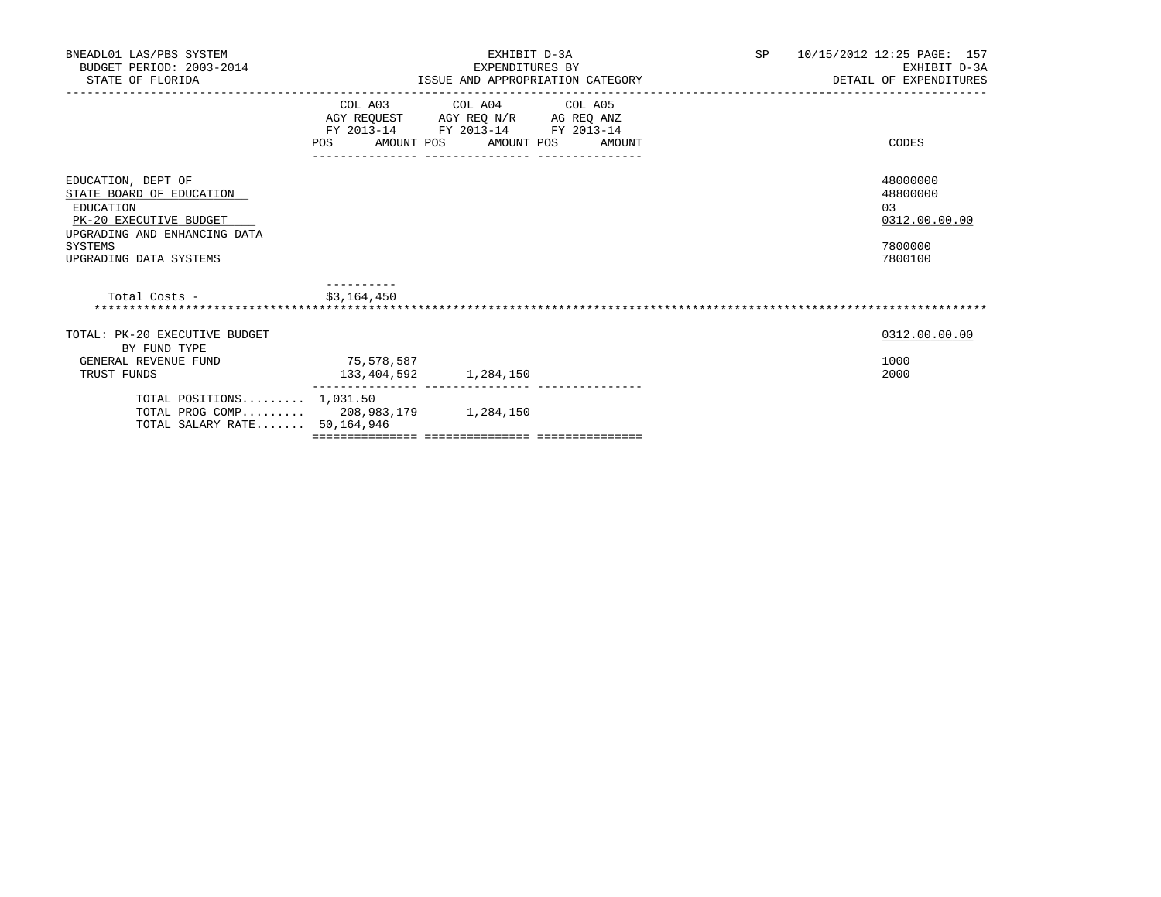| BNEADL01 LAS/PBS SYSTEM<br>BUDGET PERIOD: 2003-2014<br>STATE OF FLORIDA                                                                                    |                           | EXHIBIT D-3A<br>EXPENDITURES BY                             | ISSUE AND APPROPRIATION CATEGORY | SP | 10/15/2012 12:25 PAGE: 157<br>EXHIBIT D-3A<br>DETAIL OF EXPENDITURES |
|------------------------------------------------------------------------------------------------------------------------------------------------------------|---------------------------|-------------------------------------------------------------|----------------------------------|----|----------------------------------------------------------------------|
|                                                                                                                                                            | POS FOR                   | COL A03 COL A04 COL A05<br>FY 2013-14 FY 2013-14 FY 2013-14 | AMOUNT POS AMOUNT POS AMOUNT     |    | CODES                                                                |
| EDUCATION, DEPT OF<br>STATE BOARD OF EDUCATION<br>EDUCATION<br>PK-20 EXECUTIVE BUDGET<br>UPGRADING AND ENHANCING DATA<br>SYSTEMS<br>UPGRADING DATA SYSTEMS |                           |                                                             |                                  |    | 48000000<br>48800000<br>0.3<br>0312.00.00.00<br>7800000<br>7800100   |
| \$3,164,450<br>Total Costs -                                                                                                                               |                           |                                                             |                                  |    |                                                                      |
| TOTAL: PK-20 EXECUTIVE BUDGET<br>BY FUND TYPE<br>GENERAL REVENUE FUND<br>TRUST FUNDS                                                                       | 75,578,587<br>133,404,592 | 1,284,150                                                   |                                  |    | 0312.00.00.00<br>1000<br>2000                                        |
| TOTAL POSITIONS $1,031.50$<br>TOTAL PROG COMP 208,983,179 1,284,150<br>TOTAL SALARY RATE 50,164,946                                                        |                           |                                                             |                                  |    |                                                                      |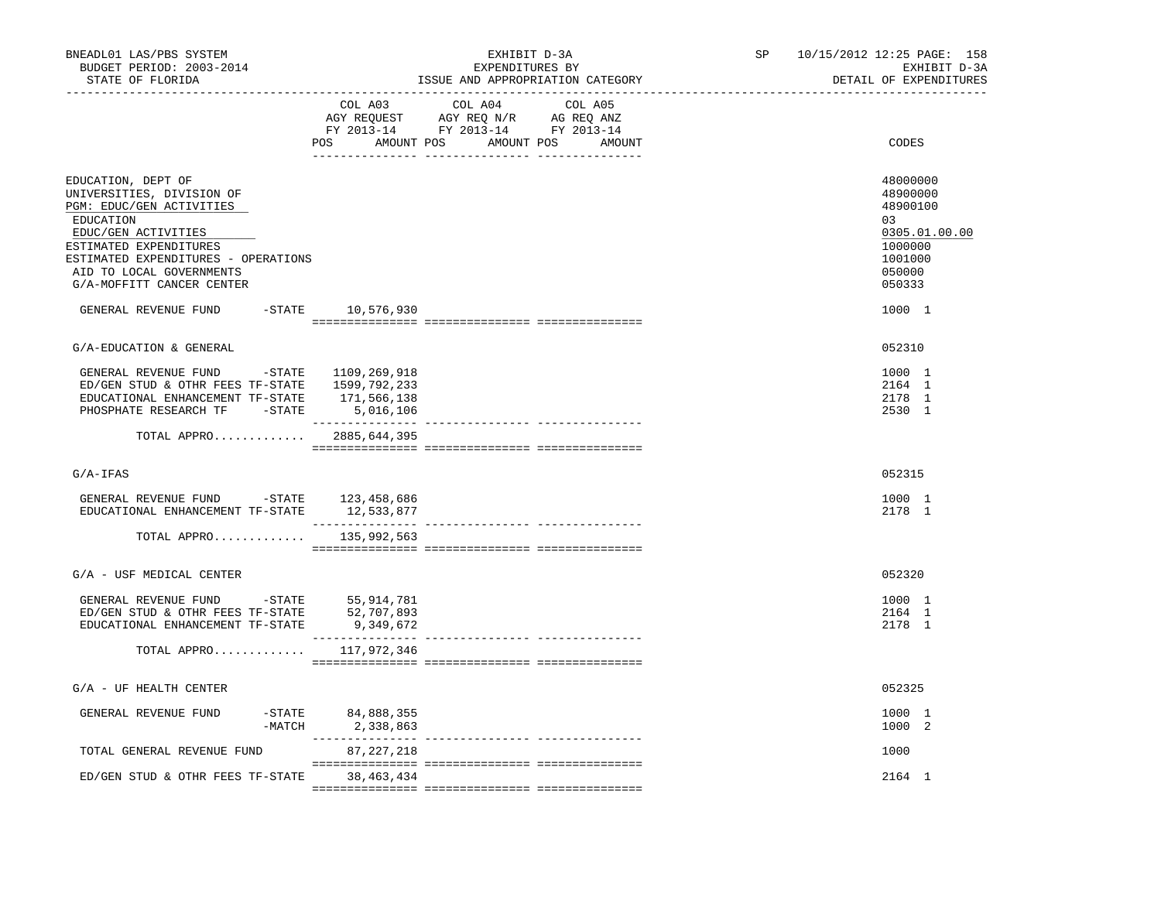|                                                                                                                                                                                        |         | ISSUE AND APPROPRIATION CATEGORY | EXHIBIT D-3A<br>DETAIL OF EXPENDITURES                                                                      |
|----------------------------------------------------------------------------------------------------------------------------------------------------------------------------------------|---------|----------------------------------|-------------------------------------------------------------------------------------------------------------|
| COL A03                                                                                                                                                                                | COL A04 | COL A05                          | CODES                                                                                                       |
| ESTIMATED EXPENDITURES - OPERATIONS<br>-STATE 10,576,930                                                                                                                               |         |                                  | 48000000<br>48900000<br>48900100<br>03<br>0305.01.00.00<br>1000000<br>1001000<br>050000<br>050333<br>1000 1 |
|                                                                                                                                                                                        |         |                                  |                                                                                                             |
|                                                                                                                                                                                        |         |                                  | 052310                                                                                                      |
| GENERAL REVENUE FUND -STATE 1109,269,918<br>ED/GEN STUD & OTHR FEES TF-STATE 1599,792,233<br>EDUCATIONAL ENHANCEMENT TF-STATE 171,566,138<br>PHOSPHATE RESEARCH TF -STATE<br>5,016,106 |         |                                  | 1000 1<br>2164 1<br>2178 1<br>2530 1                                                                        |
| TOTAL APPRO 2885,644,395                                                                                                                                                               |         |                                  |                                                                                                             |
|                                                                                                                                                                                        |         |                                  | 052315                                                                                                      |
| GENERAL REVENUE FUND -STATE 123,458,686<br>EDUCATIONAL ENHANCEMENT TF-STATE<br>12,533,877                                                                                              |         |                                  | 1000 1<br>2178 1                                                                                            |
| 135,992,563<br>TOTAL APPRO                                                                                                                                                             |         |                                  |                                                                                                             |
|                                                                                                                                                                                        |         |                                  | 052320                                                                                                      |
| GENERAL REVENUE FUND -STATE 55,914,781<br>ED/GEN STUD & OTHR FEES TF-STATE<br>52,707,893<br>9,349,672                                                                                  |         |                                  | 1000 1<br>2164 1<br>2178 1                                                                                  |
| TOTAL APPRO $117,972,346$                                                                                                                                                              |         |                                  |                                                                                                             |
|                                                                                                                                                                                        |         |                                  | 052325                                                                                                      |
| $-STATE$ 84,888,355<br>-MATCH<br>2,338,863                                                                                                                                             |         |                                  | 1000 1<br>1000 2                                                                                            |
| 87, 227, 218                                                                                                                                                                           |         |                                  | 1000                                                                                                        |
| 38,463,434                                                                                                                                                                             |         |                                  | 2164 1                                                                                                      |
|                                                                                                                                                                                        |         |                                  | POS AMOUNT POS AMOUNT POS AMOUNT                                                                            |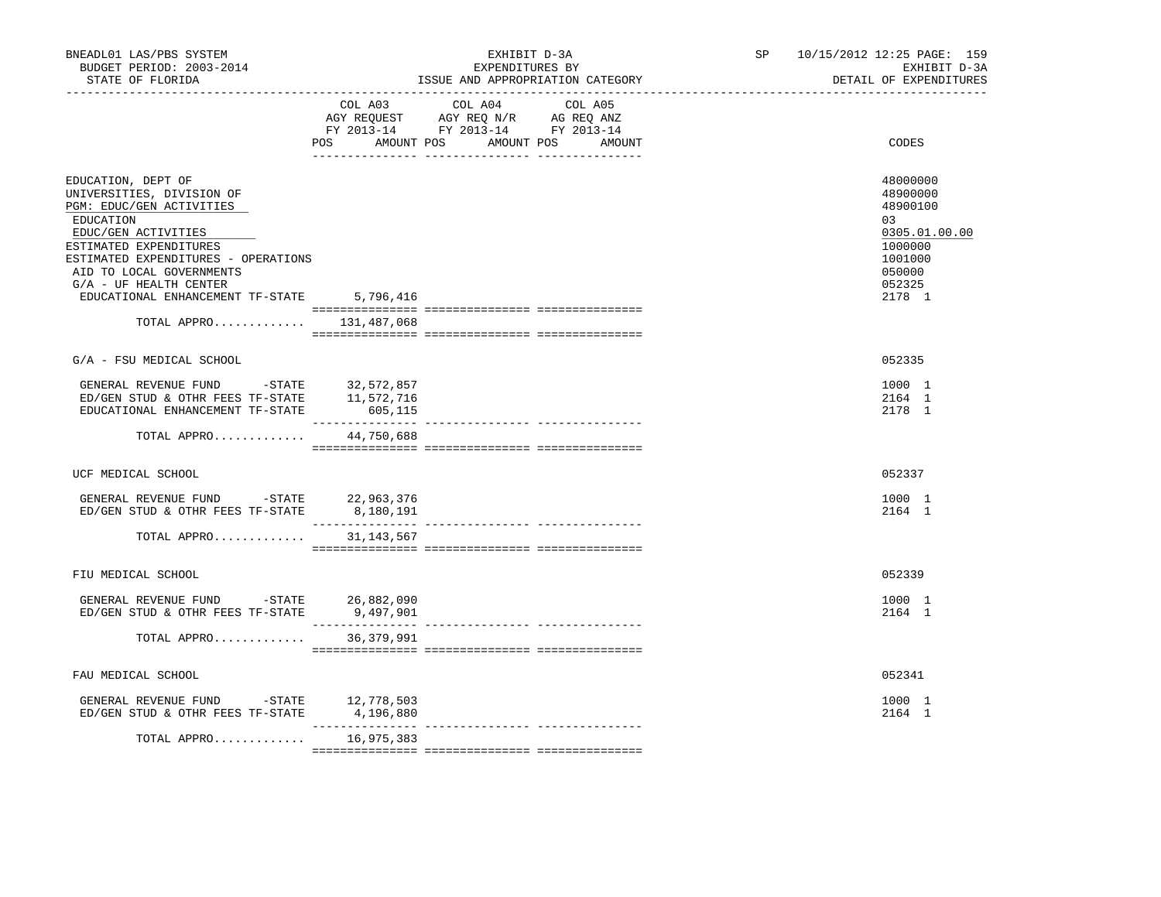| BNEADL01 LAS/PBS SYSTEM<br>BUDGET PERIOD: 2003-2014<br>STATE OF FLORIDA                                                                                                                                                                                                                                   |                             | EXHIBIT D-3A<br>EXPENDITURES BY<br>ISSUE AND APPROPRIATION CATEGORY                                                                  | SP | 10/15/2012 12:25 PAGE: 159<br>EXHIBIT D-3A<br>DETAIL OF EXPENDITURES                                        |
|-----------------------------------------------------------------------------------------------------------------------------------------------------------------------------------------------------------------------------------------------------------------------------------------------------------|-----------------------------|--------------------------------------------------------------------------------------------------------------------------------------|----|-------------------------------------------------------------------------------------------------------------|
|                                                                                                                                                                                                                                                                                                           | POS                         | COL A03 COL A04<br>COL A05<br>AGY REQUEST AGY REQ N/R AG REQ ANZ<br>FY 2013-14 FY 2013-14 FY 2013-14<br>AMOUNT POS AMOUNT POS AMOUNT |    | CODES                                                                                                       |
| EDUCATION, DEPT OF<br>UNIVERSITIES, DIVISION OF<br>PGM: EDUC/GEN ACTIVITIES<br>EDUCATION<br>EDUC/GEN ACTIVITIES<br>ESTIMATED EXPENDITURES<br>ESTIMATED EXPENDITURES - OPERATIONS<br>AID TO LOCAL GOVERNMENTS<br>$G/A$ - UF HEALTH CENTER<br>EDUCATIONAL ENHANCEMENT TF-STATE<br>TOTAL APPRO $131,487,068$ | 5,796,416                   |                                                                                                                                      |    | 48000000<br>48900000<br>48900100<br>03<br>0305.01.00.00<br>1000000<br>1001000<br>050000<br>052325<br>2178 1 |
|                                                                                                                                                                                                                                                                                                           |                             |                                                                                                                                      |    |                                                                                                             |
| G/A - FSU MEDICAL SCHOOL                                                                                                                                                                                                                                                                                  |                             |                                                                                                                                      |    | 052335                                                                                                      |
| GENERAL REVENUE FUND -STATE 32,572,857<br>ED/GEN STUD & OTHR FEES TF-STATE 11,572,716<br>EDUCATIONAL ENHANCEMENT TF-STATE                                                                                                                                                                                 | 605,115<br>---------------- |                                                                                                                                      |    | 1000 1<br>2164 1<br>2178 1                                                                                  |
| TOTAL APPRO                                                                                                                                                                                                                                                                                               | 44,750,688                  |                                                                                                                                      |    |                                                                                                             |
| UCF MEDICAL SCHOOL                                                                                                                                                                                                                                                                                        |                             |                                                                                                                                      |    | 052337                                                                                                      |
| GENERAL REVENUE FUND -STATE 22,963,376<br>ED/GEN STUD & OTHR FEES TF-STATE                                                                                                                                                                                                                                | 8,180,191                   |                                                                                                                                      |    | 1000 1<br>2164 1                                                                                            |
| TOTAL APPRO                                                                                                                                                                                                                                                                                               | 31,143,567                  |                                                                                                                                      |    |                                                                                                             |
| FIU MEDICAL SCHOOL                                                                                                                                                                                                                                                                                        |                             |                                                                                                                                      |    | 052339                                                                                                      |
| GENERAL REVENUE FUND -STATE 26,882,090<br>ED/GEN STUD & OTHR FEES TF-STATE                                                                                                                                                                                                                                | 9,497,901                   |                                                                                                                                      |    | 1000 1<br>2164 1                                                                                            |
| TOTAL APPRO                                                                                                                                                                                                                                                                                               | 36, 379, 991                |                                                                                                                                      |    |                                                                                                             |
| FAU MEDICAL SCHOOL                                                                                                                                                                                                                                                                                        |                             |                                                                                                                                      |    | 052341                                                                                                      |
| GENERAL REVENUE FUND -STATE 12,778,503<br>ED/GEN STUD & OTHR FEES TF-STATE                                                                                                                                                                                                                                | 4,196,880                   |                                                                                                                                      |    | 1000 1<br>2164 1                                                                                            |
| TOTAL APPRO                                                                                                                                                                                                                                                                                               | 16,975,383                  |                                                                                                                                      |    |                                                                                                             |
|                                                                                                                                                                                                                                                                                                           |                             |                                                                                                                                      |    |                                                                                                             |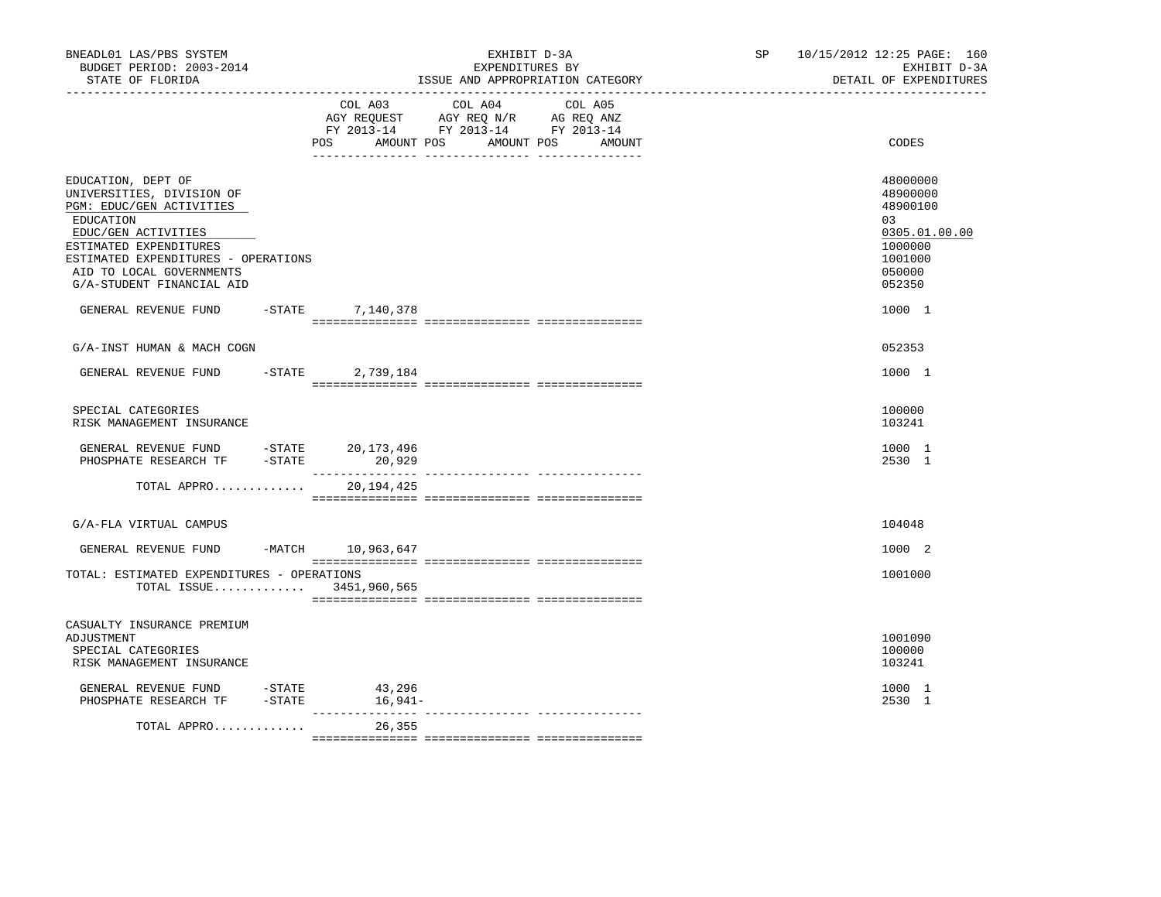| BNEADL01 LAS/PBS SYSTEM<br>BUDGET PERIOD: 2003-2014<br>STATE OF FLORIDA<br>----------------                                                                                                                                               |           |                            | EXHIBIT D-3A<br>EXPENDITURES BY                                                                                 | ISSUE AND APPROPRIATION CATEGORY | SP <sub>2</sub> | 10/15/2012 12:25 PAGE: 160<br>EXHIBIT D-3A<br>DETAIL OF EXPENDITURES                              |
|-------------------------------------------------------------------------------------------------------------------------------------------------------------------------------------------------------------------------------------------|-----------|----------------------------|-----------------------------------------------------------------------------------------------------------------|----------------------------------|-----------------|---------------------------------------------------------------------------------------------------|
|                                                                                                                                                                                                                                           |           | POS<br>AMOUNT POS          | COL A03 COL A04 COL A05<br>AGY REQUEST AGY REQ N/R AG REQ ANZ<br>FY 2013-14 FY 2013-14 FY 2013-14<br>AMOUNT POS | AMOUNT                           |                 | CODES                                                                                             |
| EDUCATION, DEPT OF<br>UNIVERSITIES, DIVISION OF<br>PGM: EDUC/GEN ACTIVITIES<br>EDUCATION<br>EDUC/GEN ACTIVITIES<br>ESTIMATED EXPENDITURES<br>ESTIMATED EXPENDITURES - OPERATIONS<br>AID TO LOCAL GOVERNMENTS<br>G/A-STUDENT FINANCIAL AID |           |                            |                                                                                                                 |                                  |                 | 48000000<br>48900000<br>48900100<br>03<br>0305.01.00.00<br>1000000<br>1001000<br>050000<br>052350 |
| GENERAL REVENUE FUND                                                                                                                                                                                                                      |           | -STATE 7, 140, 378         |                                                                                                                 |                                  |                 | 1000 1                                                                                            |
| G/A-INST HUMAN & MACH COGN                                                                                                                                                                                                                |           |                            |                                                                                                                 |                                  |                 | 052353                                                                                            |
| GENERAL REVENUE FUND                                                                                                                                                                                                                      | $-$ STATE | 2,739,184                  |                                                                                                                 |                                  |                 | 1000 1                                                                                            |
| SPECIAL CATEGORIES<br>RISK MANAGEMENT INSURANCE                                                                                                                                                                                           |           |                            |                                                                                                                 |                                  |                 | 100000<br>103241                                                                                  |
| GENERAL REVENUE FUND -STATE 20,173,496<br>PHOSPHATE RESEARCH TF                                                                                                                                                                           | $-STATE$  | 20,929                     |                                                                                                                 |                                  |                 | 1000 1<br>2530 1                                                                                  |
| TOTAL APPRO                                                                                                                                                                                                                               |           | 20,194,425                 |                                                                                                                 |                                  |                 |                                                                                                   |
| G/A-FLA VIRTUAL CAMPUS                                                                                                                                                                                                                    |           |                            |                                                                                                                 |                                  |                 | 104048                                                                                            |
| GENERAL REVENUE FUND                                                                                                                                                                                                                      |           | -MATCH 10,963,647          |                                                                                                                 |                                  |                 | 1000 2                                                                                            |
| TOTAL: ESTIMATED EXPENDITURES - OPERATIONS<br>TOTAL ISSUE 3451,960,565                                                                                                                                                                    |           |                            |                                                                                                                 |                                  |                 | 1001000                                                                                           |
| CASUALTY INSURANCE PREMIUM<br>ADJUSTMENT<br>SPECIAL CATEGORIES<br>RISK MANAGEMENT INSURANCE                                                                                                                                               |           |                            |                                                                                                                 |                                  |                 | 1001090<br>100000<br>103241                                                                       |
| GENERAL REVENUE FUND<br>PHOSPHATE RESEARCH TF                                                                                                                                                                                             | $-$ STATE | 43,296<br>$-STATE$ 16,941- |                                                                                                                 |                                  |                 | 1000 1<br>2530 1                                                                                  |
| TOTAL APPRO                                                                                                                                                                                                                               |           | _____________<br>26,355    |                                                                                                                 |                                  |                 |                                                                                                   |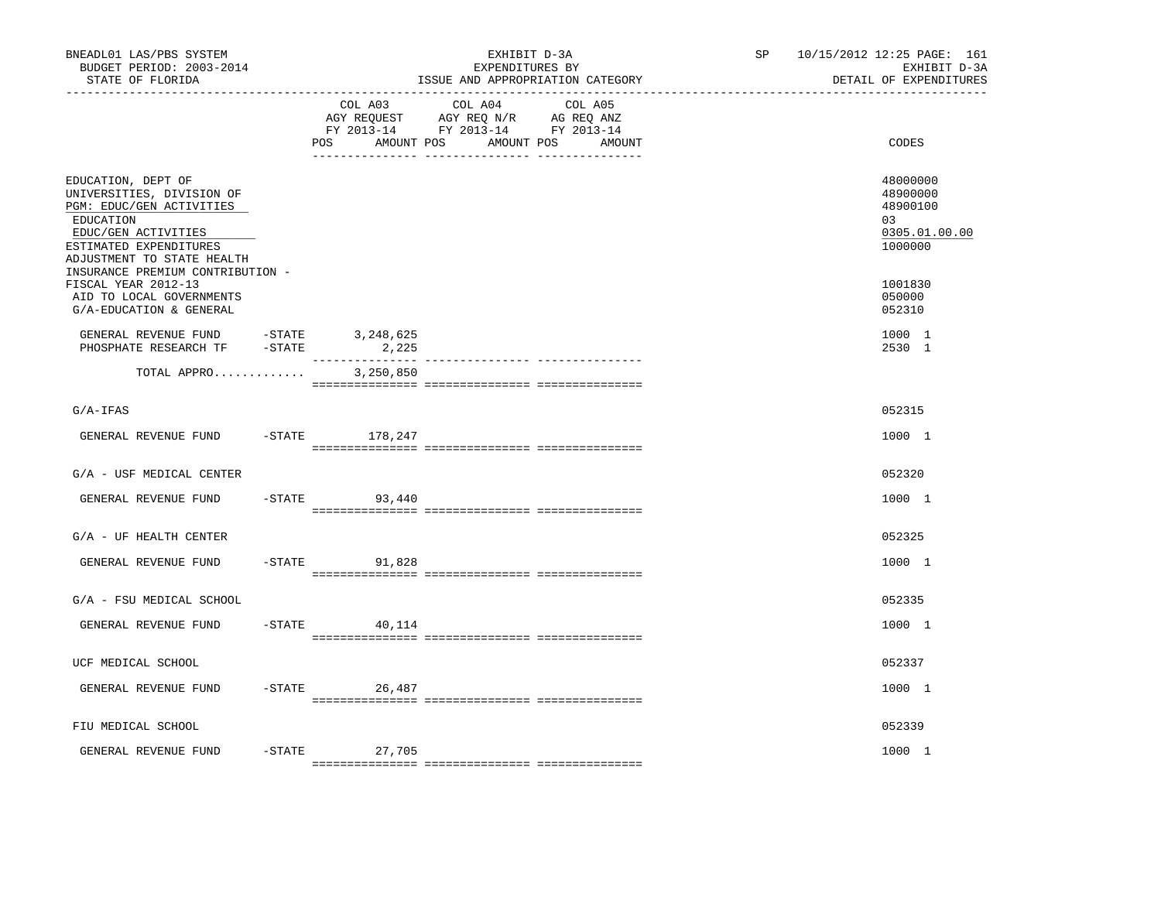| BNEADL01 LAS/PBS SYSTEM<br>BUDGET PERIOD: 2003-2014<br>STATE OF FLORIDA<br>----------------                                                                                                                 |           |                    | EXHIBIT D-3A<br>EXPENDITURES BY<br>ISSUE AND APPROPRIATION CATEGORY                                                          | SP 10/15/2012 12:25 PAGE: 161<br>EXHIBIT D-3A<br>DETAIL OF EXPENDITURES |
|-------------------------------------------------------------------------------------------------------------------------------------------------------------------------------------------------------------|-----------|--------------------|------------------------------------------------------------------------------------------------------------------------------|-------------------------------------------------------------------------|
|                                                                                                                                                                                                             |           | COL A03<br>POS     | COL A04<br>COL A05<br>AGY REQUEST AGY REQ N/R AG REQ ANZ<br>FY 2013-14 FY 2013-14 FY 2013-14<br>AMOUNT POS AMOUNT POS AMOUNT | CODES                                                                   |
| EDUCATION, DEPT OF<br>UNIVERSITIES, DIVISION OF<br>PGM: EDUC/GEN ACTIVITIES<br>EDUCATION<br>EDUC/GEN ACTIVITIES<br>ESTIMATED EXPENDITURES<br>ADJUSTMENT TO STATE HEALTH<br>INSURANCE PREMIUM CONTRIBUTION - |           |                    |                                                                                                                              | 48000000<br>48900000<br>48900100<br>03<br>0305.01.00.00<br>1000000      |
| FISCAL YEAR 2012-13<br>AID TO LOCAL GOVERNMENTS<br>G/A-EDUCATION & GENERAL                                                                                                                                  |           |                    |                                                                                                                              | 1001830<br>050000<br>052310                                             |
| GENERAL REVENUE FUND<br>PHOSPHATE RESEARCH TF -STATE                                                                                                                                                        | $-$ STATE | 3,248,625<br>2,225 |                                                                                                                              | 1000 1<br>2530 1                                                        |
| TOTAL APPRO                                                                                                                                                                                                 |           | 3,250,850          |                                                                                                                              |                                                                         |
| $G/A-IFAS$                                                                                                                                                                                                  |           |                    |                                                                                                                              | 052315                                                                  |
| GENERAL REVENUE FUND                                                                                                                                                                                        |           | -STATE 178,247     |                                                                                                                              | 1000 1                                                                  |
| G/A - USF MEDICAL CENTER                                                                                                                                                                                    |           |                    |                                                                                                                              | 052320                                                                  |
| GENERAL REVENUE FUND                                                                                                                                                                                        |           | $-STATE$ 93,440    |                                                                                                                              | 1000 1                                                                  |
| $G/A$ - UF HEALTH CENTER                                                                                                                                                                                    |           |                    |                                                                                                                              | 052325                                                                  |
| GENERAL REVENUE FUND                                                                                                                                                                                        |           | $-STATE$ 91,828    |                                                                                                                              | 1000 1                                                                  |
| G/A - FSU MEDICAL SCHOOL                                                                                                                                                                                    |           |                    |                                                                                                                              | 052335                                                                  |
| GENERAL REVENUE FUND                                                                                                                                                                                        |           | $-STATE$<br>40,114 |                                                                                                                              | 1000 1                                                                  |
| UCF MEDICAL SCHOOL                                                                                                                                                                                          |           |                    |                                                                                                                              | 052337                                                                  |
| GENERAL REVENUE FUND                                                                                                                                                                                        |           | $-$ STATE 26,487   |                                                                                                                              | 1000 1                                                                  |
| FIU MEDICAL SCHOOL                                                                                                                                                                                          |           |                    |                                                                                                                              | 052339                                                                  |
| GENERAL REVENUE FUND                                                                                                                                                                                        |           | -STATE 27,705      |                                                                                                                              | 1000 1                                                                  |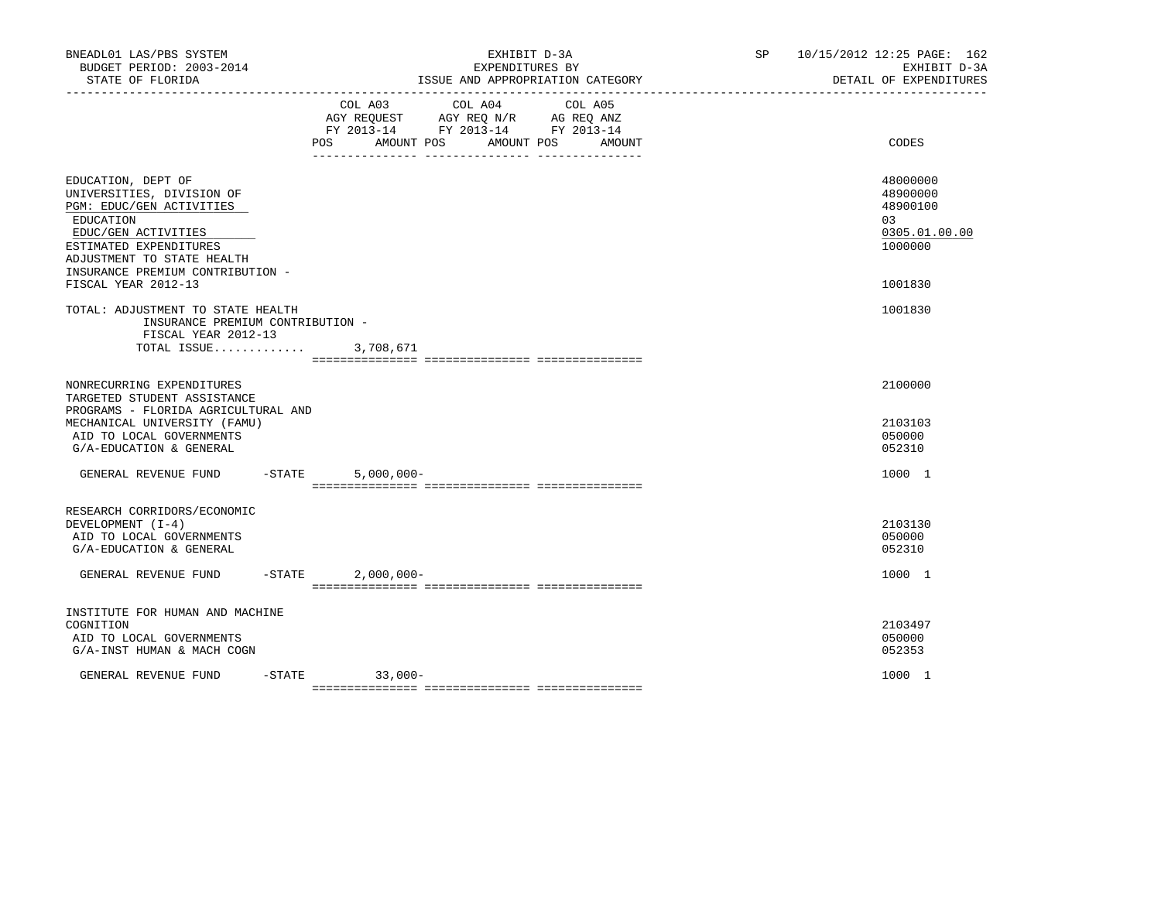| BNEADL01 LAS/PBS SYSTEM<br>BUDGET PERIOD: 2003-2014<br>STATE OF FLORIDA                                                                                                                                     | EXHIBIT D-3A<br>EXPENDITURES BY<br>ISSUE AND APPROPRIATION CATEGORY                                                                                         | SP <sub>2</sub> | 10/15/2012 12:25 PAGE: 162<br>EXHIBIT D-3A<br>DETAIL OF EXPENDITURES |
|-------------------------------------------------------------------------------------------------------------------------------------------------------------------------------------------------------------|-------------------------------------------------------------------------------------------------------------------------------------------------------------|-----------------|----------------------------------------------------------------------|
|                                                                                                                                                                                                             | COL A03<br>COL A04<br>COL A05<br>AGY REQUEST AGY REQ N/R AG REQ ANZ<br>FY 2013-14 FY 2013-14 FY 2013-14<br><b>POS</b><br>AMOUNT POS<br>AMOUNT POS<br>AMOUNT |                 | CODES                                                                |
| EDUCATION, DEPT OF<br>UNIVERSITIES, DIVISION OF<br>PGM: EDUC/GEN ACTIVITIES<br>EDUCATION<br>EDUC/GEN ACTIVITIES<br>ESTIMATED EXPENDITURES<br>ADJUSTMENT TO STATE HEALTH<br>INSURANCE PREMIUM CONTRIBUTION - |                                                                                                                                                             |                 | 48000000<br>48900000<br>48900100<br>03<br>0305.01.00.00<br>1000000   |
| FISCAL YEAR 2012-13<br>TOTAL: ADJUSTMENT TO STATE HEALTH                                                                                                                                                    |                                                                                                                                                             |                 | 1001830<br>1001830                                                   |
| INSURANCE PREMIUM CONTRIBUTION -<br>FISCAL YEAR 2012-13                                                                                                                                                     | TOTAL ISSUE 3,708,671                                                                                                                                       |                 |                                                                      |
| NONRECURRING EXPENDITURES<br>TARGETED STUDENT ASSISTANCE<br>PROGRAMS - FLORIDA AGRICULTURAL AND<br>MECHANICAL UNIVERSITY (FAMU)<br>AID TO LOCAL GOVERNMENTS<br>G/A-EDUCATION & GENERAL                      |                                                                                                                                                             |                 | 2100000<br>2103103<br>050000<br>052310                               |
| GENERAL REVENUE FUND                                                                                                                                                                                        | $-$ STATE<br>$5,000,000 -$                                                                                                                                  |                 | 1000 1                                                               |
| RESEARCH CORRIDORS/ECONOMIC<br>DEVELOPMENT (I-4)<br>AID TO LOCAL GOVERNMENTS<br>G/A-EDUCATION & GENERAL                                                                                                     |                                                                                                                                                             |                 | 2103130<br>050000<br>052310                                          |
| GENERAL REVENUE FUND                                                                                                                                                                                        | $-STATE$<br>$2,000,000 -$                                                                                                                                   |                 | 1000 1                                                               |
| INSTITUTE FOR HUMAN AND MACHINE<br>COGNITION<br>AID TO LOCAL GOVERNMENTS<br>G/A-INST HUMAN & MACH COGN                                                                                                      |                                                                                                                                                             |                 | 2103497<br>050000<br>052353                                          |
| GENERAL REVENUE FUND                                                                                                                                                                                        | $-$ STATE<br>$33,000-$                                                                                                                                      |                 | 1000 1                                                               |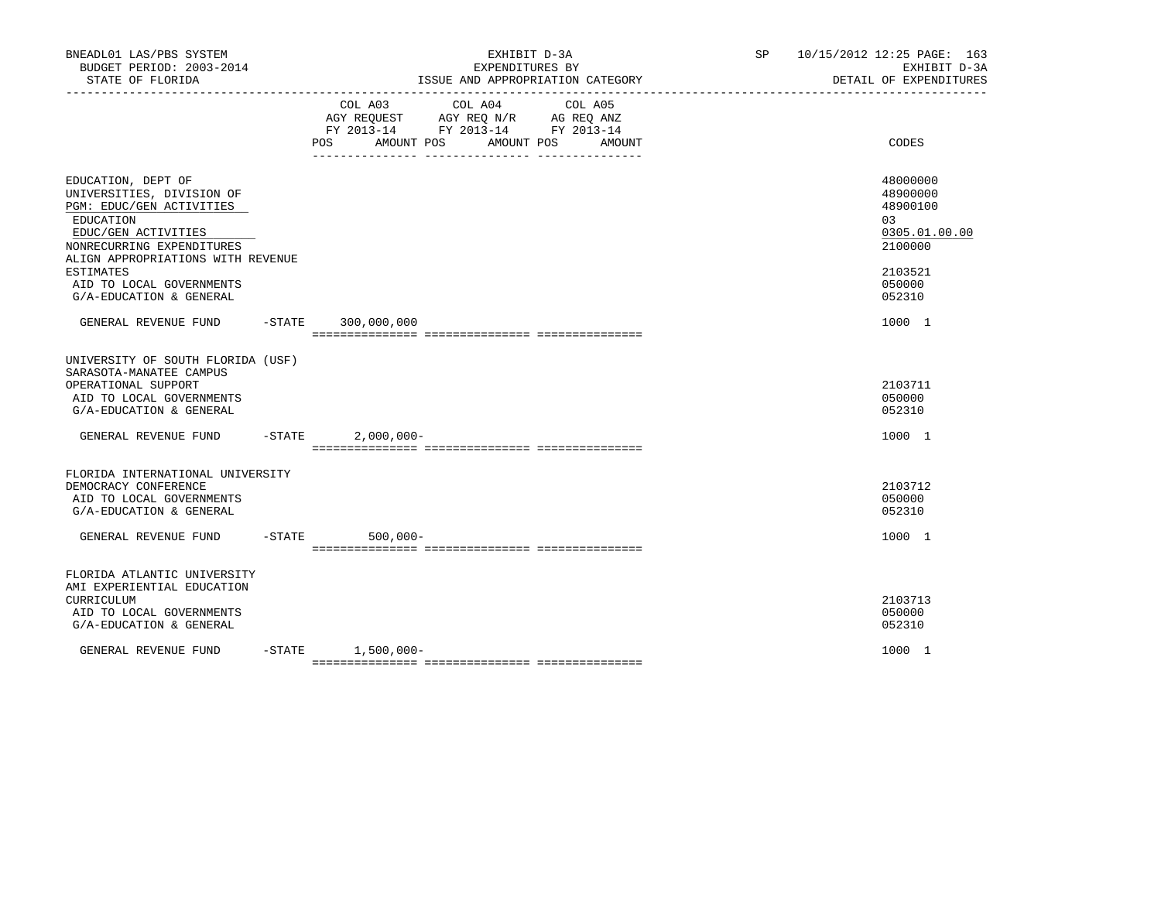| BNEADL01 LAS/PBS SYSTEM<br>BUDGET PERIOD: 2003-2014<br>STATE OF FLORIDA                                                                                                                                                    | EXHIBIT D-3A<br>EXPENDITURES BY<br>ISSUE AND APPROPRIATION CATEGORY |                                                                                                                |  |         |        | SP 10/15/2012 12:25 PAGE: 163<br>EXHIBIT D-3A<br>DETAIL OF EXPENDITURES |                                                                                         |
|----------------------------------------------------------------------------------------------------------------------------------------------------------------------------------------------------------------------------|---------------------------------------------------------------------|----------------------------------------------------------------------------------------------------------------|--|---------|--------|-------------------------------------------------------------------------|-----------------------------------------------------------------------------------------|
|                                                                                                                                                                                                                            | COL A03                                                             | COL A04<br>AGY REQUEST AGY REQ N/R AG REQ ANZ<br>FY 2013-14 FY 2013-14 FY 2013-14<br>POS AMOUNT POS AMOUNT POS |  | COL A05 | AMOUNT |                                                                         | CODES                                                                                   |
| EDUCATION, DEPT OF<br>UNIVERSITIES, DIVISION OF<br>PGM: EDUC/GEN ACTIVITIES<br>EDUCATION<br>EDUC/GEN ACTIVITIES<br>NONRECURRING EXPENDITURES<br>ALIGN APPROPRIATIONS WITH REVENUE<br>ESTIMATES<br>AID TO LOCAL GOVERNMENTS |                                                                     |                                                                                                                |  |         |        |                                                                         | 48000000<br>48900000<br>48900100<br>03<br>0305.01.00.00<br>2100000<br>2103521<br>050000 |
| G/A-EDUCATION & GENERAL<br>GENERAL REVENUE FUND                                                                                                                                                                            | $-STATE$ 300,000,000                                                |                                                                                                                |  |         |        |                                                                         | 052310<br>1000 1                                                                        |
| UNIVERSITY OF SOUTH FLORIDA (USF)<br>SARASOTA-MANATEE CAMPUS<br>OPERATIONAL SUPPORT<br>AID TO LOCAL GOVERNMENTS<br>G/A-EDUCATION & GENERAL                                                                                 |                                                                     |                                                                                                                |  |         |        |                                                                         | 2103711<br>050000<br>052310                                                             |
| GENERAL REVENUE FUND -STATE                                                                                                                                                                                                | $2,000,000-$                                                        |                                                                                                                |  |         |        |                                                                         | 1000 1                                                                                  |
| FLORIDA INTERNATIONAL UNIVERSITY<br>DEMOCRACY CONFERENCE<br>AID TO LOCAL GOVERNMENTS<br>G/A-EDUCATION & GENERAL                                                                                                            |                                                                     |                                                                                                                |  |         |        |                                                                         | 2103712<br>050000<br>052310                                                             |
| GENERAL REVENUE FUND                                                                                                                                                                                                       | -STATE 500,000-                                                     |                                                                                                                |  |         |        |                                                                         | 1000 1                                                                                  |
| FLORIDA ATLANTIC UNIVERSITY<br>AMI EXPERIENTIAL EDUCATION<br>CURRICULUM<br>AID TO LOCAL GOVERNMENTS<br>G/A-EDUCATION & GENERAL                                                                                             |                                                                     |                                                                                                                |  |         |        |                                                                         | 2103713<br>050000<br>052310                                                             |
| GENERAL REVENUE FUND                                                                                                                                                                                                       | $-STATE$ 1,500,000-                                                 |                                                                                                                |  |         |        |                                                                         | 1000 1                                                                                  |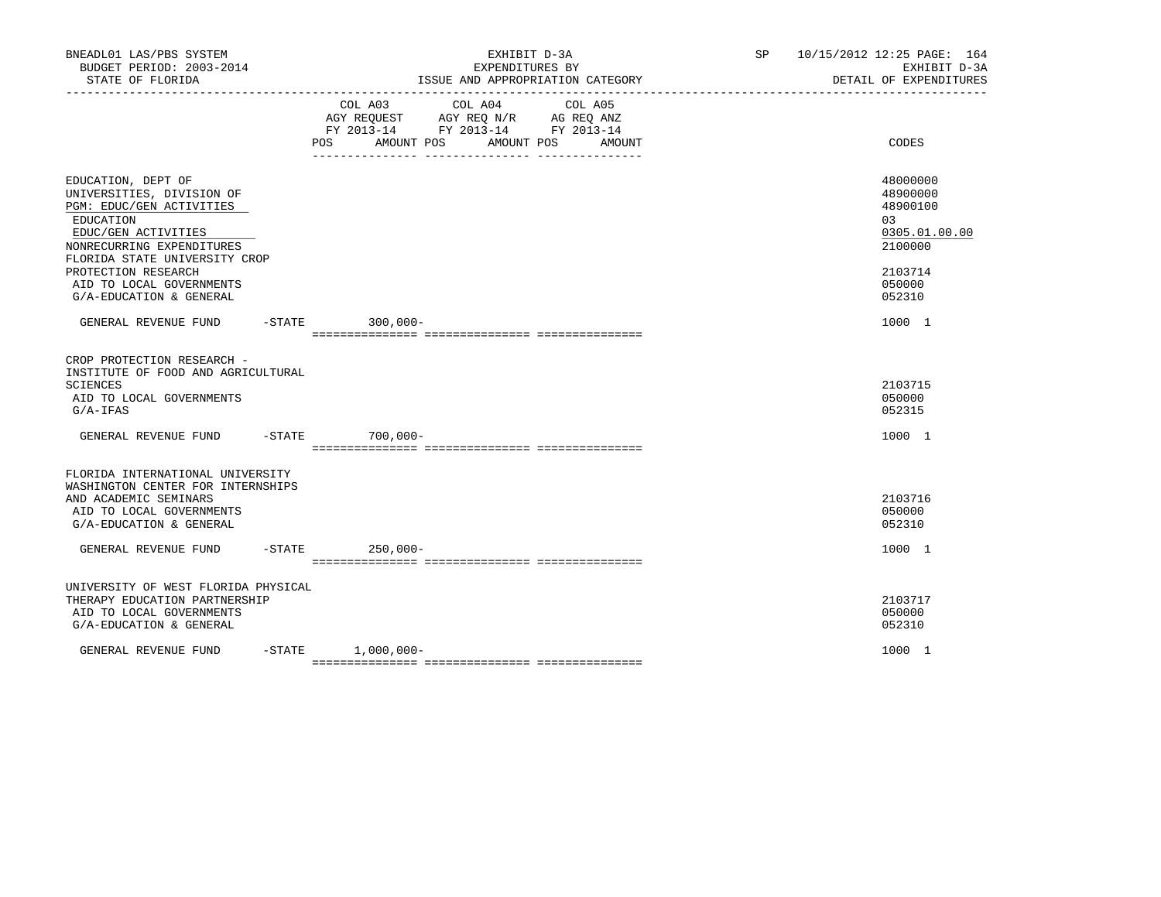| BNEADL01 LAS/PBS SYSTEM<br>BUDGET PERIOD: 2003-2014<br>STATE OF FLORIDA                                                                                                                                                                                     |                     |                                                                                                                | EXHIBIT D-3A<br>EXPENDITURES BY<br>ISSUE AND APPROPRIATION CATEGORY | SP and the set of the set of the set of the set of the set of the set of the set of the set of the set of the set of the set of the set of the set of the set of the set of the set of the set of the set of the set of the se | 10/15/2012 12:25 PAGE: 164<br>EXHIBIT D-3A<br>DETAIL OF EXPENDITURES                              |
|-------------------------------------------------------------------------------------------------------------------------------------------------------------------------------------------------------------------------------------------------------------|---------------------|----------------------------------------------------------------------------------------------------------------|---------------------------------------------------------------------|--------------------------------------------------------------------------------------------------------------------------------------------------------------------------------------------------------------------------------|---------------------------------------------------------------------------------------------------|
|                                                                                                                                                                                                                                                             | COL A03             | COL A04<br>AGY REQUEST AGY REQ N/R AG REQ ANZ<br>FY 2013-14 FY 2013-14 FY 2013-14<br>POS AMOUNT POS AMOUNT POS | COL A05<br>AMOUNT                                                   |                                                                                                                                                                                                                                | CODES                                                                                             |
| EDUCATION, DEPT OF<br>UNIVERSITIES, DIVISION OF<br>PGM: EDUC/GEN ACTIVITIES<br>EDUCATION<br>EDUC/GEN ACTIVITIES<br>NONRECURRING EXPENDITURES<br>FLORIDA STATE UNIVERSITY CROP<br>PROTECTION RESEARCH<br>AID TO LOCAL GOVERNMENTS<br>G/A-EDUCATION & GENERAL |                     |                                                                                                                |                                                                     |                                                                                                                                                                                                                                | 48000000<br>48900000<br>48900100<br>03<br>0305.01.00.00<br>2100000<br>2103714<br>050000<br>052310 |
| GENERAL REVENUE FUND -STATE 300,000-                                                                                                                                                                                                                        |                     |                                                                                                                |                                                                     |                                                                                                                                                                                                                                | 1000 1                                                                                            |
| CROP PROTECTION RESEARCH -<br>INSTITUTE OF FOOD AND AGRICULTURAL<br>SCIENCES<br>AID TO LOCAL GOVERNMENTS<br>$G/A-IFAS$                                                                                                                                      |                     |                                                                                                                |                                                                     |                                                                                                                                                                                                                                | 2103715<br>050000<br>052315                                                                       |
| GENERAL REVENUE FUND -STATE 700,000-                                                                                                                                                                                                                        |                     |                                                                                                                |                                                                     |                                                                                                                                                                                                                                | 1000 1                                                                                            |
| FLORIDA INTERNATIONAL UNIVERSITY<br>WASHINGTON CENTER FOR INTERNSHIPS<br>AND ACADEMIC SEMINARS<br>AID TO LOCAL GOVERNMENTS<br>G/A-EDUCATION & GENERAL<br>GENERAL REVENUE FUND -STATE 250,000-                                                               |                     |                                                                                                                |                                                                     |                                                                                                                                                                                                                                | 2103716<br>050000<br>052310<br>1000 1                                                             |
|                                                                                                                                                                                                                                                             |                     |                                                                                                                |                                                                     |                                                                                                                                                                                                                                |                                                                                                   |
| UNIVERSITY OF WEST FLORIDA PHYSICAL<br>THERAPY EDUCATION PARTNERSHIP<br>AID TO LOCAL GOVERNMENTS<br>G/A-EDUCATION & GENERAL                                                                                                                                 |                     |                                                                                                                |                                                                     |                                                                                                                                                                                                                                | 2103717<br>050000<br>052310                                                                       |
| GENERAL REVENUE FUND                                                                                                                                                                                                                                        | $-STATE$ 1,000,000- |                                                                                                                |                                                                     |                                                                                                                                                                                                                                | 1000 1                                                                                            |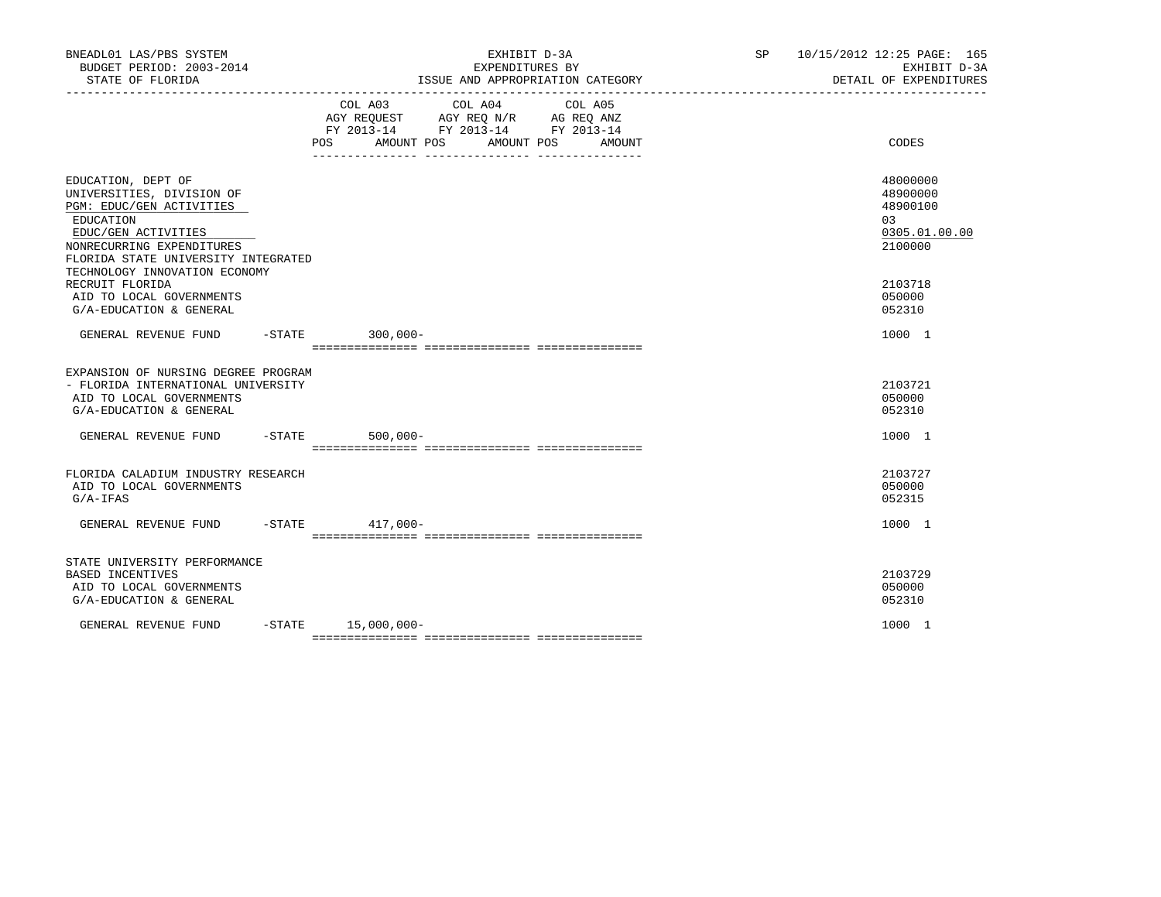| BNEADL01 LAS/PBS SYSTEM<br>BUDGET PERIOD: 2003-2014<br>STATE OF FLORIDA                                                                                                                                              | EXHIBIT D-3A<br>EXPENDITURES BY<br>ISSUE AND APPROPRIATION CATEGORY                                                                                                                                                                                                                                                                                       | SP 10/15/2012 12:25 PAGE: 165<br>EXHIBIT D-3A<br>DETAIL OF EXPENDITURES |
|----------------------------------------------------------------------------------------------------------------------------------------------------------------------------------------------------------------------|-----------------------------------------------------------------------------------------------------------------------------------------------------------------------------------------------------------------------------------------------------------------------------------------------------------------------------------------------------------|-------------------------------------------------------------------------|
|                                                                                                                                                                                                                      | $\begin{tabular}{lllllllllll} &\multicolumn{4}{c}{\text{COL A03}} &\multicolumn{4}{c}{\text{COL A04}} &\multicolumn{4}{c}{\text{COL A05}} \\ \multicolumn{4}{c}{\text{AGY REQUEST}} &\multicolumn{4}{c}{\text{AGY REQ N/R}} &\multicolumn{4}{c}{\text{AG REQ ANZ}} \end{tabular}$<br>FY 2013-14 FY 2013-14 FY 2013-14<br>POS AMOUNT POS AMOUNT POS AMOUNT | CODES                                                                   |
| EDUCATION, DEPT OF<br>UNIVERSITIES, DIVISION OF<br>PGM: EDUC/GEN ACTIVITIES<br>EDUCATION<br>EDUC/GEN ACTIVITIES<br>NONRECURRING EXPENDITURES<br>FLORIDA STATE UNIVERSITY INTEGRATED<br>TECHNOLOGY INNOVATION ECONOMY |                                                                                                                                                                                                                                                                                                                                                           | 48000000<br>48900000<br>48900100<br>03<br>0305.01.00.00<br>2100000      |
| RECRUIT FLORIDA<br>AID TO LOCAL GOVERNMENTS<br>G/A-EDUCATION & GENERAL                                                                                                                                               |                                                                                                                                                                                                                                                                                                                                                           | 2103718<br>050000<br>052310                                             |
| GENERAL REVENUE FUND -STATE 300,000-                                                                                                                                                                                 |                                                                                                                                                                                                                                                                                                                                                           | 1000 1                                                                  |
| EXPANSION OF NURSING DEGREE PROGRAM<br>- FLORIDA INTERNATIONAL UNIVERSITY<br>AID TO LOCAL GOVERNMENTS<br>G/A-EDUCATION & GENERAL                                                                                     |                                                                                                                                                                                                                                                                                                                                                           | 2103721<br>050000<br>052310                                             |
| GENERAL REVENUE FUND -STATE 500,000-                                                                                                                                                                                 |                                                                                                                                                                                                                                                                                                                                                           | 1000 1                                                                  |
| FLORIDA CALADIUM INDUSTRY RESEARCH<br>AID TO LOCAL GOVERNMENTS<br>$G/A-IFAS$                                                                                                                                         |                                                                                                                                                                                                                                                                                                                                                           | 2103727<br>050000<br>052315                                             |
| GENERAL REVENUE FUND -STATE 417,000-                                                                                                                                                                                 |                                                                                                                                                                                                                                                                                                                                                           | 1000 1                                                                  |
| STATE UNIVERSITY PERFORMANCE<br>BASED INCENTIVES<br>AID TO LOCAL GOVERNMENTS<br>G/A-EDUCATION & GENERAL                                                                                                              |                                                                                                                                                                                                                                                                                                                                                           | 2103729<br>050000<br>052310                                             |
| GENERAL REVENUE FUND                                                                                                                                                                                                 | $-STATE$ 15,000,000-                                                                                                                                                                                                                                                                                                                                      | 1000 1                                                                  |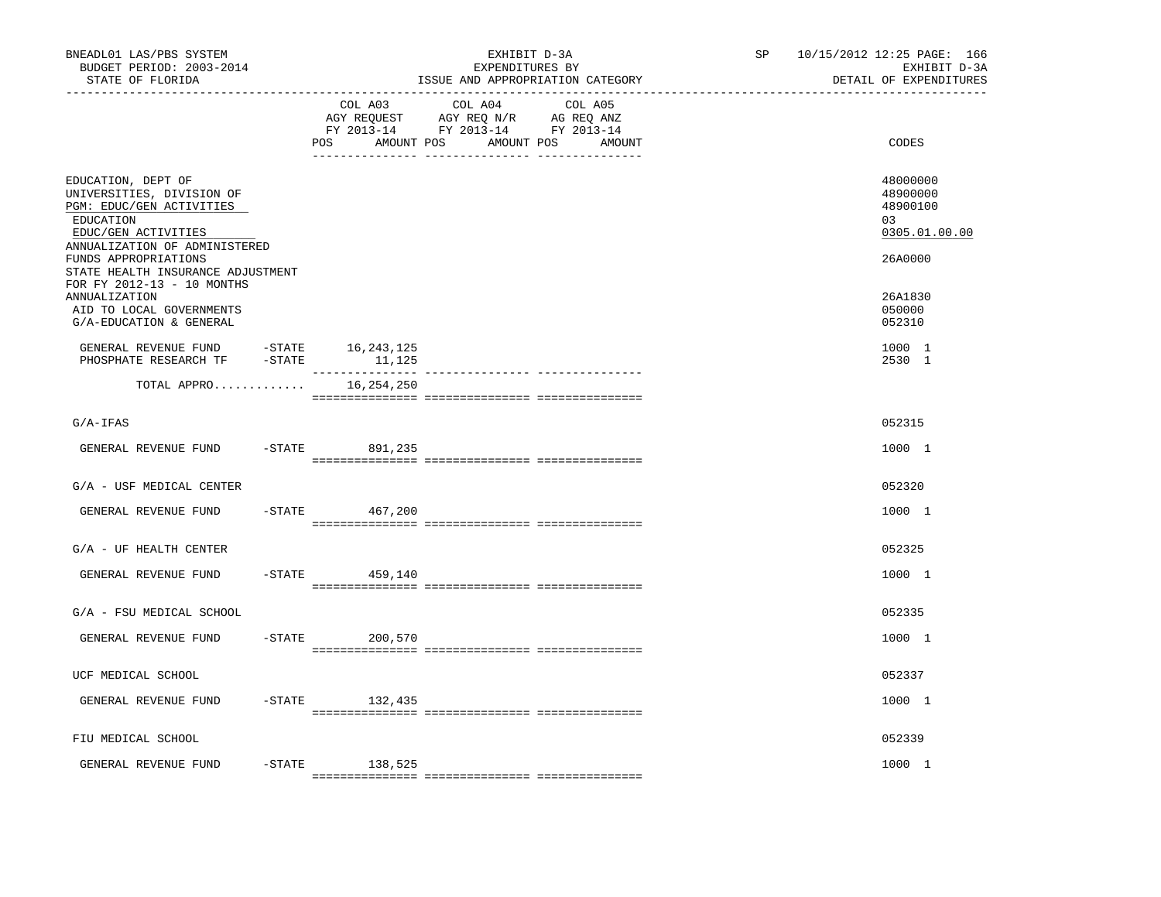| BNEADL01 LAS/PBS SYSTEM<br>BUDGET PERIOD: 2003-2014<br>STATE OF FLORIDA<br>-------------------                                                   |                              |                                            | EXHIBIT D-3A<br>EXPENDITURES BY<br>ISSUE AND APPROPRIATION CATEGORY | SP and the set of the set of the set of the set of the set of the set of the set of the set of the set of the set of the set of the set of the set of the set of the set of the set of the set of the set of the set of the se | 10/15/2012 12:25 PAGE: 166<br>EXHIBIT D-3A<br>DETAIL OF EXPENDITURES |
|--------------------------------------------------------------------------------------------------------------------------------------------------|------------------------------|--------------------------------------------|---------------------------------------------------------------------|--------------------------------------------------------------------------------------------------------------------------------------------------------------------------------------------------------------------------------|----------------------------------------------------------------------|
|                                                                                                                                                  | COL A03<br>POS<br>AMOUNT POS | COL A04<br>COL A05<br>AMOUNT POS<br>AMOUNT |                                                                     | CODES                                                                                                                                                                                                                          |                                                                      |
| EDUCATION, DEPT OF<br>UNIVERSITIES, DIVISION OF<br>PGM: EDUC/GEN ACTIVITIES<br>EDUCATION<br>EDUC/GEN ACTIVITIES<br>ANNUALIZATION OF ADMINISTERED |                              |                                            |                                                                     |                                                                                                                                                                                                                                | 48000000<br>48900000<br>48900100<br>0.3<br>0305.01.00.00             |
| FUNDS APPROPRIATIONS<br>STATE HEALTH INSURANCE ADJUSTMENT<br>FOR FY 2012-13 - 10 MONTHS<br>ANNUALIZATION<br>AID TO LOCAL GOVERNMENTS             |                              |                                            |                                                                     |                                                                                                                                                                                                                                | 26A0000<br>26A1830<br>050000                                         |
| G/A-EDUCATION & GENERAL<br>GENERAL REVENUE FUND -STATE 16,243,125<br>PHOSPHATE RESEARCH TF                                                       | $-$ STATE                    | 11,125                                     |                                                                     |                                                                                                                                                                                                                                | 052310<br>1000 1<br>2530 1                                           |
| TOTAL APPRO                                                                                                                                      |                              | $- - - - - - -$<br>16,254,250              | --------------- ----------------                                    |                                                                                                                                                                                                                                |                                                                      |
| $G/A-IFAS$                                                                                                                                       |                              |                                            |                                                                     |                                                                                                                                                                                                                                | 052315                                                               |
| GENERAL REVENUE FUND                                                                                                                             | $-$ STATE                    | 891,235                                    |                                                                     |                                                                                                                                                                                                                                | 1000 1                                                               |
| G/A - USF MEDICAL CENTER                                                                                                                         |                              |                                            |                                                                     |                                                                                                                                                                                                                                | 052320                                                               |
| GENERAL REVENUE FUND                                                                                                                             |                              | $-STATE$ 467,200                           |                                                                     |                                                                                                                                                                                                                                | 1000 1                                                               |
| $G/A$ - UF HEALTH CENTER                                                                                                                         |                              |                                            |                                                                     |                                                                                                                                                                                                                                | 052325                                                               |
| GENERAL REVENUE FUND                                                                                                                             | $-$ STATE                    | 459,140                                    |                                                                     |                                                                                                                                                                                                                                | 1000 1                                                               |
| G/A - FSU MEDICAL SCHOOL                                                                                                                         |                              |                                            |                                                                     |                                                                                                                                                                                                                                | 052335                                                               |
| GENERAL REVENUE FUND                                                                                                                             | $-$ STATE                    | 200,570                                    |                                                                     |                                                                                                                                                                                                                                | 1000 1                                                               |
| UCF MEDICAL SCHOOL                                                                                                                               |                              |                                            |                                                                     |                                                                                                                                                                                                                                | 052337                                                               |
| GENERAL REVENUE FUND                                                                                                                             |                              | $-STATE$ 132,435                           |                                                                     |                                                                                                                                                                                                                                | 1000 1                                                               |
| FIU MEDICAL SCHOOL                                                                                                                               |                              |                                            |                                                                     |                                                                                                                                                                                                                                | 052339                                                               |
| GENERAL REVENUE FUND                                                                                                                             | -STATE                       | 138,525                                    |                                                                     |                                                                                                                                                                                                                                | 1000 1                                                               |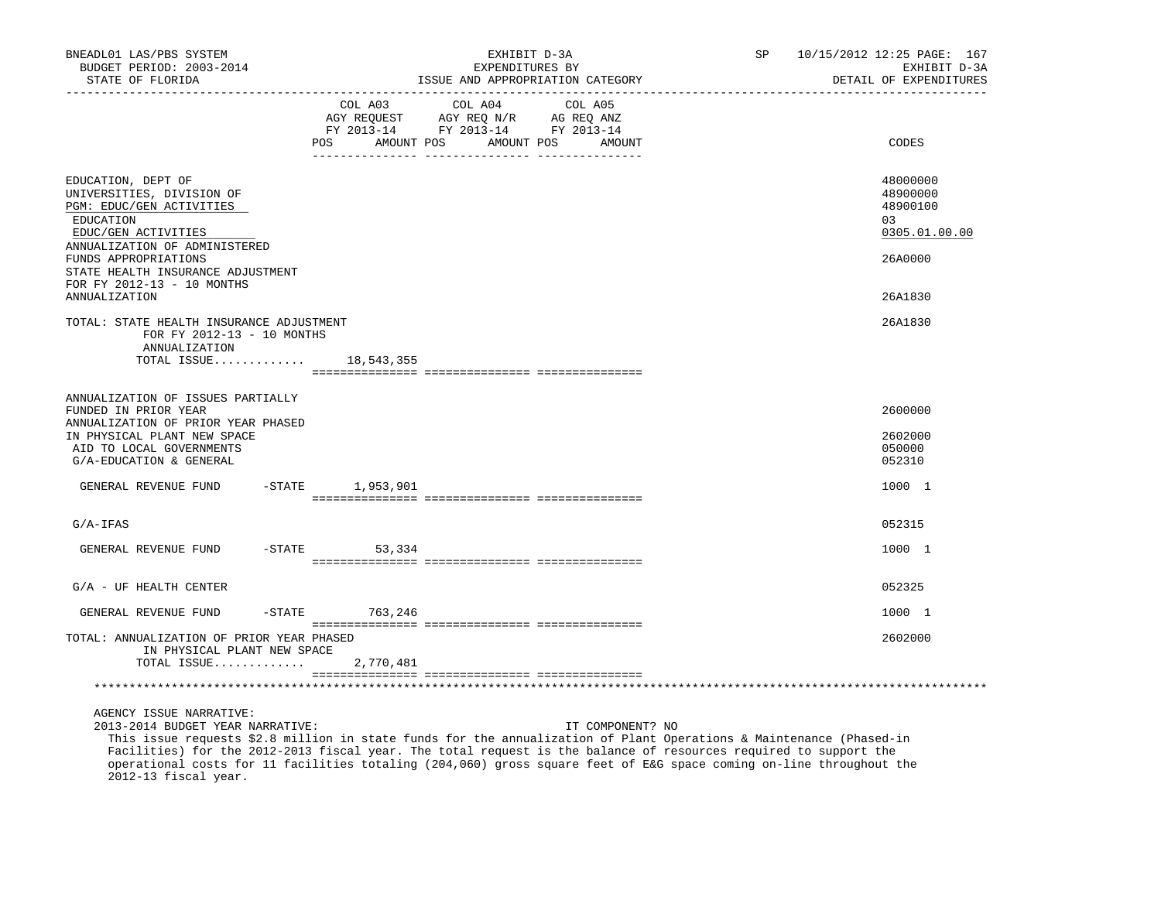| BNEADL01 LAS/PBS SYSTEM<br>BUDGET PERIOD: 2003-2014<br>STATE OF FLORIDA                                                                                                               |                               | EXHIBIT D-3A<br>EXPENDITURES BY<br>ISSUE AND APPROPRIATION CATEGORY               |                                 | SP and the set of the set of the set of the set of the set of the set of the set of the set of the set of the set of the set of the set of the set of the set of the set of the set of the set of the set of the set of the se | 10/15/2012 12:25 PAGE: 167<br>EXHIBIT D-3A<br>DETAIL OF EXPENDITURES |
|---------------------------------------------------------------------------------------------------------------------------------------------------------------------------------------|-------------------------------|-----------------------------------------------------------------------------------|---------------------------------|--------------------------------------------------------------------------------------------------------------------------------------------------------------------------------------------------------------------------------|----------------------------------------------------------------------|
|                                                                                                                                                                                       | COL A03<br>POS.<br>AMOUNT POS | COL A04<br>AGY REQUEST AGY REQ N/R AG REQ ANZ<br>FY 2013-14 FY 2013-14 FY 2013-14 | COL A05<br>AMOUNT POS<br>AMOUNT |                                                                                                                                                                                                                                | CODES                                                                |
| EDUCATION, DEPT OF<br>UNIVERSITIES, DIVISION OF<br>PGM: EDUC/GEN ACTIVITIES<br>EDUCATION<br>EDUC/GEN ACTIVITIES<br>ANNUALIZATION OF ADMINISTERED<br>FUNDS APPROPRIATIONS              |                               |                                                                                   |                                 |                                                                                                                                                                                                                                | 48000000<br>48900000<br>48900100<br>03<br>0305.01.00.00<br>26A0000   |
| STATE HEALTH INSURANCE ADJUSTMENT<br>FOR FY 2012-13 - 10 MONTHS<br><b>ANNUALIZATION</b>                                                                                               |                               |                                                                                   |                                 |                                                                                                                                                                                                                                | 26A1830                                                              |
| TOTAL: STATE HEALTH INSURANCE ADJUSTMENT<br>FOR FY 2012-13 - 10 MONTHS<br>ANNUALIZATION<br>TOTAL ISSUE 18,543,355                                                                     |                               |                                                                                   |                                 |                                                                                                                                                                                                                                | 26A1830                                                              |
| ANNUALIZATION OF ISSUES PARTIALLY<br>FUNDED IN PRIOR YEAR<br>ANNUALIZATION OF PRIOR YEAR PHASED<br>IN PHYSICAL PLANT NEW SPACE<br>AID TO LOCAL GOVERNMENTS<br>G/A-EDUCATION & GENERAL |                               |                                                                                   |                                 |                                                                                                                                                                                                                                | 2600000<br>2602000<br>050000<br>052310                               |
| GENERAL REVENUE FUND                                                                                                                                                                  | -STATE 1,953,901              |                                                                                   |                                 |                                                                                                                                                                                                                                | 1000 1                                                               |
| $G/A-IFAS$                                                                                                                                                                            |                               |                                                                                   |                                 |                                                                                                                                                                                                                                | 052315                                                               |
| GENERAL REVENUE FUND                                                                                                                                                                  | $-$ STATE<br>53,334           |                                                                                   |                                 |                                                                                                                                                                                                                                | 1000 1                                                               |
| $G/A$ - UF HEALTH CENTER                                                                                                                                                              |                               |                                                                                   |                                 |                                                                                                                                                                                                                                | 052325                                                               |
| GENERAL REVENUE FUND                                                                                                                                                                  | -STATE 763,246                |                                                                                   |                                 |                                                                                                                                                                                                                                | 1000 1                                                               |
| TOTAL: ANNUALIZATION OF PRIOR YEAR PHASED<br>IN PHYSICAL PLANT NEW SPACE<br>TOTAL ISSUE                                                                                               | 2,770,481                     |                                                                                   |                                 |                                                                                                                                                                                                                                | 2602000                                                              |
|                                                                                                                                                                                       |                               |                                                                                   |                                 |                                                                                                                                                                                                                                |                                                                      |
| AGENCY ISSUE NARRATIVE:                                                                                                                                                               |                               |                                                                                   |                                 |                                                                                                                                                                                                                                |                                                                      |

2013-2014 BUDGET YEAR NARRATIVE: IT COMPONENT? NO

 This issue requests \$2.8 million in state funds for the annualization of Plant Operations & Maintenance (Phased-in Facilities) for the 2012-2013 fiscal year. The total request is the balance of resources required to support the operational costs for 11 facilities totaling (204,060) gross square feet of E&G space coming on-line throughout the 2012-13 fiscal year.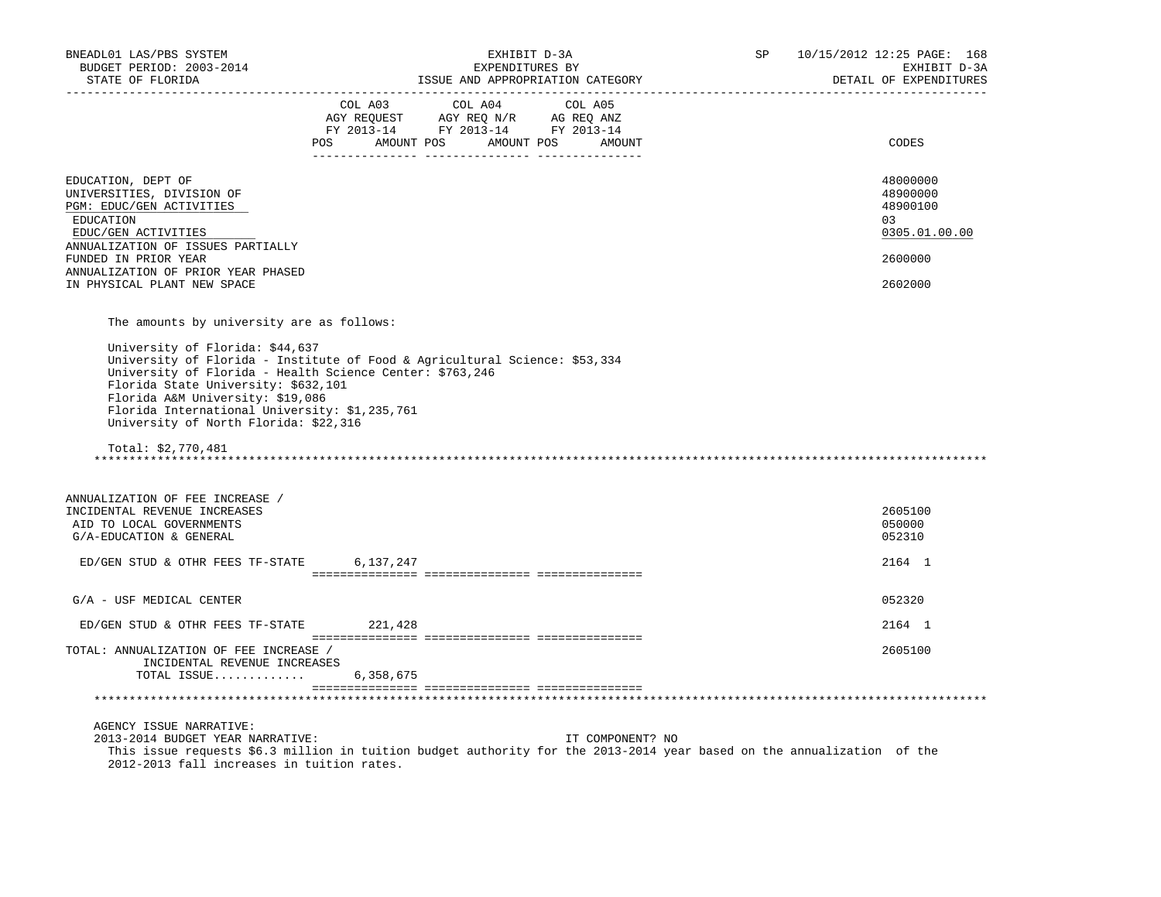| BNEADL01 LAS/PBS SYSTEM<br>BUDGET PERIOD: 2003-2014<br>STATE OF FLORIDA                                                                                                                                                                                                                                                              | EXHIBIT D-3A<br>EXPENDITURES BY<br>ISSUE AND APPROPRIATION CATEGORY                                                                                                                                                                                                                                                                                                                    | SP 10/15/2012 12:25 PAGE: 168<br>EXHIBIT D-3A<br>DETAIL OF EXPENDITURES       |
|--------------------------------------------------------------------------------------------------------------------------------------------------------------------------------------------------------------------------------------------------------------------------------------------------------------------------------------|----------------------------------------------------------------------------------------------------------------------------------------------------------------------------------------------------------------------------------------------------------------------------------------------------------------------------------------------------------------------------------------|-------------------------------------------------------------------------------|
|                                                                                                                                                                                                                                                                                                                                      | $\begin{tabular}{lllllllllll} &\multicolumn{4}{c }{COL A03} &\multicolumn{4}{c }{COL A04} &\multicolumn{4}{c }{COL A05} \\ \multicolumn{4}{c }{AGY REQUEST} &\multicolumn{4}{c }{AGY REQ N/R} &\multicolumn{4}{c }{AG REQ ANZ} \\ \multicolumn{4}{c }{FY 2013-14} &\multicolumn{4}{c }{FY 2013-14} &\multicolumn{4}{c }{FY 2013-14} \end{tabular}$<br>POS AMOUNT POS AMOUNT POS AMOUNT | CODES                                                                         |
| EDUCATION, DEPT OF<br>UNIVERSITIES, DIVISION OF<br>PGM: EDUC/GEN ACTIVITIES<br>EDUCATION<br>EDUC/GEN ACTIVITIES<br>ANNUALIZATION OF ISSUES PARTIALLY<br>FUNDED IN PRIOR YEAR<br>ANNUALIZATION OF PRIOR YEAR PHASED<br>IN PHYSICAL PLANT NEW SPACE                                                                                    |                                                                                                                                                                                                                                                                                                                                                                                        | 48000000<br>48900000<br>48900100<br>03<br>0305.01.00.00<br>2600000<br>2602000 |
| The amounts by university are as follows:<br>University of Florida: \$44,637<br>University of Florida - Health Science Center: \$763,246<br>Florida State University: \$632,101<br>Florida A&M University: \$19,086<br>Florida International University: \$1,235,761<br>University of North Florida: \$22,316<br>Total: $$2,770,481$ | University of Florida - Institute of Food & Agricultural Science: \$53,334                                                                                                                                                                                                                                                                                                             |                                                                               |
| ANNUALIZATION OF FEE INCREASE /<br>INCIDENTAL REVENUE INCREASES<br>AID TO LOCAL GOVERNMENTS<br>G/A-EDUCATION & GENERAL                                                                                                                                                                                                               |                                                                                                                                                                                                                                                                                                                                                                                        | 2605100<br>050000<br>052310                                                   |
| ED/GEN STUD & OTHR FEES TF-STATE 6,137,247                                                                                                                                                                                                                                                                                           |                                                                                                                                                                                                                                                                                                                                                                                        | 2164 1                                                                        |
| G/A - USF MEDICAL CENTER                                                                                                                                                                                                                                                                                                             |                                                                                                                                                                                                                                                                                                                                                                                        | 052320                                                                        |
| ED/GEN STUD & OTHR FEES TF-STATE 221,428                                                                                                                                                                                                                                                                                             |                                                                                                                                                                                                                                                                                                                                                                                        | 2164 1                                                                        |
| TOTAL: ANNUALIZATION OF FEE INCREASE /<br>INCIDENTAL REVENUE INCREASES<br>TOTAL ISSUE                                                                                                                                                                                                                                                | 6,358,675                                                                                                                                                                                                                                                                                                                                                                              | 2605100                                                                       |
|                                                                                                                                                                                                                                                                                                                                      |                                                                                                                                                                                                                                                                                                                                                                                        |                                                                               |
| AGENCY ISSUE NARRATIVE:<br>2013-2014 BUDGET YEAR NARRATIVE:<br>2012-2013 fall increases in tuition rates.                                                                                                                                                                                                                            | IT COMPONENT? NO<br>This issue requests \$6.3 million in tuition budget authority for the 2013-2014 year based on the annualization of the                                                                                                                                                                                                                                             |                                                                               |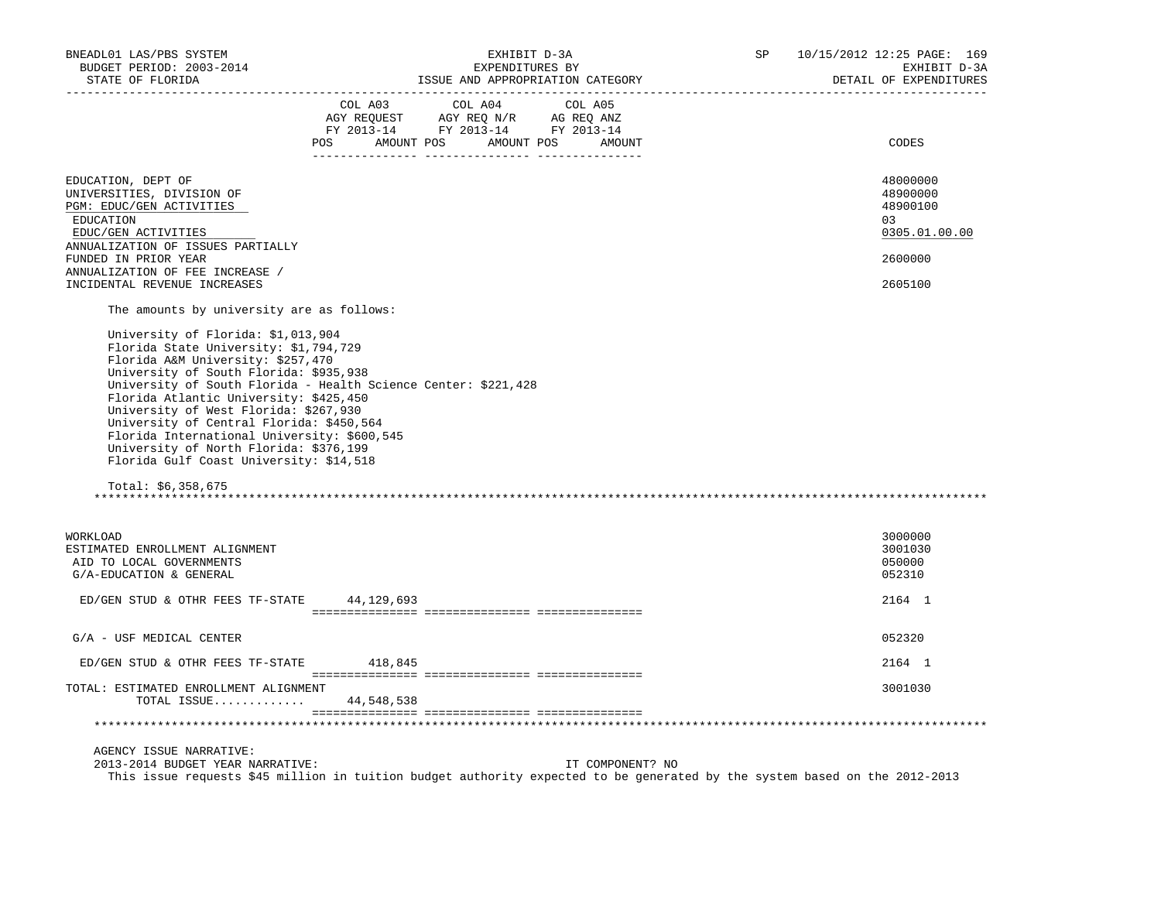| BNEADL01 LAS/PBS SYSTEM<br>BUDGET PERIOD: 2003-2014<br>STATE OF FLORIDA                                                                                                                                                                                                                                                                                                                                                                                                                           | EXHIBIT D-3A<br>EXPENDITURES BY<br>ISSUE AND APPROPRIATION CATEGORY                                                                                                                                                                                                                                                                                                                                                                                                            | SP | 10/15/2012 12:25 PAGE: 169<br>EXHIBIT D-3A<br>DETAIL OF EXPENDITURES           |
|---------------------------------------------------------------------------------------------------------------------------------------------------------------------------------------------------------------------------------------------------------------------------------------------------------------------------------------------------------------------------------------------------------------------------------------------------------------------------------------------------|--------------------------------------------------------------------------------------------------------------------------------------------------------------------------------------------------------------------------------------------------------------------------------------------------------------------------------------------------------------------------------------------------------------------------------------------------------------------------------|----|--------------------------------------------------------------------------------|
|                                                                                                                                                                                                                                                                                                                                                                                                                                                                                                   | $\begin{tabular}{lllllllllll} &\multicolumn{4}{c }{\text{COL A03}} &\multicolumn{4}{c }{\text{COL A04}} &\multicolumn{4}{c }{\text{COL A05}} \\ \multicolumn{4}{c }{\text{AGY REQUEST}} &\multicolumn{4}{c }{\text{AGY REQ N/R}} &\multicolumn{4}{c }{\text{AG REQ ANZ}} \\ \multicolumn{4}{c }{\text{FGY A03--14}} &\multicolumn{4}{c }{\text{FGY A013--14}} &\multicolumn{4}{c }{\text{FC A013--14}} \\ \multicolumn{4}{c }{\text{FY 20$<br>POS AMOUNT POS AMOUNT POS AMOUNT |    | CODES                                                                          |
| EDUCATION, DEPT OF<br>UNIVERSITIES, DIVISION OF<br>PGM: EDUC/GEN ACTIVITIES<br>EDUCATION<br>EDUC/GEN ACTIVITIES<br>ANNUALIZATION OF ISSUES PARTIALLY<br>FUNDED IN PRIOR YEAR<br>ANNUALIZATION OF FEE INCREASE /<br>INCIDENTAL REVENUE INCREASES                                                                                                                                                                                                                                                   |                                                                                                                                                                                                                                                                                                                                                                                                                                                                                |    | 48000000<br>48900000<br>48900100<br>0.3<br>0305.01.00.00<br>2600000<br>2605100 |
| The amounts by university are as follows:<br>University of Florida: \$1,013,904<br>Florida State University: \$1,794,729<br>Florida A&M University: \$257,470<br>University of South Florida: \$935,938<br>Florida Atlantic University: \$425,450<br>University of West Florida: \$267,930<br>University of Central Florida: \$450,564<br>Florida International University: \$600,545<br>University of North Florida: \$376,199<br>Florida Gulf Coast University: \$14,518<br>Total: $$6,358,675$ | University of South Florida - Health Science Center: \$221,428                                                                                                                                                                                                                                                                                                                                                                                                                 |    |                                                                                |
| WORKLOAD<br>ESTIMATED ENROLLMENT ALIGNMENT<br>AID TO LOCAL GOVERNMENTS<br>G/A-EDUCATION & GENERAL<br>ED/GEN STUD & OTHR FEES TF-STATE 44, 129, 693                                                                                                                                                                                                                                                                                                                                                |                                                                                                                                                                                                                                                                                                                                                                                                                                                                                |    | 3000000<br>3001030<br>050000<br>052310<br>2164 1                               |
| G/A - USF MEDICAL CENTER                                                                                                                                                                                                                                                                                                                                                                                                                                                                          |                                                                                                                                                                                                                                                                                                                                                                                                                                                                                |    | 052320                                                                         |
| ED/GEN STUD & OTHR FEES TF-STATE 418,845                                                                                                                                                                                                                                                                                                                                                                                                                                                          |                                                                                                                                                                                                                                                                                                                                                                                                                                                                                |    | 2164 1                                                                         |
| TOTAL: ESTIMATED ENROLLMENT ALIGNMENT<br>TOTAL ISSUE 44,548,538                                                                                                                                                                                                                                                                                                                                                                                                                                   |                                                                                                                                                                                                                                                                                                                                                                                                                                                                                |    | 3001030                                                                        |
|                                                                                                                                                                                                                                                                                                                                                                                                                                                                                                   |                                                                                                                                                                                                                                                                                                                                                                                                                                                                                |    |                                                                                |
| AGENCY ISSUE NARRATIVE:<br>2013-2014 BUDGET YEAR NARRATIVE:                                                                                                                                                                                                                                                                                                                                                                                                                                       | IT COMPONENT? NO<br>This issue requests \$45 million in tuition budget authority expected to be generated by the system based on the 2012-2013                                                                                                                                                                                                                                                                                                                                 |    |                                                                                |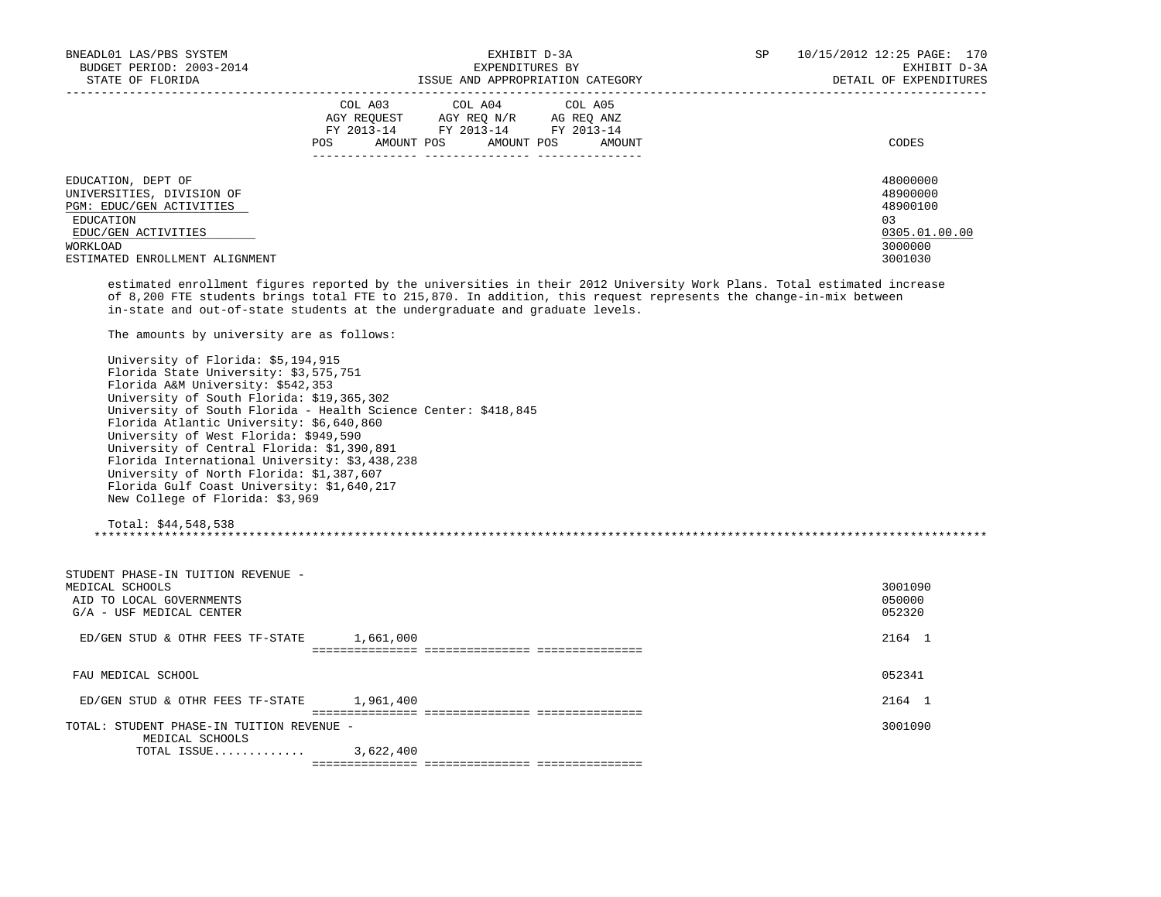| BNEADL01 LAS/PBS SYSTEM        | EXHIBIT D-3A                           | 10/15/2012 12:25 PAGE: 170<br>SP |
|--------------------------------|----------------------------------------|----------------------------------|
| BUDGET PERIOD: 2003-2014       | EXPENDITURES BY                        | EXHIBIT D-3A                     |
| STATE OF FLORIDA               | ISSUE AND APPROPRIATION CATEGORY       | DETAIL OF EXPENDITURES           |
|                                | COL A03 COL A04 COL A05                |                                  |
|                                | AGY REOUEST<br>AGY REO N/R AG REO ANZ  |                                  |
|                                | FY 2013-14 FY 2013-14<br>FY 2013-14    |                                  |
|                                | AMOUNT POS AMOUNT POS<br>POS<br>AMOUNT | CODES                            |
|                                |                                        |                                  |
| EDUCATION, DEPT OF             |                                        | 48000000                         |
| UNIVERSITIES, DIVISION OF      |                                        | 48900000                         |
| PGM: EDUC/GEN ACTIVITIES       |                                        | 48900100                         |
| EDUCATION                      |                                        | 03                               |
| EDUC/GEN ACTIVITIES            |                                        | 0305.01.00.00                    |
| WORKLOAD                       |                                        | 3000000                          |
| ESTIMATED ENROLLMENT ALIGNMENT |                                        | 3001030                          |

 estimated enrollment figures reported by the universities in their 2012 University Work Plans. Total estimated increase of 8,200 FTE students brings total FTE to 215,870. In addition, this request represents the change-in-mix between in-state and out-of-state students at the undergraduate and graduate levels.

The amounts by university are as follows:

| University of Florida: \$5,194,915                             |  |
|----------------------------------------------------------------|--|
| Florida State University: \$3,575,751                          |  |
| Florida A&M University: \$542,353                              |  |
| University of South Florida: \$19,365,302                      |  |
| University of South Florida - Health Science Center: \$418,845 |  |
| Florida Atlantic University: \$6,640,860                       |  |
| University of West Florida: \$949,590                          |  |
| University of Central Florida: \$1,390,891                     |  |
| Florida International University: \$3,438,238                  |  |
| University of North Florida: \$1,387,607                       |  |
| Florida Gulf Coast University: \$1,640,217                     |  |
| New College of Florida: \$3,969                                |  |

Total: \$44,548,538

\*\*\*\*\*\*\*\*\*\*\*\*\*\*\*\*\*\*\*\*\*\*\*\*\*\*\*\*\*\*\*\*\*\*\*\*\*\*\*\*\*\*\*\*\*\*\*\*\*\*\*\*\*\*\*\*\*\*\*\*\*\*\*\*\*\*\*\*\*\*\*\*\*\*\*\*\*\*\*\*\*\*\*\*\*\*\*\*\*\*\*\*\*\*\*\*\*\*\*\*\*\*\*\*\*\*\*\*\*\*\*\*\*\*\*\*\*\*\*\*\*\*\*\*\*\*\*

| STUDENT PHASE-IN TUITION REVENUE -<br>MEDICAL SCHOOLS<br>AID TO LOCAL GOVERNMENTS<br>G/A - USF MEDICAL CENTER |           | 3001090<br>050000<br>052320 |
|---------------------------------------------------------------------------------------------------------------|-----------|-----------------------------|
| ED/GEN STUD & OTHR FEES TF-STATE                                                                              | 1,661,000 | 2164                        |
|                                                                                                               |           |                             |
| FAU MEDICAL SCHOOL                                                                                            |           | 052341                      |
| ED/GEN STUD & OTHR FEES TF-STATE                                                                              | 1,961,400 | 2164                        |
|                                                                                                               |           |                             |
| TOTAL: STUDENT PHASE-IN TUITION REVENUE -                                                                     |           | 3001090                     |
| MEDICAL SCHOOLS                                                                                               |           |                             |
| TOTAL ISSUE                                                                                                   | 3,622,400 |                             |
|                                                                                                               |           |                             |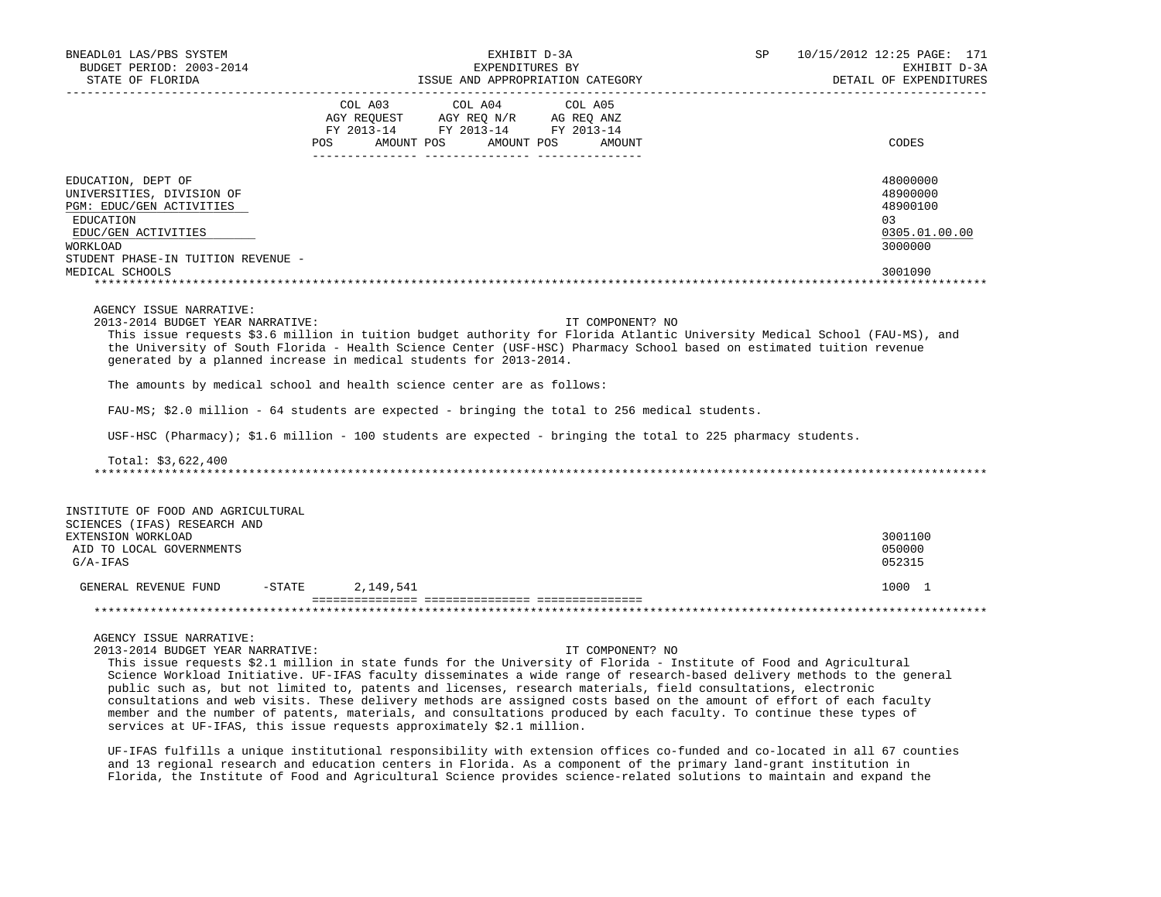| BNEADL01 LAS/PBS SYSTEM<br>BUDGET PERIOD: 2003-2014<br>STATE OF FLORIDA                                                                                                                                                                                                                                                                                                                                                                                            |                        | EXHIBIT D-3A<br>EXPENDITURES BY                                                                                                                                                                                      | ISSUE AND APPROPRIATION CATEGORY                                                                                                     | SP | 10/15/2012 12:25 PAGE: 171<br>EXHIBIT D-3A<br>DETAIL OF EXPENDITURES           |
|--------------------------------------------------------------------------------------------------------------------------------------------------------------------------------------------------------------------------------------------------------------------------------------------------------------------------------------------------------------------------------------------------------------------------------------------------------------------|------------------------|----------------------------------------------------------------------------------------------------------------------------------------------------------------------------------------------------------------------|--------------------------------------------------------------------------------------------------------------------------------------|----|--------------------------------------------------------------------------------|
|                                                                                                                                                                                                                                                                                                                                                                                                                                                                    | COL A03<br><b>POS</b>  | COL A04<br>$\begin{tabular}{lllllll} \bf AGY \,\, REQUEST \,\, &\bf AGY \,\, REQ \,\, N/R &\bf AG \,\, REQ \,\, ANZ \\ \bf FY \,\, 2013-14 &\bf FY \,\, 2013-14 &\bf FY \,\, 2013-14 \\ \end{tabular}$<br>AMOUNT POS | COL A05<br>AMOUNT POS<br>AMOUNT                                                                                                      |    | CODES                                                                          |
| EDUCATION, DEPT OF<br>UNIVERSITIES, DIVISION OF<br>PGM: EDUC/GEN ACTIVITIES<br>EDUCATION<br>EDUC/GEN ACTIVITIES<br>WORKLOAD<br>STUDENT PHASE-IN TUITION REVENUE -<br>MEDICAL SCHOOLS                                                                                                                                                                                                                                                                               |                        |                                                                                                                                                                                                                      |                                                                                                                                      |    | 48000000<br>48900000<br>48900100<br>0.3<br>0305.01.00.00<br>3000000<br>3001090 |
| AGENCY ISSUE NARRATIVE:<br>2013-2014 BUDGET YEAR NARRATIVE:<br>This issue requests \$3.6 million in tuition budget authority for Florida Atlantic University Medical School (FAU-MS), and<br>the University of South Florida - Health Science Center (USF-HSC) Pharmacy School based on estimated tuition revenue<br>generated by a planned increase in medical students for 2013-2014.<br>The amounts by medical school and health science center are as follows: |                        |                                                                                                                                                                                                                      | IT COMPONENT? NO                                                                                                                     |    |                                                                                |
| FAU-MS; \$2.0 million - 64 students are expected - bringing the total to 256 medical students.                                                                                                                                                                                                                                                                                                                                                                     |                        |                                                                                                                                                                                                                      |                                                                                                                                      |    |                                                                                |
| USF-HSC (Pharmacy); \$1.6 million - 100 students are expected - bringing the total to 225 pharmacy students.                                                                                                                                                                                                                                                                                                                                                       |                        |                                                                                                                                                                                                                      |                                                                                                                                      |    |                                                                                |
| Total: \$3,622,400                                                                                                                                                                                                                                                                                                                                                                                                                                                 |                        |                                                                                                                                                                                                                      |                                                                                                                                      |    |                                                                                |
| INSTITUTE OF FOOD AND AGRICULTURAL<br>SCIENCES (IFAS) RESEARCH AND<br>EXTENSION WORKLOAD<br>AID TO LOCAL GOVERNMENTS<br>$G/A-IFAS$                                                                                                                                                                                                                                                                                                                                 |                        |                                                                                                                                                                                                                      |                                                                                                                                      |    | 3001100<br>050000<br>052315                                                    |
| GENERAL REVENUE FUND                                                                                                                                                                                                                                                                                                                                                                                                                                               | $-$ STATE<br>2,149,541 |                                                                                                                                                                                                                      |                                                                                                                                      |    | 1000 1                                                                         |
|                                                                                                                                                                                                                                                                                                                                                                                                                                                                    |                        |                                                                                                                                                                                                                      |                                                                                                                                      |    |                                                                                |
| AGENCY ISSUE NARRATIVE:<br>2013-2014 BUDGET YEAR NARRATIVE:                                                                                                                                                                                                                                                                                                                                                                                                        |                        |                                                                                                                                                                                                                      | IT COMPONENT? NO<br>. Sociolars An a sitation in Sport Contact Contributions of Contact Terministic of Each onlarge that the society |    |                                                                                |

 This issue requests \$2.1 million in state funds for the University of Florida - Institute of Food and Agricultural Science Workload Initiative. UF-IFAS faculty disseminates a wide range of research-based delivery methods to the general public such as, but not limited to, patents and licenses, research materials, field consultations, electronic consultations and web visits. These delivery methods are assigned costs based on the amount of effort of each faculty member and the number of patents, materials, and consultations produced by each faculty. To continue these types of services at UF-IFAS, this issue requests approximately \$2.1 million.

 UF-IFAS fulfills a unique institutional responsibility with extension offices co-funded and co-located in all 67 counties and 13 regional research and education centers in Florida. As a component of the primary land-grant institution in Florida, the Institute of Food and Agricultural Science provides science-related solutions to maintain and expand the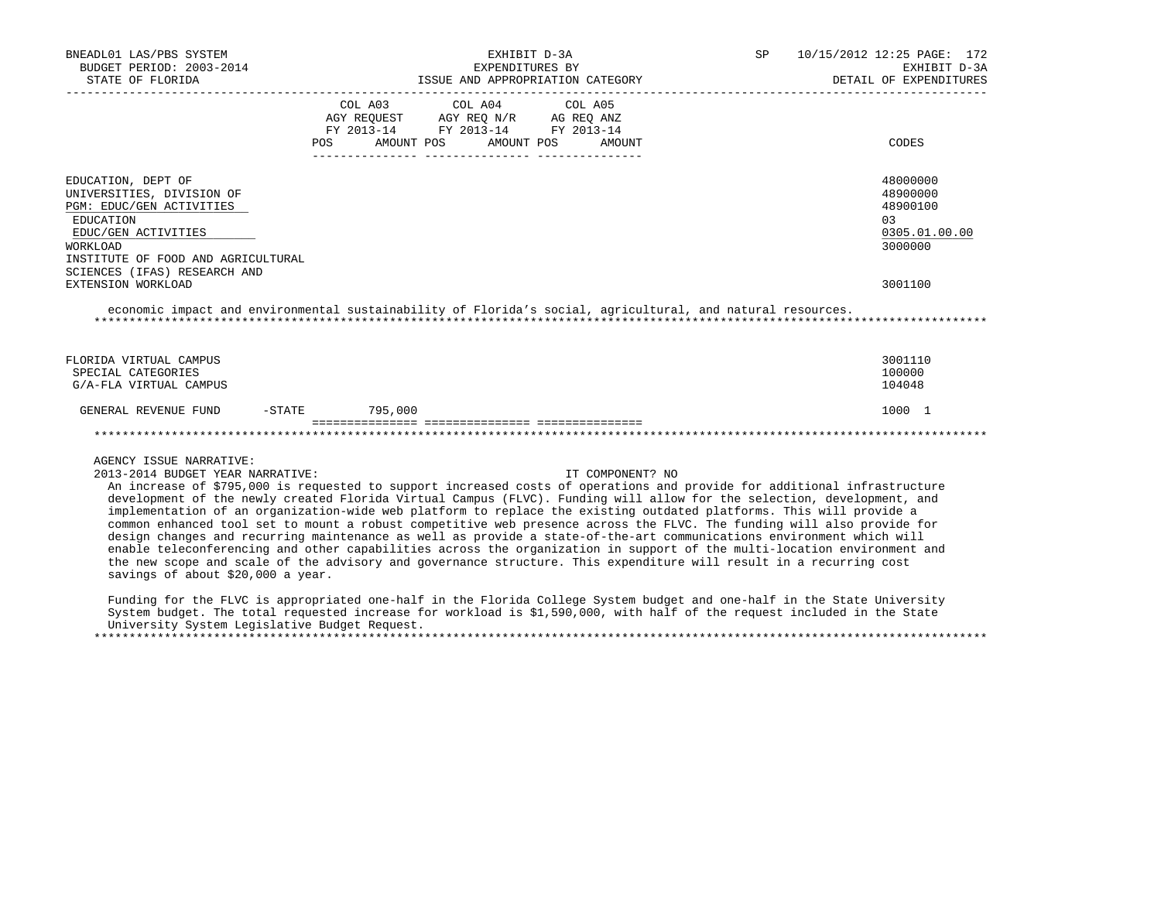| BNEADL01 LAS/PBS SYSTEM<br>BUDGET PERIOD: 2003-2014                                                                      | EXHIBIT D-3A<br>EXPENDITURES BY<br>ISSUE AND APPROPRIATION CATEGORY |                                                                                                                                                                                                                                                      |                      | SP | 10/15/2012 12:25 PAGE: 172<br>EXHIBIT D-3A |
|--------------------------------------------------------------------------------------------------------------------------|---------------------------------------------------------------------|------------------------------------------------------------------------------------------------------------------------------------------------------------------------------------------------------------------------------------------------------|----------------------|----|--------------------------------------------|
| STATE OF FLORIDA                                                                                                         |                                                                     |                                                                                                                                                                                                                                                      |                      |    | DETAIL OF EXPENDITURES                     |
|                                                                                                                          |                                                                     | COL A03 COL A04 COL A05                                                                                                                                                                                                                              |                      |    |                                            |
|                                                                                                                          |                                                                     | $\begin{tabular}{lllllll} \bf AGY \,\, &\bf REQUEST \,\, &\bf AGY \,\, &\bf REQ \,\, &\bf N/R \,\, &\bf AG \,\, &\bf REQ \,\, &\bf ANZ \,\, \\ \bf FY \,\, &\bf 2013-14 \,\, &\bf FY \,\, &\bf 2013-14 \,\, &\bf FY \,\, &\bf 2013-14 \end{tabular}$ |                      |    |                                            |
|                                                                                                                          |                                                                     |                                                                                                                                                                                                                                                      |                      |    |                                            |
|                                                                                                                          | <b>POS</b>                                                          | AMOUNT POS                                                                                                                                                                                                                                           | AMOUNT POS<br>AMOUNT |    | CODES                                      |
| EDUCATION, DEPT OF                                                                                                       |                                                                     |                                                                                                                                                                                                                                                      |                      |    | 48000000                                   |
| UNIVERSITIES, DIVISION OF                                                                                                |                                                                     |                                                                                                                                                                                                                                                      |                      |    | 48900000                                   |
| PGM: EDUC/GEN ACTIVITIES                                                                                                 |                                                                     |                                                                                                                                                                                                                                                      |                      |    | 48900100                                   |
| EDUCATION                                                                                                                |                                                                     |                                                                                                                                                                                                                                                      |                      |    | 0.3                                        |
| EDUC/GEN ACTIVITIES                                                                                                      |                                                                     |                                                                                                                                                                                                                                                      |                      |    | 0305.01.00.00                              |
| WORKLOAD                                                                                                                 |                                                                     |                                                                                                                                                                                                                                                      |                      |    | 3000000                                    |
| INSTITUTE OF FOOD AND AGRICULTURAL                                                                                       |                                                                     |                                                                                                                                                                                                                                                      |                      |    |                                            |
| SCIENCES (IFAS) RESEARCH AND                                                                                             |                                                                     |                                                                                                                                                                                                                                                      |                      |    |                                            |
| EXTENSION WORKLOAD                                                                                                       |                                                                     |                                                                                                                                                                                                                                                      |                      |    | 3001100                                    |
| economic impact and environmental sustainability of Florida's social, agricultural, and natural resources.               |                                                                     |                                                                                                                                                                                                                                                      |                      |    |                                            |
| FLORIDA VIRTUAL CAMPUS                                                                                                   |                                                                     |                                                                                                                                                                                                                                                      |                      |    | 3001110                                    |
| SPECIAL CATEGORIES                                                                                                       |                                                                     |                                                                                                                                                                                                                                                      |                      |    | 100000                                     |
| G/A-FLA VIRTUAL CAMPUS                                                                                                   |                                                                     |                                                                                                                                                                                                                                                      |                      |    | 104048                                     |
| GENERAL REVENUE FUND                                                                                                     | $-STATE$ 795,000                                                    |                                                                                                                                                                                                                                                      |                      |    | 1000 1                                     |
|                                                                                                                          |                                                                     |                                                                                                                                                                                                                                                      |                      |    |                                            |
|                                                                                                                          |                                                                     |                                                                                                                                                                                                                                                      |                      |    |                                            |
| AGENCY ISSUE NARRATIVE:                                                                                                  |                                                                     |                                                                                                                                                                                                                                                      |                      |    |                                            |
| 2013-2014 BUDGET YEAR NARRATIVE:                                                                                         |                                                                     |                                                                                                                                                                                                                                                      | IT COMPONENT? NO     |    |                                            |
| An increase of \$795,000 is requested to support increased costs of operations and provide for additional infrastructure |                                                                     |                                                                                                                                                                                                                                                      |                      |    |                                            |
| development of the newly created Florida Virtual Campus (FLVC). Funding will allow for the selection, development, and   |                                                                     |                                                                                                                                                                                                                                                      |                      |    |                                            |
| implementation of an organization-wide web platform to replace the existing outdated platforms. This will provide a      |                                                                     |                                                                                                                                                                                                                                                      |                      |    |                                            |
| common enhanced tool set to mount a robust competitive web presence across the FLVC. The funding will also provide for   |                                                                     |                                                                                                                                                                                                                                                      |                      |    |                                            |
| design changes and recurring maintenance as well as provide a state-of-the-art communications environment which will     |                                                                     |                                                                                                                                                                                                                                                      |                      |    |                                            |
| enable teleconferencing and other capabilities across the organization in support of the multi-location environment and  |                                                                     |                                                                                                                                                                                                                                                      |                      |    |                                            |
| the new scope and scale of the advisory and governance structure. This expenditure will result in a recurring cost       |                                                                     |                                                                                                                                                                                                                                                      |                      |    |                                            |

savings of about \$20,000 a year.

 Funding for the FLVC is appropriated one-half in the Florida College System budget and one-half in the State University System budget. The total requested increase for workload is \$1,590,000, with half of the request included in the State University System Legislative Budget Request.

\*\*\*\*\*\*\*\*\*\*\*\*\*\*\*\*\*\*\*\*\*\*\*\*\*\*\*\*\*\*\*\*\*\*\*\*\*\*\*\*\*\*\*\*\*\*\*\*\*\*\*\*\*\*\*\*\*\*\*\*\*\*\*\*\*\*\*\*\*\*\*\*\*\*\*\*\*\*\*\*\*\*\*\*\*\*\*\*\*\*\*\*\*\*\*\*\*\*\*\*\*\*\*\*\*\*\*\*\*\*\*\*\*\*\*\*\*\*\*\*\*\*\*\*\*\*\*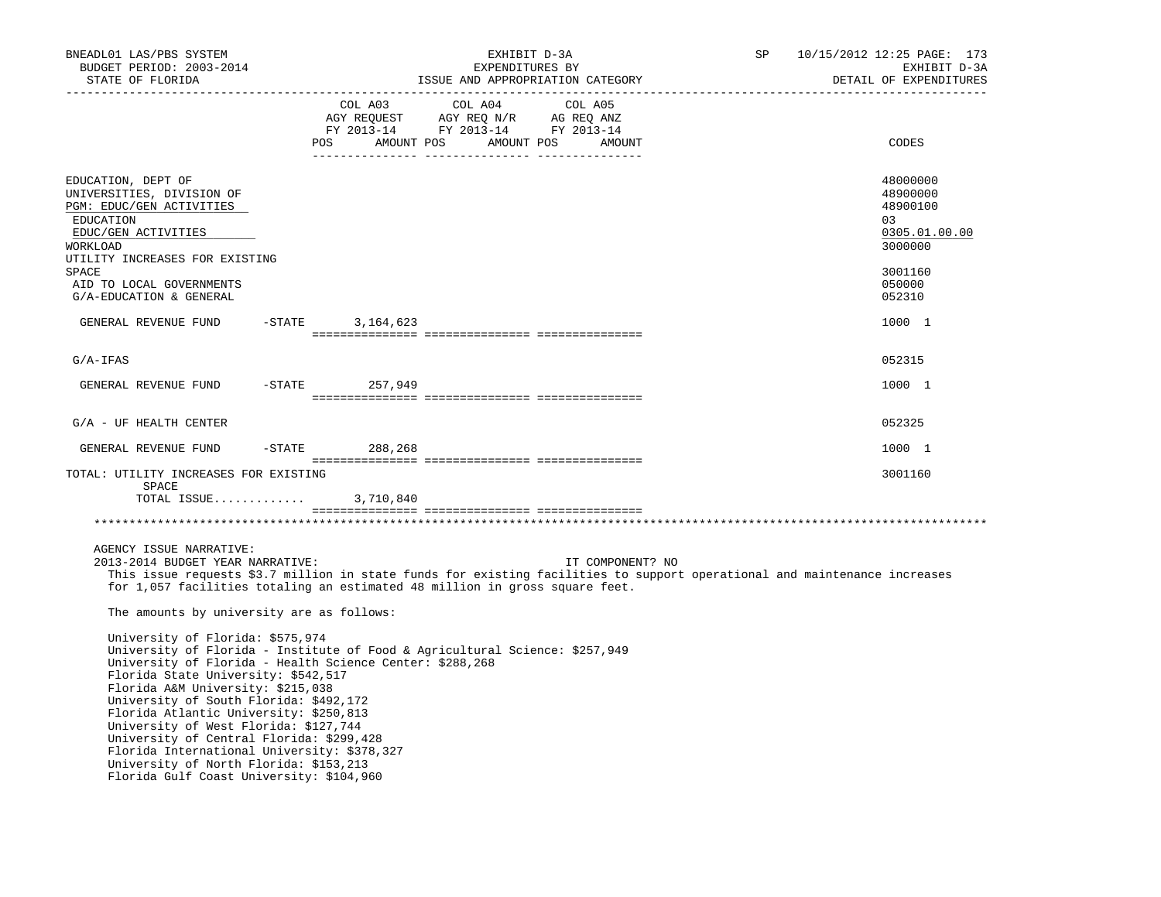| BNEADL01 LAS/PBS SYSTEM<br>BUDGET PERIOD: 2003-2014<br>STATE OF FLORIDA                                                                                                                                                                                                                                                                                                                                                    | EXHIBIT D-3A<br>EXPENDITURES BY<br>ISSUE AND APPROPRIATION CATEGORY<br>___________________________                                                                                                                                                                                                  | SP | 10/15/2012 12:25 PAGE: 173<br>EXHIBIT D-3A<br>DETAIL OF EXPENDITURES                                        |
|----------------------------------------------------------------------------------------------------------------------------------------------------------------------------------------------------------------------------------------------------------------------------------------------------------------------------------------------------------------------------------------------------------------------------|-----------------------------------------------------------------------------------------------------------------------------------------------------------------------------------------------------------------------------------------------------------------------------------------------------|----|-------------------------------------------------------------------------------------------------------------|
|                                                                                                                                                                                                                                                                                                                                                                                                                            | COL A03<br>COL A04<br>COL A05<br>COLORS COLORS COLORS AGRICULATION AND MANY REQUEST AGY REQ AND AGRICULATION AND MANY AGRICULATION AND MANY AGRICULATION AND A SALE AND A SALE AND A SALE AND A SALE AND A SALE AND A SALE AND A SALE AND A SALE AND A SALE AND<br>POS AMOUNT POS AMOUNT POS AMOUNT |    | CODES                                                                                                       |
| EDUCATION, DEPT OF<br>UNIVERSITIES, DIVISION OF<br>PGM: EDUC/GEN ACTIVITIES<br>EDUCATION<br>EDUC/GEN ACTIVITIES<br>WORKLOAD<br>UTILITY INCREASES FOR EXISTING<br>SPACE<br>AID TO LOCAL GOVERNMENTS<br>G/A-EDUCATION & GENERAL<br>GENERAL REVENUE FUND                                                                                                                                                                      | $-STATE$ 3, 164, 623                                                                                                                                                                                                                                                                                |    | 48000000<br>48900000<br>48900100<br>03<br>0305.01.00.00<br>3000000<br>3001160<br>050000<br>052310<br>1000 1 |
| $G/A-IFAS$                                                                                                                                                                                                                                                                                                                                                                                                                 |                                                                                                                                                                                                                                                                                                     |    | 052315                                                                                                      |
| GENERAL REVENUE FUND                                                                                                                                                                                                                                                                                                                                                                                                       | -STATE 257,949                                                                                                                                                                                                                                                                                      |    | 1000 1                                                                                                      |
| $G/A$ - UF HEALTH CENTER<br>GENERAL REVENUE FUND                                                                                                                                                                                                                                                                                                                                                                           | $-STATE$ 288, 268                                                                                                                                                                                                                                                                                   |    | 052325<br>1000 1                                                                                            |
| TOTAL: UTILITY INCREASES FOR EXISTING<br>SPACE<br>TOTAL ISSUE                                                                                                                                                                                                                                                                                                                                                              | 3,710,840                                                                                                                                                                                                                                                                                           |    | 3001160                                                                                                     |
| AGENCY ISSUE NARRATIVE:<br>2013-2014 BUDGET YEAR NARRATIVE:                                                                                                                                                                                                                                                                                                                                                                | IT COMPONENT? NO<br>This issue requests \$3.7 million in state funds for existing facilities to support operational and maintenance increases<br>for 1,057 facilities totaling an estimated 48 million in gross square feet.                                                                        |    |                                                                                                             |
| The amounts by university are as follows:                                                                                                                                                                                                                                                                                                                                                                                  |                                                                                                                                                                                                                                                                                                     |    |                                                                                                             |
| University of Florida: \$575,974<br>Florida State University: \$542,517<br>Florida A&M University: \$215,038<br>University of South Florida: \$492,172<br>Florida Atlantic University: \$250,813<br>University of West Florida: \$127,744<br>University of Central Florida: \$299,428<br>Florida International University: \$378,327<br>University of North Florida: \$153,213<br>Florida Gulf Coast University: \$104,960 | University of Florida - Institute of Food & Agricultural Science: \$257,949<br>University of Florida - Health Science Center: \$288,268                                                                                                                                                             |    |                                                                                                             |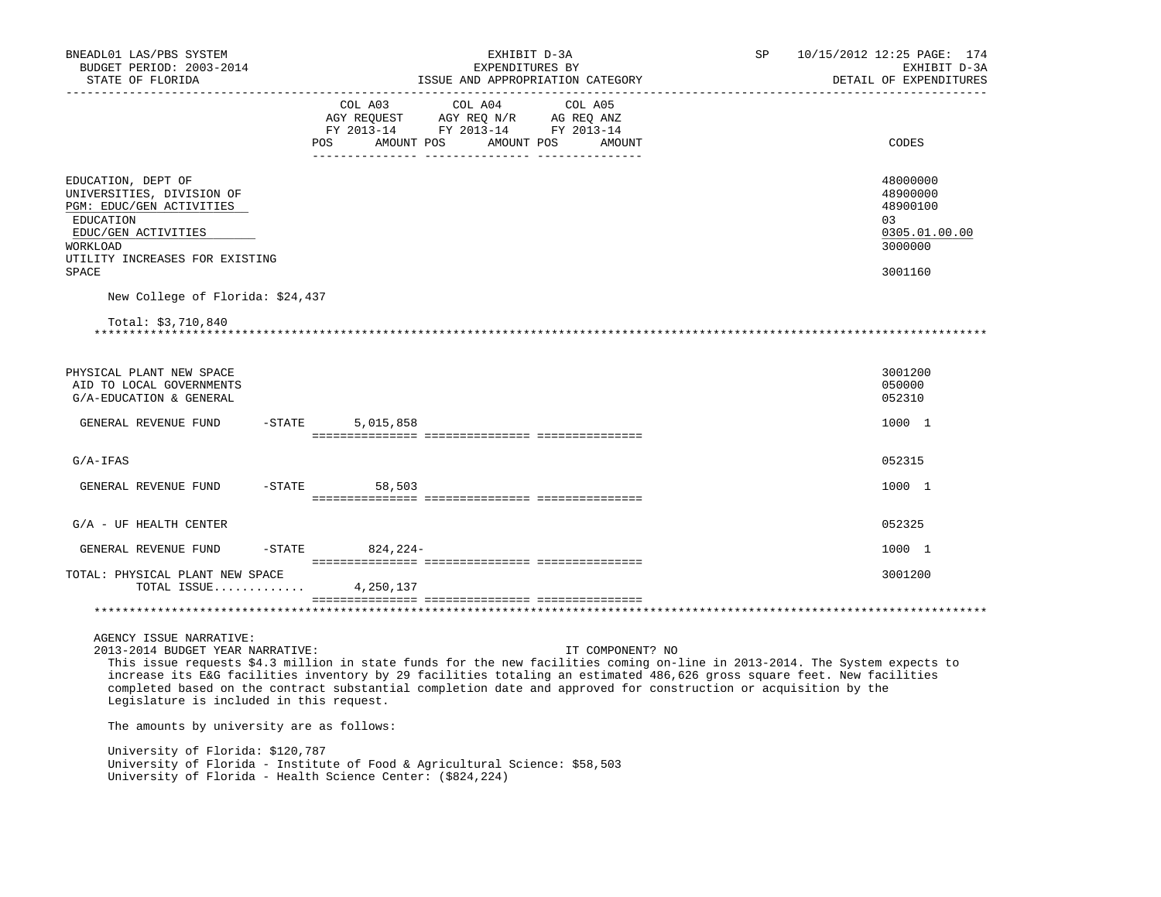| BNEADL01 LAS/PBS SYSTEM<br>BUDGET PERIOD: 2003-2014<br>STATE OF FLORIDA                                                                                                |           |                                                                                                                                          | EXHIBIT D-3A<br>EXPENDITURES BY<br>ISSUE AND APPROPRIATION CATEGORY                                                                                                                                                                                                                                                                                                                         | SP | 10/15/2012 12:25 PAGE: 174<br>EXHIBIT D-3A<br>DETAIL OF EXPENDITURES          |
|------------------------------------------------------------------------------------------------------------------------------------------------------------------------|-----------|------------------------------------------------------------------------------------------------------------------------------------------|---------------------------------------------------------------------------------------------------------------------------------------------------------------------------------------------------------------------------------------------------------------------------------------------------------------------------------------------------------------------------------------------|----|-------------------------------------------------------------------------------|
|                                                                                                                                                                        |           | COL A03<br><b>POS</b><br>AMOUNT POS                                                                                                      | COL A05<br>COL A04<br>AGY REQUEST AGY REQ N/R AG REQ ANZ<br>FY 2013-14 FY 2013-14 FY 2013-14<br>AMOUNT POS<br>AMOUNT                                                                                                                                                                                                                                                                        |    | CODES                                                                         |
| EDUCATION, DEPT OF<br>UNIVERSITIES, DIVISION OF<br>PGM: EDUC/GEN ACTIVITIES<br>EDUCATION<br>EDUC/GEN ACTIVITIES<br>WORKLOAD<br>UTILITY INCREASES FOR EXISTING<br>SPACE |           |                                                                                                                                          |                                                                                                                                                                                                                                                                                                                                                                                             |    | 48000000<br>48900000<br>48900100<br>03<br>0305.01.00.00<br>3000000<br>3001160 |
| New College of Florida: \$24,437<br>Total: $$3,710,840$                                                                                                                |           |                                                                                                                                          |                                                                                                                                                                                                                                                                                                                                                                                             |    |                                                                               |
| PHYSICAL PLANT NEW SPACE<br>AID TO LOCAL GOVERNMENTS<br>G/A-EDUCATION & GENERAL                                                                                        |           |                                                                                                                                          |                                                                                                                                                                                                                                                                                                                                                                                             |    | 3001200<br>050000<br>052310                                                   |
| GENERAL REVENUE FUND                                                                                                                                                   | $-$ STATE | 5,015,858                                                                                                                                |                                                                                                                                                                                                                                                                                                                                                                                             |    | 1000 1                                                                        |
| $G/A-IFAS$                                                                                                                                                             |           |                                                                                                                                          |                                                                                                                                                                                                                                                                                                                                                                                             |    | 052315                                                                        |
| GENERAL REVENUE FUND                                                                                                                                                   | $-$ STATE | 58,503                                                                                                                                   |                                                                                                                                                                                                                                                                                                                                                                                             |    | 1000 1                                                                        |
| $G/A$ - UF HEALTH CENTER                                                                                                                                               |           |                                                                                                                                          |                                                                                                                                                                                                                                                                                                                                                                                             |    | 052325                                                                        |
| GENERAL REVENUE FUND                                                                                                                                                   | $-$ STATE | 824,224-                                                                                                                                 |                                                                                                                                                                                                                                                                                                                                                                                             |    | 1000 1                                                                        |
| TOTAL: PHYSICAL PLANT NEW SPACE<br>TOTAL ISSUE                                                                                                                         |           | 4,250,137                                                                                                                                |                                                                                                                                                                                                                                                                                                                                                                                             |    | 3001200                                                                       |
|                                                                                                                                                                        |           |                                                                                                                                          |                                                                                                                                                                                                                                                                                                                                                                                             |    |                                                                               |
| AGENCY ISSUE NARRATIVE:<br>2013-2014 BUDGET YEAR NARRATIVE:<br>Legislature is included in this request.                                                                |           |                                                                                                                                          | IT COMPONENT? NO<br>This issue requests \$4.3 million in state funds for the new facilities coming on-line in 2013-2014. The System expects to<br>increase its E&G facilities inventory by 29 facilities totaling an estimated 486,626 gross square feet. New facilities<br>completed based on the contract substantial completion date and approved for construction or acquisition by the |    |                                                                               |
| The amounts by university are as follows:                                                                                                                              |           |                                                                                                                                          |                                                                                                                                                                                                                                                                                                                                                                                             |    |                                                                               |
| University of Florida: \$120,787                                                                                                                                       |           | University of Florida - Institute of Food & Agricultural Science: \$58,503<br>University of Florida - Health Science Center: (\$824,224) |                                                                                                                                                                                                                                                                                                                                                                                             |    |                                                                               |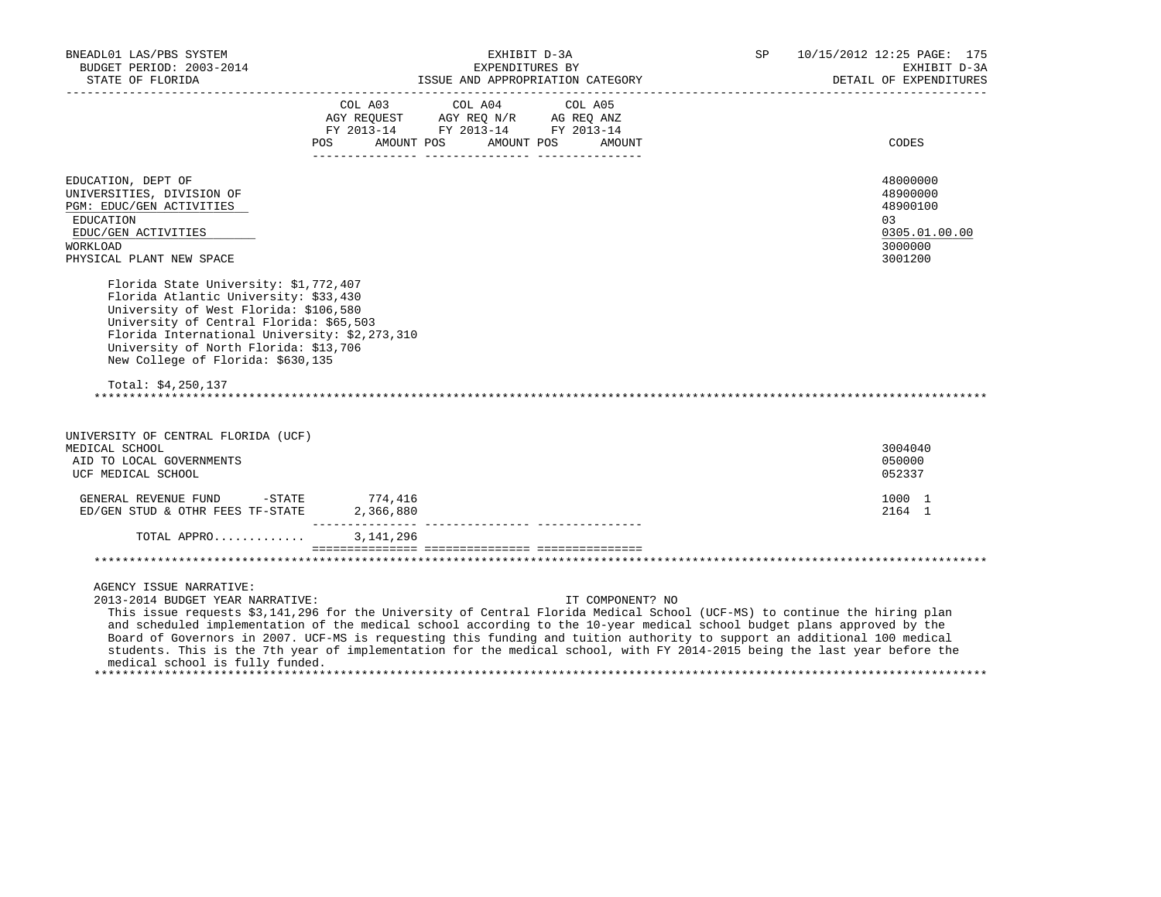| BNEADL01 LAS/PBS SYSTEM<br>BUDGET PERIOD: 2003-2014                                                                                                                                                                                                                                                                      |                                              | EXHIBIT D-3A<br>EXPENDITURES BY<br>ESTATE OF FLORIDA FEXPENDING ISSUE AND APPROPRIATION CATEGORY FRAMING THE DETAIL OF EXPENDING AND APPROPRIATION CATEGORY PRODUCT AND APPROPRIATION CATEGORY                                                                                                                                                                                                                                                                                                                                    | SP | 10/15/2012 12:25 PAGE: 175<br>EXHIBIT D-3A<br>DETAIL OF EXPENDITURES          |
|--------------------------------------------------------------------------------------------------------------------------------------------------------------------------------------------------------------------------------------------------------------------------------------------------------------------------|----------------------------------------------|-----------------------------------------------------------------------------------------------------------------------------------------------------------------------------------------------------------------------------------------------------------------------------------------------------------------------------------------------------------------------------------------------------------------------------------------------------------------------------------------------------------------------------------|----|-------------------------------------------------------------------------------|
|                                                                                                                                                                                                                                                                                                                          | COL A03 COL A04<br>POS AMOUNT POS AMOUNT POS | COL A05<br>AGY REQUEST AGY REQ N/R AG REQ ANZ<br>FY 2013-14 FY 2013-14 FY 2013-14<br>AMOUNT                                                                                                                                                                                                                                                                                                                                                                                                                                       |    | CODES                                                                         |
| EDUCATION, DEPT OF<br>UNIVERSITIES, DIVISION OF<br>PGM: EDUC/GEN ACTIVITIES<br>EDUCATION<br>EDUC/GEN ACTIVITIES<br><b>WORKLOAD</b><br>PHYSICAL PLANT NEW SPACE                                                                                                                                                           |                                              |                                                                                                                                                                                                                                                                                                                                                                                                                                                                                                                                   |    | 48000000<br>48900000<br>48900100<br>03<br>0305.01.00.00<br>3000000<br>3001200 |
| Florida State University: \$1,772,407<br>Florida Atlantic University: \$33,430<br>University of West Florida: \$106,580<br>University of Central Florida: \$65,503<br>Florida International University: \$2,273,310<br>University of North Florida: \$13,706<br>New College of Florida: \$630,135<br>Total: $$4,250,137$ |                                              |                                                                                                                                                                                                                                                                                                                                                                                                                                                                                                                                   |    |                                                                               |
|                                                                                                                                                                                                                                                                                                                          |                                              |                                                                                                                                                                                                                                                                                                                                                                                                                                                                                                                                   |    |                                                                               |
| UNIVERSITY OF CENTRAL FLORIDA (UCF)<br>MEDICAL SCHOOL<br>AID TO LOCAL GOVERNMENTS<br>UCF MEDICAL SCHOOL                                                                                                                                                                                                                  |                                              |                                                                                                                                                                                                                                                                                                                                                                                                                                                                                                                                   |    | 3004040<br>050000<br>052337                                                   |
| GENERAL REVENUE FUND - STATE<br>ED/GEN STUD & OTHR FEES TF-STATE                                                                                                                                                                                                                                                         | 774,416<br>2,366,880                         |                                                                                                                                                                                                                                                                                                                                                                                                                                                                                                                                   |    | 1000 1<br>2164 1                                                              |
| TOTAL APPRO                                                                                                                                                                                                                                                                                                              | 3, 141, 296                                  |                                                                                                                                                                                                                                                                                                                                                                                                                                                                                                                                   |    |                                                                               |
|                                                                                                                                                                                                                                                                                                                          |                                              |                                                                                                                                                                                                                                                                                                                                                                                                                                                                                                                                   |    |                                                                               |
| AGENCY ISSUE NARRATIVE:<br>2013-2014 BUDGET YEAR NARRATIVE:<br>medical school is fully funded.                                                                                                                                                                                                                           |                                              | IT COMPONENT? NO<br>This issue requests \$3,141,296 for the University of Central Florida Medical School (UCF-MS) to continue the hiring plan<br>and scheduled implementation of the medical school according to the 10-year medical school budget plans approved by the<br>Board of Governors in 2007. UCF-MS is requesting this funding and tuition authority to support an additional 100 medical<br>students. This is the 7th year of implementation for the medical school, with FY 2014-2015 being the last year before the |    |                                                                               |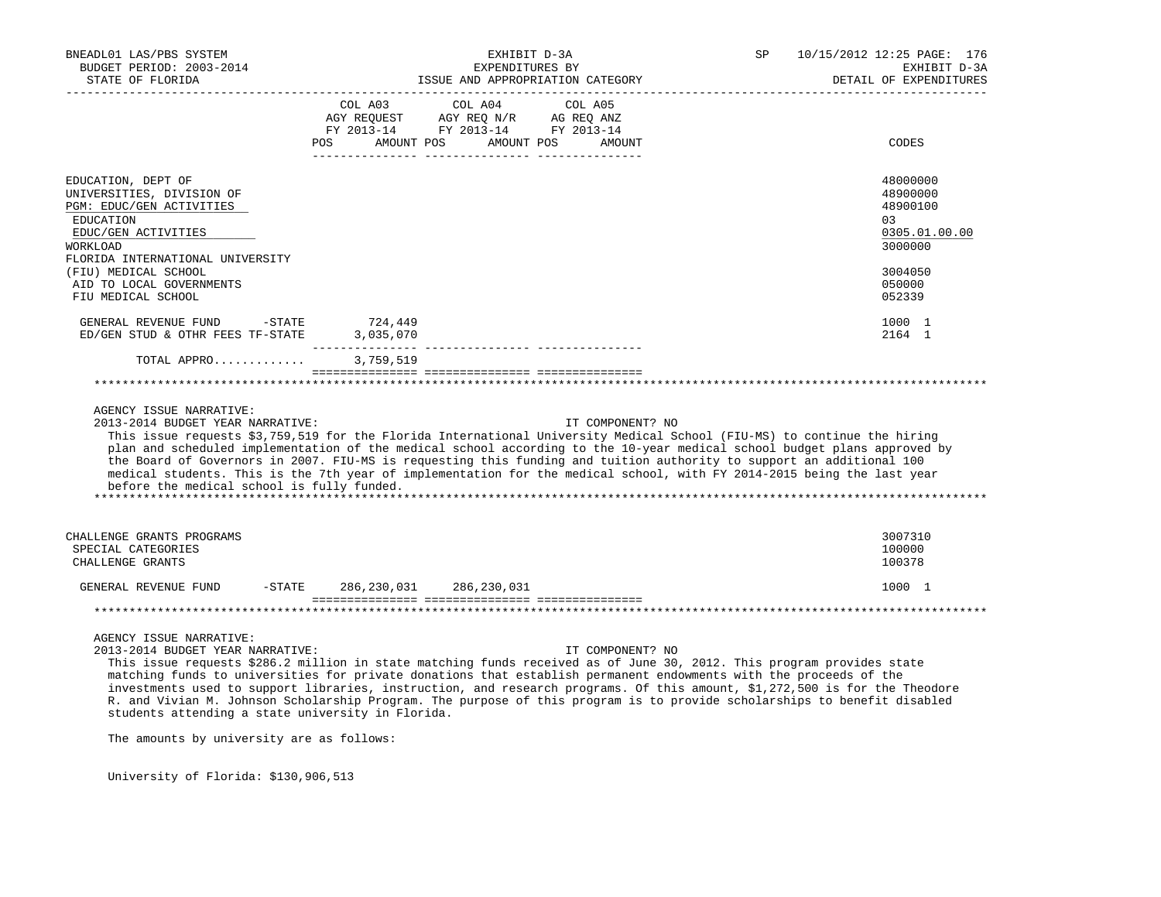| BNEADL01 LAS/PBS SYSTEM<br>BUDGET PERIOD: 2003-2014<br>STATE OF FLORIDA                                                                                       | EXHIBIT D-3A<br>EXPENDITURES BY<br>ISSUE AND APPROPRIATION CATEGORY                                                                                                                                                                                                                                                                                                                                                                                                                                                       | SP<br>10/15/2012 12:25 PAGE: 176<br>EXHIBIT D-3A<br>DETAIL OF EXPENDITURES |
|---------------------------------------------------------------------------------------------------------------------------------------------------------------|---------------------------------------------------------------------------------------------------------------------------------------------------------------------------------------------------------------------------------------------------------------------------------------------------------------------------------------------------------------------------------------------------------------------------------------------------------------------------------------------------------------------------|----------------------------------------------------------------------------|
|                                                                                                                                                               | COL A03<br>COL A04<br>COL A05<br>$\begin{tabular}{lllllllll} \bf AGY \,\,\, REQUEST \,\,\, & \bf AGY \,\, REQ \,\, N/R & \,\, AG \,\, REQ \,\, ANZ \\ \bf FY \,\, 2013-14 & \,\, FY \,\, 2013-14 & \,\, FY \,\, 2013-14 \\ \end{tabular}$<br>AMOUNT POS<br>AMOUNT POS<br>POS<br>AMOUNT                                                                                                                                                                                                                                    | CODES                                                                      |
| EDUCATION, DEPT OF<br>UNIVERSITIES, DIVISION OF<br>PGM: EDUC/GEN ACTIVITIES<br>EDUCATION<br>EDUC/GEN ACTIVITIES<br><b>WORKLOAD</b>                            |                                                                                                                                                                                                                                                                                                                                                                                                                                                                                                                           | 48000000<br>48900000<br>48900100<br>03<br>0305.01.00.00<br>3000000         |
| FLORIDA INTERNATIONAL UNIVERSITY<br>(FIU) MEDICAL SCHOOL<br>AID TO LOCAL GOVERNMENTS<br>FIU MEDICAL SCHOOL                                                    |                                                                                                                                                                                                                                                                                                                                                                                                                                                                                                                           | 3004050<br>050000<br>052339                                                |
| GENERAL REVENUE FUND<br>$-$ STATE<br>ED/GEN STUD & OTHR FEES TF-STATE                                                                                         | 724,449<br>3,035,070                                                                                                                                                                                                                                                                                                                                                                                                                                                                                                      | 1000 1<br>2164 1                                                           |
| TOTAL APPRO                                                                                                                                                   | 3,759,519                                                                                                                                                                                                                                                                                                                                                                                                                                                                                                                 |                                                                            |
| AGENCY ISSUE NARRATIVE:<br>2013-2014 BUDGET YEAR NARRATIVE:<br>before the medical school is fully funded.                                                     | IT COMPONENT? NO<br>This issue requests \$3,759,519 for the Florida International University Medical School (FIU-MS) to continue the hiring<br>plan and scheduled implementation of the medical school according to the 10-year medical school budget plans approved by<br>the Board of Governors in 2007. FIU-MS is requesting this funding and tuition authority to support an additional 100<br>medical students. This is the 7th year of implementation for the medical school, with FY 2014-2015 being the last year |                                                                            |
| CHALLENGE GRANTS PROGRAMS<br>SPECIAL CATEGORIES<br>CHALLENGE GRANTS                                                                                           |                                                                                                                                                                                                                                                                                                                                                                                                                                                                                                                           | 3007310<br>100000<br>100378                                                |
| GENERAL REVENUE FUND<br>$-$ STATE                                                                                                                             | 286,230,031<br>286,230,031                                                                                                                                                                                                                                                                                                                                                                                                                                                                                                | 1000 1                                                                     |
|                                                                                                                                                               |                                                                                                                                                                                                                                                                                                                                                                                                                                                                                                                           |                                                                            |
| AGENCY ISSUE NARRATIVE:<br>2013-2014 BUDGET YEAR NARRATIVE:<br>students attending a state university in Florida.<br>The amounts by university are as follows: | IT COMPONENT? NO<br>This issue requests \$286.2 million in state matching funds received as of June 30, 2012. This program provides state<br>matching funds to universities for private donations that establish permanent endowments with the proceeds of the<br>investments used to support libraries, instruction, and research programs. Of this amount, \$1,272,500 is for the Theodore<br>R. and Vivian M. Johnson Scholarship Program. The purpose of this program is to provide scholarships to benefit disabled  |                                                                            |

University of Florida: \$130,906,513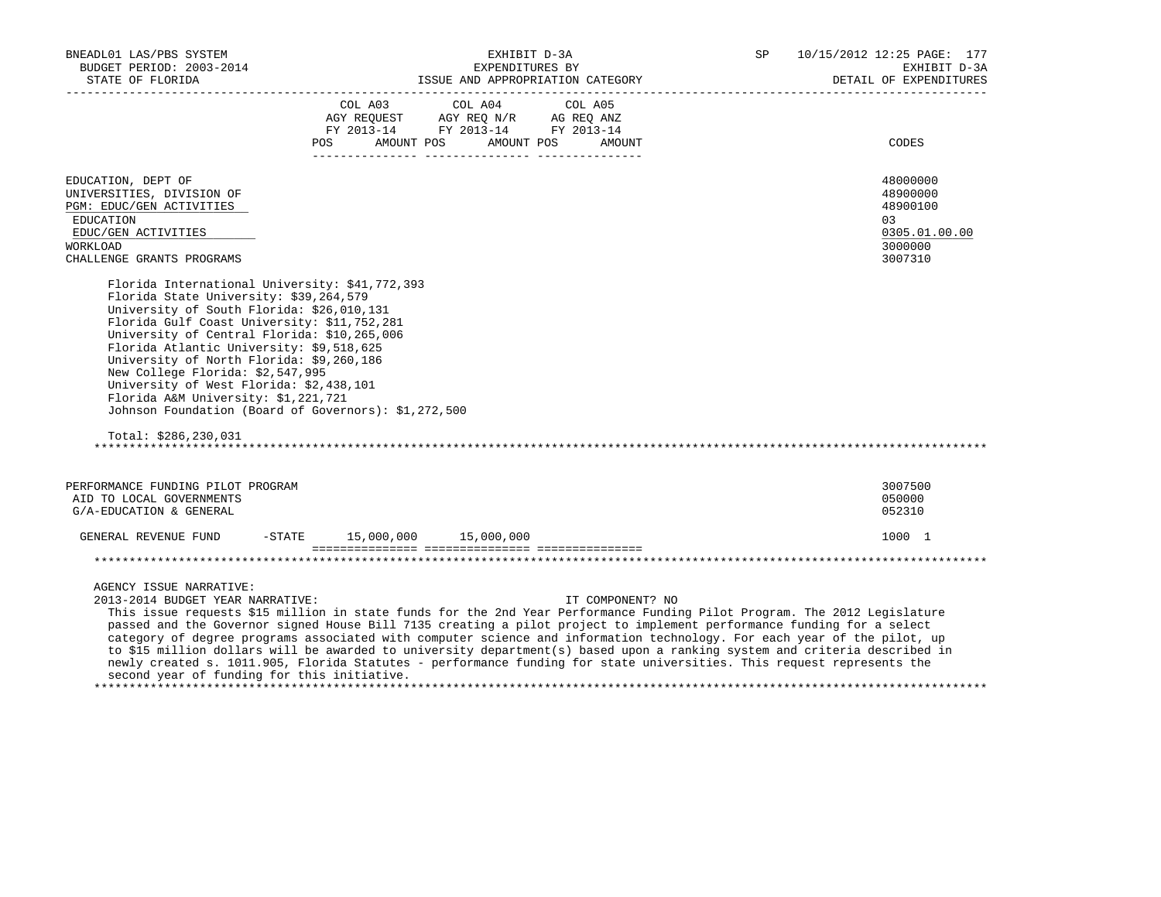| BNEADL01 LAS/PBS SYSTEM<br>BUDGET PERIOD: 2003-2014<br>STATE OF FLORIDA                                                                                                                                                                                                                                                                                                                                                                                                                                                                                                                                                                                                                                                                          | EXHIBIT D-3A<br>EXPENDITURES BY<br>ISSUE AND APPROPRIATION CATEGORY |                                                                                                                |                   | SP | 10/15/2012 12:25 PAGE: 177<br>EXHIBIT D-3A<br>DETAIL OF EXPENDITURES<br>____________________ |
|--------------------------------------------------------------------------------------------------------------------------------------------------------------------------------------------------------------------------------------------------------------------------------------------------------------------------------------------------------------------------------------------------------------------------------------------------------------------------------------------------------------------------------------------------------------------------------------------------------------------------------------------------------------------------------------------------------------------------------------------------|---------------------------------------------------------------------|----------------------------------------------------------------------------------------------------------------|-------------------|----|----------------------------------------------------------------------------------------------|
|                                                                                                                                                                                                                                                                                                                                                                                                                                                                                                                                                                                                                                                                                                                                                  | COL A03                                                             | COL A04<br>AGY REQUEST AGY REQ N/R AG REQ ANZ<br>FY 2013-14 FY 2013-14 FY 2013-14<br>POS AMOUNT POS AMOUNT POS | COL A05<br>AMOUNT |    | CODES                                                                                        |
| EDUCATION, DEPT OF<br>UNIVERSITIES, DIVISION OF<br>PGM: EDUC/GEN ACTIVITIES<br>EDUCATION<br>EDUC/GEN ACTIVITIES<br><b>WORKLOAD</b><br>CHALLENGE GRANTS PROGRAMS                                                                                                                                                                                                                                                                                                                                                                                                                                                                                                                                                                                  |                                                                     |                                                                                                                |                   |    | 48000000<br>48900000<br>48900100<br>03<br>0305.01.00.00<br>3000000<br>3007310                |
| Florida International University: \$41,772,393<br>Florida State University: \$39,264,579<br>University of South Florida: \$26,010,131<br>Florida Gulf Coast University: \$11,752,281<br>University of Central Florida: \$10,265,006<br>Florida Atlantic University: \$9,518,625<br>University of North Florida: \$9,260,186<br>New College Florida: \$2,547,995<br>University of West Florida: \$2,438,101<br>Florida A&M University: \$1,221,721<br>Johnson Foundation (Board of Governors): \$1,272,500<br>Total: $$286, 230, 031$                                                                                                                                                                                                             |                                                                     |                                                                                                                |                   |    |                                                                                              |
| PERFORMANCE FUNDING PILOT PROGRAM<br>AID TO LOCAL GOVERNMENTS<br>G/A-EDUCATION & GENERAL                                                                                                                                                                                                                                                                                                                                                                                                                                                                                                                                                                                                                                                         |                                                                     |                                                                                                                |                   |    | 3007500<br>050000<br>052310                                                                  |
| GENERAL REVENUE FUND                                                                                                                                                                                                                                                                                                                                                                                                                                                                                                                                                                                                                                                                                                                             |                                                                     | $-STATE$ 15,000,000 15,000,000                                                                                 |                   |    | 1000 1                                                                                       |
| AGENCY ISSUE NARRATIVE:<br>2013-2014 BUDGET YEAR NARRATIVE:<br>This issue requests \$15 million in state funds for the 2nd Year Performance Funding Pilot Program. The 2012 Legislature<br>passed and the Governor signed House Bill 7135 creating a pilot project to implement performance funding for a select<br>category of degree programs associated with computer science and information technology. For each year of the pilot, up<br>to \$15 million dollars will be awarded to university department(s) based upon a ranking system and criteria described in<br>newly created s. 1011.905, Florida Statutes - performance funding for state universities. This request represents the<br>second year of funding for this initiative. |                                                                     |                                                                                                                | IT COMPONENT? NO  |    |                                                                                              |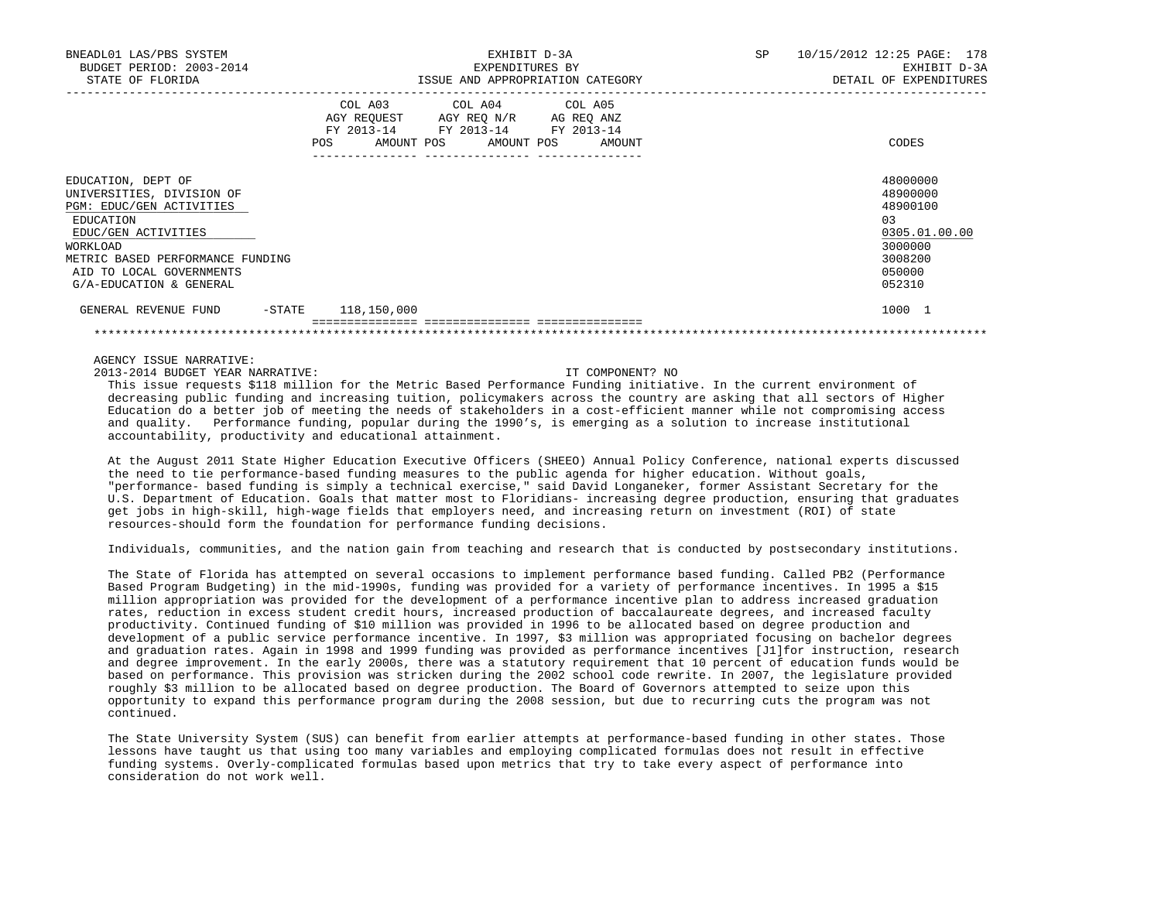| BNEADL01 LAS/PBS SYSTEM<br>BUDGET PERIOD: 2003-2014<br>STATE OF FLORIDA                                                                                                                                                |                           | EXHIBIT D-3A<br>EXPENDITURES BY<br>ISSUE AND APPROPRIATION CATEGORY                                                               |  |  |  | SP | 10/15/2012 12:25 PAGE: 178<br>EXHIBIT D-3A<br>DETAIL OF EXPENDITURES                              |
|------------------------------------------------------------------------------------------------------------------------------------------------------------------------------------------------------------------------|---------------------------|-----------------------------------------------------------------------------------------------------------------------------------|--|--|--|----|---------------------------------------------------------------------------------------------------|
|                                                                                                                                                                                                                        | POS                       | COL A03 COL A04 COL A05<br>AGY REQUEST AGY REQ N/R AG REQ ANZ<br>FY 2013-14 FY 2013-14 FY 2013-14<br>AMOUNT POS AMOUNT POS AMOUNT |  |  |  |    | CODES                                                                                             |
| EDUCATION, DEPT OF<br>UNIVERSITIES, DIVISION OF<br>PGM: EDUC/GEN ACTIVITIES<br>EDUCATION<br>EDUC/GEN ACTIVITIES<br>WORKLOAD<br>METRIC BASED PERFORMANCE FUNDING<br>AID TO LOCAL GOVERNMENTS<br>G/A-EDUCATION & GENERAL |                           |                                                                                                                                   |  |  |  |    | 48000000<br>48900000<br>48900100<br>03<br>0305.01.00.00<br>3000000<br>3008200<br>050000<br>052310 |
| GENERAL REVENUE FUND                                                                                                                                                                                                   | $-$ STATE $118, 150, 000$ |                                                                                                                                   |  |  |  |    | 1000 1                                                                                            |

AGENCY ISSUE NARRATIVE:

2013-2014 BUDGET YEAR NARRATIVE: IT COMPONENT? NO

 This issue requests \$118 million for the Metric Based Performance Funding initiative. In the current environment of decreasing public funding and increasing tuition, policymakers across the country are asking that all sectors of Higher Education do a better job of meeting the needs of stakeholders in a cost-efficient manner while not compromising access and quality. Performance funding, popular during the 1990's, is emerging as a solution to increase institutional accountability, productivity and educational attainment.

\*\*\*\*\*\*\*\*\*\*\*\*\*\*\*\*\*\*\*\*\*\*\*\*\*\*\*\*\*\*\*\*\*\*\*\*\*\*\*\*\*\*\*\*\*\*\*\*\*\*\*\*\*\*\*\*\*\*\*\*\*\*\*\*\*\*\*\*\*\*\*\*\*\*\*\*\*\*\*\*\*\*\*\*\*\*\*\*\*\*\*\*\*\*\*\*\*\*\*\*\*\*\*\*\*\*\*\*\*\*\*\*\*\*\*\*\*\*\*\*\*\*\*\*\*\*\*

 At the August 2011 State Higher Education Executive Officers (SHEEO) Annual Policy Conference, national experts discussed the need to tie performance-based funding measures to the public agenda for higher education. Without goals, "performance- based funding is simply a technical exercise," said David Longaneker, former Assistant Secretary for the U.S. Department of Education. Goals that matter most to Floridians- increasing degree production, ensuring that graduates get jobs in high-skill, high-wage fields that employers need, and increasing return on investment (ROI) of state resources-should form the foundation for performance funding decisions.

Individuals, communities, and the nation gain from teaching and research that is conducted by postsecondary institutions.

 The State of Florida has attempted on several occasions to implement performance based funding. Called PB2 (Performance Based Program Budgeting) in the mid-1990s, funding was provided for a variety of performance incentives. In 1995 a \$15 million appropriation was provided for the development of a performance incentive plan to address increased graduation rates, reduction in excess student credit hours, increased production of baccalaureate degrees, and increased faculty productivity. Continued funding of \$10 million was provided in 1996 to be allocated based on degree production and development of a public service performance incentive. In 1997, \$3 million was appropriated focusing on bachelor degrees and graduation rates. Again in 1998 and 1999 funding was provided as performance incentives [J1]for instruction, research and degree improvement. In the early 2000s, there was a statutory requirement that 10 percent of education funds would be based on performance. This provision was stricken during the 2002 school code rewrite. In 2007, the legislature provided roughly \$3 million to be allocated based on degree production. The Board of Governors attempted to seize upon this opportunity to expand this performance program during the 2008 session, but due to recurring cuts the program was not continued.

 The State University System (SUS) can benefit from earlier attempts at performance-based funding in other states. Those lessons have taught us that using too many variables and employing complicated formulas does not result in effective funding systems. Overly-complicated formulas based upon metrics that try to take every aspect of performance into consideration do not work well.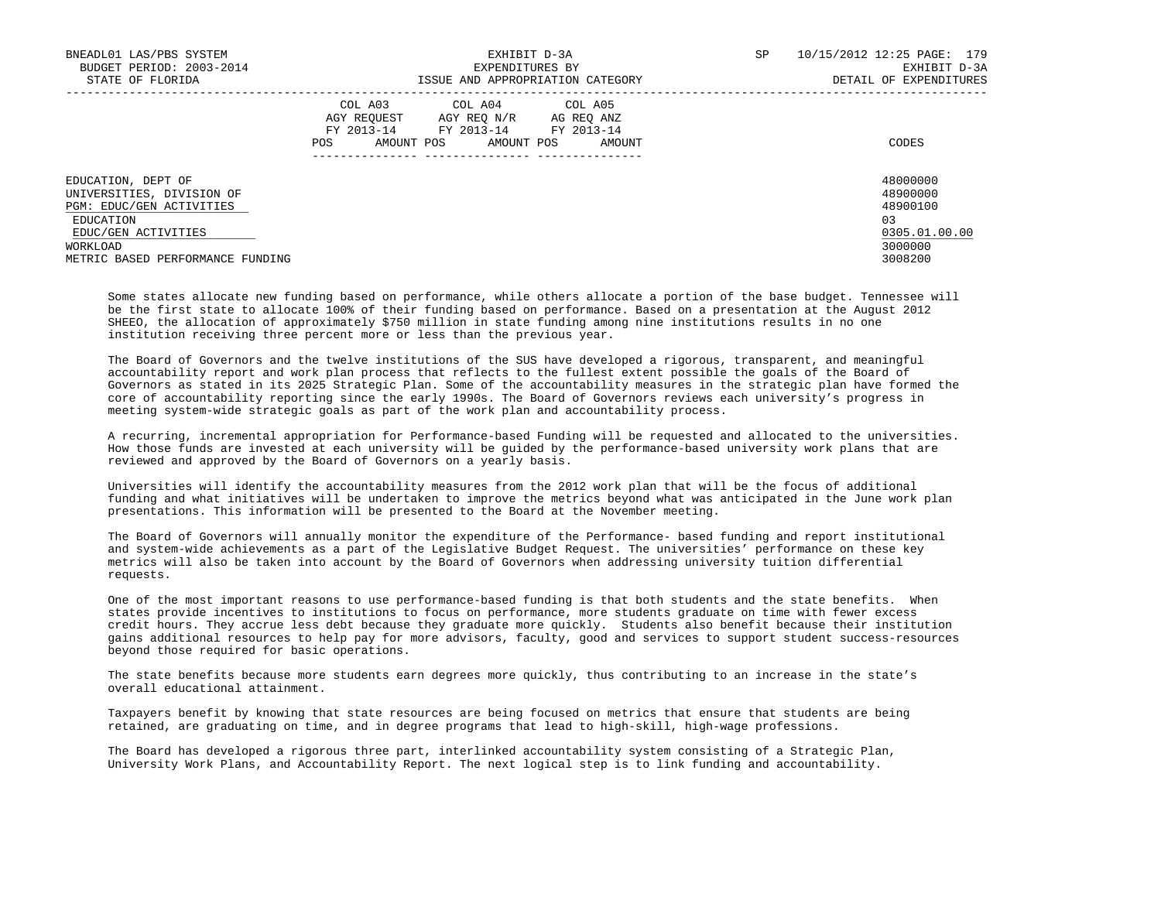| BNEADL01 LAS/PBS SYSTEM<br>BUDGET PERIOD: 2003-2014<br>STATE OF FLORIDA                                                                                         | EXHIBIT D-3A<br>EXPENDITURES BY<br>ISSUE AND APPROPRIATION CATEGORY                                                                               | 10/15/2012 12:25 PAGE: 179<br>SP<br>EXHIBIT D-3A<br>DETAIL OF EXPENDITURES     |  |
|-----------------------------------------------------------------------------------------------------------------------------------------------------------------|---------------------------------------------------------------------------------------------------------------------------------------------------|--------------------------------------------------------------------------------|--|
|                                                                                                                                                                 | COL A03 COL A04 COL A05<br>AGY REOUEST<br>AGY REO N/R AG REO ANZ<br>FY 2013-14 FY 2013-14 FY 2013-14<br>AMOUNT POS<br>POS<br>AMOUNT POS<br>AMOUNT | CODES                                                                          |  |
| EDUCATION, DEPT OF<br>UNIVERSITIES, DIVISION OF<br>PGM: EDUC/GEN ACTIVITIES<br>EDUCATION<br>EDUC/GEN ACTIVITIES<br>WORKLOAD<br>METRIC BASED PERFORMANCE FUNDING |                                                                                                                                                   | 48000000<br>48900000<br>48900100<br>0.3<br>0305.01.00.00<br>3000000<br>3008200 |  |

 Some states allocate new funding based on performance, while others allocate a portion of the base budget. Tennessee will be the first state to allocate 100% of their funding based on performance. Based on a presentation at the August 2012 SHEEO, the allocation of approximately \$750 million in state funding among nine institutions results in no one institution receiving three percent more or less than the previous year.

 The Board of Governors and the twelve institutions of the SUS have developed a rigorous, transparent, and meaningful accountability report and work plan process that reflects to the fullest extent possible the goals of the Board of Governors as stated in its 2025 Strategic Plan. Some of the accountability measures in the strategic plan have formed the core of accountability reporting since the early 1990s. The Board of Governors reviews each university's progress in meeting system-wide strategic goals as part of the work plan and accountability process.

 A recurring, incremental appropriation for Performance-based Funding will be requested and allocated to the universities. How those funds are invested at each university will be guided by the performance-based university work plans that are reviewed and approved by the Board of Governors on a yearly basis.

 Universities will identify the accountability measures from the 2012 work plan that will be the focus of additional funding and what initiatives will be undertaken to improve the metrics beyond what was anticipated in the June work plan presentations. This information will be presented to the Board at the November meeting.

 The Board of Governors will annually monitor the expenditure of the Performance- based funding and report institutional and system-wide achievements as a part of the Legislative Budget Request. The universities' performance on these key metrics will also be taken into account by the Board of Governors when addressing university tuition differential requests.

 One of the most important reasons to use performance-based funding is that both students and the state benefits. When states provide incentives to institutions to focus on performance, more students graduate on time with fewer excess credit hours. They accrue less debt because they graduate more quickly. Students also benefit because their institution gains additional resources to help pay for more advisors, faculty, good and services to support student success-resources beyond those required for basic operations.

 The state benefits because more students earn degrees more quickly, thus contributing to an increase in the state's overall educational attainment.

 Taxpayers benefit by knowing that state resources are being focused on metrics that ensure that students are being retained, are graduating on time, and in degree programs that lead to high-skill, high-wage professions.

 The Board has developed a rigorous three part, interlinked accountability system consisting of a Strategic Plan, University Work Plans, and Accountability Report. The next logical step is to link funding and accountability.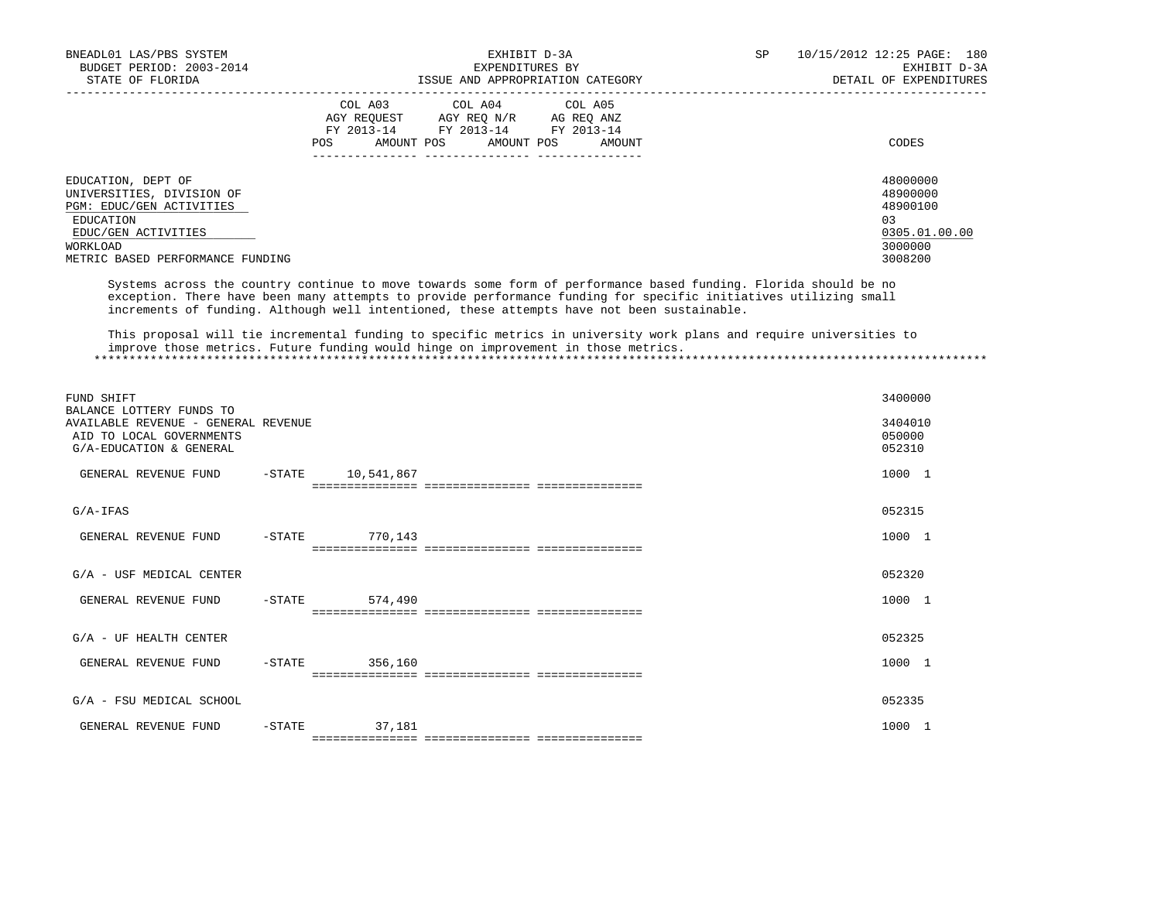| BNEADL01 LAS/PBS SYSTEM<br>BUDGET PERIOD: 2003-2014<br>STATE OF FLORIDA                                                                                         | EXHIBIT D-3A<br>EXPENDITURES BY<br>ISSUE AND APPROPRIATION CATEGORY                                                                                  | 10/15/2012 12:25 PAGE: 180<br>SP<br>EXHIBIT D-3A<br>DETAIL OF EXPENDITURES    |
|-----------------------------------------------------------------------------------------------------------------------------------------------------------------|------------------------------------------------------------------------------------------------------------------------------------------------------|-------------------------------------------------------------------------------|
|                                                                                                                                                                 | COL A03 COL A04 COL A05<br>AGY REOUEST<br>AGY REO N/R<br>AG REO ANZ<br>FY 2013-14 FY 2013-14 FY 2013-14<br>AMOUNT POS<br>POS<br>AMOUNT POS<br>AMOUNT | CODES                                                                         |
| EDUCATION, DEPT OF<br>UNIVERSITIES, DIVISION OF<br>PGM: EDUC/GEN ACTIVITIES<br>EDUCATION<br>EDUC/GEN ACTIVITIES<br>WORKLOAD<br>METRIC BASED PERFORMANCE FUNDING |                                                                                                                                                      | 48000000<br>48900000<br>48900100<br>03<br>0305.01.00.00<br>3000000<br>3008200 |

 Systems across the country continue to move towards some form of performance based funding. Florida should be no exception. There have been many attempts to provide performance funding for specific initiatives utilizing small increments of funding. Although well intentioned, these attempts have not been sustainable.

 This proposal will tie incremental funding to specific metrics in university work plans and require universities to improve those metrics. Future funding would hinge on improvement in those metrics. \*\*\*\*\*\*\*\*\*\*\*\*\*\*\*\*\*\*\*\*\*\*\*\*\*\*\*\*\*\*\*\*\*\*\*\*\*\*\*\*\*\*\*\*\*\*\*\*\*\*\*\*\*\*\*\*\*\*\*\*\*\*\*\*\*\*\*\*\*\*\*\*\*\*\*\*\*\*\*\*\*\*\*\*\*\*\*\*\*\*\*\*\*\*\*\*\*\*\*\*\*\*\*\*\*\*\*\*\*\*\*\*\*\*\*\*\*\*\*\*\*\*\*\*\*\*\*

| FUND SHIFT<br>BALANCE LOTTERY FUNDS TO                                                     |           |                           |                                      | 3400000                     |  |
|--------------------------------------------------------------------------------------------|-----------|---------------------------|--------------------------------------|-----------------------------|--|
| AVAILABLE REVENUE - GENERAL REVENUE<br>AID TO LOCAL GOVERNMENTS<br>G/A-EDUCATION & GENERAL |           |                           |                                      | 3404010<br>050000<br>052310 |  |
| GENERAL REVENUE FUND                                                                       | $-$ STATE | 10,541,867                |                                      | 1000 1                      |  |
| $G/A-IFAS$                                                                                 |           |                           |                                      | 052315                      |  |
| GENERAL REVENUE FUND                                                                       | $-$ STATE | 770,143                   |                                      | 1000 1                      |  |
| G/A - USF MEDICAL CENTER                                                                   |           |                           |                                      | 052320                      |  |
| GENERAL REVENUE FUND                                                                       | $-$ STATE | 574,490                   |                                      | 1000 1                      |  |
| $G/A$ - UF HEALTH CENTER                                                                   |           |                           |                                      | 052325                      |  |
| GENERAL REVENUE FUND                                                                       | $-$ STATE | 356,160                   |                                      | 1000 1                      |  |
| G/A - FSU MEDICAL SCHOOL                                                                   |           |                           |                                      | 052335                      |  |
| GENERAL REVENUE FUND                                                                       | $-STATE$  | 37,181<br>=============== | ----------------<br>---------------- | 1000 1                      |  |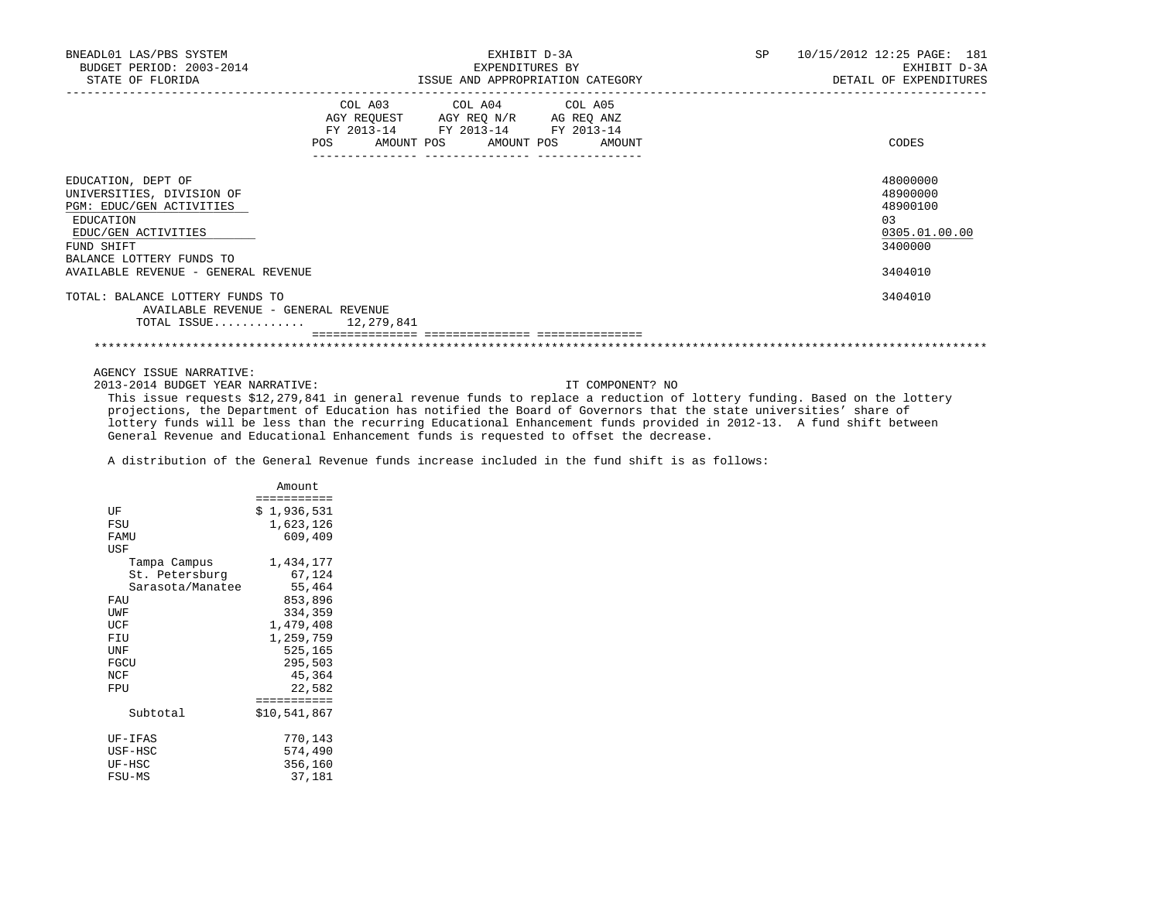| BNEADL01 LAS/PBS SYSTEM<br>BUDGET PERIOD: 2003-2014<br>STATE OF FLORIDA                                                                                                                          | EXHIBIT D-3A<br>EXPENDITURES BY<br>ISSUE AND APPROPRIATION CATEGORY                                                                                                 | <b>SP</b> | 10/15/2012 12:25 PAGE: 181<br>EXHIBIT D-3A<br>DETAIL OF EXPENDITURES          |
|--------------------------------------------------------------------------------------------------------------------------------------------------------------------------------------------------|---------------------------------------------------------------------------------------------------------------------------------------------------------------------|-----------|-------------------------------------------------------------------------------|
|                                                                                                                                                                                                  | COL A03 COL A04 COL A05<br>AGY REQUEST AGY REQ N/R AG REQ ANZ<br>FY 2013-14 FY 2013-14 FY 2013-14<br>POS<br>AMOUNT POS AMOUNT POS AMOUNT<br>_____  ________________ |           | CODES                                                                         |
| EDUCATION, DEPT OF<br>UNIVERSITIES, DIVISION OF<br>PGM: EDUC/GEN ACTIVITIES<br>EDUCATION<br>EDUC/GEN ACTIVITIES<br>FUND SHIFT<br>BALANCE LOTTERY FUNDS TO<br>AVAILABLE REVENUE - GENERAL REVENUE |                                                                                                                                                                     |           | 48000000<br>48900000<br>48900100<br>03<br>0305.01.00.00<br>3400000<br>3404010 |
| TOTAL: BALANCE LOTTERY FUNDS TO<br>AVAILABLE REVENUE - GENERAL REVENUE<br>TOTAL ISSUE $12,279,841$                                                                                               |                                                                                                                                                                     |           | 3404010                                                                       |

\*\*\*\*\*\*\*\*\*\*\*\*\*\*\*\*\*\*\*\*\*\*\*\*\*\*\*\*\*\*\*\*\*\*\*\*\*\*\*\*\*\*\*\*\*\*\*\*\*\*\*\*\*\*\*\*\*\*\*\*\*\*\*\*\*\*\*\*\*\*\*\*\*\*\*\*\*\*\*\*\*\*\*\*\*\*\*\*\*\*\*\*\*\*\*\*\*\*\*\*\*\*\*\*\*\*\*\*\*\*\*\*\*\*\*\*\*\*\*\*\*\*\*\*\*\*\*

AGENCY ISSUE NARRATIVE:

2013-2014 BUDGET YEAR NARRATIVE: IT COMPONENT? NO

 This issue requests \$12,279,841 in general revenue funds to replace a reduction of lottery funding. Based on the lottery projections, the Department of Education has notified the Board of Governors that the state universities' share of lottery funds will be less than the recurring Educational Enhancement funds provided in 2012-13. A fund shift between General Revenue and Educational Enhancement funds is requested to offset the decrease.

A distribution of the General Revenue funds increase included in the fund shift is as follows:

|                  | Amount       |
|------------------|--------------|
|                  | ==========   |
| UF               | \$1,936,531  |
| FSU              | 1,623,126    |
| FAMU             | 609,409      |
| USF              |              |
| Tampa Campus     | 1,434,177    |
| St. Petersburg   | 67,124       |
| Sarasota/Manatee | 55,464       |
| FAU              | 853,896      |
| UWF              | 334,359      |
| UCF              | 1,479,408    |
| FIU              | 1,259,759    |
| UNF              | 525,165      |
| FGCU             | 295,503      |
| NCF              | 45,364       |
| FPU              | 22,582       |
|                  | ===========  |
| Subtotal         | \$10,541,867 |
|                  |              |
| UF-IFAS          | 770,143      |
| USF-HSC          | 574,490      |
| UF-HSC           | 356,160      |
| FSU-MS           | 37,181       |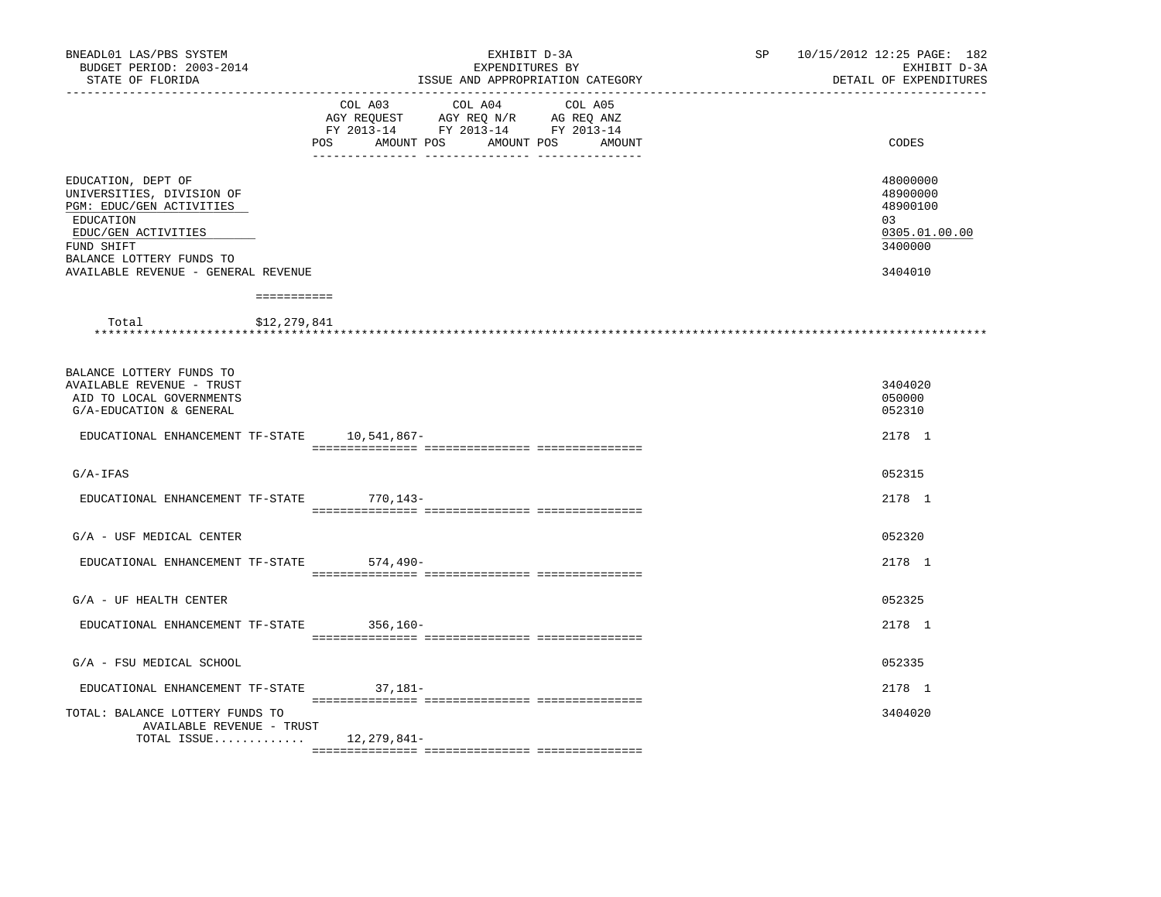| BNEADL01 LAS/PBS SYSTEM<br>BUDGET PERIOD: 2003-2014<br>STATE OF FLORIDA                                                                                                                          | EXHIBIT D-3A<br>EXPENDITURES BY<br>ISSUE AND APPROPRIATION CATEGORY<br>____________________________                                                                                          | 10/15/2012 12:25 PAGE: 182<br>SP <sub>2</sub><br>EXHIBIT D-3A<br>DETAIL OF EXPENDITURES |
|--------------------------------------------------------------------------------------------------------------------------------------------------------------------------------------------------|----------------------------------------------------------------------------------------------------------------------------------------------------------------------------------------------|-----------------------------------------------------------------------------------------|
|                                                                                                                                                                                                  | COL A03<br>COL A04<br>COL A05<br>AGY REQUEST AGY REQ N/R AG REQ ANZ<br>FY 2013-14 FY 2013-14 FY 2013-14<br>POS<br>AMOUNT POS<br>AMOUNT POS AMOUNT<br>-- --------------<br>__ _______________ | CODES                                                                                   |
| EDUCATION, DEPT OF<br>UNIVERSITIES, DIVISION OF<br>PGM: EDUC/GEN ACTIVITIES<br>EDUCATION<br>EDUC/GEN ACTIVITIES<br>FUND SHIFT<br>BALANCE LOTTERY FUNDS TO<br>AVAILABLE REVENUE - GENERAL REVENUE |                                                                                                                                                                                              | 48000000<br>48900000<br>48900100<br>03<br>0305.01.00.00<br>3400000<br>3404010           |
| ===========                                                                                                                                                                                      |                                                                                                                                                                                              |                                                                                         |
| \$12,279,841<br>Total                                                                                                                                                                            |                                                                                                                                                                                              |                                                                                         |
| BALANCE LOTTERY FUNDS TO<br><b>AVAILABLE REVENUE - TRUST</b><br>AID TO LOCAL GOVERNMENTS<br>G/A-EDUCATION & GENERAL                                                                              |                                                                                                                                                                                              | 3404020<br>050000<br>052310                                                             |
| EDUCATIONAL ENHANCEMENT TF-STATE 10,541,867-                                                                                                                                                     |                                                                                                                                                                                              | 2178 1                                                                                  |
| $G/A-IFAS$                                                                                                                                                                                       |                                                                                                                                                                                              | 052315                                                                                  |
| EDUCATIONAL ENHANCEMENT TF-STATE 770,143-                                                                                                                                                        |                                                                                                                                                                                              | 2178 1                                                                                  |
| G/A - USF MEDICAL CENTER                                                                                                                                                                         |                                                                                                                                                                                              | 052320                                                                                  |
| EDUCATIONAL ENHANCEMENT TF-STATE                                                                                                                                                                 | 574,490-                                                                                                                                                                                     | 2178 1                                                                                  |
| $G/A$ - UF HEALTH CENTER                                                                                                                                                                         |                                                                                                                                                                                              | 052325                                                                                  |
| EDUCATIONAL ENHANCEMENT TF-STATE 356,160-                                                                                                                                                        |                                                                                                                                                                                              | 2178 1                                                                                  |
| G/A - FSU MEDICAL SCHOOL                                                                                                                                                                         |                                                                                                                                                                                              | 052335                                                                                  |
| EDUCATIONAL ENHANCEMENT TF-STATE 37,181-                                                                                                                                                         |                                                                                                                                                                                              | 2178 1                                                                                  |
| TOTAL: BALANCE LOTTERY FUNDS TO<br><b>AVAILABLE REVENUE - TRUST</b>                                                                                                                              |                                                                                                                                                                                              | 3404020                                                                                 |
| TOTAL ISSUE                                                                                                                                                                                      | 12,279,841-                                                                                                                                                                                  |                                                                                         |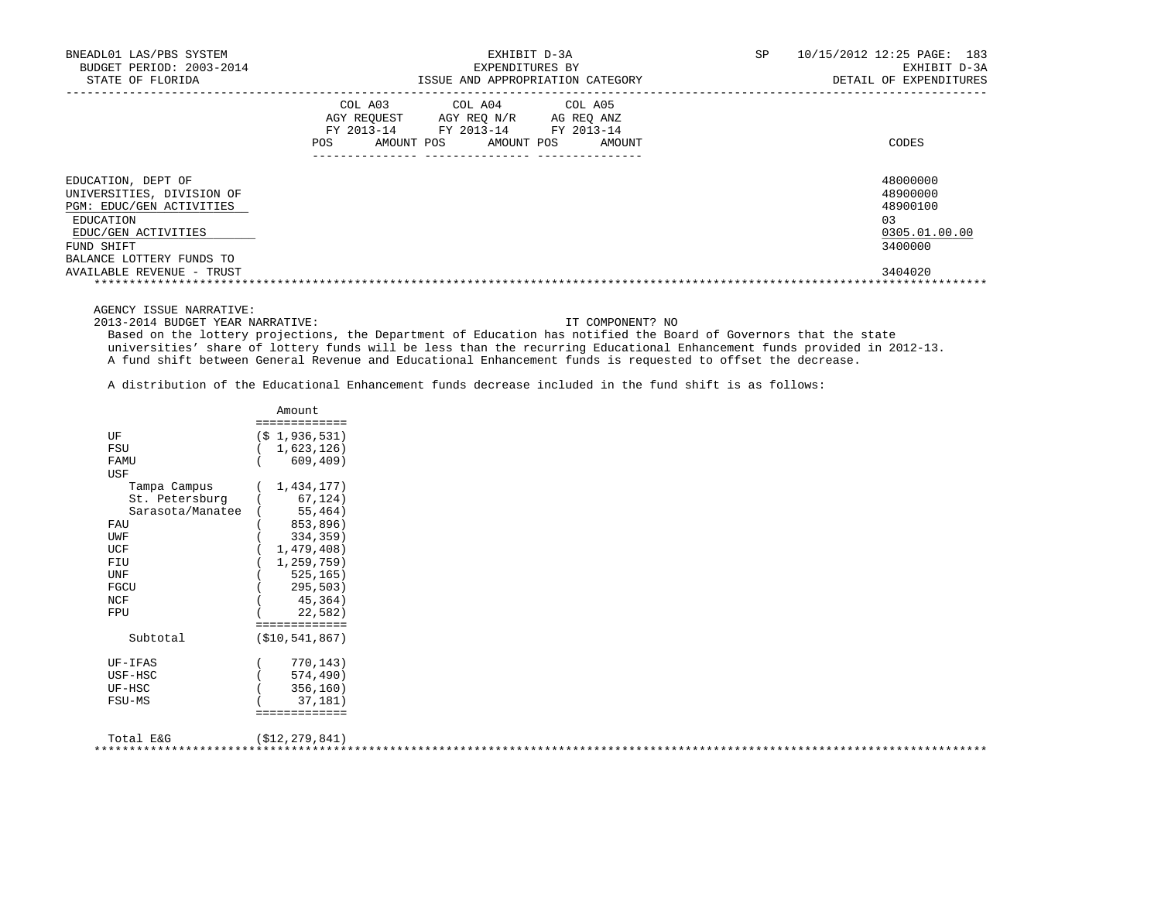| BNEADL01 LAS/PBS SYSTEM<br>BUDGET PERIOD: 2003-2014                                                                           | EXHIBIT D-3A<br>EXPENDITURES BY                                                                                                                | 10/15/2012 12:25 PAGE: 183<br>SP<br>EXHIBIT D-3A                   |
|-------------------------------------------------------------------------------------------------------------------------------|------------------------------------------------------------------------------------------------------------------------------------------------|--------------------------------------------------------------------|
| STATE OF FLORIDA                                                                                                              | ISSUE AND APPROPRIATION CATEGORY                                                                                                               | DETAIL OF EXPENDITURES                                             |
|                                                                                                                               | COL A03 COL A04 COL A05<br>AGY REOUEST AGY REO N/R AG REO ANZ<br>FY 2013-14 FY 2013-14 FY 2013-14<br>AMOUNT POS<br>AMOUNT POS<br>POS<br>AMOUNT | CODES                                                              |
| EDUCATION, DEPT OF<br>UNIVERSITIES, DIVISION OF<br>PGM: EDUC/GEN ACTIVITIES<br>EDUCATION<br>EDUC/GEN ACTIVITIES<br>FUND SHIFT |                                                                                                                                                | 48000000<br>48900000<br>48900100<br>03<br>0305.01.00.00<br>3400000 |
| BALANCE LOTTERY FUNDS TO<br>AVAILABLE REVENUE - TRUST                                                                         |                                                                                                                                                | 3404020                                                            |

AGENCY ISSUE NARRATIVE:

2013-2014 BUDGET YEAR NARRATIVE: IT COMPONENT? NO

 Based on the lottery projections, the Department of Education has notified the Board of Governors that the state universities' share of lottery funds will be less than the recurring Educational Enhancement funds provided in 2012-13. A fund shift between General Revenue and Educational Enhancement funds is requested to offset the decrease.

A distribution of the Educational Enhancement funds decrease included in the fund shift is as follows:

|                  | Amount.           |
|------------------|-------------------|
|                  | :============     |
| UF               | $(S_1, 936, 531)$ |
| FSU              | 1,623,126)        |
| FAMU             | 609, 409)         |
| USF              |                   |
| Tampa Campus     | 1,434,177)        |
| St. Petersburg   | 67,124)           |
| Sarasota/Manatee | 55,464)           |
| FAU              | 853,896)          |
| UWF              | 334,359)          |
| UCF              | 1,479,408)        |
| FIU              | 1,259,759)        |
| UNF              | 525, 165)         |
| FGCU             | 295,503)          |
| NCF              | 45,364)           |
| FPU              | 22,582)           |
|                  | ===========       |
| Subtotal         | ( \$10, 541, 867) |
| UF-IFAS          | 770,143)          |
| USF-HSC          | 574,490)          |
| UF-HSC           | 356,160)          |
| FSU-MS           | 37,181)           |
|                  | ===========       |
| Total E&G        | (\$12,279,841)    |

| --------- | $1 + 2 = 7$ |  |
|-----------|-------------|--|
|           |             |  |
|           |             |  |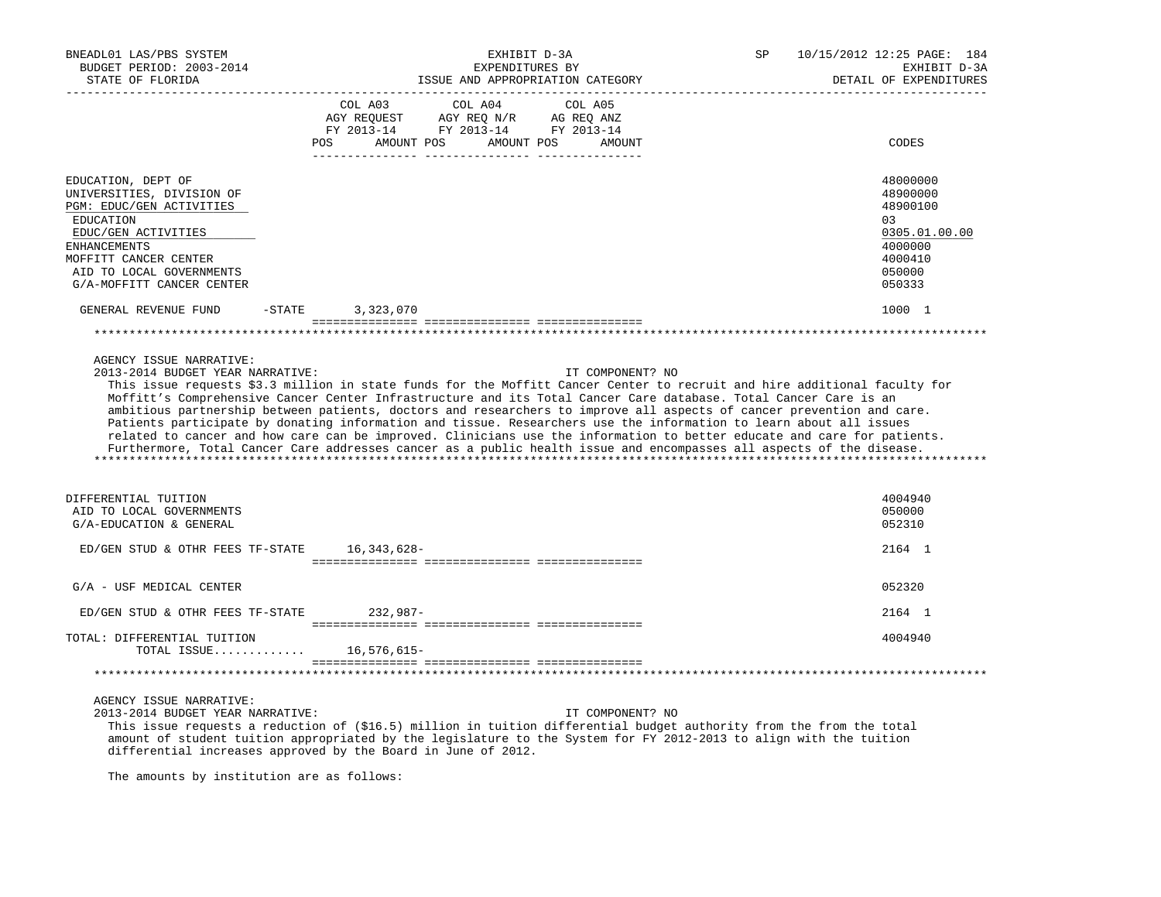| BNEADL01 LAS/PBS SYSTEM<br>BUDGET PERIOD: 2003-2014<br>STATE OF FLORIDA                                                                                                                                                  |           | EXHIBIT D-3A<br>EXPENDITURES BY<br>ISSUE AND APPROPRIATION CATEGORY                                                                                                                                                                                                                                                                                                                                                                                                                                                                                                                                                                                                                                                                             | SP               | 10/15/2012 12:25 PAGE: 184<br>EXHIBIT D-3A<br>DETAIL OF EXPENDITURES                              |
|--------------------------------------------------------------------------------------------------------------------------------------------------------------------------------------------------------------------------|-----------|-------------------------------------------------------------------------------------------------------------------------------------------------------------------------------------------------------------------------------------------------------------------------------------------------------------------------------------------------------------------------------------------------------------------------------------------------------------------------------------------------------------------------------------------------------------------------------------------------------------------------------------------------------------------------------------------------------------------------------------------------|------------------|---------------------------------------------------------------------------------------------------|
|                                                                                                                                                                                                                          | POS       | COL A03<br>COL A04<br>COL A05<br>$\begin{tabular}{lllllll} AGY \quad REGUEST \quad & AGY \quad REG \quad N/R \quad & AG \quad REG \quad ANZ \\ \hline \texttt{FY} \quad 2013\texttt{-}14 & \texttt{FY} \quad 2013\texttt{-}14 & \texttt{FY} \quad 2013\texttt{-}14 \\ \end{tabular}$<br>AMOUNT POS<br>AMOUNT POS                                                                                                                                                                                                                                                                                                                                                                                                                                | AMOUNT           | CODES                                                                                             |
| EDUCATION, DEPT OF<br>UNIVERSITIES, DIVISION OF<br>PGM: EDUC/GEN ACTIVITIES<br>EDUCATION<br>EDUC/GEN ACTIVITIES<br><b>ENHANCEMENTS</b><br>MOFFITT CANCER CENTER<br>AID TO LOCAL GOVERNMENTS<br>G/A-MOFFITT CANCER CENTER |           |                                                                                                                                                                                                                                                                                                                                                                                                                                                                                                                                                                                                                                                                                                                                                 |                  | 48000000<br>48900000<br>48900100<br>03<br>0305.01.00.00<br>4000000<br>4000410<br>050000<br>050333 |
| GENERAL REVENUE FUND                                                                                                                                                                                                     | $-$ STATE | 3,323,070                                                                                                                                                                                                                                                                                                                                                                                                                                                                                                                                                                                                                                                                                                                                       |                  | 1000 1                                                                                            |
| AGENCY ISSUE NARRATIVE:<br>2013-2014 BUDGET YEAR NARRATIVE:                                                                                                                                                              |           | This issue requests \$3.3 million in state funds for the Moffitt Cancer Center to recruit and hire additional faculty for<br>Moffitt's Comprehensive Cancer Center Infrastructure and its Total Cancer Care database. Total Cancer Care is an<br>ambitious partnership between patients, doctors and researchers to improve all aspects of cancer prevention and care.<br>Patients participate by donating information and tissue. Researchers use the information to learn about all issues<br>related to cancer and how care can be improved. Clinicians use the information to better educate and care for patients.<br>Furthermore, Total Cancer Care addresses cancer as a public health issue and encompasses all aspects of the disease. | IT COMPONENT? NO |                                                                                                   |
| DIFFERENTIAL TUITION<br>AID TO LOCAL GOVERNMENTS<br>G/A-EDUCATION & GENERAL                                                                                                                                              |           |                                                                                                                                                                                                                                                                                                                                                                                                                                                                                                                                                                                                                                                                                                                                                 |                  | 4004940<br>050000<br>052310                                                                       |
| ED/GEN STUD & OTHR FEES TF-STATE                                                                                                                                                                                         |           | 16,343,628-                                                                                                                                                                                                                                                                                                                                                                                                                                                                                                                                                                                                                                                                                                                                     |                  | 2164 1                                                                                            |
| G/A - USF MEDICAL CENTER                                                                                                                                                                                                 |           |                                                                                                                                                                                                                                                                                                                                                                                                                                                                                                                                                                                                                                                                                                                                                 |                  | 052320                                                                                            |
| ED/GEN STUD & OTHR FEES TF-STATE                                                                                                                                                                                         |           | $232.987-$                                                                                                                                                                                                                                                                                                                                                                                                                                                                                                                                                                                                                                                                                                                                      |                  | 2164 1                                                                                            |
| TOTAL: DIFFERENTIAL TUITION<br>TOTAL ISSUE                                                                                                                                                                               |           | 16,576,615-                                                                                                                                                                                                                                                                                                                                                                                                                                                                                                                                                                                                                                                                                                                                     |                  | 4004940                                                                                           |
| AGENCY ISSUE NARRATIVE:<br>2013-2014 BUDGET YEAR NARRATIVE:                                                                                                                                                              |           | This issue requests a reduction of (\$16.5) million in tuition differential budget authority from the from the total                                                                                                                                                                                                                                                                                                                                                                                                                                                                                                                                                                                                                            | IT COMPONENT? NO |                                                                                                   |

 amount of student tuition appropriated by the legislature to the System for FY 2012-2013 to align with the tuition differential increases approved by the Board in June of 2012.

The amounts by institution are as follows: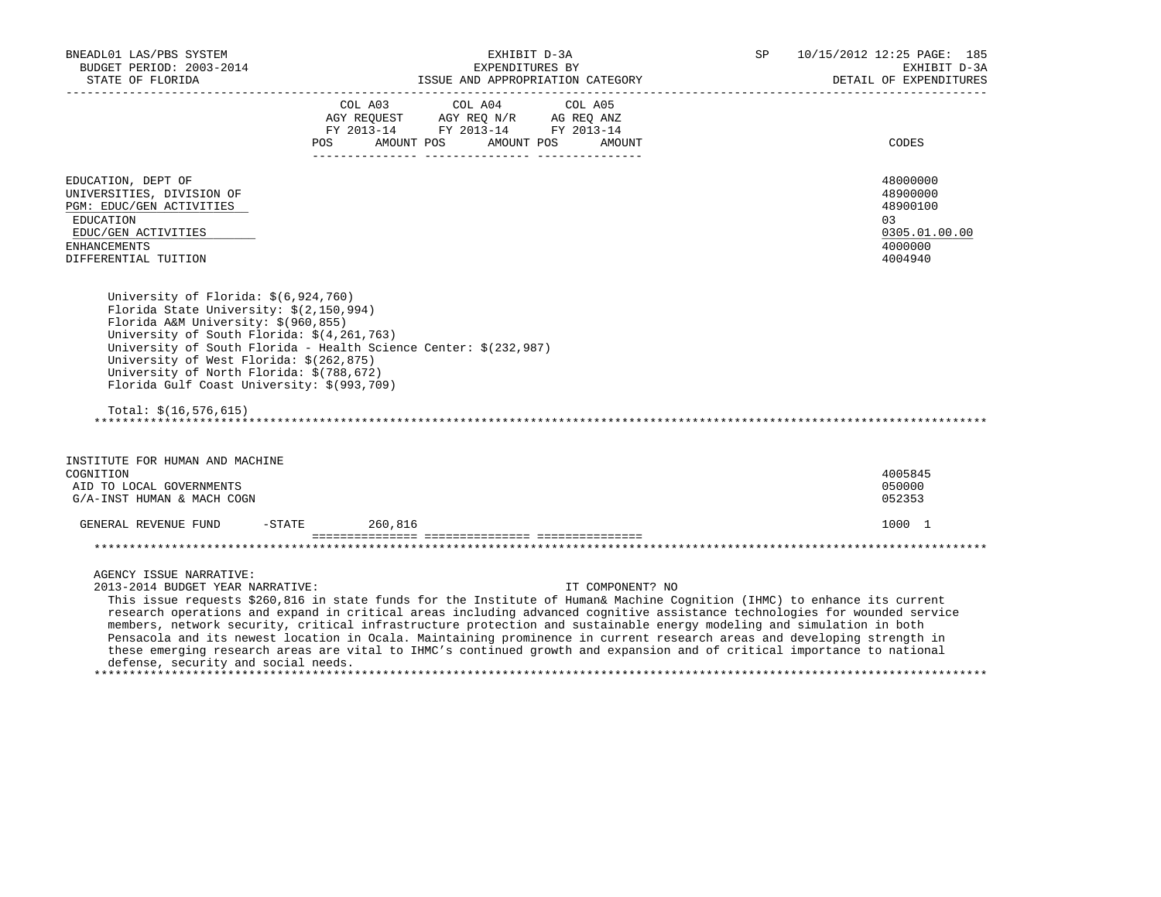| BNEADL01 LAS/PBS SYSTEM<br>BUDGET PERIOD: 2003-2014<br>STATE OF FLORIDA<br>---------------------------                                                                                                                                                                                                                                                                                                                                                                                                                                                                                                                                                                                                                                    |                  |                                                               | EXHIBIT D-3A<br>EXPENDITURES BY |                   | SP | _______________________ | 10/15/2012 12:25 PAGE: 185<br>EXHIBIT D-3A<br>DETAIL OF EXPENDITURES          |
|-------------------------------------------------------------------------------------------------------------------------------------------------------------------------------------------------------------------------------------------------------------------------------------------------------------------------------------------------------------------------------------------------------------------------------------------------------------------------------------------------------------------------------------------------------------------------------------------------------------------------------------------------------------------------------------------------------------------------------------------|------------------|---------------------------------------------------------------|---------------------------------|-------------------|----|-------------------------|-------------------------------------------------------------------------------|
|                                                                                                                                                                                                                                                                                                                                                                                                                                                                                                                                                                                                                                                                                                                                           | COL A03          | FY 2013-14 FY 2013-14 FY 2013-14<br>POS AMOUNT POS AMOUNT POS | COL A04                         | COL A05<br>AMOUNT |    |                         | CODES                                                                         |
| EDUCATION, DEPT OF<br>UNIVERSITIES, DIVISION OF<br>PGM: EDUC/GEN ACTIVITIES<br>EDUCATION<br>EDUC/GEN ACTIVITIES<br><b>ENHANCEMENTS</b><br>DIFFERENTIAL TUITION                                                                                                                                                                                                                                                                                                                                                                                                                                                                                                                                                                            |                  |                                                               |                                 |                   |    |                         | 48000000<br>48900000<br>48900100<br>03<br>0305.01.00.00<br>4000000<br>4004940 |
| University of Florida: \$(6,924,760)<br>Florida State University: \$(2,150,994)<br>Florida A&M University: \$(960,855)<br>University of South Florida: \$(4,261,763)<br>University of South Florida - Health Science Center: \$(232,987)<br>University of West Florida: \$(262,875)<br>University of North Florida: \$(788,672)<br>Florida Gulf Coast University: \$(993,709)                                                                                                                                                                                                                                                                                                                                                             |                  |                                                               |                                 |                   |    |                         |                                                                               |
| Total: $$(16, 576, 615)$                                                                                                                                                                                                                                                                                                                                                                                                                                                                                                                                                                                                                                                                                                                  |                  |                                                               |                                 |                   |    |                         |                                                                               |
| INSTITUTE FOR HUMAN AND MACHINE<br>COGNITION<br>AID TO LOCAL GOVERNMENTS<br>G/A-INST HUMAN & MACH COGN                                                                                                                                                                                                                                                                                                                                                                                                                                                                                                                                                                                                                                    |                  |                                                               |                                 |                   |    |                         | 4005845<br>050000<br>052353                                                   |
| GENERAL REVENUE FUND                                                                                                                                                                                                                                                                                                                                                                                                                                                                                                                                                                                                                                                                                                                      | $-STATE$ 260,816 |                                                               |                                 |                   |    |                         | 1000 1                                                                        |
|                                                                                                                                                                                                                                                                                                                                                                                                                                                                                                                                                                                                                                                                                                                                           |                  |                                                               |                                 |                   |    |                         |                                                                               |
| AGENCY ISSUE NARRATIVE:<br>2013-2014 BUDGET YEAR NARRATIVE:<br>This issue requests \$260,816 in state funds for the Institute of Human& Machine Cognition (IHMC) to enhance its current<br>research operations and expand in critical areas including advanced cognitive assistance technologies for wounded service<br>members, network security, critical infrastructure protection and sustainable energy modeling and simulation in both<br>Pensacola and its newest location in Ocala. Maintaining prominence in current research areas and developing strength in<br>these emerging research areas are vital to IHMC's continued growth and expansion and of critical importance to national<br>defense, security and social needs. |                  |                                                               |                                 | IT COMPONENT? NO  |    |                         |                                                                               |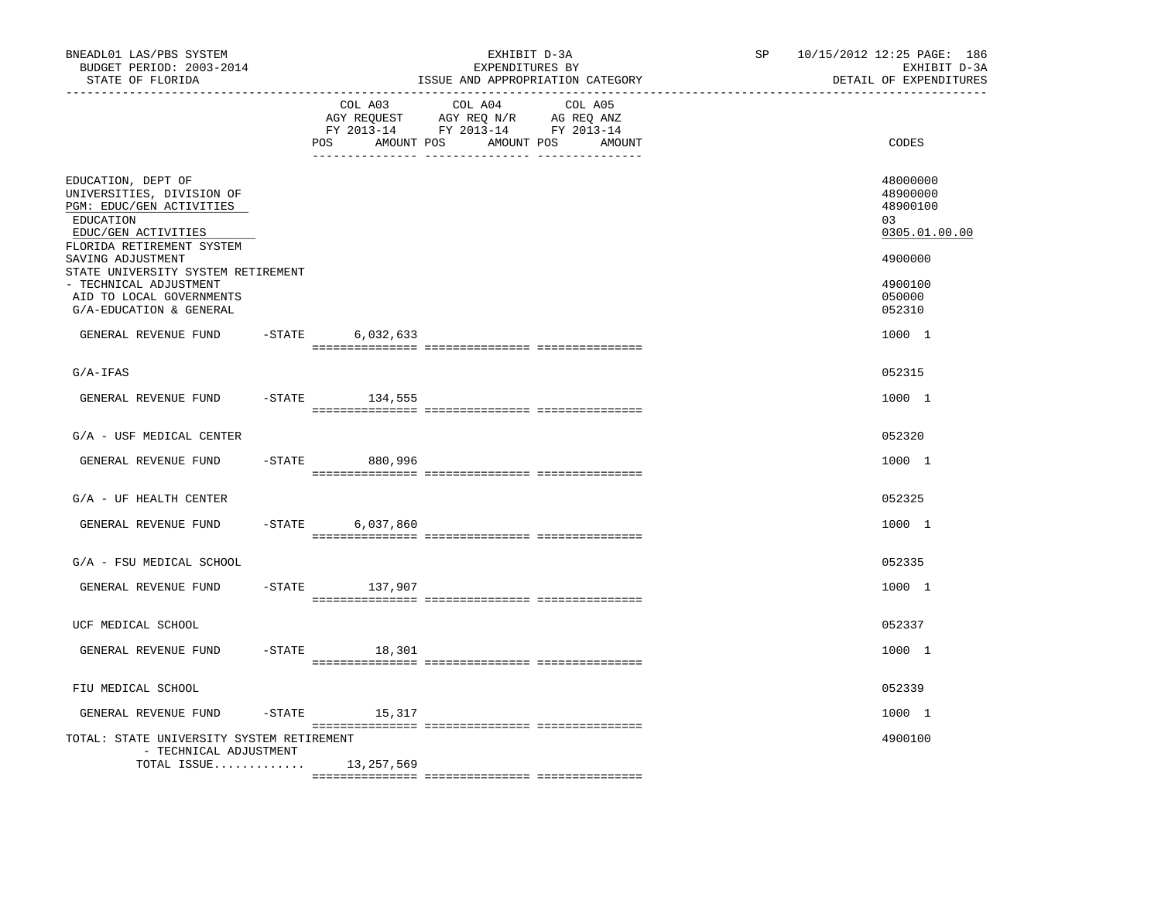| BNEADL01 LAS/PBS SYSTEM<br>BUDGET PERIOD: 2003-2014<br>STATE OF FLORIDA                                                                                               |           |                              | EXHIBIT D-3A<br>EXPENDITURES BY<br>ISSUE AND APPROPRIATION CATEGORY | 10/15/2012 12:25 PAGE: 186<br>SP and the set of the set of the set of the set of the set of the set of the set of the set of the set of the set of the set of the set of the set of the set of the set of the set of the set of the set of the set of the se<br>EXHIBIT D-3A<br>DETAIL OF EXPENDITURES |                                                          |  |
|-----------------------------------------------------------------------------------------------------------------------------------------------------------------------|-----------|------------------------------|---------------------------------------------------------------------|--------------------------------------------------------------------------------------------------------------------------------------------------------------------------------------------------------------------------------------------------------------------------------------------------------|----------------------------------------------------------|--|
|                                                                                                                                                                       |           | COL A03<br>POS<br>AMOUNT POS | COL A04<br>COL A05<br>AMOUNT POS<br>AMOUNT                          |                                                                                                                                                                                                                                                                                                        | CODES                                                    |  |
| EDUCATION, DEPT OF<br>UNIVERSITIES, DIVISION OF<br>PGM: EDUC/GEN ACTIVITIES<br>EDUCATION<br>EDUC/GEN ACTIVITIES                                                       |           |                              |                                                                     |                                                                                                                                                                                                                                                                                                        | 48000000<br>48900000<br>48900100<br>0.3<br>0305.01.00.00 |  |
| FLORIDA RETIREMENT SYSTEM<br>SAVING ADJUSTMENT<br>STATE UNIVERSITY SYSTEM RETIREMENT<br>- TECHNICAL ADJUSTMENT<br>AID TO LOCAL GOVERNMENTS<br>G/A-EDUCATION & GENERAL |           |                              |                                                                     |                                                                                                                                                                                                                                                                                                        | 4900000<br>4900100<br>050000<br>052310                   |  |
| GENERAL REVENUE FUND                                                                                                                                                  | $-$ STATE | 6,032,633                    |                                                                     |                                                                                                                                                                                                                                                                                                        | 1000 1                                                   |  |
| $G/A-IFAS$                                                                                                                                                            |           |                              |                                                                     |                                                                                                                                                                                                                                                                                                        | 052315                                                   |  |
| GENERAL REVENUE FUND                                                                                                                                                  |           | $-$ STATE 134,555            |                                                                     |                                                                                                                                                                                                                                                                                                        | 1000 1                                                   |  |
| G/A - USF MEDICAL CENTER                                                                                                                                              |           |                              |                                                                     |                                                                                                                                                                                                                                                                                                        | 052320                                                   |  |
| GENERAL REVENUE FUND                                                                                                                                                  |           | -STATE 880,996               |                                                                     |                                                                                                                                                                                                                                                                                                        | 1000 1                                                   |  |
| $G/A$ - UF HEALTH CENTER                                                                                                                                              |           |                              |                                                                     |                                                                                                                                                                                                                                                                                                        | 052325                                                   |  |
| GENERAL REVENUE FUND                                                                                                                                                  | $-$ STATE | 6,037,860                    |                                                                     |                                                                                                                                                                                                                                                                                                        | 1000 1                                                   |  |
| G/A - FSU MEDICAL SCHOOL                                                                                                                                              |           |                              |                                                                     |                                                                                                                                                                                                                                                                                                        | 052335                                                   |  |
| GENERAL REVENUE FUND                                                                                                                                                  |           | -STATE 137,907               |                                                                     |                                                                                                                                                                                                                                                                                                        | 1000 1                                                   |  |
| UCF MEDICAL SCHOOL                                                                                                                                                    |           |                              |                                                                     |                                                                                                                                                                                                                                                                                                        | 052337                                                   |  |
| GENERAL REVENUE FUND                                                                                                                                                  |           | $-STATE$<br>18,301           |                                                                     |                                                                                                                                                                                                                                                                                                        | 1000 1                                                   |  |
| FIU MEDICAL SCHOOL                                                                                                                                                    |           |                              |                                                                     |                                                                                                                                                                                                                                                                                                        | 052339                                                   |  |
| GENERAL REVENUE FUND                                                                                                                                                  |           | $-$ STATE 15, 317            |                                                                     |                                                                                                                                                                                                                                                                                                        | 1000 1                                                   |  |
| TOTAL: STATE UNIVERSITY SYSTEM RETIREMENT<br>- TECHNICAL ADJUSTMENT                                                                                                   |           |                              |                                                                     |                                                                                                                                                                                                                                                                                                        | 4900100                                                  |  |
| TOTAL ISSUE                                                                                                                                                           |           | 13,257,569                   |                                                                     |                                                                                                                                                                                                                                                                                                        |                                                          |  |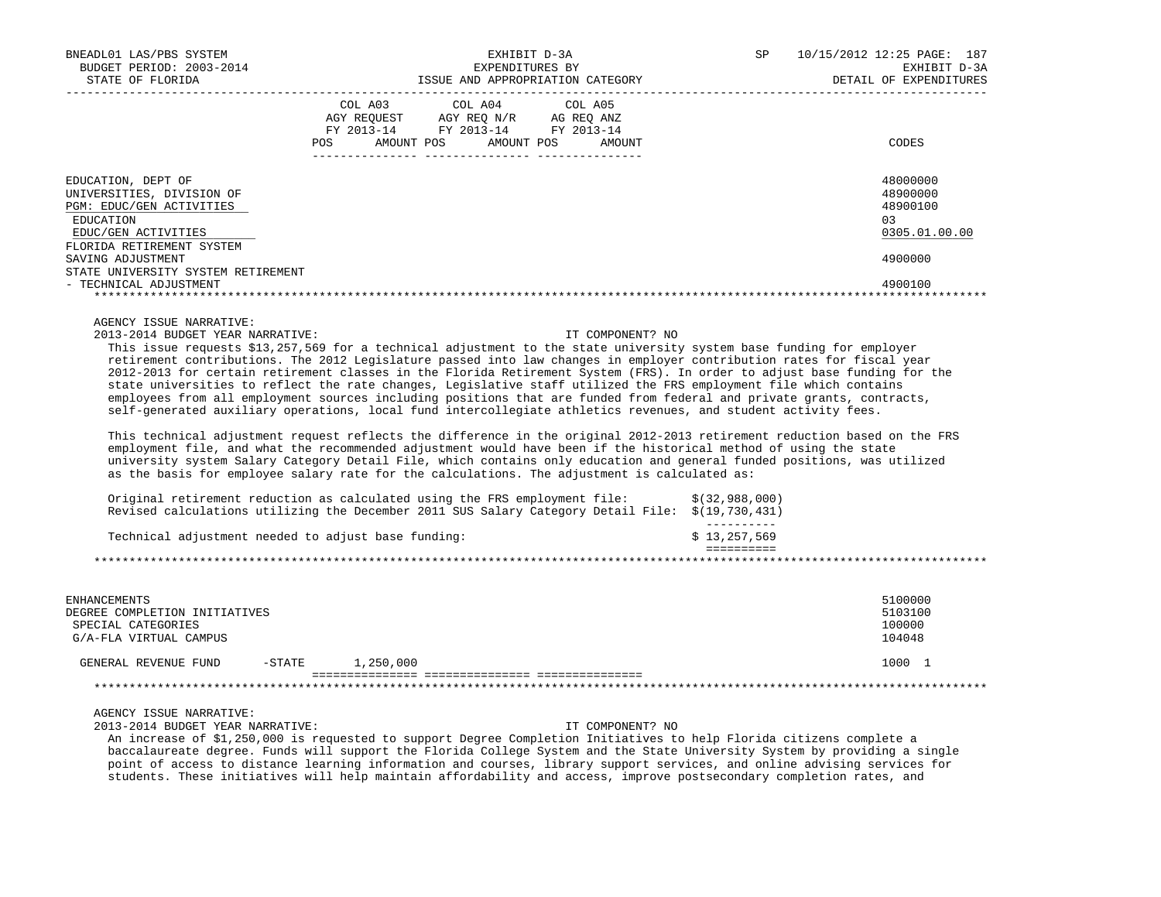| BNEADL01 LAS/PBS SYSTEM<br>BUDGET PERIOD: 2003-2014                                                                                                                                                                                                                                                                                                                                                                                                                                                                                                                                                                                                                                                                                                                                                                                                                                                                                                                                                                                                                                                                                                                                                                                                                                                 |                                                                                                               | EXHIBIT D-3A<br>EXPENDITURES BY | SP                               | 10/15/2012 12:25 PAGE: 187<br>EXHIBIT D-3A |                                                         |
|-----------------------------------------------------------------------------------------------------------------------------------------------------------------------------------------------------------------------------------------------------------------------------------------------------------------------------------------------------------------------------------------------------------------------------------------------------------------------------------------------------------------------------------------------------------------------------------------------------------------------------------------------------------------------------------------------------------------------------------------------------------------------------------------------------------------------------------------------------------------------------------------------------------------------------------------------------------------------------------------------------------------------------------------------------------------------------------------------------------------------------------------------------------------------------------------------------------------------------------------------------------------------------------------------------|---------------------------------------------------------------------------------------------------------------|---------------------------------|----------------------------------|--------------------------------------------|---------------------------------------------------------|
| STATE OF FLORIDA                                                                                                                                                                                                                                                                                                                                                                                                                                                                                                                                                                                                                                                                                                                                                                                                                                                                                                                                                                                                                                                                                                                                                                                                                                                                                    |                                                                                                               |                                 | ISSUE AND APPROPRIATION CATEGORY |                                            | DETAIL OF EXPENDITURES                                  |
|                                                                                                                                                                                                                                                                                                                                                                                                                                                                                                                                                                                                                                                                                                                                                                                                                                                                                                                                                                                                                                                                                                                                                                                                                                                                                                     | COL A03<br>AGY REQUEST AGY REQ N/R AG REQ ANZ<br>FY 2013-14 FY 2013-14 FY 2013-14<br>AMOUNT POS<br><b>POS</b> | COL A04<br>AMOUNT POS           | COL A05<br>AMOUNT                |                                            | CODES                                                   |
| EDUCATION, DEPT OF<br>UNIVERSITIES, DIVISION OF<br>PGM: EDUC/GEN ACTIVITIES<br>EDUCATION<br>EDUC/GEN ACTIVITIES<br>FLORIDA RETIREMENT SYSTEM                                                                                                                                                                                                                                                                                                                                                                                                                                                                                                                                                                                                                                                                                                                                                                                                                                                                                                                                                                                                                                                                                                                                                        |                                                                                                               |                                 |                                  |                                            | 48000000<br>48900000<br>48900100<br>03<br>0305.01.00.00 |
| SAVING ADJUSTMENT<br>STATE UNIVERSITY SYSTEM RETIREMENT<br>- TECHNICAL ADJUSTMENT                                                                                                                                                                                                                                                                                                                                                                                                                                                                                                                                                                                                                                                                                                                                                                                                                                                                                                                                                                                                                                                                                                                                                                                                                   |                                                                                                               |                                 |                                  |                                            | 4900000<br>4900100                                      |
|                                                                                                                                                                                                                                                                                                                                                                                                                                                                                                                                                                                                                                                                                                                                                                                                                                                                                                                                                                                                                                                                                                                                                                                                                                                                                                     |                                                                                                               |                                 |                                  |                                            |                                                         |
| This issue requests \$13,257,569 for a technical adjustment to the state university system base funding for employer<br>retirement contributions. The 2012 Legislature passed into law changes in employer contribution rates for fiscal year<br>2012-2013 for certain retirement classes in the Florida Retirement System (FRS). In order to adjust base funding for the<br>state universities to reflect the rate changes, Legislative staff utilized the FRS employment file which contains<br>employees from all employment sources including positions that are funded from federal and private grants, contracts,<br>self-generated auxiliary operations, local fund intercollegiate athletics revenues, and student activity fees.<br>This technical adjustment request reflects the difference in the original 2012-2013 retirement reduction based on the FRS<br>employment file, and what the recommended adjustment would have been if the historical method of using the state<br>university system Salary Category Detail File, which contains only education and general funded positions, was utilized<br>as the basis for employee salary rate for the calculations. The adjustment is calculated as:<br>Original retirement reduction as calculated using the FRS employment file: |                                                                                                               |                                 |                                  | \$(32,988,000)                             |                                                         |
| Revised calculations utilizing the December 2011 SUS Salary Category Detail File: \$(19,730,431)                                                                                                                                                                                                                                                                                                                                                                                                                                                                                                                                                                                                                                                                                                                                                                                                                                                                                                                                                                                                                                                                                                                                                                                                    |                                                                                                               |                                 |                                  | $- - - - - - - - - -$                      |                                                         |
| Technical adjustment needed to adjust base funding:                                                                                                                                                                                                                                                                                                                                                                                                                                                                                                                                                                                                                                                                                                                                                                                                                                                                                                                                                                                                                                                                                                                                                                                                                                                 |                                                                                                               |                                 |                                  | \$13,257,569<br><b>EEEEEEEEE</b>           |                                                         |
|                                                                                                                                                                                                                                                                                                                                                                                                                                                                                                                                                                                                                                                                                                                                                                                                                                                                                                                                                                                                                                                                                                                                                                                                                                                                                                     |                                                                                                               |                                 |                                  |                                            |                                                         |
| <b>ENHANCEMENTS</b><br>DEGREE COMPLETION INITIATIVES<br>SPECIAL CATEGORIES<br>G/A-FLA VIRTUAL CAMPUS                                                                                                                                                                                                                                                                                                                                                                                                                                                                                                                                                                                                                                                                                                                                                                                                                                                                                                                                                                                                                                                                                                                                                                                                |                                                                                                               |                                 |                                  |                                            | 5100000<br>5103100<br>100000<br>104048                  |
| GENERAL REVENUE FUND<br>$-$ STATE                                                                                                                                                                                                                                                                                                                                                                                                                                                                                                                                                                                                                                                                                                                                                                                                                                                                                                                                                                                                                                                                                                                                                                                                                                                                   | 1,250,000                                                                                                     |                                 |                                  |                                            | 1000 1                                                  |
|                                                                                                                                                                                                                                                                                                                                                                                                                                                                                                                                                                                                                                                                                                                                                                                                                                                                                                                                                                                                                                                                                                                                                                                                                                                                                                     |                                                                                                               |                                 |                                  |                                            |                                                         |
| AGENCY ISSUE NARRATIVE:<br>2013-2014 BUDGET YEAR NARRATIVE:                                                                                                                                                                                                                                                                                                                                                                                                                                                                                                                                                                                                                                                                                                                                                                                                                                                                                                                                                                                                                                                                                                                                                                                                                                         |                                                                                                               |                                 | IT COMPONENT? NO                 |                                            |                                                         |

 An increase of \$1,250,000 is requested to support Degree Completion Initiatives to help Florida citizens complete a baccalaureate degree. Funds will support the Florida College System and the State University System by providing a single point of access to distance learning information and courses, library support services, and online advising services for students. These initiatives will help maintain affordability and access, improve postsecondary completion rates, and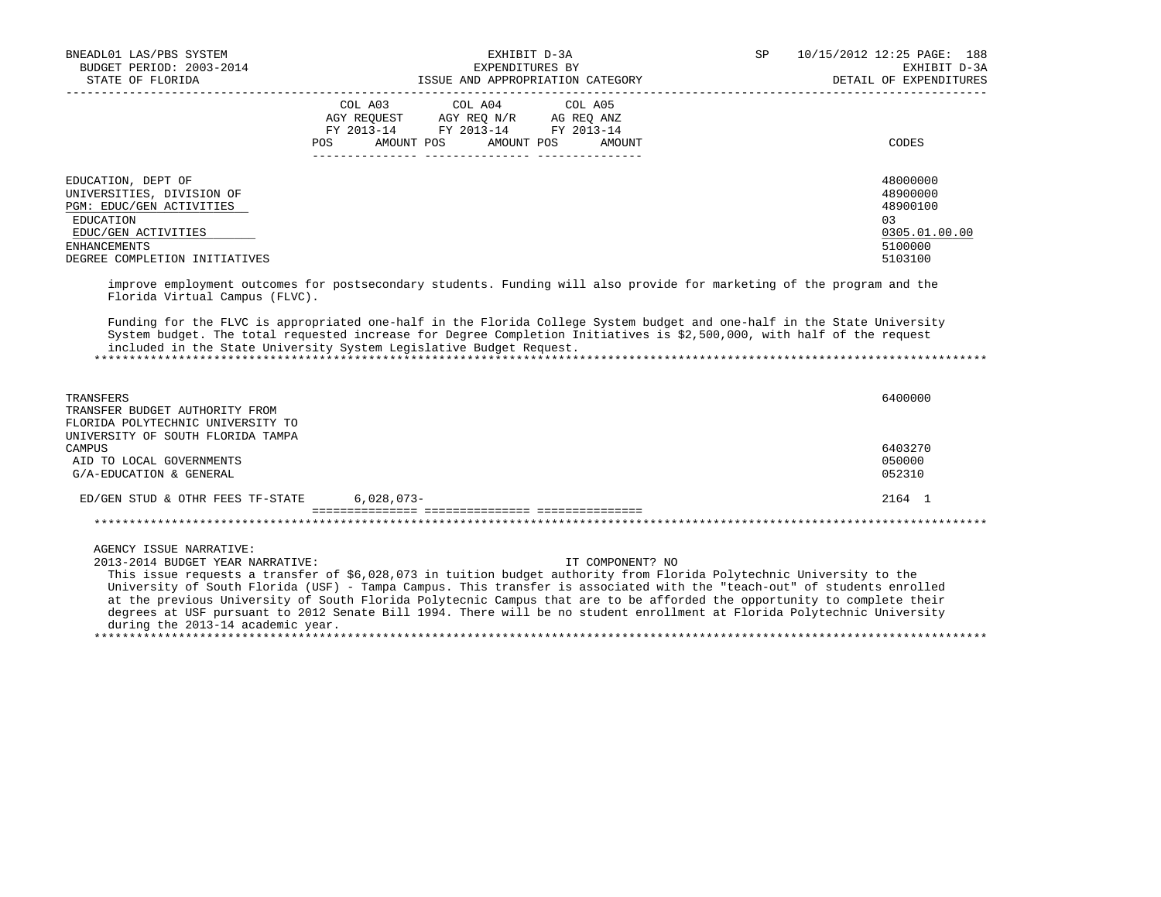| BNEADL01 LAS/PBS SYSTEM<br>BUDGET PERIOD: 2003-2014<br>STATE OF FLORIDA                                                                                                 |                              | EXHIBIT D-3A<br>EXPENDITURES BY<br>ISSUE AND APPROPRIATION CATEGORY                                                                                                                                                                                                                                                                                                                                                                                                                                                       | SP | 10/15/2012 12:25 PAGE: 188<br>EXHIBIT D-3A<br>DETAIL OF EXPENDITURES          |
|-------------------------------------------------------------------------------------------------------------------------------------------------------------------------|------------------------------|---------------------------------------------------------------------------------------------------------------------------------------------------------------------------------------------------------------------------------------------------------------------------------------------------------------------------------------------------------------------------------------------------------------------------------------------------------------------------------------------------------------------------|----|-------------------------------------------------------------------------------|
|                                                                                                                                                                         | COL A03<br>AMOUNT POS<br>POS | COL A04<br>COL A05<br>AGY REQUEST AGY REQ N/R AG REQ ANZ<br>FY 2013-14 FY 2013-14 FY 2013-14<br>AMOUNT POS<br>AMOUNT                                                                                                                                                                                                                                                                                                                                                                                                      |    | CODES                                                                         |
| EDUCATION, DEPT OF<br>UNIVERSITIES, DIVISION OF<br>PGM: EDUC/GEN ACTIVITIES<br>EDUCATION<br>EDUC/GEN ACTIVITIES<br><b>ENHANCEMENTS</b><br>DEGREE COMPLETION INITIATIVES |                              | improve employment outcomes for postsecondary students. Funding will also provide for marketing of the program and the                                                                                                                                                                                                                                                                                                                                                                                                    |    | 48000000<br>48900000<br>48900100<br>03<br>0305.01.00.00<br>5100000<br>5103100 |
| Florida Virtual Campus (FLVC).<br>included in the State University System Legislative Budget Request.                                                                   |                              | Funding for the FLVC is appropriated one-half in the Florida College System budget and one-half in the State University<br>System budget. The total requested increase for Degree Completion Initiatives is \$2,500,000, with half of the request                                                                                                                                                                                                                                                                         |    |                                                                               |
| TRANSFERS<br>TRANSFER BUDGET AUTHORITY FROM<br>FLORIDA POLYTECHNIC UNIVERSITY TO                                                                                        |                              |                                                                                                                                                                                                                                                                                                                                                                                                                                                                                                                           |    | 6400000                                                                       |
| UNIVERSITY OF SOUTH FLORIDA TAMPA<br>CAMPUS<br>AID TO LOCAL GOVERNMENTS<br>G/A-EDUCATION & GENERAL                                                                      |                              |                                                                                                                                                                                                                                                                                                                                                                                                                                                                                                                           |    | 6403270<br>050000<br>052310                                                   |
| ED/GEN STUD & OTHR FEES TF-STATE                                                                                                                                        | $6,028,073-$                 |                                                                                                                                                                                                                                                                                                                                                                                                                                                                                                                           |    | 2164 1                                                                        |
| AGENCY ISSUE NARRATIVE:<br>2013-2014 BUDGET YEAR NARRATIVE:<br>during the 2013-14 academic year.                                                                        |                              | IT COMPONENT? NO<br>This issue requests a transfer of \$6,028,073 in tuition budget authority from Florida Polytechnic University to the<br>University of South Florida (USF) - Tampa Campus. This transfer is associated with the "teach-out" of students enrolled<br>at the previous University of South Florida Polytecnic Campus that are to be afforded the opportunity to complete their<br>degrees at USF pursuant to 2012 Senate Bill 1994. There will be no student enrollment at Florida Polytechnic University |    |                                                                               |
|                                                                                                                                                                         |                              |                                                                                                                                                                                                                                                                                                                                                                                                                                                                                                                           |    |                                                                               |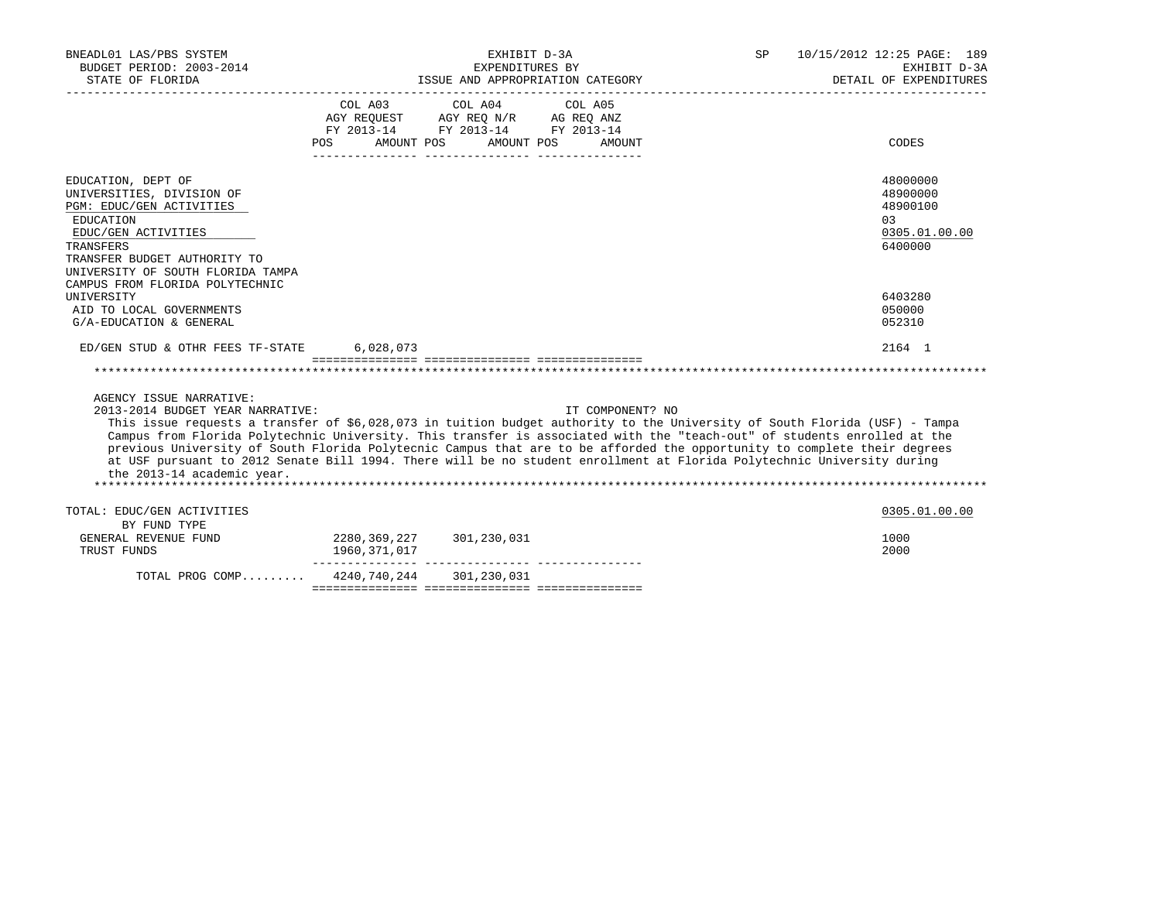| BNEADL01 LAS/PBS SYSTEM<br>BUDGET PERIOD: 2003-2014<br>STATE OF FLORIDA                                                                                                                                                                                                                                                                                                                                                                                                                                                                                                                                   |                                                                                          | EXHIBIT D-3A<br>EXPENDITURES BY       | ISSUE AND APPROPRIATION CATEGORY | SP | 10/15/2012 12:25 PAGE: 189<br>EXHIBIT D-3A<br>DETAIL OF EXPENDITURES |
|-----------------------------------------------------------------------------------------------------------------------------------------------------------------------------------------------------------------------------------------------------------------------------------------------------------------------------------------------------------------------------------------------------------------------------------------------------------------------------------------------------------------------------------------------------------------------------------------------------------|------------------------------------------------------------------------------------------|---------------------------------------|----------------------------------|----|----------------------------------------------------------------------|
|                                                                                                                                                                                                                                                                                                                                                                                                                                                                                                                                                                                                           | AGY REQUEST AGY REQ N/R AG REQ ANZ<br>FY 2013-14 FY 2013-14 FY 2013-14<br>POS AMOUNT POS | COL A03 COL A04 COL A05<br>AMOUNT POS | AMOUNT                           |    | CODES                                                                |
| EDUCATION, DEPT OF<br>UNIVERSITIES, DIVISION OF<br>PGM: EDUC/GEN ACTIVITIES<br>EDUCATION<br>EDUC/GEN ACTIVITIES<br>TRANSFERS<br>TRANSFER BUDGET AUTHORITY TO<br>UNIVERSITY OF SOUTH FLORIDA TAMPA                                                                                                                                                                                                                                                                                                                                                                                                         |                                                                                          |                                       |                                  |    | 48000000<br>48900000<br>48900100<br>0.3<br>0305.01.00.00<br>6400000  |
| CAMPUS FROM FLORIDA POLYTECHNIC<br>UNIVERSITY<br>AID TO LOCAL GOVERNMENTS<br>G/A-EDUCATION & GENERAL                                                                                                                                                                                                                                                                                                                                                                                                                                                                                                      |                                                                                          |                                       |                                  |    | 6403280<br>050000<br>052310                                          |
| ED/GEN STUD & OTHR FEES TF-STATE 6,028,073                                                                                                                                                                                                                                                                                                                                                                                                                                                                                                                                                                |                                                                                          |                                       |                                  |    | 2164 1                                                               |
| AGENCY ISSUE NARRATIVE:<br>2013-2014 BUDGET YEAR NARRATIVE:<br>This issue requests a transfer of \$6,028,073 in tuition budget authority to the University of South Florida (USF) - Tampa<br>Campus from Florida Polytechnic University. This transfer is associated with the "teach-out" of students enrolled at the<br>previous University of South Florida Polytecnic Campus that are to be afforded the opportunity to complete their degrees<br>at USF pursuant to 2012 Senate Bill 1994. There will be no student enrollment at Florida Polytechnic University during<br>the 2013-14 academic year. |                                                                                          |                                       | IT COMPONENT? NO                 |    |                                                                      |
| TOTAL: EDUC/GEN ACTIVITIES                                                                                                                                                                                                                                                                                                                                                                                                                                                                                                                                                                                |                                                                                          |                                       |                                  |    | 0305.01.00.00                                                        |
| BY FUND TYPE<br>GENERAL REVENUE FUND<br>TRUST FUNDS                                                                                                                                                                                                                                                                                                                                                                                                                                                                                                                                                       | 2280, 369, 227 301, 230, 031<br>1960,371,017                                             |                                       |                                  |    | 1000<br>2000                                                         |
| TOTAL PROG COMP                                                                                                                                                                                                                                                                                                                                                                                                                                                                                                                                                                                           | 4240,740,244 301,230,031                                                                 |                                       |                                  |    |                                                                      |

=============== =============== ===============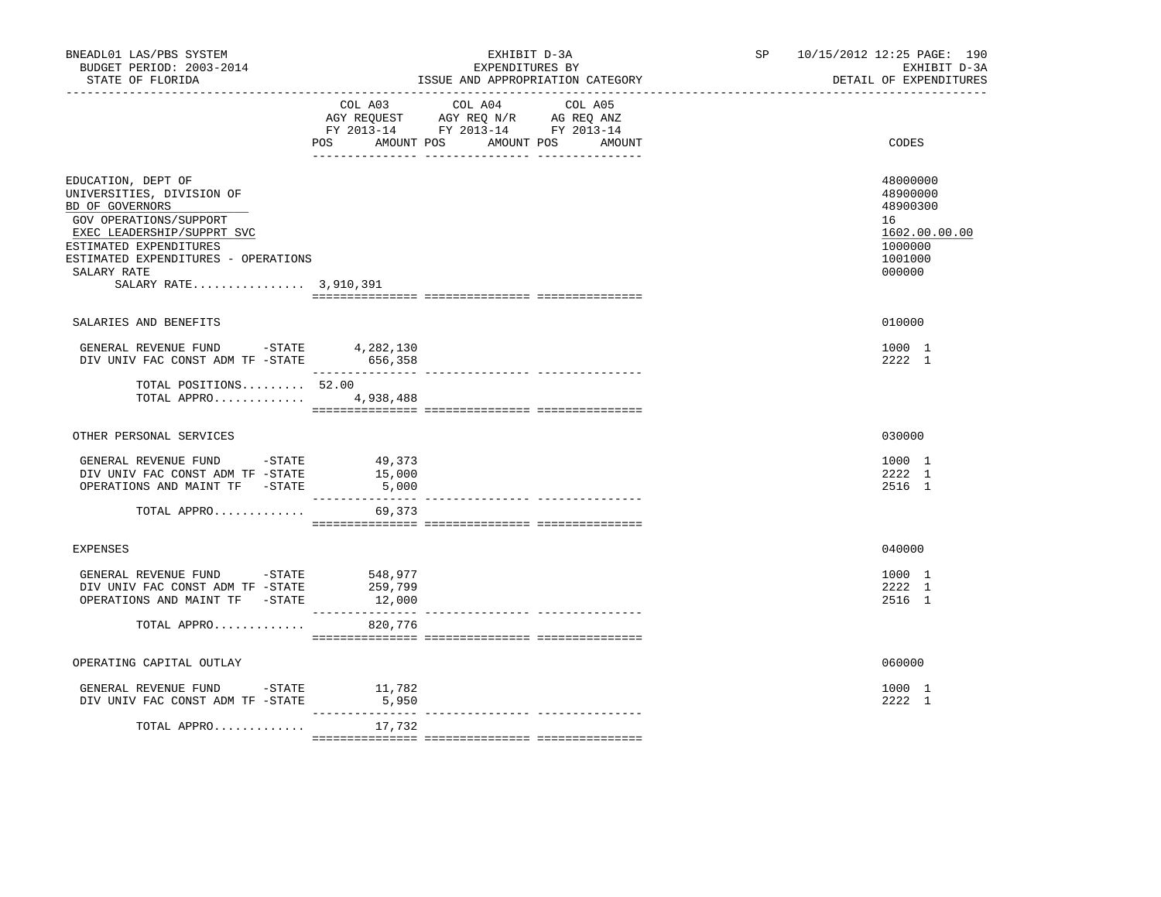| BNEADL01 LAS/PBS SYSTEM<br>BUDGET PERIOD: 2003-2014<br>STATE OF FLORIDA                                                                                                                                                             |                           | EXHIBIT D-3A<br>EXPENDITURES BY<br>ISSUE AND APPROPRIATION CATEGORY                                                       | SP <sub>2</sub> | 10/15/2012 12:25 PAGE: 190<br>EXHIBIT D-3A<br>DETAIL OF EXPENDITURES                    |
|-------------------------------------------------------------------------------------------------------------------------------------------------------------------------------------------------------------------------------------|---------------------------|---------------------------------------------------------------------------------------------------------------------------|-----------------|-----------------------------------------------------------------------------------------|
|                                                                                                                                                                                                                                     | AMOUNT POS<br>POS         | COL A03 COL A04 COL A05<br>AGY REQUEST AGY REQ N/R AG REQ ANZ<br>FY 2013-14 FY 2013-14 FY 2013-14<br>AMOUNT POS<br>AMOUNT |                 | CODES                                                                                   |
| EDUCATION, DEPT OF<br>UNIVERSITIES, DIVISION OF<br>BD OF GOVERNORS<br>GOV OPERATIONS/SUPPORT<br>EXEC LEADERSHIP/SUPPRT SVC<br>ESTIMATED EXPENDITURES<br>ESTIMATED EXPENDITURES - OPERATIONS<br>SALARY RATE<br>SALARY RATE 3,910,391 |                           |                                                                                                                           |                 | 48000000<br>48900000<br>48900300<br>16<br>1602.00.00.00<br>1000000<br>1001000<br>000000 |
| SALARIES AND BENEFITS                                                                                                                                                                                                               |                           |                                                                                                                           |                 | 010000                                                                                  |
| GENERAL REVENUE FUND -STATE $4,282,130$<br>DIV UNIV FAC CONST ADM TF -STATE 656,358                                                                                                                                                 |                           |                                                                                                                           |                 | 1000 1<br>2222 1                                                                        |
| TOTAL POSITIONS 52.00<br>TOTAL APPRO 4,938,488                                                                                                                                                                                      |                           |                                                                                                                           |                 |                                                                                         |
| OTHER PERSONAL SERVICES                                                                                                                                                                                                             |                           |                                                                                                                           |                 | 030000                                                                                  |
| GENERAL REVENUE FUND -STATE<br>DIV UNIV FAC CONST ADM TF -STATE<br>OPERATIONS AND MAINT TF -STATE                                                                                                                                   | 49,373<br>15,000<br>5,000 |                                                                                                                           |                 | 1000 1<br>2222 1<br>2516 1                                                              |
| TOTAL APPRO                                                                                                                                                                                                                         | 69,373                    |                                                                                                                           |                 |                                                                                         |
| <b>EXPENSES</b>                                                                                                                                                                                                                     |                           |                                                                                                                           |                 | 040000                                                                                  |
| GENERAL REVENUE FUND -STATE 548,977<br>DIV UNIV FAC CONST ADM TF -STATE<br>OPERATIONS AND MAINT TF -STATE                                                                                                                           | 259,799<br>12,000         |                                                                                                                           |                 | 1000 1<br>2222 1<br>2516 1                                                              |
| TOTAL APPRO                                                                                                                                                                                                                         | 820,776                   |                                                                                                                           |                 |                                                                                         |
| OPERATING CAPITAL OUTLAY                                                                                                                                                                                                            |                           |                                                                                                                           |                 | 060000                                                                                  |
| GENERAL REVENUE FUND $-$ STATE $11,782$<br>DIV UNIV FAC CONST ADM TF -STATE                                                                                                                                                         | 5,950                     |                                                                                                                           |                 | 1000 1<br>2222 1                                                                        |
| TOTAL APPRO                                                                                                                                                                                                                         | 17,732                    |                                                                                                                           |                 |                                                                                         |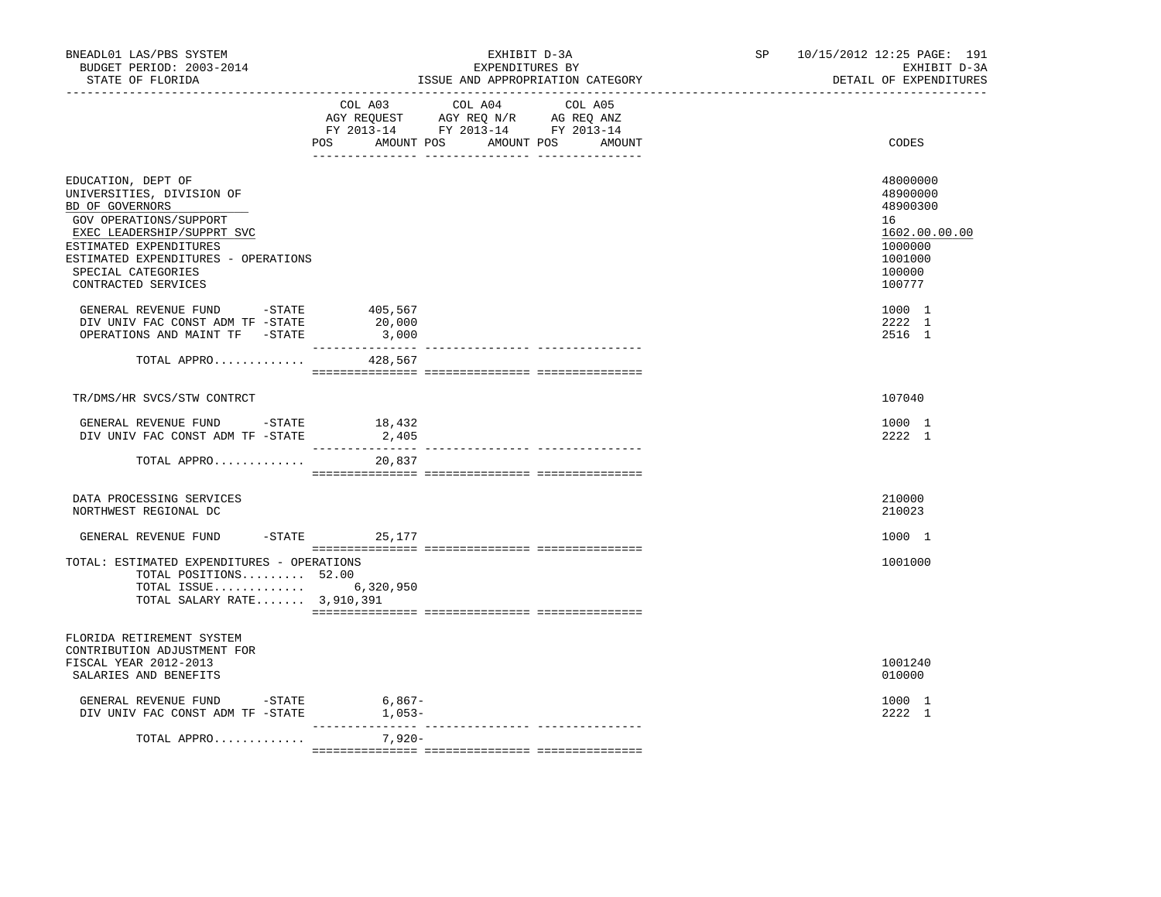|                                                                                                                                                                                                                                          |                            | EXPENDITURES BY<br>ISSUE AND APPROPRIATION CATEGORY                                                                                      | EXHIBIT D-3A<br>DETAIL OF EXPENDITURES                                                            |
|------------------------------------------------------------------------------------------------------------------------------------------------------------------------------------------------------------------------------------------|----------------------------|------------------------------------------------------------------------------------------------------------------------------------------|---------------------------------------------------------------------------------------------------|
|                                                                                                                                                                                                                                          |                            | COL A03 COL A04 COL A05<br>AGY REQUEST AGY REQ N/R AG REQ ANZ<br>FY 2013-14 FY 2013-14 FY 2013-14<br>POS AMOUNT POS AMOUNT POS<br>AMOUNT | CODES                                                                                             |
| EDUCATION, DEPT OF<br>UNIVERSITIES, DIVISION OF<br>BD OF GOVERNORS<br>GOV OPERATIONS/SUPPORT<br>EXEC LEADERSHIP/SUPPRT SVC<br>ESTIMATED EXPENDITURES<br>ESTIMATED EXPENDITURES - OPERATIONS<br>SPECIAL CATEGORIES<br>CONTRACTED SERVICES |                            |                                                                                                                                          | 48000000<br>48900000<br>48900300<br>16<br>1602.00.00.00<br>1000000<br>1001000<br>100000<br>100777 |
| GENERAL REVENUE FUND -STATE<br>DIV UNIV FAC CONST ADM TF -STATE<br>OPERATIONS AND MAINT TF -STATE                                                                                                                                        | 405,567<br>20,000<br>3,000 |                                                                                                                                          | 1000 1<br>2222 1<br>2516 1                                                                        |
| TOTAL APPRO                                                                                                                                                                                                                              | 428,567                    |                                                                                                                                          |                                                                                                   |
| TR/DMS/HR SVCS/STW CONTRCT                                                                                                                                                                                                               |                            |                                                                                                                                          | 107040                                                                                            |
| GENERAL REVENUE FUND -STATE 18,432<br>DIV UNIV FAC CONST ADM TF -STATE                                                                                                                                                                   | 2,405                      |                                                                                                                                          | 1000 1<br>2222 1                                                                                  |
| TOTAL APPRO                                                                                                                                                                                                                              | 20,837                     |                                                                                                                                          |                                                                                                   |
| DATA PROCESSING SERVICES<br>NORTHWEST REGIONAL DC                                                                                                                                                                                        |                            |                                                                                                                                          | 210000<br>210023                                                                                  |
| GENERAL REVENUE FUND                                                                                                                                                                                                                     | $-$ STATE 25,177           |                                                                                                                                          | 1000 1                                                                                            |
| TOTAL: ESTIMATED EXPENDITURES - OPERATIONS<br>TOTAL POSITIONS 52.00<br>TOTAL ISSUE 6,320,950<br>TOTAL SALARY RATE 3,910,391                                                                                                              |                            |                                                                                                                                          | 1001000                                                                                           |
| FLORIDA RETIREMENT SYSTEM<br>CONTRIBUTION ADJUSTMENT FOR<br>FISCAL YEAR 2012-2013<br>SALARIES AND BENEFITS                                                                                                                               |                            |                                                                                                                                          | 1001240<br>010000                                                                                 |
| GENERAL REVENUE FUND -STATE 6,867-<br>DIV UNIV FAC CONST ADM TF -STATE                                                                                                                                                                   | $1,053-$                   |                                                                                                                                          | 1000 1<br>2222 1                                                                                  |
| TOTAL APPRO                                                                                                                                                                                                                              | 7,920-                     |                                                                                                                                          |                                                                                                   |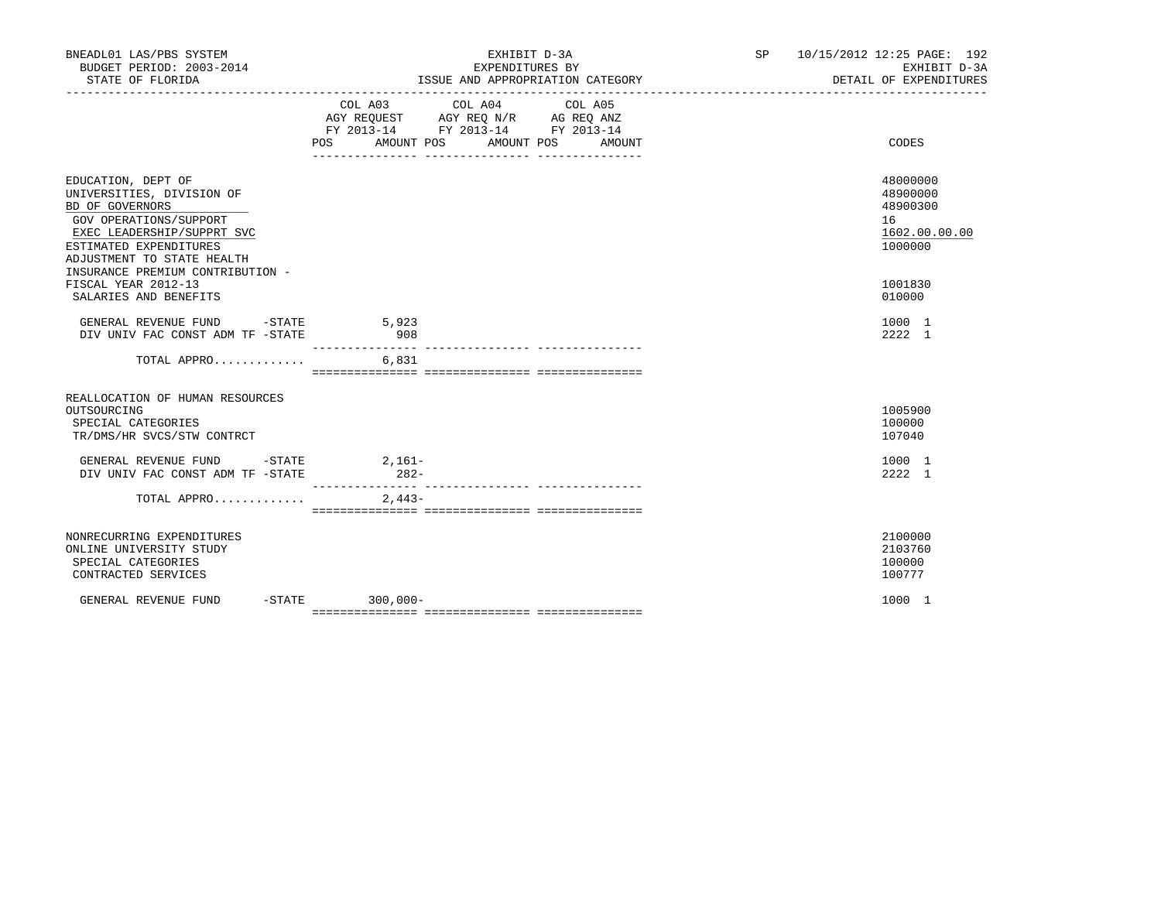| BNEADL01 LAS/PBS SYSTEM<br>BUDGET PERIOD: 2003-2014<br>STATE OF FLORIDA                                                                                                                                                | EXHIBIT D-3A<br>EXPENDITURES BY<br>ISSUE AND APPROPRIATION CATEGORY                                                                                      | SP 10/15/2012 12:25 PAGE: 192<br>EXHIBIT D-3A<br>DETAIL OF EXPENDITURES |
|------------------------------------------------------------------------------------------------------------------------------------------------------------------------------------------------------------------------|----------------------------------------------------------------------------------------------------------------------------------------------------------|-------------------------------------------------------------------------|
|                                                                                                                                                                                                                        | COL A03 COL A04<br>COL A05<br>AGY REQUEST AGY REQ N/R AG REQ ANZ<br>FY 2013-14 FY 2013-14 FY 2013-14<br><b>POS</b><br>AMOUNT POS<br>AMOUNT POS<br>AMOUNT | CODES                                                                   |
| EDUCATION, DEPT OF<br>UNIVERSITIES, DIVISION OF<br>BD OF GOVERNORS<br>GOV OPERATIONS/SUPPORT<br>EXEC LEADERSHIP/SUPPRT SVC<br>ESTIMATED EXPENDITURES<br>ADJUSTMENT TO STATE HEALTH<br>INSURANCE PREMIUM CONTRIBUTION - |                                                                                                                                                          | 48000000<br>48900000<br>48900300<br>16<br>1602.00.00.00<br>1000000      |
| FISCAL YEAR 2012-13<br>SALARIES AND BENEFITS                                                                                                                                                                           |                                                                                                                                                          | 1001830<br>010000                                                       |
| GENERAL REVENUE FUND -STATE<br>DIV UNIV FAC CONST ADM TF -STATE                                                                                                                                                        | 5,923<br>908<br>___________                                                                                                                              | 1000 1<br>2222 1                                                        |
| TOTAL APPRO                                                                                                                                                                                                            | 6,831                                                                                                                                                    |                                                                         |
| REALLOCATION OF HUMAN RESOURCES<br>OUTSOURCING<br>SPECIAL CATEGORIES<br>TR/DMS/HR SVCS/STW CONTRCT                                                                                                                     |                                                                                                                                                          | 1005900<br>100000<br>107040                                             |
| GENERAL REVENUE FUND -STATE 2,161-<br>DIV UNIV FAC CONST ADM TF -STATE                                                                                                                                                 | $282-$                                                                                                                                                   | 1000 1<br>2222 1                                                        |
| TOTAL APPRO $2.443-$                                                                                                                                                                                                   |                                                                                                                                                          |                                                                         |
| NONRECURRING EXPENDITURES<br>ONLINE UNIVERSITY STUDY<br>SPECIAL CATEGORIES<br>CONTRACTED SERVICES                                                                                                                      |                                                                                                                                                          | 2100000<br>2103760<br>100000<br>100777                                  |
| GENERAL REVENUE FUND                                                                                                                                                                                                   | $-STATE$ 300,000-                                                                                                                                        | 1000 1                                                                  |